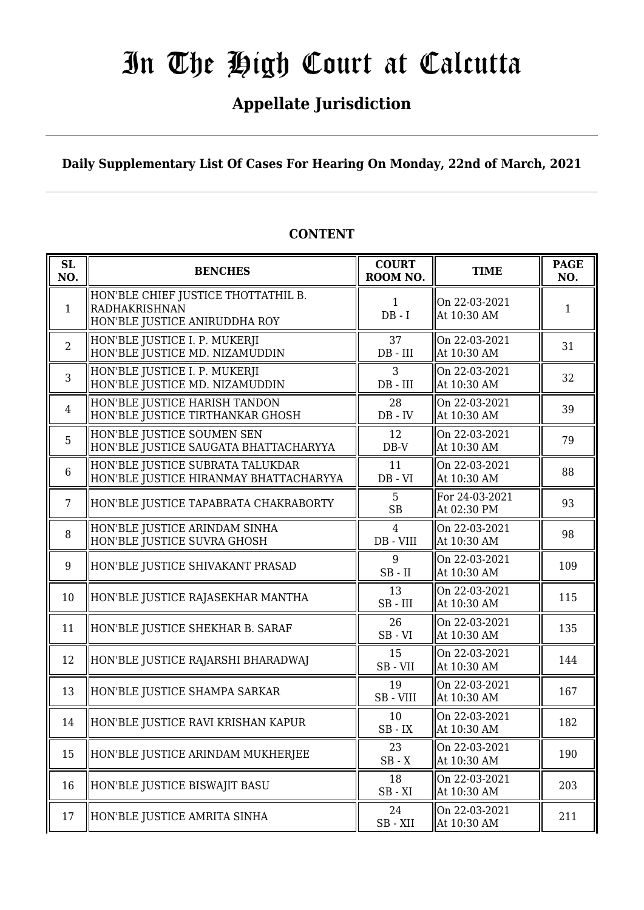## **Appellate Jurisdiction**

**Daily Supplementary List Of Cases For Hearing On Monday, 22nd of March, 2021**

| SL<br>NO.       | <b>BENCHES</b>                                                                        | <b>COURT</b><br>ROOM NO. | <b>TIME</b>                   | <b>PAGE</b><br>NO. |
|-----------------|---------------------------------------------------------------------------------------|--------------------------|-------------------------------|--------------------|
| $\mathbf{1}$    | HON'BLE CHIEF JUSTICE THOTTATHIL B.<br>RADHAKRISHNAN<br>HON'BLE JUSTICE ANIRUDDHA ROY | $\mathbf{1}$<br>$DB - I$ | On 22-03-2021<br>At 10:30 AM  | 1                  |
| 2               | HON'BLE JUSTICE I. P. MUKERJI<br>HON'BLE JUSTICE MD. NIZAMUDDIN                       | 37<br>$DB$ - $III$       | On 22-03-2021<br>At 10:30 AM  | 31                 |
| 3               | HON'BLE JUSTICE I. P. MUKERJI<br>HON'BLE JUSTICE MD. NIZAMUDDIN                       | 3<br>$DB$ - $III$        | On 22-03-2021<br>At 10:30 AM  | 32                 |
| $\overline{4}$  | HON'BLE JUSTICE HARISH TANDON<br>HON'BLE JUSTICE TIRTHANKAR GHOSH                     | 28<br>$DB - IV$          | On 22-03-2021<br>At 10:30 AM  | 39                 |
| 5               | HON'BLE JUSTICE SOUMEN SEN<br>HON'BLE JUSTICE SAUGATA BHATTACHARYYA                   | 12<br>$DB-V$             | On 22-03-2021<br>At 10:30 AM  | 79                 |
| 6               | HON'BLE JUSTICE SUBRATA TALUKDAR<br>HON'BLE JUSTICE HIRANMAY BHATTACHARYYA            | 11<br>$DB - VI$          | On 22-03-2021<br>At 10:30 AM  | 88                 |
| $7\phantom{.0}$ | HON'BLE JUSTICE TAPABRATA CHAKRABORTY                                                 | 5<br><b>SB</b>           | For 24-03-2021<br>At 02:30 PM | 93                 |
| 8               | HON'BLE JUSTICE ARINDAM SINHA<br>HON'BLE JUSTICE SUVRA GHOSH                          | 4<br>DB - VIII           | On 22-03-2021<br>At 10:30 AM  | 98                 |
| 9               | HON'BLE JUSTICE SHIVAKANT PRASAD                                                      | 9<br>$SB$ - $II$         | On 22-03-2021<br>At 10:30 AM  | 109                |
| 10              | HON'BLE JUSTICE RAJASEKHAR MANTHA                                                     | 13<br>$SB$ - $III$       | On 22-03-2021<br>At 10:30 AM  | 115                |
| 11              | HON'BLE JUSTICE SHEKHAR B. SARAF                                                      | 26<br>$SB - VI$          | On 22-03-2021<br>At 10:30 AM  | 135                |
| 12              | HON'BLE JUSTICE RAJARSHI BHARADWAJ                                                    | 15<br>SB-VII             | On 22-03-2021<br>At 10:30 AM  | 144                |
| 13              | HON'BLE JUSTICE SHAMPA SARKAR                                                         | 19<br>SB - VIII          | On 22-03-2021<br>At 10:30 AM  | 167                |
| 14              | HON'BLE JUSTICE RAVI KRISHAN KAPUR                                                    | 10<br>$SB$ - $IX$        | On 22-03-2021<br>At 10:30 AM  | 182                |
| 15              | HON'BLE JUSTICE ARINDAM MUKHERJEE                                                     | 23<br>$SB - X$           | On 22-03-2021<br>At 10:30 AM  | 190                |
| 16              | HON'BLE JUSTICE BISWAJIT BASU                                                         | 18<br>$SB - XI$          | On 22-03-2021<br>At 10:30 AM  | 203                |
| 17              | HON'BLE JUSTICE AMRITA SINHA                                                          | 24<br>$SB - XII$         | On 22-03-2021<br>At 10:30 AM  | 211                |

### **CONTENT**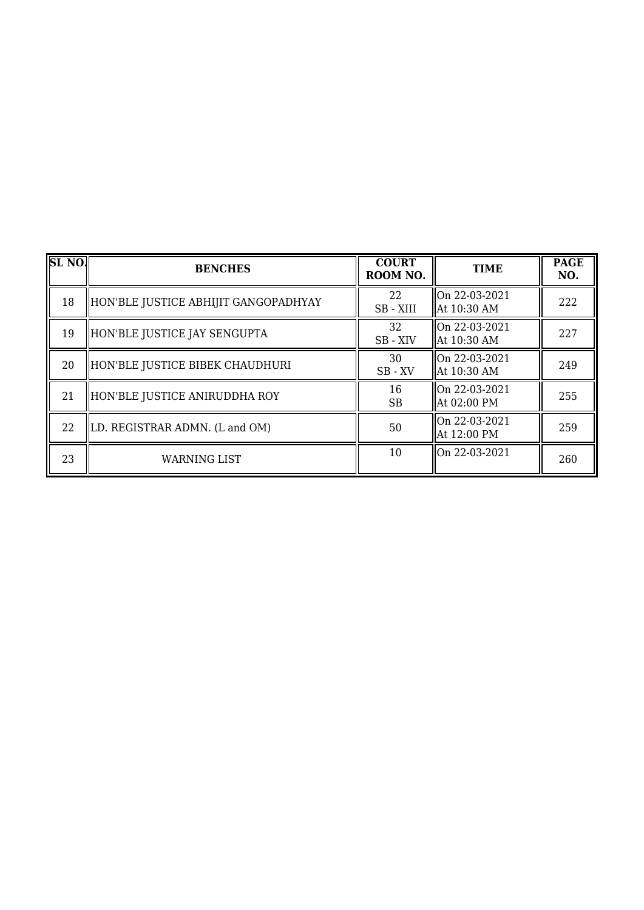| <b>SL NO.</b> | <b>BENCHES</b>                       | <b>COURT</b><br>ROOM NO. | <b>TIME</b>                    | <b>PAGE</b><br>NO. |
|---------------|--------------------------------------|--------------------------|--------------------------------|--------------------|
| 18            | HON'BLE JUSTICE ABHIJIT GANGOPADHYAY | 22<br>SB - XIII          | On 22-03-2021<br>  At 10:30 AM | 222                |
| 19            | HON'BLE JUSTICE JAY SENGUPTA         | 32<br>SB - XIV           | On 22-03-2021<br>  At 10:30 AM | 227                |
| 20            | HON'BLE JUSTICE BIBEK CHAUDHURI      | 30<br>$SB$ - $XV$        | On 22-03-2021<br>  At 10:30 AM | 249                |
| 21            | HON'BLE JUSTICE ANIRUDDHA ROY        | 16<br><b>SB</b>          | On 22-03-2021<br>At 02:00 PM   | 255                |
| 22            | LD. REGISTRAR ADMN. (L and OM)       | 50                       | On 22-03-2021<br>At 12:00 PM   | 259                |
| 23            | <b>WARNING LIST</b>                  | 10                       | On 22-03-2021                  | 260                |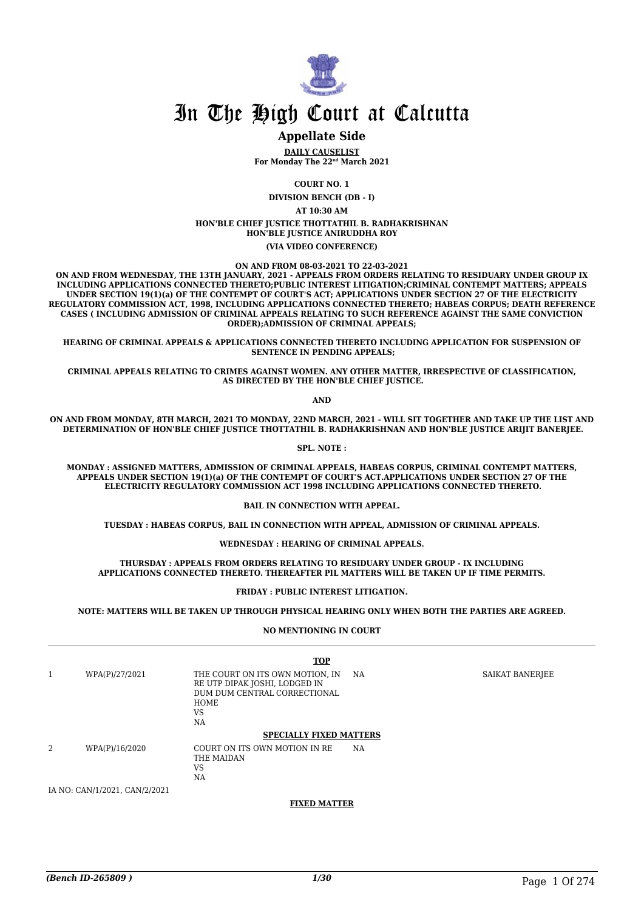

### **Appellate Side**

**DAILY CAUSELIST For Monday The 22nd March 2021**

**COURT NO. 1**

**DIVISION BENCH (DB - I)**

**AT 10:30 AM**

**HON'BLE CHIEF JUSTICE THOTTATHIL B. RADHAKRISHNAN HON'BLE JUSTICE ANIRUDDHA ROY (VIA VIDEO CONFERENCE)**

**ON AND FROM 08-03-2021 TO 22-03-2021**

**ON AND FROM WEDNESDAY, THE 13TH JANUARY, 2021 - APPEALS FROM ORDERS RELATING TO RESIDUARY UNDER GROUP IX INCLUDING APPLICATIONS CONNECTED THERETO;PUBLIC INTEREST LITIGATION;CRIMINAL CONTEMPT MATTERS; APPEALS UNDER SECTION 19(1)(a) OF THE CONTEMPT OF COURT'S ACT; APPLICATIONS UNDER SECTION 27 OF THE ELECTRICITY REGULATORY COMMISSION ACT, 1998, INCLUDING APPLICATIONS CONNECTED THERETO; HABEAS CORPUS; DEATH REFERENCE CASES ( INCLUDING ADMISSION OF CRIMINAL APPEALS RELATING TO SUCH REFERENCE AGAINST THE SAME CONVICTION ORDER);ADMISSION OF CRIMINAL APPEALS;**

**HEARING OF CRIMINAL APPEALS & APPLICATIONS CONNECTED THERETO INCLUDING APPLICATION FOR SUSPENSION OF SENTENCE IN PENDING APPEALS;**

**CRIMINAL APPEALS RELATING TO CRIMES AGAINST WOMEN. ANY OTHER MATTER, IRRESPECTIVE OF CLASSIFICATION, AS DIRECTED BY THE HON'BLE CHIEF JUSTICE.**

**AND**

**ON AND FROM MONDAY, 8TH MARCH, 2021 TO MONDAY, 22ND MARCH, 2021 - WILL SIT TOGETHER AND TAKE UP THE LIST AND DETERMINATION OF HON'BLE CHIEF JUSTICE THOTTATHIL B. RADHAKRISHNAN AND HON'BLE JUSTICE ARIJIT BANERJEE.**

**SPL. NOTE :**

**MONDAY : ASSIGNED MATTERS, ADMISSION OF CRIMINAL APPEALS, HABEAS CORPUS, CRIMINAL CONTEMPT MATTERS, APPEALS UNDER SECTION 19(1)(a) OF THE CONTEMPT OF COURT'S ACT.APPLICATIONS UNDER SECTION 27 OF THE ELECTRICITY REGULATORY COMMISSION ACT 1998 INCLUDING APPLICATIONS CONNECTED THERETO.**

**BAIL IN CONNECTION WITH APPEAL.**

**TUESDAY : HABEAS CORPUS, BAIL IN CONNECTION WITH APPEAL, ADMISSION OF CRIMINAL APPEALS.**

#### **WEDNESDAY : HEARING OF CRIMINAL APPEALS.**

**THURSDAY : APPEALS FROM ORDERS RELATING TO RESIDUARY UNDER GROUP - IX INCLUDING APPLICATIONS CONNECTED THERETO. THEREAFTER PIL MATTERS WILL BE TAKEN UP IF TIME PERMITS.**

#### **FRIDAY : PUBLIC INTEREST LITIGATION.**

**NOTE: MATTERS WILL BE TAKEN UP THROUGH PHYSICAL HEARING ONLY WHEN BOTH THE PARTIES ARE AGREED.**

#### **NO MENTIONING IN COURT**

|                |                               | <b>TOP</b>                                                                                                                  |     |                 |
|----------------|-------------------------------|-----------------------------------------------------------------------------------------------------------------------------|-----|-----------------|
|                | WPA(P)/27/2021                | THE COURT ON ITS OWN MOTION, IN<br>RE UTP DIPAK JOSHI, LODGED IN<br>DUM DUM CENTRAL CORRECTIONAL<br><b>HOME</b><br>VS<br>NA | NA. | SAIKAT BANERJEE |
|                |                               | <b>SPECIALLY FIXED MATTERS</b>                                                                                              |     |                 |
| $\overline{2}$ | WPA(P)/16/2020                | COURT ON ITS OWN MOTION IN RE<br>THE MAIDAN<br>VS<br>NA                                                                     | NA. |                 |
|                | IA NO: CAN/1/2021, CAN/2/2021 |                                                                                                                             |     |                 |

**FIXED MATTER**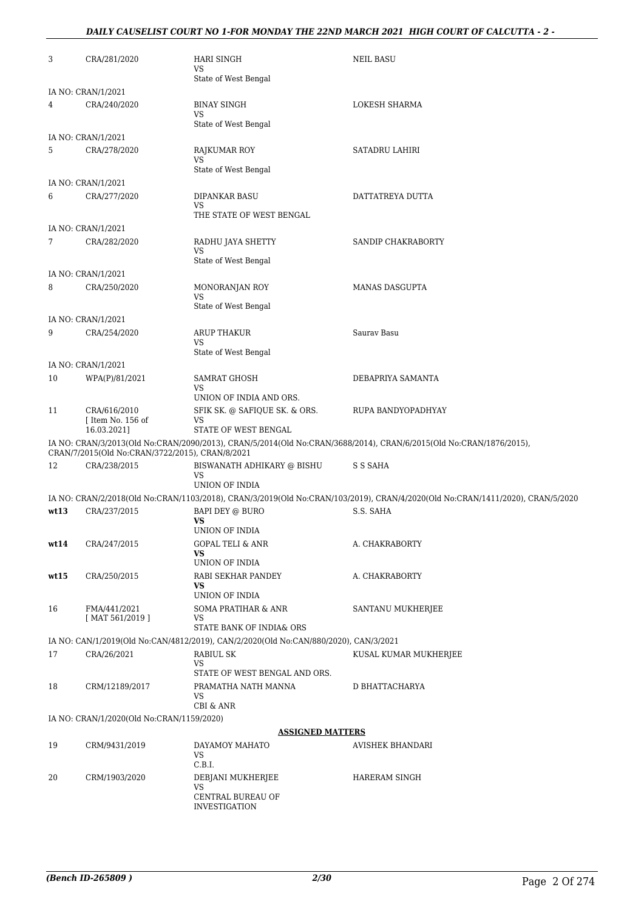### *DAILY CAUSELIST COURT NO 1-FOR MONDAY THE 22ND MARCH 2021 HIGH COURT OF CALCUTTA - 2 -*

| 3    | CRA/281/2020                                     | HARI SINGH<br>VS<br>State of West Bengal                                                                         | <b>NEIL BASU</b>                                                                                                              |
|------|--------------------------------------------------|------------------------------------------------------------------------------------------------------------------|-------------------------------------------------------------------------------------------------------------------------------|
|      | IA NO: CRAN/1/2021                               |                                                                                                                  |                                                                                                                               |
| 4    | CRA/240/2020                                     | <b>BINAY SINGH</b><br>VS                                                                                         | LOKESH SHARMA                                                                                                                 |
|      | IA NO: CRAN/1/2021                               | State of West Bengal                                                                                             |                                                                                                                               |
| 5    | CRA/278/2020                                     | <b>RAJKUMAR ROY</b>                                                                                              | SATADRU LAHIRI                                                                                                                |
|      |                                                  | VS<br>State of West Bengal                                                                                       |                                                                                                                               |
|      | IA NO: CRAN/1/2021                               |                                                                                                                  |                                                                                                                               |
| 6    | CRA/277/2020                                     | DIPANKAR BASU<br>VS<br>THE STATE OF WEST BENGAL                                                                  | DATTATREYA DUTTA                                                                                                              |
|      | IA NO: CRAN/1/2021                               |                                                                                                                  |                                                                                                                               |
| 7    | CRA/282/2020                                     | RADHU JAYA SHETTY                                                                                                | SANDIP CHAKRABORTY                                                                                                            |
|      |                                                  | <b>VS</b><br>State of West Bengal                                                                                |                                                                                                                               |
|      | IA NO: CRAN/1/2021                               |                                                                                                                  |                                                                                                                               |
| 8    | CRA/250/2020                                     | MONORANJAN ROY<br>VS                                                                                             | <b>MANAS DASGUPTA</b>                                                                                                         |
|      | IA NO: CRAN/1/2021                               | State of West Bengal                                                                                             |                                                                                                                               |
| 9    | CRA/254/2020                                     | ARUP THAKUR<br>VS                                                                                                | Saurav Basu                                                                                                                   |
|      |                                                  | State of West Bengal                                                                                             |                                                                                                                               |
|      | IA NO: CRAN/1/2021                               |                                                                                                                  |                                                                                                                               |
| 10   | WPA(P)/81/2021                                   | SAMRAT GHOSH<br>VS                                                                                               | DEBAPRIYA SAMANTA                                                                                                             |
|      |                                                  | UNION OF INDIA AND ORS.                                                                                          |                                                                                                                               |
| 11   | CRA/616/2010<br>[ Item No. 156 of<br>16.03.2021] | SFIK SK. @ SAFIQUE SK. & ORS.<br>VS<br>STATE OF WEST BENGAL                                                      | RUPA BANDYOPADHYAY                                                                                                            |
|      | CRAN/7/2015(Old No:CRAN/3722/2015), CRAN/8/2021  |                                                                                                                  | IA NO: CRAN/3/2013(Old No:CRAN/2090/2013), CRAN/5/2014(Old No:CRAN/3688/2014), CRAN/6/2015(Old No:CRAN/1876/2015),            |
| 12   | CRA/238/2015                                     | BISWANATH ADHIKARY @ BISHU<br>VS                                                                                 | S S SAHA                                                                                                                      |
|      |                                                  | UNION OF INDIA                                                                                                   |                                                                                                                               |
|      |                                                  |                                                                                                                  | IA NO: CRAN/2/2018(Old No:CRAN/1103/2018), CRAN/3/2019(Old No:CRAN/103/2019), CRAN/4/2020(Old No:CRAN/1411/2020), CRAN/5/2020 |
| wt13 | CRA/237/2015                                     | BAPI DEY @ BURO<br><b>VS</b><br>UNION OF INDIA                                                                   | S.S. SAHA                                                                                                                     |
| wt14 | CRA/247/2015                                     | GOPAL TELI & ANR<br>VS                                                                                           | A. CHAKRABORTY                                                                                                                |
|      |                                                  | UNION OF INDIA                                                                                                   |                                                                                                                               |
| wt15 | CRA/250/2015                                     | RABI SEKHAR PANDEY<br>VS.                                                                                        | A. CHAKRABORTY                                                                                                                |
|      |                                                  | UNION OF INDIA                                                                                                   |                                                                                                                               |
| 16   | FMA/441/2021<br>[MAT 561/2019]                   | SOMA PRATIHAR & ANR<br>VS                                                                                        | SANTANU MUKHERJEE                                                                                                             |
|      |                                                  | STATE BANK OF INDIA& ORS<br>IA NO: CAN/1/2019(Old No:CAN/4812/2019), CAN/2/2020(Old No:CAN/880/2020), CAN/3/2021 |                                                                                                                               |
| 17   | CRA/26/2021                                      | RABIUL SK                                                                                                        | KUSAL KUMAR MUKHERJEE                                                                                                         |
|      |                                                  | VS<br>STATE OF WEST BENGAL AND ORS.                                                                              |                                                                                                                               |
| 18   | CRM/12189/2017                                   | PRAMATHA NATH MANNA<br>VS<br>CBI & ANR                                                                           | D BHATTACHARYA                                                                                                                |
|      | IA NO: CRAN/1/2020(Old No:CRAN/1159/2020)        |                                                                                                                  |                                                                                                                               |
|      |                                                  | <b>ASSIGNED MATTERS</b>                                                                                          |                                                                                                                               |
| 19   | CRM/9431/2019                                    | DAYAMOY MAHATO<br><b>VS</b><br>C.B.I.                                                                            | AVISHEK BHANDARI                                                                                                              |
| 20   | CRM/1903/2020                                    | DEBJANI MUKHERJEE<br><b>VS</b>                                                                                   | HARERAM SINGH                                                                                                                 |
|      |                                                  | CENTRAL BUREAU OF<br><b>INVESTIGATION</b>                                                                        |                                                                                                                               |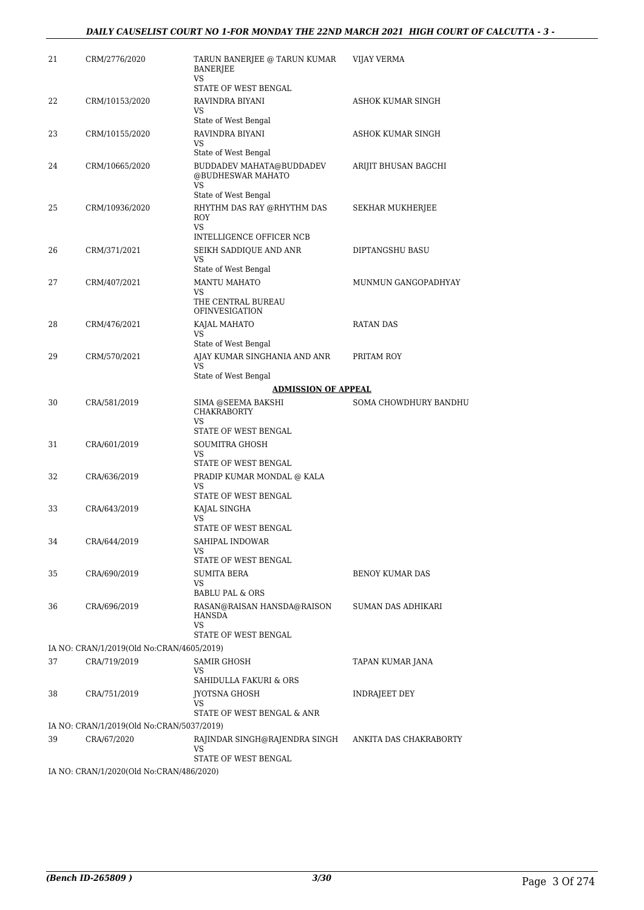| 21 | CRM/2776/2020                                           | TARUN BANERJEE @ TARUN KUMAR<br><b>BANERJEE</b><br>VS.      | VIJAY VERMA               |
|----|---------------------------------------------------------|-------------------------------------------------------------|---------------------------|
|    |                                                         | STATE OF WEST BENGAL                                        |                           |
| 22 | CRM/10153/2020                                          | RAVINDRA BIYANI<br>VS<br>State of West Bengal               | ASHOK KUMAR SINGH         |
| 23 | CRM/10155/2020                                          | RAVINDRA BIYANI                                             | ASHOK KUMAR SINGH         |
|    |                                                         | <b>VS</b>                                                   |                           |
| 24 |                                                         | State of West Bengal                                        |                           |
|    | CRM/10665/2020                                          | BUDDADEV MAHATA@BUDDADEV<br>@BUDHESWAR MAHATO<br>VS.        | ARIJIT BHUSAN BAGCHI      |
|    |                                                         | State of West Bengal                                        |                           |
| 25 | CRM/10936/2020                                          | RHYTHM DAS RAY @RHYTHM DAS<br>ROY<br>VS.                    | SEKHAR MUKHERJEE          |
|    |                                                         | INTELLIGENCE OFFICER NCB                                    |                           |
| 26 | CRM/371/2021                                            | SEIKH SADDIQUE AND ANR<br><b>VS</b>                         | DIPTANGSHU BASU           |
|    |                                                         | State of West Bengal                                        |                           |
| 27 | CRM/407/2021                                            | <b>MANTU MAHATO</b><br>VS                                   | MUNMUN GANGOPADHYAY       |
|    |                                                         | THE CENTRAL BUREAU<br><b>OFINVESIGATION</b>                 |                           |
| 28 | CRM/476/2021                                            | KAJAL MAHATO                                                | <b>RATAN DAS</b>          |
|    |                                                         | VS<br>State of West Bengal                                  |                           |
| 29 | CRM/570/2021                                            | AJAY KUMAR SINGHANIA AND ANR                                | PRITAM ROY                |
|    |                                                         | VS<br>State of West Bengal                                  |                           |
|    |                                                         | <b>ADMISSION OF APPEAL</b>                                  |                           |
| 30 | CRA/581/2019                                            | SIMA @SEEMA BAKSHI<br><b>CHAKRABORTY</b>                    | SOMA CHOWDHURY BANDHU     |
|    |                                                         | VS<br>STATE OF WEST BENGAL                                  |                           |
| 31 | CRA/601/2019                                            | SOUMITRA GHOSH                                              |                           |
|    |                                                         | <b>VS</b><br>STATE OF WEST BENGAL                           |                           |
| 32 | CRA/636/2019                                            | PRADIP KUMAR MONDAL @ KALA                                  |                           |
|    |                                                         | VS                                                          |                           |
| 33 |                                                         | STATE OF WEST BENGAL                                        |                           |
|    | CRA/643/2019                                            | KAJAL SINGHA<br>VS                                          |                           |
|    |                                                         | STATE OF WEST BENGAL                                        |                           |
| 34 | CRA/644/2019                                            | SAHIPAL INDOWAR<br>VS                                       |                           |
|    |                                                         | STATE OF WEST BENGAL                                        |                           |
| 35 | CRA/690/2019                                            | <b>SUMITA BERA</b>                                          | <b>BENOY KUMAR DAS</b>    |
|    |                                                         | VS<br><b>BABLU PAL &amp; ORS</b>                            |                           |
| 36 | CRA/696/2019                                            | RASAN@RAISAN HANSDA@RAISON<br>HANSDA                        | <b>SUMAN DAS ADHIKARI</b> |
|    |                                                         | VS<br>STATE OF WEST BENGAL                                  |                           |
|    | IA NO: CRAN/1/2019(Old No:CRAN/4605/2019)               |                                                             |                           |
| 37 | CRA/719/2019                                            | SAMIR GHOSH                                                 | TAPAN KUMAR JANA          |
|    |                                                         | VS<br>SAHIDULLA FAKURI & ORS                                |                           |
| 38 | CRA/751/2019                                            | JYOTSNA GHOSH                                               | <b>INDRAJEET DEY</b>      |
|    |                                                         | VS<br>STATE OF WEST BENGAL & ANR                            |                           |
|    | IA NO: CRAN/1/2019(Old No:CRAN/5037/2019)               |                                                             |                           |
| 39 | CRA/67/2020                                             | RAJINDAR SINGH@RAJENDRA SINGH<br>VS<br>STATE OF WEST BENGAL | ANKITA DAS CHAKRABORTY    |
|    | IA NO $\cdot$ CRAN/1/2020(Old No $\cdot$ CRAN/486/2020) |                                                             |                           |

N/1/2020(Old No:CRAN/486/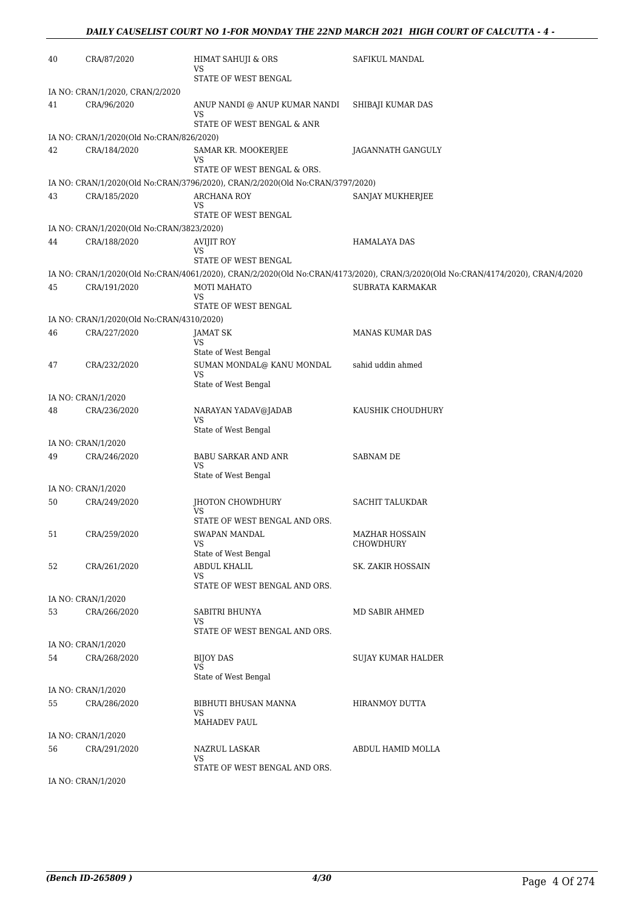| 40 | CRA/87/2020                               | <b>HIMAT SAHUJI &amp; ORS</b><br>VS                                                                 | SAFIKUL MANDAL                                                                                                                 |
|----|-------------------------------------------|-----------------------------------------------------------------------------------------------------|--------------------------------------------------------------------------------------------------------------------------------|
|    |                                           | STATE OF WEST BENGAL                                                                                |                                                                                                                                |
|    | IA NO: CRAN/1/2020, CRAN/2/2020           |                                                                                                     |                                                                                                                                |
| 41 | CRA/96/2020                               | ANUP NANDI @ ANUP KUMAR NANDI<br>VS                                                                 | SHIBAJI KUMAR DAS                                                                                                              |
|    |                                           | STATE OF WEST BENGAL & ANR                                                                          |                                                                                                                                |
|    | IA NO: CRAN/1/2020(Old No:CRAN/826/2020)  |                                                                                                     |                                                                                                                                |
| 42 | CRA/184/2020                              | SAMAR KR. MOOKERJEE<br>VS                                                                           | JAGANNATH GANGULY                                                                                                              |
|    |                                           | STATE OF WEST BENGAL & ORS.                                                                         |                                                                                                                                |
| 43 | CRA/185/2020                              | IA NO: CRAN/1/2020(Old No:CRAN/3796/2020), CRAN/2/2020(Old No:CRAN/3797/2020)<br><b>ARCHANA ROY</b> | SANJAY MUKHERJEE                                                                                                               |
|    |                                           | VS                                                                                                  |                                                                                                                                |
|    |                                           | STATE OF WEST BENGAL                                                                                |                                                                                                                                |
|    | IA NO: CRAN/1/2020(Old No:CRAN/3823/2020) |                                                                                                     |                                                                                                                                |
| 44 | CRA/188/2020                              | AVIJIT ROY<br>VS                                                                                    | HAMALAYA DAS                                                                                                                   |
|    |                                           | STATE OF WEST BENGAL                                                                                |                                                                                                                                |
|    |                                           |                                                                                                     | IA NO: CRAN/1/2020(Old No:CRAN/4061/2020), CRAN/2/2020(Old No:CRAN/4173/2020), CRAN/3/2020(Old No:CRAN/4174/2020), CRAN/4/2020 |
| 45 | CRA/191/2020                              | MOTI MAHATO                                                                                         | SUBRATA KARMAKAR                                                                                                               |
|    |                                           | VS<br>STATE OF WEST BENGAL                                                                          |                                                                                                                                |
|    | IA NO: CRAN/1/2020(Old No:CRAN/4310/2020) |                                                                                                     |                                                                                                                                |
| 46 | CRA/227/2020                              | JAMAT SK                                                                                            | <b>MANAS KUMAR DAS</b>                                                                                                         |
|    |                                           | VS                                                                                                  |                                                                                                                                |
|    |                                           | State of West Bengal                                                                                |                                                                                                                                |
| 47 | CRA/232/2020                              | SUMAN MONDAL@ KANU MONDAL<br>VS<br>State of West Bengal                                             | sahid uddin ahmed                                                                                                              |
|    | IA NO: CRAN/1/2020                        |                                                                                                     |                                                                                                                                |
| 48 | CRA/236/2020                              | NARAYAN YADAV@JADAB                                                                                 | KAUSHIK CHOUDHURY                                                                                                              |
|    |                                           | VS<br>State of West Bengal                                                                          |                                                                                                                                |
|    | IA NO: CRAN/1/2020                        |                                                                                                     |                                                                                                                                |
| 49 | CRA/246/2020                              | BABU SARKAR AND ANR<br>VS                                                                           | SABNAM DE                                                                                                                      |
|    |                                           | State of West Bengal                                                                                |                                                                                                                                |
|    | IA NO: CRAN/1/2020                        |                                                                                                     |                                                                                                                                |
| 50 | CRA/249/2020                              | JHOTON CHOWDHURY<br>VS                                                                              | <b>SACHIT TALUKDAR</b>                                                                                                         |
|    |                                           | STATE OF WEST BENGAL AND ORS.                                                                       | MAZHAR HOSSAIN                                                                                                                 |
| 51 | CRA/259/2020                              | SWAPAN MANDAL<br>VS                                                                                 | CHOWDHURY                                                                                                                      |
|    |                                           | State of West Bengal                                                                                |                                                                                                                                |
| 52 | CRA/261/2020                              | ABDUL KHALIL<br>VS                                                                                  | SK. ZAKIR HOSSAIN                                                                                                              |
|    |                                           | STATE OF WEST BENGAL AND ORS.                                                                       |                                                                                                                                |
|    | IA NO: CRAN/1/2020                        |                                                                                                     |                                                                                                                                |
| 53 | CRA/266/2020                              | SABITRI BHUNYA                                                                                      | MD SABIR AHMED                                                                                                                 |
|    |                                           | VS<br>STATE OF WEST BENGAL AND ORS.                                                                 |                                                                                                                                |
|    | IA NO: CRAN/1/2020                        |                                                                                                     |                                                                                                                                |
| 54 | CRA/268/2020                              | <b>BIJOY DAS</b>                                                                                    | <b>SUJAY KUMAR HALDER</b>                                                                                                      |
|    |                                           | VS<br>State of West Bengal                                                                          |                                                                                                                                |
|    | IA NO: CRAN/1/2020                        |                                                                                                     |                                                                                                                                |
| 55 | CRA/286/2020                              | BIBHUTI BHUSAN MANNA<br>VS                                                                          | HIRANMOY DUTTA                                                                                                                 |
|    |                                           | MAHADEV PAUL                                                                                        |                                                                                                                                |
|    | IA NO: CRAN/1/2020                        |                                                                                                     |                                                                                                                                |
| 56 | CRA/291/2020                              | NAZRUL LASKAR<br>VS<br>STATE OF WEST BENGAL AND ORS.                                                | ABDUL HAMID MOLLA                                                                                                              |
|    | IA NO: CRAN/1/2020                        |                                                                                                     |                                                                                                                                |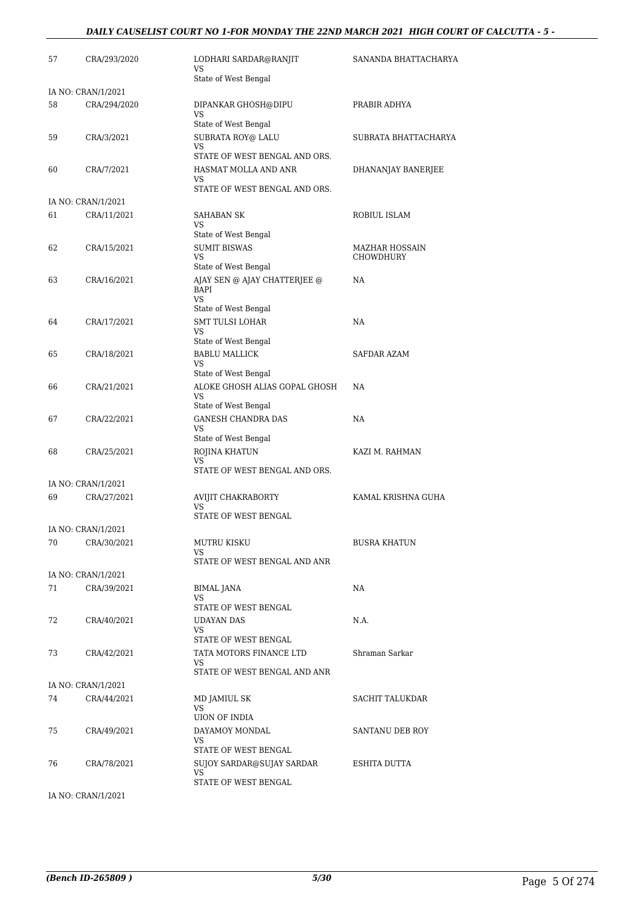#### *DAILY CAUSELIST COURT NO 1-FOR MONDAY THE 22ND MARCH 2021 HIGH COURT OF CALCUTTA - 5 -*

| 57 | CRA/293/2020                       | LODHARI SARDAR@RANJIT<br>VS                                                       | SANANDA BHATTACHARYA        |
|----|------------------------------------|-----------------------------------------------------------------------------------|-----------------------------|
|    |                                    | State of West Bengal                                                              |                             |
| 58 | IA NO: CRAN/1/2021<br>CRA/294/2020 | DIPANKAR GHOSH@DIPU<br>VS                                                         | PRABIR ADHYA                |
| 59 | CRA/3/2021                         | State of West Bengal<br>SUBRATA ROY@ LALU<br><b>VS</b>                            | SUBRATA BHATTACHARYA        |
| 60 | CRA/7/2021                         | STATE OF WEST BENGAL AND ORS.<br>HASMAT MOLLA AND ANR<br>VS                       | DHANANJAY BANERJEE          |
|    | IA NO: CRAN/1/2021                 | STATE OF WEST BENGAL AND ORS.                                                     |                             |
| 61 | CRA/11/2021                        | SAHABAN SK<br><b>VS</b><br>State of West Bengal                                   | ROBIUL ISLAM                |
| 62 | CRA/15/2021                        | <b>SUMIT BISWAS</b><br>VS<br>State of West Bengal                                 | MAZHAR HOSSAIN<br>CHOWDHURY |
| 63 | CRA/16/2021                        | AJAY SEN @ AJAY CHATTERJEE @<br><b>BAPI</b><br><b>VS</b>                          | NA                          |
| 64 | CRA/17/2021                        | State of West Bengal<br><b>SMT TULSI LOHAR</b><br><b>VS</b>                       | NA                          |
| 65 | CRA/18/2021                        | State of West Bengal<br><b>BABLU MALLICK</b><br><b>VS</b><br>State of West Bengal | SAFDAR AZAM                 |
| 66 | CRA/21/2021                        | ALOKE GHOSH ALIAS GOPAL GHOSH<br>VS<br>State of West Bengal                       | NA.                         |
| 67 | CRA/22/2021                        | <b>GANESH CHANDRA DAS</b><br>VS<br>State of West Bengal                           | NA                          |
| 68 | CRA/25/2021                        | ROJINA KHATUN<br>VS<br>STATE OF WEST BENGAL AND ORS.                              | KAZI M. RAHMAN              |
|    | IA NO: CRAN/1/2021                 |                                                                                   |                             |
| 69 | CRA/27/2021                        | AVIJIT CHAKRABORTY<br><b>VS</b><br>STATE OF WEST BENGAL                           | KAMAL KRISHNA GUHA          |
|    | IA NO: CRAN/1/2021                 |                                                                                   |                             |
| 70 | CRA/30/2021                        | MUTRU KISKU<br>VS<br>STATE OF WEST BENGAL AND ANR                                 | <b>BUSRA KHATUN</b>         |
|    | IA NO: CRAN/1/2021                 |                                                                                   |                             |
| 71 | CRA/39/2021                        | <b>BIMAL JANA</b><br>VS<br>STATE OF WEST BENGAL                                   | NA                          |
| 72 | CRA/40/2021                        | UDAYAN DAS<br>VS<br>STATE OF WEST BENGAL                                          | N.A.                        |
| 73 | CRA/42/2021                        | TATA MOTORS FINANCE LTD<br>VS<br>STATE OF WEST BENGAL AND ANR                     | Shraman Sarkar              |
|    | IA NO: CRAN/1/2021                 |                                                                                   |                             |
| 74 | CRA/44/2021                        | MD JAMIUL SK<br>VS<br>UION OF INDIA                                               | SACHIT TALUKDAR             |
| 75 | CRA/49/2021                        | DAYAMOY MONDAL<br>VS<br>STATE OF WEST BENGAL                                      | SANTANU DEB ROY             |
| 76 | CRA/78/2021                        | SUJOY SARDAR@SUJAY SARDAR<br>VS<br>STATE OF WEST BENGAL                           | ESHITA DUTTA                |

IA NO: CRAN/1/2021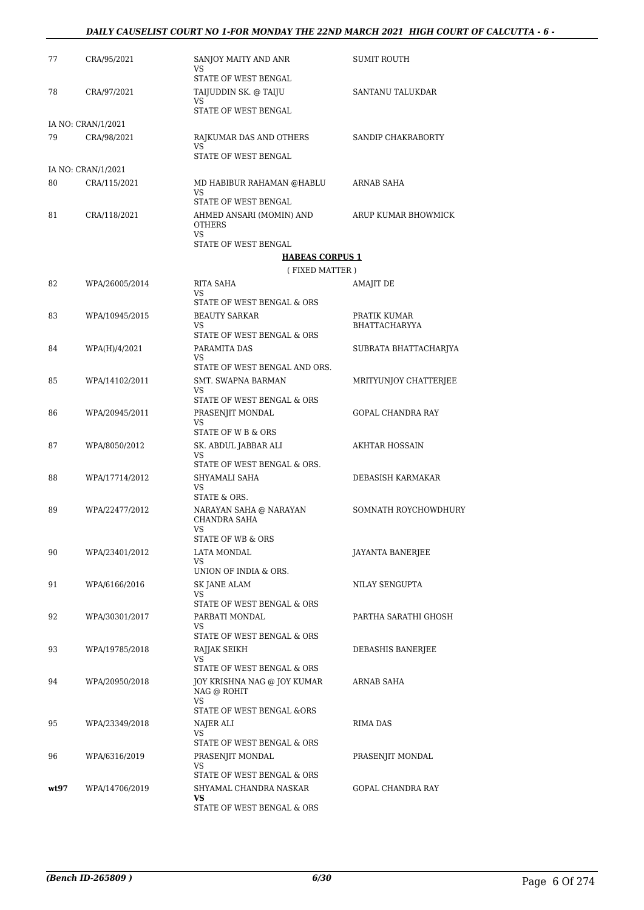#### *DAILY CAUSELIST COURT NO 1-FOR MONDAY THE 22ND MARCH 2021 HIGH COURT OF CALCUTTA - 6 -*

| 77   | CRA/95/2021        | SANJOY MAITY AND ANR<br>VS                                               | <b>SUMIT ROUTH</b>    |
|------|--------------------|--------------------------------------------------------------------------|-----------------------|
| 78   | CRA/97/2021        | <b>STATE OF WEST BENGAL</b><br>TAIJUDDIN SK. @ TAIJU                     | SANTANU TALUKDAR      |
|      |                    | VS.<br>STATE OF WEST BENGAL                                              |                       |
|      | IA NO: CRAN/1/2021 |                                                                          |                       |
| 79   | CRA/98/2021        | RAJKUMAR DAS AND OTHERS<br><b>VS</b><br><b>STATE OF WEST BENGAL</b>      | SANDIP CHAKRABORTY    |
|      | IA NO: CRAN/1/2021 |                                                                          |                       |
| 80   | CRA/115/2021       | MD HABIBUR RAHAMAN @HABLU                                                | ARNAB SAHA            |
|      |                    | <b>VS</b><br>STATE OF WEST BENGAL                                        |                       |
| 81   | CRA/118/2021       | AHMED ANSARI (MOMIN) AND<br><b>OTHERS</b><br>VS.                         | ARUP KUMAR BHOWMICK   |
|      |                    | STATE OF WEST BENGAL                                                     |                       |
|      |                    | <b>HABEAS CORPUS 1</b>                                                   |                       |
|      |                    | (FIXED MATTER)                                                           |                       |
| 82   | WPA/26005/2014     | RITA SAHA<br>VS<br>STATE OF WEST BENGAL & ORS                            | AMAJIT DE             |
| 83   | WPA/10945/2015     | <b>BEAUTY SARKAR</b>                                                     | PRATIK KUMAR          |
|      |                    | <b>VS</b><br>STATE OF WEST BENGAL & ORS                                  | <b>BHATTACHARYYA</b>  |
| 84   | WPA(H)/4/2021      | PARAMITA DAS                                                             | SUBRATA BHATTACHARJYA |
|      |                    | VS.<br>STATE OF WEST BENGAL AND ORS.                                     |                       |
| 85   | WPA/14102/2011     | <b>SMT. SWAPNA BARMAN</b><br>VS                                          | MRITYUNJOY CHATTERJEE |
|      |                    | STATE OF WEST BENGAL & ORS                                               |                       |
| 86   | WPA/20945/2011     | PRASENJIT MONDAL<br>VS.<br>STATE OF W B & ORS                            | GOPAL CHANDRA RAY     |
| 87   | WPA/8050/2012      | SK. ABDUL JABBAR ALI<br>VS                                               | AKHTAR HOSSAIN        |
|      |                    | STATE OF WEST BENGAL & ORS.                                              |                       |
| 88   | WPA/17714/2012     | SHYAMALI SAHA<br>VS.<br>STATE & ORS.                                     | DEBASISH KARMAKAR     |
| 89   | WPA/22477/2012     | NARAYAN SAHA @ NARAYAN<br><b>CHANDRA SAHA</b>                            | SOMNATH ROYCHOWDHURY  |
|      |                    | <b>VS</b><br><b>STATE OF WB &amp; ORS</b>                                |                       |
| 90   | WPA/23401/2012     | LATA MONDAL                                                              | JAYANTA BANERJEE      |
|      |                    | VS.<br>UNION OF INDIA & ORS.                                             |                       |
| 91   | WPA/6166/2016      | <b>SK JANE ALAM</b>                                                      | NILAY SENGUPTA        |
|      |                    | VS.<br>STATE OF WEST BENGAL & ORS                                        |                       |
| 92   | WPA/30301/2017     | PARBATI MONDAL                                                           | PARTHA SARATHI GHOSH  |
|      |                    | VS.<br>STATE OF WEST BENGAL & ORS                                        |                       |
| 93   | WPA/19785/2018     | RAJJAK SEIKH<br>VS.                                                      | DEBASHIS BANERJEE     |
| 94   | WPA/20950/2018     | STATE OF WEST BENGAL & ORS<br>JOY KRISHNA NAG @ JOY KUMAR<br>NAG @ ROHIT | ARNAB SAHA            |
|      |                    | VS.<br>STATE OF WEST BENGAL &ORS                                         |                       |
| 95   | WPA/23349/2018     | NAJER ALI                                                                | RIMA DAS              |
|      |                    | VS                                                                       |                       |
|      |                    | STATE OF WEST BENGAL & ORS                                               |                       |
| 96   | WPA/6316/2019      | PRASENJIT MONDAL<br>VS.                                                  | PRASENJIT MONDAL      |
|      |                    | STATE OF WEST BENGAL & ORS                                               |                       |
| wt97 | WPA/14706/2019     | SHYAMAL CHANDRA NASKAR<br>VS.                                            | GOPAL CHANDRA RAY     |
|      |                    | STATE OF WEST BENGAL & ORS                                               |                       |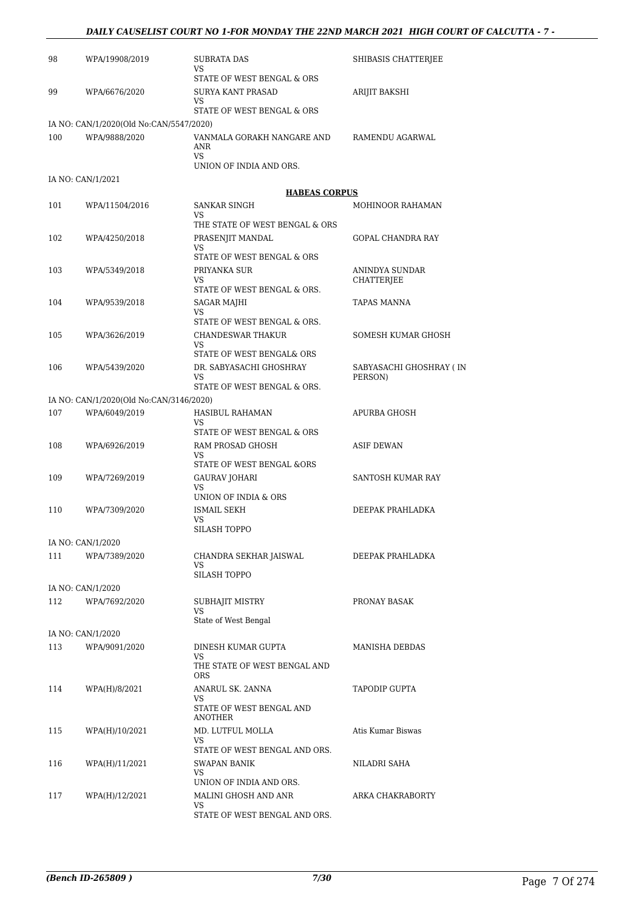#### *DAILY CAUSELIST COURT NO 1-FOR MONDAY THE 22ND MARCH 2021 HIGH COURT OF CALCUTTA - 7 -*

| 98  | WPA/19908/2019                          | <b>SUBRATA DAS</b><br>VS.                                     | SHIBASIS CHATTERJEE                |
|-----|-----------------------------------------|---------------------------------------------------------------|------------------------------------|
| 99  | WPA/6676/2020                           | STATE OF WEST BENGAL & ORS<br><b>SURYA KANT PRASAD</b><br>VS. | ARIJIT BAKSHI                      |
|     |                                         | STATE OF WEST BENGAL & ORS                                    |                                    |
|     | IA NO: CAN/1/2020(Old No:CAN/5547/2020) |                                                               |                                    |
| 100 | WPA/9888/2020                           | VANMALA GORAKH NANGARE AND<br>ANR<br><b>VS</b>                | RAMENDU AGARWAL                    |
|     |                                         | UNION OF INDIA AND ORS.                                       |                                    |
|     | IA NO: CAN/1/2021                       |                                                               |                                    |
|     |                                         | <b>HABEAS CORPUS</b>                                          |                                    |
| 101 | WPA/11504/2016                          | SANKAR SINGH<br>VS<br>THE STATE OF WEST BENGAL & ORS          | <b>MOHINOOR RAHAMAN</b>            |
| 102 | WPA/4250/2018                           | PRASENJIT MANDAL<br><b>VS</b>                                 | <b>GOPAL CHANDRA RAY</b>           |
|     |                                         | STATE OF WEST BENGAL & ORS                                    |                                    |
| 103 | WPA/5349/2018                           | PRIYANKA SUR<br>VS.<br>STATE OF WEST BENGAL & ORS.            | ANINDYA SUNDAR<br>CHATTERJEE       |
| 104 | WPA/9539/2018                           | SAGAR MAJHI                                                   | TAPAS MANNA                        |
|     |                                         | VS                                                            |                                    |
|     |                                         | STATE OF WEST BENGAL & ORS.                                   |                                    |
| 105 | WPA/3626/2019                           | CHANDESWAR THAKUR<br>VS                                       | SOMESH KUMAR GHOSH                 |
|     |                                         | STATE OF WEST BENGAL& ORS                                     |                                    |
| 106 | WPA/5439/2020                           | DR. SABYASACHI GHOSHRAY<br><b>VS</b>                          | SABYASACHI GHOSHRAY (IN<br>PERSON) |
|     |                                         | STATE OF WEST BENGAL & ORS.                                   |                                    |
|     | IA NO: CAN/1/2020(Old No:CAN/3146/2020) |                                                               |                                    |
| 107 | WPA/6049/2019                           | HASIBUL RAHAMAN<br>VS<br>STATE OF WEST BENGAL & ORS           | APURBA GHOSH                       |
| 108 | WPA/6926/2019                           | RAM PROSAD GHOSH                                              | <b>ASIF DEWAN</b>                  |
|     |                                         | <b>VS</b><br>STATE OF WEST BENGAL &ORS                        |                                    |
| 109 | WPA/7269/2019                           | <b>GAURAV JOHARI</b><br><b>VS</b>                             | SANTOSH KUMAR RAY                  |
|     |                                         | UNION OF INDIA & ORS                                          |                                    |
| 110 | WPA/7309/2020                           | <b>ISMAIL SEKH</b><br><b>VS</b>                               | DEEPAK PRAHLADKA                   |
|     |                                         | SILASH TOPPO                                                  |                                    |
|     | IA NO: CAN/1/2020                       |                                                               |                                    |
| 111 | WPA/7389/2020                           | CHANDRA SEKHAR JAISWAL<br><b>VS</b>                           | DEEPAK PRAHLADKA                   |
|     | IA NO: CAN/1/2020                       | SILASH TOPPO                                                  |                                    |
| 112 | WPA/7692/2020                           | SUBHAJIT MISTRY                                               | PRONAY BASAK                       |
|     |                                         | VS                                                            |                                    |
|     |                                         | State of West Bengal                                          |                                    |
| 113 | IA NO: CAN/1/2020<br>WPA/9091/2020      | DINESH KUMAR GUPTA                                            | <b>MANISHA DEBDAS</b>              |
|     |                                         | VS.<br>THE STATE OF WEST BENGAL AND                           |                                    |
|     |                                         | <b>ORS</b>                                                    |                                    |
| 114 | WPA(H)/8/2021                           | ANARUL SK. 2ANNA<br>VS<br>STATE OF WEST BENGAL AND            | TAPODIP GUPTA                      |
|     |                                         | ANOTHER                                                       |                                    |
| 115 | WPA(H)/10/2021                          | MD. LUTFUL MOLLA<br>VS<br>STATE OF WEST BENGAL AND ORS.       | Atis Kumar Biswas                  |
| 116 | WPA(H)/11/2021                          | SWAPAN BANIK                                                  | NILADRI SAHA                       |
|     |                                         | <b>VS</b><br>UNION OF INDIA AND ORS.                          |                                    |
| 117 | WPA(H)/12/2021                          | MALINI GHOSH AND ANR                                          | ARKA CHAKRABORTY                   |
|     |                                         |                                                               |                                    |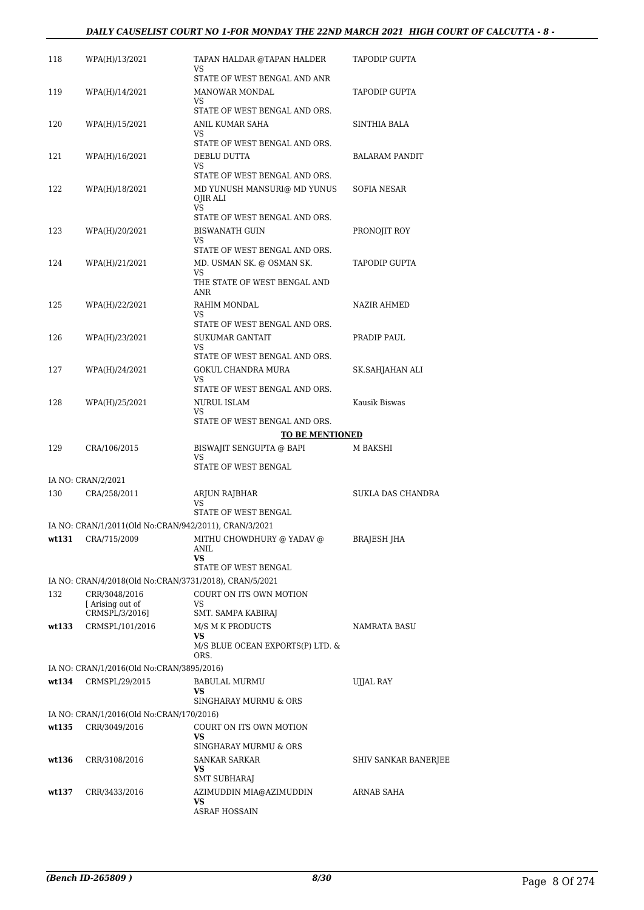#### *DAILY CAUSELIST COURT NO 1-FOR MONDAY THE 22ND MARCH 2021 HIGH COURT OF CALCUTTA - 8 -*

| 118   |                                                                         |                                                              |                       |
|-------|-------------------------------------------------------------------------|--------------------------------------------------------------|-----------------------|
|       | WPA(H)/13/2021                                                          | TAPAN HALDAR @TAPAN HALDER<br>VS                             | TAPODIP GUPTA         |
|       |                                                                         | STATE OF WEST BENGAL AND ANR                                 |                       |
| 119   | WPA(H)/14/2021                                                          | <b>MANOWAR MONDAL</b><br>VS                                  | TAPODIP GUPTA         |
|       |                                                                         | STATE OF WEST BENGAL AND ORS.                                |                       |
| 120   | WPA(H)/15/2021                                                          | ANIL KUMAR SAHA<br>VS                                        | SINTHIA BALA          |
| 121   | WPA(H)/16/2021                                                          | STATE OF WEST BENGAL AND ORS.<br>DEBLU DUTTA<br>VS           | <b>BALARAM PANDIT</b> |
| 122   | WPA(H)/18/2021                                                          | STATE OF WEST BENGAL AND ORS.<br>MD YUNUSH MANSURI@ MD YUNUS | SOFIA NESAR           |
|       |                                                                         | OJIR ALI<br><b>VS</b>                                        |                       |
|       |                                                                         | STATE OF WEST BENGAL AND ORS.                                |                       |
| 123   | WPA(H)/20/2021                                                          | BISWANATH GUIN<br>VS.                                        | PRONOJIT ROY          |
|       |                                                                         | STATE OF WEST BENGAL AND ORS.                                |                       |
| 124   | WPA(H)/21/2021                                                          | MD. USMAN SK. @ OSMAN SK.                                    | TAPODIP GUPTA         |
|       |                                                                         | <b>VS</b><br>THE STATE OF WEST BENGAL AND<br>ANR             |                       |
| 125   | WPA(H)/22/2021                                                          | RAHIM MONDAL                                                 | NAZIR AHMED           |
|       |                                                                         | VS<br>STATE OF WEST BENGAL AND ORS.                          |                       |
| 126   | WPA(H)/23/2021                                                          | <b>SUKUMAR GANTAIT</b>                                       | PRADIP PAUL           |
|       |                                                                         | VS.                                                          |                       |
| 127   |                                                                         | STATE OF WEST BENGAL AND ORS.<br>GOKUL CHANDRA MURA          |                       |
|       | WPA(H)/24/2021                                                          | <b>VS</b>                                                    | SK.SAHJAHAN ALI       |
|       |                                                                         | STATE OF WEST BENGAL AND ORS.                                |                       |
| 128   | WPA(H)/25/2021                                                          | NURUL ISLAM<br>VS.                                           | Kausik Biswas         |
|       |                                                                         | STATE OF WEST BENGAL AND ORS.                                |                       |
|       |                                                                         | <b>TO BE MENTIONED</b>                                       |                       |
| 129   | CRA/106/2015                                                            | BISWAJIT SENGUPTA @ BAPI<br>VS                               | M BAKSHI              |
|       |                                                                         |                                                              |                       |
|       |                                                                         | STATE OF WEST BENGAL                                         |                       |
| 130   | IA NO: CRAN/2/2021<br>CRA/258/2011                                      | ARJUN RAJBHAR                                                | SUKLA DAS CHANDRA     |
|       |                                                                         | VS                                                           |                       |
|       | IA NO: CRAN/1/2011(Old No:CRAN/942/2011), CRAN/3/2021                   | STATE OF WEST BENGAL                                         |                       |
| wt131 | CRA/715/2009                                                            | MITHU CHOWDHURY @ YADAV @<br>ANIL                            | <b>BRAJESH JHA</b>    |
|       |                                                                         | VS.                                                          |                       |
|       |                                                                         | STATE OF WEST BENGAL                                         |                       |
| 132   | IA NO: CRAN/4/2018(Old No:CRAN/3731/2018), CRAN/5/2021<br>CRR/3048/2016 | COURT ON ITS OWN MOTION                                      |                       |
|       | Arising out of                                                          | VS                                                           |                       |
|       | CRMSPL/3/2016]                                                          | SMT. SAMPA KABIRAJ                                           |                       |
| wt133 | CRMSPL/101/2016                                                         | M/S M K PRODUCTS<br>VS.                                      | <b>NAMRATA BASU</b>   |
|       |                                                                         | M/S BLUE OCEAN EXPORTS(P) LTD. &<br>ORS.                     |                       |
|       | IA NO: CRAN/1/2016(Old No:CRAN/3895/2016)                               |                                                              |                       |
| wt134 | CRMSPL/29/2015                                                          | <b>BABULAL MURMU</b>                                         | <b>UJJAL RAY</b>      |
|       |                                                                         | VS<br>SINGHARAY MURMU & ORS                                  |                       |
|       | IA NO: CRAN/1/2016(Old No:CRAN/170/2016)                                |                                                              |                       |
| wt135 | CRR/3049/2016                                                           | COURT ON ITS OWN MOTION<br>VS                                |                       |
|       |                                                                         | SINGHARAY MURMU & ORS                                        |                       |
| wt136 | CRR/3108/2016                                                           | SANKAR SARKAR<br>VS                                          | SHIV SANKAR BANERJEE  |
| wt137 | CRR/3433/2016                                                           | SMT SUBHARAJ<br>AZIMUDDIN MIA@AZIMUDDIN                      | ARNAB SAHA            |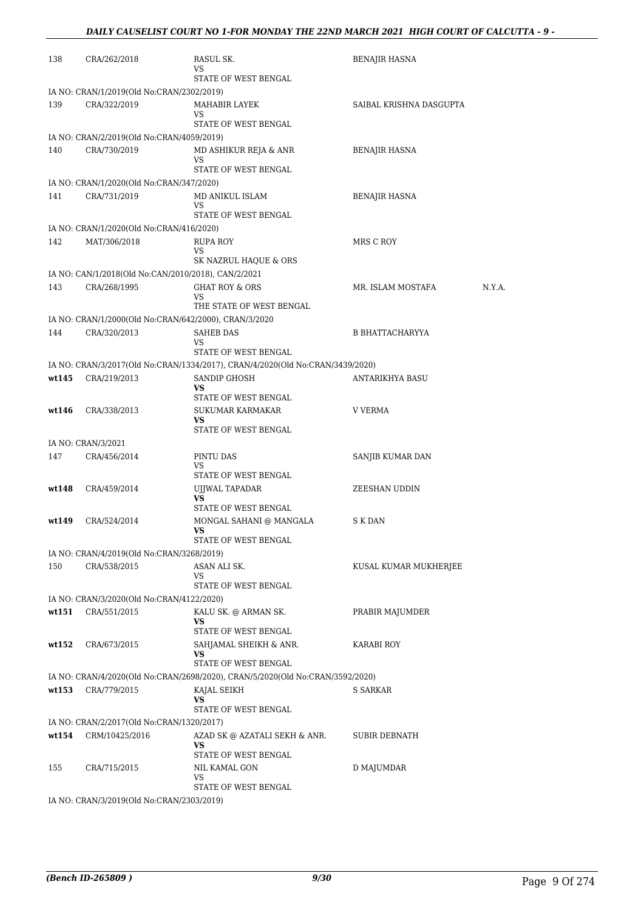| 138   | CRA/262/2018                                          | RASUL SK.<br>VS                                                               | <b>BENAJIR HASNA</b>        |  |
|-------|-------------------------------------------------------|-------------------------------------------------------------------------------|-----------------------------|--|
|       |                                                       | STATE OF WEST BENGAL                                                          |                             |  |
|       | IA NO: CRAN/1/2019(Old No:CRAN/2302/2019)             |                                                                               |                             |  |
| 139   | CRA/322/2019                                          | MAHABIR LAYEK<br>VS                                                           | SAIBAL KRISHNA DASGUPTA     |  |
|       |                                                       | STATE OF WEST BENGAL                                                          |                             |  |
|       | IA NO: CRAN/2/2019(Old No:CRAN/4059/2019)             |                                                                               |                             |  |
| 140   | CRA/730/2019                                          | MD ASHIKUR REJA & ANR<br>VS                                                   | <b>BENAJIR HASNA</b>        |  |
|       |                                                       | STATE OF WEST BENGAL                                                          |                             |  |
|       | IA NO: CRAN/1/2020(Old No:CRAN/347/2020)              |                                                                               |                             |  |
| 141   | CRA/731/2019                                          | MD ANIKUL ISLAM<br>VS                                                         | BENAJIR HASNA               |  |
|       |                                                       | STATE OF WEST BENGAL                                                          |                             |  |
|       | IA NO: CRAN/1/2020(Old No:CRAN/416/2020)              |                                                                               |                             |  |
| 142   | MAT/306/2018                                          | RUPA ROY                                                                      | MRS C ROY                   |  |
|       |                                                       | VS<br>SK NAZRUL HAQUE & ORS                                                   |                             |  |
|       | IA NO: CAN/1/2018(Old No:CAN/2010/2018), CAN/2/2021   |                                                                               |                             |  |
| 143   | CRA/268/1995                                          | <b>GHAT ROY &amp; ORS</b>                                                     | N.Y.A.<br>MR. ISLAM MOSTAFA |  |
|       |                                                       | VS<br>THE STATE OF WEST BENGAL                                                |                             |  |
|       | IA NO: CRAN/1/2000(Old No:CRAN/642/2000), CRAN/3/2020 |                                                                               |                             |  |
| 144   | CRA/320/2013                                          | <b>SAHEB DAS</b>                                                              | <b>B BHATTACHARYYA</b>      |  |
|       |                                                       | VS<br>STATE OF WEST BENGAL                                                    |                             |  |
|       |                                                       | IA NO: CRAN/3/2017(Old No:CRAN/1334/2017), CRAN/4/2020(Old No:CRAN/3439/2020) |                             |  |
| wt145 | CRA/219/2013                                          | SANDIP GHOSH                                                                  | ANTARIKHYA BASU             |  |
|       |                                                       | VS<br>STATE OF WEST BENGAL                                                    |                             |  |
| wt146 | CRA/338/2013                                          | <b>SUKUMAR KARMAKAR</b>                                                       | <b>V VERMA</b>              |  |
|       |                                                       | VS                                                                            |                             |  |
|       | IA NO: CRAN/3/2021                                    | STATE OF WEST BENGAL                                                          |                             |  |
| 147   | CRA/456/2014                                          | PINTU DAS                                                                     | SANJIB KUMAR DAN            |  |
|       |                                                       | VS                                                                            |                             |  |
| wt148 |                                                       | STATE OF WEST BENGAL                                                          |                             |  |
|       | CRA/459/2014                                          | UJJWAL TAPADAR<br>VS                                                          | ZEESHAN UDDIN               |  |
|       |                                                       | STATE OF WEST BENGAL                                                          |                             |  |
| wt149 | CRA/524/2014                                          | MONGAL SAHANI @ MANGALA<br>VS                                                 | S K DAN                     |  |
|       |                                                       | STATE OF WEST BENGAL                                                          |                             |  |
|       | IA NO: CRAN/4/2019(Old No:CRAN/3268/2019)             |                                                                               |                             |  |
| 150   | CRA/538/2015                                          | ASAN ALI SK.<br>VS                                                            | KUSAL KUMAR MUKHERJEE       |  |
|       |                                                       | STATE OF WEST BENGAL                                                          |                             |  |
|       | IA NO: CRAN/3/2020(Old No:CRAN/4122/2020)             |                                                                               |                             |  |
| wt151 | CRA/551/2015                                          | KALU SK. @ ARMAN SK.                                                          | PRABIR MAJUMDER             |  |
|       |                                                       | VS<br>STATE OF WEST BENGAL                                                    |                             |  |
| wt152 | CRA/673/2015                                          | SAHJAMAL SHEIKH & ANR.                                                        | KARABI ROY                  |  |
|       |                                                       | VS<br>STATE OF WEST BENGAL                                                    |                             |  |
|       |                                                       | IA NO: CRAN/4/2020(Old No:CRAN/2698/2020), CRAN/5/2020(Old No:CRAN/3592/2020) |                             |  |
| wt153 | CRA/779/2015                                          | KAJAL SEIKH                                                                   | S SARKAR                    |  |
|       |                                                       | VS                                                                            |                             |  |
|       | IA NO: CRAN/2/2017(Old No:CRAN/1320/2017)             | STATE OF WEST BENGAL                                                          |                             |  |
| wt154 | CRM/10425/2016                                        | AZAD SK @ AZATALI SEKH & ANR.                                                 | <b>SUBIR DEBNATH</b>        |  |
|       |                                                       | VS                                                                            |                             |  |
| 155   | CRA/715/2015                                          | STATE OF WEST BENGAL<br>NIL KAMAL GON                                         | D MAJUMDAR                  |  |
|       |                                                       | VS                                                                            |                             |  |
|       |                                                       | STATE OF WEST BENGAL                                                          |                             |  |
|       | IA NO: CRAN/3/2019(Old No:CRAN/2303/2019)             |                                                                               |                             |  |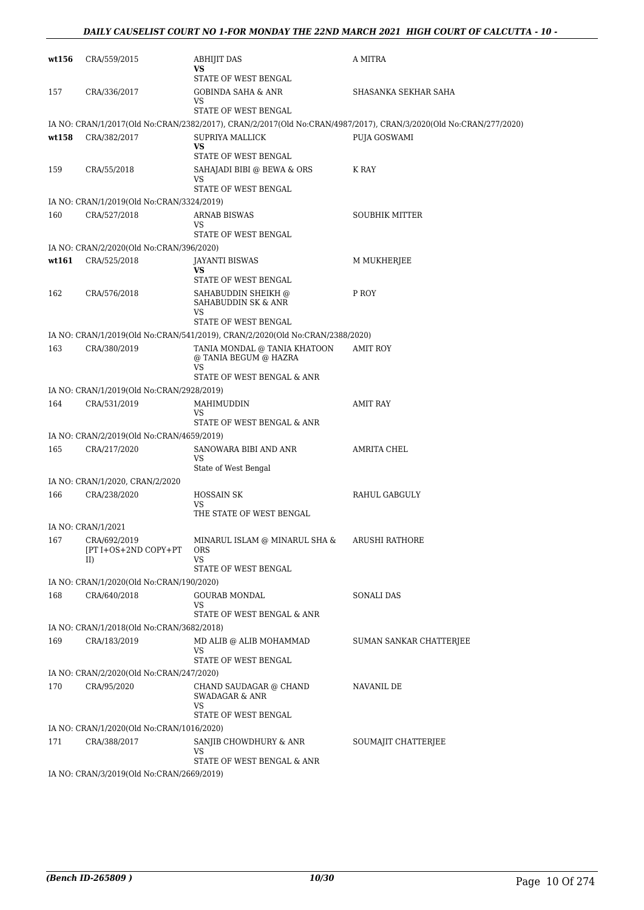| wt156 | CRA/559/2015                                              | <b>ABHIJIT DAS</b><br>VS<br>STATE OF WEST BENGAL                             | A MITRA                                                                                                          |
|-------|-----------------------------------------------------------|------------------------------------------------------------------------------|------------------------------------------------------------------------------------------------------------------|
| 157   | CRA/336/2017                                              | <b>GOBINDA SAHA &amp; ANR</b><br>VS                                          | SHASANKA SEKHAR SAHA                                                                                             |
|       |                                                           | STATE OF WEST BENGAL                                                         |                                                                                                                  |
|       |                                                           |                                                                              | IA NO: CRAN/1/2017(Old No:CRAN/2382/2017), CRAN/2/2017(Old No:CRAN/4987/2017), CRAN/3/2020(Old No:CRAN/277/2020) |
| wt158 | CRA/382/2017                                              | SUPRIYA MALLICK<br><b>VS</b><br>STATE OF WEST BENGAL                         | PUJA GOSWAMI                                                                                                     |
| 159   | CRA/55/2018                                               | SAHAJADI BIBI @ BEWA & ORS                                                   | K RAY                                                                                                            |
|       |                                                           | VS<br>STATE OF WEST BENGAL                                                   |                                                                                                                  |
|       | IA NO: CRAN/1/2019(Old No:CRAN/3324/2019)                 |                                                                              |                                                                                                                  |
| 160   | CRA/527/2018                                              | <b>ARNAB BISWAS</b><br>VS<br>STATE OF WEST BENGAL                            | <b>SOUBHIK MITTER</b>                                                                                            |
|       | IA NO: CRAN/2/2020(Old No:CRAN/396/2020)                  |                                                                              |                                                                                                                  |
| wt161 | CRA/525/2018                                              | JAYANTI BISWAS<br>VS                                                         | M MUKHERJEE                                                                                                      |
|       |                                                           | STATE OF WEST BENGAL                                                         |                                                                                                                  |
| 162   | CRA/576/2018                                              | SAHABUDDIN SHEIKH @<br>SAHABUDDIN SK & ANR<br><b>VS</b>                      | P ROY                                                                                                            |
|       |                                                           | STATE OF WEST BENGAL                                                         |                                                                                                                  |
|       |                                                           | IA NO: CRAN/1/2019(Old No:CRAN/541/2019), CRAN/2/2020(Old No:CRAN/2388/2020) |                                                                                                                  |
| 163   | CRA/380/2019                                              | TANIA MONDAL @ TANIA KHATOON<br>@ TANIA BEGUM @ HAZRA<br>VS                  | <b>AMIT ROY</b>                                                                                                  |
|       |                                                           | STATE OF WEST BENGAL & ANR                                                   |                                                                                                                  |
|       | IA NO: CRAN/1/2019(Old No:CRAN/2928/2019)                 |                                                                              |                                                                                                                  |
| 164   | CRA/531/2019                                              | MAHIMUDDIN<br>VS                                                             | <b>AMIT RAY</b>                                                                                                  |
|       |                                                           | STATE OF WEST BENGAL & ANR                                                   |                                                                                                                  |
| 165   | IA NO: CRAN/2/2019(Old No:CRAN/4659/2019)<br>CRA/217/2020 | SANOWARA BIBI AND ANR                                                        | AMRITA CHEL                                                                                                      |
|       |                                                           | VS<br>State of West Bengal                                                   |                                                                                                                  |
|       | IA NO: CRAN/1/2020, CRAN/2/2020                           |                                                                              |                                                                                                                  |
| 166   | CRA/238/2020                                              | <b>HOSSAIN SK</b><br>VS                                                      | <b>RAHUL GABGULY</b>                                                                                             |
|       |                                                           | THE STATE OF WEST BENGAL                                                     |                                                                                                                  |
|       | IA NO: CRAN/1/2021                                        |                                                                              |                                                                                                                  |
| 167   | CRA/692/2019<br>[PT I+OS+2ND COPY+PT<br>II)               | MINARUL ISLAM @ MINARUL SHA &<br>ORS<br><b>VS</b>                            | <b>ARUSHI RATHORE</b>                                                                                            |
|       |                                                           | STATE OF WEST BENGAL                                                         |                                                                                                                  |
|       | IA NO: CRAN/1/2020(Old No:CRAN/190/2020)                  |                                                                              |                                                                                                                  |
| 168   | CRA/640/2018                                              | <b>GOURAB MONDAL</b><br><b>VS</b><br>STATE OF WEST BENGAL & ANR              | SONALI DAS                                                                                                       |
|       | IA NO: CRAN/1/2018(Old No:CRAN/3682/2018)                 |                                                                              |                                                                                                                  |
| 169   | CRA/183/2019                                              | MD ALIB @ ALIB MOHAMMAD<br>VS                                                | SUMAN SANKAR CHATTERJEE                                                                                          |
|       |                                                           | STATE OF WEST BENGAL                                                         |                                                                                                                  |
|       | IA NO: CRAN/2/2020(Old No:CRAN/247/2020)                  |                                                                              |                                                                                                                  |
| 170   | CRA/95/2020                                               | CHAND SAUDAGAR @ CHAND<br>SWADAGAR & ANR<br>VS                               | NAVANIL DE                                                                                                       |
|       |                                                           | STATE OF WEST BENGAL                                                         |                                                                                                                  |
|       | IA NO: CRAN/1/2020(Old No:CRAN/1016/2020)                 |                                                                              |                                                                                                                  |
| 171   | CRA/388/2017                                              | SANJIB CHOWDHURY & ANR<br>VS                                                 | SOUMAJIT CHATTERJEE                                                                                              |
|       | IA NO: CRAN/3/2019(Old No:CRAN/2669/2019)                 | STATE OF WEST BENGAL & ANR                                                   |                                                                                                                  |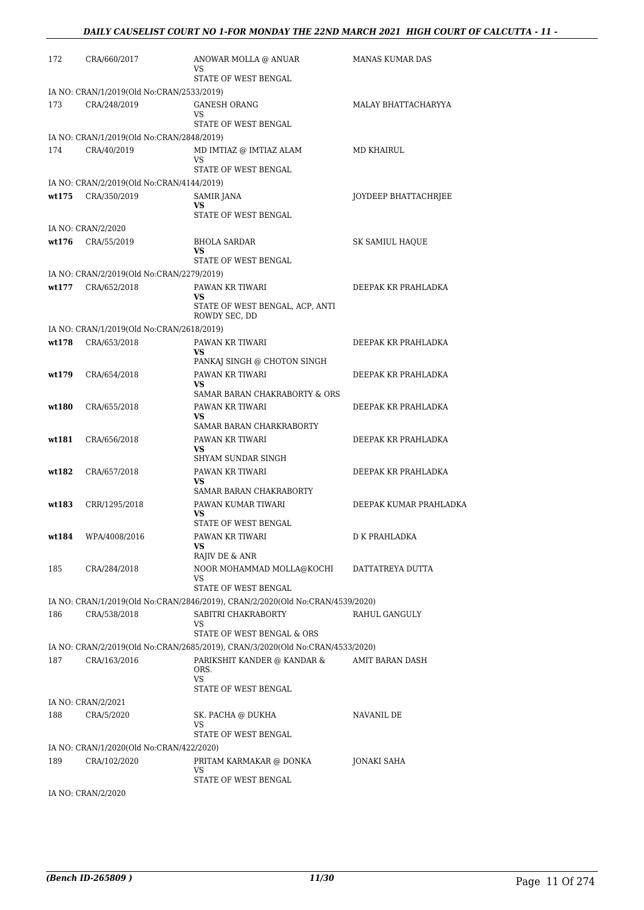| 172    | CRA/660/2017                              | ANOWAR MOLLA @ ANUAR<br>VS                                                    | <b>MANAS KUMAR DAS</b> |
|--------|-------------------------------------------|-------------------------------------------------------------------------------|------------------------|
|        |                                           | STATE OF WEST BENGAL                                                          |                        |
|        | IA NO: CRAN/1/2019(Old No:CRAN/2533/2019) |                                                                               |                        |
| 173    | CRA/248/2019                              | <b>GANESH ORANG</b><br>VS                                                     | MALAY BHATTACHARYYA    |
|        |                                           | STATE OF WEST BENGAL                                                          |                        |
|        | IA NO: CRAN/1/2019(Old No:CRAN/2848/2019) |                                                                               |                        |
| 174    | CRA/40/2019                               | MD IMTIAZ @ IMTIAZ ALAM<br>VS<br>STATE OF WEST BENGAL                         | <b>MD KHAIRUL</b>      |
|        | IA NO: CRAN/2/2019(Old No:CRAN/4144/2019) |                                                                               |                        |
| wt175  | CRA/350/2019                              | <b>SAMIR JANA</b>                                                             | JOYDEEP BHATTACHRJEE   |
|        |                                           | VS<br>STATE OF WEST BENGAL                                                    |                        |
|        | IA NO: CRAN/2/2020                        |                                                                               |                        |
| wt176  | CRA/55/2019                               | BHOLA SARDAR                                                                  | SK SAMIUL HAQUE        |
|        |                                           | <b>VS</b><br>STATE OF WEST BENGAL                                             |                        |
|        | IA NO: CRAN/2/2019(Old No:CRAN/2279/2019) |                                                                               |                        |
| wt.177 | CRA/652/2018                              | PAWAN KR TIWARI                                                               | DEEPAK KR PRAHLADKA    |
|        |                                           | VS<br>STATE OF WEST BENGAL, ACP, ANTI                                         |                        |
|        |                                           | ROWDY SEC, DD                                                                 |                        |
|        | IA NO: CRAN/1/2019(Old No:CRAN/2618/2019) |                                                                               |                        |
| wt178  | CRA/653/2018                              | PAWAN KR TIWARI<br><b>VS</b>                                                  | DEEPAK KR PRAHLADKA    |
|        |                                           | PANKAJ SINGH @ CHOTON SINGH                                                   |                        |
| wt179  | CRA/654/2018                              | PAWAN KR TIWARI                                                               | DEEPAK KR PRAHLADKA    |
|        |                                           | <b>VS</b><br>SAMAR BARAN CHAKRABORTY & ORS                                    |                        |
| wt180  | CRA/655/2018                              | PAWAN KR TIWARI                                                               | DEEPAK KR PRAHLADKA    |
|        |                                           | <b>VS</b><br>SAMAR BARAN CHARKRABORTY                                         |                        |
| wt181  | CRA/656/2018                              | PAWAN KR TIWARI                                                               | DEEPAK KR PRAHLADKA    |
|        |                                           | <b>VS</b>                                                                     |                        |
| wt182  | CRA/657/2018                              | SHYAM SUNDAR SINGH<br>PAWAN KR TIWARI                                         | DEEPAK KR PRAHLADKA    |
|        |                                           | <b>VS</b>                                                                     |                        |
|        |                                           | SAMAR BARAN CHAKRABORTY                                                       |                        |
| wt183  | CRR/1295/2018                             | PAWAN KUMAR TIWARI<br>VS                                                      | DEEPAK KUMAR PRAHLADKA |
|        |                                           | STATE OF WEST BENGAL                                                          |                        |
| wt184  | WPA/4008/2016                             | PAWAN KR TIWARI<br>VS.                                                        | D K PRAHLADKA          |
|        |                                           | RAJIV DE & ANR                                                                |                        |
| 185    | CRA/284/2018                              | NOOR MOHAMMAD MOLLA@KOCHI                                                     | DATTATREYA DUTTA       |
|        |                                           | VS.<br><b>STATE OF WEST BENGAL</b>                                            |                        |
|        |                                           | IA NO: CRAN/1/2019(Old No:CRAN/2846/2019), CRAN/2/2020(Old No:CRAN/4539/2020) |                        |
| 186    | CRA/538/2018                              | SABITRI CHAKRABORTY                                                           | RAHUL GANGULY          |
|        |                                           | VS<br>STATE OF WEST BENGAL & ORS                                              |                        |
|        |                                           | IA NO: CRAN/2/2019(Old No:CRAN/2685/2019), CRAN/3/2020(Old No:CRAN/4533/2020) |                        |
| 187    | CRA/163/2016                              | PARIKSHIT KANDER @ KANDAR &                                                   | AMIT BARAN DASH        |
|        |                                           | ORS.<br><b>VS</b>                                                             |                        |
|        | IA NO: CRAN/2/2021                        | STATE OF WEST BENGAL                                                          |                        |
| 188    | CRA/5/2020                                | SK. PACHA @ DUKHA                                                             | NAVANIL DE             |
|        |                                           | VS.                                                                           |                        |
|        | IA NO: CRAN/1/2020(Old No:CRAN/422/2020)  | STATE OF WEST BENGAL                                                          |                        |
| 189    | CRA/102/2020                              | PRITAM KARMAKAR @ DONKA                                                       | JONAKI SAHA            |
|        |                                           | VS.                                                                           |                        |
|        | IA NO: CRAN/2/2020                        | STATE OF WEST BENGAL                                                          |                        |
|        |                                           |                                                                               |                        |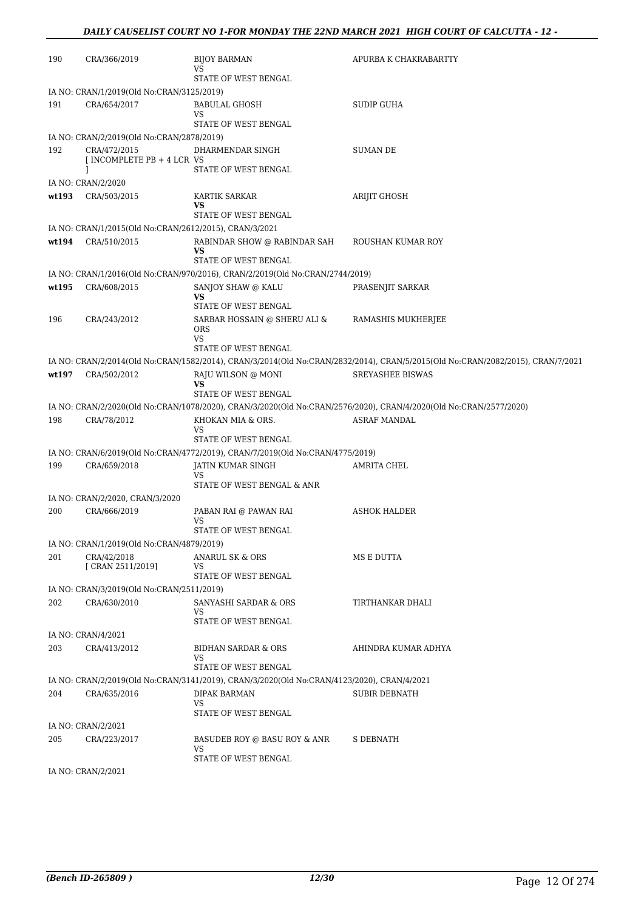| 190   | CRA/366/2019                                           | <b>BIJOY BARMAN</b><br>VS                                                                  | APURBA K CHAKRABARTTY                                                                                                                    |
|-------|--------------------------------------------------------|--------------------------------------------------------------------------------------------|------------------------------------------------------------------------------------------------------------------------------------------|
|       |                                                        | STATE OF WEST BENGAL                                                                       |                                                                                                                                          |
|       | IA NO: CRAN/1/2019(Old No:CRAN/3125/2019)              |                                                                                            |                                                                                                                                          |
| 191   | CRA/654/2017                                           | BABULAL GHOSH<br>VS                                                                        | SUDIP GUHA                                                                                                                               |
|       |                                                        | STATE OF WEST BENGAL                                                                       |                                                                                                                                          |
|       | IA NO: CRAN/2/2019(Old No:CRAN/2878/2019)              |                                                                                            |                                                                                                                                          |
| 192   | CRA/472/2015<br>[ INCOMPLETE PB + 4 LCR VS             | DHARMENDAR SINGH<br>STATE OF WEST BENGAL                                                   | <b>SUMAN DE</b>                                                                                                                          |
|       | IA NO: CRAN/2/2020                                     |                                                                                            |                                                                                                                                          |
| wt193 | CRA/503/2015                                           | <b>KARTIK SARKAR</b>                                                                       | ARIJIT GHOSH                                                                                                                             |
|       |                                                        | VS                                                                                         |                                                                                                                                          |
|       | IA NO: CRAN/1/2015(Old No:CRAN/2612/2015), CRAN/3/2021 | STATE OF WEST BENGAL                                                                       |                                                                                                                                          |
| wt194 | CRA/510/2015                                           | RABINDAR SHOW @ RABINDAR SAH                                                               | ROUSHAN KUMAR ROY                                                                                                                        |
|       |                                                        | VS<br>STATE OF WEST BENGAL                                                                 |                                                                                                                                          |
|       |                                                        | IA NO: CRAN/1/2016(Old No:CRAN/970/2016), CRAN/2/2019(Old No:CRAN/2744/2019)               |                                                                                                                                          |
| wt195 | CRA/608/2015                                           | SANJOY SHAW @ KALU                                                                         | PRASENJIT SARKAR                                                                                                                         |
|       |                                                        | <b>VS</b><br>STATE OF WEST BENGAL                                                          |                                                                                                                                          |
| 196   | CRA/243/2012                                           | SARBAR HOSSAIN @ SHERU ALI &<br><b>ORS</b>                                                 | RAMASHIS MUKHERJEE                                                                                                                       |
|       |                                                        | VS                                                                                         |                                                                                                                                          |
|       |                                                        | STATE OF WEST BENGAL                                                                       | IA NO: CRAN/2/2014(Old No:CRAN/1582/2014), CRAN/3/2014(Old No:CRAN/2832/2014), CRAN/5/2015(Old No:CRAN/2082/2015), CRAN/7/2021           |
| wt197 | CRA/502/2012                                           | RAJU WILSON @ MONI                                                                         | <b>SREYASHEE BISWAS</b>                                                                                                                  |
|       |                                                        | <b>VS</b>                                                                                  |                                                                                                                                          |
|       |                                                        | STATE OF WEST BENGAL                                                                       |                                                                                                                                          |
| 198   | CRA/78/2012                                            | KHOKAN MIA & ORS.                                                                          | IA NO: CRAN/2/2020(Old No:CRAN/1078/2020), CRAN/3/2020(Old No:CRAN/2576/2020), CRAN/4/2020(Old No:CRAN/2577/2020)<br><b>ASRAF MANDAL</b> |
|       |                                                        | VS                                                                                         |                                                                                                                                          |
|       |                                                        | STATE OF WEST BENGAL                                                                       |                                                                                                                                          |
|       |                                                        | IA NO: CRAN/6/2019(Old No:CRAN/4772/2019), CRAN/7/2019(Old No:CRAN/4775/2019)              |                                                                                                                                          |
| 199   | CRA/659/2018                                           | JATIN KUMAR SINGH<br>VS                                                                    | AMRITA CHEL                                                                                                                              |
|       |                                                        | STATE OF WEST BENGAL & ANR                                                                 |                                                                                                                                          |
|       | IA NO: CRAN/2/2020, CRAN/3/2020                        |                                                                                            |                                                                                                                                          |
| 200   | CRA/666/2019                                           | PABAN RAI @ PAWAN RAI<br>VS                                                                | <b>ASHOK HALDER</b>                                                                                                                      |
|       |                                                        | STATE OF WEST BENGAL                                                                       |                                                                                                                                          |
|       | IA NO: CRAN/1/2019(Old No:CRAN/4879/2019)              |                                                                                            |                                                                                                                                          |
| 201   | CRA/42/2018<br>[ CRAN 2511/2019]                       | ANARUL SK & ORS<br>VS                                                                      | MS E DUTTA                                                                                                                               |
|       |                                                        | STATE OF WEST BENGAL                                                                       |                                                                                                                                          |
|       | IA NO: CRAN/3/2019(Old No:CRAN/2511/2019)              |                                                                                            |                                                                                                                                          |
| 202   | CRA/630/2010                                           | SANYASHI SARDAR & ORS<br>VS                                                                | TIRTHANKAR DHALI                                                                                                                         |
|       |                                                        | STATE OF WEST BENGAL                                                                       |                                                                                                                                          |
| 203   | IA NO: CRAN/4/2021<br>CRA/413/2012                     | <b>BIDHAN SARDAR &amp; ORS</b>                                                             | AHINDRA KUMAR ADHYA                                                                                                                      |
|       |                                                        | VS                                                                                         |                                                                                                                                          |
|       |                                                        | STATE OF WEST BENGAL                                                                       |                                                                                                                                          |
|       |                                                        | IA NO: CRAN/2/2019(Old No:CRAN/3141/2019), CRAN/3/2020(Old No:CRAN/4123/2020), CRAN/4/2021 |                                                                                                                                          |
| 204   | CRA/635/2016                                           | DIPAK BARMAN<br>VS<br>STATE OF WEST BENGAL                                                 | <b>SUBIR DEBNATH</b>                                                                                                                     |
|       | IA NO: CRAN/2/2021                                     |                                                                                            |                                                                                                                                          |
| 205   | CRA/223/2017                                           | BASUDEB ROY @ BASU ROY & ANR<br>VS                                                         | S DEBNATH                                                                                                                                |
|       |                                                        | STATE OF WEST BENGAL                                                                       |                                                                                                                                          |
|       | IA NO: CRAN/2/2021                                     |                                                                                            |                                                                                                                                          |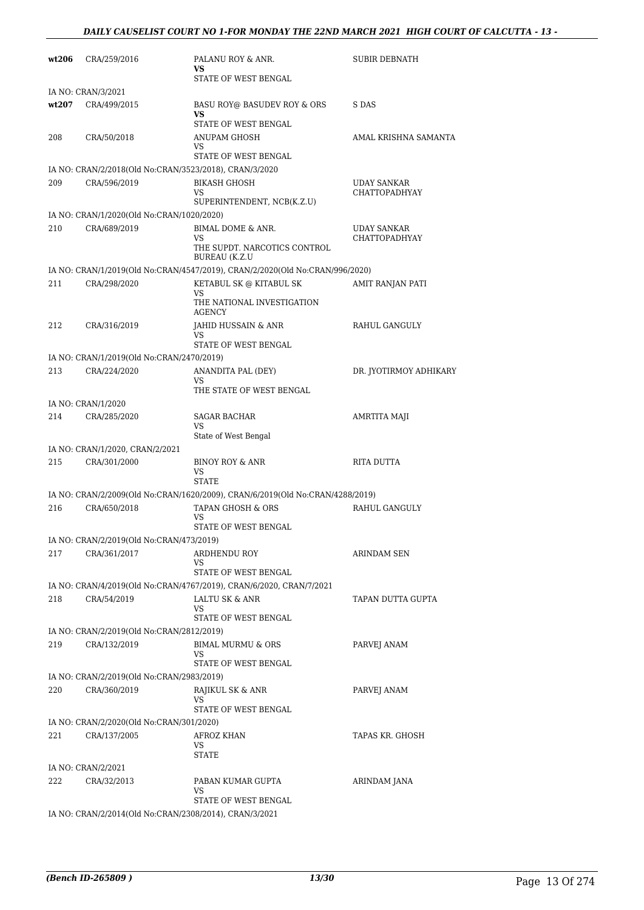| wt206 | CRA/259/2016                                              | PALANU ROY & ANR.<br>VS.                                                      | <b>SUBIR DEBNATH</b>                       |
|-------|-----------------------------------------------------------|-------------------------------------------------------------------------------|--------------------------------------------|
|       |                                                           | STATE OF WEST BENGAL                                                          |                                            |
|       | IA NO: CRAN/3/2021                                        |                                                                               |                                            |
| wt207 | CRA/499/2015                                              | BASU ROY@ BASUDEV ROY & ORS<br>VS                                             | S DAS                                      |
|       |                                                           | STATE OF WEST BENGAL                                                          |                                            |
| 208   | CRA/50/2018                                               | ANUPAM GHOSH<br>VS.                                                           | AMAL KRISHNA SAMANTA                       |
|       |                                                           | STATE OF WEST BENGAL                                                          |                                            |
|       | IA NO: CRAN/2/2018(Old No:CRAN/3523/2018), CRAN/3/2020    |                                                                               |                                            |
| 209   | CRA/596/2019                                              | <b>BIKASH GHOSH</b><br>VS                                                     | <b>UDAY SANKAR</b><br><b>CHATTOPADHYAY</b> |
|       |                                                           | SUPERINTENDENT, NCB(K.Z.U)                                                    |                                            |
| 210   | IA NO: CRAN/1/2020(Old No:CRAN/1020/2020)<br>CRA/689/2019 | BIMAL DOME & ANR.                                                             | <b>UDAY SANKAR</b>                         |
|       |                                                           | <b>VS</b><br>THE SUPDT. NARCOTICS CONTROL<br><b>BUREAU (K.Z.U)</b>            | <b>CHATTOPADHYAY</b>                       |
|       |                                                           | IA NO: CRAN/1/2019(Old No:CRAN/4547/2019), CRAN/2/2020(Old No:CRAN/996/2020)  |                                            |
| 211   | CRA/298/2020                                              | KETABUL SK @ KITABUL SK                                                       | <b>AMIT RANJAN PATI</b>                    |
|       |                                                           | VS<br>THE NATIONAL INVESTIGATION<br><b>AGENCY</b>                             |                                            |
| 212   | CRA/316/2019                                              | JAHID HUSSAIN & ANR                                                           | RAHUL GANGULY                              |
|       |                                                           | VS.<br>STATE OF WEST BENGAL                                                   |                                            |
|       | IA NO: CRAN/1/2019(Old No:CRAN/2470/2019)                 |                                                                               |                                            |
| 213   | CRA/224/2020                                              | ANANDITA PAL (DEY)                                                            | DR. JYOTIRMOY ADHIKARY                     |
|       |                                                           | VS                                                                            |                                            |
|       | IA NO: CRAN/1/2020                                        | THE STATE OF WEST BENGAL                                                      |                                            |
| 214   | CRA/285/2020                                              | SAGAR BACHAR                                                                  | AMRTITA MAJI                               |
|       |                                                           | VS                                                                            |                                            |
|       |                                                           | State of West Bengal                                                          |                                            |
| 215   | IA NO: CRAN/1/2020, CRAN/2/2021                           | <b>BINOY ROY &amp; ANR</b>                                                    | RITA DUTTA                                 |
|       | CRA/301/2000                                              | VS<br><b>STATE</b>                                                            |                                            |
|       |                                                           | IA NO: CRAN/2/2009(Old No:CRAN/1620/2009), CRAN/6/2019(Old No:CRAN/4288/2019) |                                            |
| 216   | CRA/650/2018                                              | TAPAN GHOSH & ORS                                                             | RAHUL GANGULY                              |
|       |                                                           | VS<br>STATE OF WEST BENGAL                                                    |                                            |
|       | IA NO: CRAN/2/2019(Old No:CRAN/473/2019)                  |                                                                               |                                            |
| 217   | CRA/361/2017                                              | <b>ARDHENDU ROY</b>                                                           | ARINDAM SEN                                |
|       |                                                           | VS<br>STATE OF WEST BENGAL                                                    |                                            |
|       |                                                           | IA NO: CRAN/4/2019(Old No:CRAN/4767/2019), CRAN/6/2020, CRAN/7/2021           |                                            |
| 218   | CRA/54/2019                                               | LALTU SK & ANR                                                                | TAPAN DUTTA GUPTA                          |
|       |                                                           | VS                                                                            |                                            |
|       | IA NO: CRAN/2/2019(Old No:CRAN/2812/2019)                 | STATE OF WEST BENGAL                                                          |                                            |
| 219   | CRA/132/2019                                              | <b>BIMAL MURMU &amp; ORS</b>                                                  | PARVEJ ANAM                                |
|       |                                                           | VS                                                                            |                                            |
|       |                                                           | STATE OF WEST BENGAL                                                          |                                            |
|       | IA NO: CRAN/2/2019(Old No:CRAN/2983/2019)                 |                                                                               |                                            |
| 220   | CRA/360/2019                                              | RAJIKUL SK & ANR<br>VS                                                        | PARVEJ ANAM                                |
|       |                                                           | STATE OF WEST BENGAL                                                          |                                            |
|       | IA NO: CRAN/2/2020(Old No:CRAN/301/2020)                  |                                                                               |                                            |
| 221   | CRA/137/2005                                              | AFROZ KHAN<br>VS<br>STATE                                                     | TAPAS KR. GHOSH                            |
|       | IA NO: CRAN/2/2021                                        |                                                                               |                                            |
| 222   | CRA/32/2013                                               | PABAN KUMAR GUPTA                                                             | ARINDAM JANA                               |
|       |                                                           | VS                                                                            |                                            |
|       |                                                           | STATE OF WEST BENGAL                                                          |                                            |
|       | IA NO: CRAN/2/2014(Old No:CRAN/2308/2014), CRAN/3/2021    |                                                                               |                                            |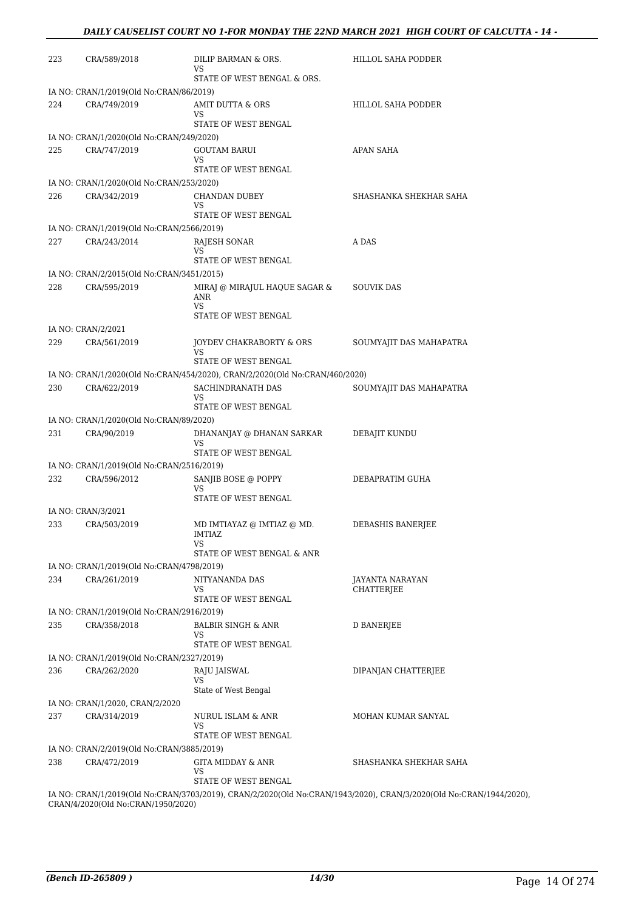| STATE OF WEST BENGAL & ORS.<br>IA NO: CRAN/1/2019(Old No:CRAN/86/2019)<br>224<br>CRA/749/2019<br>AMIT DUTTA & ORS<br>HILLOL SAHA PODDER<br>VS<br>STATE OF WEST BENGAL<br>IA NO: CRAN/1/2020(Old No:CRAN/249/2020)<br>225<br>CRA/747/2019<br>APAN SAHA<br>GOUTAM BARUI<br>VS<br>STATE OF WEST BENGAL<br>IA NO: CRAN/1/2020(Old No:CRAN/253/2020)<br>SHASHANKA SHEKHAR SAHA<br>226<br>CRA/342/2019<br>CHANDAN DUBEY<br>VS<br>STATE OF WEST BENGAL<br>IA NO: CRAN/1/2019(Old No:CRAN/2566/2019)<br>227<br>CRA/243/2014<br>A DAS<br>RAJESH SONAR<br>VS<br>STATE OF WEST BENGAL<br>IA NO: CRAN/2/2015(Old No:CRAN/3451/2015)<br>228<br>CRA/595/2019<br>MIRAJ @ MIRAJUL HAQUE SAGAR &<br><b>SOUVIK DAS</b><br><b>ANR</b><br><b>VS</b><br>STATE OF WEST BENGAL<br>IA NO: CRAN/2/2021<br>229<br>CRA/561/2019<br>JOYDEV CHAKRABORTY & ORS<br>SOUMYAJIT DAS MAHAPATRA<br><b>VS</b><br>STATE OF WEST BENGAL<br>IA NO: CRAN/1/2020(Old No:CRAN/454/2020), CRAN/2/2020(Old No:CRAN/460/2020)<br>230<br>CRA/622/2019<br>SACHINDRANATH DAS<br>SOUMYAJIT DAS MAHAPATRA<br>VS<br>STATE OF WEST BENGAL<br>IA NO: CRAN/1/2020(Old No:CRAN/89/2020)<br>231<br>CRA/90/2019<br>DHANANJAY @ DHANAN SARKAR<br>DEBAJIT KUNDU<br>VS<br>STATE OF WEST BENGAL<br>IA NO: CRAN/1/2019(Old No:CRAN/2516/2019)<br>232<br>CRA/596/2012<br>SANJIB BOSE @ POPPY<br>DEBAPRATIM GUHA<br>VS<br>STATE OF WEST BENGAL<br>IA NO: CRAN/3/2021<br>233<br>CRA/503/2019<br>MD IMTIAYAZ @ IMTIAZ @ MD.<br>DEBASHIS BANERJEE<br>IMTIAZ.<br>VS<br>STATE OF WEST BENGAL & ANR<br>IA NO: CRAN/1/2019(Old No:CRAN/4798/2019)<br>234<br>CRA/261/2019<br>NITYANANDA DAS<br>JAYANTA NARAYAN<br>VS<br><b>CHATTERIEE</b><br>STATE OF WEST BENGAL<br>IA NO: CRAN/1/2019(Old No:CRAN/2916/2019)<br>CRA/358/2018<br><b>D BANERJEE</b><br>235<br><b>BALBIR SINGH &amp; ANR</b><br>VS<br>STATE OF WEST BENGAL<br>IA NO: CRAN/1/2019(Old No:CRAN/2327/2019)<br>CRA/262/2020<br>236<br>RAJU JAISWAL<br>DIPANJAN CHATTERJEE<br>VS<br>State of West Bengal<br>IA NO: CRAN/1/2020, CRAN/2/2020<br>237<br>CRA/314/2019<br>NURUL ISLAM & ANR<br>MOHAN KUMAR SANYAL<br>VS<br>STATE OF WEST BENGAL<br>IA NO: CRAN/2/2019(Old No:CRAN/3885/2019)<br>238<br>CRA/472/2019<br>GITA MIDDAY & ANR<br>SHASHANKA SHEKHAR SAHA<br>VS<br>STATE OF WEST BENGAL<br>IA NO: CRAN/1/2019(Old No:CRAN/3703/2019), CRAN/2/2020(Old No:CRAN/1943/2020), CRAN/3/2020(Old No:CRAN/1944/2020), | 223 | CRA/589/2018 | DILIP BARMAN & ORS.<br>VS | HILLOL SAHA PODDER |
|-----------------------------------------------------------------------------------------------------------------------------------------------------------------------------------------------------------------------------------------------------------------------------------------------------------------------------------------------------------------------------------------------------------------------------------------------------------------------------------------------------------------------------------------------------------------------------------------------------------------------------------------------------------------------------------------------------------------------------------------------------------------------------------------------------------------------------------------------------------------------------------------------------------------------------------------------------------------------------------------------------------------------------------------------------------------------------------------------------------------------------------------------------------------------------------------------------------------------------------------------------------------------------------------------------------------------------------------------------------------------------------------------------------------------------------------------------------------------------------------------------------------------------------------------------------------------------------------------------------------------------------------------------------------------------------------------------------------------------------------------------------------------------------------------------------------------------------------------------------------------------------------------------------------------------------------------------------------------------------------------------------------------------------------------------------------------------------------------------------------------------------------------------------------------------------------------------------------------------------------------------------------------------------------------------------------------------------------------------------------------------------------------------|-----|--------------|---------------------------|--------------------|
|                                                                                                                                                                                                                                                                                                                                                                                                                                                                                                                                                                                                                                                                                                                                                                                                                                                                                                                                                                                                                                                                                                                                                                                                                                                                                                                                                                                                                                                                                                                                                                                                                                                                                                                                                                                                                                                                                                                                                                                                                                                                                                                                                                                                                                                                                                                                                                                                     |     |              |                           |                    |
|                                                                                                                                                                                                                                                                                                                                                                                                                                                                                                                                                                                                                                                                                                                                                                                                                                                                                                                                                                                                                                                                                                                                                                                                                                                                                                                                                                                                                                                                                                                                                                                                                                                                                                                                                                                                                                                                                                                                                                                                                                                                                                                                                                                                                                                                                                                                                                                                     |     |              |                           |                    |
|                                                                                                                                                                                                                                                                                                                                                                                                                                                                                                                                                                                                                                                                                                                                                                                                                                                                                                                                                                                                                                                                                                                                                                                                                                                                                                                                                                                                                                                                                                                                                                                                                                                                                                                                                                                                                                                                                                                                                                                                                                                                                                                                                                                                                                                                                                                                                                                                     |     |              |                           |                    |
|                                                                                                                                                                                                                                                                                                                                                                                                                                                                                                                                                                                                                                                                                                                                                                                                                                                                                                                                                                                                                                                                                                                                                                                                                                                                                                                                                                                                                                                                                                                                                                                                                                                                                                                                                                                                                                                                                                                                                                                                                                                                                                                                                                                                                                                                                                                                                                                                     |     |              |                           |                    |
|                                                                                                                                                                                                                                                                                                                                                                                                                                                                                                                                                                                                                                                                                                                                                                                                                                                                                                                                                                                                                                                                                                                                                                                                                                                                                                                                                                                                                                                                                                                                                                                                                                                                                                                                                                                                                                                                                                                                                                                                                                                                                                                                                                                                                                                                                                                                                                                                     |     |              |                           |                    |
|                                                                                                                                                                                                                                                                                                                                                                                                                                                                                                                                                                                                                                                                                                                                                                                                                                                                                                                                                                                                                                                                                                                                                                                                                                                                                                                                                                                                                                                                                                                                                                                                                                                                                                                                                                                                                                                                                                                                                                                                                                                                                                                                                                                                                                                                                                                                                                                                     |     |              |                           |                    |
|                                                                                                                                                                                                                                                                                                                                                                                                                                                                                                                                                                                                                                                                                                                                                                                                                                                                                                                                                                                                                                                                                                                                                                                                                                                                                                                                                                                                                                                                                                                                                                                                                                                                                                                                                                                                                                                                                                                                                                                                                                                                                                                                                                                                                                                                                                                                                                                                     |     |              |                           |                    |
|                                                                                                                                                                                                                                                                                                                                                                                                                                                                                                                                                                                                                                                                                                                                                                                                                                                                                                                                                                                                                                                                                                                                                                                                                                                                                                                                                                                                                                                                                                                                                                                                                                                                                                                                                                                                                                                                                                                                                                                                                                                                                                                                                                                                                                                                                                                                                                                                     |     |              |                           |                    |
|                                                                                                                                                                                                                                                                                                                                                                                                                                                                                                                                                                                                                                                                                                                                                                                                                                                                                                                                                                                                                                                                                                                                                                                                                                                                                                                                                                                                                                                                                                                                                                                                                                                                                                                                                                                                                                                                                                                                                                                                                                                                                                                                                                                                                                                                                                                                                                                                     |     |              |                           |                    |
|                                                                                                                                                                                                                                                                                                                                                                                                                                                                                                                                                                                                                                                                                                                                                                                                                                                                                                                                                                                                                                                                                                                                                                                                                                                                                                                                                                                                                                                                                                                                                                                                                                                                                                                                                                                                                                                                                                                                                                                                                                                                                                                                                                                                                                                                                                                                                                                                     |     |              |                           |                    |
|                                                                                                                                                                                                                                                                                                                                                                                                                                                                                                                                                                                                                                                                                                                                                                                                                                                                                                                                                                                                                                                                                                                                                                                                                                                                                                                                                                                                                                                                                                                                                                                                                                                                                                                                                                                                                                                                                                                                                                                                                                                                                                                                                                                                                                                                                                                                                                                                     |     |              |                           |                    |
|                                                                                                                                                                                                                                                                                                                                                                                                                                                                                                                                                                                                                                                                                                                                                                                                                                                                                                                                                                                                                                                                                                                                                                                                                                                                                                                                                                                                                                                                                                                                                                                                                                                                                                                                                                                                                                                                                                                                                                                                                                                                                                                                                                                                                                                                                                                                                                                                     |     |              |                           |                    |
|                                                                                                                                                                                                                                                                                                                                                                                                                                                                                                                                                                                                                                                                                                                                                                                                                                                                                                                                                                                                                                                                                                                                                                                                                                                                                                                                                                                                                                                                                                                                                                                                                                                                                                                                                                                                                                                                                                                                                                                                                                                                                                                                                                                                                                                                                                                                                                                                     |     |              |                           |                    |
|                                                                                                                                                                                                                                                                                                                                                                                                                                                                                                                                                                                                                                                                                                                                                                                                                                                                                                                                                                                                                                                                                                                                                                                                                                                                                                                                                                                                                                                                                                                                                                                                                                                                                                                                                                                                                                                                                                                                                                                                                                                                                                                                                                                                                                                                                                                                                                                                     |     |              |                           |                    |
|                                                                                                                                                                                                                                                                                                                                                                                                                                                                                                                                                                                                                                                                                                                                                                                                                                                                                                                                                                                                                                                                                                                                                                                                                                                                                                                                                                                                                                                                                                                                                                                                                                                                                                                                                                                                                                                                                                                                                                                                                                                                                                                                                                                                                                                                                                                                                                                                     |     |              |                           |                    |
|                                                                                                                                                                                                                                                                                                                                                                                                                                                                                                                                                                                                                                                                                                                                                                                                                                                                                                                                                                                                                                                                                                                                                                                                                                                                                                                                                                                                                                                                                                                                                                                                                                                                                                                                                                                                                                                                                                                                                                                                                                                                                                                                                                                                                                                                                                                                                                                                     |     |              |                           |                    |
|                                                                                                                                                                                                                                                                                                                                                                                                                                                                                                                                                                                                                                                                                                                                                                                                                                                                                                                                                                                                                                                                                                                                                                                                                                                                                                                                                                                                                                                                                                                                                                                                                                                                                                                                                                                                                                                                                                                                                                                                                                                                                                                                                                                                                                                                                                                                                                                                     |     |              |                           |                    |
|                                                                                                                                                                                                                                                                                                                                                                                                                                                                                                                                                                                                                                                                                                                                                                                                                                                                                                                                                                                                                                                                                                                                                                                                                                                                                                                                                                                                                                                                                                                                                                                                                                                                                                                                                                                                                                                                                                                                                                                                                                                                                                                                                                                                                                                                                                                                                                                                     |     |              |                           |                    |
|                                                                                                                                                                                                                                                                                                                                                                                                                                                                                                                                                                                                                                                                                                                                                                                                                                                                                                                                                                                                                                                                                                                                                                                                                                                                                                                                                                                                                                                                                                                                                                                                                                                                                                                                                                                                                                                                                                                                                                                                                                                                                                                                                                                                                                                                                                                                                                                                     |     |              |                           |                    |
|                                                                                                                                                                                                                                                                                                                                                                                                                                                                                                                                                                                                                                                                                                                                                                                                                                                                                                                                                                                                                                                                                                                                                                                                                                                                                                                                                                                                                                                                                                                                                                                                                                                                                                                                                                                                                                                                                                                                                                                                                                                                                                                                                                                                                                                                                                                                                                                                     |     |              |                           |                    |
|                                                                                                                                                                                                                                                                                                                                                                                                                                                                                                                                                                                                                                                                                                                                                                                                                                                                                                                                                                                                                                                                                                                                                                                                                                                                                                                                                                                                                                                                                                                                                                                                                                                                                                                                                                                                                                                                                                                                                                                                                                                                                                                                                                                                                                                                                                                                                                                                     |     |              |                           |                    |
|                                                                                                                                                                                                                                                                                                                                                                                                                                                                                                                                                                                                                                                                                                                                                                                                                                                                                                                                                                                                                                                                                                                                                                                                                                                                                                                                                                                                                                                                                                                                                                                                                                                                                                                                                                                                                                                                                                                                                                                                                                                                                                                                                                                                                                                                                                                                                                                                     |     |              |                           |                    |
|                                                                                                                                                                                                                                                                                                                                                                                                                                                                                                                                                                                                                                                                                                                                                                                                                                                                                                                                                                                                                                                                                                                                                                                                                                                                                                                                                                                                                                                                                                                                                                                                                                                                                                                                                                                                                                                                                                                                                                                                                                                                                                                                                                                                                                                                                                                                                                                                     |     |              |                           |                    |
|                                                                                                                                                                                                                                                                                                                                                                                                                                                                                                                                                                                                                                                                                                                                                                                                                                                                                                                                                                                                                                                                                                                                                                                                                                                                                                                                                                                                                                                                                                                                                                                                                                                                                                                                                                                                                                                                                                                                                                                                                                                                                                                                                                                                                                                                                                                                                                                                     |     |              |                           |                    |
|                                                                                                                                                                                                                                                                                                                                                                                                                                                                                                                                                                                                                                                                                                                                                                                                                                                                                                                                                                                                                                                                                                                                                                                                                                                                                                                                                                                                                                                                                                                                                                                                                                                                                                                                                                                                                                                                                                                                                                                                                                                                                                                                                                                                                                                                                                                                                                                                     |     |              |                           |                    |
|                                                                                                                                                                                                                                                                                                                                                                                                                                                                                                                                                                                                                                                                                                                                                                                                                                                                                                                                                                                                                                                                                                                                                                                                                                                                                                                                                                                                                                                                                                                                                                                                                                                                                                                                                                                                                                                                                                                                                                                                                                                                                                                                                                                                                                                                                                                                                                                                     |     |              |                           |                    |
|                                                                                                                                                                                                                                                                                                                                                                                                                                                                                                                                                                                                                                                                                                                                                                                                                                                                                                                                                                                                                                                                                                                                                                                                                                                                                                                                                                                                                                                                                                                                                                                                                                                                                                                                                                                                                                                                                                                                                                                                                                                                                                                                                                                                                                                                                                                                                                                                     |     |              |                           |                    |
|                                                                                                                                                                                                                                                                                                                                                                                                                                                                                                                                                                                                                                                                                                                                                                                                                                                                                                                                                                                                                                                                                                                                                                                                                                                                                                                                                                                                                                                                                                                                                                                                                                                                                                                                                                                                                                                                                                                                                                                                                                                                                                                                                                                                                                                                                                                                                                                                     |     |              |                           |                    |
|                                                                                                                                                                                                                                                                                                                                                                                                                                                                                                                                                                                                                                                                                                                                                                                                                                                                                                                                                                                                                                                                                                                                                                                                                                                                                                                                                                                                                                                                                                                                                                                                                                                                                                                                                                                                                                                                                                                                                                                                                                                                                                                                                                                                                                                                                                                                                                                                     |     |              |                           |                    |
|                                                                                                                                                                                                                                                                                                                                                                                                                                                                                                                                                                                                                                                                                                                                                                                                                                                                                                                                                                                                                                                                                                                                                                                                                                                                                                                                                                                                                                                                                                                                                                                                                                                                                                                                                                                                                                                                                                                                                                                                                                                                                                                                                                                                                                                                                                                                                                                                     |     |              |                           |                    |
|                                                                                                                                                                                                                                                                                                                                                                                                                                                                                                                                                                                                                                                                                                                                                                                                                                                                                                                                                                                                                                                                                                                                                                                                                                                                                                                                                                                                                                                                                                                                                                                                                                                                                                                                                                                                                                                                                                                                                                                                                                                                                                                                                                                                                                                                                                                                                                                                     |     |              |                           |                    |
|                                                                                                                                                                                                                                                                                                                                                                                                                                                                                                                                                                                                                                                                                                                                                                                                                                                                                                                                                                                                                                                                                                                                                                                                                                                                                                                                                                                                                                                                                                                                                                                                                                                                                                                                                                                                                                                                                                                                                                                                                                                                                                                                                                                                                                                                                                                                                                                                     |     |              |                           |                    |
|                                                                                                                                                                                                                                                                                                                                                                                                                                                                                                                                                                                                                                                                                                                                                                                                                                                                                                                                                                                                                                                                                                                                                                                                                                                                                                                                                                                                                                                                                                                                                                                                                                                                                                                                                                                                                                                                                                                                                                                                                                                                                                                                                                                                                                                                                                                                                                                                     |     |              |                           |                    |
|                                                                                                                                                                                                                                                                                                                                                                                                                                                                                                                                                                                                                                                                                                                                                                                                                                                                                                                                                                                                                                                                                                                                                                                                                                                                                                                                                                                                                                                                                                                                                                                                                                                                                                                                                                                                                                                                                                                                                                                                                                                                                                                                                                                                                                                                                                                                                                                                     |     |              |                           |                    |
|                                                                                                                                                                                                                                                                                                                                                                                                                                                                                                                                                                                                                                                                                                                                                                                                                                                                                                                                                                                                                                                                                                                                                                                                                                                                                                                                                                                                                                                                                                                                                                                                                                                                                                                                                                                                                                                                                                                                                                                                                                                                                                                                                                                                                                                                                                                                                                                                     |     |              |                           |                    |
|                                                                                                                                                                                                                                                                                                                                                                                                                                                                                                                                                                                                                                                                                                                                                                                                                                                                                                                                                                                                                                                                                                                                                                                                                                                                                                                                                                                                                                                                                                                                                                                                                                                                                                                                                                                                                                                                                                                                                                                                                                                                                                                                                                                                                                                                                                                                                                                                     |     |              |                           |                    |
|                                                                                                                                                                                                                                                                                                                                                                                                                                                                                                                                                                                                                                                                                                                                                                                                                                                                                                                                                                                                                                                                                                                                                                                                                                                                                                                                                                                                                                                                                                                                                                                                                                                                                                                                                                                                                                                                                                                                                                                                                                                                                                                                                                                                                                                                                                                                                                                                     |     |              |                           |                    |
|                                                                                                                                                                                                                                                                                                                                                                                                                                                                                                                                                                                                                                                                                                                                                                                                                                                                                                                                                                                                                                                                                                                                                                                                                                                                                                                                                                                                                                                                                                                                                                                                                                                                                                                                                                                                                                                                                                                                                                                                                                                                                                                                                                                                                                                                                                                                                                                                     |     |              |                           |                    |
|                                                                                                                                                                                                                                                                                                                                                                                                                                                                                                                                                                                                                                                                                                                                                                                                                                                                                                                                                                                                                                                                                                                                                                                                                                                                                                                                                                                                                                                                                                                                                                                                                                                                                                                                                                                                                                                                                                                                                                                                                                                                                                                                                                                                                                                                                                                                                                                                     |     |              |                           |                    |
|                                                                                                                                                                                                                                                                                                                                                                                                                                                                                                                                                                                                                                                                                                                                                                                                                                                                                                                                                                                                                                                                                                                                                                                                                                                                                                                                                                                                                                                                                                                                                                                                                                                                                                                                                                                                                                                                                                                                                                                                                                                                                                                                                                                                                                                                                                                                                                                                     |     |              |                           |                    |
|                                                                                                                                                                                                                                                                                                                                                                                                                                                                                                                                                                                                                                                                                                                                                                                                                                                                                                                                                                                                                                                                                                                                                                                                                                                                                                                                                                                                                                                                                                                                                                                                                                                                                                                                                                                                                                                                                                                                                                                                                                                                                                                                                                                                                                                                                                                                                                                                     |     |              |                           |                    |
|                                                                                                                                                                                                                                                                                                                                                                                                                                                                                                                                                                                                                                                                                                                                                                                                                                                                                                                                                                                                                                                                                                                                                                                                                                                                                                                                                                                                                                                                                                                                                                                                                                                                                                                                                                                                                                                                                                                                                                                                                                                                                                                                                                                                                                                                                                                                                                                                     |     |              |                           |                    |
|                                                                                                                                                                                                                                                                                                                                                                                                                                                                                                                                                                                                                                                                                                                                                                                                                                                                                                                                                                                                                                                                                                                                                                                                                                                                                                                                                                                                                                                                                                                                                                                                                                                                                                                                                                                                                                                                                                                                                                                                                                                                                                                                                                                                                                                                                                                                                                                                     |     |              |                           |                    |
|                                                                                                                                                                                                                                                                                                                                                                                                                                                                                                                                                                                                                                                                                                                                                                                                                                                                                                                                                                                                                                                                                                                                                                                                                                                                                                                                                                                                                                                                                                                                                                                                                                                                                                                                                                                                                                                                                                                                                                                                                                                                                                                                                                                                                                                                                                                                                                                                     |     |              |                           |                    |
|                                                                                                                                                                                                                                                                                                                                                                                                                                                                                                                                                                                                                                                                                                                                                                                                                                                                                                                                                                                                                                                                                                                                                                                                                                                                                                                                                                                                                                                                                                                                                                                                                                                                                                                                                                                                                                                                                                                                                                                                                                                                                                                                                                                                                                                                                                                                                                                                     |     |              |                           |                    |
|                                                                                                                                                                                                                                                                                                                                                                                                                                                                                                                                                                                                                                                                                                                                                                                                                                                                                                                                                                                                                                                                                                                                                                                                                                                                                                                                                                                                                                                                                                                                                                                                                                                                                                                                                                                                                                                                                                                                                                                                                                                                                                                                                                                                                                                                                                                                                                                                     |     |              |                           |                    |
|                                                                                                                                                                                                                                                                                                                                                                                                                                                                                                                                                                                                                                                                                                                                                                                                                                                                                                                                                                                                                                                                                                                                                                                                                                                                                                                                                                                                                                                                                                                                                                                                                                                                                                                                                                                                                                                                                                                                                                                                                                                                                                                                                                                                                                                                                                                                                                                                     |     |              |                           |                    |
|                                                                                                                                                                                                                                                                                                                                                                                                                                                                                                                                                                                                                                                                                                                                                                                                                                                                                                                                                                                                                                                                                                                                                                                                                                                                                                                                                                                                                                                                                                                                                                                                                                                                                                                                                                                                                                                                                                                                                                                                                                                                                                                                                                                                                                                                                                                                                                                                     |     |              |                           |                    |

CRAN/4/2020(Old No:CRAN/1950/2020)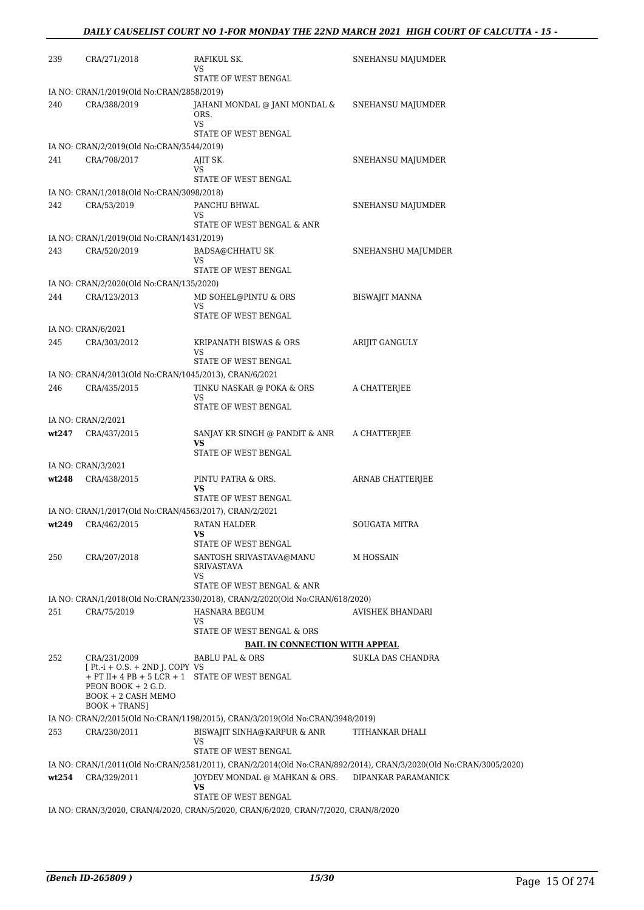| 239   | CRA/271/2018                                                                                                          | RAFIKUL SK.<br>VS                                                                   | SNEHANSU MAJUMDER                                                                                                                       |
|-------|-----------------------------------------------------------------------------------------------------------------------|-------------------------------------------------------------------------------------|-----------------------------------------------------------------------------------------------------------------------------------------|
|       |                                                                                                                       | STATE OF WEST BENGAL                                                                |                                                                                                                                         |
|       | IA NO: CRAN/1/2019(Old No:CRAN/2858/2019)                                                                             |                                                                                     |                                                                                                                                         |
| 240   | CRA/388/2019                                                                                                          | JAHANI MONDAL @ JANI MONDAL &<br>ORS.<br><b>VS</b>                                  | SNEHANSU MAJUMDER                                                                                                                       |
|       |                                                                                                                       | STATE OF WEST BENGAL                                                                |                                                                                                                                         |
|       | IA NO: CRAN/2/2019(Old No:CRAN/3544/2019)<br>CRA/708/2017                                                             |                                                                                     |                                                                                                                                         |
| 241   |                                                                                                                       | AJIT SK.<br>VS<br>STATE OF WEST BENGAL                                              | SNEHANSU MAJUMDER                                                                                                                       |
|       | IA NO: CRAN/1/2018(Old No:CRAN/3098/2018)                                                                             |                                                                                     |                                                                                                                                         |
| 242   | CRA/53/2019                                                                                                           | PANCHU BHWAL<br>VS<br>STATE OF WEST BENGAL & ANR                                    | SNEHANSU MAJUMDER                                                                                                                       |
|       | IA NO: CRAN/1/2019(Old No:CRAN/1431/2019)                                                                             |                                                                                     |                                                                                                                                         |
| 243   | CRA/520/2019                                                                                                          | <b>BADSA@CHHATU SK</b><br>VS                                                        | SNEHANSHU MAJUMDER                                                                                                                      |
|       |                                                                                                                       | STATE OF WEST BENGAL                                                                |                                                                                                                                         |
|       | IA NO: CRAN/2/2020(Old No:CRAN/135/2020)                                                                              |                                                                                     |                                                                                                                                         |
| 244   | CRA/123/2013                                                                                                          | MD SOHEL@PINTU & ORS<br>VS<br>STATE OF WEST BENGAL                                  | <b>BISWAJIT MANNA</b>                                                                                                                   |
|       | IA NO: CRAN/6/2021                                                                                                    |                                                                                     |                                                                                                                                         |
| 245   | CRA/303/2012                                                                                                          | KRIPANATH BISWAS & ORS<br>VS                                                        | ARIJIT GANGULY                                                                                                                          |
|       |                                                                                                                       | STATE OF WEST BENGAL                                                                |                                                                                                                                         |
| 246   | IA NO: CRAN/4/2013(Old No:CRAN/1045/2013), CRAN/6/2021                                                                |                                                                                     |                                                                                                                                         |
|       | CRA/435/2015                                                                                                          | TINKU NASKAR @ POKA & ORS<br>VS<br>STATE OF WEST BENGAL                             | A CHATTERJEE                                                                                                                            |
|       | IA NO: CRAN/2/2021                                                                                                    |                                                                                     |                                                                                                                                         |
| wt247 | CRA/437/2015                                                                                                          | SANJAY KR SINGH @ PANDIT & ANR<br><b>VS</b>                                         | A CHATTERJEE                                                                                                                            |
|       |                                                                                                                       | STATE OF WEST BENGAL                                                                |                                                                                                                                         |
|       | IA NO: CRAN/3/2021                                                                                                    |                                                                                     |                                                                                                                                         |
| wt248 | CRA/438/2015                                                                                                          | PINTU PATRA & ORS.<br>VS<br>STATE OF WEST BENGAL                                    | ARNAB CHATTERJEE                                                                                                                        |
|       | IA NO: CRAN/1/2017(Old No:CRAN/4563/2017), CRAN/2/2021                                                                |                                                                                     |                                                                                                                                         |
| wt249 | CRA/462/2015                                                                                                          | <b>RATAN HALDER</b><br>VS.<br>STATE OF WEST BENGAL                                  | <b>SOUGATA MITRA</b>                                                                                                                    |
| 250   | CRA/207/2018                                                                                                          | SANTOSH SRIVASTAVA@MANU                                                             | M HOSSAIN                                                                                                                               |
|       |                                                                                                                       | <b>SRIVASTAVA</b><br>VS                                                             |                                                                                                                                         |
|       |                                                                                                                       | STATE OF WEST BENGAL & ANR                                                          |                                                                                                                                         |
|       |                                                                                                                       | IA NO: CRAN/1/2018(Old No:CRAN/2330/2018), CRAN/2/2020(Old No:CRAN/618/2020)        |                                                                                                                                         |
| 251   | CRA/75/2019                                                                                                           | HASNARA BEGUM<br>VS                                                                 | AVISHEK BHANDARI                                                                                                                        |
|       |                                                                                                                       | STATE OF WEST BENGAL & ORS                                                          |                                                                                                                                         |
|       |                                                                                                                       | <b>BAIL IN CONNECTION WITH APPEAL</b>                                               |                                                                                                                                         |
| 252   | CRA/231/2009<br>$[Pt.-i + O.S. + 2ND J. COPY VS$                                                                      | <b>BABLU PAL &amp; ORS</b>                                                          | SUKLA DAS CHANDRA                                                                                                                       |
|       | + PT II+ 4 PB + 5 LCR + 1 STATE OF WEST BENGAL<br>PEON BOOK $+ 2$ G.D.<br>BOOK + 2 CASH MEMO<br><b>BOOK + TRANS</b> ] |                                                                                     |                                                                                                                                         |
|       |                                                                                                                       | IA NO: CRAN/2/2015(Old No:CRAN/1198/2015), CRAN/3/2019(Old No:CRAN/3948/2019)       |                                                                                                                                         |
| 253   | CRA/230/2011                                                                                                          | BISWAJIT SINHA@KARPUR & ANR<br>VS                                                   | TITHANKAR DHALI                                                                                                                         |
|       |                                                                                                                       | STATE OF WEST BENGAL                                                                |                                                                                                                                         |
| wt254 | CRA/329/2011                                                                                                          | JOYDEV MONDAL @ MAHKAN & ORS.                                                       | IA NO: CRAN/1/2011(Old No:CRAN/2581/2011), CRAN/2/2014(Old No:CRAN/892/2014), CRAN/3/2020(Old No:CRAN/3005/2020)<br>DIPANKAR PARAMANICK |
|       |                                                                                                                       | VS<br>STATE OF WEST BENGAL                                                          |                                                                                                                                         |
|       |                                                                                                                       | IA NO: CRAN/3/2020, CRAN/4/2020, CRAN/5/2020, CRAN/6/2020, CRAN/7/2020, CRAN/8/2020 |                                                                                                                                         |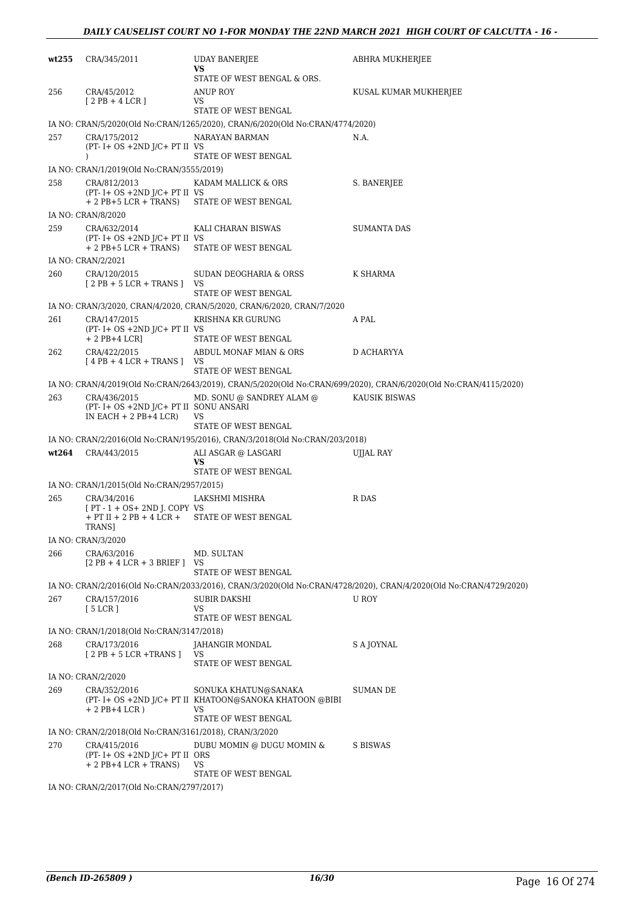| wt255 | CRA/345/2011                                                                          | <b>UDAY BANERJEE</b><br><b>VS</b>                                             | ABHRA MUKHERJEE                                                                                                   |
|-------|---------------------------------------------------------------------------------------|-------------------------------------------------------------------------------|-------------------------------------------------------------------------------------------------------------------|
|       |                                                                                       | STATE OF WEST BENGAL & ORS.                                                   |                                                                                                                   |
| 256   | CRA/45/2012<br>$[2PB+4LCR]$                                                           | ANUP ROY<br>VS                                                                | KUSAL KUMAR MUKHERJEE                                                                                             |
|       |                                                                                       | STATE OF WEST BENGAL                                                          |                                                                                                                   |
|       |                                                                                       | IA NO: CRAN/5/2020(Old No:CRAN/1265/2020), CRAN/6/2020(Old No:CRAN/4774/2020) |                                                                                                                   |
| 257   | CRA/175/2012<br>$(PT - I + OS + 2ND J/C + PT II VS)$                                  | NARAYAN BARMAN                                                                | N.A.                                                                                                              |
|       | $\lambda$                                                                             | STATE OF WEST BENGAL                                                          |                                                                                                                   |
|       | IA NO: CRAN/1/2019(Old No:CRAN/3555/2019)                                             |                                                                               |                                                                                                                   |
| 258   | CRA/812/2013<br>$(PT - I + OS + 2ND J/C + PT II VS)$<br>$+ 2$ PB $+ 5$ LCR $+$ TRANS) | KADAM MALLICK & ORS<br>STATE OF WEST BENGAL                                   | S. BANERJEE                                                                                                       |
|       | IA NO: CRAN/8/2020                                                                    |                                                                               |                                                                                                                   |
| 259   | CRA/632/2014                                                                          | KALI CHARAN BISWAS                                                            | <b>SUMANTA DAS</b>                                                                                                |
|       | $(PT - I + OS + 2ND J/C + PT II VS)$                                                  |                                                                               |                                                                                                                   |
|       | $+ 2$ PB $+ 5$ LCR $+$ TRANS)                                                         | STATE OF WEST BENGAL                                                          |                                                                                                                   |
|       | IA NO: CRAN/2/2021                                                                    |                                                                               |                                                                                                                   |
| 260   | CRA/120/2015<br>$[2PB + 5LCR + TRANS]$                                                | SUDAN DEOGHARIA & ORSS<br>VS                                                  | K SHARMA                                                                                                          |
|       |                                                                                       | STATE OF WEST BENGAL                                                          |                                                                                                                   |
|       |                                                                                       | IA NO: CRAN/3/2020, CRAN/4/2020, CRAN/5/2020, CRAN/6/2020, CRAN/7/2020        |                                                                                                                   |
| 261   | CRA/147/2015<br>$(PT - I + OS + 2ND J/C + PT II VS)$                                  | KRISHNA KR GURUNG                                                             | A PAL                                                                                                             |
|       | + 2 PB+4 LCR]                                                                         | STATE OF WEST BENGAL                                                          |                                                                                                                   |
| 262   | CRA/422/2015                                                                          | ABDUL MONAF MIAN & ORS                                                        | D ACHARYYA                                                                                                        |
|       | $[4PB + 4LCR + TRANS]$                                                                | VS                                                                            |                                                                                                                   |
|       |                                                                                       | STATE OF WEST BENGAL                                                          |                                                                                                                   |
|       |                                                                                       |                                                                               | IA NO: CRAN/4/2019(Old No:CRAN/2643/2019), CRAN/5/2020(Old No:CRAN/699/2020), CRAN/6/2020(Old No:CRAN/4115/2020)  |
| 263   | CRA/436/2015<br>(PT- I+ OS +2ND J/C+ PT II SONU ANSARI<br>IN EACH $+ 2$ PB $+ 4$ LCR) | MD. SONU @ SANDREY ALAM @<br>VS<br>STATE OF WEST BENGAL                       | KAUSIK BISWAS                                                                                                     |
|       |                                                                                       | IA NO: CRAN/2/2016(Old No:CRAN/195/2016), CRAN/3/2018(Old No:CRAN/203/2018)   |                                                                                                                   |
|       | wt264 CRA/443/2015                                                                    | ALI ASGAR @ LASGARI                                                           | <b>UJJAL RAY</b>                                                                                                  |
|       |                                                                                       | VS                                                                            |                                                                                                                   |
|       |                                                                                       | STATE OF WEST BENGAL                                                          |                                                                                                                   |
|       | IA NO: CRAN/1/2015(Old No:CRAN/2957/2015)                                             |                                                                               |                                                                                                                   |
| 265   | CRA/34/2016<br>$[PT - 1 + OS + 2ND J$ . COPY VS                                       | LAKSHMI MISHRA                                                                | R DAS                                                                                                             |
|       | + PT II + 2 PB + 4 LCR + STATE OF WEST BENGAL<br>TRANS]                               |                                                                               |                                                                                                                   |
|       | IA NO: CRAN/3/2020                                                                    |                                                                               |                                                                                                                   |
| 266   | CRA/63/2016                                                                           | MD. SULTAN                                                                    |                                                                                                                   |
|       | $[2PB + 4LCR + 3BRIEF]$                                                               | VS                                                                            |                                                                                                                   |
|       |                                                                                       | STATE OF WEST BENGAL                                                          |                                                                                                                   |
|       |                                                                                       |                                                                               | IA NO: CRAN/2/2016(Old No:CRAN/2033/2016), CRAN/3/2020(Old No:CRAN/4728/2020), CRAN/4/2020(Old No:CRAN/4729/2020) |
| 267   | CRA/157/2016<br>[5 LCR]                                                               | SUBIR DAKSHI<br>VS                                                            | U ROY                                                                                                             |
|       |                                                                                       | STATE OF WEST BENGAL                                                          |                                                                                                                   |
|       | IA NO: CRAN/1/2018(Old No:CRAN/3147/2018)                                             |                                                                               |                                                                                                                   |
| 268   | CRA/173/2016                                                                          | JAHANGIR MONDAL                                                               | S A JOYNAL                                                                                                        |
|       | $[2PB + 5 LCR + TRANS]$                                                               | VS<br>STATE OF WEST BENGAL                                                    |                                                                                                                   |
|       | IA NO: CRAN/2/2020                                                                    |                                                                               |                                                                                                                   |
| 269   | CRA/352/2016                                                                          | SONUKA KHATUN@SANAKA                                                          | SUMAN DE                                                                                                          |
|       | $+ 2$ PB+4 LCR)                                                                       | (PT- I+ OS +2ND J/C+ PT II KHATOON@SANOKA KHATOON @BIBI<br>VS                 |                                                                                                                   |
|       |                                                                                       | STATE OF WEST BENGAL                                                          |                                                                                                                   |
|       | IA NO: CRAN/2/2018(Old No:CRAN/3161/2018), CRAN/3/2020                                |                                                                               |                                                                                                                   |
| 270   | CRA/415/2016<br>$(PT - I + OS + 2ND J/C + PT II ORS)$                                 | DUBU MOMIN @ DUGU MOMIN &                                                     | S BISWAS                                                                                                          |
|       | $+ 2$ PB+4 LCR + TRANS)                                                               | <b>VS</b><br>STATE OF WEST BENGAL                                             |                                                                                                                   |
|       | IA NO: CRAN/2/2017(Old No:CRAN/2797/2017)                                             |                                                                               |                                                                                                                   |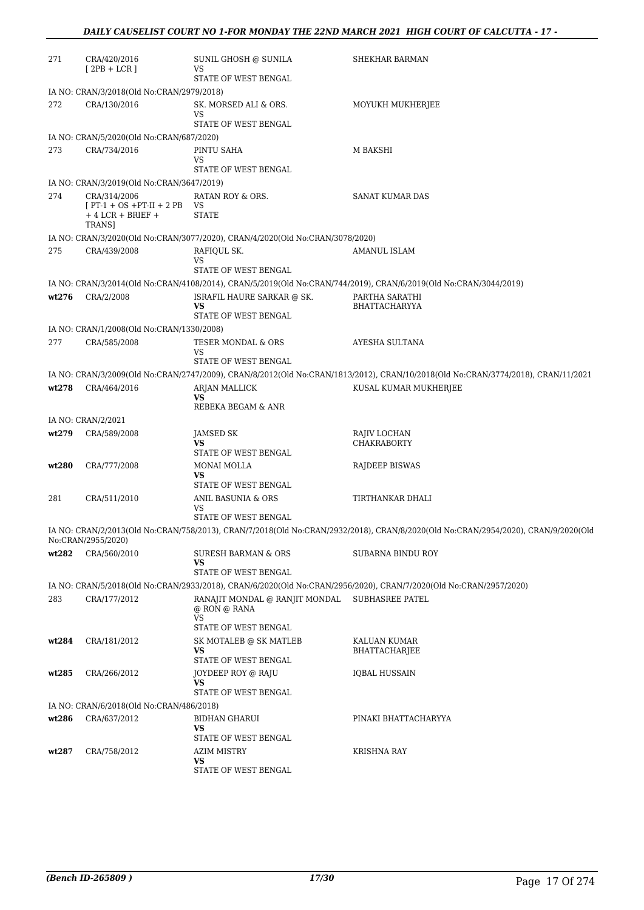| 271   | CRA/420/2016<br>$[2PB + LCR]$                                                   | SUNIL GHOSH @ SUNILA<br>VS                                                    | SHEKHAR BARMAN                                                                                                                    |
|-------|---------------------------------------------------------------------------------|-------------------------------------------------------------------------------|-----------------------------------------------------------------------------------------------------------------------------------|
|       |                                                                                 | STATE OF WEST BENGAL                                                          |                                                                                                                                   |
|       | IA NO: CRAN/3/2018(Old No:CRAN/2979/2018)                                       |                                                                               |                                                                                                                                   |
| 272   | CRA/130/2016                                                                    | SK. MORSED ALI & ORS.<br>VS<br>STATE OF WEST BENGAL                           | MOYUKH MUKHERJEE                                                                                                                  |
|       | IA NO: CRAN/5/2020(Old No:CRAN/687/2020)                                        |                                                                               |                                                                                                                                   |
| 273   | CRA/734/2016                                                                    | PINTU SAHA                                                                    | M BAKSHI                                                                                                                          |
|       |                                                                                 | VS<br>STATE OF WEST BENGAL                                                    |                                                                                                                                   |
|       | IA NO: CRAN/3/2019(Old No:CRAN/3647/2019)                                       |                                                                               |                                                                                                                                   |
| 274   | CRA/314/2006<br>$[PT-1 + OS + PT-II + 2 PB$<br>$+4$ LCR $+$ BRIEF $+$<br>TRANS] | RATAN ROY & ORS.<br>VS<br><b>STATE</b>                                        | <b>SANAT KUMAR DAS</b>                                                                                                            |
|       |                                                                                 | IA NO: CRAN/3/2020(Old No:CRAN/3077/2020), CRAN/4/2020(Old No:CRAN/3078/2020) |                                                                                                                                   |
| 275   | CRA/439/2008                                                                    | RAFIQUL SK.                                                                   | AMANUL ISLAM                                                                                                                      |
|       |                                                                                 | VS                                                                            |                                                                                                                                   |
|       |                                                                                 | STATE OF WEST BENGAL                                                          |                                                                                                                                   |
|       |                                                                                 |                                                                               | IA NO: CRAN/3/2014(Old No:CRAN/4108/2014), CRAN/5/2019(Old No:CRAN/744/2019), CRAN/6/2019(Old No:CRAN/3044/2019)                  |
| wt276 | CRA/2/2008                                                                      | ISRAFIL HAURE SARKAR @ SK.                                                    | PARTHA SARATHI                                                                                                                    |
|       |                                                                                 | VS<br>STATE OF WEST BENGAL                                                    | <b>BHATTACHARYYA</b>                                                                                                              |
|       | IA NO: CRAN/1/2008(Old No:CRAN/1330/2008)                                       |                                                                               |                                                                                                                                   |
| 277   | CRA/585/2008                                                                    | TESER MONDAL & ORS                                                            | AYESHA SULTANA                                                                                                                    |
|       |                                                                                 | VS                                                                            |                                                                                                                                   |
|       |                                                                                 | STATE OF WEST BENGAL                                                          |                                                                                                                                   |
|       |                                                                                 |                                                                               | IA NO: CRAN/3/2009(Old No:CRAN/2747/2009), CRAN/8/2012(Old No:CRAN/1813/2012), CRAN/10/2018(Old No:CRAN/3774/2018), CRAN/11/2021  |
| wt278 | CRA/464/2016                                                                    | ARJAN MALLICK<br><b>VS</b>                                                    | KUSAL KUMAR MUKHERJEE                                                                                                             |
|       |                                                                                 | REBEKA BEGAM & ANR                                                            |                                                                                                                                   |
|       | IA NO: CRAN/2/2021                                                              |                                                                               |                                                                                                                                   |
| wt279 | CRA/589/2008                                                                    | <b>JAMSED SK</b><br><b>VS</b>                                                 | RAJIV LOCHAN<br><b>CHAKRABORTY</b>                                                                                                |
|       |                                                                                 | STATE OF WEST BENGAL                                                          |                                                                                                                                   |
| wt280 | CRA/777/2008                                                                    | MONAI MOLLA<br><b>VS</b><br>STATE OF WEST BENGAL                              | <b>RAJDEEP BISWAS</b>                                                                                                             |
| 281   | CRA/511/2010                                                                    | ANIL BASUNIA & ORS                                                            | TIRTHANKAR DHALI                                                                                                                  |
|       |                                                                                 | <b>VS</b><br>STATE OF WEST BENGAL                                             |                                                                                                                                   |
|       | No:CRAN/2955/2020)                                                              |                                                                               | IA NO: CRAN/2/2013(Old No:CRAN/758/2013), CRAN/7/2018(Old No:CRAN/2932/2018), CRAN/8/2020(Old No:CRAN/2954/2020), CRAN/9/2020(Old |
| wt282 | CRA/560/2010                                                                    | SURESH BARMAN & ORS<br>VS                                                     | SUBARNA BINDU ROY                                                                                                                 |
|       |                                                                                 | STATE OF WEST BENGAL                                                          |                                                                                                                                   |
|       |                                                                                 |                                                                               | IA NO: CRAN/5/2018(Old No:CRAN/2933/2018), CRAN/6/2020(Old No:CRAN/2956/2020), CRAN/7/2020(Old No:CRAN/2957/2020)                 |
| 283   | CRA/177/2012                                                                    | RANAJIT MONDAL @ RANJIT MONDAL<br>@ RON @ RANA<br><b>VS</b>                   | <b>SUBHASREE PATEL</b>                                                                                                            |
|       |                                                                                 | STATE OF WEST BENGAL                                                          |                                                                                                                                   |
| wt284 | CRA/181/2012                                                                    | SK MOTALEB @ SK MATLEB                                                        | KALUAN KUMAR                                                                                                                      |
|       |                                                                                 | VS                                                                            | <b>BHATTACHARJEE</b>                                                                                                              |
|       |                                                                                 | STATE OF WEST BENGAL                                                          |                                                                                                                                   |
| wt285 | CRA/266/2012                                                                    | JOYDEEP ROY @ RAJU<br>VS<br>STATE OF WEST BENGAL                              | <b>IQBAL HUSSAIN</b>                                                                                                              |
|       | IA NO: CRAN/6/2018(Old No:CRAN/486/2018)                                        |                                                                               |                                                                                                                                   |
|       |                                                                                 |                                                                               |                                                                                                                                   |
| wt286 | CRA/637/2012                                                                    | <b>BIDHAN GHARUI</b><br>VS<br>STATE OF WEST BENGAL                            | PINAKI BHATTACHARYYA                                                                                                              |
| wt287 | CRA/758/2012                                                                    | AZIM MISTRY                                                                   | KRISHNA RAY                                                                                                                       |
|       |                                                                                 | VS                                                                            |                                                                                                                                   |
|       |                                                                                 | STATE OF WEST BENGAL                                                          |                                                                                                                                   |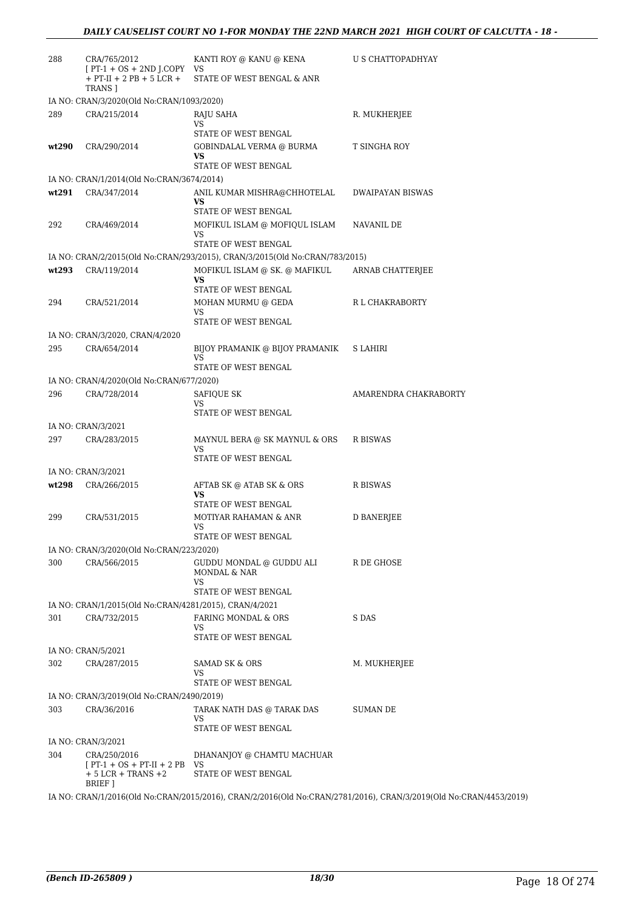| 288   | CRA/765/2012<br>$[PT-1 + OS + 2ND J. COPY VS]$<br>$+$ PT-II + 2 PB + 5 LCR + | KANTI ROY @ KANU @ KENA<br>STATE OF WEST BENGAL & ANR                       | U S CHATTOPADHYAY     |
|-------|------------------------------------------------------------------------------|-----------------------------------------------------------------------------|-----------------------|
|       | TRANS ]<br>IA NO: CRAN/3/2020(Old No:CRAN/1093/2020)                         |                                                                             |                       |
| 289   | CRA/215/2014                                                                 | RAJU SAHA                                                                   | R. MUKHERJEE          |
|       |                                                                              | VS                                                                          |                       |
| wt290 | CRA/290/2014                                                                 | STATE OF WEST BENGAL<br>GOBINDALAL VERMA @ BURMA<br>VS                      | T SINGHA ROY          |
|       |                                                                              | STATE OF WEST BENGAL                                                        |                       |
|       | IA NO: CRAN/1/2014(Old No:CRAN/3674/2014)                                    |                                                                             |                       |
| wt291 | CRA/347/2014                                                                 | ANIL KUMAR MISHRA@CHHOTELAL<br>VS<br>STATE OF WEST BENGAL                   | DWAIPAYAN BISWAS      |
| 292   | CRA/469/2014                                                                 | MOFIKUL ISLAM @ MOFIQUL ISLAM                                               | NAVANIL DE            |
|       |                                                                              | VS                                                                          |                       |
|       |                                                                              | STATE OF WEST BENGAL                                                        |                       |
|       |                                                                              | IA NO: CRAN/2/2015(Old No:CRAN/293/2015), CRAN/3/2015(Old No:CRAN/783/2015) |                       |
| wt293 | CRA/119/2014                                                                 | MOFIKUL ISLAM @ SK. @ MAFIKUL<br>VS                                         | ARNAB CHATTERIEE      |
|       |                                                                              | STATE OF WEST BENGAL                                                        |                       |
| 294   | CRA/521/2014                                                                 | MOHAN MURMU @ GEDA                                                          | R L CHAKRABORTY       |
|       |                                                                              | VS<br>STATE OF WEST BENGAL                                                  |                       |
|       | IA NO: CRAN/3/2020, CRAN/4/2020                                              |                                                                             |                       |
| 295   | CRA/654/2014                                                                 | BIJOY PRAMANIK @ BIJOY PRAMANIK                                             | S LAHIRI              |
|       |                                                                              | VS<br>STATE OF WEST BENGAL                                                  |                       |
|       | IA NO: CRAN/4/2020(Old No:CRAN/677/2020)                                     |                                                                             |                       |
| 296   | CRA/728/2014                                                                 | SAFIQUE SK                                                                  | AMARENDRA CHAKRABORTY |
|       |                                                                              | VS                                                                          |                       |
|       |                                                                              | STATE OF WEST BENGAL                                                        |                       |
| 297   | IA NO: CRAN/3/2021<br>CRA/283/2015                                           | MAYNUL BERA @ SK MAYNUL & ORS                                               | R BISWAS              |
|       |                                                                              | VS<br>STATE OF WEST BENGAL                                                  |                       |
|       | IA NO: CRAN/3/2021                                                           |                                                                             |                       |
| wt298 | CRA/266/2015                                                                 | AFTAB SK @ ATAB SK & ORS<br>VS<br>STATE OF WEST BENGAL                      | <b>R BISWAS</b>       |
| 299   | CRA/531/2015                                                                 | MOTIYAR RAHAMAN & ANR                                                       | D BANERJEE            |
|       |                                                                              | VS                                                                          |                       |
|       |                                                                              | STATE OF WEST BENGAL                                                        |                       |
|       | IA NO: CRAN/3/2020(Old No:CRAN/223/2020)                                     |                                                                             |                       |
| 300   | CRA/566/2015                                                                 | GUDDU MONDAL @ GUDDU ALI<br>MONDAL & NAR<br>VS                              | R DE GHOSE            |
|       |                                                                              | STATE OF WEST BENGAL                                                        |                       |
|       | IA NO: CRAN/1/2015(Old No:CRAN/4281/2015), CRAN/4/2021                       |                                                                             |                       |
| 301   | CRA/732/2015                                                                 | FARING MONDAL & ORS<br>VS<br>STATE OF WEST BENGAL                           | S DAS                 |
|       | IA NO: CRAN/5/2021                                                           |                                                                             |                       |
| 302   | CRA/287/2015                                                                 | SAMAD SK & ORS                                                              | M. MUKHERJEE          |
|       |                                                                              | VS                                                                          |                       |
|       |                                                                              | STATE OF WEST BENGAL                                                        |                       |
| 303   | IA NO: CRAN/3/2019(Old No:CRAN/2490/2019)<br>CRA/36/2016                     |                                                                             | SUMAN DE              |
|       |                                                                              | TARAK NATH DAS @ TARAK DAS<br>VS<br>STATE OF WEST BENGAL                    |                       |
|       | IA NO: CRAN/3/2021                                                           |                                                                             |                       |
| 304   | CRA/250/2016<br>$[PT-1 + OS + PT-II + 2 PB$ VS<br>$+5$ LCR $+$ TRANS $+2$    | DHANANJOY @ CHAMTU MACHUAR<br>STATE OF WEST BENGAL                          |                       |
|       | BRIEF ]                                                                      |                                                                             |                       |

IA NO: CRAN/1/2016(Old No:CRAN/2015/2016), CRAN/2/2016(Old No:CRAN/2781/2016), CRAN/3/2019(Old No:CRAN/4453/2019)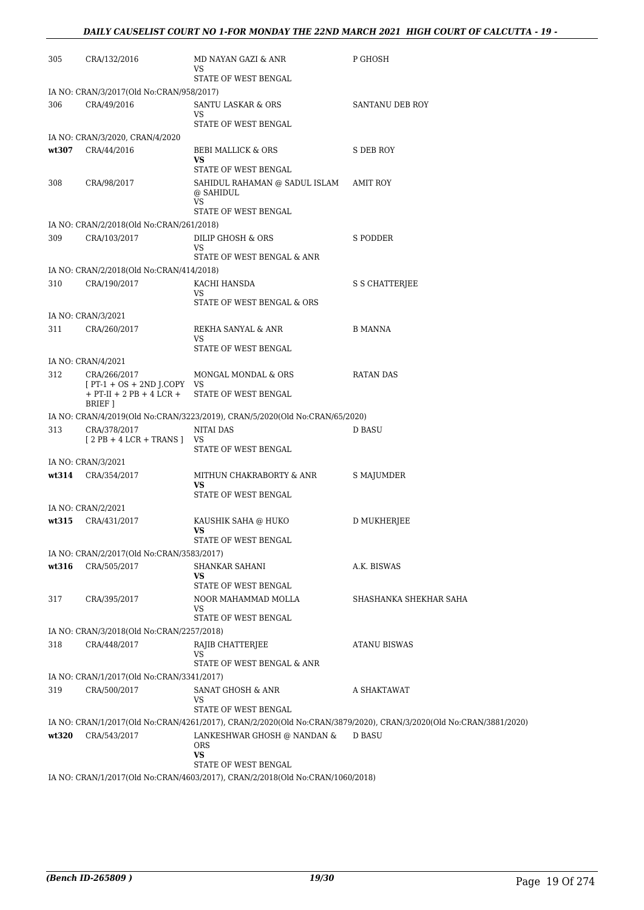| 305   | CRA/132/2016                                                                        | MD NAYAN GAZI & ANR<br>VS                                                   | P GHOSH                                                                                                           |
|-------|-------------------------------------------------------------------------------------|-----------------------------------------------------------------------------|-------------------------------------------------------------------------------------------------------------------|
|       |                                                                                     | STATE OF WEST BENGAL                                                        |                                                                                                                   |
|       | IA NO: CRAN/3/2017(Old No:CRAN/958/2017)                                            |                                                                             |                                                                                                                   |
| 306   | CRA/49/2016                                                                         | SANTU LASKAR & ORS<br>VS                                                    | SANTANU DEB ROY                                                                                                   |
|       |                                                                                     | STATE OF WEST BENGAL                                                        |                                                                                                                   |
|       | IA NO: CRAN/3/2020, CRAN/4/2020                                                     |                                                                             |                                                                                                                   |
| wt307 | CRA/44/2016                                                                         | BEBI MALLICK & ORS<br>VS<br>STATE OF WEST BENGAL                            | S DEB ROY                                                                                                         |
| 308   | CRA/98/2017                                                                         | SAHIDUL RAHAMAN @ SADUL ISLAM<br>@ SAHIDUL                                  | AMIT ROY                                                                                                          |
|       |                                                                                     | <b>VS</b><br>STATE OF WEST BENGAL                                           |                                                                                                                   |
|       | IA NO: CRAN/2/2018(Old No:CRAN/261/2018)                                            |                                                                             |                                                                                                                   |
| 309   | CRA/103/2017                                                                        | DILIP GHOSH & ORS                                                           | S PODDER                                                                                                          |
|       |                                                                                     | <b>VS</b><br>STATE OF WEST BENGAL & ANR                                     |                                                                                                                   |
|       | IA NO: CRAN/2/2018(Old No:CRAN/414/2018)                                            |                                                                             |                                                                                                                   |
| 310   | CRA/190/2017                                                                        | KACHI HANSDA                                                                | S S CHATTERJEE                                                                                                    |
|       |                                                                                     | VS.<br>STATE OF WEST BENGAL & ORS                                           |                                                                                                                   |
|       | IA NO: CRAN/3/2021                                                                  |                                                                             |                                                                                                                   |
| 311   | CRA/260/2017                                                                        | REKHA SANYAL & ANR                                                          | B MANNA                                                                                                           |
|       |                                                                                     | VS.<br>STATE OF WEST BENGAL                                                 |                                                                                                                   |
|       | IA NO: CRAN/4/2021                                                                  |                                                                             |                                                                                                                   |
| 312   | CRA/266/2017                                                                        | MONGAL MONDAL & ORS                                                         | <b>RATAN DAS</b>                                                                                                  |
|       | $[PT-1 + OS + 2ND J.COPY VS]$<br>$+$ PT-II $+$ 2 PB $+$ 4 LCR $+$<br><b>BRIEF</b> 1 | STATE OF WEST BENGAL                                                        |                                                                                                                   |
|       |                                                                                     | IA NO: CRAN/4/2019(Old No:CRAN/3223/2019), CRAN/5/2020(Old No:CRAN/65/2020) |                                                                                                                   |
| 313   | CRA/378/2017<br>$[2PB + 4 LCR + TRANS]$                                             | NITAI DAS<br>VS                                                             | D BASU                                                                                                            |
|       |                                                                                     | STATE OF WEST BENGAL                                                        |                                                                                                                   |
|       | IA NO: CRAN/3/2021                                                                  |                                                                             |                                                                                                                   |
| wt314 | CRA/354/2017                                                                        | MITHUN CHAKRABORTY & ANR<br>VS                                              | <b>S MAJUMDER</b>                                                                                                 |
|       |                                                                                     | STATE OF WEST BENGAL                                                        |                                                                                                                   |
|       | IA NO: CRAN/2/2021                                                                  |                                                                             |                                                                                                                   |
| wt315 | CRA/431/2017                                                                        | KAUSHIK SAHA @ HUKO<br>VS.                                                  | D MUKHERJEE                                                                                                       |
|       |                                                                                     | STATE OF WEST BENGAL                                                        |                                                                                                                   |
|       | IA NO: CRAN/2/2017(Old No:CRAN/3583/2017)                                           |                                                                             |                                                                                                                   |
| wt316 | CRA/505/2017                                                                        | SHANKAR SAHANI<br>VS                                                        | A.K. BISWAS                                                                                                       |
|       |                                                                                     | STATE OF WEST BENGAL                                                        |                                                                                                                   |
| 317   | CRA/395/2017                                                                        | NOOR MAHAMMAD MOLLA                                                         | SHASHANKA SHEKHAR SAHA                                                                                            |
|       |                                                                                     | VS<br>STATE OF WEST BENGAL                                                  |                                                                                                                   |
|       | IA NO: CRAN/3/2018(Old No:CRAN/2257/2018)                                           |                                                                             |                                                                                                                   |
| 318   | CRA/448/2017                                                                        | RAJIB CHATTERJEE                                                            | <b>ATANU BISWAS</b>                                                                                               |
|       |                                                                                     | <b>VS</b><br>STATE OF WEST BENGAL & ANR                                     |                                                                                                                   |
|       | IA NO: CRAN/1/2017(Old No:CRAN/3341/2017)                                           |                                                                             |                                                                                                                   |
| 319   | CRA/500/2017                                                                        | SANAT GHOSH & ANR                                                           | A SHAKTAWAT                                                                                                       |
|       |                                                                                     | VS.<br>STATE OF WEST BENGAL                                                 |                                                                                                                   |
|       |                                                                                     |                                                                             | IA NO: CRAN/1/2017(Old No:CRAN/4261/2017), CRAN/2/2020(Old No:CRAN/3879/2020), CRAN/3/2020(Old No:CRAN/3881/2020) |
| wt320 | CRA/543/2017                                                                        | LANKESHWAR GHOSH @ NANDAN &<br><b>ORS</b><br>VS.                            | D BASU                                                                                                            |
|       |                                                                                     | STATE OF WEST BENGAL                                                        |                                                                                                                   |
|       |                                                                                     |                                                                             |                                                                                                                   |

IA NO: CRAN/1/2017(Old No:CRAN/4603/2017), CRAN/2/2018(Old No:CRAN/1060/2018)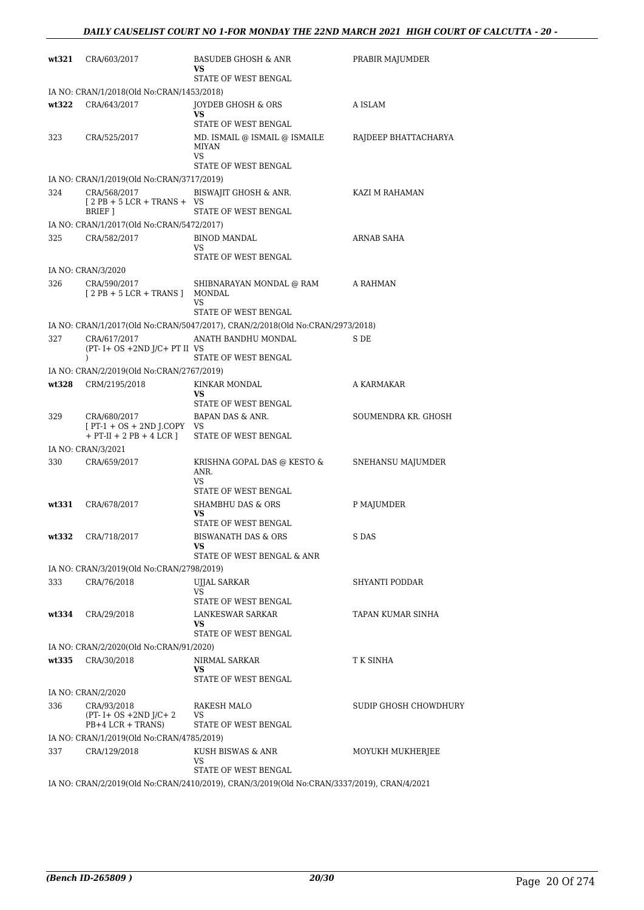| wt321 | CRA/603/2017                                                    | <b>BASUDEB GHOSH &amp; ANR</b><br>VS.<br>STATE OF WEST BENGAL                              | PRABIR MAJUMDER       |
|-------|-----------------------------------------------------------------|--------------------------------------------------------------------------------------------|-----------------------|
|       | IA NO: CRAN/1/2018(Old No:CRAN/1453/2018)                       |                                                                                            |                       |
| wt322 | CRA/643/2017                                                    | JOYDEB GHOSH & ORS<br>VS.                                                                  | A ISLAM               |
|       |                                                                 | STATE OF WEST BENGAL                                                                       |                       |
| 323   | CRA/525/2017                                                    | MD. ISMAIL @ ISMAIL @ ISMAILE<br><b>MIYAN</b><br><b>VS</b>                                 | RAJDEEP BHATTACHARYA  |
|       |                                                                 | STATE OF WEST BENGAL                                                                       |                       |
|       | IA NO: CRAN/1/2019(Old No:CRAN/3717/2019)                       |                                                                                            |                       |
| 324   | CRA/568/2017<br>$[2PB + 5LCR + TRANS + VS$                      | BISWAJIT GHOSH & ANR.                                                                      | KAZI M RAHAMAN        |
|       | <b>BRIEF</b> 1<br>IA NO: CRAN/1/2017(Old No:CRAN/5472/2017)     | STATE OF WEST BENGAL                                                                       |                       |
| 325   | CRA/582/2017                                                    | <b>BINOD MANDAL</b>                                                                        | ARNAB SAHA            |
|       |                                                                 | <b>VS</b>                                                                                  |                       |
|       |                                                                 | STATE OF WEST BENGAL                                                                       |                       |
|       | IA NO: CRAN/3/2020                                              |                                                                                            |                       |
| 326   | CRA/590/2017<br>$[2PB + 5LCR + TRANS]$ MONDAL                   | SHIBNARAYAN MONDAL @ RAM<br>VS.<br>STATE OF WEST BENGAL                                    | A RAHMAN              |
|       |                                                                 | IA NO: CRAN/1/2017(Old No:CRAN/5047/2017), CRAN/2/2018(Old No:CRAN/2973/2018)              |                       |
| 327   | CRA/617/2017                                                    | ANATH BANDHU MONDAL                                                                        | S DE                  |
|       | $(PT - I + OS + 2ND J/C + PT II VS)$                            |                                                                                            |                       |
|       | $\lambda$                                                       | STATE OF WEST BENGAL                                                                       |                       |
|       | IA NO: CRAN/2/2019(Old No:CRAN/2767/2019)                       |                                                                                            |                       |
| wt328 | CRM/2195/2018                                                   | KINKAR MONDAL<br>VS<br>STATE OF WEST BENGAL                                                | A KARMAKAR            |
| 329   | CRA/680/2017                                                    | BAPAN DAS & ANR.                                                                           | SOUMENDRA KR. GHOSH   |
|       | $[PT-1 + OS + 2ND J.COPY VS]$<br>$+$ PT-II $+$ 2 PB $+$ 4 LCR ] | STATE OF WEST BENGAL                                                                       |                       |
|       | IA NO: CRAN/3/2021                                              |                                                                                            |                       |
| 330   | CRA/659/2017                                                    | KRISHNA GOPAL DAS @ KESTO &<br>ANR.<br><b>VS</b>                                           | SNEHANSU MAJUMDER     |
|       |                                                                 | STATE OF WEST BENGAL                                                                       |                       |
| wt331 | CRA/678/2017                                                    | <b>SHAMBHU DAS &amp; ORS</b><br>VS                                                         | P MAJUMDER            |
|       |                                                                 | STATE OF WEST BENGAL                                                                       |                       |
|       | wt332 CRA/718/2017                                              | BISWANATH DAS & ORS<br>VS                                                                  | S DAS                 |
|       |                                                                 | STATE OF WEST BENGAL & ANR                                                                 |                       |
|       | IA NO: CRAN/3/2019(Old No:CRAN/2798/2019)                       |                                                                                            |                       |
| 333   | CRA/76/2018                                                     | <b>UJJAL SARKAR</b>                                                                        | <b>SHYANTI PODDAR</b> |
|       |                                                                 | <b>VS</b><br>STATE OF WEST BENGAL                                                          |                       |
| wt334 | CRA/29/2018                                                     | LANKESWAR SARKAR                                                                           | TAPAN KUMAR SINHA     |
|       |                                                                 | <b>VS</b><br>STATE OF WEST BENGAL                                                          |                       |
|       | IA NO: CRAN/2/2020(Old No:CRAN/91/2020)                         |                                                                                            |                       |
| wt335 | CRA/30/2018                                                     | NIRMAL SARKAR                                                                              | T K SINHA             |
|       |                                                                 | VS<br>STATE OF WEST BENGAL                                                                 |                       |
|       | IA NO: CRAN/2/2020                                              |                                                                                            |                       |
| 336   | CRA/93/2018                                                     | RAKESH MALO                                                                                | SUDIP GHOSH CHOWDHURY |
|       | $(PT - I + OS + 2ND J/C + 2)$                                   | VS                                                                                         |                       |
|       | PB+4 LCR + TRANS)                                               | STATE OF WEST BENGAL                                                                       |                       |
|       | IA NO: CRAN/1/2019(Old No:CRAN/4785/2019)                       |                                                                                            |                       |
| 337   | CRA/129/2018                                                    | KUSH BISWAS & ANR<br>VS.                                                                   | MOYUKH MUKHERJEE      |
|       |                                                                 | STATE OF WEST BENGAL                                                                       |                       |
|       |                                                                 | IA NO: CRAN/2/2019(Old No:CRAN/2410/2019), CRAN/3/2019(Old No:CRAN/3337/2019), CRAN/4/2021 |                       |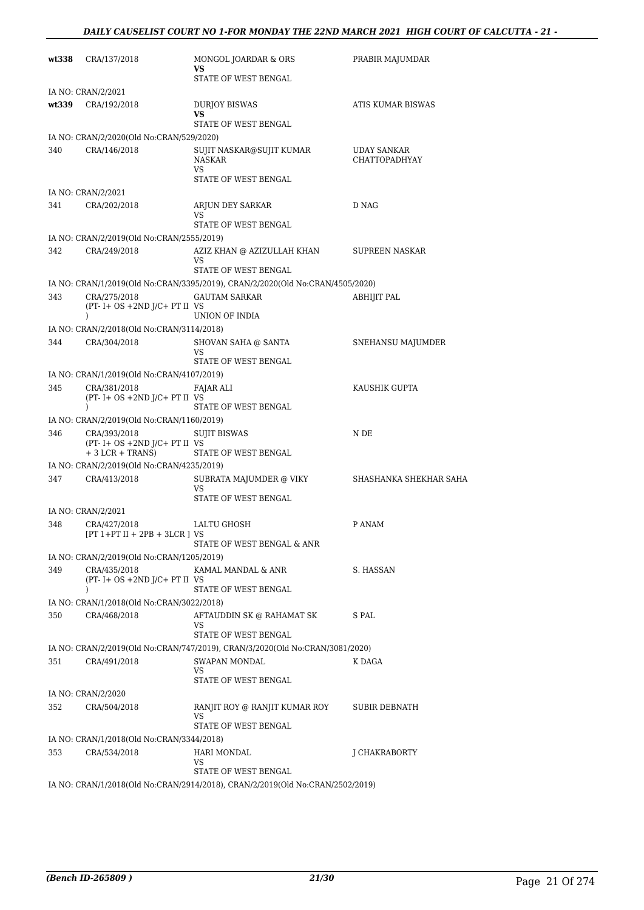| wt338 | CRA/137/2018                                                         | MONGOL JOARDAR & ORS<br>VS.                                                   | PRABIR MAJUMDAR                     |
|-------|----------------------------------------------------------------------|-------------------------------------------------------------------------------|-------------------------------------|
|       |                                                                      | STATE OF WEST BENGAL                                                          |                                     |
| wt339 | IA NO: CRAN/2/2021<br>CRA/192/2018                                   | <b>DURJOY BISWAS</b>                                                          | ATIS KUMAR BISWAS                   |
|       |                                                                      | VS                                                                            |                                     |
|       |                                                                      | STATE OF WEST BENGAL                                                          |                                     |
|       | IA NO: CRAN/2/2020(Old No:CRAN/529/2020)                             |                                                                               |                                     |
| 340   | CRA/146/2018                                                         | SUJIT NASKAR@SUJIT KUMAR<br>NASKAR<br>VS                                      | <b>UDAY SANKAR</b><br>CHATTOPADHYAY |
|       |                                                                      | STATE OF WEST BENGAL                                                          |                                     |
|       | IA NO: CRAN/2/2021                                                   |                                                                               |                                     |
| 341   | CRA/202/2018                                                         | ARJUN DEY SARKAR<br>VS                                                        | D NAG                               |
|       |                                                                      | STATE OF WEST BENGAL                                                          |                                     |
|       | IA NO: CRAN/2/2019(Old No:CRAN/2555/2019)                            |                                                                               |                                     |
| 342   | CRA/249/2018                                                         | AZIZ KHAN @ AZIZULLAH KHAN<br>VS<br>STATE OF WEST BENGAL                      | SUPREEN NASKAR                      |
|       |                                                                      | IA NO: CRAN/1/2019(Old No:CRAN/3395/2019), CRAN/2/2020(Old No:CRAN/4505/2020) |                                     |
| 343   | CRA/275/2018                                                         | <b>GAUTAM SARKAR</b>                                                          | <b>ABHIJIT PAL</b>                  |
|       | $(PT - I + OS + 2ND J/C + PT II VS)$<br>$\mathcal{L}$                | UNION OF INDIA                                                                |                                     |
|       | IA NO: CRAN/2/2018(Old No:CRAN/3114/2018)                            |                                                                               |                                     |
| 344   | CRA/304/2018                                                         | SHOVAN SAHA @ SANTA<br><b>VS</b><br>STATE OF WEST BENGAL                      | SNEHANSU MAJUMDER                   |
|       | IA NO: CRAN/1/2019(Old No:CRAN/4107/2019)                            |                                                                               |                                     |
| 345   | CRA/381/2018                                                         | FAJAR ALI                                                                     | KAUSHIK GUPTA                       |
|       | $(PT - I + OS + 2ND J/C + PT II VS)$<br>$\mathcal{L}$                | STATE OF WEST BENGAL                                                          |                                     |
|       | IA NO: CRAN/2/2019(Old No:CRAN/1160/2019)                            |                                                                               |                                     |
| 346   | CRA/393/2018<br>$(PT - I + OS + 2ND J/C + PT II VS)$                 | <b>SUJIT BISWAS</b>                                                           | N DE                                |
|       | $+3$ LCR $+$ TRANS)                                                  | STATE OF WEST BENGAL                                                          |                                     |
| 347   | IA NO: CRAN/2/2019(Old No:CRAN/4235/2019)<br>CRA/413/2018            | SUBRATA MAJUMDER @ VIKY                                                       | SHASHANKA SHEKHAR SAHA              |
|       |                                                                      | VS.                                                                           |                                     |
|       |                                                                      | STATE OF WEST BENGAL                                                          |                                     |
| 348   | IA NO: CRAN/2/2021<br>CRA/427/2018                                   |                                                                               | P ANAM                              |
|       | $[PT 1+PT II + 2PB + 3LCR]$ VS                                       | LALTU GHOSH<br>STATE OF WEST BENGAL & ANR                                     |                                     |
|       | IA NO: CRAN/2/2019(Old No:CRAN/1205/2019)                            |                                                                               |                                     |
| 349   | CRA/435/2018<br>$(PT - I + OS + 2ND J/C + PT II VS$<br>$\mathcal{L}$ | KAMAL MANDAL & ANR<br>STATE OF WEST BENGAL                                    | S. HASSAN                           |
|       | IA NO: CRAN/1/2018(Old No:CRAN/3022/2018)                            |                                                                               |                                     |
| 350   | CRA/468/2018                                                         | AFTAUDDIN SK @ RAHAMAT SK<br>VS.                                              | S PAL                               |
|       |                                                                      | STATE OF WEST BENGAL                                                          |                                     |
|       |                                                                      | IA NO: CRAN/2/2019(Old No:CRAN/747/2019), CRAN/3/2020(Old No:CRAN/3081/2020)  |                                     |
| 351   | CRA/491/2018                                                         | SWAPAN MONDAL<br><b>VS</b><br>STATE OF WEST BENGAL                            | K DAGA                              |
|       | IA NO: CRAN/2/2020                                                   |                                                                               |                                     |
| 352   | CRA/504/2018                                                         | RANJIT ROY @ RANJIT KUMAR ROY<br>VS.                                          | SUBIR DEBNATH                       |
|       |                                                                      | STATE OF WEST BENGAL                                                          |                                     |
|       | IA NO: CRAN/1/2018(Old No:CRAN/3344/2018)                            |                                                                               |                                     |
| 353   | CRA/534/2018                                                         | HARI MONDAL<br>VS.<br>STATE OF WEST BENGAL                                    | J CHAKRABORTY                       |
|       |                                                                      | IA NO: CRAN/1/2018(Old No:CRAN/2914/2018), CRAN/2/2019(Old No:CRAN/2502/2019) |                                     |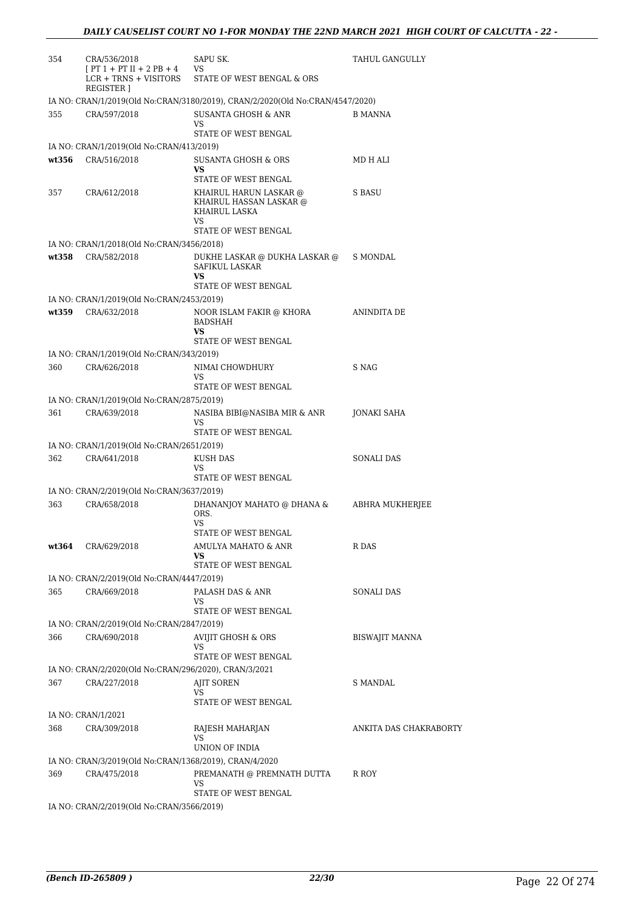| 354   | CRA/536/2018                                                       | SAPU SK.                                                                      | TAHUL GANGULLY         |
|-------|--------------------------------------------------------------------|-------------------------------------------------------------------------------|------------------------|
|       | $[PT 1 + PT II + 2 PB + 4]$<br>LCR + TRNS + VISITORS<br>REGISTER ] | VS<br>STATE OF WEST BENGAL & ORS                                              |                        |
|       |                                                                    | IA NO: CRAN/1/2019(Old No:CRAN/3180/2019), CRAN/2/2020(Old No:CRAN/4547/2020) |                        |
| 355   | CRA/597/2018                                                       | <b>SUSANTA GHOSH &amp; ANR</b><br>VS.<br>STATE OF WEST BENGAL                 | <b>B MANNA</b>         |
|       | IA NO: CRAN/1/2019(Old No:CRAN/413/2019)                           |                                                                               |                        |
| wt356 | CRA/516/2018                                                       | SUSANTA GHOSH & ORS<br>VS.                                                    | MD H ALI               |
|       |                                                                    | STATE OF WEST BENGAL                                                          |                        |
| 357   | CRA/612/2018                                                       | KHAIRUL HARUN LASKAR @<br>KHAIRUL HASSAN LASKAR @<br>KHAIRUL LASKA<br>VS.     | S BASU                 |
|       |                                                                    | STATE OF WEST BENGAL                                                          |                        |
|       | IA NO: CRAN/1/2018(Old No:CRAN/3456/2018)                          |                                                                               |                        |
| wt358 | CRA/582/2018                                                       | DUKHE LASKAR @ DUKHA LASKAR @<br>SAFIKUL LASKAR<br><b>VS</b>                  | S MONDAL               |
|       |                                                                    | STATE OF WEST BENGAL                                                          |                        |
|       | IA NO: CRAN/1/2019(Old No:CRAN/2453/2019)                          |                                                                               |                        |
| wt359 | CRA/632/2018                                                       | NOOR ISLAM FAKIR @ KHORA<br>BADSHAH<br>VS                                     | ANINDITA DE            |
|       |                                                                    | STATE OF WEST BENGAL                                                          |                        |
|       | IA NO: CRAN/1/2019(Old No:CRAN/343/2019)                           |                                                                               |                        |
| 360   | CRA/626/2018                                                       | NIMAI CHOWDHURY<br>VS<br>STATE OF WEST BENGAL                                 | S NAG                  |
|       | IA NO: CRAN/1/2019(Old No:CRAN/2875/2019)                          |                                                                               |                        |
| 361   | CRA/639/2018                                                       | NASIBA BIBI@NASIBA MIR & ANR<br>VS<br>STATE OF WEST BENGAL                    | JONAKI SAHA            |
|       | IA NO: CRAN/1/2019(Old No:CRAN/2651/2019)                          |                                                                               |                        |
| 362   | CRA/641/2018                                                       | KUSH DAS                                                                      | SONALI DAS             |
|       |                                                                    | VS<br>STATE OF WEST BENGAL                                                    |                        |
|       | IA NO: CRAN/2/2019(Old No:CRAN/3637/2019)                          |                                                                               |                        |
| 363   | CRA/658/2018                                                       | DHANANJOY MAHATO @ DHANA &<br>ORS.<br><b>VS</b>                               | ABHRA MUKHERJEE        |
|       |                                                                    | STATE OF WEST BENGAL                                                          |                        |
| wt364 | CRA/629/2018                                                       | AMULYA MAHATO & ANR<br>VS<br>STATE OF WEST BENGAL                             | R DAS                  |
|       | IA NO: CRAN/2/2019(Old No:CRAN/4447/2019)                          |                                                                               |                        |
| 365   | CRA/669/2018                                                       | PALASH DAS & ANR                                                              | <b>SONALI DAS</b>      |
|       |                                                                    | VS<br>STATE OF WEST BENGAL                                                    |                        |
|       | IA NO: CRAN/2/2019(Old No:CRAN/2847/2019)                          |                                                                               |                        |
| 366   | CRA/690/2018                                                       | <b>AVIJIT GHOSH &amp; ORS</b><br>VS<br>STATE OF WEST BENGAL                   | <b>BISWAJIT MANNA</b>  |
|       | IA NO: CRAN/2/2020(Old No:CRAN/296/2020), CRAN/3/2021              |                                                                               |                        |
| 367   | CRA/227/2018                                                       | <b>AJIT SOREN</b><br>VS                                                       | <b>S MANDAL</b>        |
|       | IA NO: CRAN/1/2021                                                 | STATE OF WEST BENGAL                                                          |                        |
| 368   | CRA/309/2018                                                       | RAJESH MAHARJAN<br><b>VS</b>                                                  | ANKITA DAS CHAKRABORTY |
|       |                                                                    | UNION OF INDIA                                                                |                        |
|       | IA NO: CRAN/3/2019(Old No:CRAN/1368/2019), CRAN/4/2020             |                                                                               |                        |
| 369   | CRA/475/2018                                                       | PREMANATH @ PREMNATH DUTTA<br>VS<br>STATE OF WEST BENGAL                      | R ROY                  |
|       | IA NO: CRAN/2/2019(Old No:CRAN/3566/2019)                          |                                                                               |                        |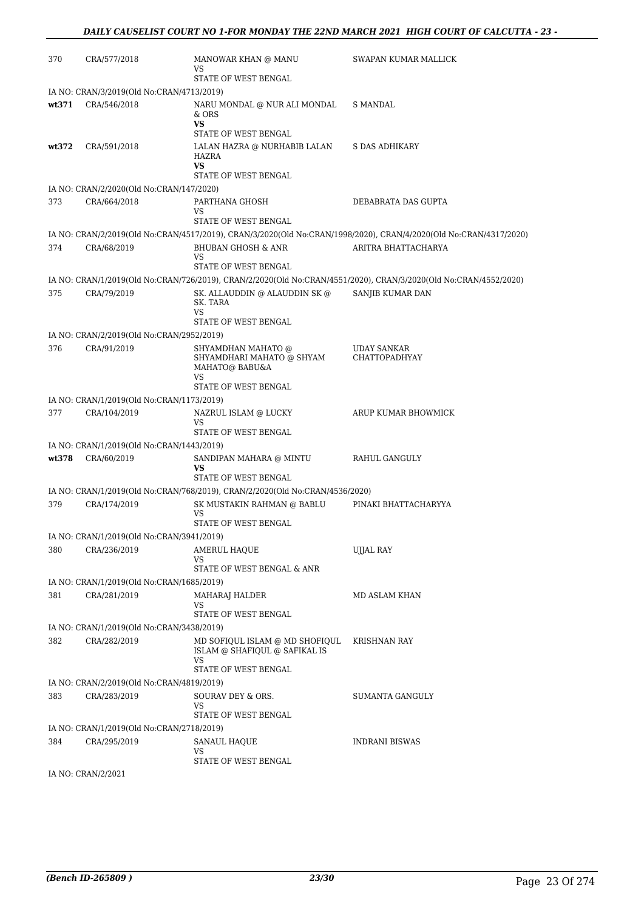| 370   | CRA/577/2018                              | MANOWAR KHAN @ MANU<br>VS                                                    | SWAPAN KUMAR MALLICK                                                                                              |
|-------|-------------------------------------------|------------------------------------------------------------------------------|-------------------------------------------------------------------------------------------------------------------|
|       |                                           | STATE OF WEST BENGAL                                                         |                                                                                                                   |
|       | IA NO: CRAN/3/2019(Old No:CRAN/4713/2019) |                                                                              |                                                                                                                   |
| wt371 | CRA/546/2018                              | NARU MONDAL @ NUR ALI MONDAL<br>$&$ ORS<br><b>VS</b>                         | S MANDAL                                                                                                          |
|       |                                           | STATE OF WEST BENGAL                                                         |                                                                                                                   |
| wt372 | CRA/591/2018                              | LALAN HAZRA @ NURHABIB LALAN<br>HAZRA<br><b>VS</b>                           | S DAS ADHIKARY                                                                                                    |
|       |                                           | STATE OF WEST BENGAL                                                         |                                                                                                                   |
|       | IA NO: CRAN/2/2020(Old No:CRAN/147/2020)  |                                                                              |                                                                                                                   |
| 373   | CRA/664/2018                              | PARTHANA GHOSH<br>VS.                                                        | DEBABRATA DAS GUPTA                                                                                               |
|       |                                           | STATE OF WEST BENGAL                                                         |                                                                                                                   |
|       |                                           |                                                                              | IA NO: CRAN/2/2019(Old No:CRAN/4517/2019), CRAN/3/2020(Old No:CRAN/1998/2020), CRAN/4/2020(Old No:CRAN/4317/2020) |
| 374   | CRA/68/2019                               | <b>BHUBAN GHOSH &amp; ANR</b><br>VS                                          | ARITRA BHATTACHARYA                                                                                               |
|       |                                           | STATE OF WEST BENGAL                                                         |                                                                                                                   |
|       |                                           |                                                                              | IA NO: CRAN/1/2019(Old No:CRAN/726/2019), CRAN/2/2020(Old No:CRAN/4551/2020), CRAN/3/2020(Old No:CRAN/4552/2020)  |
| 375   | CRA/79/2019                               | SK. ALLAUDDIN @ ALAUDDIN SK @<br>SK. TARA<br><b>VS</b>                       | SANJIB KUMAR DAN                                                                                                  |
|       |                                           | STATE OF WEST BENGAL                                                         |                                                                                                                   |
|       | IA NO: CRAN/2/2019(Old No:CRAN/2952/2019) |                                                                              |                                                                                                                   |
| 376   | CRA/91/2019                               | SHYAMDHAN MAHATO @                                                           | <b>UDAY SANKAR</b>                                                                                                |
|       |                                           | SHYAMDHARI MAHATO @ SHYAM<br>MAHATO@ BABU&A<br><b>VS</b>                     | <b>CHATTOPADHYAY</b>                                                                                              |
|       |                                           | STATE OF WEST BENGAL                                                         |                                                                                                                   |
|       | IA NO: CRAN/1/2019(Old No:CRAN/1173/2019) |                                                                              |                                                                                                                   |
| 377   | CRA/104/2019                              | NAZRUL ISLAM @ LUCKY<br>VS                                                   | ARUP KUMAR BHOWMICK                                                                                               |
|       |                                           | STATE OF WEST BENGAL                                                         |                                                                                                                   |
|       | IA NO: CRAN/1/2019(Old No:CRAN/1443/2019) |                                                                              |                                                                                                                   |
| wt378 | CRA/60/2019                               | SANDIPAN MAHARA @ MINTU<br><b>VS</b><br>STATE OF WEST BENGAL                 | RAHUL GANGULY                                                                                                     |
|       |                                           | IA NO: CRAN/1/2019(Old No:CRAN/768/2019), CRAN/2/2020(Old No:CRAN/4536/2020) |                                                                                                                   |
| 379   | CRA/174/2019                              | SK MUSTAKIN RAHMAN @ BABLU                                                   | PINAKI BHATTACHARYYA                                                                                              |
|       |                                           | VS<br>STATE OF WEST BENGAL                                                   |                                                                                                                   |
|       | IA NO: CRAN/1/2019(Old No:CRAN/3941/2019) |                                                                              |                                                                                                                   |
| 380   | CRA/236/2019                              | AMERUL HAOUE                                                                 | <b>UJJAL RAY</b>                                                                                                  |
|       |                                           | VS.<br>STATE OF WEST BENGAL & ANR                                            |                                                                                                                   |
|       |                                           |                                                                              |                                                                                                                   |
|       | IA NO: CRAN/1/2019(Old No:CRAN/1685/2019) |                                                                              |                                                                                                                   |
| 381   | CRA/281/2019                              | MAHARAJ HALDER<br><b>VS</b>                                                  | MD ASLAM KHAN                                                                                                     |
|       |                                           | STATE OF WEST BENGAL                                                         |                                                                                                                   |
|       | IA NO: CRAN/1/2019(Old No:CRAN/3438/2019) |                                                                              |                                                                                                                   |
| 382   | CRA/282/2019                              | MD SOFIOUL ISLAM @ MD SHOFIOUL<br>ISLAM @ SHAFIQUL @ SAFIKAL IS<br>VS        | <b>KRISHNAN RAY</b>                                                                                               |
|       |                                           | STATE OF WEST BENGAL                                                         |                                                                                                                   |
|       | IA NO: CRAN/2/2019(Old No:CRAN/4819/2019) |                                                                              |                                                                                                                   |
| 383   | CRA/283/2019                              | SOURAV DEY & ORS.<br>VS                                                      | SUMANTA GANGULY                                                                                                   |
|       |                                           | STATE OF WEST BENGAL                                                         |                                                                                                                   |
|       | IA NO: CRAN/1/2019(Old No:CRAN/2718/2019) |                                                                              |                                                                                                                   |
| 384   | CRA/295/2019                              | SANAUL HAQUE<br>VS                                                           | <b>INDRANI BISWAS</b>                                                                                             |
|       |                                           | STATE OF WEST BENGAL                                                         |                                                                                                                   |
|       | IA NO: CRAN/2/2021                        |                                                                              |                                                                                                                   |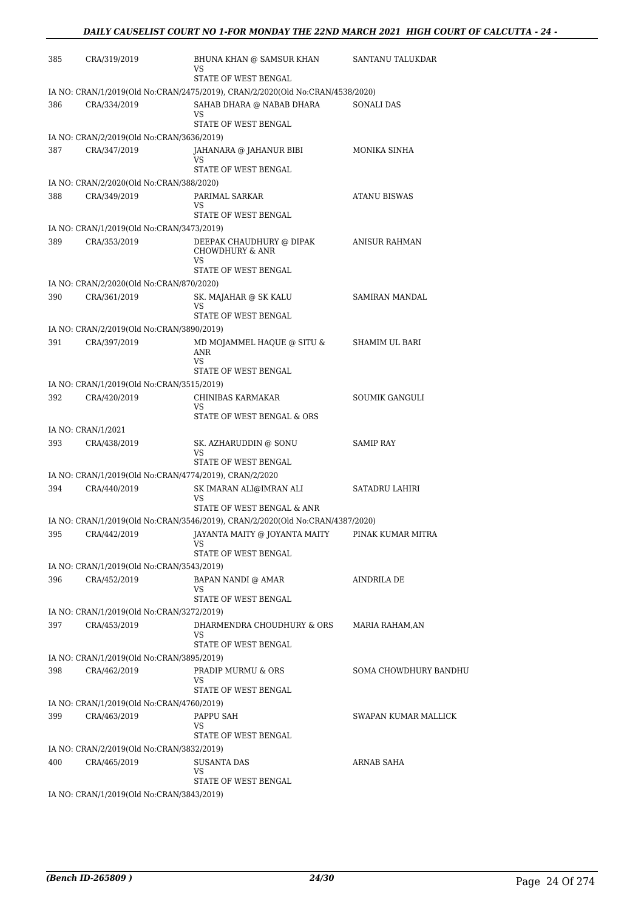| 385 | CRA/319/2019                                           | BHUNA KHAN @ SAMSUR KHAN<br>VS                                                | SANTANU TALUKDAR      |
|-----|--------------------------------------------------------|-------------------------------------------------------------------------------|-----------------------|
|     |                                                        | STATE OF WEST BENGAL                                                          |                       |
|     |                                                        | IA NO: CRAN/1/2019(Old No:CRAN/2475/2019), CRAN/2/2020(Old No:CRAN/4538/2020) |                       |
| 386 | CRA/334/2019                                           | SAHAB DHARA @ NABAB DHARA                                                     | SONALI DAS            |
|     |                                                        | VS<br>STATE OF WEST BENGAL                                                    |                       |
|     | IA NO: CRAN/2/2019(Old No:CRAN/3636/2019)              |                                                                               |                       |
| 387 | CRA/347/2019                                           | JAHANARA @ JAHANUR BIBI                                                       | MONIKA SINHA          |
|     |                                                        | VS                                                                            |                       |
|     |                                                        | STATE OF WEST BENGAL                                                          |                       |
|     | IA NO: CRAN/2/2020(Old No:CRAN/388/2020)               |                                                                               |                       |
| 388 | CRA/349/2019                                           | PARIMAL SARKAR<br>VS                                                          | <b>ATANU BISWAS</b>   |
|     |                                                        | STATE OF WEST BENGAL                                                          |                       |
|     | IA NO: CRAN/1/2019(Old No:CRAN/3473/2019)              |                                                                               |                       |
| 389 | CRA/353/2019                                           | DEEPAK CHAUDHURY @ DIPAK<br><b>CHOWDHURY &amp; ANR</b><br><b>VS</b>           | ANISUR RAHMAN         |
|     |                                                        | STATE OF WEST BENGAL                                                          |                       |
|     | IA NO: CRAN/2/2020(Old No:CRAN/870/2020)               |                                                                               |                       |
| 390 | CRA/361/2019                                           | SK. MAJAHAR @ SK KALU                                                         | <b>SAMIRAN MANDAL</b> |
|     |                                                        | VS<br>STATE OF WEST BENGAL                                                    |                       |
|     | IA NO: CRAN/2/2019(Old No:CRAN/3890/2019)              |                                                                               |                       |
| 391 | CRA/397/2019                                           | MD MOJAMMEL HAQUE @ SITU &                                                    | <b>SHAMIM UL BARI</b> |
|     |                                                        | <b>ANR</b><br><b>VS</b>                                                       |                       |
|     |                                                        | STATE OF WEST BENGAL                                                          |                       |
|     | IA NO: CRAN/1/2019(Old No:CRAN/3515/2019)              |                                                                               |                       |
| 392 | CRA/420/2019                                           | CHINIBAS KARMAKAR                                                             | <b>SOUMIK GANGULI</b> |
|     |                                                        | VS<br>STATE OF WEST BENGAL & ORS                                              |                       |
|     | IA NO: CRAN/1/2021                                     |                                                                               |                       |
| 393 | CRA/438/2019                                           | SK. AZHARUDDIN @ SONU                                                         | <b>SAMIP RAY</b>      |
|     |                                                        | <b>VS</b>                                                                     |                       |
|     |                                                        | STATE OF WEST BENGAL                                                          |                       |
|     | IA NO: CRAN/1/2019(Old No:CRAN/4774/2019), CRAN/2/2020 |                                                                               |                       |
| 394 | CRA/440/2019                                           | SK IMARAN ALI@IMRAN ALI<br>VS                                                 | SATADRU LAHIRI        |
|     |                                                        | STATE OF WEST BENGAL & ANR                                                    |                       |
|     |                                                        | IA NO: CRAN/1/2019(Old No:CRAN/3546/2019), CRAN/2/2020(Old No:CRAN/4387/2020) |                       |
| 395 |                                                        | CRA/442/2019 JAYANTA MAITY @ JOYANTA MAITY                                    | PINAK KUMAR MITRA     |
|     |                                                        | VS<br>STATE OF WEST BENGAL                                                    |                       |
|     | IA NO: CRAN/1/2019(Old No:CRAN/3543/2019)              |                                                                               |                       |
| 396 | CRA/452/2019                                           | BAPAN NANDI @ AMAR                                                            | <b>AINDRILA DE</b>    |
|     |                                                        | VS                                                                            |                       |
|     |                                                        | STATE OF WEST BENGAL                                                          |                       |
|     | IA NO: CRAN/1/2019(Old No:CRAN/3272/2019)              |                                                                               |                       |
| 397 | CRA/453/2019                                           | DHARMENDRA CHOUDHURY & ORS<br>VS.                                             | MARIA RAHAM,AN        |
|     |                                                        | STATE OF WEST BENGAL                                                          |                       |
|     | IA NO: CRAN/1/2019(Old No:CRAN/3895/2019)              |                                                                               |                       |
| 398 | CRA/462/2019                                           | PRADIP MURMU & ORS<br><b>VS</b>                                               | SOMA CHOWDHURY BANDHU |
|     |                                                        | STATE OF WEST BENGAL                                                          |                       |
|     | IA NO: CRAN/1/2019(Old No:CRAN/4760/2019)              |                                                                               |                       |
| 399 | CRA/463/2019                                           | PAPPU SAH                                                                     | SWAPAN KUMAR MALLICK  |
|     |                                                        | VS.<br>STATE OF WEST BENGAL                                                   |                       |
|     | IA NO: CRAN/2/2019(Old No:CRAN/3832/2019)              |                                                                               |                       |
| 400 | CRA/465/2019                                           | <b>SUSANTA DAS</b>                                                            | ARNAB SAHA            |
|     |                                                        | <b>VS</b>                                                                     |                       |
|     |                                                        | STATE OF WEST BENGAL                                                          |                       |
|     | IA NO: CRAN/1/2019(Old No:CRAN/3843/2019)              |                                                                               |                       |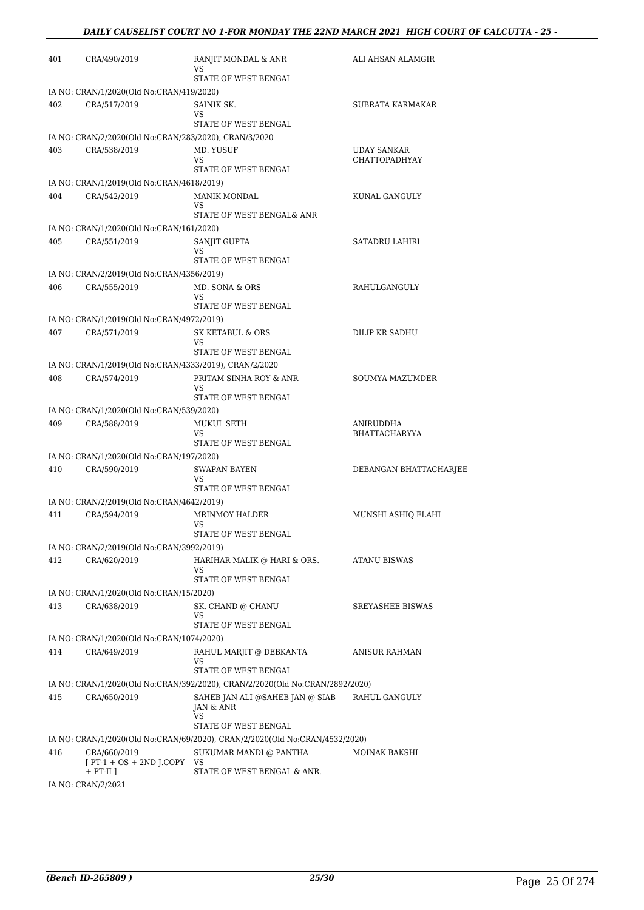| 401 | CRA/490/2019                                             | RANJIT MONDAL & ANR<br>VS                                                    | ALI AHSAN ALAMGIR       |
|-----|----------------------------------------------------------|------------------------------------------------------------------------------|-------------------------|
|     |                                                          | STATE OF WEST BENGAL                                                         |                         |
|     | IA NO: CRAN/1/2020(Old No:CRAN/419/2020)                 |                                                                              |                         |
| 402 | CRA/517/2019                                             | SAINIK SK.<br>VS                                                             | SUBRATA KARMAKAR        |
|     |                                                          | STATE OF WEST BENGAL                                                         |                         |
|     | IA NO: CRAN/2/2020(Old No:CRAN/283/2020), CRAN/3/2020    |                                                                              |                         |
| 403 | CRA/538/2019                                             | MD. YUSUF                                                                    | <b>UDAY SANKAR</b>      |
|     |                                                          | VS.<br>STATE OF WEST BENGAL                                                  | CHATTOPADHYAY           |
|     | IA NO: CRAN/1/2019(Old No:CRAN/4618/2019)                |                                                                              |                         |
| 404 | CRA/542/2019                                             | <b>MANIK MONDAL</b>                                                          | KUNAL GANGULY           |
|     |                                                          | VS                                                                           |                         |
|     |                                                          | STATE OF WEST BENGAL& ANR                                                    |                         |
| 405 | IA NO: CRAN/1/2020(Old No:CRAN/161/2020)                 |                                                                              |                         |
|     | CRA/551/2019                                             | SANJIT GUPTA<br><b>VS</b>                                                    | SATADRU LAHIRI          |
|     |                                                          | STATE OF WEST BENGAL                                                         |                         |
|     | IA NO: CRAN/2/2019(Old No:CRAN/4356/2019)                |                                                                              |                         |
| 406 | CRA/555/2019                                             | MD. SONA & ORS<br>VS                                                         | RAHULGANGULY            |
|     |                                                          | STATE OF WEST BENGAL                                                         |                         |
|     | IA NO: CRAN/1/2019(Old No:CRAN/4972/2019)                |                                                                              |                         |
| 407 | CRA/571/2019                                             | SK KETABUL & ORS                                                             | DILIP KR SADHU          |
|     |                                                          | VS.<br>STATE OF WEST BENGAL                                                  |                         |
|     | IA NO: CRAN/1/2019(Old No:CRAN/4333/2019), CRAN/2/2020   |                                                                              |                         |
| 408 | CRA/574/2019                                             | PRITAM SINHA ROY & ANR                                                       | <b>SOUMYA MAZUMDER</b>  |
|     |                                                          | VS                                                                           |                         |
|     |                                                          | STATE OF WEST BENGAL                                                         |                         |
| 409 | IA NO: CRAN/1/2020(Old No:CRAN/539/2020)<br>CRA/588/2019 | MUKUL SETH                                                                   | ANIRUDDHA               |
|     |                                                          | VS                                                                           | BHATTACHARYYA           |
|     |                                                          | STATE OF WEST BENGAL                                                         |                         |
|     | IA NO: CRAN/1/2020(Old No:CRAN/197/2020)                 |                                                                              |                         |
| 410 | CRA/590/2019                                             | <b>SWAPAN BAYEN</b><br>VS                                                    | DEBANGAN BHATTACHARJEE  |
|     |                                                          | STATE OF WEST BENGAL                                                         |                         |
|     | IA NO: CRAN/2/2019(Old No:CRAN/4642/2019)                |                                                                              |                         |
| 411 | CRA/594/2019                                             | <b>MRINMOY HALDER</b>                                                        | MUNSHI ASHIQ ELAHI      |
|     |                                                          | VS<br>STATE OF WEST BENGAL                                                   |                         |
|     | IA NO: CRAN/2/2019(Old No:CRAN/3992/2019)                |                                                                              |                         |
| 412 | CRA/620/2019                                             | HARIHAR MALIK @ HARI & ORS.                                                  | ATANU BISWAS            |
|     |                                                          | VS                                                                           |                         |
|     |                                                          | STATE OF WEST BENGAL                                                         |                         |
| 413 | IA NO: CRAN/1/2020(Old No:CRAN/15/2020)<br>CRA/638/2019  | SK. CHAND @ CHANU                                                            | <b>SREYASHEE BISWAS</b> |
|     |                                                          | VS                                                                           |                         |
|     |                                                          | STATE OF WEST BENGAL                                                         |                         |
|     | IA NO: CRAN/1/2020(Old No:CRAN/1074/2020)                |                                                                              |                         |
| 414 | CRA/649/2019                                             | RAHUL MARJIT @ DEBKANTA<br>VS.                                               | ANISUR RAHMAN           |
|     |                                                          | STATE OF WEST BENGAL                                                         |                         |
|     |                                                          | IA NO: CRAN/1/2020(Old No:CRAN/392/2020), CRAN/2/2020(Old No:CRAN/2892/2020) |                         |
| 415 | CRA/650/2019                                             | SAHEB JAN ALI @SAHEB JAN @ SIAB                                              | RAHUL GANGULY           |
|     |                                                          | JAN & ANR<br>VS                                                              |                         |
|     |                                                          | STATE OF WEST BENGAL                                                         |                         |
|     |                                                          | IA NO: CRAN/1/2020(Old No:CRAN/69/2020), CRAN/2/2020(Old No:CRAN/4532/2020)  |                         |
| 416 | CRA/660/2019                                             | SUKUMAR MANDI @ PANTHA                                                       | MOINAK BAKSHI           |
|     | $[PT-1 + OS + 2ND J.COPY VS]$<br>$+ PT-II$ ]             | STATE OF WEST BENGAL & ANR.                                                  |                         |
|     | IA NO: CRAN/2/2021                                       |                                                                              |                         |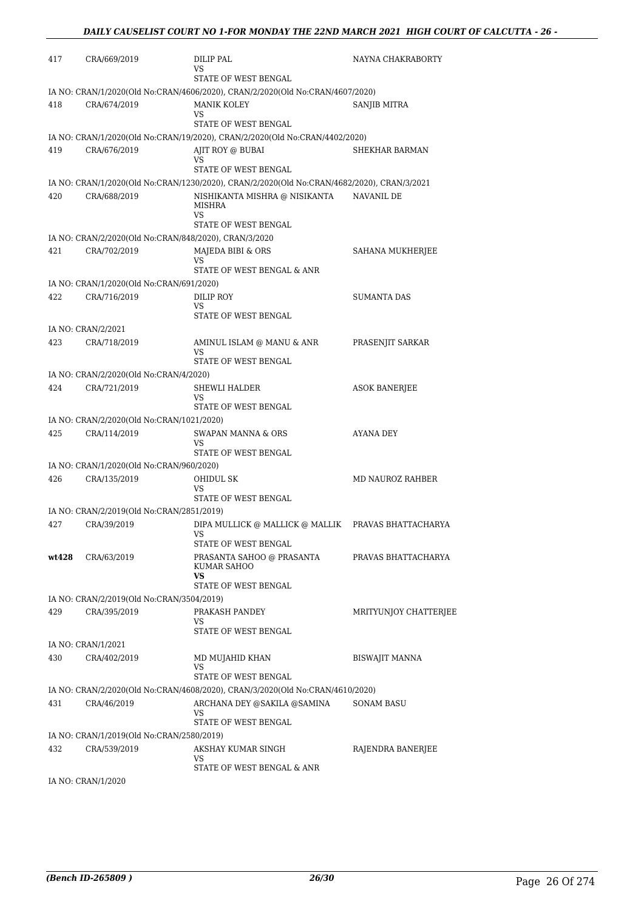| 417   | CRA/669/2019                                              | DILIP PAL<br>VS<br>STATE OF WEST BENGAL                                                    | NAYNA CHAKRABORTY     |
|-------|-----------------------------------------------------------|--------------------------------------------------------------------------------------------|-----------------------|
|       |                                                           | IA NO: CRAN/1/2020(Old No:CRAN/4606/2020), CRAN/2/2020(Old No:CRAN/4607/2020)              |                       |
| 418   | CRA/674/2019                                              | <b>MANIK KOLEY</b><br>VS<br>STATE OF WEST BENGAL                                           | SANJIB MITRA          |
|       |                                                           | IA NO: CRAN/1/2020(Old No:CRAN/19/2020), CRAN/2/2020(Old No:CRAN/4402/2020)                |                       |
| 419   | CRA/676/2019                                              | AJIT ROY @ BUBAI<br>VS<br>STATE OF WEST BENGAL                                             | SHEKHAR BARMAN        |
|       |                                                           | IA NO: CRAN/1/2020(Old No:CRAN/1230/2020), CRAN/2/2020(Old No:CRAN/4682/2020), CRAN/3/2021 |                       |
| 420   | CRA/688/2019                                              | NISHIKANTA MISHRA @ NISIKANTA<br><b>MISHRA</b>                                             | <b>NAVANIL DE</b>     |
|       |                                                           | <b>VS</b><br>STATE OF WEST BENGAL                                                          |                       |
|       |                                                           | IA NO: CRAN/2/2020(Old No:CRAN/848/2020), CRAN/3/2020                                      |                       |
| 421   | CRA/702/2019                                              | MAJEDA BIBI & ORS<br>VS                                                                    | SAHANA MUKHERJEE      |
|       |                                                           | STATE OF WEST BENGAL & ANR                                                                 |                       |
|       | IA NO: CRAN/1/2020(Old No:CRAN/691/2020)                  |                                                                                            |                       |
| 422   | CRA/716/2019                                              | DILIP ROY<br>VS<br>STATE OF WEST BENGAL                                                    | <b>SUMANTA DAS</b>    |
|       | IA NO: CRAN/2/2021                                        |                                                                                            |                       |
| 423   | CRA/718/2019                                              | AMINUL ISLAM @ MANU & ANR<br><b>VS</b>                                                     | PRASENJIT SARKAR      |
|       |                                                           | STATE OF WEST BENGAL                                                                       |                       |
|       | IA NO: CRAN/2/2020(Old No:CRAN/4/2020)                    |                                                                                            |                       |
| 424   | CRA/721/2019                                              | SHEWLI HALDER<br>VS<br>STATE OF WEST BENGAL                                                | ASOK BANERJEE         |
|       | IA NO: CRAN/2/2020(Old No:CRAN/1021/2020)                 |                                                                                            |                       |
| 425   | CRA/114/2019                                              | <b>SWAPAN MANNA &amp; ORS</b><br>VS                                                        | AYANA DEY             |
|       |                                                           | STATE OF WEST BENGAL                                                                       |                       |
| 426   | IA NO: CRAN/1/2020(Old No:CRAN/960/2020)<br>CRA/135/2019  | <b>OHIDUL SK</b>                                                                           | MD NAUROZ RAHBER      |
|       |                                                           | VS<br>STATE OF WEST BENGAL                                                                 |                       |
|       | IA NO: CRAN/2/2019(Old No:CRAN/2851/2019)                 |                                                                                            |                       |
| 427   | CRA/39/2019                                               | DIPA MULLICK @ MALLICK @ MALLIK<br>VS                                                      | PRAVAS BHATTACHARYA   |
| wt428 | CRA/63/2019                                               | STATE OF WEST BENGAL<br>PRASANTA SAHOO @ PRASANTA<br>KUMAR SAHOO<br>VS.                    | PRAVAS BHATTACHARYA   |
|       |                                                           | STATE OF WEST BENGAL                                                                       |                       |
| 429   | IA NO: CRAN/2/2019(Old No:CRAN/3504/2019)<br>CRA/395/2019 | PRAKASH PANDEY<br>VS                                                                       | MRITYUNJOY CHATTERJEE |
|       |                                                           | STATE OF WEST BENGAL                                                                       |                       |
|       | IA NO: CRAN/1/2021                                        |                                                                                            |                       |
| 430   | CRA/402/2019                                              | MD MUJAHID KHAN<br>VS<br>STATE OF WEST BENGAL                                              | <b>BISWAJIT MANNA</b> |
|       |                                                           | IA NO: CRAN/2/2020(Old No:CRAN/4608/2020), CRAN/3/2020(Old No:CRAN/4610/2020)              |                       |
| 431   | CRA/46/2019                                               | ARCHANA DEY @SAKILA @SAMINA<br>VS                                                          | <b>SONAM BASU</b>     |
|       |                                                           | STATE OF WEST BENGAL                                                                       |                       |
|       | IA NO: CRAN/1/2019(Old No:CRAN/2580/2019)                 |                                                                                            |                       |
| 432   | CRA/539/2019                                              | AKSHAY KUMAR SINGH<br>VS<br>STATE OF WEST BENGAL & ANR                                     | RAJENDRA BANERJEE     |
|       |                                                           |                                                                                            |                       |

IA NO: CRAN/1/2020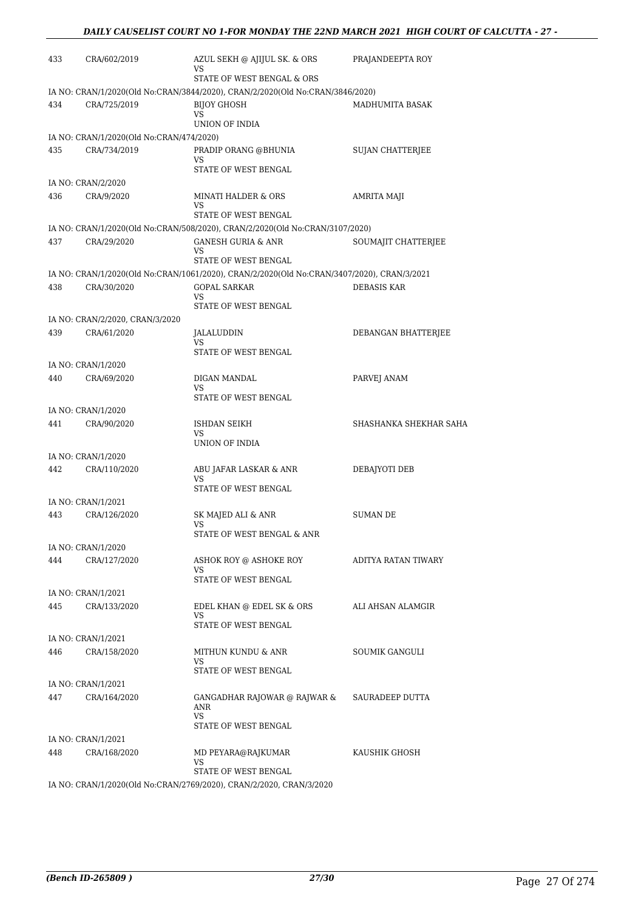| 433 | CRA/602/2019                             | AZUL SEKH @ AJIJUL SK. & ORS                                                               | PRAJANDEEPTA ROY        |
|-----|------------------------------------------|--------------------------------------------------------------------------------------------|-------------------------|
|     |                                          | VS<br>STATE OF WEST BENGAL & ORS                                                           |                         |
|     |                                          | IA NO: CRAN/1/2020(Old No:CRAN/3844/2020), CRAN/2/2020(Old No:CRAN/3846/2020)              |                         |
| 434 | CRA/725/2019                             | <b>BIJOY GHOSH</b>                                                                         | MADHUMITA BASAK         |
|     |                                          | VS<br>UNION OF INDIA                                                                       |                         |
|     | IA NO: CRAN/1/2020(Old No:CRAN/474/2020) |                                                                                            |                         |
| 435 | CRA/734/2019                             | PRADIP ORANG @BHUNIA                                                                       | <b>SUJAN CHATTERJEE</b> |
|     |                                          | VS<br>STATE OF WEST BENGAL                                                                 |                         |
|     | IA NO: CRAN/2/2020                       |                                                                                            |                         |
| 436 | CRA/9/2020                               | <b>MINATI HALDER &amp; ORS</b>                                                             | AMRITA MAJI             |
|     |                                          | VS<br>STATE OF WEST BENGAL                                                                 |                         |
|     |                                          | IA NO: CRAN/1/2020(Old No:CRAN/508/2020), CRAN/2/2020(Old No:CRAN/3107/2020)               |                         |
| 437 | CRA/29/2020                              | <b>GANESH GURIA &amp; ANR</b>                                                              | SOUMAJIT CHATTERJEE     |
|     |                                          | VS.                                                                                        |                         |
|     |                                          | STATE OF WEST BENGAL                                                                       |                         |
|     |                                          | IA NO: CRAN/1/2020(Old No:CRAN/1061/2020), CRAN/2/2020(Old No:CRAN/3407/2020), CRAN/3/2021 |                         |
| 438 | CRA/30/2020                              | <b>GOPAL SARKAR</b><br>VS.                                                                 | <b>DEBASIS KAR</b>      |
|     |                                          | STATE OF WEST BENGAL                                                                       |                         |
|     | IA NO: CRAN/2/2020, CRAN/3/2020          |                                                                                            |                         |
| 439 | CRA/61/2020                              | JALALUDDIN                                                                                 | DEBANGAN BHATTERJEE     |
|     |                                          | VS.<br>STATE OF WEST BENGAL                                                                |                         |
|     | IA NO: CRAN/1/2020                       |                                                                                            |                         |
| 440 | CRA/69/2020                              | DIGAN MANDAL                                                                               | PARVEJ ANAM             |
|     |                                          | VS                                                                                         |                         |
|     |                                          | STATE OF WEST BENGAL                                                                       |                         |
|     | IA NO: CRAN/1/2020                       |                                                                                            |                         |
| 441 | CRA/90/2020                              | ISHDAN SEIKH<br>VS                                                                         | SHASHANKA SHEKHAR SAHA  |
|     |                                          | UNION OF INDIA                                                                             |                         |
|     | IA NO: CRAN/1/2020                       |                                                                                            |                         |
| 442 | CRA/110/2020                             | ABU JAFAR LASKAR & ANR<br>VS                                                               | DEBAJYOTI DEB           |
|     |                                          | STATE OF WEST BENGAL                                                                       |                         |
|     | IA NO: CRAN/1/2021                       |                                                                                            |                         |
| 443 | CRA/126/2020                             | SK MAJED ALI & ANR                                                                         | <b>SUMAN DE</b>         |
|     |                                          | VS                                                                                         |                         |
|     | IA NO: CRAN/1/2020                       | STATE OF WEST BENGAL & ANR                                                                 |                         |
| 444 | CRA/127/2020                             | ASHOK ROY @ ASHOKE ROY                                                                     | ADITYA RATAN TIWARY     |
|     |                                          | VS                                                                                         |                         |
|     |                                          | STATE OF WEST BENGAL                                                                       |                         |
|     | IA NO: CRAN/1/2021                       |                                                                                            |                         |
| 445 | CRA/133/2020                             | EDEL KHAN @ EDEL SK & ORS<br>VS.                                                           | ALI AHSAN ALAMGIR       |
|     |                                          | STATE OF WEST BENGAL                                                                       |                         |
|     | IA NO: CRAN/1/2021                       |                                                                                            |                         |
| 446 | CRA/158/2020                             | MITHUN KUNDU & ANR                                                                         | <b>SOUMIK GANGULI</b>   |
|     |                                          | VS<br>STATE OF WEST BENGAL                                                                 |                         |
|     | IA NO: CRAN/1/2021                       |                                                                                            |                         |
| 447 | CRA/164/2020                             | GANGADHAR RAJOWAR @ RAJWAR &                                                               | SAURADEEP DUTTA         |
|     |                                          | ANR                                                                                        |                         |
|     |                                          | VS.<br>STATE OF WEST BENGAL                                                                |                         |
|     | IA NO: CRAN/1/2021                       |                                                                                            |                         |
| 448 | CRA/168/2020                             | MD PEYARA@RAJKUMAR                                                                         | KAUSHIK GHOSH           |
|     |                                          | VS.                                                                                        |                         |
|     |                                          | STATE OF WEST BENGAL                                                                       |                         |
|     |                                          | IA NO: CRAN/1/2020(Old No:CRAN/2769/2020), CRAN/2/2020, CRAN/3/2020                        |                         |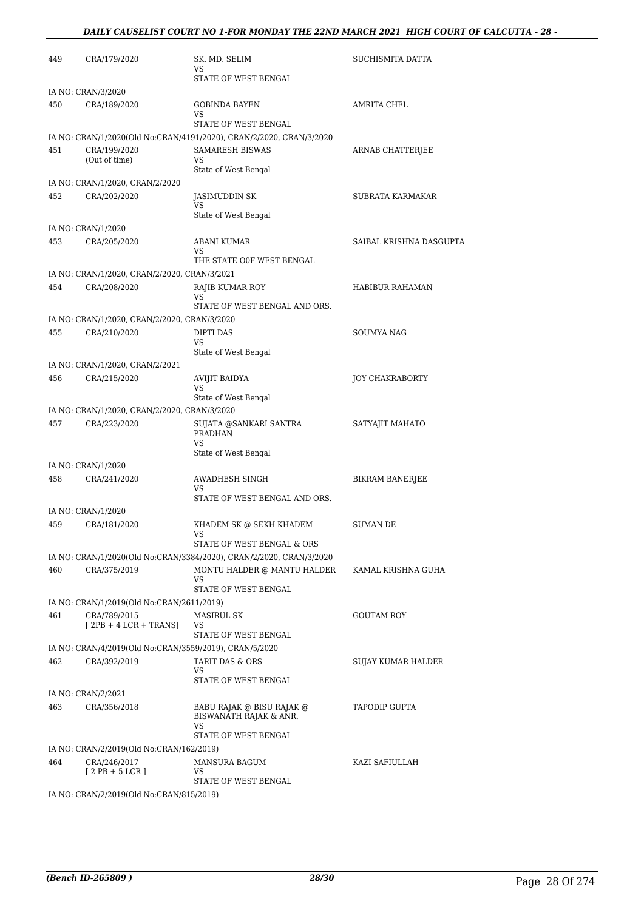### *DAILY CAUSELIST COURT NO 1-FOR MONDAY THE 22ND MARCH 2021 HIGH COURT OF CALCUTTA - 28 -*

| 449 | CRA/179/2020                                           | SK. MD. SELIM<br>VS<br>STATE OF WEST BENGAL                         | SUCHISMITA DATTA          |
|-----|--------------------------------------------------------|---------------------------------------------------------------------|---------------------------|
|     |                                                        |                                                                     |                           |
| 450 | IA NO: CRAN/3/2020<br>CRA/189/2020                     | GOBINDA BAYEN                                                       | AMRITA CHEL               |
|     |                                                        | VS<br>STATE OF WEST BENGAL                                          |                           |
|     |                                                        | IA NO: CRAN/1/2020(Old No:CRAN/4191/2020), CRAN/2/2020, CRAN/3/2020 |                           |
| 451 | CRA/199/2020                                           | <b>SAMARESH BISWAS</b>                                              | ARNAB CHATTERJEE          |
|     | (Out of time)                                          | VS                                                                  |                           |
|     |                                                        | State of West Bengal                                                |                           |
|     | IA NO: CRAN/1/2020, CRAN/2/2020                        |                                                                     |                           |
| 452 | CRA/202/2020                                           | JASIMUDDIN SK<br>VS                                                 | SUBRATA KARMAKAR          |
|     |                                                        | State of West Bengal                                                |                           |
|     | IA NO: CRAN/1/2020                                     |                                                                     |                           |
| 453 | CRA/205/2020                                           | <b>ABANI KUMAR</b>                                                  | SAIBAL KRISHNA DASGUPTA   |
|     |                                                        | VS<br>THE STATE OOF WEST BENGAL                                     |                           |
|     | IA NO: CRAN/1/2020, CRAN/2/2020, CRAN/3/2021           |                                                                     |                           |
| 454 | CRA/208/2020                                           | RAJIB KUMAR ROY                                                     | HABIBUR RAHAMAN           |
|     |                                                        | VS                                                                  |                           |
|     |                                                        | STATE OF WEST BENGAL AND ORS.                                       |                           |
|     | IA NO: CRAN/1/2020, CRAN/2/2020, CRAN/3/2020           |                                                                     |                           |
| 455 | CRA/210/2020                                           | DIPTI DAS<br>VS                                                     | SOUMYA NAG                |
|     |                                                        | State of West Bengal                                                |                           |
|     | IA NO: CRAN/1/2020, CRAN/2/2021                        |                                                                     |                           |
| 456 | CRA/215/2020                                           | <b>AVIJIT BAIDYA</b>                                                | <b>JOY CHAKRABORTY</b>    |
|     |                                                        | VS                                                                  |                           |
|     | IA NO: CRAN/1/2020, CRAN/2/2020, CRAN/3/2020           | State of West Bengal                                                |                           |
| 457 |                                                        |                                                                     |                           |
|     | CRA/223/2020                                           | SUJATA @SANKARI SANTRA<br><b>PRADHAN</b><br><b>VS</b>               | SATYAJIT MAHATO           |
|     |                                                        | State of West Bengal                                                |                           |
| 458 | IA NO: CRAN/1/2020                                     | AWADHESH SINGH                                                      |                           |
|     | CRA/241/2020                                           | VS                                                                  | BIKRAM BANERJEE           |
|     |                                                        | STATE OF WEST BENGAL AND ORS.                                       |                           |
|     | IA NO: CRAN/1/2020                                     |                                                                     |                           |
| 459 | CRA/181/2020                                           | KHADEM SK @ SEKH KHADEM<br>VS.                                      | <b>SUMAN DE</b>           |
|     |                                                        | STATE OF WEST BENGAL & ORS                                          |                           |
|     |                                                        | IA NO: CRAN/1/2020(Old No:CRAN/3384/2020), CRAN/2/2020, CRAN/3/2020 |                           |
| 460 | CRA/375/2019                                           | MONTU HALDER @ MANTU HALDER                                         | KAMAL KRISHNA GUHA        |
|     |                                                        | VS.<br>STATE OF WEST BENGAL                                         |                           |
|     | IA NO: CRAN/1/2019(Old No:CRAN/2611/2019)              |                                                                     |                           |
| 461 | CRA/789/2015                                           | <b>MASIRUL SK</b>                                                   | <b>GOUTAM ROY</b>         |
|     | $[2PB + 4 LCR + TRANS]$                                | VS                                                                  |                           |
|     |                                                        | STATE OF WEST BENGAL                                                |                           |
|     | IA NO: CRAN/4/2019(Old No:CRAN/3559/2019), CRAN/5/2020 |                                                                     |                           |
| 462 | CRA/392/2019                                           | TARIT DAS & ORS<br>VS.                                              | <b>SUJAY KUMAR HALDER</b> |
|     |                                                        | STATE OF WEST BENGAL                                                |                           |
|     | IA NO: CRAN/2/2021                                     |                                                                     |                           |
| 463 | CRA/356/2018                                           | BABU RAJAK @ BISU RAJAK @                                           | TAPODIP GUPTA             |
|     |                                                        | BISWANATH RAJAK & ANR.                                              |                           |
|     |                                                        | VS<br>STATE OF WEST BENGAL                                          |                           |
|     | IA NO: CRAN/2/2019(Old No:CRAN/162/2019)               |                                                                     |                           |
| 464 | CRA/246/2017                                           | <b>MANSURA BAGUM</b>                                                | KAZI SAFIULLAH            |
|     | $[2PB+5LCR]$                                           | VS                                                                  |                           |
|     |                                                        | STATE OF WEST BENGAL                                                |                           |
|     | IA NO: CRAN/2/2019(Old No:CRAN/815/2019)               |                                                                     |                           |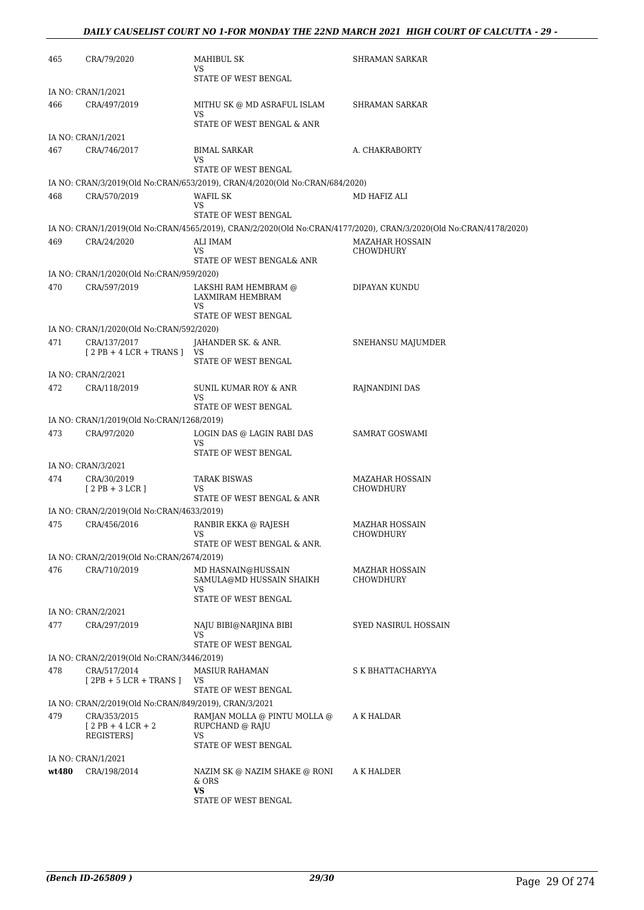### *DAILY CAUSELIST COURT NO 1-FOR MONDAY THE 22ND MARCH 2021 HIGH COURT OF CALCUTTA - 29 -*

| 465   | CRA/79/2020                                                           | MAHIBUL SK<br>VS                                                            | SHRAMAN SARKAR                                                                                                    |
|-------|-----------------------------------------------------------------------|-----------------------------------------------------------------------------|-------------------------------------------------------------------------------------------------------------------|
|       |                                                                       | STATE OF WEST BENGAL                                                        |                                                                                                                   |
|       | IA NO: CRAN/1/2021                                                    |                                                                             |                                                                                                                   |
| 466   | CRA/497/2019                                                          | MITHU SK @ MD ASRAFUL ISLAM<br>VS<br>STATE OF WEST BENGAL & ANR             | SHRAMAN SARKAR                                                                                                    |
|       | IA NO: CRAN/1/2021                                                    |                                                                             |                                                                                                                   |
| 467   | CRA/746/2017                                                          | <b>BIMAL SARKAR</b>                                                         | A. CHAKRABORTY                                                                                                    |
|       |                                                                       | VS<br>STATE OF WEST BENGAL                                                  |                                                                                                                   |
|       |                                                                       | IA NO: CRAN/3/2019(Old No:CRAN/653/2019), CRAN/4/2020(Old No:CRAN/684/2020) |                                                                                                                   |
| 468   | CRA/570/2019                                                          | WAFIL SK                                                                    | MD HAFIZ ALI                                                                                                      |
|       |                                                                       | VS<br>STATE OF WEST BENGAL                                                  |                                                                                                                   |
|       |                                                                       |                                                                             | IA NO: CRAN/1/2019(Old No:CRAN/4565/2019), CRAN/2/2020(Old No:CRAN/4177/2020), CRAN/3/2020(Old No:CRAN/4178/2020) |
| 469   | CRA/24/2020                                                           | ALI IMAM                                                                    | MAZAHAR HOSSAIN                                                                                                   |
|       |                                                                       | VS.                                                                         | CHOWDHURY                                                                                                         |
|       | IA NO: CRAN/1/2020(Old No:CRAN/959/2020)                              | STATE OF WEST BENGAL& ANR                                                   |                                                                                                                   |
| 470   | CRA/597/2019                                                          | LAKSHI RAM HEMBRAM @                                                        | DIPAYAN KUNDU                                                                                                     |
|       |                                                                       | LAXMIRAM HEMBRAM<br>VS                                                      |                                                                                                                   |
|       |                                                                       | STATE OF WEST BENGAL                                                        |                                                                                                                   |
|       | IA NO: CRAN/1/2020(Old No:CRAN/592/2020)                              |                                                                             |                                                                                                                   |
| 471   | CRA/137/2017<br>$[2PB + 4LCR + TRANS]$                                | JAHANDER SK. & ANR.<br>VS                                                   | SNEHANSU MAJUMDER                                                                                                 |
|       |                                                                       | STATE OF WEST BENGAL                                                        |                                                                                                                   |
|       | IA NO: CRAN/2/2021                                                    |                                                                             |                                                                                                                   |
| 472   | CRA/118/2019                                                          | SUNIL KUMAR ROY & ANR<br>VS                                                 | RAJNANDINI DAS                                                                                                    |
|       |                                                                       | STATE OF WEST BENGAL                                                        |                                                                                                                   |
|       | IA NO: CRAN/1/2019(Old No:CRAN/1268/2019)                             |                                                                             |                                                                                                                   |
| 473   | CRA/97/2020                                                           | LOGIN DAS @ LAGIN RABI DAS<br>VS                                            | SAMRAT GOSWAMI                                                                                                    |
|       |                                                                       | STATE OF WEST BENGAL                                                        |                                                                                                                   |
|       | IA NO: CRAN/3/2021                                                    |                                                                             |                                                                                                                   |
| 474   | CRA/30/2019<br>$[2PB+3LCR]$                                           | <b>TARAK BISWAS</b><br>VS                                                   | <b>MAZAHAR HOSSAIN</b><br>CHOWDHURY                                                                               |
|       |                                                                       | STATE OF WEST BENGAL & ANR                                                  |                                                                                                                   |
|       | IA NO: CRAN/2/2019(Old No:CRAN/4633/2019)                             |                                                                             |                                                                                                                   |
| 475   | CRA/456/2016                                                          | RANBIR EKKA @ RAJESH<br>VS                                                  | <b>MAZHAR HOSSAIN</b><br>CHOWDHURY                                                                                |
|       |                                                                       | STATE OF WEST BENGAL & ANR.                                                 |                                                                                                                   |
|       | IA NO: CRAN/2/2019(Old No:CRAN/2674/2019)                             |                                                                             |                                                                                                                   |
| 476   | CRA/710/2019                                                          | MD HASNAIN@HUSSAIN<br>SAMULA@MD HUSSAIN SHAIKH                              | <b>MAZHAR HOSSAIN</b><br><b>CHOWDHURY</b>                                                                         |
|       |                                                                       | VS<br>STATE OF WEST BENGAL                                                  |                                                                                                                   |
|       | IA NO: CRAN/2/2021                                                    |                                                                             |                                                                                                                   |
| 477   | CRA/297/2019                                                          | NAJU BIBI@NARJINA BIBI<br>VS.                                               | SYED NASIRUL HOSSAIN                                                                                              |
|       |                                                                       | STATE OF WEST BENGAL                                                        |                                                                                                                   |
|       | IA NO: CRAN/2/2019(Old No:CRAN/3446/2019)                             |                                                                             |                                                                                                                   |
| 478   | CRA/517/2014<br>$[2PB + 5 LCR + TRANS]$                               | MASIUR RAHAMAN<br>VS.                                                       | S K BHATTACHARYYA                                                                                                 |
|       |                                                                       | STATE OF WEST BENGAL                                                        |                                                                                                                   |
| 479   | IA NO: CRAN/2/2019(Old No:CRAN/849/2019), CRAN/3/2021<br>CRA/353/2015 | RAMJAN MOLLA @ PINTU MOLLA @                                                | A K HALDAR                                                                                                        |
|       | $[2PB + 4LCR + 2]$<br>REGISTERS]                                      | RUPCHAND @ RAJU<br>VS                                                       |                                                                                                                   |
|       |                                                                       | STATE OF WEST BENGAL                                                        |                                                                                                                   |
|       | IA NO: CRAN/1/2021                                                    |                                                                             |                                                                                                                   |
| wt480 | CRA/198/2014                                                          | NAZIM SK @ NAZIM SHAKE @ RONI<br>& ORS<br>VS.                               | A K HALDER                                                                                                        |
|       |                                                                       | STATE OF WEST BENGAL                                                        |                                                                                                                   |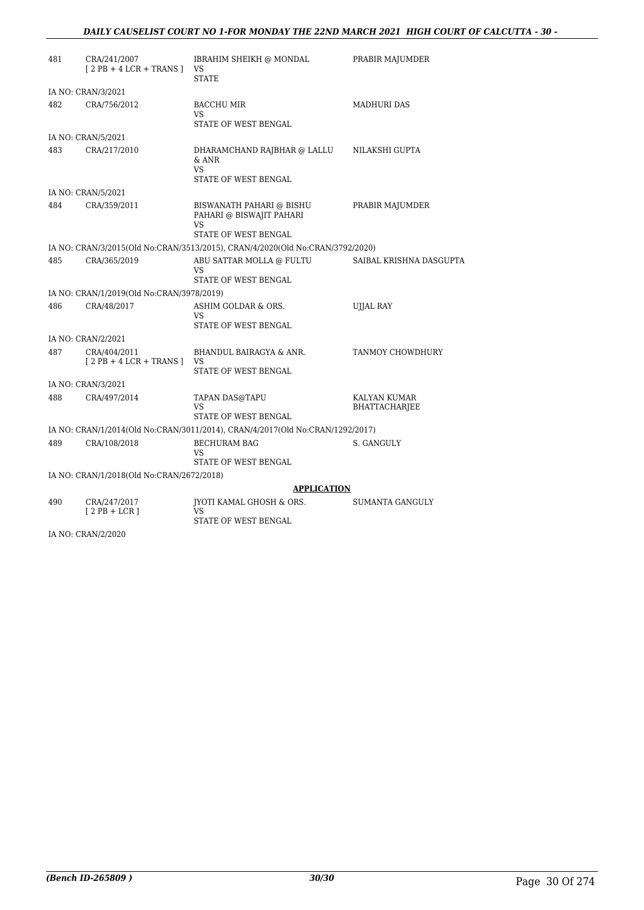#### *DAILY CAUSELIST COURT NO 1-FOR MONDAY THE 22ND MARCH 2021 HIGH COURT OF CALCUTTA - 30 -*

| 481 | CRA/241/2007<br>$[2PB + 4LCR + TRANS]$    | IBRAHIM SHEIKH @ MONDAL<br>VS<br><b>STATE</b>                                       | PRABIR MAJUMDER                      |
|-----|-------------------------------------------|-------------------------------------------------------------------------------------|--------------------------------------|
|     | IA NO: CRAN/3/2021                        |                                                                                     |                                      |
| 482 | CRA/756/2012                              | <b>BACCHU MIR</b><br>VS<br>STATE OF WEST BENGAL                                     | <b>MADHURI DAS</b>                   |
|     | IA NO: CRAN/5/2021                        |                                                                                     |                                      |
| 483 | CRA/217/2010                              | DHARAMCHAND RAJBHAR @ LALLU<br>& ANR<br><b>VS</b><br>STATE OF WEST BENGAL           | NILAKSHI GUPTA                       |
|     | IA NO: CRAN/5/2021                        |                                                                                     |                                      |
| 484 | CRA/359/2011                              | BISWANATH PAHARI @ BISHU<br>PAHARI @ BISWAJIT PAHARI<br>VS.<br>STATE OF WEST BENGAL | PRABIR MAJUMDER                      |
|     |                                           | IA NO: CRAN/3/2015(Old No:CRAN/3513/2015), CRAN/4/2020(Old No:CRAN/3792/2020)       |                                      |
| 485 | CRA/365/2019                              | ABU SATTAR MOLLA @ FULTU<br>VS.<br>STATE OF WEST BENGAL                             | SAIBAL KRISHNA DASGUPTA              |
|     | IA NO: CRAN/1/2019(Old No:CRAN/3978/2019) |                                                                                     |                                      |
| 486 | CRA/48/2017                               | ASHIM GOLDAR & ORS.<br><b>VS</b><br>STATE OF WEST BENGAL                            | <b>UJJAL RAY</b>                     |
|     | IA NO: CRAN/2/2021                        |                                                                                     |                                      |
| 487 | CRA/404/2011<br>$[2PB + 4LCR + TRANS]$    | BHANDUL BAIRAGYA & ANR.<br><b>VS</b><br>STATE OF WEST BENGAL                        | TANMOY CHOWDHURY                     |
|     | IA NO: CRAN/3/2021                        |                                                                                     |                                      |
| 488 | CRA/497/2014                              | TAPAN DAS@TAPU<br>VS.<br>STATE OF WEST BENGAL                                       | KALYAN KUMAR<br><b>BHATTACHARJEE</b> |
|     |                                           | IA NO: CRAN/1/2014(Old No:CRAN/3011/2014), CRAN/4/2017(Old No:CRAN/1292/2017)       |                                      |
| 489 | CRA/108/2018                              | <b>BECHURAM BAG</b><br><b>VS</b><br>STATE OF WEST BENGAL                            | S. GANGULY                           |
|     | IA NO: CRAN/1/2018(Old No:CRAN/2672/2018) |                                                                                     |                                      |
|     |                                           | <b>APPLICATION</b>                                                                  |                                      |
| 490 | CRA/247/2017<br>$[2PB + LCR]$             | IYOTI KAMAL GHOSH & ORS.<br>VS<br>$CPTAPP$ $\triangle P$ $MPPCP$ $DPIOAT$           | SUMANTA GANGULY                      |

STATE OF WEST BENGAL

IA NO: CRAN/2/2020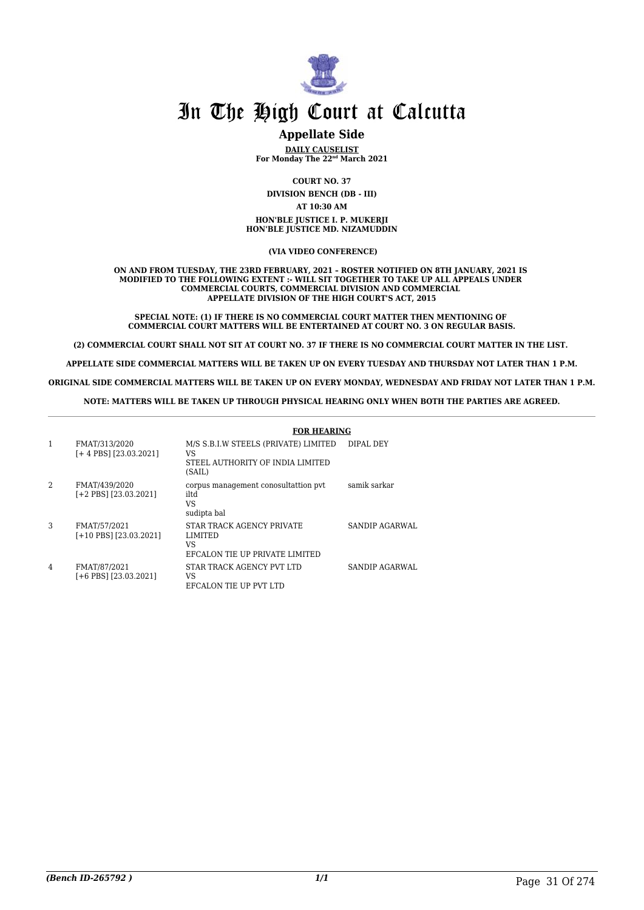

### **Appellate Side**

**DAILY CAUSELIST For Monday The 22nd March 2021**

**COURT NO. 37 DIVISION BENCH (DB - III) AT 10:30 AM HON'BLE JUSTICE I. P. MUKERJI HON'BLE JUSTICE MD. NIZAMUDDIN**

 **(VIA VIDEO CONFERENCE)**

**ON AND FROM TUESDAY, THE 23RD FEBRUARY, 2021 – ROSTER NOTIFIED ON 8TH JANUARY, 2021 IS MODIFIED TO THE FOLLOWING EXTENT :- WILL SIT TOGETHER TO TAKE UP ALL APPEALS UNDER COMMERCIAL COURTS, COMMERCIAL DIVISION AND COMMERCIAL APPELLATE DIVISION OF THE HIGH COURT'S ACT, 2015**

**SPECIAL NOTE: (1) IF THERE IS NO COMMERCIAL COURT MATTER THEN MENTIONING OF COMMERCIAL COURT MATTERS WILL BE ENTERTAINED AT COURT NO. 3 ON REGULAR BASIS.**

**(2) COMMERCIAL COURT SHALL NOT SIT AT COURT NO. 37 IF THERE IS NO COMMERCIAL COURT MATTER IN THE LIST.** 

**APPELLATE SIDE COMMERCIAL MATTERS WILL BE TAKEN UP ON EVERY TUESDAY AND THURSDAY NOT LATER THAN 1 P.M.**

**ORIGINAL SIDE COMMERCIAL MATTERS WILL BE TAKEN UP ON EVERY MONDAY, WEDNESDAY AND FRIDAY NOT LATER THAN 1 P.M.**

**NOTE: MATTERS WILL BE TAKEN UP THROUGH PHYSICAL HEARING ONLY WHEN BOTH THE PARTIES ARE AGREED.**

|   |                                            | <b>FOR HEARING</b>                                                                       |                       |
|---|--------------------------------------------|------------------------------------------------------------------------------------------|-----------------------|
|   | FMAT/313/2020<br>$[+4$ PBS] $[23.03.2021]$ | M/S S.B.I.W STEELS (PRIVATE) LIMITED<br>VS<br>STEEL AUTHORITY OF INDIA LIMITED<br>(SAIL) | DIPAL DEY             |
| 2 | FMAT/439/2020<br>$[-2$ PBS] $[23.03.2021]$ | corpus management conosultattion pvt<br>iltd<br>VS<br>sudipta bal                        | samik sarkar          |
| 3 | FMAT/57/2021<br>[+10 PBS] [23.03.2021]     | STAR TRACK AGENCY PRIVATE<br>LIMITED<br>VS<br>EFCALON TIE UP PRIVATE LIMITED             | SANDIP AGARWAL        |
| 4 | FMAT/87/2021<br>f+6 PBS1 [23.03.2021]      | STAR TRACK AGENCY PVT LTD<br>VS<br>EFCALON TIE UP PVT LTD                                | <b>SANDIP AGARWAL</b> |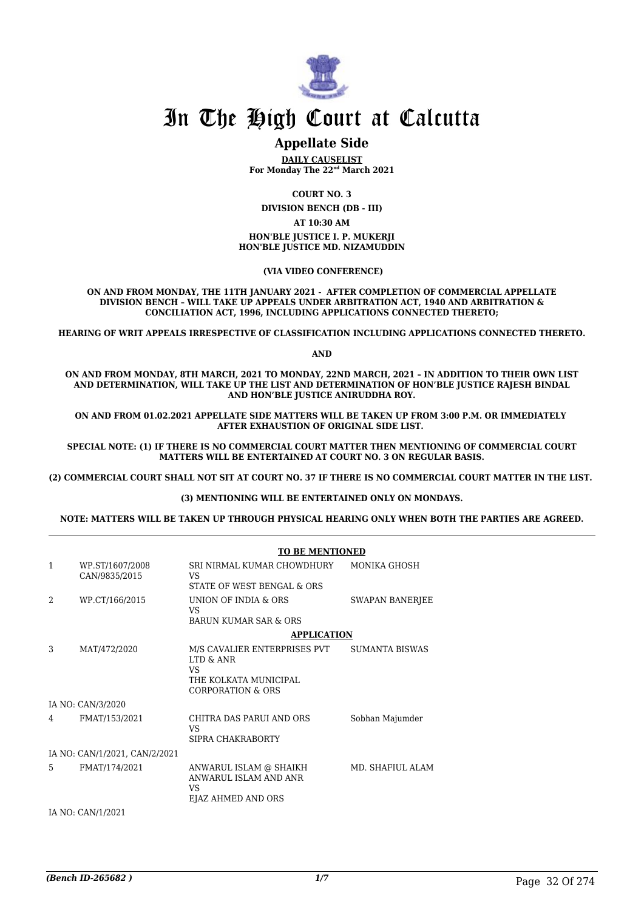

### **Appellate Side**

**DAILY CAUSELIST For Monday The 22nd March 2021**

**COURT NO. 3**

**DIVISION BENCH (DB - III)**

**AT 10:30 AM HON'BLE JUSTICE I. P. MUKERJI HON'BLE JUSTICE MD. NIZAMUDDIN**

 **(VIA VIDEO CONFERENCE)**

**ON AND FROM MONDAY, THE 11TH JANUARY 2021 - AFTER COMPLETION OF COMMERCIAL APPELLATE DIVISION BENCH – WILL TAKE UP APPEALS UNDER ARBITRATION ACT, 1940 AND ARBITRATION & CONCILIATION ACT, 1996, INCLUDING APPLICATIONS CONNECTED THERETO;**

**HEARING OF WRIT APPEALS IRRESPECTIVE OF CLASSIFICATION INCLUDING APPLICATIONS CONNECTED THERETO.**

**AND**

**ON AND FROM MONDAY, 8TH MARCH, 2021 TO MONDAY, 22ND MARCH, 2021 – IN ADDITION TO THEIR OWN LIST AND DETERMINATION, WILL TAKE UP THE LIST AND DETERMINATION OF HON'BLE JUSTICE RAJESH BINDAL AND HON'BLE JUSTICE ANIRUDDHA ROY.**

**ON AND FROM 01.02.2021 APPELLATE SIDE MATTERS WILL BE TAKEN UP FROM 3:00 P.M. OR IMMEDIATELY AFTER EXHAUSTION OF ORIGINAL SIDE LIST.** 

**SPECIAL NOTE: (1) IF THERE IS NO COMMERCIAL COURT MATTER THEN MENTIONING OF COMMERCIAL COURT MATTERS WILL BE ENTERTAINED AT COURT NO. 3 ON REGULAR BASIS.**

**(2) COMMERCIAL COURT SHALL NOT SIT AT COURT NO. 37 IF THERE IS NO COMMERCIAL COURT MATTER IN THE LIST.** 

#### **(3) MENTIONING WILL BE ENTERTAINED ONLY ON MONDAYS.**

**NOTE: MATTERS WILL BE TAKEN UP THROUGH PHYSICAL HEARING ONLY WHEN BOTH THE PARTIES ARE AGREED.**

|                |                                  | <b>TO BE MENTIONED</b>                                                                                    |                        |
|----------------|----------------------------------|-----------------------------------------------------------------------------------------------------------|------------------------|
| $\mathbf{1}$   | WP.ST/1607/2008<br>CAN/9835/2015 | SRI NIRMAL KUMAR CHOWDHURY<br>VS.<br>STATE OF WEST BENGAL & ORS                                           | MONIKA GHOSH           |
| $\overline{2}$ | WP.CT/166/2015                   | UNION OF INDIA & ORS<br>VS.<br>BARUN KUMAR SAR & ORS                                                      | <b>SWAPAN BANERJEE</b> |
|                |                                  | <b>APPLICATION</b>                                                                                        |                        |
| 3              | MAT/472/2020                     | M/S CAVALIER ENTERPRISES PVT<br>LTD & ANR<br>VS.<br>THE KOLKATA MUNICIPAL<br><b>CORPORATION &amp; ORS</b> | <b>SUMANTA BISWAS</b>  |
|                | IA NO: CAN/3/2020                |                                                                                                           |                        |
| 4              | FMAT/153/2021                    | CHITRA DAS PARUI AND ORS<br>VS.<br>SIPRA CHAKRABORTY                                                      | Sobhan Majumder        |
|                | IA NO: CAN/1/2021, CAN/2/2021    |                                                                                                           |                        |
| 5              | FMAT/174/2021                    | ANWARUL ISLAM @ SHAIKH<br>ANWARUL ISLAM AND ANR<br>VS.<br>EJAZ AHMED AND ORS                              | MD. SHAFIUL ALAM       |
|                | IA NO: CAN/1/2021                |                                                                                                           |                        |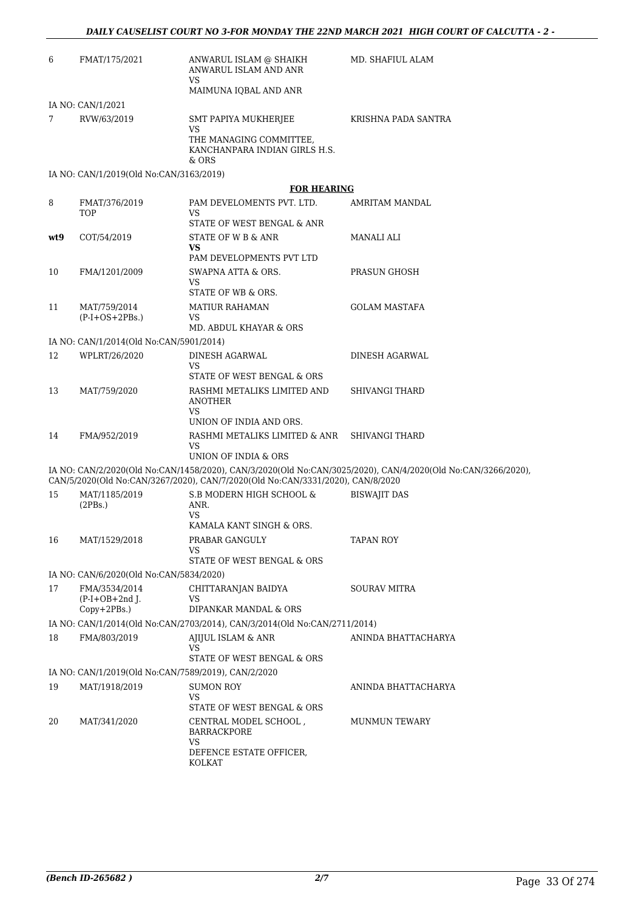| 6   | FMAT/175/2021                                       | ANWARUL ISLAM @ SHAIKH<br>ANWARUL ISLAM AND ANR<br><b>VS</b>                   | MD. SHAFIUL ALAM                                                                                             |
|-----|-----------------------------------------------------|--------------------------------------------------------------------------------|--------------------------------------------------------------------------------------------------------------|
|     |                                                     | MAIMUNA IOBAL AND ANR                                                          |                                                                                                              |
|     | IA NO: CAN/1/2021                                   |                                                                                |                                                                                                              |
| 7   | RVW/63/2019                                         | SMT PAPIYA MUKHERJEE<br><b>VS</b>                                              | KRISHNA PADA SANTRA                                                                                          |
|     |                                                     | THE MANAGING COMMITTEE,<br>KANCHANPARA INDIAN GIRLS H.S.<br>& ORS              |                                                                                                              |
|     | IA NO: CAN/1/2019(Old No:CAN/3163/2019)             |                                                                                |                                                                                                              |
|     |                                                     | <b>FOR HEARING</b>                                                             |                                                                                                              |
| 8   | FMAT/376/2019<br>TOP                                | PAM DEVELOMENTS PVT. LTD.<br><b>VS</b>                                         | AMRITAM MANDAL                                                                                               |
|     |                                                     | STATE OF WEST BENGAL & ANR                                                     |                                                                                                              |
| wt9 | COT/54/2019                                         | STATE OF W B & ANR<br><b>VS</b>                                                | MANALI ALI                                                                                                   |
|     |                                                     | PAM DEVELOPMENTS PVT LTD                                                       |                                                                                                              |
| 10  | FMA/1201/2009                                       | SWAPNA ATTA & ORS.<br>VS.<br>STATE OF WB & ORS.                                | PRASUN GHOSH                                                                                                 |
| 11  | MAT/759/2014                                        | <b>MATIUR RAHAMAN</b>                                                          | <b>GOLAM MASTAFA</b>                                                                                         |
|     | $(P-I+OS+2PBs.)$                                    | VS.                                                                            |                                                                                                              |
|     |                                                     | MD. ABDUL KHAYAR & ORS                                                         |                                                                                                              |
|     | IA NO: CAN/1/2014(Old No:CAN/5901/2014)             |                                                                                |                                                                                                              |
| 12  | WPLRT/26/2020                                       | DINESH AGARWAL<br><b>VS</b><br>STATE OF WEST BENGAL & ORS                      | DINESH AGARWAL                                                                                               |
| 13  | MAT/759/2020                                        | RASHMI METALIKS LIMITED AND                                                    | <b>SHIVANGI THARD</b>                                                                                        |
|     |                                                     | <b>ANOTHER</b><br><b>VS</b>                                                    |                                                                                                              |
|     |                                                     | UNION OF INDIA AND ORS.                                                        |                                                                                                              |
| 14  | FMA/952/2019                                        | RASHMI METALIKS LIMITED & ANR<br>VS<br>UNION OF INDIA & ORS                    | <b>SHIVANGI THARD</b>                                                                                        |
|     |                                                     | CAN/5/2020(Old No:CAN/3267/2020), CAN/7/2020(Old No:CAN/3331/2020), CAN/8/2020 | IA NO: CAN/2/2020(Old No:CAN/1458/2020), CAN/3/2020(Old No:CAN/3025/2020), CAN/4/2020(Old No:CAN/3266/2020), |
| 15  | MAT/1185/2019                                       | S.B MODERN HIGH SCHOOL &                                                       | <b>BISWAJIT DAS</b>                                                                                          |
|     | (2PBs.)                                             | ANR.<br><b>VS</b>                                                              |                                                                                                              |
| 16  | MAT/1529/2018                                       | KAMALA KANT SINGH & ORS.<br>PRABAR GANGULY                                     |                                                                                                              |
|     |                                                     | VS.<br>STATE OF WEST BENGAL & ORS                                              | TAPAN ROY                                                                                                    |
|     | IA NO: CAN/6/2020(Old No:CAN/5834/2020)             |                                                                                |                                                                                                              |
| 17  | FMA/3534/2014                                       | CHITTARANJAN BAIDYA                                                            | <b>SOURAV MITRA</b>                                                                                          |
|     | $(P-I+OB+2nd$ ].                                    | VS.                                                                            |                                                                                                              |
|     | Copy+2PBs.)                                         | DIPANKAR MANDAL & ORS                                                          |                                                                                                              |
|     |                                                     | IA NO: CAN/1/2014(Old No:CAN/2703/2014), CAN/3/2014(Old No:CAN/2711/2014)      |                                                                                                              |
| 18  | FMA/803/2019                                        | AJIJUL ISLAM & ANR<br><b>VS</b><br>STATE OF WEST BENGAL & ORS                  | ANINDA BHATTACHARYA                                                                                          |
|     | IA NO: CAN/1/2019(Old No:CAN/7589/2019), CAN/2/2020 |                                                                                |                                                                                                              |
| 19  | MAT/1918/2019                                       | SUMON ROY                                                                      | ANINDA BHATTACHARYA                                                                                          |
|     |                                                     | <b>VS</b><br>STATE OF WEST BENGAL & ORS                                        |                                                                                                              |
| 20  | MAT/341/2020                                        | CENTRAL MODEL SCHOOL,<br><b>BARRACKPORE</b><br><b>VS</b>                       | MUNMUN TEWARY                                                                                                |
|     |                                                     | DEFENCE ESTATE OFFICER,<br>KOLKAT                                              |                                                                                                              |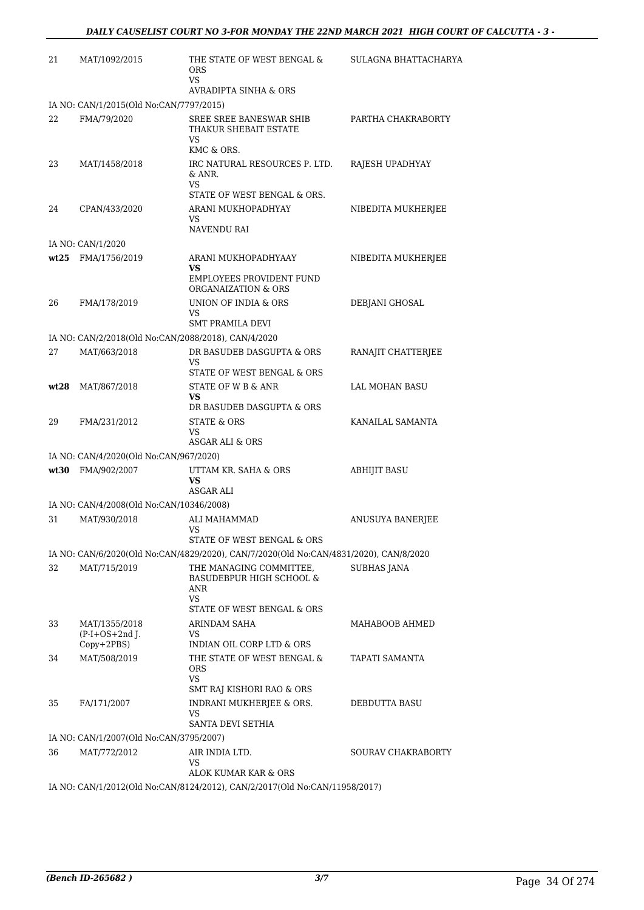| 21   | MAT/1092/2015                                       | THE STATE OF WEST BENGAL &<br><b>ORS</b><br>VS                                                            | SULAGNA BHATTACHARYA    |
|------|-----------------------------------------------------|-----------------------------------------------------------------------------------------------------------|-------------------------|
|      |                                                     | AVRADIPTA SINHA & ORS                                                                                     |                         |
|      | IA NO: CAN/1/2015(Old No:CAN/7797/2015)             |                                                                                                           |                         |
| 22   | FMA/79/2020                                         | SREE SREE BANESWAR SHIB<br>THAKUR SHEBAIT ESTATE<br>VS                                                    | PARTHA CHAKRABORTY      |
| 23   | MAT/1458/2018                                       | KMC & ORS.<br>IRC NATURAL RESOURCES P. LTD.<br>& ANR.                                                     | RAJESH UPADHYAY         |
|      |                                                     | VS<br>STATE OF WEST BENGAL & ORS.                                                                         |                         |
| 24   | CPAN/433/2020                                       | ARANI MUKHOPADHYAY<br>VS                                                                                  | NIBEDITA MUKHERJEE      |
|      |                                                     | NAVENDU RAI                                                                                               |                         |
|      | IA NO: CAN/1/2020                                   |                                                                                                           |                         |
|      | wt25 FMA/1756/2019                                  | ARANI MUKHOPADHYAAY<br>VS<br><b>EMPLOYEES PROVIDENT FUND</b><br>ORGANAIZATION & ORS                       | NIBEDITA MUKHERJEE      |
| 26   | FMA/178/2019                                        | UNION OF INDIA & ORS<br>VS                                                                                | DEBJANI GHOSAL          |
|      |                                                     | <b>SMT PRAMILA DEVI</b>                                                                                   |                         |
|      | IA NO: CAN/2/2018(Old No:CAN/2088/2018), CAN/4/2020 |                                                                                                           |                         |
| 27   | MAT/663/2018                                        | DR BASUDEB DASGUPTA & ORS<br>VS<br>STATE OF WEST BENGAL & ORS                                             | RANAJIT CHATTERJEE      |
| wt28 | MAT/867/2018                                        | STATE OF W B & ANR<br>VS                                                                                  | LAL MOHAN BASU          |
| 29   | FMA/231/2012                                        | DR BASUDEB DASGUPTA & ORS<br><b>STATE &amp; ORS</b><br>VS<br>ASGAR ALI & ORS                              | KANAILAL SAMANTA        |
|      | IA NO: CAN/4/2020(Old No:CAN/967/2020)              |                                                                                                           |                         |
|      | wt30 FMA/902/2007                                   | UTTAM KR. SAHA & ORS<br>VS                                                                                | <b>ABHIJIT BASU</b>     |
|      |                                                     | ASGAR ALI                                                                                                 |                         |
|      | IA NO: CAN/4/2008(Old No:CAN/10346/2008)            |                                                                                                           |                         |
| 31   | MAT/930/2018                                        | ALI MAHAMMAD<br>VS<br>STATE OF WEST BENGAL & ORS                                                          | <b>ANUSUYA BANERJEE</b> |
|      |                                                     | IA NO: CAN/6/2020(Old No:CAN/4829/2020), CAN/7/2020(Old No:CAN/4831/2020), CAN/8/2020                     |                         |
| 32   | MAT/715/2019                                        | THE MANAGING COMMITTEE,<br><b>BASUDEBPUR HIGH SCHOOL &amp;</b><br>ANR<br>VS<br>STATE OF WEST BENGAL & ORS | <b>SUBHAS JANA</b>      |
| 33   | MAT/1355/2018<br>$(P-I+OS+2nd$ J.                   | <b>ARINDAM SAHA</b><br>VS                                                                                 | MAHABOOB AHMED          |
|      | Copy+2PBS)                                          | INDIAN OIL CORP LTD & ORS                                                                                 |                         |
| 34   | MAT/508/2019                                        | THE STATE OF WEST BENGAL &<br><b>ORS</b><br>VS                                                            | TAPATI SAMANTA          |
|      |                                                     | SMT RAJ KISHORI RAO & ORS                                                                                 |                         |
| 35   | FA/171/2007                                         | INDRANI MUKHERJEE & ORS.<br>VS                                                                            | DEBDUTTA BASU           |
|      |                                                     | SANTA DEVI SETHIA                                                                                         |                         |
|      | IA NO: CAN/1/2007(Old No:CAN/3795/2007)             |                                                                                                           |                         |
| 36   | MAT/772/2012                                        | AIR INDIA LTD.<br>VS<br>ALOK KUMAR KAR & ORS                                                              | SOURAV CHAKRABORTY      |
|      |                                                     | IA NO: CAN/1/2012(Old No:CAN/8124/2012), CAN/2/2017(Old No:CAN/11958/2017)                                |                         |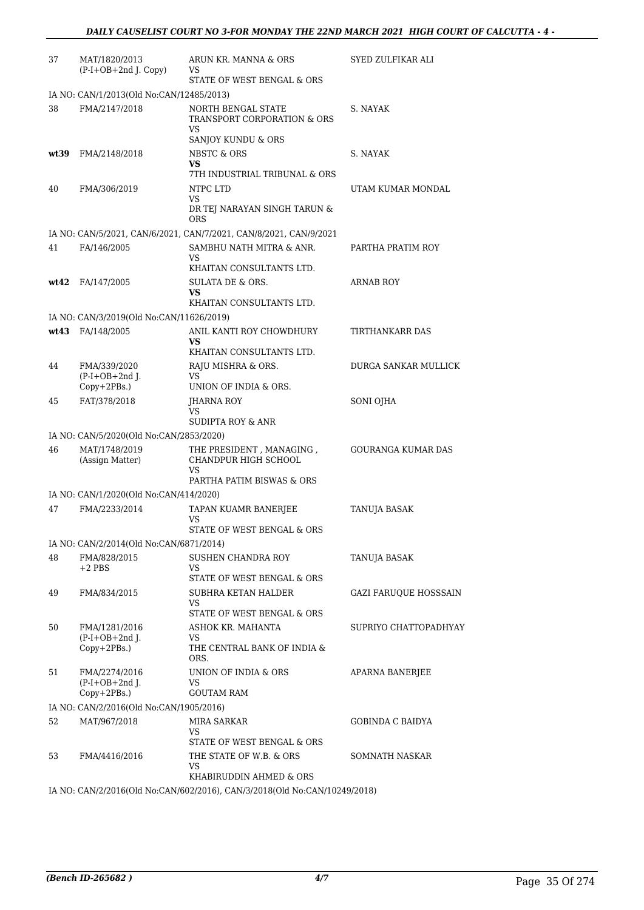| 37   | MAT/1820/2013<br>$(P-I+OB+2nd J. Copy)$                  | ARUN KR. MANNA & ORS<br>VS<br>STATE OF WEST BENGAL & ORS          | SYED ZULFIKAR ALI            |
|------|----------------------------------------------------------|-------------------------------------------------------------------|------------------------------|
|      | IA NO: CAN/1/2013(Old No:CAN/12485/2013)                 |                                                                   |                              |
| 38   | FMA/2147/2018                                            | NORTH BENGAL STATE<br>TRANSPORT CORPORATION & ORS                 | S. NAYAK                     |
|      |                                                          | VS<br>SANJOY KUNDU & ORS                                          |                              |
| wt39 | FMA/2148/2018                                            | <b>NBSTC &amp; ORS</b><br>VS<br>7TH INDUSTRIAL TRIBUNAL & ORS     | S. NAYAK                     |
| 40   | FMA/306/2019                                             | NTPC LTD<br><b>VS</b>                                             | UTAM KUMAR MONDAL            |
|      |                                                          | DR TEJ NARAYAN SINGH TARUN &<br>ORS                               |                              |
|      |                                                          | IA NO: CAN/5/2021, CAN/6/2021, CAN/7/2021, CAN/8/2021, CAN/9/2021 |                              |
| 41   | FA/146/2005                                              | SAMBHU NATH MITRA & ANR.<br>VS<br>KHAITAN CONSULTANTS LTD.        | PARTHA PRATIM ROY            |
|      | wt42 FA/147/2005                                         | SULATA DE & ORS.<br>VS                                            | <b>ARNAB ROY</b>             |
|      |                                                          | KHAITAN CONSULTANTS LTD.                                          |                              |
|      | IA NO: CAN/3/2019(Old No:CAN/11626/2019)                 |                                                                   |                              |
|      | wt43 FA/148/2005                                         | ANIL KANTI ROY CHOWDHURY<br>VS                                    | TIRTHANKARR DAS              |
| 44   | FMA/339/2020                                             | KHAITAN CONSULTANTS LTD.<br>RAJU MISHRA & ORS.                    | DURGA SANKAR MULLICK         |
|      | $(P-I+OB+2nd$ J.<br>Copy+2PBs.)                          | VS<br>UNION OF INDIA & ORS.                                       |                              |
| 45   | FAT/378/2018                                             | JHARNA ROY<br>VS                                                  | SONI OJHA                    |
|      |                                                          | SUDIPTA ROY & ANR                                                 |                              |
| 46   | IA NO: CAN/5/2020(Old No:CAN/2853/2020)<br>MAT/1748/2019 | THE PRESIDENT, MANAGING,                                          | <b>GOURANGA KUMAR DAS</b>    |
|      | (Assign Matter)                                          | CHANDPUR HIGH SCHOOL<br>VS<br>PARTHA PATIM BISWAS & ORS           |                              |
|      | IA NO: CAN/1/2020(Old No:CAN/414/2020)                   |                                                                   |                              |
| 47   | FMA/2233/2014                                            | TAPAN KUAMR BANERJEE<br>VS<br>STATE OF WEST BENGAL & ORS          | TANUJA BASAK                 |
|      | IA NO: CAN/2/2014(Old No:CAN/6871/2014)                  |                                                                   |                              |
| 48   | FMA/828/2015<br>$+2$ PBS                                 | SUSHEN CHANDRA ROY<br>VS                                          | TANUJA BASAK                 |
|      |                                                          | STATE OF WEST BENGAL & ORS                                        |                              |
| 49   | FMA/834/2015                                             | SUBHRA KETAN HALDER<br>VS<br>STATE OF WEST BENGAL & ORS           | <b>GAZI FARUQUE HOSSSAIN</b> |
| 50   | FMA/1281/2016                                            | ASHOK KR. MAHANTA                                                 | SUPRIYO CHATTOPADHYAY        |
|      | $(P-I+OB+2nd)$ .<br>Copy+2PBs.)                          | VS<br>THE CENTRAL BANK OF INDIA &<br>ORS.                         |                              |
| 51   | FMA/2274/2016                                            | UNION OF INDIA & ORS                                              | APARNA BANERJEE              |
|      | $(P-I+OB+2nd$ J.<br>$Copy+2PBs.$ )                       | VS<br><b>GOUTAM RAM</b>                                           |                              |
|      | IA NO: CAN/2/2016(Old No:CAN/1905/2016)                  |                                                                   |                              |
| 52   | MAT/967/2018                                             | MIRA SARKAR<br>VS                                                 | <b>GOBINDA C BAIDYA</b>      |
| 53   | FMA/4416/2016                                            | STATE OF WEST BENGAL & ORS<br>THE STATE OF W.B. & ORS<br>VS       | SOMNATH NASKAR               |
|      |                                                          | KHABIRUDDIN AHMED & ORS                                           |                              |

IA NO: CAN/2/2016(Old No:CAN/602/2016), CAN/3/2018(Old No:CAN/10249/2018)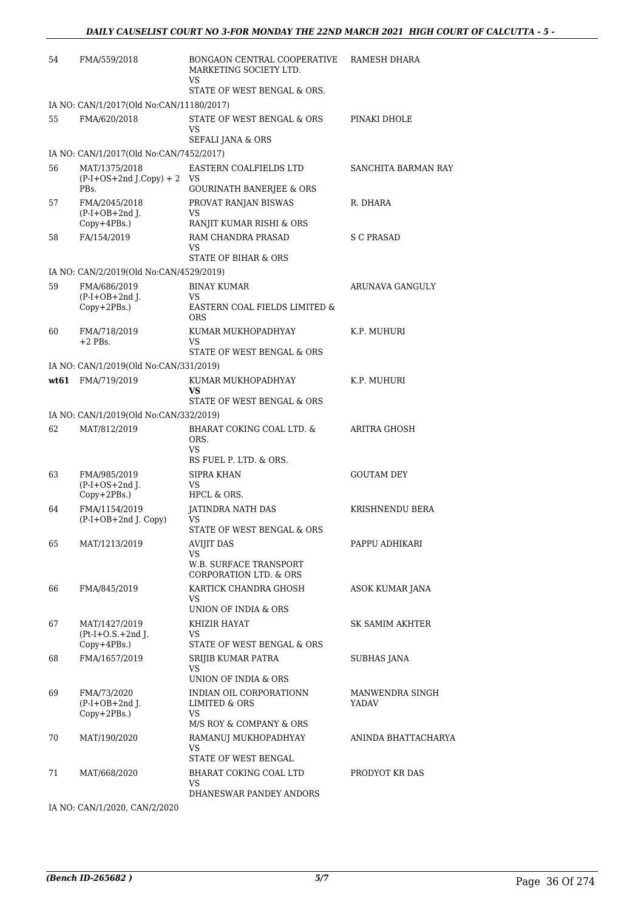| 54 | FMA/559/2018                                       | BONGAON CENTRAL COOPERATIVE<br>MARKETING SOCIETY LTD.<br>VS        | RAMESH DHARA        |
|----|----------------------------------------------------|--------------------------------------------------------------------|---------------------|
|    |                                                    | STATE OF WEST BENGAL & ORS.                                        |                     |
|    | IA NO: CAN/1/2017(Old No:CAN/11180/2017)           |                                                                    |                     |
| 55 | FMA/620/2018                                       | STATE OF WEST BENGAL & ORS<br>VS                                   | PINAKI DHOLE        |
|    |                                                    | <b>SEFALI JANA &amp; ORS</b>                                       |                     |
|    | IA NO: CAN/1/2017(Old No:CAN/7452/2017)            |                                                                    |                     |
| 56 | MAT/1375/2018<br>$(P-I+OS+2nd J.Copy) + 2$<br>PBs. | EASTERN COALFIELDS LTD<br>VS.                                      | SANCHITA BARMAN RAY |
|    |                                                    | GOURINATH BANERJEE & ORS                                           |                     |
| 57 | FMA/2045/2018<br>$(P-I+OB+2nd$ J.<br>Copy+4PBs.)   | PROVAT RANJAN BISWAS<br>VS<br>RANJIT KUMAR RISHI & ORS             | R. DHARA            |
| 58 | FA/154/2019                                        | RAM CHANDRA PRASAD<br>VS                                           | S C PRASAD          |
|    |                                                    | STATE OF BIHAR & ORS                                               |                     |
|    | IA NO: CAN/2/2019(Old No:CAN/4529/2019)            |                                                                    |                     |
| 59 | FMA/686/2019<br>$(P-I+OB+2nd$ J.                   | <b>BINAY KUMAR</b><br>VS.                                          | ARUNAVA GANGULY     |
|    | Copy+2PBs.)                                        | EASTERN COAL FIELDS LIMITED &<br><b>ORS</b>                        |                     |
| 60 | FMA/718/2019<br>$+2$ PBs.                          | KUMAR MUKHOPADHYAY<br><b>VS</b>                                    | K.P. MUHURI         |
|    |                                                    | STATE OF WEST BENGAL & ORS                                         |                     |
|    | IA NO: CAN/1/2019(Old No:CAN/331/2019)             |                                                                    |                     |
|    | wt61 FMA/719/2019                                  | KUMAR MUKHOPADHYAY<br>VS<br>STATE OF WEST BENGAL & ORS             | K.P. MUHURI         |
|    | IA NO: CAN/1/2019(Old No:CAN/332/2019)             |                                                                    |                     |
| 62 | MAT/812/2019                                       | BHARAT COKING COAL LTD. &                                          | ARITRA GHOSH        |
|    |                                                    | ORS.<br>VS.                                                        |                     |
|    |                                                    | RS FUEL P. LTD. & ORS.                                             |                     |
| 63 | FMA/985/2019<br>$(P-I+OS+2nd)$ .                   | SIPRA KHAN<br>VS.                                                  | <b>GOUTAM DEY</b>   |
|    | Copy+2PBs.)                                        | HPCL & ORS.                                                        |                     |
| 64 | FMA/1154/2019                                      | JATINDRA NATH DAS                                                  | KRISHNENDU BERA     |
|    | (P-I+OB+2nd J. Copy)                               | VS<br>STATE OF WEST BENGAL & ORS                                   |                     |
| 65 | MAT/1213/2019                                      | AVIJIT DAS                                                         | PAPPU ADHIKARI      |
|    |                                                    | VS                                                                 |                     |
|    |                                                    | <b>W.B. SURFACE TRANSPORT</b><br><b>CORPORATION LTD. &amp; ORS</b> |                     |
| 66 | FMA/845/2019                                       | KARTICK CHANDRA GHOSH<br>VS.                                       | ASOK KUMAR JANA     |
|    |                                                    | UNION OF INDIA & ORS                                               |                     |
| 67 | MAT/1427/2019                                      | KHIZIR HAYAT                                                       | SK SAMIM AKHTER     |
|    | $Pt-I+O.S.+2nd J.$<br>Copy+4PBs.)                  | VS.<br>STATE OF WEST BENGAL & ORS                                  |                     |
| 68 | FMA/1657/2019                                      | SRIJIB KUMAR PATRA                                                 | <b>SUBHAS JANA</b>  |
|    |                                                    | VS<br>UNION OF INDIA & ORS                                         |                     |
| 69 | FMA/73/2020                                        | INDIAN OIL CORPORATIONN                                            | MANWENDRA SINGH     |
|    | $(P-I+OB+2nd$ J.<br>Copy+2PBs.)                    | <b>LIMITED &amp; ORS</b><br>VS.                                    | YADAV               |
|    |                                                    | M/S ROY & COMPANY & ORS                                            |                     |
| 70 | MAT/190/2020                                       | RAMANUJ MUKHOPADHYAY<br>VS<br>STATE OF WEST BENGAL                 | ANINDA BHATTACHARYA |
| 71 | MAT/668/2020                                       | BHARAT COKING COAL LTD                                             | PRODYOT KR DAS      |
|    |                                                    | VS<br>DHANESWAR PANDEY ANDORS                                      |                     |
|    |                                                    |                                                                    |                     |

IA NO: CAN/1/2020, CAN/2/2020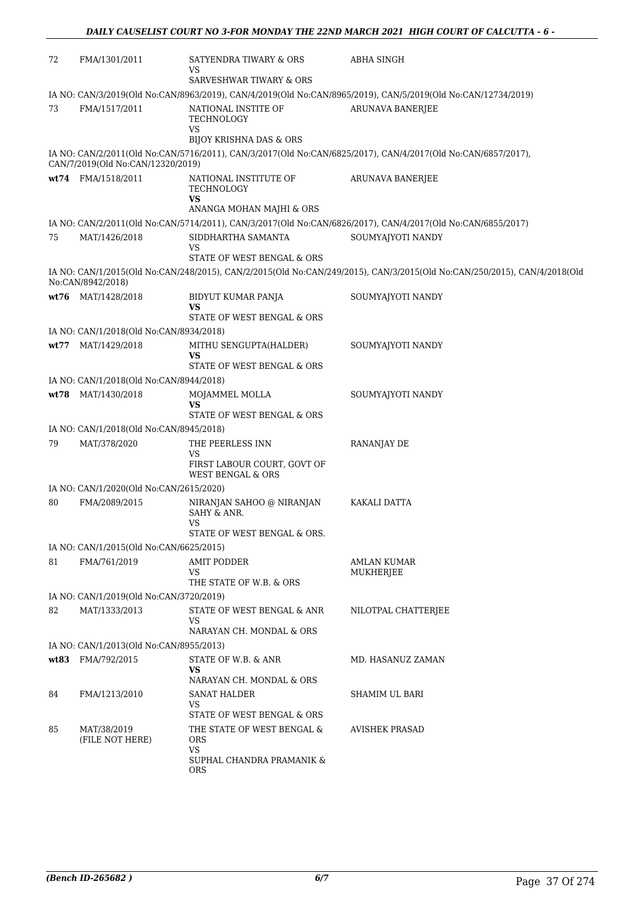| 72 | FMA/1301/2011                           | SATYENDRA TIWARY & ORS<br>VS                                                                     | ABHA SINGH                                                                                                               |
|----|-----------------------------------------|--------------------------------------------------------------------------------------------------|--------------------------------------------------------------------------------------------------------------------------|
|    |                                         | <b>SARVESHWAR TIWARY &amp; ORS</b>                                                               |                                                                                                                          |
|    |                                         |                                                                                                  | IA NO: CAN/3/2019(Old No:CAN/8963/2019), CAN/4/2019(Old No:CAN/8965/2019), CAN/5/2019(Old No:CAN/12734/2019)             |
| 73 | FMA/1517/2011                           | NATIONAL INSTITE OF<br>TECHNOLOGY<br>VS<br><b>BIJOY KRISHNA DAS &amp; ORS</b>                    | <b>ARUNAVA BANERJEE</b>                                                                                                  |
|    | CAN/7/2019(Old No:CAN/12320/2019)       |                                                                                                  | IA NO: CAN/2/2011(Old No:CAN/5716/2011), CAN/3/2017(Old No:CAN/6825/2017), CAN/4/2017(Old No:CAN/6857/2017),             |
|    | wt74 FMA/1518/2011                      | NATIONAL INSTITUTE OF<br>TECHNOLOGY<br><b>VS</b>                                                 | <b>ARUNAVA BANERJEE</b>                                                                                                  |
|    |                                         | ANANGA MOHAN MAJHI & ORS                                                                         |                                                                                                                          |
|    |                                         |                                                                                                  | IA NO: CAN/2/2011(Old No:CAN/5714/2011), CAN/3/2017(Old No:CAN/6826/2017), CAN/4/2017(Old No:CAN/6855/2017)              |
| 75 | MAT/1426/2018                           | SIDDHARTHA SAMANTA<br>VS                                                                         | SOUMYAJYOTI NANDY                                                                                                        |
|    |                                         | STATE OF WEST BENGAL & ORS                                                                       |                                                                                                                          |
|    | No:CAN/8942/2018)                       |                                                                                                  | IA NO: CAN/1/2015(Old No:CAN/248/2015), CAN/2/2015(Old No:CAN/249/2015), CAN/3/2015(Old No:CAN/250/2015), CAN/4/2018(Old |
|    | wt76 MAT/1428/2018                      | BIDYUT KUMAR PANJA<br>VS                                                                         | SOUMYAJYOTI NANDY                                                                                                        |
|    |                                         | STATE OF WEST BENGAL & ORS                                                                       |                                                                                                                          |
|    | IA NO: CAN/1/2018(Old No:CAN/8934/2018) |                                                                                                  |                                                                                                                          |
|    | wt77 MAT/1429/2018                      | MITHU SENGUPTA(HALDER)<br>VS<br>STATE OF WEST BENGAL & ORS                                       | SOUMYAJYOTI NANDY                                                                                                        |
|    | IA NO: CAN/1/2018(Old No:CAN/8944/2018) |                                                                                                  |                                                                                                                          |
|    | wt78 MAT/1430/2018                      | MOJAMMEL MOLLA                                                                                   | SOUMYAJYOTI NANDY                                                                                                        |
|    |                                         | <b>VS</b><br>STATE OF WEST BENGAL & ORS                                                          |                                                                                                                          |
|    | IA NO: CAN/1/2018(Old No:CAN/8945/2018) |                                                                                                  |                                                                                                                          |
| 79 | MAT/378/2020                            | THE PEERLESS INN<br>VS                                                                           | RANANJAY DE                                                                                                              |
|    |                                         | FIRST LABOUR COURT, GOVT OF<br><b>WEST BENGAL &amp; ORS</b>                                      |                                                                                                                          |
|    | IA NO: CAN/1/2020(Old No:CAN/2615/2020) |                                                                                                  |                                                                                                                          |
| 80 | FMA/2089/2015                           | NIRANJAN SAHOO @ NIRANJAN<br>SAHY & ANR.<br>VS<br>STATE OF WEST BENGAL & ORS                     | KAKALI DATTA                                                                                                             |
|    | IA NO: CAN/1/2015(Old No:CAN/6625/2015) |                                                                                                  |                                                                                                                          |
| 81 | FMA/761/2019                            | <b>AMIT PODDER</b><br>VS<br>THE STATE OF W.B. & ORS                                              | <b>AMLAN KUMAR</b><br>MUKHERJEE                                                                                          |
|    | IA NO: CAN/1/2019(Old No:CAN/3720/2019) |                                                                                                  |                                                                                                                          |
| 82 | MAT/1333/2013                           | STATE OF WEST BENGAL & ANR<br>VS                                                                 | NILOTPAL CHATTERJEE                                                                                                      |
|    |                                         | NARAYAN CH. MONDAL & ORS                                                                         |                                                                                                                          |
|    | IA NO: CAN/1/2013(Old No:CAN/8955/2013) |                                                                                                  |                                                                                                                          |
|    | wt83 FMA/792/2015                       | STATE OF W.B. & ANR<br>VS                                                                        | MD. HASANUZ ZAMAN                                                                                                        |
| 84 | FMA/1213/2010                           | NARAYAN CH. MONDAL & ORS<br><b>SANAT HALDER</b>                                                  | SHAMIM UL BARI                                                                                                           |
|    |                                         | VS<br>STATE OF WEST BENGAL & ORS                                                                 |                                                                                                                          |
| 85 | MAT/38/2019<br>(FILE NOT HERE)          | THE STATE OF WEST BENGAL &<br><b>ORS</b><br><b>VS</b><br>SUPHAL CHANDRA PRAMANIK &<br><b>ORS</b> | AVISHEK PRASAD                                                                                                           |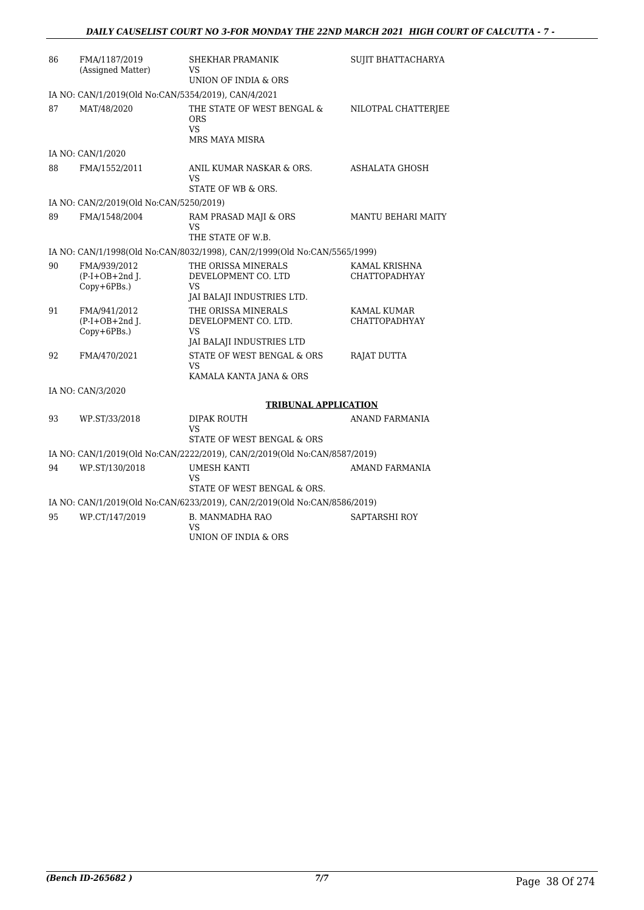| 86 | FMA/1187/2019<br>(Assigned Matter)                  | SHEKHAR PRAMANIK<br>VS                                                                | <b>SUJIT BHATTACHARYA</b>           |
|----|-----------------------------------------------------|---------------------------------------------------------------------------------------|-------------------------------------|
|    |                                                     | UNION OF INDIA & ORS                                                                  |                                     |
|    | IA NO: CAN/1/2019(Old No:CAN/5354/2019), CAN/4/2021 |                                                                                       |                                     |
| 87 | MAT/48/2020                                         | THE STATE OF WEST BENGAL &<br><b>ORS</b><br>VS.<br>MRS MAYA MISRA                     | NILOTPAL CHATTERJEE                 |
|    | IA NO: CAN/1/2020                                   |                                                                                       |                                     |
| 88 | FMA/1552/2011                                       | ANIL KUMAR NASKAR & ORS.<br>VS<br>STATE OF WB & ORS.                                  | ASHALATA GHOSH                      |
|    | IA NO: CAN/2/2019(Old No:CAN/5250/2019)             |                                                                                       |                                     |
| 89 | FMA/1548/2004                                       | RAM PRASAD MAJI & ORS<br>VS<br>THE STATE OF W.B.                                      | <b>MANTU BEHARI MAITY</b>           |
|    |                                                     | IA NO: CAN/1/1998(Old No:CAN/8032/1998), CAN/2/1999(Old No:CAN/5565/1999)             |                                     |
| 90 | FMA/939/2012<br>$(P-I+OB+2nd$ J.<br>Copy+6PBs.)     | THE ORISSA MINERALS<br>DEVELOPMENT CO. LTD<br><b>VS</b><br>JAI BALAJI INDUSTRIES LTD. | KAMAL KRISHNA<br>CHATTOPADHYAY      |
| 91 | FMA/941/2012<br>$(P-I+OB+2nd J.$<br>Copy+6PBs.)     | THE ORISSA MINERALS<br>DEVELOPMENT CO. LTD.<br>VS.<br>JAI BALAJI INDUSTRIES LTD       | KAMAL KUMAR<br><b>CHATTOPADHYAY</b> |
| 92 | FMA/470/2021                                        | STATE OF WEST BENGAL & ORS<br>VS.<br>KAMALA KANTA JANA & ORS                          | RAJAT DUTTA                         |
|    | IA NO: CAN/3/2020                                   |                                                                                       |                                     |
|    |                                                     | <b>TRIBUNAL APPLICATION</b>                                                           |                                     |
| 93 | WP.ST/33/2018                                       | <b>DIPAK ROUTH</b><br>VS<br>STATE OF WEST BENGAL & ORS                                | <b>ANAND FARMANIA</b>               |
|    |                                                     | IA NO: CAN/1/2019(Old No:CAN/2222/2019), CAN/2/2019(Old No:CAN/8587/2019)             |                                     |
| 94 | WP.ST/130/2018                                      | <b>UMESH KANTI</b><br>VS<br>STATE OF WEST BENGAL & ORS.                               | <b>AMAND FARMANIA</b>               |
|    |                                                     | IA NO: CAN/1/2019(Old No:CAN/6233/2019), CAN/2/2019(Old No:CAN/8586/2019)             |                                     |
| 95 | WP.CT/147/2019                                      | <b>B. MANMADHA RAO</b><br>VS<br>UNION OF INDIA & ORS                                  | SAPTARSHI ROY                       |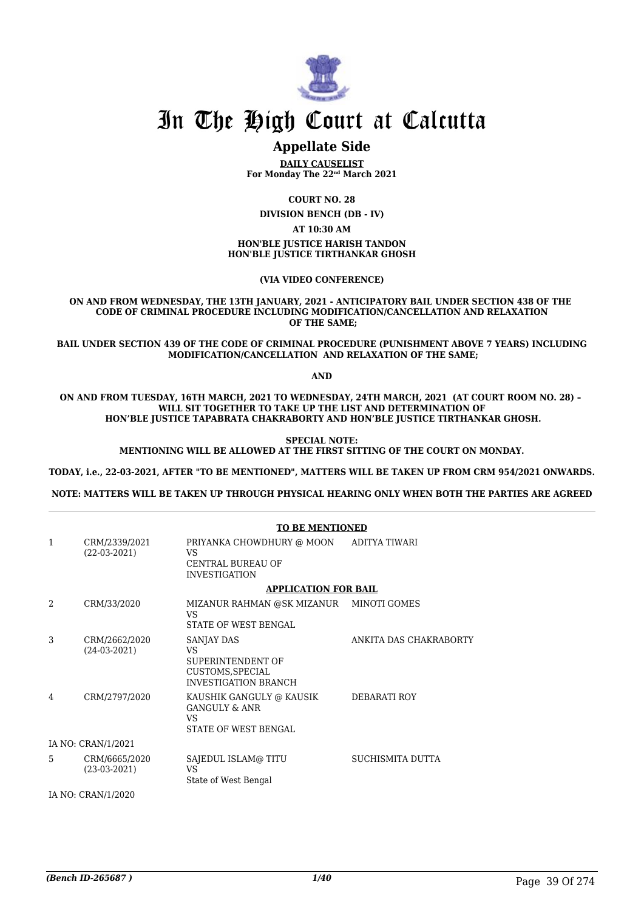

# In The High Court at Calcutta

## **Appellate Side**

**DAILY CAUSELIST For Monday The 22nd March 2021**

**COURT NO. 28**

**DIVISION BENCH (DB - IV)**

**AT 10:30 AM**

**HON'BLE JUSTICE HARISH TANDON HON'BLE JUSTICE TIRTHANKAR GHOSH**

**(VIA VIDEO CONFERENCE)**

**ON AND FROM WEDNESDAY, THE 13TH JANUARY, 2021 - ANTICIPATORY BAIL UNDER SECTION 438 OF THE CODE OF CRIMINAL PROCEDURE INCLUDING MODIFICATION/CANCELLATION AND RELAXATION OF THE SAME;**

**BAIL UNDER SECTION 439 OF THE CODE OF CRIMINAL PROCEDURE (PUNISHMENT ABOVE 7 YEARS) INCLUDING MODIFICATION/CANCELLATION AND RELAXATION OF THE SAME;**

**AND**

**ON AND FROM TUESDAY, 16TH MARCH, 2021 TO WEDNESDAY, 24TH MARCH, 2021 (AT COURT ROOM NO. 28) – WILL SIT TOGETHER TO TAKE UP THE LIST AND DETERMINATION OF HON'BLE JUSTICE TAPABRATA CHAKRABORTY AND HON'BLE JUSTICE TIRTHANKAR GHOSH.**

> **SPECIAL NOTE: MENTIONING WILL BE ALLOWED AT THE FIRST SITTING OF THE COURT ON MONDAY.**

**TODAY, i.e., 22-03-2021, AFTER "TO BE MENTIONED", MATTERS WILL BE TAKEN UP FROM CRM 954/2021 ONWARDS.**

**NOTE: MATTERS WILL BE TAKEN UP THROUGH PHYSICAL HEARING ONLY WHEN BOTH THE PARTIES ARE AGREED**

|                    |                                 | <b>TO BE MENTIONED</b>                                                                   |                        |  |
|--------------------|---------------------------------|------------------------------------------------------------------------------------------|------------------------|--|
| $\mathbf{1}$       | CRM/2339/2021<br>(22-03-2021)   | PRIYANKA CHOWDHURY @ MOON<br>VS.<br><b>CENTRAL BUREAU OF</b><br><b>INVESTIGATION</b>     | ADITYA TIWARI          |  |
|                    |                                 | <b>APPLICATION FOR BAIL</b>                                                              |                        |  |
| 2                  | CRM/33/2020                     | MIZANUR RAHMAN @SK MIZANUR MINOTI GOMES<br>VS.<br>STATE OF WEST BENGAL                   |                        |  |
| 3                  | CRM/2662/2020<br>$(24-03-2021)$ | SANJAY DAS<br>VS<br>SUPERINTENDENT OF<br>CUSTOMS, SPECIAL<br><b>INVESTIGATION BRANCH</b> | ANKITA DAS CHAKRABORTY |  |
| 4                  | CRM/2797/2020                   | KAUSHIK GANGULY @ KAUSIK<br><b>GANGULY &amp; ANR</b><br>VS<br>STATE OF WEST BENGAL       | DEBARATI ROY           |  |
| IA NO: CRAN/1/2021 |                                 |                                                                                          |                        |  |
| 5                  | CRM/6665/2020<br>$(23-03-2021)$ | SAJEDUL ISLAM@TITU<br>VS<br>State of West Bengal                                         | SUCHISMITA DUTTA       |  |
|                    | IA NO: CRAN/1/2020              |                                                                                          |                        |  |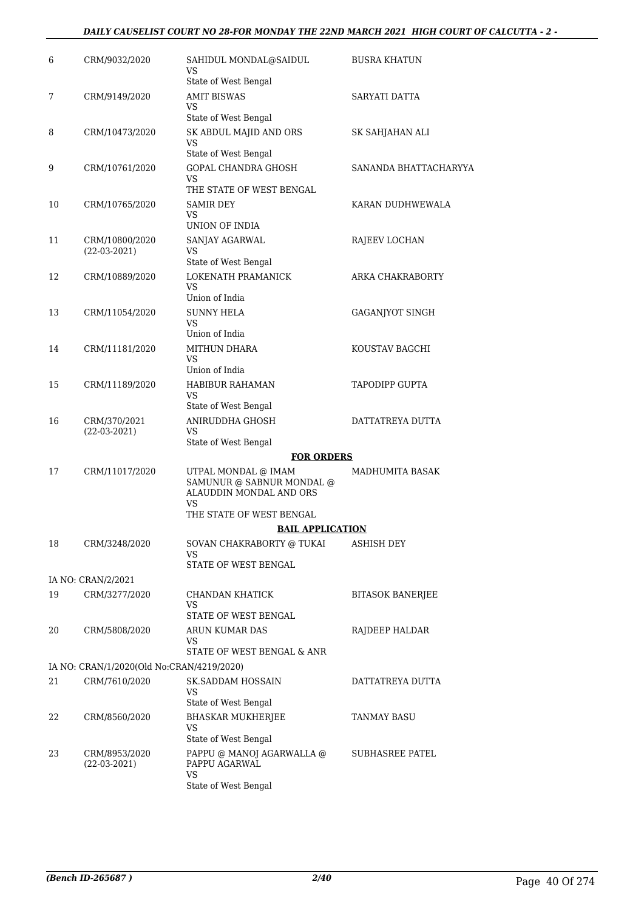#### *DAILY CAUSELIST COURT NO 28-FOR MONDAY THE 22ND MARCH 2021 HIGH COURT OF CALCUTTA - 2 -*

| 6  | CRM/9032/2020                             | SAHIDUL MONDAL@SAIDUL<br>VS<br>State of West Bengal                                                           | <b>BUSRA KHATUN</b>     |
|----|-------------------------------------------|---------------------------------------------------------------------------------------------------------------|-------------------------|
| 7  | CRM/9149/2020                             | <b>AMIT BISWAS</b><br>VS<br>State of West Bengal                                                              | SARYATI DATTA           |
| 8  | CRM/10473/2020                            | SK ABDUL MAJID AND ORS<br>VS                                                                                  | SK SAHJAHAN ALI         |
| 9  | CRM/10761/2020                            | State of West Bengal<br>GOPAL CHANDRA GHOSH<br>VS<br>THE STATE OF WEST BENGAL                                 | SANANDA BHATTACHARYYA   |
| 10 | CRM/10765/2020                            | <b>SAMIR DEY</b><br>VS.<br>UNION OF INDIA                                                                     | KARAN DUDHWEWALA        |
| 11 | CRM/10800/2020<br>$(22-03-2021)$          | SANJAY AGARWAL<br>VS<br>State of West Bengal                                                                  | RAJEEV LOCHAN           |
| 12 | CRM/10889/2020                            | LOKENATH PRAMANICK<br>VS<br>Union of India                                                                    | ARKA CHAKRABORTY        |
| 13 | CRM/11054/2020                            | <b>SUNNY HELA</b><br>VS<br>Union of India                                                                     | GAGANJYOT SINGH         |
| 14 | CRM/11181/2020                            | MITHUN DHARA<br>VS<br>Union of India                                                                          | KOUSTAV BAGCHI          |
| 15 | CRM/11189/2020                            | HABIBUR RAHAMAN<br>VS<br>State of West Bengal                                                                 | TAPODIPP GUPTA          |
| 16 | CRM/370/2021<br>$(22-03-2021)$            | ANIRUDDHA GHOSH<br>VS.<br>State of West Bengal                                                                | DATTATREYA DUTTA        |
|    |                                           | <b>FOR ORDERS</b>                                                                                             |                         |
| 17 | CRM/11017/2020                            | UTPAL MONDAL @ IMAM<br>SAMUNUR @ SABNUR MONDAL @<br>ALAUDDIN MONDAL AND ORS<br>VS<br>THE STATE OF WEST BENGAL | MADHUMITA BASAK         |
|    |                                           | <b>BAIL APPLICATION</b>                                                                                       |                         |
| 18 | CRM/3248/2020                             | SOVAN CHAKRABORTY @ TUKAI<br>VS.<br>STATE OF WEST BENGAL                                                      | <b>ASHISH DEY</b>       |
|    | IA NO: CRAN/2/2021                        |                                                                                                               |                         |
| 19 | CRM/3277/2020                             | CHANDAN KHATICK<br>VS.<br>STATE OF WEST BENGAL                                                                | <b>BITASOK BANERJEE</b> |
| 20 | CRM/5808/2020                             | ARUN KUMAR DAS<br>VS<br>STATE OF WEST BENGAL & ANR                                                            | RAJDEEP HALDAR          |
|    | IA NO: CRAN/1/2020(Old No:CRAN/4219/2020) |                                                                                                               |                         |
| 21 | CRM/7610/2020                             | <b>SK.SADDAM HOSSAIN</b><br>VS<br>State of West Bengal                                                        | DATTATREYA DUTTA        |
| 22 | CRM/8560/2020                             | BHASKAR MUKHERJEE<br>VS<br>State of West Bengal                                                               | TANMAY BASU             |
| 23 | CRM/8953/2020<br>$(22-03-2021)$           | PAPPU @ MANOJ AGARWALLA @<br>PAPPU AGARWAL<br><b>VS</b><br>State of West Bengal                               | SUBHASREE PATEL         |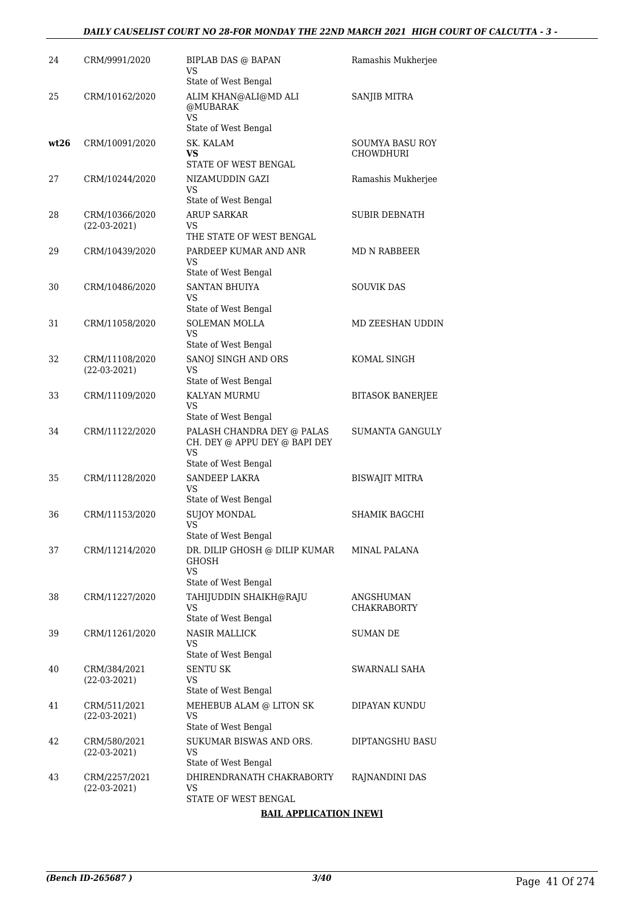#### *DAILY CAUSELIST COURT NO 28-FOR MONDAY THE 22ND MARCH 2021 HIGH COURT OF CALCUTTA - 3 -*

| 24   | CRM/9991/2020                    | <b>BIPLAB DAS @ BAPAN</b><br>VS<br>State of West Bengal                                   | Ramashis Mukherjee              |
|------|----------------------------------|-------------------------------------------------------------------------------------------|---------------------------------|
| 25   | CRM/10162/2020                   | ALIM KHAN@ALI@MD ALI<br>@MUBARAK<br>VS<br>State of West Bengal                            | SANJIB MITRA                    |
| wt26 | CRM/10091/2020                   | SK. KALAM<br>VS<br>STATE OF WEST BENGAL                                                   | SOUMYA BASU ROY<br>CHOWDHURI    |
| 27   | CRM/10244/2020                   | NIZAMUDDIN GAZI<br>VS<br>State of West Bengal                                             | Ramashis Mukherjee              |
| 28   | CRM/10366/2020<br>$(22-03-2021)$ | <b>ARUP SARKAR</b><br>VS<br>THE STATE OF WEST BENGAL                                      | <b>SUBIR DEBNATH</b>            |
| 29   | CRM/10439/2020                   | PARDEEP KUMAR AND ANR<br>VS<br>State of West Bengal                                       | MD N RABBEER                    |
| 30   | CRM/10486/2020                   | <b>SANTAN BHUIYA</b><br>VS<br>State of West Bengal                                        | <b>SOUVIK DAS</b>               |
| 31   | CRM/11058/2020                   | <b>SOLEMAN MOLLA</b><br>VS<br>State of West Bengal                                        | MD ZEESHAN UDDIN                |
| 32   | CRM/11108/2020<br>$(22-03-2021)$ | SANOJ SINGH AND ORS<br>VS<br>State of West Bengal                                         | KOMAL SINGH                     |
| 33   | CRM/11109/2020                   | KALYAN MURMU<br>VS<br>State of West Bengal                                                | <b>BITASOK BANERJEE</b>         |
| 34   | CRM/11122/2020                   | PALASH CHANDRA DEY @ PALAS<br>CH. DEY @ APPU DEY @ BAPI DEY<br>VS<br>State of West Bengal | <b>SUMANTA GANGULY</b>          |
| 35   | CRM/11128/2020                   | SANDEEP LAKRA<br>VS<br>State of West Bengal                                               | BISWAJIT MITRA                  |
| 36   | CRM/11153/2020                   | <b>SUJOY MONDAL</b><br>VS<br>State of West Bengal                                         | SHAMIK BAGCHI                   |
| 37   | CRM/11214/2020                   | DR. DILIP GHOSH @ DILIP KUMAR<br>GHOSH<br>VS                                              | <b>MINAL PALANA</b>             |
| 38   | CRM/11227/2020                   | State of West Bengal<br>TAHIJUDDIN SHAIKH@RAJU<br>VS<br>State of West Bengal              | ANGSHUMAN<br><b>CHAKRABORTY</b> |
| 39   | CRM/11261/2020                   | <b>NASIR MALLICK</b><br>VS<br>State of West Bengal                                        | <b>SUMAN DE</b>                 |
| 40   | CRM/384/2021<br>$(22-03-2021)$   | <b>SENTU SK</b><br>VS<br>State of West Bengal                                             | SWARNALI SAHA                   |
| 41   | CRM/511/2021<br>$(22-03-2021)$   | MEHEBUB ALAM @ LITON SK<br>VS<br>State of West Bengal                                     | DIPAYAN KUNDU                   |
| 42   | CRM/580/2021<br>$(22-03-2021)$   | SUKUMAR BISWAS AND ORS.<br>VS<br>State of West Bengal                                     | DIPTANGSHU BASU                 |
| 43   | CRM/2257/2021<br>$(22-03-2021)$  | DHIRENDRANATH CHAKRABORTY<br>VS<br>STATE OF WEST BENGAL                                   | RAJNANDINI DAS                  |
|      |                                  | <b>BAIL APPLICATION [NEW]</b>                                                             |                                 |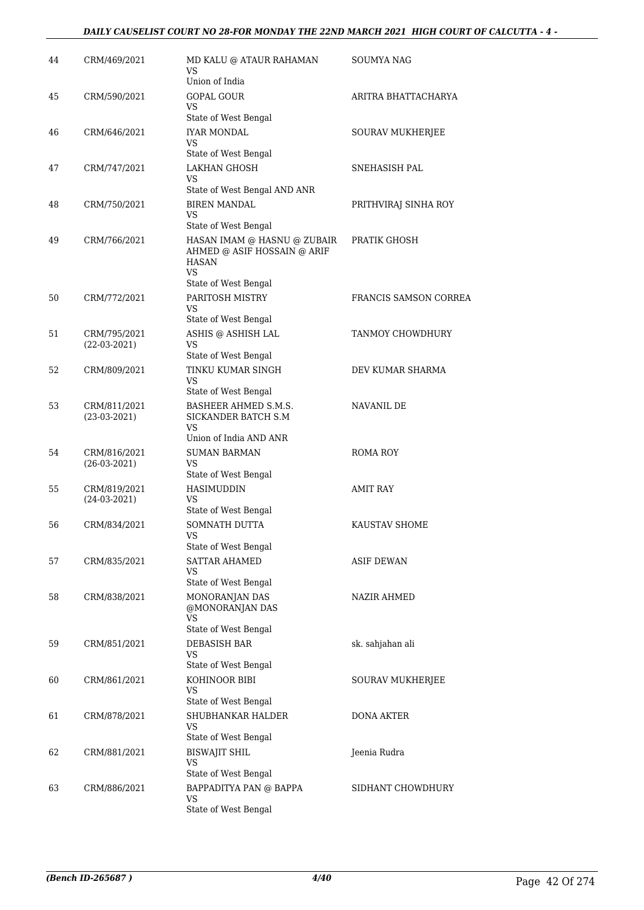#### *DAILY CAUSELIST COURT NO 28-FOR MONDAY THE 22ND MARCH 2021 HIGH COURT OF CALCUTTA - 4 -*

| 44 | CRM/469/2021                   | MD KALU @ ATAUR RAHAMAN<br>VS<br>Union of India                                         | <b>SOUMYA NAG</b>     |
|----|--------------------------------|-----------------------------------------------------------------------------------------|-----------------------|
| 45 | CRM/590/2021                   | <b>GOPAL GOUR</b><br>VS.<br>State of West Bengal                                        | ARITRA BHATTACHARYA   |
| 46 | CRM/646/2021                   | <b>IYAR MONDAL</b><br>VS<br>State of West Bengal                                        | SOURAV MUKHERJEE      |
| 47 | CRM/747/2021                   | <b>LAKHAN GHOSH</b><br>VS<br>State of West Bengal AND ANR                               | SNEHASISH PAL         |
| 48 | CRM/750/2021                   | <b>BIREN MANDAL</b><br>VS<br>State of West Bengal                                       | PRITHVIRAJ SINHA ROY  |
| 49 | CRM/766/2021                   | HASAN IMAM @ HASNU @ ZUBAIR<br>AHMED @ ASIF HOSSAIN @ ARIF<br><b>HASAN</b><br><b>VS</b> | PRATIK GHOSH          |
| 50 | CRM/772/2021                   | State of West Bengal<br>PARITOSH MISTRY<br>VS<br>State of West Bengal                   | FRANCIS SAMSON CORREA |
| 51 | CRM/795/2021<br>$(22-03-2021)$ | ASHIS @ ASHISH LAL<br>VS<br>State of West Bengal                                        | TANMOY CHOWDHURY      |
| 52 | CRM/809/2021                   | TINKU KUMAR SINGH<br>VS<br>State of West Bengal                                         | DEV KUMAR SHARMA      |
| 53 | CRM/811/2021<br>$(23-03-2021)$ | BASHEER AHMED S.M.S.<br>SICKANDER BATCH S.M<br>VS.<br>Union of India AND ANR            | NAVANIL DE            |
| 54 | CRM/816/2021<br>$(26-03-2021)$ | <b>SUMAN BARMAN</b><br>VS<br>State of West Bengal                                       | ROMA ROY              |
| 55 | CRM/819/2021<br>$(24-03-2021)$ | HASIMUDDIN<br>VS<br>State of West Bengal                                                | AMIT RAY              |
| 56 | CRM/834/2021                   | <b>SOMNATH DUTTA</b><br>VS<br>State of West Bengal                                      | KAUSTAV SHOME         |
| 57 | CRM/835/2021                   | SATTAR AHAMED<br>VS<br>State of West Bengal                                             | <b>ASIF DEWAN</b>     |
| 58 | CRM/838/2021                   | MONORANJAN DAS<br>@MONORANJAN DAS<br>VS<br>State of West Bengal                         | NAZIR AHMED           |
| 59 | CRM/851/2021                   | <b>DEBASISH BAR</b><br>VS<br>State of West Bengal                                       | sk. sahjahan ali      |
| 60 | CRM/861/2021                   | KOHINOOR BIBI<br>VS<br>State of West Bengal                                             | SOURAV MUKHERJEE      |
| 61 | CRM/878/2021                   | SHUBHANKAR HALDER<br>VS<br>State of West Bengal                                         | DONA AKTER            |
| 62 | CRM/881/2021                   | <b>BISWAJIT SHIL</b><br>VS<br>State of West Bengal                                      | Jeenia Rudra          |
| 63 | CRM/886/2021                   | BAPPADITYA PAN @ BAPPA<br>VS<br>State of West Bengal                                    | SIDHANT CHOWDHURY     |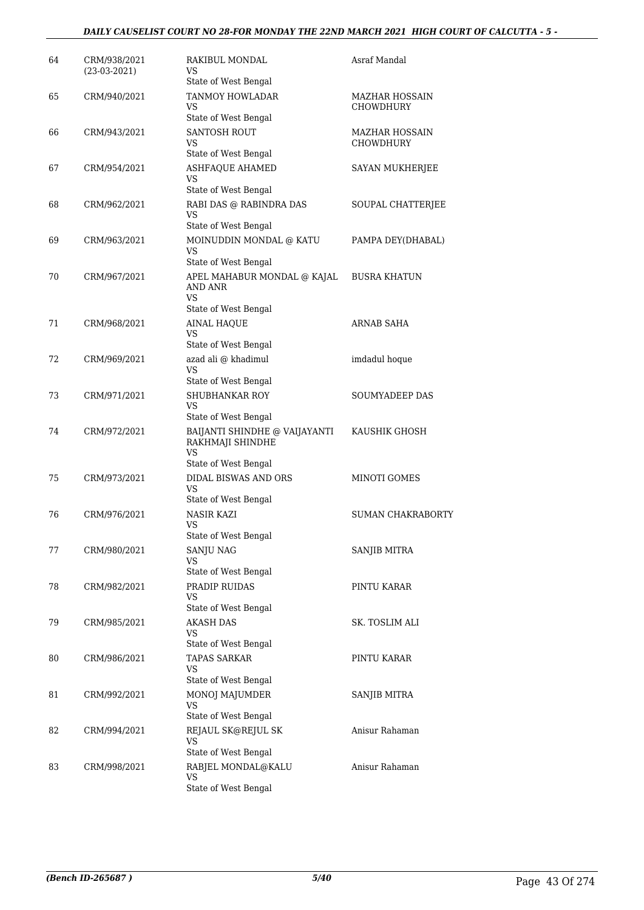#### *DAILY CAUSELIST COURT NO 28-FOR MONDAY THE 22ND MARCH 2021 HIGH COURT OF CALCUTTA - 5 -*

| 64 | CRM/938/2021<br>$(23-03-2021)$ | RAKIBUL MONDAL<br>VS.<br>State of West Bengal                               | Asraf Mandal                       |
|----|--------------------------------|-----------------------------------------------------------------------------|------------------------------------|
| 65 | CRM/940/2021                   | <b>TANMOY HOWLADAR</b><br>VS<br>State of West Bengal                        | <b>MAZHAR HOSSAIN</b><br>CHOWDHURY |
| 66 | CRM/943/2021                   | <b>SANTOSH ROUT</b><br>VS<br>State of West Bengal                           | <b>MAZHAR HOSSAIN</b><br>CHOWDHURY |
| 67 | CRM/954/2021                   | <b>ASHFAQUE AHAMED</b><br>VS<br>State of West Bengal                        | SAYAN MUKHERJEE                    |
| 68 | CRM/962/2021                   | RABI DAS @ RABINDRA DAS<br>VS<br>State of West Bengal                       | SOUPAL CHATTERJEE                  |
| 69 | CRM/963/2021                   | MOINUDDIN MONDAL @ KATU<br>VS.<br>State of West Bengal                      | PAMPA DEY(DHABAL)                  |
| 70 | CRM/967/2021                   | APEL MAHABUR MONDAL @ KAJAL<br>AND ANR<br>VS                                | <b>BUSRA KHATUN</b>                |
| 71 | CRM/968/2021                   | State of West Bengal<br>AINAL HAQUE<br>VS                                   | <b>ARNAB SAHA</b>                  |
| 72 | CRM/969/2021                   | State of West Bengal<br>azad ali @ khadimul<br>VS                           | imdadul hoque                      |
| 73 | CRM/971/2021                   | State of West Bengal<br><b>SHUBHANKAR ROY</b><br>VS<br>State of West Bengal | <b>SOUMYADEEP DAS</b>              |
| 74 | CRM/972/2021                   | BAIJANTI SHINDHE @ VAIJAYANTI<br>RAKHMAJI SHINDHE<br>VS                     | KAUSHIK GHOSH                      |
| 75 | CRM/973/2021                   | State of West Bengal<br>DIDAL BISWAS AND ORS<br>VS<br>State of West Bengal  | <b>MINOTI GOMES</b>                |
| 76 | CRM/976/2021                   | NASIR KAZI<br><b>VS</b><br>State of West Bengal                             | SUMAN CHAKRABORTY                  |
| 77 | CRM/980/2021                   | SANJU NAG<br>VS<br>State of West Bengal                                     | SANJIB MITRA                       |
| 78 | CRM/982/2021                   | PRADIP RUIDAS<br>VS.<br>State of West Bengal                                | PINTU KARAR                        |
| 79 | CRM/985/2021                   | <b>AKASH DAS</b><br>VS.<br>State of West Bengal                             | SK. TOSLIM ALI                     |
| 80 | CRM/986/2021                   | TAPAS SARKAR<br>VS<br>State of West Bengal                                  | PINTU KARAR                        |
| 81 | CRM/992/2021                   | MONOJ MAJUMDER<br>VS<br>State of West Bengal                                | SANJIB MITRA                       |
| 82 | CRM/994/2021                   | REJAUL SK@REJUL SK<br>VS<br>State of West Bengal                            | Anisur Rahaman                     |
| 83 | CRM/998/2021                   | RABJEL MONDAL@KALU<br>VS.<br>State of West Bengal                           | Anisur Rahaman                     |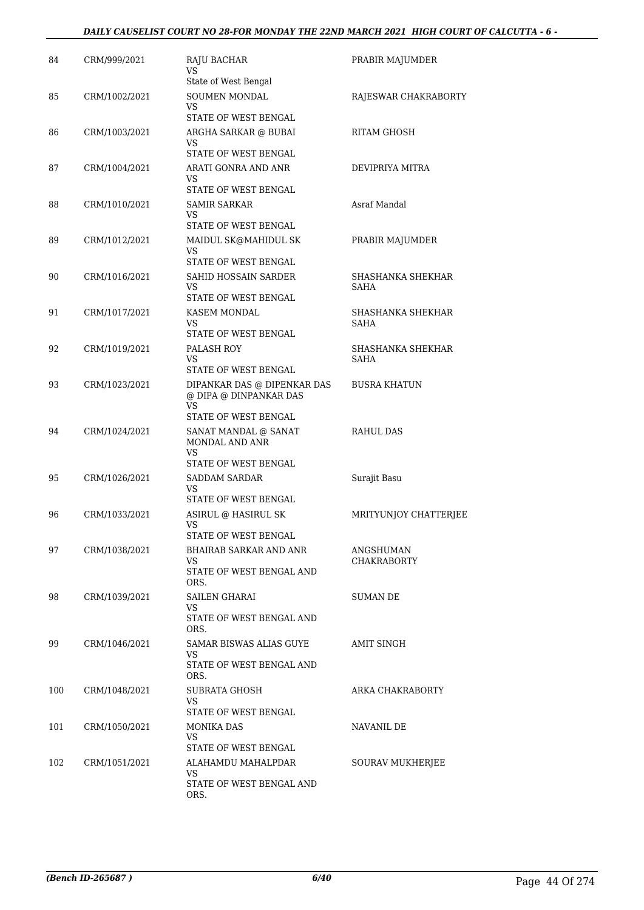#### *DAILY CAUSELIST COURT NO 28-FOR MONDAY THE 22ND MARCH 2021 HIGH COURT OF CALCUTTA - 6 -*

| 84  | CRM/999/2021  | <b>RAJU BACHAR</b><br>VS<br>State of West Bengal                                           | PRABIR MAJUMDER           |
|-----|---------------|--------------------------------------------------------------------------------------------|---------------------------|
| 85  | CRM/1002/2021 | SOUMEN MONDAL<br>VS<br>STATE OF WEST BENGAL                                                | RAJESWAR CHAKRABORTY      |
| 86  | CRM/1003/2021 | ARGHA SARKAR @ BUBAI<br>VS<br>STATE OF WEST BENGAL                                         | RITAM GHOSH               |
| 87  | CRM/1004/2021 | ARATI GONRA AND ANR<br>VS<br>STATE OF WEST BENGAL                                          | DEVIPRIYA MITRA           |
| 88  | CRM/1010/2021 | SAMIR SARKAR<br>VS<br>STATE OF WEST BENGAL                                                 | Asraf Mandal              |
| 89  | CRM/1012/2021 | MAIDUL SK@MAHIDUL SK<br>VS<br>STATE OF WEST BENGAL                                         | PRABIR MAJUMDER           |
| 90  | CRM/1016/2021 | SAHID HOSSAIN SARDER<br>VS<br>STATE OF WEST BENGAL                                         | SHASHANKA SHEKHAR<br>SAHA |
| 91  | CRM/1017/2021 | <b>KASEM MONDAL</b><br>VS.<br>STATE OF WEST BENGAL                                         | SHASHANKA SHEKHAR<br>SAHA |
| 92  | CRM/1019/2021 | PALASH ROY<br>VS<br>STATE OF WEST BENGAL                                                   | SHASHANKA SHEKHAR<br>SAHA |
| 93  | CRM/1023/2021 | DIPANKAR DAS @ DIPENKAR DAS<br>@ DIPA @ DINPANKAR DAS<br><b>VS</b><br>STATE OF WEST BENGAL | BUSRA KHATUN              |
| 94  | CRM/1024/2021 | SANAT MANDAL @ SANAT<br>MONDAL AND ANR<br>VS.<br>STATE OF WEST BENGAL                      | <b>RAHUL DAS</b>          |
| 95  | CRM/1026/2021 | <b>SADDAM SARDAR</b><br>VS<br>STATE OF WEST BENGAL                                         | Surajit Basu              |
| 96  | CRM/1033/2021 | ASIRUL @ HASIRUL SK<br>VS<br>STATE OF WEST BENGAL                                          | MRITYUNJOY CHATTERJEE     |
| 97  | CRM/1038/2021 | BHAIRAB SARKAR AND ANR<br>VS.<br>STATE OF WEST BENGAL AND<br>ORS.                          | ANGSHUMAN<br>CHAKRABORTY  |
| 98  | CRM/1039/2021 | SAILEN GHARAI<br>VS.<br>STATE OF WEST BENGAL AND<br>ORS.                                   | SUMAN DE                  |
| 99  | CRM/1046/2021 | SAMAR BISWAS ALIAS GUYE<br>VS.<br>STATE OF WEST BENGAL AND<br>ORS.                         | <b>AMIT SINGH</b>         |
| 100 | CRM/1048/2021 | SUBRATA GHOSH<br>VS<br>STATE OF WEST BENGAL                                                | ARKA CHAKRABORTY          |
| 101 | CRM/1050/2021 | MONIKA DAS<br>VS.<br>STATE OF WEST BENGAL                                                  | NAVANIL DE                |
| 102 | CRM/1051/2021 | ALAHAMDU MAHALPDAR<br>VS<br>STATE OF WEST BENGAL AND<br>ORS.                               | <b>SOURAV MUKHERJEE</b>   |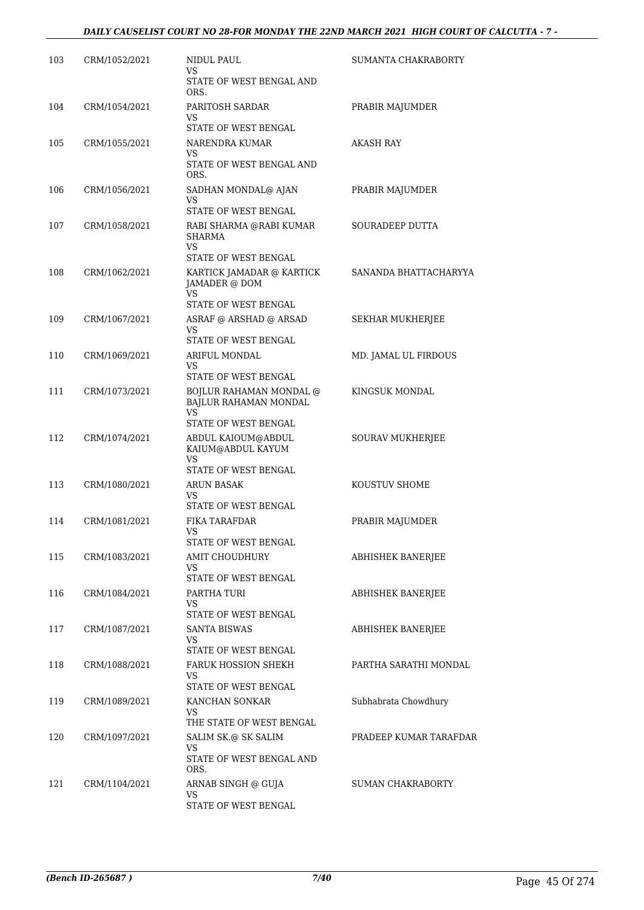| 103 | CRM/1052/2021 | NIDUL PAUL<br>VS.                                                               | SUMANTA CHAKRABORTY    |
|-----|---------------|---------------------------------------------------------------------------------|------------------------|
|     |               | STATE OF WEST BENGAL AND<br>ORS.                                                |                        |
| 104 | CRM/1054/2021 | PARITOSH SARDAR<br>VS<br>STATE OF WEST BENGAL                                   | PRABIR MAJUMDER        |
| 105 | CRM/1055/2021 | NARENDRA KUMAR<br>VS<br>STATE OF WEST BENGAL AND<br>ORS.                        | AKASH RAY              |
| 106 | CRM/1056/2021 | SADHAN MONDAL@ AJAN<br>VS<br>STATE OF WEST BENGAL                               | PRABIR MAJUMDER        |
| 107 | CRM/1058/2021 | RABI SHARMA @RABI KUMAR<br><b>SHARMA</b><br>VS.<br>STATE OF WEST BENGAL         | SOURADEEP DUTTA        |
| 108 | CRM/1062/2021 | KARTICK JAMADAR @ KARTICK<br>JAMADER @ DOM<br><b>VS</b><br>STATE OF WEST BENGAL | SANANDA BHATTACHARYYA  |
| 109 | CRM/1067/2021 | ASRAF @ ARSHAD @ ARSAD<br>VS.<br>STATE OF WEST BENGAL                           | SEKHAR MUKHERJEE       |
| 110 | CRM/1069/2021 | ARIFUL MONDAL<br>VS<br>STATE OF WEST BENGAL                                     | MD. JAMAL UL FIRDOUS   |
| 111 | CRM/1073/2021 | BOJLUR RAHAMAN MONDAL @<br>BAJLUR RAHAMAN MONDAL<br>VS.<br>STATE OF WEST BENGAL | KINGSUK MONDAL         |
| 112 | CRM/1074/2021 | ABDUL KAIOUM@ABDUL<br>KAIUM@ABDUL KAYUM<br>VS.                                  | SOURAV MUKHERJEE       |
| 113 | CRM/1080/2021 | STATE OF WEST BENGAL<br><b>ARUN BASAK</b><br>VS<br>STATE OF WEST BENGAL         | KOUSTUV SHOME          |
| 114 | CRM/1081/2021 | FIKA TARAFDAR<br>VS<br>STATE OF WEST BENGAL                                     | PRABIR MAJUMDER        |
| 115 | CRM/1083/2021 | AMIT CHOUDHURY<br>VS.<br>STATE OF WEST BENGAL                                   | ABHISHEK BANERJEE      |
| 116 | CRM/1084/2021 | PARTHA TURI<br>VS.<br>STATE OF WEST BENGAL                                      | ABHISHEK BANERJEE      |
| 117 | CRM/1087/2021 | <b>SANTA BISWAS</b><br>VS.<br>STATE OF WEST BENGAL                              | ABHISHEK BANERJEE      |
| 118 | CRM/1088/2021 | FARUK HOSSION SHEKH<br>VS<br>STATE OF WEST BENGAL                               | PARTHA SARATHI MONDAL  |
| 119 | CRM/1089/2021 | KANCHAN SONKAR<br>VS.<br>THE STATE OF WEST BENGAL                               | Subhabrata Chowdhury   |
| 120 | CRM/1097/2021 | SALIM SK.@ SK SALIM<br>VS<br>STATE OF WEST BENGAL AND<br>ORS.                   | PRADEEP KUMAR TARAFDAR |
| 121 | CRM/1104/2021 | ARNAB SINGH @ GUJA<br>VS<br>STATE OF WEST BENGAL                                | SUMAN CHAKRABORTY      |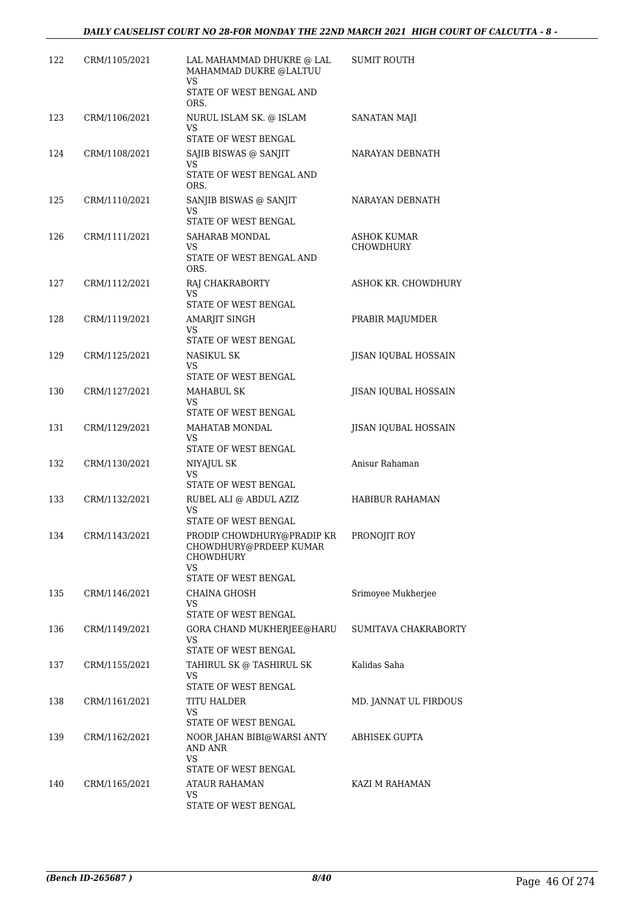| 122 | CRM/1105/2021 | LAL MAHAMMAD DHUKRE @ LAL<br>MAHAMMAD DUKRE @LALTUU<br>VS<br>STATE OF WEST BENGAL AND                               | SUMIT ROUTH                     |
|-----|---------------|---------------------------------------------------------------------------------------------------------------------|---------------------------------|
|     |               | ORS.                                                                                                                |                                 |
| 123 | CRM/1106/2021 | NURUL ISLAM SK. @ ISLAM<br>VS<br>STATE OF WEST BENGAL                                                               | SANATAN MAJI                    |
| 124 | CRM/1108/2021 | SAJIB BISWAS @ SANJIT<br>VS<br>STATE OF WEST BENGAL AND<br>ORS.                                                     | NARAYAN DEBNATH                 |
| 125 | CRM/1110/2021 | SANJIB BISWAS @ SANJIT<br>VS<br>STATE OF WEST BENGAL                                                                | NARAYAN DEBNATH                 |
| 126 | CRM/1111/2021 | SAHARAB MONDAL<br>VS<br>STATE OF WEST BENGAL AND<br>ORS.                                                            | ASHOK KUMAR<br><b>CHOWDHURY</b> |
| 127 | CRM/1112/2021 | RAJ CHAKRABORTY<br><b>VS</b><br>STATE OF WEST BENGAL                                                                | ASHOK KR. CHOWDHURY             |
| 128 | CRM/1119/2021 | AMARJIT SINGH<br>VS<br>STATE OF WEST BENGAL                                                                         | PRABIR MAJUMDER                 |
| 129 | CRM/1125/2021 | NASIKUL SK<br>VS<br>STATE OF WEST BENGAL                                                                            | JISAN IQUBAL HOSSAIN            |
| 130 | CRM/1127/2021 | <b>MAHABUL SK</b><br>VS<br>STATE OF WEST BENGAL                                                                     | JISAN IQUBAL HOSSAIN            |
| 131 | CRM/1129/2021 | MAHATAB MONDAL<br>VS.<br>STATE OF WEST BENGAL                                                                       | JISAN IQUBAL HOSSAIN            |
| 132 | CRM/1130/2021 | NIYAJUL SK<br>VS<br>STATE OF WEST BENGAL                                                                            | Anisur Rahaman                  |
| 133 | CRM/1132/2021 | RUBEL ALI @ ABDUL AZIZ<br>VS<br>STATE OF WEST BENGAL                                                                | HABIBUR RAHAMAN                 |
| 134 | CRM/1143/2021 | PRODIP CHOWDHURY@PRADIP KR PRONOJIT ROY<br>CHOWDHURY@PRDEEP KUMAR<br><b>CHOWDHURY</b><br>VS<br>STATE OF WEST BENGAL |                                 |
| 135 | CRM/1146/2021 | CHAINA GHOSH<br>VS<br>STATE OF WEST BENGAL                                                                          | Srimoyee Mukherjee              |
| 136 | CRM/1149/2021 | GORA CHAND MUKHERJEE@HARU<br>VS.<br>STATE OF WEST BENGAL                                                            | SUMITAVA CHAKRABORTY            |
| 137 | CRM/1155/2021 | TAHIRUL SK @ TASHIRUL SK<br>VS<br>STATE OF WEST BENGAL                                                              | Kalidas Saha                    |
| 138 | CRM/1161/2021 | TITU HALDER<br>VS<br>STATE OF WEST BENGAL                                                                           | MD. JANNAT UL FIRDOUS           |
| 139 | CRM/1162/2021 | NOOR JAHAN BIBI@WARSI ANTY<br>AND ANR<br>VS<br>STATE OF WEST BENGAL                                                 | ABHISEK GUPTA                   |
| 140 | CRM/1165/2021 | <b>ATAUR RAHAMAN</b><br>VS<br>STATE OF WEST BENGAL                                                                  | KAZI M RAHAMAN                  |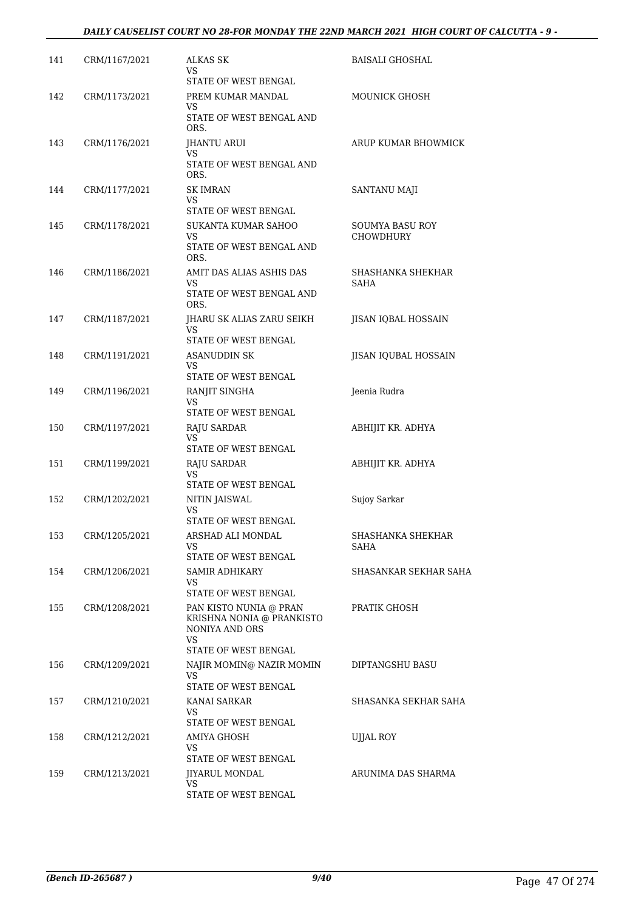#### *DAILY CAUSELIST COURT NO 28-FOR MONDAY THE 22ND MARCH 2021 HIGH COURT OF CALCUTTA - 9 -*

| 141 | CRM/1167/2021 | ALKAS SK<br>VS<br>STATE OF WEST BENGAL                                                               | <b>BAISALI GHOSHAL</b>       |
|-----|---------------|------------------------------------------------------------------------------------------------------|------------------------------|
| 142 | CRM/1173/2021 | PREM KUMAR MANDAL<br>VS<br>STATE OF WEST BENGAL AND<br>ORS.                                          | MOUNICK GHOSH                |
| 143 | CRM/1176/2021 | JHANTU ARUI<br>VS<br>STATE OF WEST BENGAL AND<br>ORS.                                                | ARUP KUMAR BHOWMICK          |
| 144 | CRM/1177/2021 | <b>SK IMRAN</b><br>VS<br>STATE OF WEST BENGAL                                                        | SANTANU MAJI                 |
| 145 | CRM/1178/2021 | SUKANTA KUMAR SAHOO<br>VS<br>STATE OF WEST BENGAL AND<br>ORS.                                        | SOUMYA BASU ROY<br>CHOWDHURY |
| 146 | CRM/1186/2021 | AMIT DAS ALIAS ASHIS DAS<br>VS<br>STATE OF WEST BENGAL AND<br>ORS.                                   | SHASHANKA SHEKHAR<br>SAHA    |
| 147 | CRM/1187/2021 | JHARU SK ALIAS ZARU SEIKH<br>VS<br>STATE OF WEST BENGAL                                              | JISAN IQBAL HOSSAIN          |
| 148 | CRM/1191/2021 | ASANUDDIN SK<br>VS<br>STATE OF WEST BENGAL                                                           | JISAN IQUBAL HOSSAIN         |
| 149 | CRM/1196/2021 | RANJIT SINGHA<br>VS<br>STATE OF WEST BENGAL                                                          | Jeenia Rudra                 |
| 150 | CRM/1197/2021 | RAJU SARDAR<br>VS.<br>STATE OF WEST BENGAL                                                           | ABHIJIT KR. ADHYA            |
| 151 | CRM/1199/2021 | RAJU SARDAR<br>VS<br>STATE OF WEST BENGAL                                                            | ABHIJIT KR. ADHYA            |
| 152 | CRM/1202/2021 | NITIN JAISWAL<br>VS<br>STATE OF WEST BENGAL                                                          | Sujoy Sarkar                 |
| 153 | CRM/1205/2021 | ARSHAD ALI MONDAL<br>VS<br>STATE OF WEST BENGAL                                                      | SHASHANKA SHEKHAR<br>SAHA    |
| 154 | CRM/1206/2021 | SAMIR ADHIKARY<br>VS<br>STATE OF WEST BENGAL                                                         | SHASANKAR SEKHAR SAHA        |
| 155 | CRM/1208/2021 | PAN KISTO NUNIA @ PRAN<br>KRISHNA NONIA @ PRANKISTO<br>NONIYA AND ORS<br>VS.<br>STATE OF WEST BENGAL | PRATIK GHOSH                 |
| 156 | CRM/1209/2021 | NAJIR MOMIN@ NAZIR MOMIN<br>VS<br>STATE OF WEST BENGAL                                               | DIPTANGSHU BASU              |
| 157 | CRM/1210/2021 | KANAI SARKAR<br>VS<br>STATE OF WEST BENGAL                                                           | SHASANKA SEKHAR SAHA         |
| 158 | CRM/1212/2021 | AMIYA GHOSH<br>VS<br>STATE OF WEST BENGAL                                                            | <b>UJJAL ROY</b>             |
| 159 | CRM/1213/2021 | JIYARUL MONDAL<br>VS<br>STATE OF WEST BENGAL                                                         | ARUNIMA DAS SHARMA           |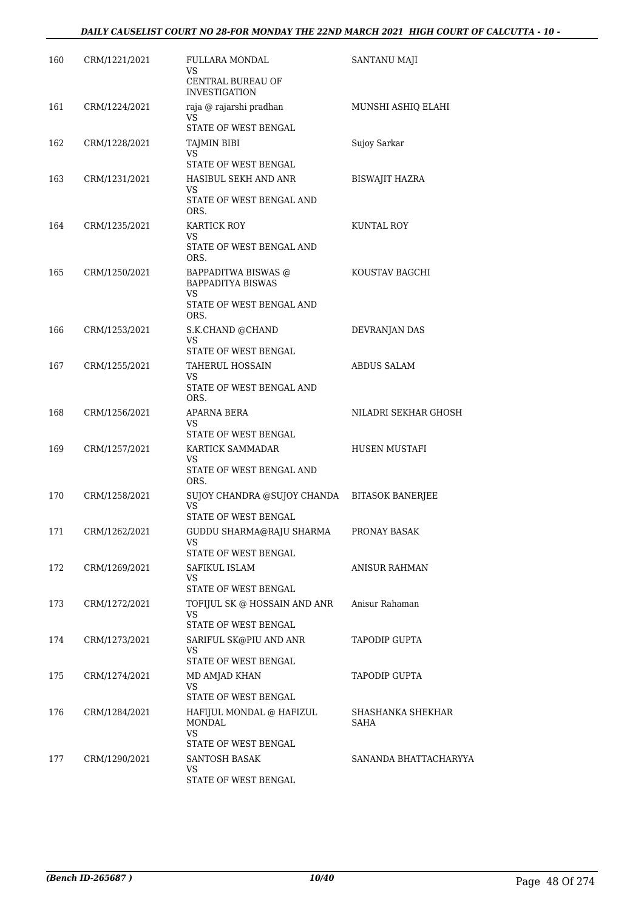| 160 | CRM/1221/2021 | FULLARA MONDAL<br>VS.                                 | SANTANU MAJI              |
|-----|---------------|-------------------------------------------------------|---------------------------|
|     |               | CENTRAL BUREAU OF<br><b>INVESTIGATION</b>             |                           |
| 161 | CRM/1224/2021 | raja @ rajarshi pradhan<br>VS<br>STATE OF WEST BENGAL | MUNSHI ASHIO ELAHI        |
| 162 | CRM/1228/2021 | TAJMIN BIBI                                           | Sujoy Sarkar              |
|     |               | VS                                                    |                           |
|     |               | STATE OF WEST BENGAL                                  |                           |
| 163 | CRM/1231/2021 | HASIBUL SEKH AND ANR<br>VS                            | BISWAJIT HAZRA            |
|     |               | STATE OF WEST BENGAL AND<br>ORS.                      |                           |
| 164 | CRM/1235/2021 | KARTICK ROY                                           | KUNTAL ROY                |
|     |               | VS<br>STATE OF WEST BENGAL AND<br>ORS.                |                           |
| 165 | CRM/1250/2021 | BAPPADITWA BISWAS @                                   | KOUSTAV BAGCHI            |
|     |               | <b>BAPPADITYA BISWAS</b><br>VS.                       |                           |
|     |               | STATE OF WEST BENGAL AND<br>ORS.                      |                           |
| 166 | CRM/1253/2021 | S.K.CHAND @CHAND                                      | DEVRANJAN DAS             |
|     |               | <b>VS</b><br>STATE OF WEST BENGAL                     |                           |
| 167 | CRM/1255/2021 | <b>TAHERUL HOSSAIN</b>                                | <b>ABDUS SALAM</b>        |
|     |               | VS<br>STATE OF WEST BENGAL AND<br>ORS.                |                           |
| 168 | CRM/1256/2021 | APARNA BERA                                           | NILADRI SEKHAR GHOSH      |
|     |               | VS<br>STATE OF WEST BENGAL                            |                           |
| 169 | CRM/1257/2021 | KARTICK SAMMADAR                                      | HUSEN MUSTAFI             |
|     |               | VS<br>STATE OF WEST BENGAL AND<br>ORS.                |                           |
| 170 | CRM/1258/2021 | SUJOY CHANDRA @SUJOY CHANDA                           | <b>BITASOK BANERJEE</b>   |
|     |               | VS.<br>STATE OF WEST BENGAL                           |                           |
| 171 | CRM/1262/2021 | GUDDU SHARMA@RAJU SHARMA                              | PRONAY BASAK              |
|     |               | VS<br>STATE OF WEST BENGAL                            |                           |
| 172 | CRM/1269/2021 | SAFIKUL ISLAM                                         | ANISUR RAHMAN             |
|     |               | VS                                                    |                           |
|     |               | STATE OF WEST BENGAL                                  |                           |
| 173 | CRM/1272/2021 | TOFIJUL SK @ HOSSAIN AND ANR<br>VS                    | Anisur Rahaman            |
|     |               | STATE OF WEST BENGAL                                  |                           |
| 174 | CRM/1273/2021 | SARIFUL SK@PIU AND ANR                                | TAPODIP GUPTA             |
|     |               | VS.<br>STATE OF WEST BENGAL                           |                           |
| 175 | CRM/1274/2021 | MD AMJAD KHAN                                         | TAPODIP GUPTA             |
|     |               | VS.<br>STATE OF WEST BENGAL                           |                           |
| 176 | CRM/1284/2021 | HAFIJUL MONDAL @ HAFIZUL<br>MONDAL<br>VS              | SHASHANKA SHEKHAR<br>SAHA |
|     |               | STATE OF WEST BENGAL                                  |                           |
| 177 | CRM/1290/2021 | SANTOSH BASAK                                         | SANANDA BHATTACHARYYA     |
|     |               | VS<br>STATE OF WEST BENGAL                            |                           |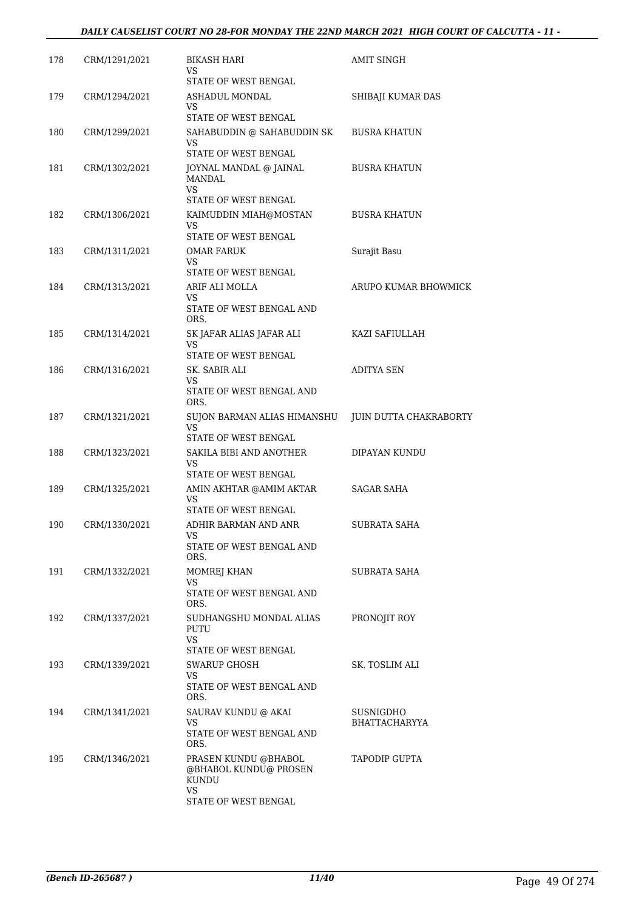| 178 | CRM/1291/2021 | <b>BIKASH HARI</b><br>VS<br>STATE OF WEST BENGAL                                     | AMIT SINGH                        |
|-----|---------------|--------------------------------------------------------------------------------------|-----------------------------------|
| 179 | CRM/1294/2021 | ASHADUL MONDAL<br>VS.<br>STATE OF WEST BENGAL                                        | SHIBAJI KUMAR DAS                 |
| 180 | CRM/1299/2021 | SAHABUDDIN @ SAHABUDDIN SK<br>VS<br>STATE OF WEST BENGAL                             | <b>BUSRA KHATUN</b>               |
| 181 | CRM/1302/2021 | JOYNAL MANDAL @ JAINAL<br>MANDAL<br><b>VS</b>                                        | <b>BUSRA KHATUN</b>               |
|     |               | STATE OF WEST BENGAL                                                                 |                                   |
| 182 | CRM/1306/2021 | KAIMUDDIN MIAH@MOSTAN<br>VS<br>STATE OF WEST BENGAL                                  | <b>BUSRA KHATUN</b>               |
| 183 | CRM/1311/2021 | OMAR FARUK<br><b>VS</b><br>STATE OF WEST BENGAL                                      | Surajit Basu                      |
| 184 | CRM/1313/2021 | ARIF ALI MOLLA<br>VS<br>STATE OF WEST BENGAL AND<br>ORS.                             | ARUPO KUMAR BHOWMICK              |
| 185 | CRM/1314/2021 | SK JAFAR ALIAS JAFAR ALI<br>VS<br>STATE OF WEST BENGAL                               | KAZI SAFIULLAH                    |
| 186 | CRM/1316/2021 | SK. SABIR ALI<br>VS<br>STATE OF WEST BENGAL AND                                      | <b>ADITYA SEN</b>                 |
| 187 | CRM/1321/2021 | ORS.<br>SUJON BARMAN ALIAS HIMANSHU<br>VS<br>STATE OF WEST BENGAL                    | JUIN DUTTA CHAKRABORTY            |
| 188 | CRM/1323/2021 | SAKILA BIBI AND ANOTHER<br>VS.<br>STATE OF WEST BENGAL                               | DIPAYAN KUNDU                     |
| 189 | CRM/1325/2021 | AMIN AKHTAR @AMIM AKTAR<br>VS<br>STATE OF WEST BENGAL                                | SAGAR SAHA                        |
| 190 | CRM/1330/2021 | ADHIR BARMAN AND ANR<br>STATE OF WEST BENGAL AND                                     | <b>SUBRATA SAHA</b>               |
| 191 | CRM/1332/2021 | ORS.<br>MOMREJ KHAN<br>VS<br>STATE OF WEST BENGAL AND<br>ORS.                        | SUBRATA SAHA                      |
| 192 | CRM/1337/2021 | SUDHANGSHU MONDAL ALIAS<br>PUTU<br><b>VS</b><br>STATE OF WEST BENGAL                 | PRONOJIT ROY                      |
| 193 | CRM/1339/2021 | SWARUP GHOSH<br>VS.<br>STATE OF WEST BENGAL AND<br>ORS.                              | SK. TOSLIM ALI                    |
| 194 | CRM/1341/2021 | SAURAV KUNDU @ AKAI<br>VS<br>STATE OF WEST BENGAL AND<br>ORS.                        | SUSNIGDHO<br><b>BHATTACHARYYA</b> |
| 195 | CRM/1346/2021 | PRASEN KUNDU @BHABOL<br>@BHABOL KUNDU@ PROSEN<br>KUNDU<br>VS<br>STATE OF WEST BENGAL | <b>TAPODIP GUPTA</b>              |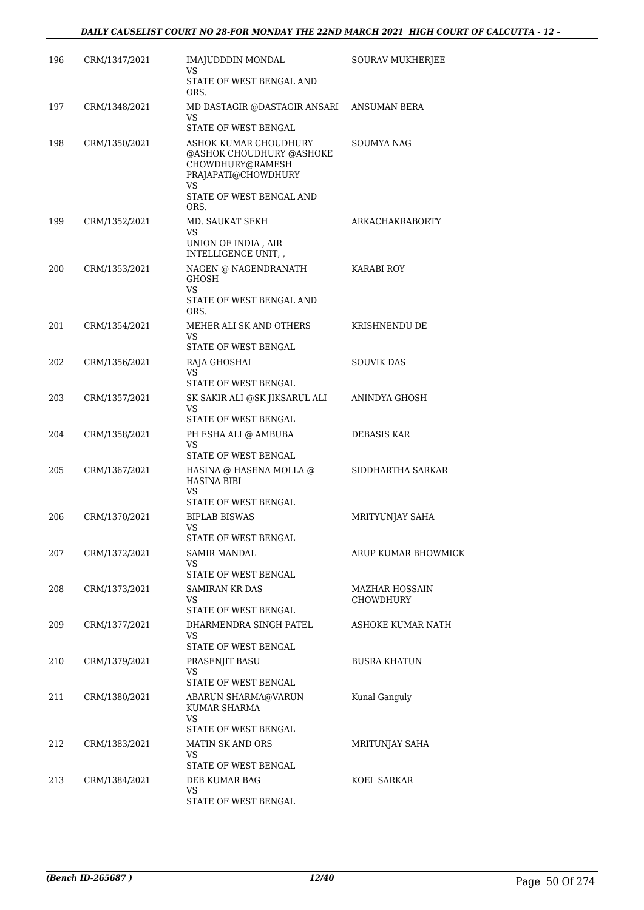| 196 | CRM/1347/2021 | IMAJUDDDIN MONDAL<br>VS                                                                                                                       | SOURAV MUKHERJEE                   |
|-----|---------------|-----------------------------------------------------------------------------------------------------------------------------------------------|------------------------------------|
|     |               | STATE OF WEST BENGAL AND<br>ORS.                                                                                                              |                                    |
| 197 | CRM/1348/2021 | MD DASTAGIR @DASTAGIR ANSARI<br><b>VS</b><br>STATE OF WEST BENGAL                                                                             | ANSUMAN BERA                       |
| 198 | CRM/1350/2021 | ASHOK KUMAR CHOUDHURY<br>@ASHOK CHOUDHURY @ASHOKE<br>CHOWDHURY@RAMESH<br>PRAJAPATI@CHOWDHURY<br><b>VS</b><br>STATE OF WEST BENGAL AND<br>ORS. | SOUMYA NAG                         |
| 199 | CRM/1352/2021 | MD. SAUKAT SEKH<br>VS<br>UNION OF INDIA, AIR<br>INTELLIGENCE UNIT, ,                                                                          | ARKACHAKRABORTY                    |
| 200 | CRM/1353/2021 | NAGEN @ NAGENDRANATH<br><b>GHOSH</b><br>VS.<br>STATE OF WEST BENGAL AND<br>ORS.                                                               | KARABI ROY                         |
| 201 | CRM/1354/2021 | MEHER ALI SK AND OTHERS<br>VS<br>STATE OF WEST BENGAL                                                                                         | KRISHNENDU DE                      |
| 202 | CRM/1356/2021 | RAJA GHOSHAL<br>VS<br>STATE OF WEST BENGAL                                                                                                    | <b>SOUVIK DAS</b>                  |
| 203 | CRM/1357/2021 | SK SAKIR ALI @SK JIKSARUL ALI<br>VS.<br>STATE OF WEST BENGAL                                                                                  | ANINDYA GHOSH                      |
| 204 | CRM/1358/2021 | PH ESHA ALI @ AMBUBA<br>VS<br>STATE OF WEST BENGAL                                                                                            | <b>DEBASIS KAR</b>                 |
| 205 | CRM/1367/2021 | HASINA @ HASENA MOLLA @<br><b>HASINA BIBI</b><br>VS.<br>STATE OF WEST BENGAL                                                                  | SIDDHARTHA SARKAR                  |
| 206 | CRM/1370/2021 | <b>BIPLAB BISWAS</b><br><b>VS</b><br>STATE OF WEST BENGAL                                                                                     | MRITYUNJAY SAHA                    |
| 207 | CRM/1372/2021 | SAMIR MANDAL<br>VS<br>STATE OF WEST BENGAL                                                                                                    | ARUP KUMAR BHOWMICK                |
| 208 | CRM/1373/2021 | <b>SAMIRAN KR DAS</b><br>VS.<br>STATE OF WEST BENGAL                                                                                          | MAZHAR HOSSAIN<br><b>CHOWDHURY</b> |
| 209 | CRM/1377/2021 | DHARMENDRA SINGH PATEL<br>VS.<br>STATE OF WEST BENGAL                                                                                         | ASHOKE KUMAR NATH                  |
| 210 | CRM/1379/2021 | PRASENJIT BASU<br>VS<br>STATE OF WEST BENGAL                                                                                                  | <b>BUSRA KHATUN</b>                |
| 211 | CRM/1380/2021 | ABARUN SHARMA@VARUN<br>KUMAR SHARMA<br>VS<br>STATE OF WEST BENGAL                                                                             | Kunal Ganguly                      |
| 212 | CRM/1383/2021 | <b>MATIN SK AND ORS</b><br>VS.<br>STATE OF WEST BENGAL                                                                                        | MRITUNJAY SAHA                     |
| 213 | CRM/1384/2021 | DEB KUMAR BAG<br>VS<br>STATE OF WEST BENGAL                                                                                                   | KOEL SARKAR                        |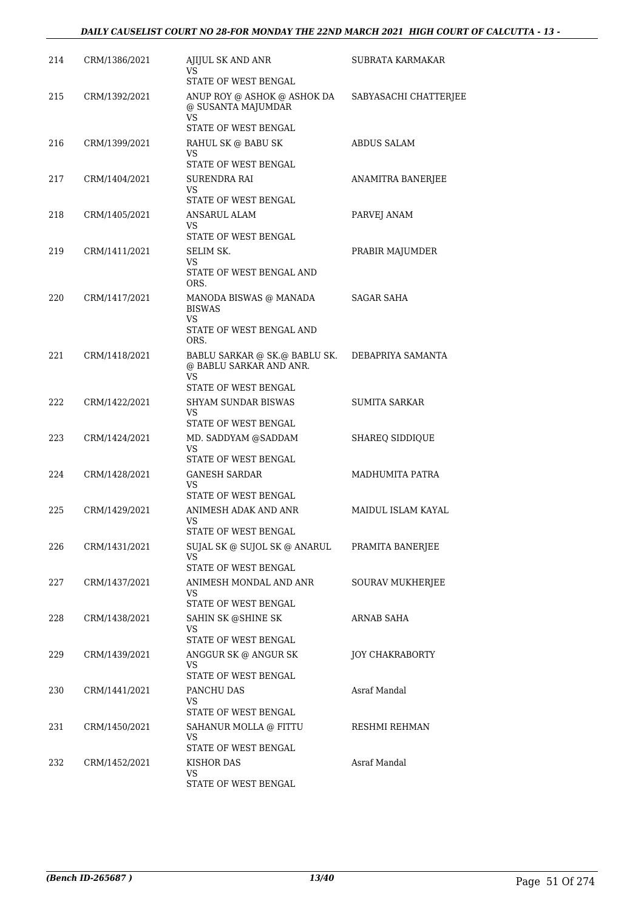| 214 | CRM/1386/2021 | AJIJUL SK AND ANR<br>VS<br>STATE OF WEST BENGAL                                               | SUBRATA KARMAKAR       |
|-----|---------------|-----------------------------------------------------------------------------------------------|------------------------|
| 215 | CRM/1392/2021 | ANUP ROY @ ASHOK @ ASHOK DA<br>@ SUSANTA MAJUMDAR<br>VS<br>STATE OF WEST BENGAL               | SABYASACHI CHATTERJEE  |
| 216 | CRM/1399/2021 | RAHUL SK @ BABU SK<br>VS                                                                      | ABDUS SALAM            |
| 217 | CRM/1404/2021 | STATE OF WEST BENGAL<br>SURENDRA RAI<br>VS.<br>STATE OF WEST BENGAL                           | ANAMITRA BANERJEE      |
| 218 | CRM/1405/2021 | ANSARUL ALAM<br>VS<br>STATE OF WEST BENGAL                                                    | PARVEJ ANAM            |
| 219 | CRM/1411/2021 | SELIM SK.<br>VS<br>STATE OF WEST BENGAL AND                                                   | PRABIR MAJUMDER        |
| 220 | CRM/1417/2021 | ORS.<br>MANODA BISWAS @ MANADA<br><b>BISWAS</b><br>VS.<br>STATE OF WEST BENGAL AND<br>ORS.    | <b>SAGAR SAHA</b>      |
| 221 | CRM/1418/2021 | BABLU SARKAR @ SK.@ BABLU SK.<br>@ BABLU SARKAR AND ANR.<br><b>VS</b><br>STATE OF WEST BENGAL | DEBAPRIYA SAMANTA      |
| 222 | CRM/1422/2021 | <b>SHYAM SUNDAR BISWAS</b><br>VS<br>STATE OF WEST BENGAL                                      | <b>SUMITA SARKAR</b>   |
| 223 | CRM/1424/2021 | MD. SADDYAM @SADDAM<br>VS.<br>STATE OF WEST BENGAL                                            | <b>SHAREQ SIDDIQUE</b> |
| 224 | CRM/1428/2021 | <b>GANESH SARDAR</b><br>VS<br>STATE OF WEST BENGAL                                            | MADHUMITA PATRA        |
| 225 | CRM/1429/2021 | ANIMESH ADAK AND ANR<br>VS<br>STATE OF WEST BENGAL                                            | MAIDUL ISLAM KAYAL     |
| 226 | CRM/1431/2021 | SUJAL SK @ SUJOL SK @ ANARUL<br>VS.<br>STATE OF WEST BENGAL                                   | PRAMITA BANERJEE       |
| 227 | CRM/1437/2021 | ANIMESH MONDAL AND ANR<br>VS<br>STATE OF WEST BENGAL                                          | SOURAV MUKHERJEE       |
| 228 | CRM/1438/2021 | SAHIN SK @SHINE SK<br>VS<br>STATE OF WEST BENGAL                                              | ARNAB SAHA             |
| 229 | CRM/1439/2021 | ANGGUR SK @ ANGUR SK<br>VS<br>STATE OF WEST BENGAL                                            | <b>JOY CHAKRABORTY</b> |
| 230 | CRM/1441/2021 | PANCHU DAS<br>VS.<br>STATE OF WEST BENGAL                                                     | Asraf Mandal           |
| 231 | CRM/1450/2021 | SAHANUR MOLLA @ FITTU<br>VS<br>STATE OF WEST BENGAL                                           | RESHMI REHMAN          |
| 232 | CRM/1452/2021 | KISHOR DAS<br>VS<br>STATE OF WEST BENGAL                                                      | Asraf Mandal           |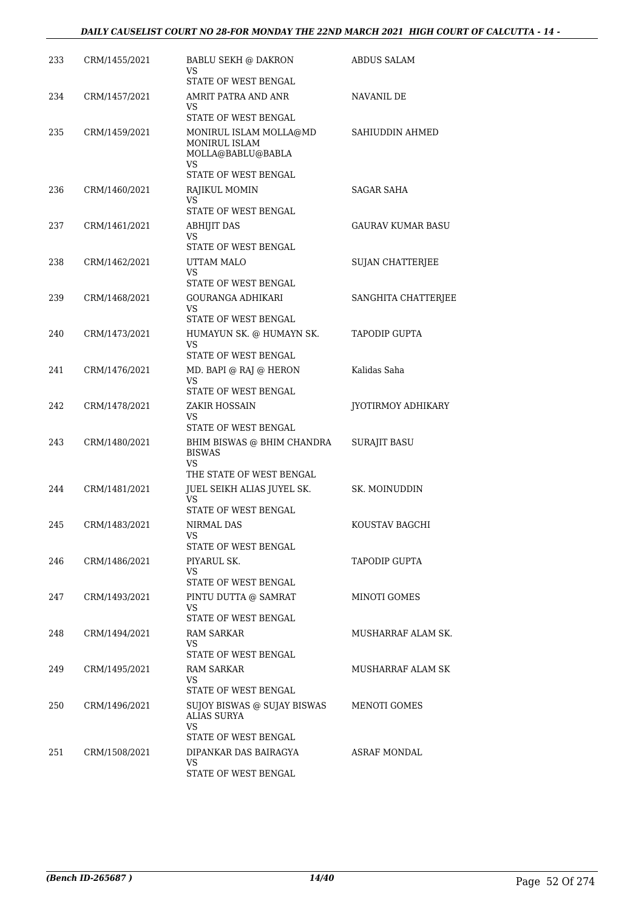#### *DAILY CAUSELIST COURT NO 28-FOR MONDAY THE 22ND MARCH 2021 HIGH COURT OF CALCUTTA - 14 -*

| 233 | CRM/1455/2021 | BABLU SEKH @ DAKRON<br>VS                                                                          | ABDUS SALAM         |
|-----|---------------|----------------------------------------------------------------------------------------------------|---------------------|
|     |               | STATE OF WEST BENGAL                                                                               |                     |
| 234 | CRM/1457/2021 | AMRIT PATRA AND ANR<br>VS.                                                                         | NAVANIL DE          |
|     |               | STATE OF WEST BENGAL                                                                               |                     |
| 235 | CRM/1459/2021 | MONIRUL ISLAM MOLLA@MD<br><b>MONIRUL ISLAM</b><br>MOLLA@BABLU@BABLA<br>VS.<br>STATE OF WEST BENGAL | SAHIUDDIN AHMED     |
| 236 | CRM/1460/2021 | RAJIKUL MOMIN<br>VS.                                                                               | SAGAR SAHA          |
|     |               | STATE OF WEST BENGAL                                                                               |                     |
| 237 | CRM/1461/2021 | <b>ABHIJIT DAS</b><br>VS.<br>STATE OF WEST BENGAL                                                  | GAURAV KUMAR BASU   |
| 238 | CRM/1462/2021 | UTTAM MALO                                                                                         | SUJAN CHATTERJEE    |
|     |               | VS<br>STATE OF WEST BENGAL                                                                         |                     |
| 239 | CRM/1468/2021 | <b>GOURANGA ADHIKARI</b>                                                                           | SANGHITA CHATTERJEE |
|     |               | VS.<br>STATE OF WEST BENGAL                                                                        |                     |
| 240 | CRM/1473/2021 | HUMAYUN SK. @ HUMAYN SK.                                                                           | TAPODIP GUPTA       |
|     |               | <b>VS</b><br>STATE OF WEST BENGAL                                                                  |                     |
| 241 | CRM/1476/2021 | MD. BAPI @ RAJ @ HERON                                                                             | Kalidas Saha        |
|     |               | VS<br>STATE OF WEST BENGAL                                                                         |                     |
| 242 | CRM/1478/2021 | ZAKIR HOSSAIN                                                                                      | JYOTIRMOY ADHIKARY  |
|     |               | VS<br>STATE OF WEST BENGAL                                                                         |                     |
| 243 | CRM/1480/2021 | BHIM BISWAS @ BHIM CHANDRA<br><b>BISWAS</b><br>VS.<br>THE STATE OF WEST BENGAL                     | <b>SURAJIT BASU</b> |
| 244 | CRM/1481/2021 | JUEL SEIKH ALIAS JUYEL SK.                                                                         | SK. MOINUDDIN       |
|     |               | VS<br>STATE OF WEST BENGAL                                                                         |                     |
| 245 | CRM/1483/2021 | <b>NIRMAL DAS</b>                                                                                  | KOUSTAV BAGCHI      |
|     |               | STATE OF WEST BENGAL                                                                               |                     |
| 246 | CRM/1486/2021 | PIYARUL SK.                                                                                        | TAPODIP GUPTA       |
|     |               | VS.<br>STATE OF WEST BENGAL                                                                        |                     |
| 247 | CRM/1493/2021 | PINTU DUTTA @ SAMRAT                                                                               | <b>MINOTI GOMES</b> |
|     |               | VS<br>STATE OF WEST BENGAL                                                                         |                     |
| 248 | CRM/1494/2021 | RAM SARKAR                                                                                         | MUSHARRAF ALAM SK.  |
|     |               | VS<br>STATE OF WEST BENGAL                                                                         |                     |
| 249 | CRM/1495/2021 | RAM SARKAR                                                                                         | MUSHARRAF ALAM SK   |
|     |               | VS<br>STATE OF WEST BENGAL                                                                         |                     |
| 250 | CRM/1496/2021 | SUJOY BISWAS @ SUJAY BISWAS<br>ALIAS SURYA<br>VS.<br>STATE OF WEST BENGAL                          | MENOTI GOMES        |
| 251 | CRM/1508/2021 | DIPANKAR DAS BAIRAGYA                                                                              | ASRAF MONDAL        |
|     |               | VS.<br>STATE OF WEST BENGAL                                                                        |                     |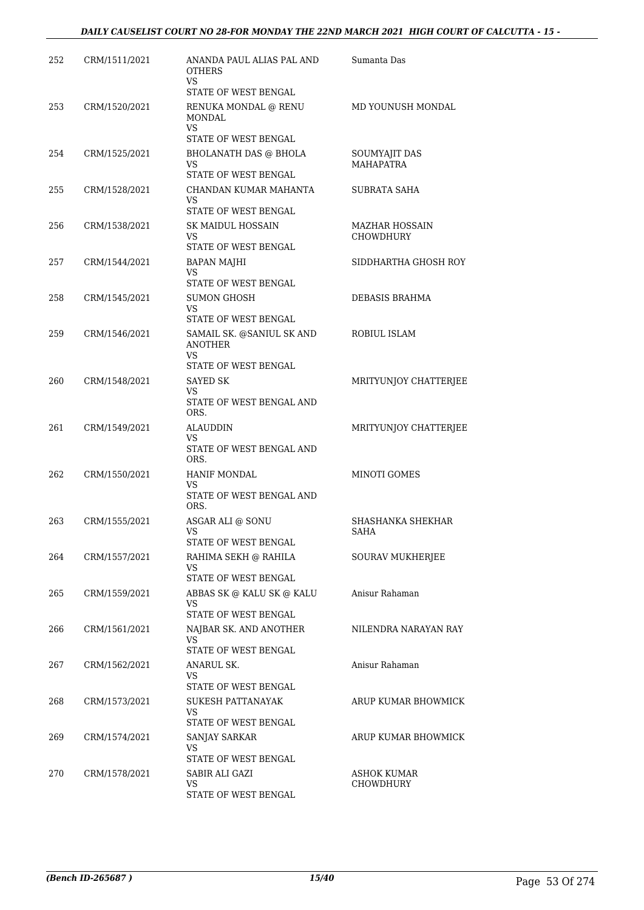| 252 | CRM/1511/2021 | ANANDA PAUL ALIAS PAL AND<br><b>OTHERS</b><br>VS.              | Sumanta Das                            |
|-----|---------------|----------------------------------------------------------------|----------------------------------------|
|     |               | STATE OF WEST BENGAL                                           |                                        |
| 253 | CRM/1520/2021 | RENUKA MONDAL @ RENU<br><b>MONDAL</b><br>VS.                   | MD YOUNUSH MONDAL                      |
|     |               | STATE OF WEST BENGAL                                           |                                        |
| 254 | CRM/1525/2021 | BHOLANATH DAS @ BHOLA<br>VS<br>STATE OF WEST BENGAL            | SOUMYAJIT DAS<br><b>MAHAPATRA</b>      |
| 255 | CRM/1528/2021 | CHANDAN KUMAR MAHANTA<br><b>VS</b><br>STATE OF WEST BENGAL     | SUBRATA SAHA                           |
| 256 | CRM/1538/2021 | SK MAIDUL HOSSAIN<br>VS.<br>STATE OF WEST BENGAL               | <b>MAZHAR HOSSAIN</b><br>CHOWDHURY     |
| 257 | CRM/1544/2021 | <b>BAPAN MAJHI</b><br>VS.<br>STATE OF WEST BENGAL              | SIDDHARTHA GHOSH ROY                   |
| 258 | CRM/1545/2021 | SUMON GHOSH<br>VS.<br>STATE OF WEST BENGAL                     | DEBASIS BRAHMA                         |
| 259 | CRM/1546/2021 | SAMAIL SK. @SANIUL SK AND<br><b>ANOTHER</b><br>VS.             | ROBIUL ISLAM                           |
| 260 | CRM/1548/2021 | STATE OF WEST BENGAL<br>SAYED SK                               | MRITYUNJOY CHATTERJEE                  |
|     |               | VS.<br>STATE OF WEST BENGAL AND<br>ORS.                        |                                        |
| 261 | CRM/1549/2021 | ALAUDDIN<br>VS.<br>STATE OF WEST BENGAL AND<br>ORS.            | MRITYUNJOY CHATTERJEE                  |
| 262 | CRM/1550/2021 | <b>HANIF MONDAL</b><br>VS.<br>STATE OF WEST BENGAL AND<br>ORS. | MINOTI GOMES                           |
| 263 | CRM/1555/2021 | ASGAR ALI @ SONU<br>VS<br>STATE OF WEST BENGAL                 | SHASHANKA SHEKHAR<br>SAHA              |
| 264 | CRM/1557/2021 | RAHIMA SEKH @ RAHILA<br>VS<br>STATE OF WEST BENGAL             | SOURAV MUKHERJEE                       |
| 265 | CRM/1559/2021 | ABBAS SK @ KALU SK @ KALU<br>VS.<br>STATE OF WEST BENGAL       | Anisur Rahaman                         |
| 266 | CRM/1561/2021 | NAJBAR SK. AND ANOTHER<br>VS<br>STATE OF WEST BENGAL           | NILENDRA NARAYAN RAY                   |
| 267 | CRM/1562/2021 | ANARUL SK.<br>VS<br>STATE OF WEST BENGAL                       | Anisur Rahaman                         |
| 268 | CRM/1573/2021 | SUKESH PATTANAYAK<br>VS<br>STATE OF WEST BENGAL                | ARUP KUMAR BHOWMICK                    |
| 269 | CRM/1574/2021 | SANJAY SARKAR<br>VS<br>STATE OF WEST BENGAL                    | ARUP KUMAR BHOWMICK                    |
| 270 | CRM/1578/2021 | SABIR ALI GAZI<br>VS<br>STATE OF WEST BENGAL                   | <b>ASHOK KUMAR</b><br><b>CHOWDHURY</b> |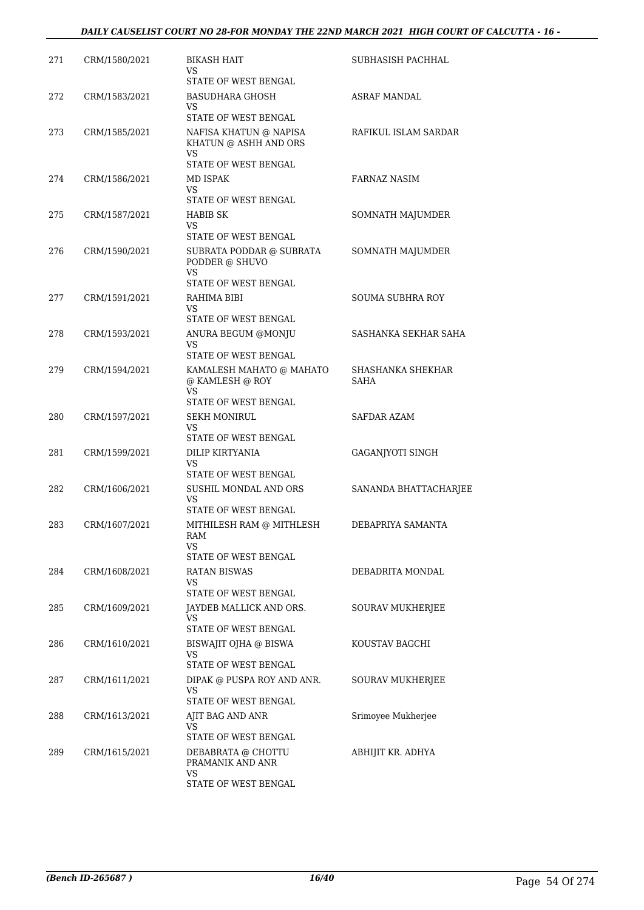| 271 | CRM/1580/2021 | <b>BIKASH HAIT</b><br>VS.<br>STATE OF WEST BENGAL                                | SUBHASISH PACHHAL         |
|-----|---------------|----------------------------------------------------------------------------------|---------------------------|
| 272 | CRM/1583/2021 | <b>BASUDHARA GHOSH</b><br>VS<br>STATE OF WEST BENGAL                             | <b>ASRAF MANDAL</b>       |
| 273 | CRM/1585/2021 | NAFISA KHATUN @ NAPISA<br>KHATUN @ ASHH AND ORS<br>VS                            | RAFIKUL ISLAM SARDAR      |
|     |               | STATE OF WEST BENGAL                                                             |                           |
| 274 | CRM/1586/2021 | MD ISPAK<br>VS<br>STATE OF WEST BENGAL                                           | FARNAZ NASIM              |
| 275 | CRM/1587/2021 | HABIB SK<br>VS<br>STATE OF WEST BENGAL                                           | SOMNATH MAJUMDER          |
| 276 | CRM/1590/2021 | SUBRATA PODDAR @ SUBRATA<br>PODDER @ SHUVO<br><b>VS</b><br>STATE OF WEST BENGAL  | SOMNATH MAJUMDER          |
| 277 | CRM/1591/2021 | RAHIMA BIBI<br>VS<br>STATE OF WEST BENGAL                                        | SOUMA SUBHRA ROY          |
| 278 | CRM/1593/2021 | ANURA BEGUM @MONJU<br>VS<br>STATE OF WEST BENGAL                                 | SASHANKA SEKHAR SAHA      |
| 279 | CRM/1594/2021 | KAMALESH MAHATO @ MAHATO<br>@ KAMLESH @ ROY<br><b>VS</b><br>STATE OF WEST BENGAL | SHASHANKA SHEKHAR<br>SAHA |
| 280 | CRM/1597/2021 | <b>SEKH MONIRUL</b><br>VS<br>STATE OF WEST BENGAL                                | <b>SAFDAR AZAM</b>        |
| 281 | CRM/1599/2021 | DILIP KIRTYANIA<br>VS<br>STATE OF WEST BENGAL                                    | <b>GAGANJYOTI SINGH</b>   |
| 282 | CRM/1606/2021 | SUSHIL MONDAL AND ORS<br>VS<br>STATE OF WEST BENGAL                              | SANANDA BHATTACHARJEE     |
| 283 | CRM/1607/2021 | MITHILESH RAM @ MITHLESH<br>RAM<br>VS<br>STATE OF WEST BENGAL                    | DEBAPRIYA SAMANTA         |
| 284 | CRM/1608/2021 | RATAN BISWAS<br>VS<br>STATE OF WEST BENGAL                                       | DEBADRITA MONDAL          |
| 285 | CRM/1609/2021 | JAYDEB MALLICK AND ORS.<br>VS<br>STATE OF WEST BENGAL                            | SOURAV MUKHERJEE          |
| 286 | CRM/1610/2021 | BISWAJIT OJHA @ BISWA<br>VS.<br>STATE OF WEST BENGAL                             | KOUSTAV BAGCHI            |
| 287 | CRM/1611/2021 | DIPAK @ PUSPA ROY AND ANR.<br>VS<br>STATE OF WEST BENGAL                         | SOURAV MUKHERJEE          |
| 288 | CRM/1613/2021 | AJIT BAG AND ANR<br>VS<br>STATE OF WEST BENGAL                                   | Srimoyee Mukherjee        |
| 289 | CRM/1615/2021 | DEBABRATA @ CHOTTU<br>PRAMANIK AND ANR<br>VS<br>STATE OF WEST BENGAL             | ABHIJIT KR. ADHYA         |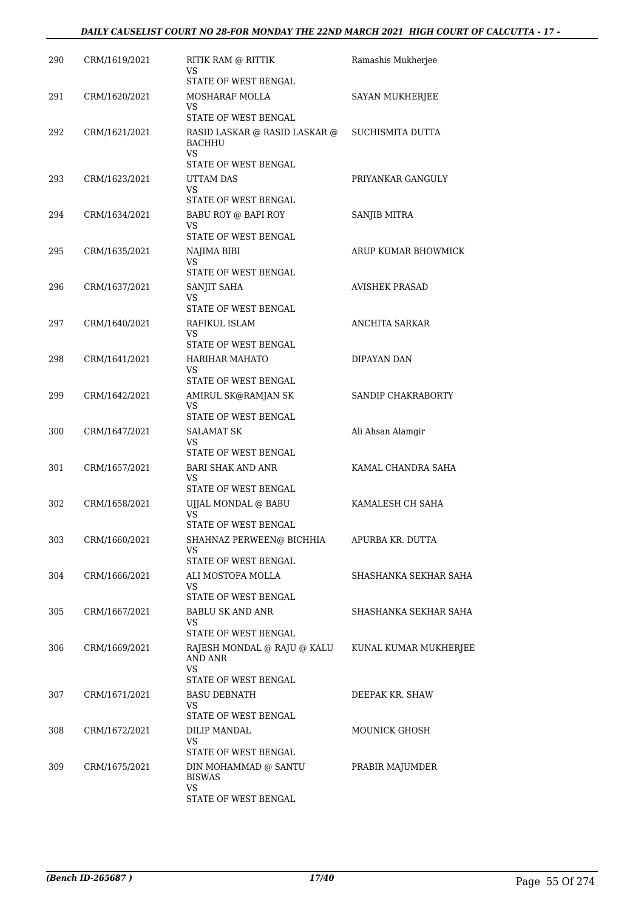| 290 | CRM/1619/2021 | RITIK RAM @ RITTIK<br>VS                       | Ramashis Mukherjee    |
|-----|---------------|------------------------------------------------|-----------------------|
|     |               | STATE OF WEST BENGAL                           |                       |
| 291 | CRM/1620/2021 | MOSHARAF MOLLA<br>VS.                          | SAYAN MUKHERJEE       |
|     |               | STATE OF WEST BENGAL                           |                       |
| 292 | CRM/1621/2021 | RASID LASKAR @ RASID LASKAR @<br><b>BACHHU</b> | SUCHISMITA DUTTA      |
|     |               | VS.                                            |                       |
|     |               | STATE OF WEST BENGAL                           |                       |
| 293 | CRM/1623/2021 | UTTAM DAS                                      | PRIYANKAR GANGULY     |
|     |               | VS.<br>STATE OF WEST BENGAL                    |                       |
| 294 | CRM/1634/2021 | BABU ROY @ BAPI ROY                            | SANJIB MITRA          |
|     |               | VS<br>STATE OF WEST BENGAL                     |                       |
| 295 | CRM/1635/2021 | NAJIMA BIBI                                    | ARUP KUMAR BHOWMICK   |
|     |               | VS                                             |                       |
|     |               | STATE OF WEST BENGAL                           |                       |
| 296 | CRM/1637/2021 | SANJIT SAHA                                    | <b>AVISHEK PRASAD</b> |
|     |               | VS<br>STATE OF WEST BENGAL                     |                       |
|     |               |                                                |                       |
| 297 | CRM/1640/2021 | RAFIKUL ISLAM<br>VS.                           | ANCHITA SARKAR        |
|     |               | STATE OF WEST BENGAL                           |                       |
| 298 | CRM/1641/2021 | HARIHAR MAHATO                                 | DIPAYAN DAN           |
|     |               | VS.                                            |                       |
|     |               | STATE OF WEST BENGAL                           |                       |
| 299 | CRM/1642/2021 | AMIRUL SK@RAMJAN SK                            | SANDIP CHAKRABORTY    |
|     |               | VS                                             |                       |
|     |               | STATE OF WEST BENGAL                           |                       |
| 300 | CRM/1647/2021 | SALAMAT SK                                     | Ali Ahsan Alamgir     |
|     |               | VS<br>STATE OF WEST BENGAL                     |                       |
| 301 | CRM/1657/2021 | <b>BARI SHAK AND ANR</b>                       | KAMAL CHANDRA SAHA    |
|     |               | VS                                             |                       |
|     |               | STATE OF WEST BENGAL                           |                       |
| 302 | CRM/1658/2021 | UJJAL MONDAL @ BABU                            | KAMALESH CH SAHA      |
|     |               | VS                                             |                       |
|     |               | STATE OF WEST BENGAL                           |                       |
| 303 | CRM/1660/2021 | SHAHNAZ PERWEEN@ BICHHIA                       | APURBA KR. DUTTA      |
|     |               | VS<br>STATE OF WEST BENGAL                     |                       |
|     |               |                                                |                       |
| 304 | CRM/1666/2021 | ALI MOSTOFA MOLLA<br>VS.                       | SHASHANKA SEKHAR SAHA |
|     |               | STATE OF WEST BENGAL                           |                       |
| 305 | CRM/1667/2021 | BABLU SK AND ANR                               | SHASHANKA SEKHAR SAHA |
|     |               | VS.                                            |                       |
|     |               | STATE OF WEST BENGAL                           |                       |
| 306 | CRM/1669/2021 | RAJESH MONDAL @ RAJU @ KALU                    | KUNAL KUMAR MUKHERJEE |
|     |               | AND ANR                                        |                       |
|     |               | VS.<br>STATE OF WEST BENGAL                    |                       |
|     |               |                                                |                       |
| 307 | CRM/1671/2021 | <b>BASU DEBNATH</b><br>VS                      | DEEPAK KR. SHAW       |
|     |               | STATE OF WEST BENGAL                           |                       |
| 308 | CRM/1672/2021 | DILIP MANDAL                                   | MOUNICK GHOSH         |
|     |               | VS                                             |                       |
|     |               | STATE OF WEST BENGAL                           |                       |
| 309 | CRM/1675/2021 | DIN MOHAMMAD @ SANTU<br><b>BISWAS</b>          | PRABIR MAJUMDER       |
|     |               | <b>VS</b>                                      |                       |
|     |               | STATE OF WEST BENGAL                           |                       |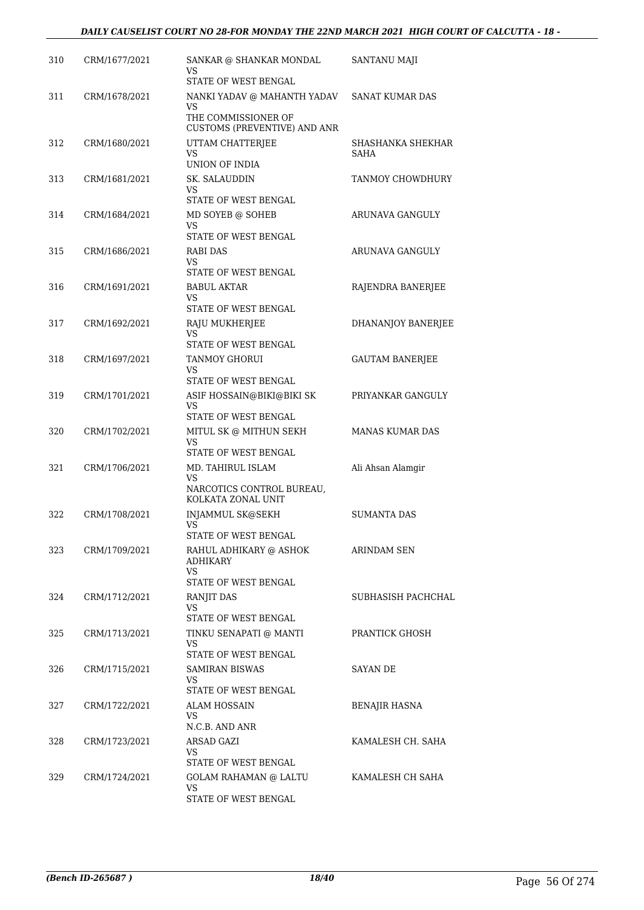| 310 | CRM/1677/2021 | SANKAR @ SHANKAR MONDAL<br>VS<br>STATE OF WEST BENGAL | <b>SANTANU MAJI</b>       |
|-----|---------------|-------------------------------------------------------|---------------------------|
| 311 | CRM/1678/2021 | NANKI YADAV @ MAHANTH YADAV<br>VS                     | SANAT KUMAR DAS           |
|     |               | THE COMMISSIONER OF<br>CUSTOMS (PREVENTIVE) AND ANR   |                           |
| 312 | CRM/1680/2021 | UTTAM CHATTERJEE<br>VS<br>UNION OF INDIA              | SHASHANKA SHEKHAR<br>SAHA |
| 313 | CRM/1681/2021 | SK. SALAUDDIN                                         | TANMOY CHOWDHURY          |
|     |               | VS.<br>STATE OF WEST BENGAL                           |                           |
| 314 | CRM/1684/2021 | MD SOYEB @ SOHEB<br>VS<br>STATE OF WEST BENGAL        | ARUNAVA GANGULY           |
| 315 | CRM/1686/2021 | RABI DAS<br>VS.                                       | ARUNAVA GANGULY           |
|     |               | STATE OF WEST BENGAL                                  |                           |
| 316 | CRM/1691/2021 | <b>BABUL AKTAR</b><br>VS                              | RAJENDRA BANERJEE         |
|     |               | STATE OF WEST BENGAL                                  |                           |
| 317 | CRM/1692/2021 | RAJU MUKHERJEE<br>VS                                  | DHANANJOY BANERJEE        |
|     | CRM/1697/2021 | STATE OF WEST BENGAL<br><b>TANMOY GHORUI</b>          |                           |
| 318 |               | VS<br>STATE OF WEST BENGAL                            | <b>GAUTAM BANERJEE</b>    |
| 319 | CRM/1701/2021 | ASIF HOSSAIN@BIKI@BIKI SK                             | PRIYANKAR GANGULY         |
|     |               | VS<br>STATE OF WEST BENGAL                            |                           |
| 320 | CRM/1702/2021 | MITUL SK @ MITHUN SEKH                                | <b>MANAS KUMAR DAS</b>    |
|     |               | VS<br>STATE OF WEST BENGAL                            |                           |
| 321 | CRM/1706/2021 | MD. TAHIRUL ISLAM                                     | Ali Ahsan Alamgir         |
|     |               | VS<br>NARCOTICS CONTROL BUREAU,<br>KOLKATA ZONAL UNIT |                           |
| 322 | CRM/1708/2021 | <b>INJAMMUL SK@SEKH</b>                               | <b>SUMANTA DAS</b>        |
|     |               | VS<br>STATE OF WEST BENGAL                            |                           |
| 323 | CRM/1709/2021 | RAHUL ADHIKARY @ ASHOK<br>ADHIKARY<br>VS              | ARINDAM SEN               |
|     |               | STATE OF WEST BENGAL                                  |                           |
| 324 | CRM/1712/2021 | RANJIT DAS<br>VS                                      | SUBHASISH PACHCHAL        |
|     |               | STATE OF WEST BENGAL                                  |                           |
| 325 | CRM/1713/2021 | TINKU SENAPATI @ MANTI<br>VS<br>STATE OF WEST BENGAL  | PRANTICK GHOSH            |
| 326 | CRM/1715/2021 | SAMIRAN BISWAS                                        | SAYAN DE                  |
|     |               | VS<br>STATE OF WEST BENGAL                            |                           |
| 327 | CRM/1722/2021 | ALAM HOSSAIN<br>VS                                    | BENAJIR HASNA             |
|     |               | N.C.B. AND ANR                                        |                           |
| 328 | CRM/1723/2021 | ARSAD GAZI<br>VS                                      | KAMALESH CH. SAHA         |
| 329 | CRM/1724/2021 | STATE OF WEST BENGAL<br>GOLAM RAHAMAN @ LALTU         | KAMALESH CH SAHA          |
|     |               | VS                                                    |                           |
|     |               | STATE OF WEST BENGAL                                  |                           |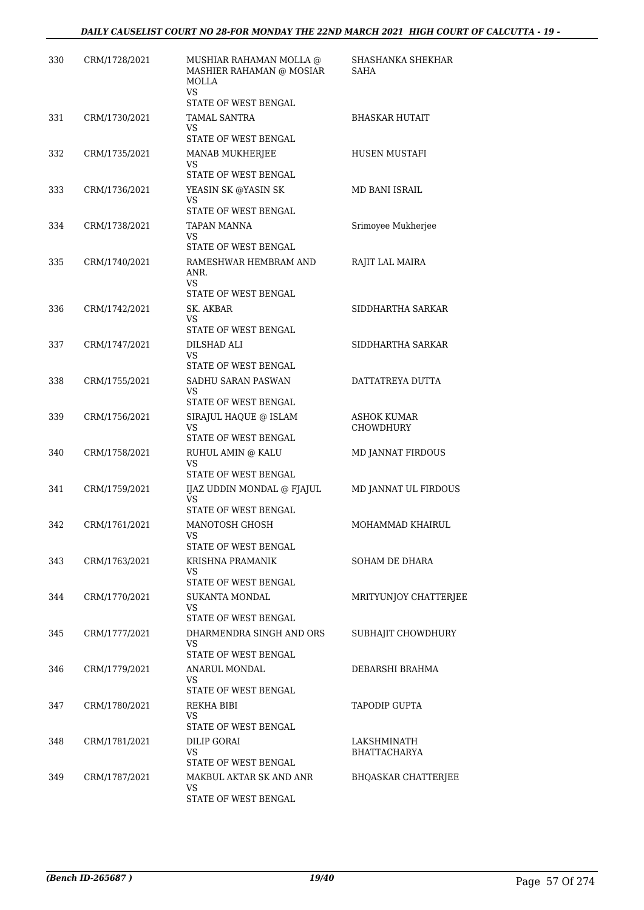| 330 | CRM/1728/2021 | MUSHIAR RAHAMAN MOLLA @<br>MASHIER RAHAMAN @ MOSIAR<br>MOLLA<br><b>VS</b><br>STATE OF WEST BENGAL | SHASHANKA SHEKHAR<br>SAHA          |
|-----|---------------|---------------------------------------------------------------------------------------------------|------------------------------------|
| 331 | CRM/1730/2021 | TAMAL SANTRA                                                                                      | <b>BHASKAR HUTAIT</b>              |
|     |               | VS.<br>STATE OF WEST BENGAL                                                                       |                                    |
| 332 | CRM/1735/2021 | <b>MANAB MUKHERJEE</b><br>VS<br>STATE OF WEST BENGAL                                              | HUSEN MUSTAFI                      |
| 333 | CRM/1736/2021 | YEASIN SK @YASIN SK<br>VS.<br>STATE OF WEST BENGAL                                                | MD BANI ISRAIL                     |
| 334 | CRM/1738/2021 | TAPAN MANNA<br>VS<br>STATE OF WEST BENGAL                                                         | Srimoyee Mukherjee                 |
| 335 | CRM/1740/2021 | RAMESHWAR HEMBRAM AND<br>ANR.<br>VS.                                                              | RAJIT LAL MAIRA                    |
|     |               | STATE OF WEST BENGAL                                                                              |                                    |
| 336 | CRM/1742/2021 | SK. AKBAR<br>VS                                                                                   | SIDDHARTHA SARKAR                  |
|     |               | STATE OF WEST BENGAL                                                                              |                                    |
| 337 | CRM/1747/2021 | DILSHAD ALI<br>VS.<br>STATE OF WEST BENGAL                                                        | SIDDHARTHA SARKAR                  |
| 338 | CRM/1755/2021 | SADHU SARAN PASWAN<br>VS<br>STATE OF WEST BENGAL                                                  | DATTATREYA DUTTA                   |
| 339 | CRM/1756/2021 | SIRAJUL HAQUE @ ISLAM<br>VS.                                                                      | ASHOK KUMAR<br><b>CHOWDHURY</b>    |
| 340 | CRM/1758/2021 | STATE OF WEST BENGAL<br>RUHUL AMIN @ KALU<br><b>VS</b><br>STATE OF WEST BENGAL                    | MD JANNAT FIRDOUS                  |
| 341 | CRM/1759/2021 | IJAZ UDDIN MONDAL @ FJAJUL<br>VS<br>STATE OF WEST BENGAL                                          | MD JANNAT UL FIRDOUS               |
| 342 | CRM/1761/2021 | MANOTOSH GHOSH<br>VS.<br>STATE OF WEST BENGAL                                                     | MOHAMMAD KHAIRUL                   |
| 343 | CRM/1763/2021 | KRISHNA PRAMANIK<br>VS.<br>STATE OF WEST BENGAL                                                   | SOHAM DE DHARA                     |
| 344 | CRM/1770/2021 | SUKANTA MONDAL<br>VS<br>STATE OF WEST BENGAL                                                      | MRITYUNJOY CHATTERJEE              |
| 345 | CRM/1777/2021 | DHARMENDRA SINGH AND ORS<br>VS<br>STATE OF WEST BENGAL                                            | SUBHAJIT CHOWDHURY                 |
| 346 | CRM/1779/2021 | ANARUL MONDAL<br>VS<br>STATE OF WEST BENGAL                                                       | DEBARSHI BRAHMA                    |
| 347 | CRM/1780/2021 | REKHA BIBI<br>VS.<br>STATE OF WEST BENGAL                                                         | TAPODIP GUPTA                      |
| 348 | CRM/1781/2021 | <b>DILIP GORAI</b><br>VS<br>STATE OF WEST BENGAL                                                  | LAKSHMINATH<br><b>BHATTACHARYA</b> |
| 349 | CRM/1787/2021 | MAKBUL AKTAR SK AND ANR<br>VS<br>STATE OF WEST BENGAL                                             | <b>BHQASKAR CHATTERJEE</b>         |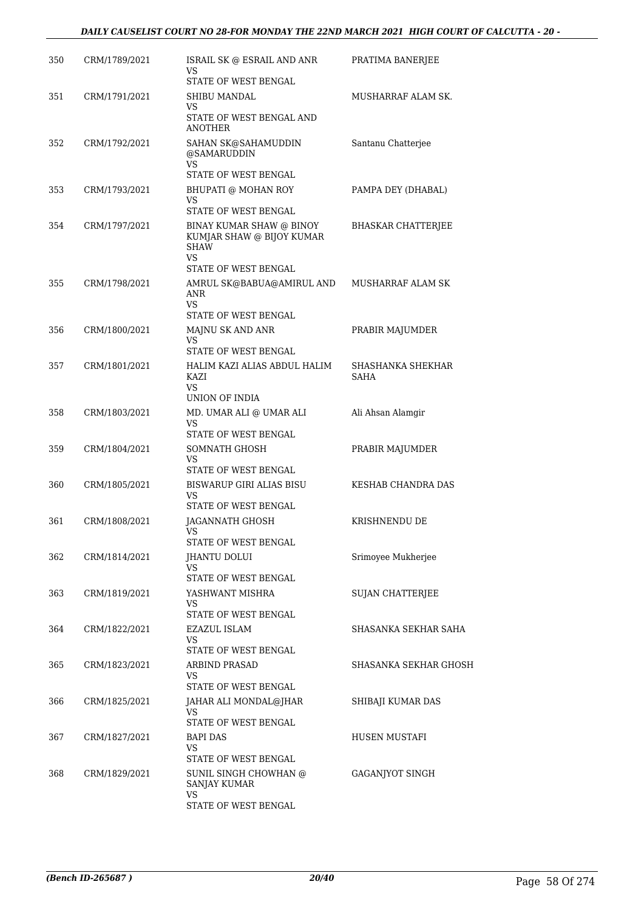| 350 | CRM/1789/2021 | ISRAIL SK @ ESRAIL AND ANR<br>VS<br><b>STATE OF WEST BENGAL</b>                | PRATIMA BANERJEE          |
|-----|---------------|--------------------------------------------------------------------------------|---------------------------|
| 351 | CRM/1791/2021 | SHIBU MANDAL<br>VS<br>STATE OF WEST BENGAL AND                                 | MUSHARRAF ALAM SK.        |
| 352 | CRM/1792/2021 | ANOTHER<br>SAHAN SK@SAHAMUDDIN<br>@SAMARUDDIN<br>VS                            | Santanu Chatterjee        |
| 353 | CRM/1793/2021 | STATE OF WEST BENGAL<br>BHUPATI @ MOHAN ROY<br>VS<br>STATE OF WEST BENGAL      | PAMPA DEY (DHABAL)        |
| 354 | CRM/1797/2021 | BINAY KUMAR SHAW @ BINOY<br>KUMJAR SHAW @ BIJOY KUMAR<br><b>SHAW</b><br>VS.    | BHASKAR CHATTERJEE        |
| 355 | CRM/1798/2021 | STATE OF WEST BENGAL<br>AMRUL SK@BABUA@AMIRUL AND<br>ANR<br>VS                 | MUSHARRAF ALAM SK         |
| 356 | CRM/1800/2021 | STATE OF WEST BENGAL<br>MAJNU SK AND ANR<br>VS<br>STATE OF WEST BENGAL         | PRABIR MAJUMDER           |
| 357 | CRM/1801/2021 | HALIM KAZI ALIAS ABDUL HALIM<br>KAZI<br>VS                                     | SHASHANKA SHEKHAR<br>SAHA |
| 358 | CRM/1803/2021 | UNION OF INDIA<br>MD. UMAR ALI @ UMAR ALI<br>VS<br>STATE OF WEST BENGAL        | Ali Ahsan Alamgir         |
| 359 | CRM/1804/2021 | SOMNATH GHOSH<br>VS                                                            | PRABIR MAJUMDER           |
| 360 | CRM/1805/2021 | STATE OF WEST BENGAL<br>BISWARUP GIRI ALIAS BISU<br>VS<br>STATE OF WEST BENGAL | KESHAB CHANDRA DAS        |
| 361 | CRM/1808/2021 | JAGANNATH GHOSH<br>VS<br>STATE OF WEST BENGAL                                  | KRISHNENDU DE             |
| 362 | CRM/1814/2021 | JHANTU DOLUI<br>VS<br>STATE OF WEST BENGAL                                     | Srimoyee Mukherjee        |
| 363 | CRM/1819/2021 | YASHWANT MISHRA<br>VS<br>STATE OF WEST BENGAL                                  | SUJAN CHATTERJEE          |
| 364 | CRM/1822/2021 | EZAZUL ISLAM<br>VS<br>STATE OF WEST BENGAL                                     | SHASANKA SEKHAR SAHA      |
| 365 | CRM/1823/2021 | ARBIND PRASAD<br>VS<br>STATE OF WEST BENGAL                                    | SHASANKA SEKHAR GHOSH     |
| 366 | CRM/1825/2021 | JAHAR ALI MONDAL@JHAR<br>VS<br>STATE OF WEST BENGAL                            | SHIBAJI KUMAR DAS         |
| 367 | CRM/1827/2021 | BAPI DAS<br>VS<br>STATE OF WEST BENGAL                                         | HUSEN MUSTAFI             |
| 368 | CRM/1829/2021 | SUNIL SINGH CHOWHAN @<br>SANJAY KUMAR<br>VS<br>STATE OF WEST BENGAL            | GAGANJYOT SINGH           |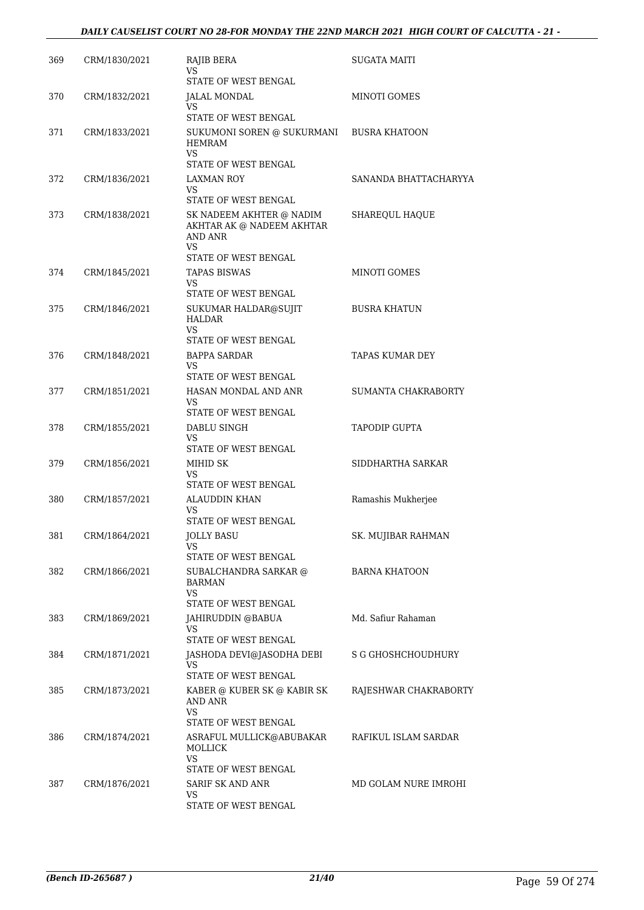| 369 | CRM/1830/2021 | RAJIB BERA<br>VS                                                                               | <b>SUGATA MAITI</b>        |
|-----|---------------|------------------------------------------------------------------------------------------------|----------------------------|
|     |               | STATE OF WEST BENGAL                                                                           |                            |
| 370 | CRM/1832/2021 | JALAL MONDAL<br>VS<br>STATE OF WEST BENGAL                                                     | <b>MINOTI GOMES</b>        |
| 371 | CRM/1833/2021 | SUKUMONI SOREN @ SUKURMANI BUSRA KHATOON<br>HEMRAM<br>VS.                                      |                            |
|     |               | STATE OF WEST BENGAL                                                                           |                            |
| 372 | CRM/1836/2021 | LAXMAN ROY<br>VS<br>STATE OF WEST BENGAL                                                       | SANANDA BHATTACHARYYA      |
| 373 | CRM/1838/2021 | SK NADEEM AKHTER @ NADIM<br>AKHTAR AK @ NADEEM AKHTAR<br>AND ANR<br>VS<br>STATE OF WEST BENGAL | SHAREQUL HAQUE             |
|     |               |                                                                                                |                            |
| 374 | CRM/1845/2021 | <b>TAPAS BISWAS</b><br>VS.<br>STATE OF WEST BENGAL                                             | <b>MINOTI GOMES</b>        |
| 375 | CRM/1846/2021 | SUKUMAR HALDAR@SUJIT<br>HALDAR<br><b>VS</b><br>STATE OF WEST BENGAL                            | <b>BUSRA KHATUN</b>        |
|     |               |                                                                                                | TAPAS KUMAR DEY            |
| 376 | CRM/1848/2021 | BAPPA SARDAR<br>VS<br>STATE OF WEST BENGAL                                                     |                            |
| 377 | CRM/1851/2021 | HASAN MONDAL AND ANR                                                                           | <b>SUMANTA CHAKRABORTY</b> |
|     |               | VS<br>STATE OF WEST BENGAL                                                                     |                            |
| 378 | CRM/1855/2021 | DABLU SINGH<br>VS.<br>STATE OF WEST BENGAL                                                     | <b>TAPODIP GUPTA</b>       |
| 379 | CRM/1856/2021 | MIHID SK                                                                                       | SIDDHARTHA SARKAR          |
|     |               | VS<br>STATE OF WEST BENGAL                                                                     |                            |
| 380 | CRM/1857/2021 | ALAUDDIN KHAN<br>VS                                                                            | Ramashis Mukherjee         |
|     |               | STATE OF WEST BENGAL                                                                           |                            |
| 381 | CRM/1864/2021 | JOLLY BASU<br>VS<br>STATE OF WEST BENGAL                                                       | SK. MUJIBAR RAHMAN         |
| 382 | CRM/1866/2021 | SUBALCHANDRA SARKAR @<br>BARMAN<br>VS                                                          | <b>BARNA KHATOON</b>       |
|     |               | STATE OF WEST BENGAL                                                                           |                            |
| 383 | CRM/1869/2021 | JAHIRUDDIN @BABUA<br>VS<br>STATE OF WEST BENGAL                                                | Md. Safiur Rahaman         |
|     |               |                                                                                                |                            |
| 384 | CRM/1871/2021 | JASHODA DEVI@JASODHA DEBI<br>VS.<br>STATE OF WEST BENGAL                                       | S G GHOSHCHOUDHURY         |
| 385 | CRM/1873/2021 | KABER @ KUBER SK @ KABIR SK<br>AND ANR<br>VS.                                                  | RAJESHWAR CHAKRABORTY      |
|     |               | STATE OF WEST BENGAL                                                                           |                            |
| 386 | CRM/1874/2021 | ASRAFUL MULLICK@ABUBAKAR<br>MOLLICK<br>VS                                                      | RAFIKUL ISLAM SARDAR       |
|     |               | STATE OF WEST BENGAL                                                                           |                            |
| 387 | CRM/1876/2021 | SARIF SK AND ANR<br>VS                                                                         | MD GOLAM NURE IMROHI       |
|     |               | STATE OF WEST BENGAL                                                                           |                            |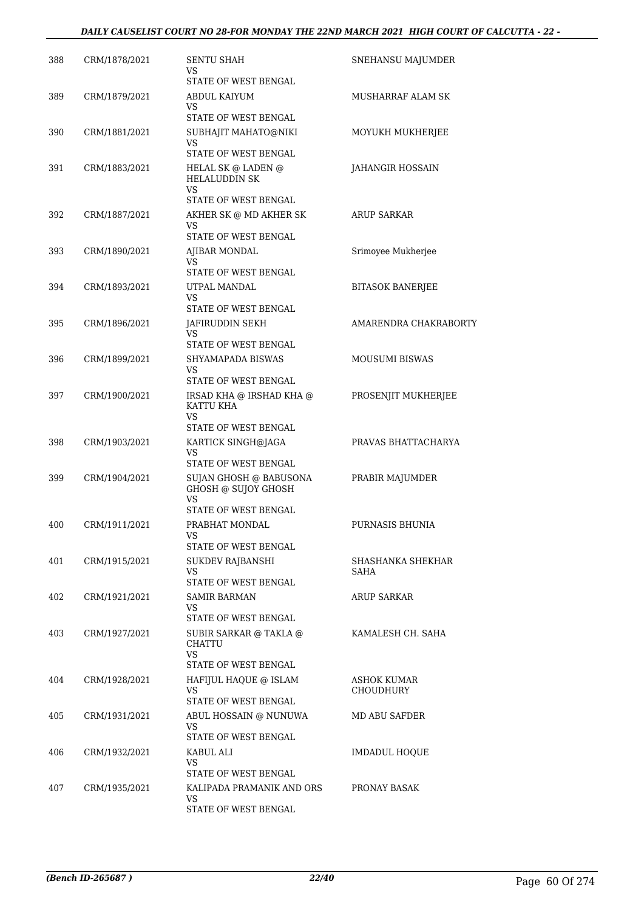### *DAILY CAUSELIST COURT NO 28-FOR MONDAY THE 22ND MARCH 2021 HIGH COURT OF CALCUTTA - 22 -*

| 388 | CRM/1878/2021 | <b>SENTU SHAH</b><br>VS                                                         | SNEHANSU MAJUMDER       |
|-----|---------------|---------------------------------------------------------------------------------|-------------------------|
| 389 | CRM/1879/2021 | STATE OF WEST BENGAL<br>ABDUL KAIYUM                                            | MUSHARRAF ALAM SK       |
|     |               | VS<br>STATE OF WEST BENGAL                                                      |                         |
| 390 | CRM/1881/2021 | SUBHAJIT MAHATO@NIKI<br>VS.                                                     | MOYUKH MUKHERJEE        |
|     |               | STATE OF WEST BENGAL                                                            |                         |
| 391 | CRM/1883/2021 | HELAL SK @ LADEN @<br><b>HELALUDDIN SK</b><br><b>VS</b><br>STATE OF WEST BENGAL | JAHANGIR HOSSAIN        |
| 392 | CRM/1887/2021 | AKHER SK @ MD AKHER SK                                                          | ARUP SARKAR             |
|     |               | VS<br>STATE OF WEST BENGAL                                                      |                         |
| 393 | CRM/1890/2021 | AJIBAR MONDAL                                                                   | Srimoyee Mukherjee      |
|     |               | VS<br>STATE OF WEST BENGAL                                                      |                         |
| 394 | CRM/1893/2021 | UTPAL MANDAL<br>VS.                                                             | <b>BITASOK BANERJEE</b> |
|     |               | STATE OF WEST BENGAL                                                            |                         |
| 395 | CRM/1896/2021 | JAFIRUDDIN SEKH<br>VS                                                           | AMARENDRA CHAKRABORTY   |
|     |               | STATE OF WEST BENGAL                                                            |                         |
| 396 | CRM/1899/2021 | SHYAMAPADA BISWAS                                                               | <b>MOUSUMI BISWAS</b>   |
|     |               | VS<br>STATE OF WEST BENGAL                                                      |                         |
| 397 | CRM/1900/2021 | IRSAD KHA @ IRSHAD KHA @<br>KATTU KHA                                           | PROSENJIT MUKHERJEE     |
|     |               | VS<br>STATE OF WEST BENGAL                                                      |                         |
| 398 | CRM/1903/2021 | KARTICK SINGH@JAGA<br>VS                                                        | PRAVAS BHATTACHARYA     |
|     |               | STATE OF WEST BENGAL                                                            |                         |
| 399 | CRM/1904/2021 | SUJAN GHOSH @ BABUSONA<br>GHOSH @ SUJOY GHOSH<br>VS                             | PRABIR MAJUMDER         |
|     |               | STATE OF WEST BENGAL                                                            |                         |
| 400 | CRM/1911/2021 | PRABHAT MONDAL<br>VS<br>STATE OF WEST BENGAL                                    | PURNASIS BHUNIA         |
| 401 | CRM/1915/2021 | <b>SUKDEV RAJBANSHI</b>                                                         | SHASHANKA SHEKHAR       |
|     |               | VS<br>STATE OF WEST BENGAL                                                      | SAHA                    |
| 402 | CRM/1921/2021 | <b>SAMIR BARMAN</b>                                                             | <b>ARUP SARKAR</b>      |
|     |               | VS.<br>STATE OF WEST BENGAL                                                     |                         |
| 403 | CRM/1927/2021 | SUBIR SARKAR @ TAKLA @<br><b>CHATTU</b>                                         | KAMALESH CH. SAHA       |
|     |               | VS.<br>STATE OF WEST BENGAL                                                     |                         |
| 404 | CRM/1928/2021 | HAFIJUL HAQUE @ ISLAM                                                           | ASHOK KUMAR             |
|     |               | VS.                                                                             | <b>CHOUDHURY</b>        |
| 405 | CRM/1931/2021 | STATE OF WEST BENGAL<br>ABUL HOSSAIN @ NUNUWA                                   | MD ABU SAFDER           |
|     |               | VS.<br>STATE OF WEST BENGAL                                                     |                         |
| 406 | CRM/1932/2021 | KABUL ALI                                                                       | <b>IMDADUL HOQUE</b>    |
|     |               | VS                                                                              |                         |
| 407 | CRM/1935/2021 | STATE OF WEST BENGAL<br>KALIPADA PRAMANIK AND ORS                               | PRONAY BASAK            |
|     |               | VS.<br>STATE OF WEST BENGAL                                                     |                         |
|     |               |                                                                                 |                         |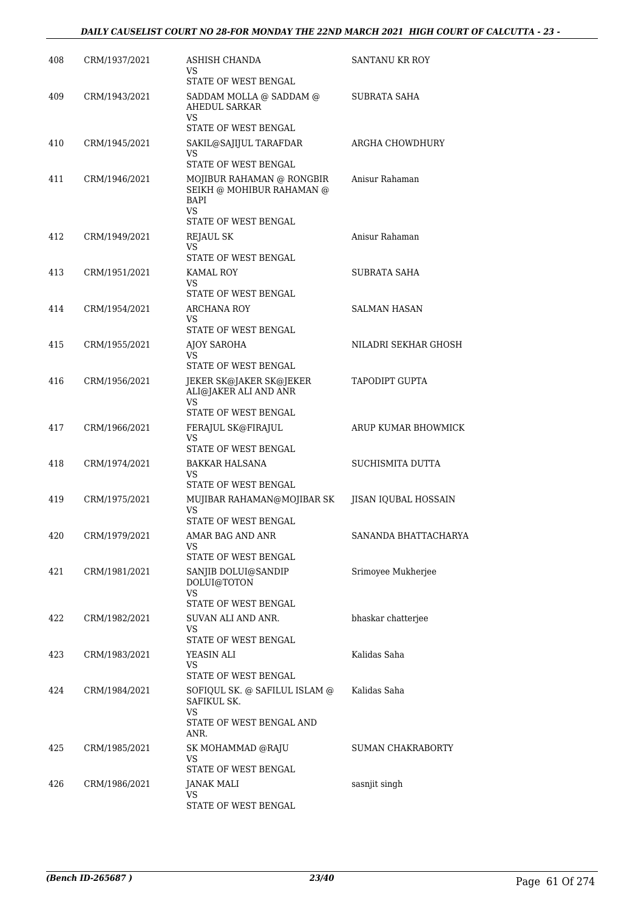| 408 | CRM/1937/2021 | ASHISH CHANDA<br>VS                                                                                 | SANTANU KR ROY       |
|-----|---------------|-----------------------------------------------------------------------------------------------------|----------------------|
| 409 | CRM/1943/2021 | STATE OF WEST BENGAL<br>SADDAM MOLLA @ SADDAM @<br>AHEDUL SARKAR<br>VS                              | SUBRATA SAHA         |
| 410 | CRM/1945/2021 | STATE OF WEST BENGAL<br>SAKIL@SAJIJUL TARAFDAR<br>VS<br>STATE OF WEST BENGAL                        | ARGHA CHOWDHURY      |
| 411 | CRM/1946/2021 | MOJIBUR RAHAMAN @ RONGBIR<br>SEIKH @ MOHIBUR RAHAMAN @<br>BAPI<br><b>VS</b><br>STATE OF WEST BENGAL | Anisur Rahaman       |
| 412 | CRM/1949/2021 | <b>REJAUL SK</b><br>VS<br>STATE OF WEST BENGAL                                                      | Anisur Rahaman       |
| 413 | CRM/1951/2021 | KAMAL ROY<br>VS                                                                                     | SUBRATA SAHA         |
| 414 | CRM/1954/2021 | STATE OF WEST BENGAL<br>ARCHANA ROY<br>VS                                                           | SALMAN HASAN         |
| 415 | CRM/1955/2021 | STATE OF WEST BENGAL<br><b>AJOY SAROHA</b><br>VS<br>STATE OF WEST BENGAL                            | NILADRI SEKHAR GHOSH |
| 416 | CRM/1956/2021 | JEKER SK@JAKER SK@JEKER<br>ALI@JAKER ALI AND ANR<br>VS                                              | TAPODIPT GUPTA       |
| 417 | CRM/1966/2021 | STATE OF WEST BENGAL<br>FERAJUL SK@FIRAJUL<br>VS                                                    | ARUP KUMAR BHOWMICK  |
| 418 | CRM/1974/2021 | STATE OF WEST BENGAL<br>BAKKAR HALSANA<br>VS                                                        | SUCHISMITA DUTTA     |
| 419 | CRM/1975/2021 | STATE OF WEST BENGAL<br>MUJIBAR RAHAMAN@MOJIBAR SK<br>VS<br>STATE OF WEST BENGAL                    | JISAN IQUBAL HOSSAIN |
| 420 | CRM/1979/2021 | AMAR BAG AND ANR<br>VS<br>STATE OF WEST BENGAL                                                      | SANANDA BHATTACHARYA |
| 421 | CRM/1981/2021 | SANJIB DOLUI@SANDIP<br>DOLUI@TOTON<br><b>VS</b><br>STATE OF WEST BENGAL                             | Srimoyee Mukherjee   |
| 422 | CRM/1982/2021 | SUVAN ALI AND ANR.<br>VS<br>STATE OF WEST BENGAL                                                    | bhaskar chatterjee   |
| 423 | CRM/1983/2021 | YEASIN ALI<br>VS<br>STATE OF WEST BENGAL                                                            | Kalidas Saha         |
| 424 | CRM/1984/2021 | SOFIQUL SK. @ SAFILUL ISLAM @<br>SAFIKUL SK.<br>VS<br>STATE OF WEST BENGAL AND<br>ANR.              | Kalidas Saha         |
| 425 | CRM/1985/2021 | SK MOHAMMAD @RAJU<br>VS<br>STATE OF WEST BENGAL                                                     | SUMAN CHAKRABORTY    |
| 426 | CRM/1986/2021 | JANAK MALI<br>VS<br>STATE OF WEST BENGAL                                                            | sasnjit singh        |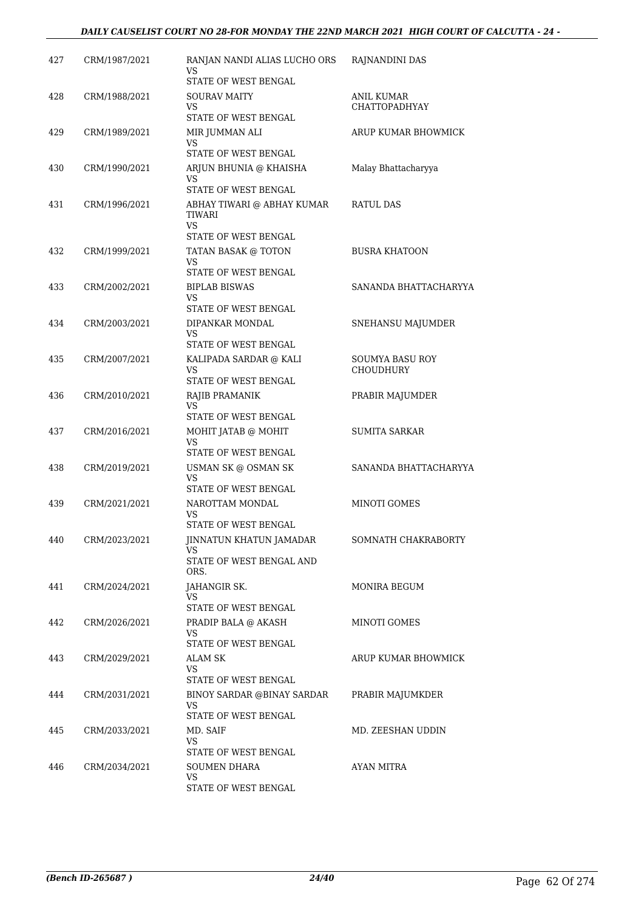#### *DAILY CAUSELIST COURT NO 28-FOR MONDAY THE 22ND MARCH 2021 HIGH COURT OF CALCUTTA - 24 -*

| 427 | CRM/1987/2021 | RANJAN NANDI ALIAS LUCHO ORS<br>VS<br>STATE OF WEST BENGAL                | RAJNANDINI DAS                      |
|-----|---------------|---------------------------------------------------------------------------|-------------------------------------|
| 428 | CRM/1988/2021 | <b>SOURAV MAITY</b><br>VS.<br>STATE OF WEST BENGAL                        | ANIL KUMAR<br><b>CHATTOPADHYAY</b>  |
| 429 | CRM/1989/2021 | MIR JUMMAN ALI<br>VS<br>STATE OF WEST BENGAL                              | ARUP KUMAR BHOWMICK                 |
| 430 | CRM/1990/2021 | ARJUN BHUNIA @ KHAISHA<br>VS.<br>STATE OF WEST BENGAL                     | Malay Bhattacharyya                 |
| 431 | CRM/1996/2021 | ABHAY TIWARI @ ABHAY KUMAR<br>TIWARI<br><b>VS</b><br>STATE OF WEST BENGAL | RATUL DAS                           |
| 432 | CRM/1999/2021 | TATAN BASAK @ TOTON<br>VS<br>STATE OF WEST BENGAL                         | <b>BUSRA KHATOON</b>                |
| 433 | CRM/2002/2021 | <b>BIPLAB BISWAS</b><br>VS<br>STATE OF WEST BENGAL                        | SANANDA BHATTACHARYYA               |
| 434 | CRM/2003/2021 | DIPANKAR MONDAL<br>VS<br>STATE OF WEST BENGAL                             | SNEHANSU MAJUMDER                   |
| 435 | CRM/2007/2021 | KALIPADA SARDAR @ KALI<br>VS<br>STATE OF WEST BENGAL                      | SOUMYA BASU ROY<br><b>CHOUDHURY</b> |
| 436 | CRM/2010/2021 | RAJIB PRAMANIK<br>VS<br>STATE OF WEST BENGAL                              | PRABIR MAJUMDER                     |
| 437 | CRM/2016/2021 | MOHIT JATAB @ MOHIT<br><b>VS</b><br>STATE OF WEST BENGAL                  | <b>SUMITA SARKAR</b>                |
| 438 | CRM/2019/2021 | USMAN SK @ OSMAN SK<br>VS.<br>STATE OF WEST BENGAL                        | SANANDA BHATTACHARYYA               |
| 439 | CRM/2021/2021 | NAROTTAM MONDAL<br>VS<br>STATE OF WEST BENGAL                             | MINOTI GOMES                        |
| 440 | CRM/2023/2021 | JINNATUN KHATUN JAMADAR<br>VS<br>STATE OF WEST BENGAL AND<br>ORS.         | SOMNATH CHAKRABORTY                 |
| 441 | CRM/2024/2021 | <b>JAHANGIR SK.</b><br>VS.<br>STATE OF WEST BENGAL                        | MONIRA BEGUM                        |
| 442 | CRM/2026/2021 | PRADIP BALA @ AKASH<br>VS.<br>STATE OF WEST BENGAL                        | <b>MINOTI GOMES</b>                 |
| 443 | CRM/2029/2021 | ALAM SK<br>VS<br>STATE OF WEST BENGAL                                     | ARUP KUMAR BHOWMICK                 |
| 444 | CRM/2031/2021 | BINOY SARDAR @BINAY SARDAR<br>VS.<br>STATE OF WEST BENGAL                 | PRABIR MAJUMKDER                    |
| 445 | CRM/2033/2021 | MD. SAIF<br>VS.<br>STATE OF WEST BENGAL                                   | MD. ZEESHAN UDDIN                   |
| 446 | CRM/2034/2021 | <b>SOUMEN DHARA</b><br>VS<br>STATE OF WEST BENGAL                         | AYAN MITRA                          |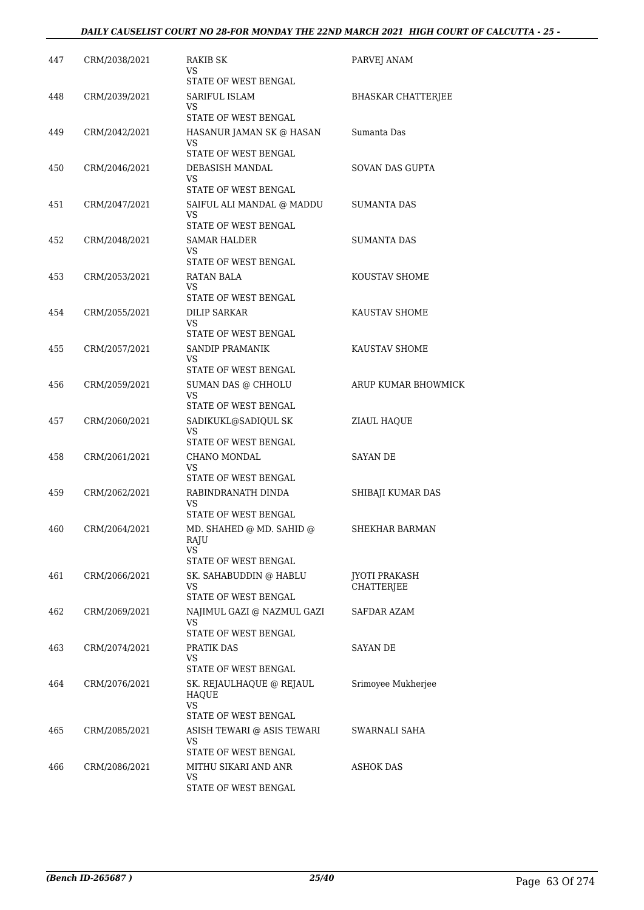| 447 | CRM/2038/2021 | RAKIB SK<br>VS<br>STATE OF WEST BENGAL                                 | PARVEJ ANAM                               |
|-----|---------------|------------------------------------------------------------------------|-------------------------------------------|
| 448 | CRM/2039/2021 | SARIFUL ISLAM<br>VS<br>STATE OF WEST BENGAL                            | <b>BHASKAR CHATTERJEE</b>                 |
| 449 | CRM/2042/2021 | HASANUR JAMAN SK @ HASAN<br>VS<br>STATE OF WEST BENGAL                 | Sumanta Das                               |
| 450 | CRM/2046/2021 | DEBASISH MANDAL<br>VS<br><b>STATE OF WEST BENGAL</b>                   | SOVAN DAS GUPTA                           |
| 451 | CRM/2047/2021 | SAIFUL ALI MANDAL @ MADDU<br>VS<br>STATE OF WEST BENGAL                | <b>SUMANTA DAS</b>                        |
| 452 | CRM/2048/2021 | <b>SAMAR HALDER</b><br>VS<br>STATE OF WEST BENGAL                      | SUMANTA DAS                               |
| 453 | CRM/2053/2021 | <b>RATAN BALA</b><br>VS<br>STATE OF WEST BENGAL                        | KOUSTAV SHOME                             |
| 454 | CRM/2055/2021 | <b>DILIP SARKAR</b><br>VS<br>STATE OF WEST BENGAL                      | KAUSTAV SHOME                             |
| 455 | CRM/2057/2021 | SANDIP PRAMANIK<br>VS<br>STATE OF WEST BENGAL                          | KAUSTAV SHOME                             |
| 456 | CRM/2059/2021 | SUMAN DAS @ CHHOLU<br>VS<br>STATE OF WEST BENGAL                       | ARUP KUMAR BHOWMICK                       |
| 457 | CRM/2060/2021 | SADIKUKL@SADIQUL SK<br>VS<br>STATE OF WEST BENGAL                      | ZIAUL HAQUE                               |
| 458 | CRM/2061/2021 | CHANO MONDAL<br>VS<br>STATE OF WEST BENGAL                             | SAYAN DE                                  |
| 459 | CRM/2062/2021 | RABINDRANATH DINDA<br>VS<br><b>STATE OF WEST BENGAL</b>                | SHIBAJI KUMAR DAS                         |
| 460 | CRM/2064/2021 | MD. SHAHED @ MD. SAHID @<br>RAJU<br>VS.<br>STATE OF WEST BENGAL        | SHEKHAR BARMAN                            |
| 461 | CRM/2066/2021 | SK. SAHABUDDIN @ HABLU<br>VS<br>STATE OF WEST BENGAL                   | <b>JYOTI PRAKASH</b><br><b>CHATTERIEE</b> |
| 462 | CRM/2069/2021 | NAJIMUL GAZI @ NAZMUL GAZI<br>VS<br>STATE OF WEST BENGAL               | SAFDAR AZAM                               |
| 463 | CRM/2074/2021 | PRATIK DAS<br>VS<br>STATE OF WEST BENGAL                               | SAYAN DE                                  |
| 464 | CRM/2076/2021 | SK. REJAULHAQUE @ REJAUL<br>HAQUE<br><b>VS</b><br>STATE OF WEST BENGAL | Srimoyee Mukherjee                        |
| 465 | CRM/2085/2021 | ASISH TEWARI @ ASIS TEWARI<br>VS<br>STATE OF WEST BENGAL               | SWARNALI SAHA                             |
| 466 | CRM/2086/2021 | MITHU SIKARI AND ANR<br>VS<br>STATE OF WEST BENGAL                     | ASHOK DAS                                 |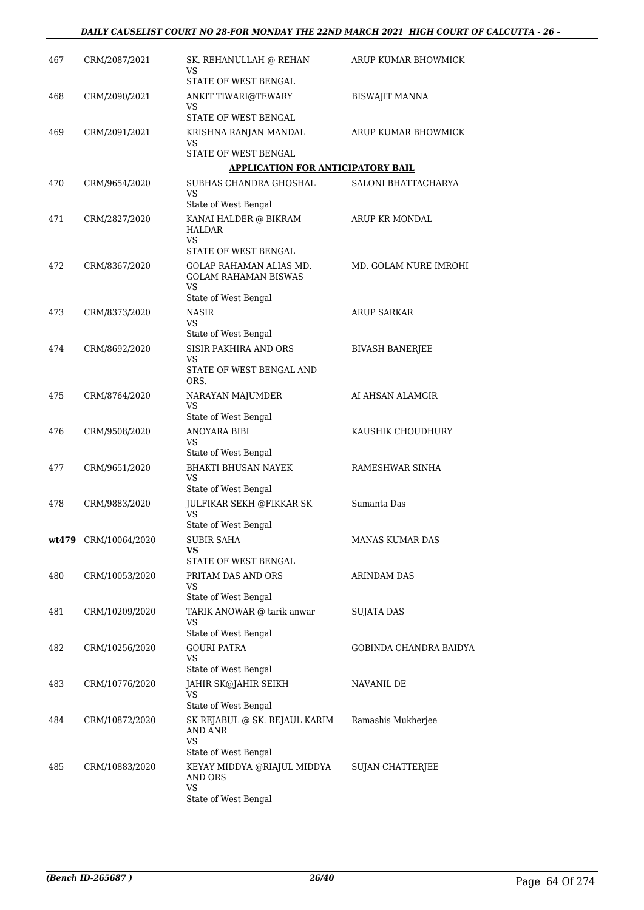| 467 | CRM/2087/2021        | SK. REHANULLAH @ REHAN<br>VS                             | ARUP KUMAR BHOWMICK           |
|-----|----------------------|----------------------------------------------------------|-------------------------------|
|     |                      | STATE OF WEST BENGAL                                     |                               |
| 468 | CRM/2090/2021        | ANKIT TIWARI@TEWARY<br>VS.                               | <b>BISWAJIT MANNA</b>         |
|     |                      | STATE OF WEST BENGAL                                     |                               |
| 469 | CRM/2091/2021        | KRISHNA RANJAN MANDAL<br>VS                              | ARUP KUMAR BHOWMICK           |
|     |                      | STATE OF WEST BENGAL                                     |                               |
|     |                      | <b>APPLICATION FOR ANTICIPATORY BAIL</b>                 |                               |
| 470 | CRM/9654/2020        | SUBHAS CHANDRA GHOSHAL                                   | SALONI BHATTACHARYA           |
|     |                      | VS<br>State of West Bengal                               |                               |
| 471 | CRM/2827/2020        | KANAI HALDER @ BIKRAM<br>HALDAR                          | ARUP KR MONDAL                |
|     |                      | <b>VS</b><br>STATE OF WEST BENGAL                        |                               |
|     | CRM/8367/2020        | <b>GOLAP RAHAMAN ALIAS MD.</b>                           | MD. GOLAM NURE IMROHI         |
| 472 |                      | <b>GOLAM RAHAMAN BISWAS</b><br>VS.                       |                               |
|     |                      | State of West Bengal                                     |                               |
| 473 | CRM/8373/2020        | <b>NASIR</b>                                             | <b>ARUP SARKAR</b>            |
|     |                      | VS                                                       |                               |
|     |                      | State of West Bengal                                     |                               |
| 474 | CRM/8692/2020        | SISIR PAKHIRA AND ORS                                    | <b>BIVASH BANERIEE</b>        |
|     |                      | VS<br>STATE OF WEST BENGAL AND<br>ORS.                   |                               |
| 475 | CRM/8764/2020        | NARAYAN MAJUMDER                                         | AI AHSAN ALAMGIR              |
|     |                      | VS<br>State of West Bengal                               |                               |
|     |                      |                                                          |                               |
| 476 | CRM/9508/2020        | ANOYARA BIBI<br>VS                                       | KAUSHIK CHOUDHURY             |
|     |                      | State of West Bengal                                     |                               |
| 477 | CRM/9651/2020        | <b>BHAKTI BHUSAN NAYEK</b><br>VS                         | RAMESHWAR SINHA               |
|     |                      | State of West Bengal                                     |                               |
| 478 | CRM/9883/2020        | JULFIKAR SEKH @FIKKAR SK<br>VS                           | Sumanta Das                   |
|     |                      | State of West Bengal                                     |                               |
|     | wt479 CRM/10064/2020 | SUBIR SAHA                                               | MANAS KUMAR DAS               |
|     |                      | VS<br>STATE OF WEST BENGAL                               |                               |
| 480 | CRM/10053/2020       | PRITAM DAS AND ORS                                       | ARINDAM DAS                   |
|     |                      | VS                                                       |                               |
|     |                      | State of West Bengal                                     |                               |
| 481 | CRM/10209/2020       | TARIK ANOWAR @ tarik anwar<br>VS<br>State of West Bengal | SUJATA DAS                    |
|     | CRM/10256/2020       | <b>GOURI PATRA</b>                                       |                               |
| 482 |                      | VS                                                       | <b>GOBINDA CHANDRA BAIDYA</b> |
|     |                      | State of West Bengal                                     |                               |
| 483 | CRM/10776/2020       | JAHIR SK@JAHIR SEIKH<br>VS                               | NAVANIL DE                    |
|     |                      | State of West Bengal                                     |                               |
| 484 | CRM/10872/2020       | SK REJABUL @ SK. REJAUL KARIM<br>AND ANR                 | Ramashis Mukherjee            |
|     |                      | VS                                                       |                               |
|     |                      | State of West Bengal                                     |                               |
| 485 | CRM/10883/2020       | KEYAY MIDDYA @RIAJUL MIDDYA<br>AND ORS<br><b>VS</b>      | <b>SUJAN CHATTERJEE</b>       |
|     |                      | State of West Bengal                                     |                               |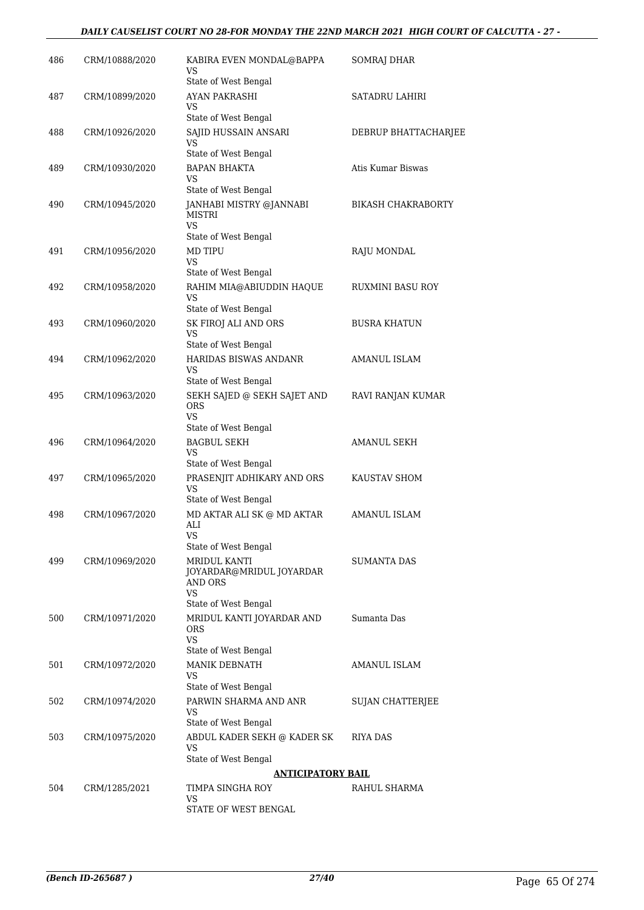#### *DAILY CAUSELIST COURT NO 28-FOR MONDAY THE 22ND MARCH 2021 HIGH COURT OF CALCUTTA - 27 -*

| 486 | CRM/10888/2020 | KABIRA EVEN MONDAL@BAPPA<br>VS                           | SOMRAJ DHAR               |
|-----|----------------|----------------------------------------------------------|---------------------------|
|     |                | State of West Bengal                                     |                           |
| 487 | CRM/10899/2020 | AYAN PAKRASHI<br>VS.                                     | SATADRU LAHIRI            |
|     |                | State of West Bengal                                     |                           |
| 488 | CRM/10926/2020 | SAJID HUSSAIN ANSARI<br>VS                               | DEBRUP BHATTACHARJEE      |
|     |                | State of West Bengal                                     |                           |
| 489 | CRM/10930/2020 | <b>BAPAN BHAKTA</b><br>VS                                | Atis Kumar Biswas         |
|     |                | State of West Bengal                                     |                           |
| 490 | CRM/10945/2020 | JANHABI MISTRY @JANNABI<br>MISTRI<br>VS.                 | <b>BIKASH CHAKRABORTY</b> |
|     |                | State of West Bengal                                     |                           |
| 491 | CRM/10956/2020 | MD TIPU<br>VS                                            | RAJU MONDAL               |
|     |                | State of West Bengal                                     |                           |
| 492 | CRM/10958/2020 | RAHIM MIA@ABIUDDIN HAQUE<br>VS<br>State of West Bengal   | RUXMINI BASU ROY          |
| 493 | CRM/10960/2020 | SK FIROJ ALI AND ORS                                     | <b>BUSRA KHATUN</b>       |
|     |                | VS                                                       |                           |
| 494 | CRM/10962/2020 | State of West Bengal<br><b>HARIDAS BISWAS ANDANR</b>     | AMANUL ISLAM              |
|     |                | VS                                                       |                           |
|     |                | State of West Bengal                                     |                           |
| 495 | CRM/10963/2020 | SEKH SAJED @ SEKH SAJET AND<br><b>ORS</b><br><b>VS</b>   | RAVI RANJAN KUMAR         |
|     |                | State of West Bengal                                     |                           |
| 496 | CRM/10964/2020 | <b>BAGBUL SEKH</b><br>VS                                 | AMANUL SEKH               |
|     |                | State of West Bengal                                     |                           |
| 497 | CRM/10965/2020 | PRASENJIT ADHIKARY AND ORS<br>VS<br>State of West Bengal | KAUSTAV SHOM              |
| 498 | CRM/10967/2020 | MD AKTAR ALI SK @ MD AKTAR                               | AMANUL ISLAM              |
|     |                | ALI<br><b>VS</b>                                         |                           |
|     | CRM/10969/2020 | State of West Bengal<br>MRIDUL KANTI                     |                           |
| 499 |                | JOYARDAR@MRIDUL JOYARDAR<br>AND ORS                      | SUMANTA DAS               |
|     |                | VS.                                                      |                           |
| 500 | CRM/10971/2020 | State of West Bengal                                     | Sumanta Das               |
|     |                | MRIDUL KANTI JOYARDAR AND<br><b>ORS</b><br><b>VS</b>     |                           |
|     |                | State of West Bengal                                     |                           |
| 501 | CRM/10972/2020 | MANIK DEBNATH<br>VS                                      | AMANUL ISLAM              |
|     |                | State of West Bengal                                     |                           |
| 502 | CRM/10974/2020 | PARWIN SHARMA AND ANR<br>VS                              | SUJAN CHATTERJEE          |
|     |                | State of West Bengal                                     |                           |
| 503 | CRM/10975/2020 | ABDUL KADER SEKH @ KADER SK<br>VS                        | RIYA DAS                  |
|     |                | State of West Bengal<br><b>ANTICIPATORY BAIL</b>         |                           |
| 504 | CRM/1285/2021  | TIMPA SINGHA ROY                                         | RAHUL SHARMA              |
|     |                | VS                                                       |                           |
|     |                | STATE OF WEST BENGAL                                     |                           |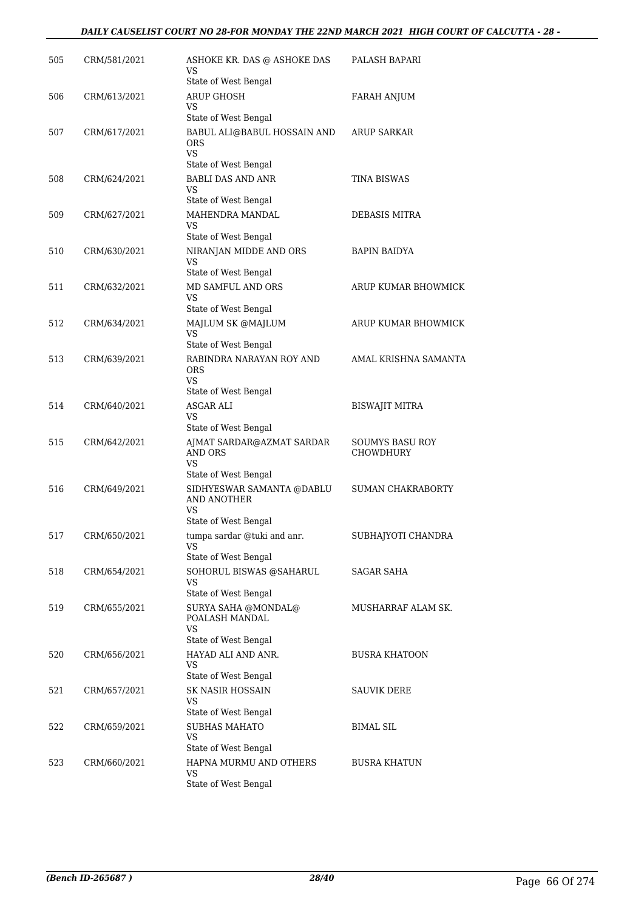#### *DAILY CAUSELIST COURT NO 28-FOR MONDAY THE 22ND MARCH 2021 HIGH COURT OF CALCUTTA - 28 -*

| 505 | CRM/581/2021 | ASHOKE KR. DAS @ ASHOKE DAS<br>VS                                                                     | PALASH BAPARI                       |
|-----|--------------|-------------------------------------------------------------------------------------------------------|-------------------------------------|
| 506 | CRM/613/2021 | State of West Bengal<br><b>ARUP GHOSH</b><br>VS                                                       | FARAH ANJUM                         |
| 507 | CRM/617/2021 | State of West Bengal<br>BABUL ALI@BABUL HOSSAIN AND<br><b>ORS</b>                                     | <b>ARUP SARKAR</b>                  |
| 508 | CRM/624/2021 | VS.<br>State of West Bengal<br><b>BABLI DAS AND ANR</b>                                               | <b>TINA BISWAS</b>                  |
|     |              | <b>VS</b><br>State of West Bengal                                                                     |                                     |
| 509 | CRM/627/2021 | MAHENDRA MANDAL<br>VS<br>State of West Bengal                                                         | DEBASIS MITRA                       |
| 510 | CRM/630/2021 | NIRANJAN MIDDE AND ORS<br>VS<br>State of West Bengal                                                  | <b>BAPIN BAIDYA</b>                 |
| 511 | CRM/632/2021 | MD SAMFUL AND ORS<br>VS                                                                               | ARUP KUMAR BHOWMICK                 |
| 512 | CRM/634/2021 | State of West Bengal<br>MAJLUM SK @MAJLUM<br>VS                                                       | ARUP KUMAR BHOWMICK                 |
| 513 | CRM/639/2021 | State of West Bengal<br>RABINDRA NARAYAN ROY AND<br><b>ORS</b><br><b>VS</b>                           | AMAL KRISHNA SAMANTA                |
| 514 | CRM/640/2021 | State of West Bengal<br><b>ASGAR ALI</b><br><b>VS</b>                                                 | <b>BISWAJIT MITRA</b>               |
| 515 | CRM/642/2021 | State of West Bengal<br>AJMAT SARDAR@AZMAT SARDAR<br>AND ORS<br>VS                                    | <b>SOUMYS BASU ROY</b><br>CHOWDHURY |
| 516 | CRM/649/2021 | State of West Bengal<br>SIDHYESWAR SAMANTA @DABLU<br>AND ANOTHER<br><b>VS</b><br>State of West Bengal | <b>SUMAN CHAKRABORTY</b>            |
| 517 | CRM/650/2021 | tumpa sardar @tuki and anr.<br>VS.<br>State of West Bengal                                            | SUBHAJYOTI CHANDRA                  |
| 518 | CRM/654/2021 | SOHORUL BISWAS @SAHARUL<br><b>VS</b><br>State of West Bengal                                          | SAGAR SAHA                          |
| 519 | CRM/655/2021 | SURYA SAHA @MONDAL@<br>POALASH MANDAL<br>VS<br>State of West Bengal                                   | MUSHARRAF ALAM SK.                  |
| 520 | CRM/656/2021 | HAYAD ALI AND ANR.<br>VS<br>State of West Bengal                                                      | <b>BUSRA KHATOON</b>                |
| 521 | CRM/657/2021 | SK NASIR HOSSAIN<br>VS.                                                                               | SAUVIK DERE                         |
| 522 | CRM/659/2021 | State of West Bengal<br><b>SUBHAS MAHATO</b><br><b>VS</b>                                             | <b>BIMAL SIL</b>                    |
| 523 | CRM/660/2021 | State of West Bengal<br>HAPNA MURMU AND OTHERS<br>VS<br>State of West Bengal                          | <b>BUSRA KHATUN</b>                 |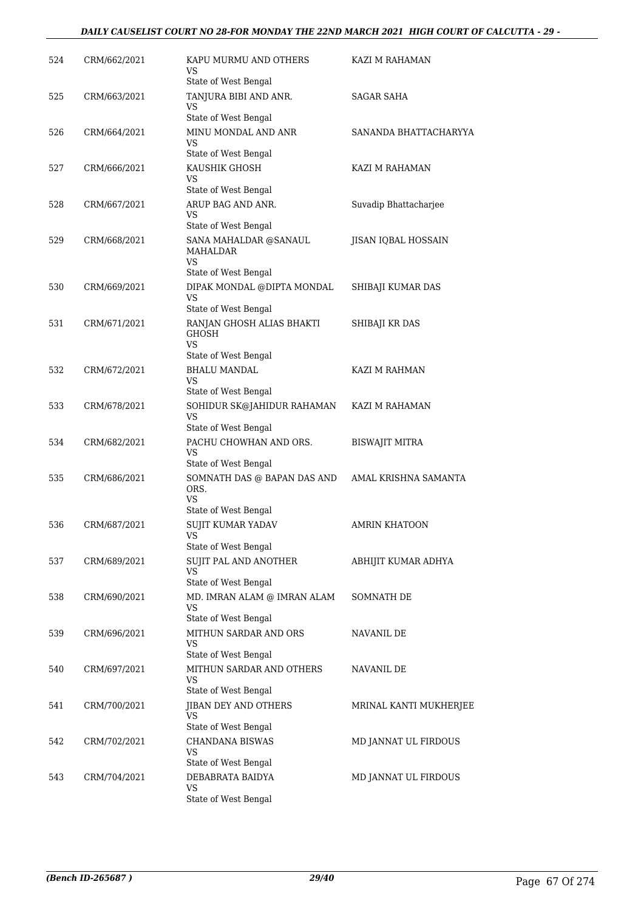### *DAILY CAUSELIST COURT NO 28-FOR MONDAY THE 22ND MARCH 2021 HIGH COURT OF CALCUTTA - 29 -*

| 524 | CRM/662/2021 | KAPU MURMU AND OTHERS<br>VS<br>State of West Bengal                            | KAZI M RAHAMAN         |
|-----|--------------|--------------------------------------------------------------------------------|------------------------|
| 525 | CRM/663/2021 | TANJURA BIBI AND ANR.<br>VS<br>State of West Bengal                            | SAGAR SAHA             |
| 526 | CRM/664/2021 | MINU MONDAL AND ANR<br>VS                                                      | SANANDA BHATTACHARYYA  |
| 527 | CRM/666/2021 | State of West Bengal<br>KAUSHIK GHOSH<br>VS<br>State of West Bengal            | KAZI M RAHAMAN         |
| 528 | CRM/667/2021 | ARUP BAG AND ANR.<br>VS                                                        | Suvadip Bhattacharjee  |
| 529 | CRM/668/2021 | State of West Bengal<br>SANA MAHALDAR @SANAUL<br>MAHALDAR<br><b>VS</b>         | JISAN IQBAL HOSSAIN    |
| 530 | CRM/669/2021 | State of West Bengal<br>DIPAK MONDAL @DIPTA MONDAL<br>VS                       | SHIBAJI KUMAR DAS      |
| 531 | CRM/671/2021 | State of West Bengal<br>RANJAN GHOSH ALIAS BHAKTI<br><b>GHOSH</b><br>VS.       | SHIBAJI KR DAS         |
| 532 | CRM/672/2021 | State of West Bengal<br><b>BHALU MANDAL</b>                                    | KAZI M RAHMAN          |
|     |              | VS<br>State of West Bengal                                                     |                        |
| 533 | CRM/678/2021 | SOHIDUR SK@JAHIDUR RAHAMAN<br><b>VS</b><br>State of West Bengal                | KAZI M RAHAMAN         |
| 534 | CRM/682/2021 | PACHU CHOWHAN AND ORS.<br>VS<br>State of West Bengal                           | BISWAJIT MITRA         |
| 535 | CRM/686/2021 | SOMNATH DAS @ BAPAN DAS AND<br>ORS.<br>VS<br>State of West Bengal              | AMAL KRISHNA SAMANTA   |
| 536 | CRM/687/2021 | SUJIT KUMAR YADAV<br>VS                                                        | <b>AMRIN KHATOON</b>   |
| 537 | CRM/689/2021 | State of West Bengal<br>SUJIT PAL AND ANOTHER<br>VS<br>State of West Bengal    | ABHIJIT KUMAR ADHYA    |
| 538 | CRM/690/2021 | MD. IMRAN ALAM @ IMRAN ALAM<br>VS<br>State of West Bengal                      | SOMNATH DE             |
| 539 | CRM/696/2021 | MITHUN SARDAR AND ORS<br>VS                                                    | NAVANIL DE             |
| 540 | CRM/697/2021 | State of West Bengal<br>MITHUN SARDAR AND OTHERS<br>VS<br>State of West Bengal | NAVANIL DE             |
| 541 | CRM/700/2021 | JIBAN DEY AND OTHERS<br>VS<br>State of West Bengal                             | MRINAL KANTI MUKHERJEE |
| 542 | CRM/702/2021 | <b>CHANDANA BISWAS</b><br>VS<br>State of West Bengal                           | MD JANNAT UL FIRDOUS   |
| 543 | CRM/704/2021 | DEBABRATA BAIDYA<br>VS.<br>State of West Bengal                                | MD JANNAT UL FIRDOUS   |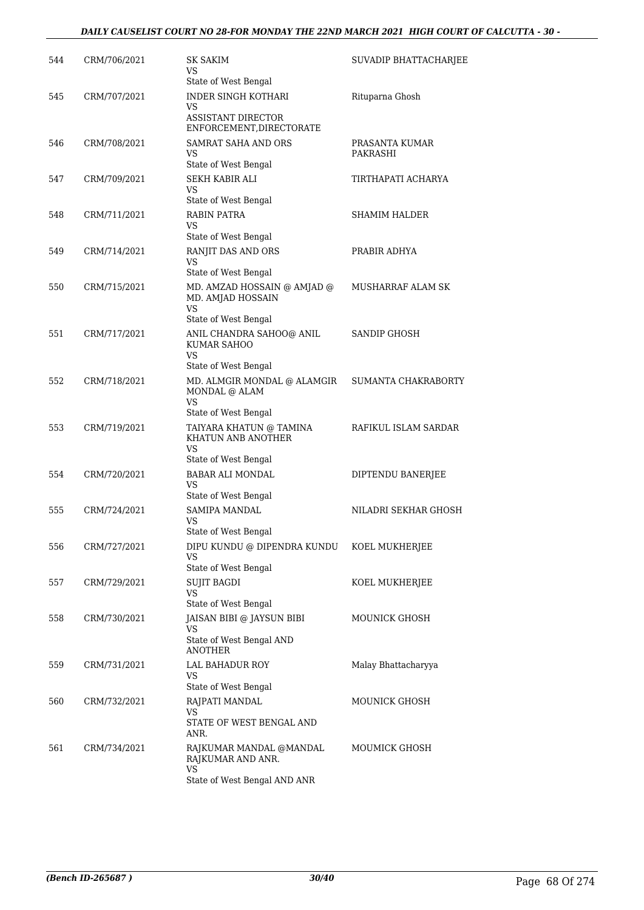| 544 | CRM/706/2021 | <b>SK SAKIM</b><br>VS<br>State of West Bengal                                                       | SUVADIP BHATTACHARJEE      |
|-----|--------------|-----------------------------------------------------------------------------------------------------|----------------------------|
| 545 | CRM/707/2021 | <b>INDER SINGH KOTHARI</b><br>VS<br><b>ASSISTANT DIRECTOR</b><br>ENFORCEMENT, DIRECTORATE           | Rituparna Ghosh            |
| 546 | CRM/708/2021 | SAMRAT SAHA AND ORS<br>VS<br>State of West Bengal                                                   | PRASANTA KUMAR<br>PAKRASHI |
| 547 | CRM/709/2021 | <b>SEKH KABIR ALI</b><br>VS<br>State of West Bengal                                                 | TIRTHAPATI ACHARYA         |
| 548 | CRM/711/2021 | RABIN PATRA<br>VS.<br>State of West Bengal                                                          | SHAMIM HALDER              |
| 549 | CRM/714/2021 | RANJIT DAS AND ORS<br>VS<br>State of West Bengal                                                    | PRABIR ADHYA               |
| 550 | CRM/715/2021 | MD. AMZAD HOSSAIN @ AMJAD @<br>MD. AMJAD HOSSAIN<br>VS.<br>State of West Bengal                     | MUSHARRAF ALAM SK          |
| 551 | CRM/717/2021 | ANIL CHANDRA SAHOO@ ANIL<br>KUMAR SAHOO<br>VS.<br>State of West Bengal                              | SANDIP GHOSH               |
| 552 | CRM/718/2021 | MD. ALMGIR MONDAL @ ALAMGIR<br>MONDAL @ ALAM<br>VS.                                                 | SUMANTA CHAKRABORTY        |
| 553 | CRM/719/2021 | State of West Bengal<br>TAIYARA KHATUN @ TAMINA<br>KHATUN ANB ANOTHER<br>VS<br>State of West Bengal | RAFIKUL ISLAM SARDAR       |
| 554 | CRM/720/2021 | <b>BABAR ALI MONDAL</b><br>VS.<br>State of West Bengal                                              | DIPTENDU BANERJEE          |
| 555 | CRM/724/2021 | SAMIPA MANDAL<br>VS.<br>State of West Bengal                                                        | NILADRI SEKHAR GHOSH       |
| 556 | CRM/727/2021 | DIPU KUNDU @ DIPENDRA KUNDU<br>VS<br>State of West Bengal                                           | KOEL MUKHERJEE             |
| 557 | CRM/729/2021 | <b>SUJIT BAGDI</b><br>VS<br>State of West Bengal                                                    | KOEL MUKHERJEE             |
| 558 | CRM/730/2021 | JAISAN BIBI @ JAYSUN BIBI<br>VS<br>State of West Bengal AND                                         | <b>MOUNICK GHOSH</b>       |
| 559 | CRM/731/2021 | <b>ANOTHER</b><br>LAL BAHADUR ROY<br>VS                                                             | Malay Bhattacharyya        |
| 560 | CRM/732/2021 | State of West Bengal<br>RAJPATI MANDAL<br>VS<br>STATE OF WEST BENGAL AND<br>ANR.                    | MOUNICK GHOSH              |
| 561 | CRM/734/2021 | RAJKUMAR MANDAL @MANDAL<br>RAJKUMAR AND ANR.<br>VS<br>State of West Bengal AND ANR                  | MOUMICK GHOSH              |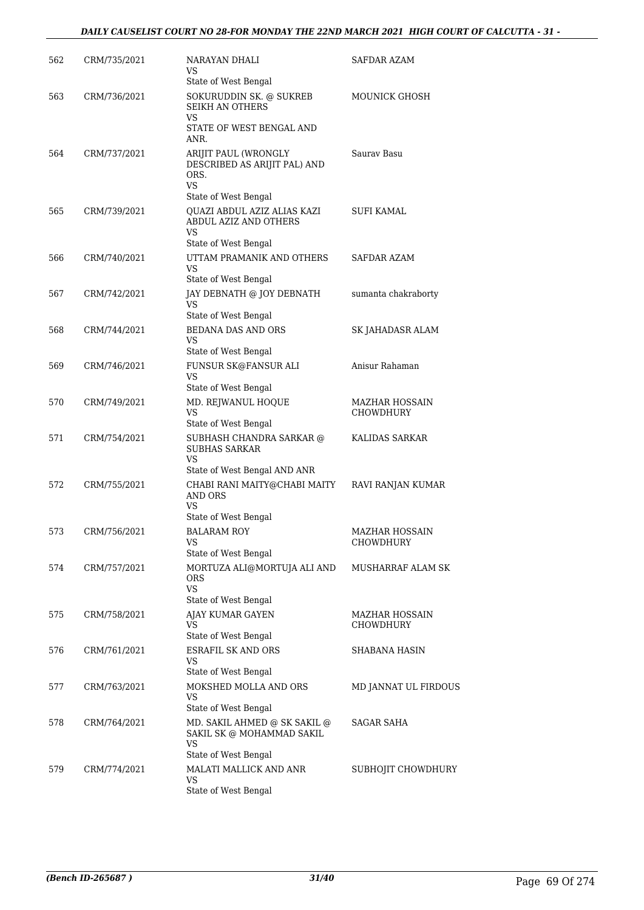#### *DAILY CAUSELIST COURT NO 28-FOR MONDAY THE 22ND MARCH 2021 HIGH COURT OF CALCUTTA - 31 -*

| 562 | CRM/735/2021 | NARAYAN DHALI<br>VS<br>State of West Bengal                                                                | SAFDAR AZAM                        |
|-----|--------------|------------------------------------------------------------------------------------------------------------|------------------------------------|
| 563 | CRM/736/2021 | SOKURUDDIN SK. @ SUKREB<br><b>SEIKH AN OTHERS</b><br>VS<br>STATE OF WEST BENGAL AND<br>ANR.                | MOUNICK GHOSH                      |
| 564 | CRM/737/2021 | ARIJIT PAUL (WRONGLY<br>DESCRIBED AS ARIJIT PAL) AND<br>ORS.<br>VS                                         | Sauray Basu                        |
| 565 | CRM/739/2021 | State of West Bengal<br>QUAZI ABDUL AZIZ ALIAS KAZI<br>ABDUL AZIZ AND OTHERS<br>VS<br>State of West Bengal | SUFI KAMAL                         |
| 566 | CRM/740/2021 | UTTAM PRAMANIK AND OTHERS<br>VS<br>State of West Bengal                                                    | SAFDAR AZAM                        |
| 567 | CRM/742/2021 | JAY DEBNATH @ JOY DEBNATH<br>VS<br>State of West Bengal                                                    | sumanta chakraborty                |
| 568 | CRM/744/2021 | <b>BEDANA DAS AND ORS</b><br>VS<br>State of West Bengal                                                    | SK JAHADASR ALAM                   |
| 569 | CRM/746/2021 | FUNSUR SK@FANSUR ALI<br>VS<br>State of West Bengal                                                         | Anisur Rahaman                     |
| 570 | CRM/749/2021 | MD. REJWANUL HOQUE<br>VS<br>State of West Bengal                                                           | <b>MAZHAR HOSSAIN</b><br>CHOWDHURY |
| 571 | CRM/754/2021 | SUBHASH CHANDRA SARKAR @<br><b>SUBHAS SARKAR</b><br>VS<br>State of West Bengal AND ANR                     | KALIDAS SARKAR                     |
| 572 | CRM/755/2021 | CHABI RANI MAITY@CHABI MAITY<br><b>AND ORS</b><br>VS<br>State of West Bengal                               | RAVI RANJAN KUMAR                  |
| 573 | CRM/756/2021 | <b>BALARAM ROY</b><br><b>VS</b><br>State of West Bengal                                                    | MAZHAR HOSSAIN<br>CHOWDHURY        |
| 574 | CRM/757/2021 | MORTUZA ALI@MORTUJA ALI AND<br><b>ORS</b><br><b>VS</b><br>State of West Bengal                             | MUSHARRAF ALAM SK                  |
| 575 | CRM/758/2021 | AJAY KUMAR GAYEN<br>VS<br>State of West Bengal                                                             | <b>MAZHAR HOSSAIN</b><br>CHOWDHURY |
| 576 | CRM/761/2021 | <b>ESRAFIL SK AND ORS</b><br>VS<br>State of West Bengal                                                    | SHABANA HASIN                      |
| 577 | CRM/763/2021 | MOKSHED MOLLA AND ORS<br>VS<br>State of West Bengal                                                        | MD JANNAT UL FIRDOUS               |
| 578 | CRM/764/2021 | MD. SAKIL AHMED @ SK SAKIL @<br>SAKIL SK @ MOHAMMAD SAKIL<br>VS<br>State of West Bengal                    | SAGAR SAHA                         |
| 579 | CRM/774/2021 | MALATI MALLICK AND ANR<br>VS<br>State of West Bengal                                                       | SUBHOJIT CHOWDHURY                 |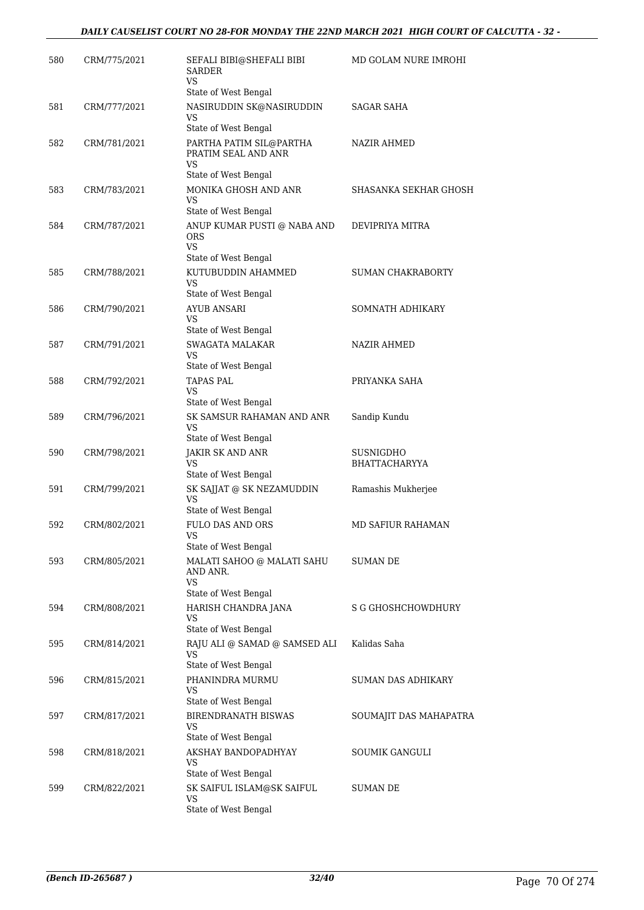| 580 | CRM/775/2021 | SEFALI BIBI@SHEFALI BIBI<br><b>SARDER</b><br>VS                                                 | MD GOLAM NURE IMROHI              |
|-----|--------------|-------------------------------------------------------------------------------------------------|-----------------------------------|
| 581 | CRM/777/2021 | State of West Bengal<br>NASIRUDDIN SK@NASIRUDDIN<br>VS                                          | SAGAR SAHA                        |
|     |              | State of West Bengal                                                                            |                                   |
| 582 | CRM/781/2021 | PARTHA PATIM SIL@PARTHA<br>PRATIM SEAL AND ANR<br><b>VS</b>                                     | NAZIR AHMED                       |
| 583 | CRM/783/2021 | State of West Bengal<br>MONIKA GHOSH AND ANR<br>VS.                                             | SHASANKA SEKHAR GHOSH             |
| 584 | CRM/787/2021 | State of West Bengal<br>ANUP KUMAR PUSTI @ NABA AND<br><b>ORS</b><br>VS<br>State of West Bengal | DEVIPRIYA MITRA                   |
| 585 | CRM/788/2021 | KUTUBUDDIN AHAMMED<br>VS<br>State of West Bengal                                                | SUMAN CHAKRABORTY                 |
| 586 | CRM/790/2021 | AYUB ANSARI<br>VS<br>State of West Bengal                                                       | SOMNATH ADHIKARY                  |
| 587 | CRM/791/2021 | SWAGATA MALAKAR<br>VS<br>State of West Bengal                                                   | <b>NAZIR AHMED</b>                |
| 588 | CRM/792/2021 | <b>TAPAS PAL</b><br>VS<br>State of West Bengal                                                  | PRIYANKA SAHA                     |
| 589 | CRM/796/2021 | SK SAMSUR RAHAMAN AND ANR<br>VS<br>State of West Bengal                                         | Sandip Kundu                      |
| 590 | CRM/798/2021 | JAKIR SK AND ANR<br>VS<br>State of West Bengal                                                  | SUSNIGDHO<br><b>BHATTACHARYYA</b> |
| 591 | CRM/799/2021 | SK SAJJAT @ SK NEZAMUDDIN<br>VS<br>State of West Bengal                                         | Ramashis Mukherjee                |
| 592 | CRM/802/2021 | FULO DAS AND ORS<br>VS<br>State of West Bengal                                                  | MD SAFIUR RAHAMAN                 |
| 593 | CRM/805/2021 | MALATI SAHOO @ MALATI SAHU<br>AND ANR.<br><b>VS</b><br>State of West Bengal                     | SUMAN DE                          |
| 594 | CRM/808/2021 | HARISH CHANDRA JANA<br>VS<br>State of West Bengal                                               | <b>S G GHOSHCHOWDHURY</b>         |
| 595 | CRM/814/2021 | RAJU ALI @ SAMAD @ SAMSED ALI<br>VS<br>State of West Bengal                                     | Kalidas Saha                      |
| 596 | CRM/815/2021 | PHANINDRA MURMU<br>VS<br>State of West Bengal                                                   | SUMAN DAS ADHIKARY                |
| 597 | CRM/817/2021 | <b>BIRENDRANATH BISWAS</b><br>VS<br>State of West Bengal                                        | SOUMAJIT DAS MAHAPATRA            |
| 598 | CRM/818/2021 | AKSHAY BANDOPADHYAY<br>VS.<br>State of West Bengal                                              | <b>SOUMIK GANGULI</b>             |
| 599 | CRM/822/2021 | SK SAIFUL ISLAM@SK SAIFUL<br>VS<br>State of West Bengal                                         | SUMAN DE                          |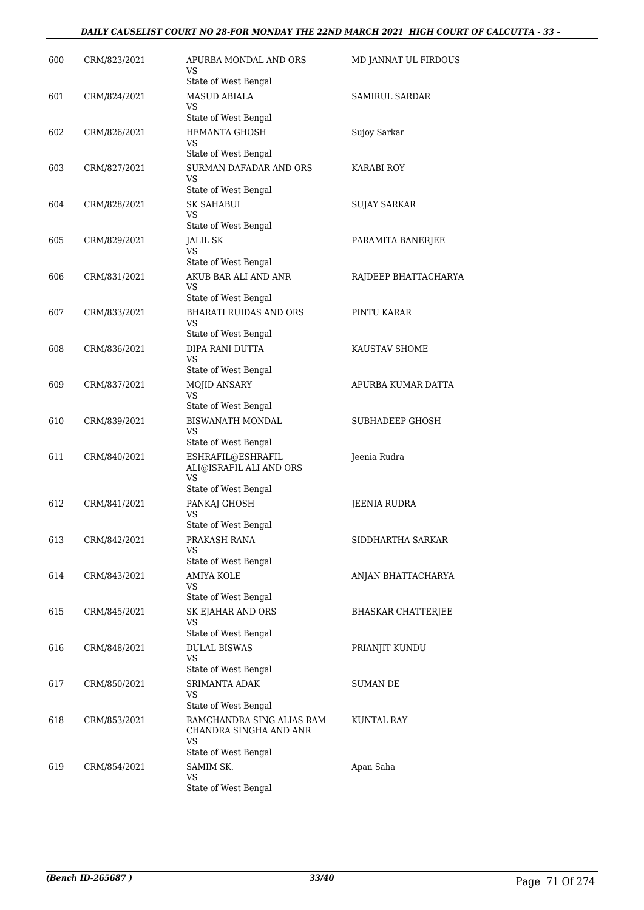### *DAILY CAUSELIST COURT NO 28-FOR MONDAY THE 22ND MARCH 2021 HIGH COURT OF CALCUTTA - 33 -*

| 600 | CRM/823/2021 | APURBA MONDAL AND ORS<br>VS.<br>State of West Bengal                              | MD JANNAT UL FIRDOUS      |
|-----|--------------|-----------------------------------------------------------------------------------|---------------------------|
| 601 | CRM/824/2021 | <b>MASUD ABIALA</b><br>VS<br>State of West Bengal                                 | SAMIRUL SARDAR            |
| 602 | CRM/826/2021 | HEMANTA GHOSH<br>VS<br>State of West Bengal                                       | Sujoy Sarkar              |
| 603 | CRM/827/2021 | SURMAN DAFADAR AND ORS<br>VS<br>State of West Bengal                              | KARABI ROY                |
| 604 | CRM/828/2021 | <b>SK SAHABUL</b><br>VS<br>State of West Bengal                                   | SUJAY SARKAR              |
| 605 | CRM/829/2021 | JALIL SK<br>VS.<br>State of West Bengal                                           | PARAMITA BANERJEE         |
| 606 | CRM/831/2021 | AKUB BAR ALI AND ANR<br><b>VS</b><br>State of West Bengal                         | RAJDEEP BHATTACHARYA      |
| 607 | CRM/833/2021 | <b>BHARATI RUIDAS AND ORS</b><br>VS<br>State of West Bengal                       | PINTU KARAR               |
| 608 | CRM/836/2021 | DIPA RANI DUTTA<br>VS<br>State of West Bengal                                     | KAUSTAV SHOME             |
| 609 | CRM/837/2021 | <b>MOJID ANSARY</b><br>VS.<br>State of West Bengal                                | APURBA KUMAR DATTA        |
| 610 | CRM/839/2021 | <b>BISWANATH MONDAL</b><br>VS<br>State of West Bengal                             | SUBHADEEP GHOSH           |
| 611 | CRM/840/2021 | ESHRAFIL@ESHRAFIL<br>ALI@ISRAFIL ALI AND ORS<br>VS<br>State of West Bengal        | Jeenia Rudra              |
| 612 | CRM/841/2021 | PANKAJ GHOSH<br>VS<br>State of West Bengal                                        | <b>JEENIA RUDRA</b>       |
| 613 | CRM/842/2021 | PRAKASH RANA<br>VS<br>State of West Bengal                                        | SIDDHARTHA SARKAR         |
| 614 | CRM/843/2021 | AMIYA KOLE<br>VS<br>State of West Bengal                                          | ANJAN BHATTACHARYA        |
| 615 | CRM/845/2021 | SK EJAHAR AND ORS<br><b>VS</b><br>State of West Bengal                            | <b>BHASKAR CHATTERJEE</b> |
| 616 | CRM/848/2021 | <b>DULAL BISWAS</b><br>VS<br>State of West Bengal                                 | PRIANJIT KUNDU            |
| 617 | CRM/850/2021 | <b>SRIMANTA ADAK</b><br>VS<br>State of West Bengal                                | SUMAN DE                  |
| 618 | CRM/853/2021 | RAMCHANDRA SING ALIAS RAM<br>CHANDRA SINGHA AND ANR<br>VS<br>State of West Bengal | KUNTAL RAY                |
| 619 | CRM/854/2021 | SAMIM SK.<br>VS<br>State of West Bengal                                           | Apan Saha                 |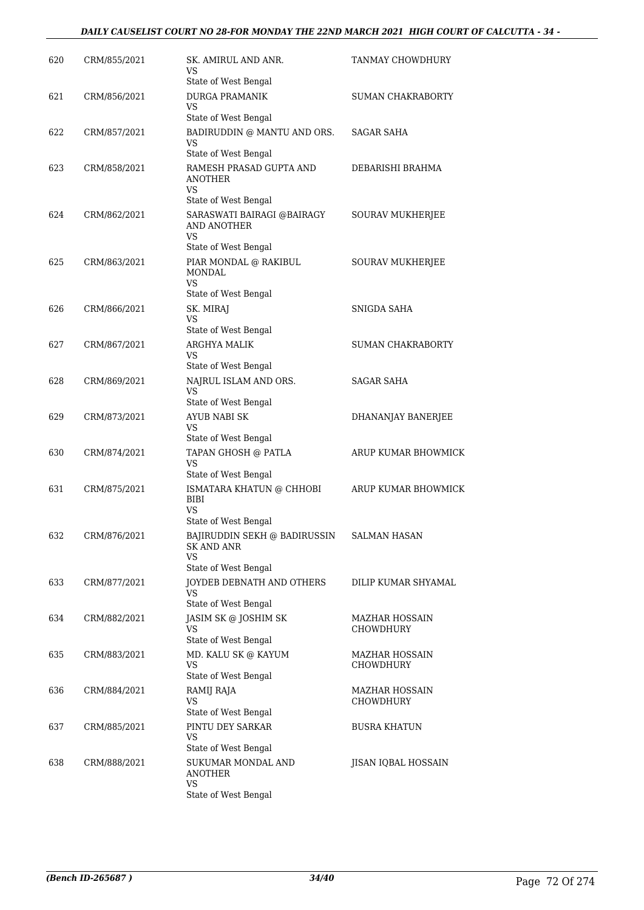### *DAILY CAUSELIST COURT NO 28-FOR MONDAY THE 22ND MARCH 2021 HIGH COURT OF CALCUTTA - 34 -*

| 620 | CRM/855/2021 | SK. AMIRUL AND ANR.<br>VS<br>State of West Bengal      | TANMAY CHOWDHURY                   |
|-----|--------------|--------------------------------------------------------|------------------------------------|
| 621 | CRM/856/2021 | <b>DURGA PRAMANIK</b><br><b>VS</b>                     | SUMAN CHAKRABORTY                  |
|     |              | State of West Bengal                                   |                                    |
| 622 | CRM/857/2021 | BADIRUDDIN @ MANTU AND ORS.<br>VS                      | <b>SAGAR SAHA</b>                  |
|     |              | State of West Bengal                                   |                                    |
| 623 | CRM/858/2021 | RAMESH PRASAD GUPTA AND<br><b>ANOTHER</b><br>VS        | DEBARISHI BRAHMA                   |
|     |              | State of West Bengal                                   |                                    |
| 624 | CRM/862/2021 | SARASWATI BAIRAGI @BAIRAGY<br>AND ANOTHER<br><b>VS</b> | <b>SOURAV MUKHERJEE</b>            |
|     |              | State of West Bengal                                   |                                    |
| 625 | CRM/863/2021 | PIAR MONDAL @ RAKIBUL<br><b>MONDAL</b><br>VS           | <b>SOURAV MUKHERJEE</b>            |
|     |              | State of West Bengal                                   |                                    |
| 626 | CRM/866/2021 | SK. MIRAJ<br>VS                                        | SNIGDA SAHA                        |
|     |              | State of West Bengal                                   |                                    |
| 627 | CRM/867/2021 | ARGHYA MALIK<br>VS<br>State of West Bengal             | SUMAN CHAKRABORTY                  |
| 628 | CRM/869/2021 | NAJRUL ISLAM AND ORS.                                  | SAGAR SAHA                         |
|     |              | VS                                                     |                                    |
|     |              | State of West Bengal                                   |                                    |
| 629 | CRM/873/2021 | AYUB NABI SK<br>VS<br>State of West Bengal             | DHANANJAY BANERJEE                 |
| 630 | CRM/874/2021 | TAPAN GHOSH @ PATLA<br>VS                              | ARUP KUMAR BHOWMICK                |
| 631 | CRM/875/2021 | State of West Bengal<br>ISMATARA KHATUN @ CHHOBI       | ARUP KUMAR BHOWMICK                |
|     |              | <b>BIBI</b><br><b>VS</b>                               |                                    |
| 632 | CRM/876/2021 | State of West Bengal<br>BAJIRUDDIN SEKH @ BADIRUSSIN   | <b>SALMAN HASAN</b>                |
|     |              | SK AND ANR<br>VS                                       |                                    |
| 633 | CRM/877/2021 | State of West Bengal<br>JOYDEB DEBNATH AND OTHERS      | DILIP KUMAR SHYAMAL                |
|     |              | VS<br>State of West Bengal                             |                                    |
| 634 | CRM/882/2021 | JASIM SK @ JOSHIM SK<br>VS                             | <b>MAZHAR HOSSAIN</b><br>CHOWDHURY |
|     |              | State of West Bengal                                   |                                    |
| 635 | CRM/883/2021 | MD. KALU SK @ KAYUM<br>VS<br>State of West Bengal      | MAZHAR HOSSAIN<br>CHOWDHURY        |
| 636 | CRM/884/2021 | RAMIJ RAJA                                             | <b>MAZHAR HOSSAIN</b>              |
|     |              | VS<br>State of West Bengal                             | CHOWDHURY                          |
| 637 | CRM/885/2021 | PINTU DEY SARKAR                                       | <b>BUSRA KHATUN</b>                |
|     |              | VS<br>State of West Bengal                             |                                    |
| 638 | CRM/888/2021 | SUKUMAR MONDAL AND<br>ANOTHER<br>VS                    | JISAN IQBAL HOSSAIN                |
|     |              | State of West Bengal                                   |                                    |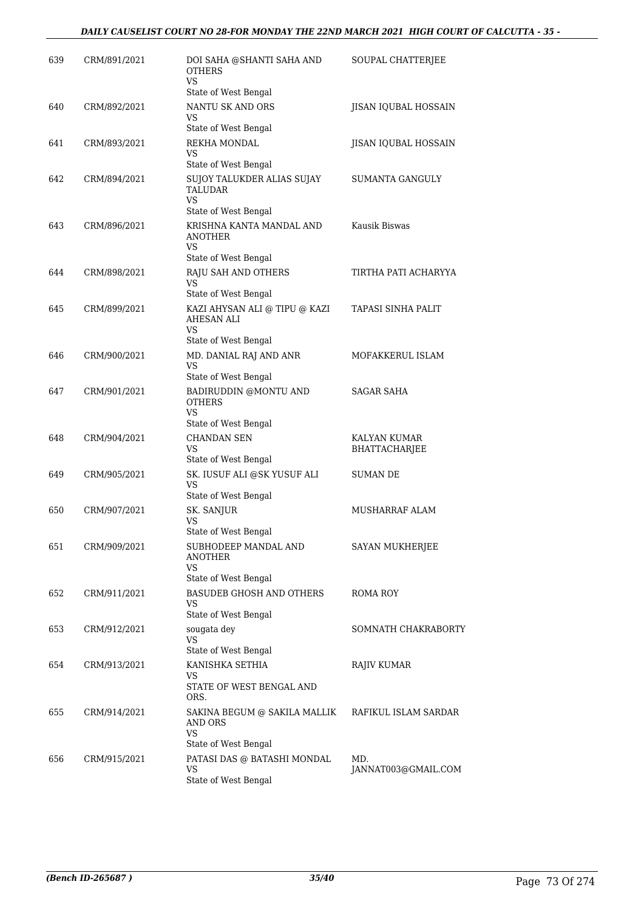| 639 | CRM/891/2021 | DOI SAHA @SHANTI SAHA AND<br><b>OTHERS</b><br>VS              | SOUPAL CHATTERJEE          |
|-----|--------------|---------------------------------------------------------------|----------------------------|
| 640 | CRM/892/2021 | State of West Bengal<br>NANTU SK AND ORS                      | JISAN IQUBAL HOSSAIN       |
|     |              | VS<br>State of West Bengal                                    |                            |
| 641 | CRM/893/2021 | REKHA MONDAL<br>VS.                                           | JISAN IQUBAL HOSSAIN       |
|     |              | State of West Bengal                                          |                            |
| 642 | CRM/894/2021 | SUJOY TALUKDER ALIAS SUJAY<br>TALUDAR<br>VS                   | SUMANTA GANGULY            |
|     |              | State of West Bengal                                          |                            |
| 643 | CRM/896/2021 | KRISHNA KANTA MANDAL AND<br>ANOTHER<br>VS.                    | Kausik Biswas              |
|     |              | State of West Bengal                                          |                            |
| 644 | CRM/898/2021 | RAJU SAH AND OTHERS<br>VS<br>State of West Bengal             | TIRTHA PATI ACHARYYA       |
| 645 | CRM/899/2021 | KAZI AHYSAN ALI @ TIPU @ KAZI                                 | TAPASI SINHA PALIT         |
|     |              | AHESAN ALI<br>VS<br>State of West Bengal                      |                            |
| 646 | CRM/900/2021 | MD. DANIAL RAJ AND ANR                                        | MOFAKKERUL ISLAM           |
|     |              | <b>VS</b><br>State of West Bengal                             |                            |
| 647 | CRM/901/2021 | BADIRUDDIN @MONTU AND                                         | SAGAR SAHA                 |
|     |              | <b>OTHERS</b><br>VS.<br>State of West Bengal                  |                            |
| 648 | CRM/904/2021 | <b>CHANDAN SEN</b>                                            | KALYAN KUMAR               |
|     |              | VS<br>State of West Bengal                                    | BHATTACHARJEE              |
| 649 | CRM/905/2021 | SK. IUSUF ALI @SK YUSUF ALI<br>VS<br>State of West Bengal     | <b>SUMAN DE</b>            |
| 650 | CRM/907/2021 | SK. SANJUR                                                    | MUSHARRAF ALAM             |
|     |              | VS<br>State of West Bengal                                    |                            |
| 651 | CRM/909/2021 | SUBHODEEP MANDAL AND<br>ANOTHER<br>VS                         | <b>SAYAN MUKHERJEE</b>     |
|     |              | State of West Bengal                                          |                            |
| 652 | CRM/911/2021 | <b>BASUDEB GHOSH AND OTHERS</b><br>VS<br>State of West Bengal | ROMA ROY                   |
| 653 | CRM/912/2021 | sougata dev                                                   | SOMNATH CHAKRABORTY        |
|     |              | VS<br>State of West Bengal                                    |                            |
| 654 | CRM/913/2021 | KANISHKA SETHIA<br>VS                                         | RAJIV KUMAR                |
|     |              | STATE OF WEST BENGAL AND<br>ORS.                              |                            |
| 655 | CRM/914/2021 | SAKINA BEGUM @ SAKILA MALLIK<br>AND ORS<br>VS                 | RAFIKUL ISLAM SARDAR       |
|     |              | State of West Bengal                                          |                            |
| 656 | CRM/915/2021 | PATASI DAS @ BATASHI MONDAL<br>VS<br>State of West Bengal     | MD.<br>JANNAT003@GMAIL.COM |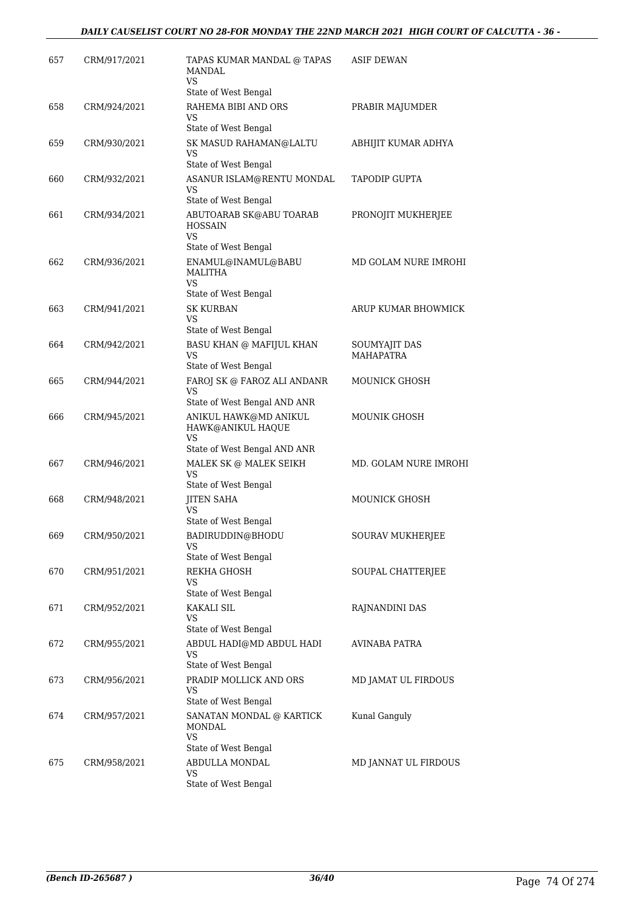| 657 | CRM/917/2021 | TAPAS KUMAR MANDAL @ TAPAS<br><b>MANDAL</b>                       | <b>ASIF DEWAN</b>     |
|-----|--------------|-------------------------------------------------------------------|-----------------------|
|     |              | VS                                                                |                       |
|     |              | State of West Bengal                                              |                       |
| 658 | CRM/924/2021 | RAHEMA BIBI AND ORS<br>VS<br>State of West Bengal                 | PRABIR MAJUMDER       |
| 659 | CRM/930/2021 | SK MASUD RAHAMAN@LALTU                                            | ABHIJIT KUMAR ADHYA   |
|     |              | VS<br>State of West Bengal                                        |                       |
| 660 | CRM/932/2021 | ASANUR ISLAM@RENTU MONDAL<br>VS                                   | <b>TAPODIP GUPTA</b>  |
|     |              | State of West Bengal                                              |                       |
| 661 | CRM/934/2021 | ABUTOARAB SK@ABU TOARAB<br><b>HOSSAIN</b><br>VS                   | PRONOJIT MUKHERJEE    |
|     |              | State of West Bengal                                              |                       |
| 662 | CRM/936/2021 | ENAMUL@INAMUL@BABU<br><b>MALITHA</b><br>VS                        | MD GOLAM NURE IMROHI  |
|     |              | State of West Bengal                                              |                       |
| 663 | CRM/941/2021 | <b>SK KURBAN</b><br>VS<br>State of West Bengal                    | ARUP KUMAR BHOWMICK   |
| 664 | CRM/942/2021 | <b>BASU KHAN @ MAFIJUL KHAN</b>                                   | SOUMYAJIT DAS         |
|     |              | VS                                                                | MAHAPATRA             |
|     |              | State of West Bengal                                              |                       |
| 665 | CRM/944/2021 | FAROJ SK @ FAROZ ALI ANDANR<br>VS<br>State of West Bengal AND ANR | <b>MOUNICK GHOSH</b>  |
| 666 | CRM/945/2021 | ANIKUL HAWK@MD ANIKUL<br>HAWK@ANIKUL HAQUE                        | <b>MOUNIK GHOSH</b>   |
|     |              | VS<br>State of West Bengal AND ANR                                |                       |
| 667 | CRM/946/2021 | MALEK SK @ MALEK SEIKH<br>VS<br>State of West Bengal              | MD. GOLAM NURE IMROHI |
| 668 | CRM/948/2021 | <b>JITEN SAHA</b>                                                 | <b>MOUNICK GHOSH</b>  |
|     |              | VS                                                                |                       |
|     |              | State of West Bengal                                              |                       |
| 669 | CRM/950/2021 | BADIRUDDIN@BHODU<br>VS<br>State of West Bengal                    | SOURAV MUKHERJEE      |
| 670 | CRM/951/2021 | REKHA GHOSH                                                       | SOUPAL CHATTERJEE     |
|     |              | VS                                                                |                       |
|     |              | State of West Bengal                                              |                       |
| 671 | CRM/952/2021 | KAKALI SIL<br>VS                                                  | RAJNANDINI DAS        |
|     |              | State of West Bengal                                              |                       |
| 672 | CRM/955/2021 | ABDUL HADI@MD ABDUL HADI<br>VS<br>State of West Bengal            | AVINABA PATRA         |
| 673 | CRM/956/2021 | PRADIP MOLLICK AND ORS                                            | MD JAMAT UL FIRDOUS   |
|     |              | VS<br>State of West Bengal                                        |                       |
| 674 | CRM/957/2021 | SANATAN MONDAL @ KARTICK<br>MONDAL<br>VS<br>State of West Bengal  | Kunal Ganguly         |
| 675 | CRM/958/2021 | ABDULLA MONDAL                                                    | MD JANNAT UL FIRDOUS  |
|     |              | VS                                                                |                       |
|     |              | State of West Bengal                                              |                       |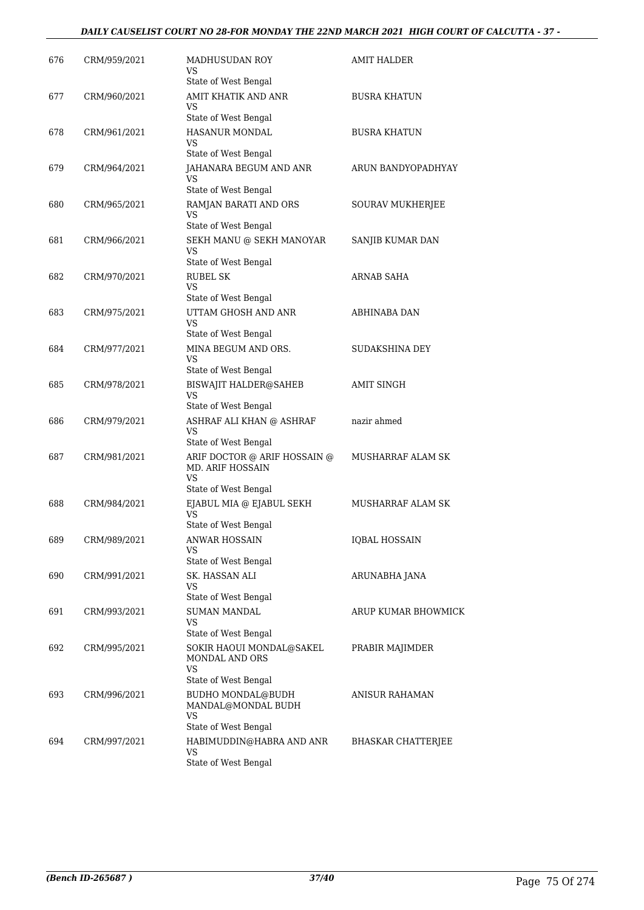### *DAILY CAUSELIST COURT NO 28-FOR MONDAY THE 22ND MARCH 2021 HIGH COURT OF CALCUTTA - 37 -*

| 676 | CRM/959/2021 | MADHUSUDAN ROY<br>VS<br>State of West Bengal                                                     | <b>AMIT HALDER</b>        |
|-----|--------------|--------------------------------------------------------------------------------------------------|---------------------------|
| 677 | CRM/960/2021 | AMIT KHATIK AND ANR<br>VS                                                                        | <b>BUSRA KHATUN</b>       |
| 678 | CRM/961/2021 | State of West Bengal<br><b>HASANUR MONDAL</b><br>VS                                              | <b>BUSRA KHATUN</b>       |
| 679 | CRM/964/2021 | State of West Bengal<br>JAHANARA BEGUM AND ANR<br>VS<br>State of West Bengal                     | ARUN BANDYOPADHYAY        |
| 680 | CRM/965/2021 | RAMJAN BARATI AND ORS<br>VS<br>State of West Bengal                                              | SOURAV MUKHERJEE          |
| 681 | CRM/966/2021 | SEKH MANU @ SEKH MANOYAR<br>VS<br>State of West Bengal                                           | SANJIB KUMAR DAN          |
| 682 | CRM/970/2021 | <b>RUBEL SK</b><br><b>VS</b><br>State of West Bengal                                             | ARNAB SAHA                |
| 683 | CRM/975/2021 | UTTAM GHOSH AND ANR<br>VS                                                                        | ABHINABA DAN              |
| 684 | CRM/977/2021 | State of West Bengal<br>MINA BEGUM AND ORS.<br>VS                                                | SUDAKSHINA DEY            |
| 685 | CRM/978/2021 | State of West Bengal<br><b>BISWAJIT HALDER@SAHEB</b><br>VS                                       | <b>AMIT SINGH</b>         |
| 686 | CRM/979/2021 | State of West Bengal<br>ASHRAF ALI KHAN @ ASHRAF<br><b>VS</b><br>State of West Bengal            | nazir ahmed               |
| 687 | CRM/981/2021 | ARIF DOCTOR @ ARIF HOSSAIN @<br><b>MD. ARIF HOSSAIN</b><br>VS                                    | MUSHARRAF ALAM SK         |
| 688 | CRM/984/2021 | State of West Bengal<br>EJABUL MIA @ EJABUL SEKH<br>VS                                           | MUSHARRAF ALAM SK         |
| 689 | CRM/989/2021 | State of West Bengal<br>ANWAR HOSSAIN<br>VS<br>State of West Bengal                              | <b>IQBAL HOSSAIN</b>      |
| 690 | CRM/991/2021 | SK. HASSAN ALI<br>VS                                                                             | ARUNABHA JANA             |
| 691 | CRM/993/2021 | State of West Bengal<br><b>SUMAN MANDAL</b><br><b>VS</b>                                         | ARUP KUMAR BHOWMICK       |
| 692 | CRM/995/2021 | State of West Bengal<br>SOKIR HAOUI MONDAL@SAKEL<br>MONDAL AND ORS<br>VS<br>State of West Bengal | PRABIR MAJIMDER           |
| 693 | CRM/996/2021 | <b>BUDHO MONDAL@BUDH</b><br>MANDAL@MONDAL BUDH<br>VS                                             | ANISUR RAHAMAN            |
| 694 | CRM/997/2021 | State of West Bengal<br>HABIMUDDIN@HABRA AND ANR<br><b>VS</b><br>State of West Bengal            | <b>BHASKAR CHATTERJEE</b> |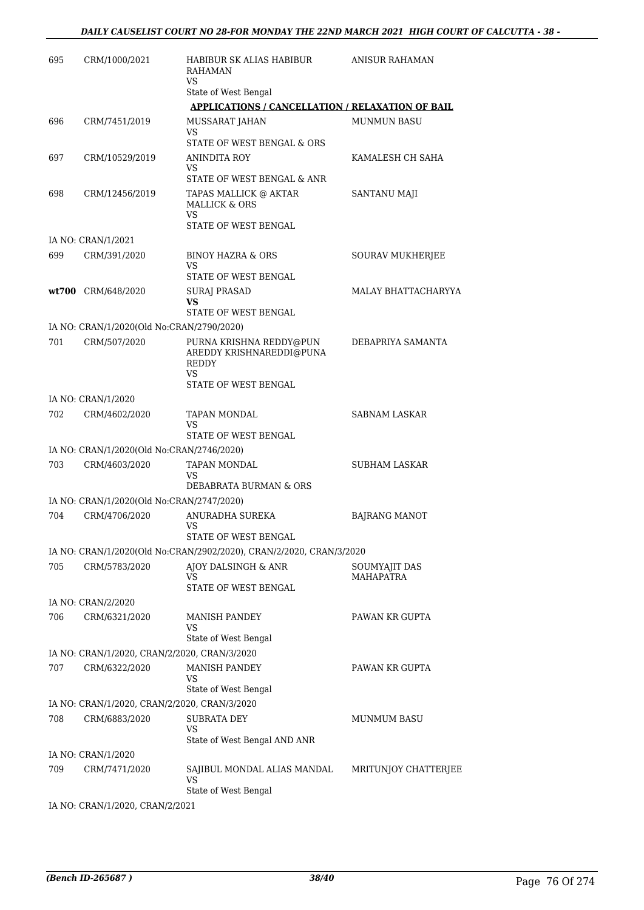| 695 | CRM/1000/2021                                | HABIBUR SK ALIAS HABIBUR<br><b>RAHAMAN</b>                                                                    | ANISUR RAHAMAN             |
|-----|----------------------------------------------|---------------------------------------------------------------------------------------------------------------|----------------------------|
|     |                                              | VS.<br>State of West Bengal                                                                                   |                            |
|     |                                              | <b>APPLICATIONS / CANCELLATION / RELAXATION OF BAIL</b>                                                       |                            |
| 696 | CRM/7451/2019                                | MUSSARAT JAHAN<br><b>VS</b><br>STATE OF WEST BENGAL & ORS                                                     | <b>MUNMUN BASU</b>         |
| 697 | CRM/10529/2019                               | ANINDITA ROY<br>VS.                                                                                           | KAMALESH CH SAHA           |
| 698 | CRM/12456/2019                               | STATE OF WEST BENGAL & ANR<br>TAPAS MALLICK @ AKTAR<br><b>MALLICK &amp; ORS</b><br>VS<br>STATE OF WEST BENGAL | SANTANU MAJI               |
|     | IA NO: CRAN/1/2021                           |                                                                                                               |                            |
| 699 | CRM/391/2020                                 | <b>BINOY HAZRA &amp; ORS</b><br>VS                                                                            | SOURAV MUKHERJEE           |
|     |                                              | STATE OF WEST BENGAL                                                                                          |                            |
|     | wt700 CRM/648/2020                           | <b>SURAJ PRASAD</b><br>VS<br><b>STATE OF WEST BENGAL</b>                                                      | MALAY BHATTACHARYYA        |
|     | IA NO: CRAN/1/2020(Old No:CRAN/2790/2020)    |                                                                                                               |                            |
| 701 | CRM/507/2020                                 | PURNA KRISHNA REDDY@PUN<br>AREDDY KRISHNAREDDI@PUNA<br><b>REDDY</b><br>VS                                     | DEBAPRIYA SAMANTA          |
|     |                                              | STATE OF WEST BENGAL                                                                                          |                            |
|     | IA NO: CRAN/1/2020                           |                                                                                                               |                            |
| 702 | CRM/4602/2020                                | TAPAN MONDAL<br>VS                                                                                            | SABNAM LASKAR              |
|     |                                              | STATE OF WEST BENGAL                                                                                          |                            |
|     | IA NO: CRAN/1/2020(Old No:CRAN/2746/2020)    |                                                                                                               |                            |
| 703 | CRM/4603/2020                                | TAPAN MONDAL<br>VS<br>DEBABRATA BURMAN & ORS                                                                  | <b>SUBHAM LASKAR</b>       |
|     | IA NO: CRAN/1/2020(Old No:CRAN/2747/2020)    |                                                                                                               |                            |
| 704 | CRM/4706/2020                                | <b>ANURADHA SUREKA</b><br>VS                                                                                  | <b>BAJRANG MANOT</b>       |
|     |                                              | STATE OF WEST BENGAL                                                                                          |                            |
|     |                                              | IA NO: CRAN/1/2020(Old No:CRAN/2902/2020), CRAN/2/2020, CRAN/3/2020                                           |                            |
| 705 | CRM/5783/2020                                | AJOY DALSINGH & ANR<br>VS<br>STATE OF WEST BENGAL                                                             | SOUMYAJIT DAS<br>MAHAPATRA |
|     | IA NO: CRAN/2/2020                           |                                                                                                               |                            |
| 706 | CRM/6321/2020                                | <b>MANISH PANDEY</b><br>VS                                                                                    | PAWAN KR GUPTA             |
|     |                                              | State of West Bengal                                                                                          |                            |
|     | IA NO: CRAN/1/2020, CRAN/2/2020, CRAN/3/2020 |                                                                                                               |                            |
| 707 | CRM/6322/2020                                | <b>MANISH PANDEY</b><br>VS<br>State of West Bengal                                                            | PAWAN KR GUPTA             |
|     | IA NO: CRAN/1/2020, CRAN/2/2020, CRAN/3/2020 |                                                                                                               |                            |
| 708 | CRM/6883/2020                                | SUBRATA DEY<br>VS                                                                                             | <b>MUNMUM BASU</b>         |
|     |                                              | State of West Bengal AND ANR                                                                                  |                            |
| 709 | IA NO: CRAN/1/2020<br>CRM/7471/2020          | SAJIBUL MONDAL ALIAS MANDAL<br>VS                                                                             | MRITUNJOY CHATTERJEE       |
|     | $CD$ A M $D$ $D$ $D$ $D$ 1                   | State of West Bengal                                                                                          |                            |

IA NO: CRAN/1/2020, CRAN/2/2021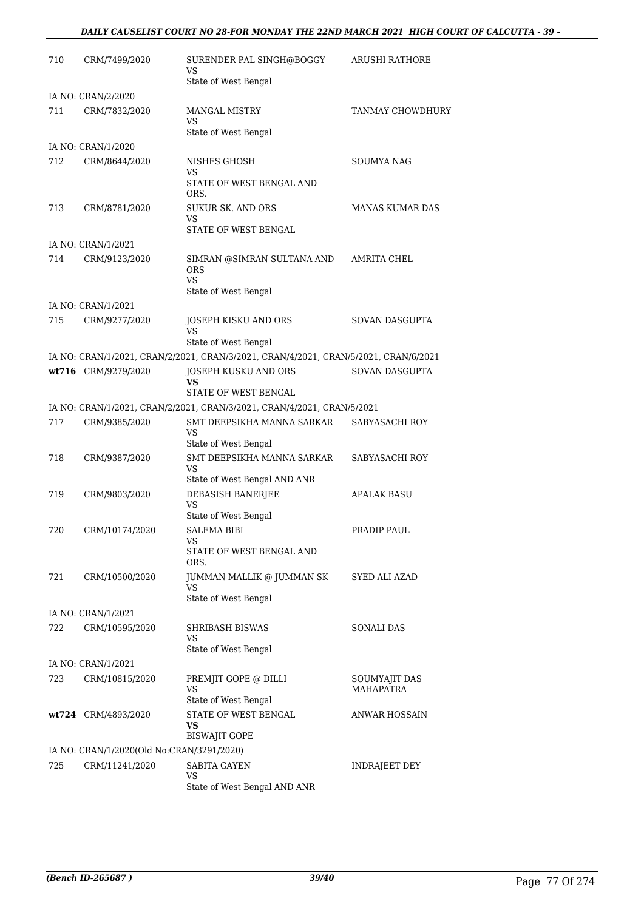### *DAILY CAUSELIST COURT NO 28-FOR MONDAY THE 22ND MARCH 2021 HIGH COURT OF CALCUTTA - 39 -*

| 710 | CRM/7499/2020                             | SURENDER PAL SINGH@BOGGY<br>VS                                                                              | ARUSHI RATHORE                    |
|-----|-------------------------------------------|-------------------------------------------------------------------------------------------------------------|-----------------------------------|
|     |                                           | State of West Bengal                                                                                        |                                   |
|     | IA NO: CRAN/2/2020                        |                                                                                                             |                                   |
| 711 | CRM/7832/2020                             | <b>MANGAL MISTRY</b><br>VS                                                                                  | <b>TANMAY CHOWDHURY</b>           |
|     |                                           | State of West Bengal                                                                                        |                                   |
|     | IA NO: CRAN/1/2020                        |                                                                                                             |                                   |
| 712 | CRM/8644/2020                             | NISHES GHOSH<br>VS                                                                                          | <b>SOUMYA NAG</b>                 |
|     |                                           | STATE OF WEST BENGAL AND<br>ORS.                                                                            |                                   |
| 713 | CRM/8781/2020                             | <b>SUKUR SK. AND ORS</b><br>VS                                                                              | <b>MANAS KUMAR DAS</b>            |
|     |                                           | STATE OF WEST BENGAL                                                                                        |                                   |
|     | IA NO: CRAN/1/2021                        |                                                                                                             |                                   |
| 714 | CRM/9123/2020                             | SIMRAN @SIMRAN SULTANA AND<br><b>ORS</b><br>VS.                                                             | AMRITA CHEL                       |
|     |                                           | State of West Bengal                                                                                        |                                   |
|     | IA NO: CRAN/1/2021                        |                                                                                                             |                                   |
| 715 | CRM/9277/2020                             | JOSEPH KISKU AND ORS                                                                                        | SOVAN DASGUPTA                    |
|     |                                           | VS                                                                                                          |                                   |
|     |                                           | State of West Bengal<br>IA NO: CRAN/1/2021, CRAN/2/2021, CRAN/3/2021, CRAN/4/2021, CRAN/5/2021, CRAN/6/2021 |                                   |
|     | wt716 CRM/9279/2020                       | JOSEPH KUSKU AND ORS                                                                                        | SOVAN DASGUPTA                    |
|     |                                           | VS<br>STATE OF WEST BENGAL                                                                                  |                                   |
|     |                                           | IA NO: CRAN/1/2021, CRAN/2/2021, CRAN/3/2021, CRAN/4/2021, CRAN/5/2021                                      |                                   |
| 717 | CRM/9385/2020                             | SMT DEEPSIKHA MANNA SARKAR                                                                                  | SABYASACHI ROY                    |
|     |                                           | VS                                                                                                          |                                   |
|     |                                           | State of West Bengal                                                                                        |                                   |
| 718 | CRM/9387/2020                             | SMT DEEPSIKHA MANNA SARKAR<br>VS<br>State of West Bengal AND ANR                                            | SABYASACHI ROY                    |
| 719 | CRM/9803/2020                             | DEBASISH BANERJEE                                                                                           | <b>APALAK BASU</b>                |
|     |                                           | <b>VS</b><br>State of West Bengal                                                                           |                                   |
| 720 | CRM/10174/2020                            | <b>SALEMA BIBI</b>                                                                                          | PRADIP PAUL                       |
|     |                                           | VS                                                                                                          |                                   |
|     |                                           | STATE OF WEST BENGAL AND<br>ORS.                                                                            |                                   |
| 721 | CRM/10500/2020                            | JUMMAN MALLIK @ JUMMAN SK<br>VS                                                                             | SYED ALI AZAD                     |
|     |                                           | State of West Bengal                                                                                        |                                   |
|     | IA NO: CRAN/1/2021                        |                                                                                                             |                                   |
| 722 | CRM/10595/2020                            | SHRIBASH BISWAS<br>VS                                                                                       | SONALI DAS                        |
|     |                                           | State of West Bengal                                                                                        |                                   |
|     | IA NO: CRAN/1/2021                        |                                                                                                             |                                   |
| 723 | CRM/10815/2020                            | PREMJIT GOPE @ DILLI<br>VS                                                                                  | SOUMYAJIT DAS<br><b>MAHAPATRA</b> |
|     |                                           | State of West Bengal                                                                                        |                                   |
|     | wt724 CRM/4893/2020                       | STATE OF WEST BENGAL<br>VS                                                                                  | ANWAR HOSSAIN                     |
|     |                                           | <b>BISWAJIT GOPE</b>                                                                                        |                                   |
|     | IA NO: CRAN/1/2020(Old No:CRAN/3291/2020) |                                                                                                             |                                   |
| 725 | CRM/11241/2020                            | SABITA GAYEN<br>VS                                                                                          | INDRAJEET DEY                     |
|     |                                           | State of West Bengal AND ANR                                                                                |                                   |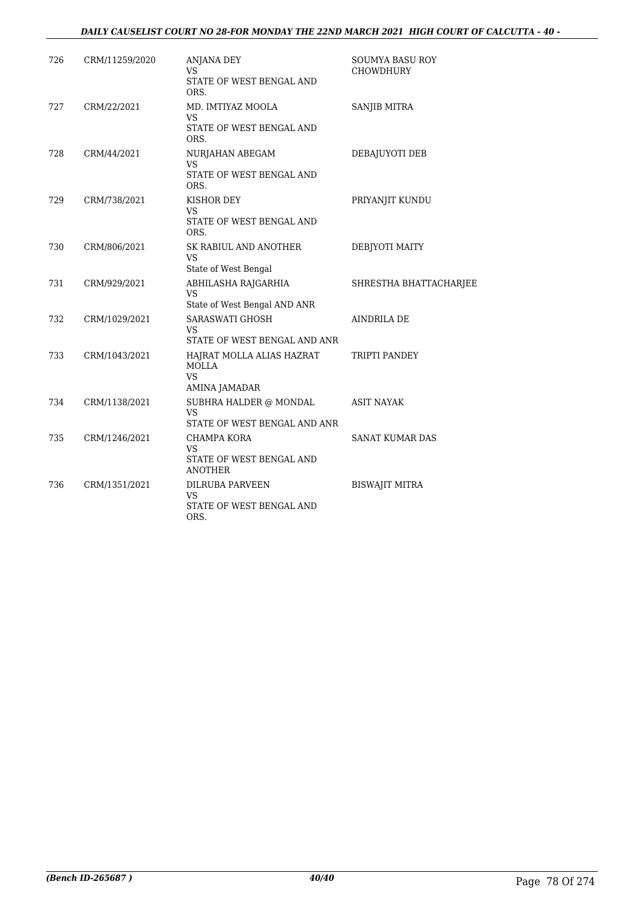### *DAILY CAUSELIST COURT NO 28-FOR MONDAY THE 22ND MARCH 2021 HIGH COURT OF CALCUTTA - 40 -*

| 726 | CRM/11259/2020 | <b>ANJANA DEY</b><br>VS.<br>STATE OF WEST BENGAL AND               | SOUMYA BASU ROY<br>CHOWDHURY |
|-----|----------------|--------------------------------------------------------------------|------------------------------|
| 727 | CRM/22/2021    | ORS.<br>MD. IMTIYAZ MOOLA<br>VS<br>STATE OF WEST BENGAL AND        | SANJIB MITRA                 |
| 728 | CRM/44/2021    | ORS.<br>NURJAHAN ABEGAM<br>VS.<br>STATE OF WEST BENGAL AND<br>ORS. | DEBAJUYOTI DEB               |
| 729 | CRM/738/2021   | KISHOR DEY<br>VS<br>STATE OF WEST BENGAL AND<br>ORS.               | PRIYANJIT KUNDU              |
| 730 | CRM/806/2021   | SK RABIUL AND ANOTHER<br><b>VS</b><br>State of West Bengal         | DEBJYOTI MAITY               |
| 731 | CRM/929/2021   | ABHILASHA RAJGARHIA<br><b>VS</b><br>State of West Bengal AND ANR   | SHRESTHA BHATTACHARJEE       |
| 732 | CRM/1029/2021  | SARASWATI GHOSH<br>VS<br>STATE OF WEST BENGAL AND ANR              | <b>AINDRILA DE</b>           |
| 733 | CRM/1043/2021  | HAJRAT MOLLA ALIAS HAZRAT<br><b>MOLLA</b><br>VS.<br>AMINA JAMADAR  | TRIPTI PANDEY                |
| 734 | CRM/1138/2021  | SUBHRA HALDER @ MONDAL<br>VS<br>STATE OF WEST BENGAL AND ANR       | <b>ASIT NAYAK</b>            |
| 735 | CRM/1246/2021  | CHAMPA KORA<br>VS<br>STATE OF WEST BENGAL AND<br><b>ANOTHER</b>    | <b>SANAT KUMAR DAS</b>       |
| 736 | CRM/1351/2021  | <b>DILRUBA PARVEEN</b><br>VS<br>STATE OF WEST BENGAL AND<br>ORS.   | <b>BISWAJIT MITRA</b>        |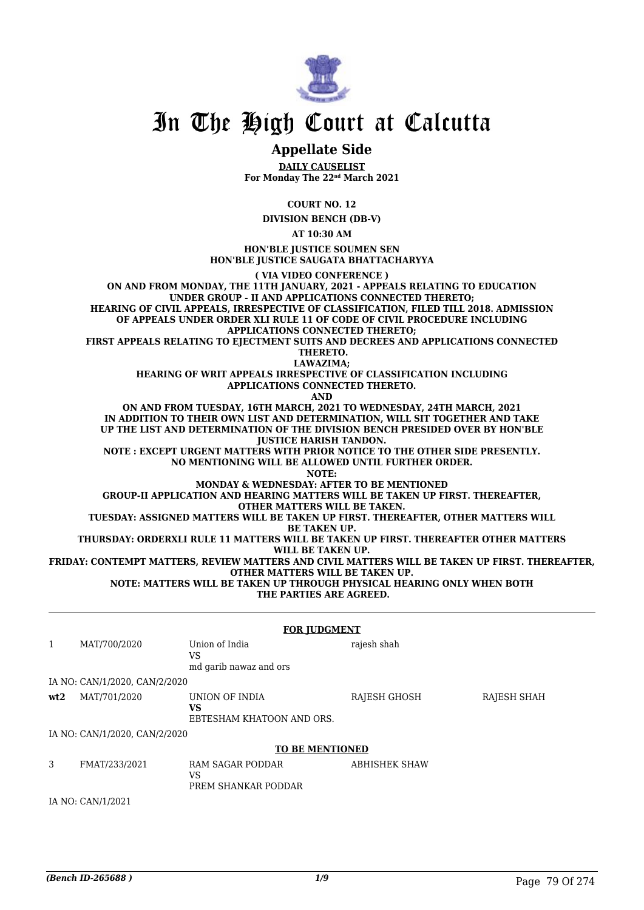

## **Appellate Side**

**DAILY CAUSELIST For Monday The 22nd March 2021**

**COURT NO. 12**

**DIVISION BENCH (DB-V)**

**AT 10:30 AM**

**HON'BLE JUSTICE SOUMEN SEN HON'BLE JUSTICE SAUGATA BHATTACHARYYA**

**( VIA VIDEO CONFERENCE ) ON AND FROM MONDAY, THE 11TH JANUARY, 2021 - APPEALS RELATING TO EDUCATION UNDER GROUP - II AND APPLICATIONS CONNECTED THERETO; HEARING OF CIVIL APPEALS, IRRESPECTIVE OF CLASSIFICATION, FILED TILL 2018. ADMISSION OF APPEALS UNDER ORDER XLI RULE 11 OF CODE OF CIVIL PROCEDURE INCLUDING APPLICATIONS CONNECTED THERETO;**

**FIRST APPEALS RELATING TO EJECTMENT SUITS AND DECREES AND APPLICATIONS CONNECTED THERETO.**

**LAWAZIMA;**

**HEARING OF WRIT APPEALS IRRESPECTIVE OF CLASSIFICATION INCLUDING APPLICATIONS CONNECTED THERETO.**

**AND**

**ON AND FROM TUESDAY, 16TH MARCH, 2021 TO WEDNESDAY, 24TH MARCH, 2021 IN ADDITION TO THEIR OWN LIST AND DETERMINATION, WILL SIT TOGETHER AND TAKE UP THE LIST AND DETERMINATION OF THE DIVISION BENCH PRESIDED OVER BY HON'BLE JUSTICE HARISH TANDON.**

**NOTE : EXCEPT URGENT MATTERS WITH PRIOR NOTICE TO THE OTHER SIDE PRESENTLY. NO MENTIONING WILL BE ALLOWED UNTIL FURTHER ORDER.**

**NOTE:**

**MONDAY & WEDNESDAY: AFTER TO BE MENTIONED**

**GROUP-II APPLICATION AND HEARING MATTERS WILL BE TAKEN UP FIRST. THEREAFTER, OTHER MATTERS WILL BE TAKEN.**

**TUESDAY: ASSIGNED MATTERS WILL BE TAKEN UP FIRST. THEREAFTER, OTHER MATTERS WILL**

**BE TAKEN UP.**

**THURSDAY: ORDERXLI RULE 11 MATTERS WILL BE TAKEN UP FIRST. THEREAFTER OTHER MATTERS WILL BE TAKEN UP.**

**FRIDAY: CONTEMPT MATTERS, REVIEW MATTERS AND CIVIL MATTERS WILL BE TAKEN UP FIRST. THEREAFTER, OTHER MATTERS WILL BE TAKEN UP. NOTE: MATTERS WILL BE TAKEN UP THROUGH PHYSICAL HEARING ONLY WHEN BOTH**

 **THE PARTIES ARE AGREED.**

|              | <b>FOR JUDGMENT</b>           |                                                      |                      |             |  |  |
|--------------|-------------------------------|------------------------------------------------------|----------------------|-------------|--|--|
| $\mathbf{1}$ | MAT/700/2020                  | Union of India<br>VS.<br>md garib nawaz and ors      | rajesh shah          |             |  |  |
|              | IA NO: CAN/1/2020, CAN/2/2020 |                                                      |                      |             |  |  |
| wt2          | MAT/701/2020                  | UNION OF INDIA<br>VS<br>EBTESHAM KHATOON AND ORS.    | RAJESH GHOSH         | RAJESH SHAH |  |  |
|              | IA NO: CAN/1/2020, CAN/2/2020 |                                                      |                      |             |  |  |
|              |                               | <b>TO BE MENTIONED</b>                               |                      |             |  |  |
| 3            | FMAT/233/2021                 | <b>RAM SAGAR PODDAR</b><br>VS<br>PREM SHANKAR PODDAR | <b>ABHISHEK SHAW</b> |             |  |  |
|              | IA NO: CAN/1/2021             |                                                      |                      |             |  |  |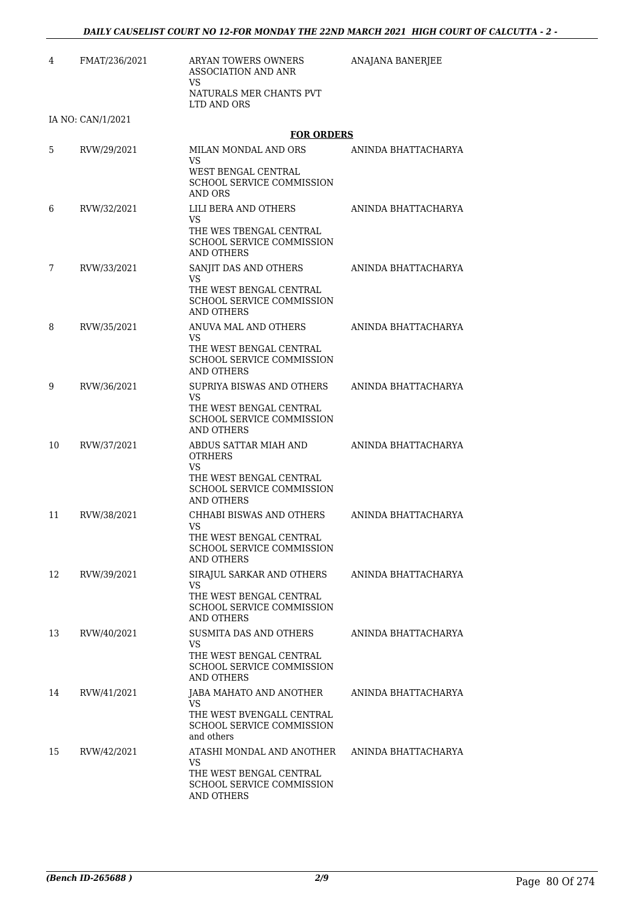| 4  | FMAT/236/2021     | <b>ARYAN TOWERS OWNERS</b><br><b>ASSOCIATION AND ANR</b><br>VS                                                                     | ANAJANA BANERJEE    |
|----|-------------------|------------------------------------------------------------------------------------------------------------------------------------|---------------------|
|    |                   | NATURALS MER CHANTS PVT<br>LTD AND ORS                                                                                             |                     |
|    | IA NO: CAN/1/2021 |                                                                                                                                    |                     |
|    |                   | <b>FOR ORDERS</b>                                                                                                                  |                     |
| 5  | RVW/29/2021       | MILAN MONDAL AND ORS<br><b>VS</b>                                                                                                  | ANINDA BHATTACHARYA |
|    |                   | WEST BENGAL CENTRAL<br><b>SCHOOL SERVICE COMMISSION</b><br>AND ORS                                                                 |                     |
| 6  | RVW/32/2021       | LILI BERA AND OTHERS<br>VS.                                                                                                        | ANINDA BHATTACHARYA |
|    |                   | THE WES TBENGAL CENTRAL<br>SCHOOL SERVICE COMMISSION<br><b>AND OTHERS</b>                                                          |                     |
| 7  | RVW/33/2021       | SANJIT DAS AND OTHERS<br>VS.<br>THE WEST BENGAL CENTRAL                                                                            | ANINDA BHATTACHARYA |
|    |                   | <b>SCHOOL SERVICE COMMISSION</b><br>AND OTHERS                                                                                     |                     |
| 8  | RVW/35/2021       | ANUVA MAL AND OTHERS<br><b>VS</b><br>THE WEST BENGAL CENTRAL<br>SCHOOL SERVICE COMMISSION<br><b>AND OTHERS</b>                     | ANINDA BHATTACHARYA |
| 9  | RVW/36/2021       | SUPRIYA BISWAS AND OTHERS<br>VS.                                                                                                   | ANINDA BHATTACHARYA |
|    |                   | THE WEST BENGAL CENTRAL<br>SCHOOL SERVICE COMMISSION<br><b>AND OTHERS</b>                                                          |                     |
| 10 | RVW/37/2021       | ABDUS SATTAR MIAH AND<br><b>OTRHERS</b><br>VS.<br>THE WEST BENGAL CENTRAL<br><b>SCHOOL SERVICE COMMISSION</b><br><b>AND OTHERS</b> | ANINDA BHATTACHARYA |
| 11 | RVW/38/2021       | CHHABI BISWAS AND OTHERS<br>VS<br>THE WEST BENGAL CENTRAL<br><b>SCHOOL SERVICE COMMISSION</b><br><b>AND OTHERS</b>                 | ANINDA BHATTACHARYA |
| 12 | RVW/39/2021       | SIRAJUL SARKAR AND OTHERS<br>VS.<br>THE WEST BENGAL CENTRAL<br><b>SCHOOL SERVICE COMMISSION</b><br><b>AND OTHERS</b>               | ANINDA BHATTACHARYA |
| 13 | RVW/40/2021       | <b>SUSMITA DAS AND OTHERS</b><br>VS.<br>THE WEST BENGAL CENTRAL<br>SCHOOL SERVICE COMMISSION<br><b>AND OTHERS</b>                  | ANINDA BHATTACHARYA |
| 14 | RVW/41/2021       | JABA MAHATO AND ANOTHER<br>VS<br>THE WEST BVENGALL CENTRAL<br><b>SCHOOL SERVICE COMMISSION</b><br>and others                       | ANINDA BHATTACHARYA |
| 15 | RVW/42/2021       | ATASHI MONDAL AND ANOTHER<br><b>VS</b><br>THE WEST BENGAL CENTRAL<br>SCHOOL SERVICE COMMISSION<br>AND OTHERS                       | ANINDA BHATTACHARYA |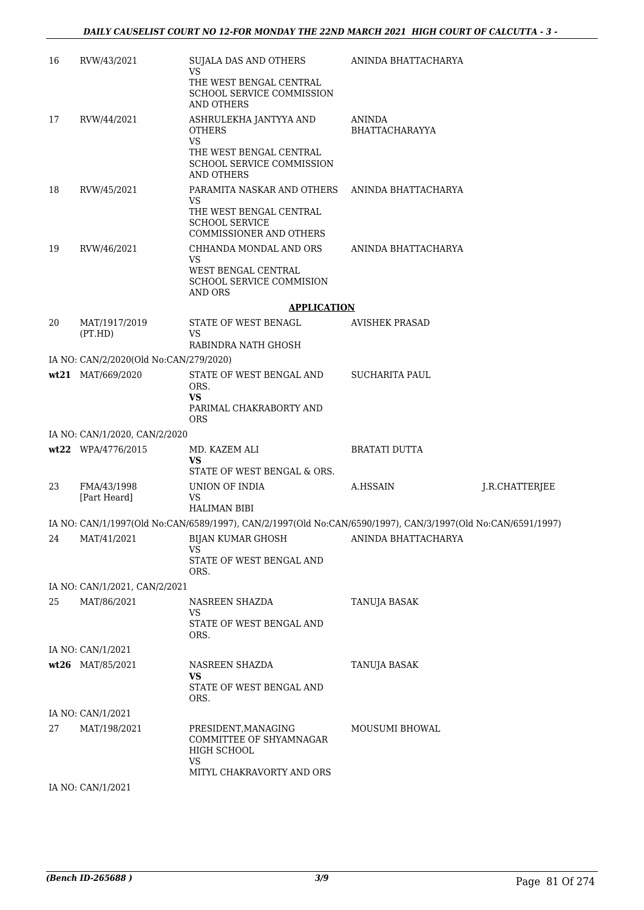| 16 | RVW/43/2021                            | SUJALA DAS AND OTHERS<br><b>VS</b><br>THE WEST BENGAL CENTRAL<br>SCHOOL SERVICE COMMISSION<br>AND OTHERS               | ANINDA BHATTACHARYA             |                |
|----|----------------------------------------|------------------------------------------------------------------------------------------------------------------------|---------------------------------|----------------|
| 17 | RVW/44/2021                            | ASHRULEKHA JANTYYA AND<br><b>OTHERS</b><br><b>VS</b>                                                                   | <b>ANINDA</b><br>BHATTACHARAYYA |                |
|    |                                        | THE WEST BENGAL CENTRAL<br>SCHOOL SERVICE COMMISSION<br><b>AND OTHERS</b>                                              |                                 |                |
| 18 | RVW/45/2021                            | PARAMITA NASKAR AND OTHERS<br><b>VS</b><br>THE WEST BENGAL CENTRAL<br><b>SCHOOL SERVICE</b><br>COMMISSIONER AND OTHERS | ANINDA BHATTACHARYA             |                |
| 19 | RVW/46/2021                            | CHHANDA MONDAL AND ORS<br>VS<br>WEST BENGAL CENTRAL<br><b>SCHOOL SERVICE COMMISION</b><br>AND ORS                      | ANINDA BHATTACHARYA             |                |
|    |                                        | <b>APPLICATION</b>                                                                                                     |                                 |                |
| 20 | MAT/1917/2019<br>(PT.HD)               | STATE OF WEST BENAGL<br>VS.                                                                                            | <b>AVISHEK PRASAD</b>           |                |
|    |                                        | RABINDRA NATH GHOSH                                                                                                    |                                 |                |
|    | IA NO: CAN/2/2020(Old No:CAN/279/2020) |                                                                                                                        |                                 |                |
|    | wt21 MAT/669/2020                      | STATE OF WEST BENGAL AND<br>ORS.<br>VS<br>PARIMAL CHAKRABORTY AND<br><b>ORS</b>                                        | <b>SUCHARITA PAUL</b>           |                |
|    | IA NO: CAN/1/2020, CAN/2/2020          |                                                                                                                        |                                 |                |
|    | wt22 WPA/4776/2015                     | MD. KAZEM ALI<br>VS<br>STATE OF WEST BENGAL & ORS.                                                                     | <b>BRATATI DUTTA</b>            |                |
| 23 | FMA/43/1998<br>[Part Heard]            | UNION OF INDIA<br><b>VS</b><br><b>HALIMAN BIBI</b>                                                                     | A.HSSAIN                        | J.R.CHATTERJEE |
|    |                                        | IA NO: CAN/1/1997(Old No:CAN/6589/1997), CAN/2/1997(Old No:CAN/6590/1997), CAN/3/1997(Old No:CAN/6591/1997)            |                                 |                |
| 24 | MAT/41/2021                            | BIJAN KUMAR GHOSH<br>VS.                                                                                               | ANINDA BHATTACHARYA             |                |
|    |                                        | STATE OF WEST BENGAL AND<br>ORS.                                                                                       |                                 |                |
|    | IA NO: CAN/1/2021, CAN/2/2021          |                                                                                                                        |                                 |                |
| 25 | MAT/86/2021                            | NASREEN SHAZDA<br>VS.<br>STATE OF WEST BENGAL AND                                                                      | TANUJA BASAK                    |                |
|    |                                        | ORS.                                                                                                                   |                                 |                |
|    | IA NO: CAN/1/2021                      |                                                                                                                        |                                 |                |
|    | wt26 MAT/85/2021                       | NASREEN SHAZDA<br>VS<br>STATE OF WEST BENGAL AND<br>ORS.                                                               | TANUJA BASAK                    |                |
|    | IA NO: CAN/1/2021                      |                                                                                                                        |                                 |                |
| 27 | MAT/198/2021                           | PRESIDENT, MANAGING<br>COMMITTEE OF SHYAMNAGAR<br>HIGH SCHOOL<br><b>VS</b>                                             | MOUSUMI BHOWAL                  |                |
|    |                                        | MITYL CHAKRAVORTY AND ORS                                                                                              |                                 |                |
|    | IA NO: CAN/1/2021                      |                                                                                                                        |                                 |                |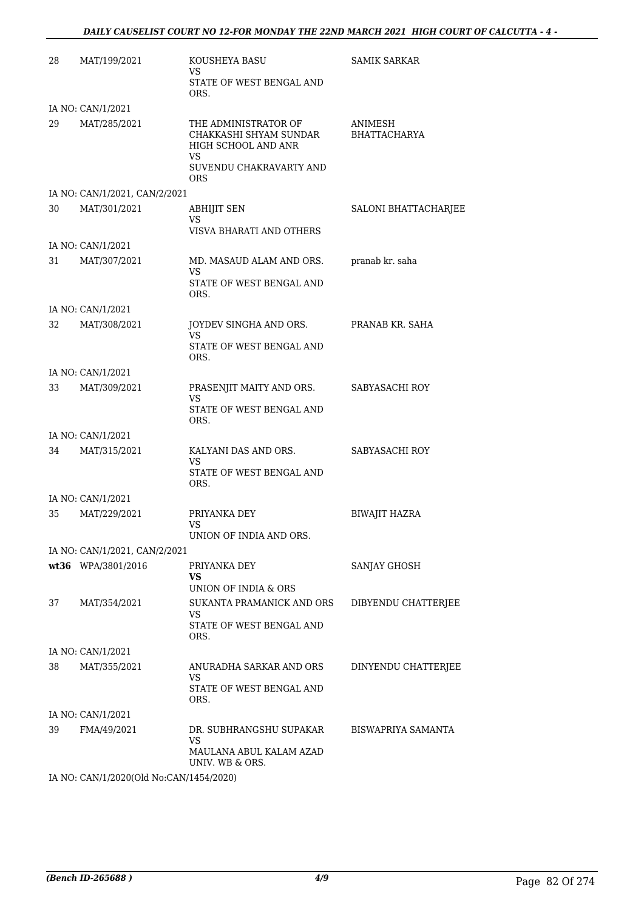| 28 | MAT/199/2021                  | KOUSHEYA BASU<br>VS.<br>STATE OF WEST BENGAL AND                                                                      | <b>SAMIK SARKAR</b>     |
|----|-------------------------------|-----------------------------------------------------------------------------------------------------------------------|-------------------------|
|    | IA NO: CAN/1/2021             | ORS.                                                                                                                  |                         |
| 29 | MAT/285/2021                  | THE ADMINISTRATOR OF<br>CHAKKASHI SHYAM SUNDAR<br>HIGH SCHOOL AND ANR<br>VS.<br>SUVENDU CHAKRAVARTY AND<br><b>ORS</b> | ANIMESH<br>BHATTACHARYA |
|    | IA NO: CAN/1/2021, CAN/2/2021 |                                                                                                                       |                         |
| 30 | MAT/301/2021                  | ABHIJIT SEN<br>VS<br>VISVA BHARATI AND OTHERS                                                                         | SALONI BHATTACHARJEE    |
|    | IA NO: CAN/1/2021             |                                                                                                                       |                         |
| 31 | MAT/307/2021                  | MD. MASAUD ALAM AND ORS.<br>VS.<br>STATE OF WEST BENGAL AND<br>ORS.                                                   | pranab kr. saha         |
|    | IA NO: CAN/1/2021             |                                                                                                                       |                         |
| 32 | MAT/308/2021                  | JOYDEV SINGHA AND ORS.<br>VS.<br>STATE OF WEST BENGAL AND                                                             | PRANAB KR. SAHA         |
|    |                               | ORS.                                                                                                                  |                         |
|    | IA NO: CAN/1/2021             |                                                                                                                       |                         |
| 33 | MAT/309/2021                  | PRASENJIT MAITY AND ORS.<br>VS.<br>STATE OF WEST BENGAL AND<br>ORS.                                                   | SABYASACHI ROY          |
|    | IA NO: CAN/1/2021             |                                                                                                                       |                         |
| 34 | MAT/315/2021                  | KALYANI DAS AND ORS.<br>VS.<br>STATE OF WEST BENGAL AND<br>ORS.                                                       | SABYASACHI ROY          |
|    | IA NO: CAN/1/2021             |                                                                                                                       |                         |
| 35 | MAT/229/2021                  | PRIYANKA DEY<br>VS<br>UNION OF INDIA AND ORS.                                                                         | <b>BIWAJIT HAZRA</b>    |
|    | IA NO: CAN/1/2021, CAN/2/2021 |                                                                                                                       |                         |
|    | wt36 WPA/3801/2016            | PRIYANKA DEY                                                                                                          | SANJAY GHOSH            |
|    |                               | VS<br>UNION OF INDIA & ORS                                                                                            |                         |
| 37 | MAT/354/2021                  | SUKANTA PRAMANICK AND ORS<br>VS                                                                                       | DIBYENDU CHATTERJEE     |
|    |                               | STATE OF WEST BENGAL AND<br>ORS.                                                                                      |                         |
|    | IA NO: CAN/1/2021             |                                                                                                                       |                         |
| 38 | MAT/355/2021                  | ANURADHA SARKAR AND ORS<br>VS.<br>STATE OF WEST BENGAL AND<br>ORS.                                                    | DINYENDU CHATTERJEE     |
|    | IA NO: CAN/1/2021             |                                                                                                                       |                         |
| 39 | FMA/49/2021                   | DR. SUBHRANGSHU SUPAKAR<br>VS.<br>MAULANA ABUL KALAM AZAD                                                             | BISWAPRIYA SAMANTA      |
|    |                               | UNIV. WB & ORS.                                                                                                       |                         |

IA NO: CAN/1/2020(Old No:CAN/1454/2020)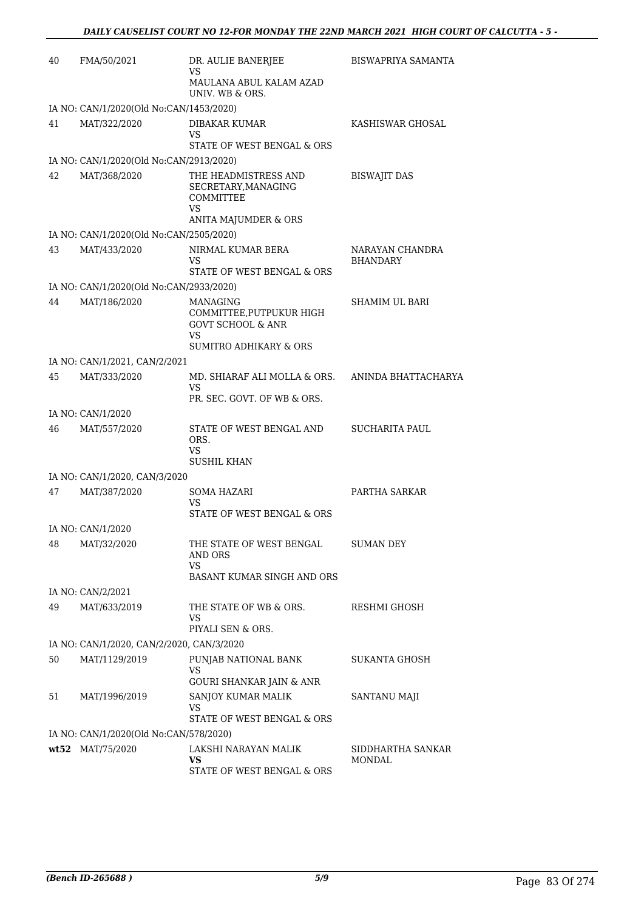| 40 | FMA/50/2021                               | DR. AULIE BANERJEE<br>VS                                                                                               | <b>BISWAPRIYA SAMANTA</b>          |
|----|-------------------------------------------|------------------------------------------------------------------------------------------------------------------------|------------------------------------|
|    |                                           | MAULANA ABUL KALAM AZAD<br>UNIV. WB & ORS.                                                                             |                                    |
|    | IA NO: CAN/1/2020(Old No:CAN/1453/2020)   |                                                                                                                        |                                    |
| 41 | MAT/322/2020                              | DIBAKAR KUMAR<br>VS<br>STATE OF WEST BENGAL & ORS                                                                      | KASHISWAR GHOSAL                   |
|    | IA NO: CAN/1/2020(Old No:CAN/2913/2020)   |                                                                                                                        |                                    |
| 42 | MAT/368/2020                              | THE HEADMISTRESS AND<br>SECRETARY, MANAGING<br>COMMITTEE<br>VS<br>ANITA MAJUMDER & ORS                                 | <b>BISWAJIT DAS</b>                |
|    | IA NO: CAN/1/2020(Old No:CAN/2505/2020)   |                                                                                                                        |                                    |
| 43 | MAT/433/2020                              | NIRMAL KUMAR BERA<br>VS                                                                                                | NARAYAN CHANDRA<br><b>BHANDARY</b> |
|    | IA NO: CAN/1/2020(Old No:CAN/2933/2020)   | STATE OF WEST BENGAL & ORS                                                                                             |                                    |
| 44 | MAT/186/2020                              | <b>MANAGING</b><br>COMMITTEE, PUTPUKUR HIGH<br><b>GOVT SCHOOL &amp; ANR</b><br>VS<br><b>SUMITRO ADHIKARY &amp; ORS</b> | SHAMIM UL BARI                     |
|    | IA NO: CAN/1/2021, CAN/2/2021             |                                                                                                                        |                                    |
| 45 | MAT/333/2020                              | MD. SHIARAF ALI MOLLA & ORS. ANINDA BHATTACHARYA<br>VS                                                                 |                                    |
|    |                                           | PR. SEC. GOVT. OF WB & ORS.                                                                                            |                                    |
|    | IA NO: CAN/1/2020                         |                                                                                                                        |                                    |
| 46 | MAT/557/2020                              | STATE OF WEST BENGAL AND<br>ORS.<br>VS<br><b>SUSHIL KHAN</b>                                                           | <b>SUCHARITA PAUL</b>              |
|    | IA NO: CAN/1/2020, CAN/3/2020             |                                                                                                                        |                                    |
| 47 | MAT/387/2020                              | SOMA HAZARI<br>VS<br>STATE OF WEST BENGAL & ORS                                                                        | PARTHA SARKAR                      |
|    | IA NO: CAN/1/2020                         |                                                                                                                        |                                    |
| 48 | MAT/32/2020                               | THE STATE OF WEST BENGAL<br>AND ORS<br>VS                                                                              | <b>SUMAN DEY</b>                   |
|    |                                           | <b>BASANT KUMAR SINGH AND ORS</b>                                                                                      |                                    |
|    | IA NO: CAN/2/2021                         |                                                                                                                        |                                    |
| 49 | MAT/633/2019                              | THE STATE OF WB & ORS.<br>VS<br>PIYALI SEN & ORS.                                                                      | RESHMI GHOSH                       |
|    | IA NO: CAN/1/2020, CAN/2/2020, CAN/3/2020 |                                                                                                                        |                                    |
| 50 | MAT/1129/2019                             | PUNJAB NATIONAL BANK                                                                                                   | <b>SUKANTA GHOSH</b>               |
|    |                                           | VS.<br>GOURI SHANKAR JAIN & ANR                                                                                        |                                    |
| 51 | MAT/1996/2019                             | SANJOY KUMAR MALIK<br>VS.<br>STATE OF WEST BENGAL & ORS                                                                | SANTANU MAJI                       |
|    | IA NO: CAN/1/2020(Old No:CAN/578/2020)    |                                                                                                                        |                                    |
|    | wt52 MAT/75/2020                          | LAKSHI NARAYAN MALIK<br>VS<br>STATE OF WEST BENGAL & ORS                                                               | SIDDHARTHA SANKAR<br>MONDAL        |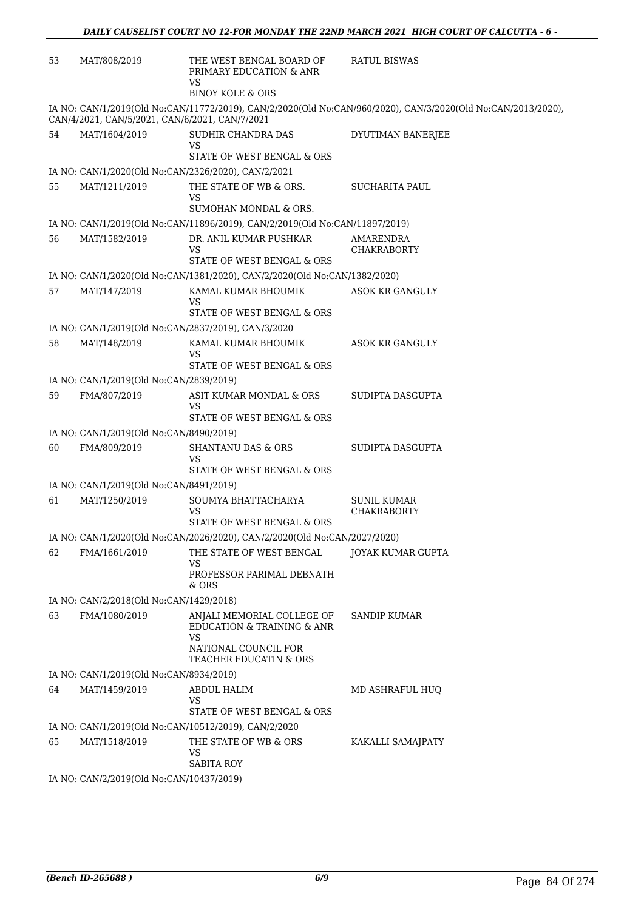| 53 | MAT/808/2019                             | THE WEST BENGAL BOARD OF<br>PRIMARY EDUCATION & ANR<br>VS                   | <b>RATUL BISWAS</b>                                                                                          |
|----|------------------------------------------|-----------------------------------------------------------------------------|--------------------------------------------------------------------------------------------------------------|
|    |                                          | <b>BINOY KOLE &amp; ORS</b>                                                 |                                                                                                              |
|    |                                          | CAN/4/2021, CAN/5/2021, CAN/6/2021, CAN/7/2021                              | IA NO: CAN/1/2019(Old No:CAN/11772/2019), CAN/2/2020(Old No:CAN/960/2020), CAN/3/2020(Old No:CAN/2013/2020), |
| 54 | MAT/1604/2019                            | SUDHIR CHANDRA DAS<br>VS<br>STATE OF WEST BENGAL & ORS                      | DYUTIMAN BANERJEE                                                                                            |
|    |                                          | IA NO: CAN/1/2020(Old No:CAN/2326/2020), CAN/2/2021                         |                                                                                                              |
| 55 | MAT/1211/2019                            | THE STATE OF WB & ORS.                                                      | <b>SUCHARITA PAUL</b>                                                                                        |
|    |                                          | VS<br>SUMOHAN MONDAL & ORS.                                                 |                                                                                                              |
|    |                                          | IA NO: CAN/1/2019(Old No:CAN/11896/2019), CAN/2/2019(Old No:CAN/11897/2019) |                                                                                                              |
| 56 | MAT/1582/2019                            | DR. ANIL KUMAR PUSHKAR<br>VS                                                | AMARENDRA<br><b>CHAKRABORTY</b>                                                                              |
|    |                                          | STATE OF WEST BENGAL & ORS                                                  |                                                                                                              |
|    |                                          | IA NO: CAN/1/2020(Old No:CAN/1381/2020), CAN/2/2020(Old No:CAN/1382/2020)   |                                                                                                              |
| 57 | MAT/147/2019                             | KAMAL KUMAR BHOUMIK<br>VS<br>STATE OF WEST BENGAL & ORS                     | <b>ASOK KR GANGULY</b>                                                                                       |
|    |                                          | IA NO: CAN/1/2019(Old No:CAN/2837/2019), CAN/3/2020                         |                                                                                                              |
| 58 | MAT/148/2019                             | KAMAL KUMAR BHOUMIK<br>VS<br>STATE OF WEST BENGAL & ORS                     | ASOK KR GANGULY                                                                                              |
|    | IA NO: CAN/1/2019(Old No:CAN/2839/2019)  |                                                                             |                                                                                                              |
| 59 | FMA/807/2019                             | ASIT KUMAR MONDAL & ORS                                                     | SUDIPTA DASGUPTA                                                                                             |
|    |                                          | VS<br>STATE OF WEST BENGAL & ORS                                            |                                                                                                              |
|    | IA NO: CAN/1/2019(Old No:CAN/8490/2019)  |                                                                             |                                                                                                              |
| 60 | FMA/809/2019                             | <b>SHANTANU DAS &amp; ORS</b><br>VS                                         | SUDIPTA DASGUPTA                                                                                             |
|    |                                          | STATE OF WEST BENGAL & ORS                                                  |                                                                                                              |
|    | IA NO: CAN/1/2019(Old No:CAN/8491/2019)  |                                                                             |                                                                                                              |
| 61 | MAT/1250/2019                            | SOUMYA BHATTACHARYA<br>VS<br>STATE OF WEST BENGAL & ORS                     | <b>SUNIL KUMAR</b><br><b>CHAKRABORTY</b>                                                                     |
|    |                                          | IA NO: CAN/1/2020(Old No:CAN/2026/2020), CAN/2/2020(Old No:CAN/2027/2020)   |                                                                                                              |
| 62 | FMA/1661/2019                            | THE STATE OF WEST BENGAL                                                    | <b>JOYAK KUMAR GUPTA</b>                                                                                     |
|    |                                          | VS<br>PROFESSOR PARIMAL DEBNATH<br>& ORS                                    |                                                                                                              |
|    | IA NO: CAN/2/2018(Old No:CAN/1429/2018)  |                                                                             |                                                                                                              |
| 63 | FMA/1080/2019                            | ANJALI MEMORIAL COLLEGE OF<br>EDUCATION & TRAINING & ANR<br>VS              | SANDIP KUMAR                                                                                                 |
|    |                                          | NATIONAL COUNCIL FOR<br>TEACHER EDUCATIN & ORS                              |                                                                                                              |
|    | IA NO: CAN/1/2019(Old No:CAN/8934/2019)  |                                                                             |                                                                                                              |
| 64 | MAT/1459/2019                            | ABDUL HALIM<br><b>VS</b><br>STATE OF WEST BENGAL & ORS                      | MD ASHRAFUL HUQ                                                                                              |
|    |                                          | IA NO: CAN/1/2019(Old No:CAN/10512/2019), CAN/2/2020                        |                                                                                                              |
| 65 | MAT/1518/2019                            | THE STATE OF WB & ORS<br><b>VS</b>                                          | KAKALLI SAMAJPATY                                                                                            |
|    | IA NO: CAN/2/2019(Old No:CAN/10437/2019) | <b>SABITA ROY</b>                                                           |                                                                                                              |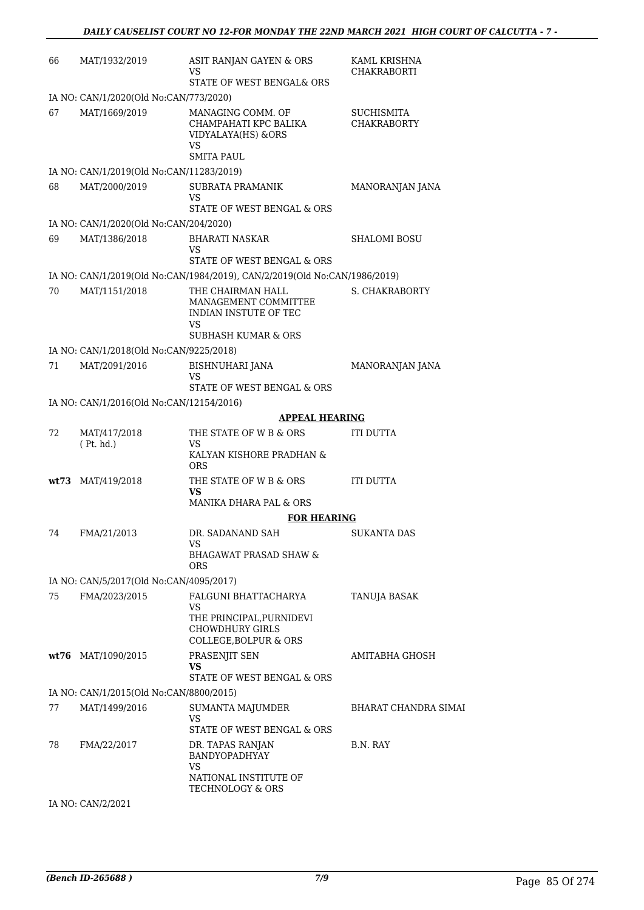| 66  | MAT/1932/2019                            | ASIT RANJAN GAYEN & ORS<br>VS<br>STATE OF WEST BENGAL& ORS                                                 | KAML KRISHNA<br><b>CHAKRABORTI</b> |
|-----|------------------------------------------|------------------------------------------------------------------------------------------------------------|------------------------------------|
|     | IA NO: CAN/1/2020(Old No:CAN/773/2020)   |                                                                                                            |                                    |
| 67  | MAT/1669/2019                            | MANAGING COMM. OF<br>CHAMPAHATI KPC BALIKA<br>VIDYALAYA(HS) &ORS<br>VS                                     | SUCHISMITA<br><b>CHAKRABORTY</b>   |
|     |                                          | <b>SMITA PAUL</b>                                                                                          |                                    |
|     | IA NO: CAN/1/2019(Old No:CAN/11283/2019) |                                                                                                            |                                    |
| 68  | MAT/2000/2019                            | <b>SUBRATA PRAMANIK</b><br>VS<br>STATE OF WEST BENGAL & ORS                                                | MANORANJAN JANA                    |
|     | IA NO: CAN/1/2020(Old No:CAN/204/2020)   |                                                                                                            |                                    |
| 69  | MAT/1386/2018                            | <b>BHARATI NASKAR</b><br>VS<br>STATE OF WEST BENGAL & ORS                                                  | <b>SHALOMI BOSU</b>                |
|     |                                          | IA NO: CAN/1/2019(Old No:CAN/1984/2019), CAN/2/2019(Old No:CAN/1986/2019)                                  |                                    |
| 70  | MAT/1151/2018                            | THE CHAIRMAN HALL<br>MANAGEMENT COMMITTEE<br>INDIAN INSTUTE OF TEC<br>VS<br><b>SUBHASH KUMAR &amp; ORS</b> | S. CHAKRABORTY                     |
|     | IA NO: CAN/1/2018(Old No:CAN/9225/2018)  |                                                                                                            |                                    |
| 71  | MAT/2091/2016                            | <b>BISHNUHARI JANA</b>                                                                                     | MANORANJAN JANA                    |
|     |                                          | VS                                                                                                         |                                    |
|     |                                          | STATE OF WEST BENGAL & ORS                                                                                 |                                    |
|     | IA NO: CAN/1/2016(Old No:CAN/12154/2016) | <b>APPEAL HEARING</b>                                                                                      |                                    |
| 72. | MAT/417/2018                             | THE STATE OF W B & ORS                                                                                     | ITI DUTTA                          |
|     | (Pt. hd.)                                | VS<br>KALYAN KISHORE PRADHAN &<br><b>ORS</b>                                                               |                                    |
|     | wt73 MAT/419/2018                        | THE STATE OF W B & ORS<br><b>VS</b><br>MANIKA DHARA PAL & ORS                                              | <b>ITI DUTTA</b>                   |
|     |                                          | <b>FOR HEARING</b>                                                                                         |                                    |
| 74  | FMA/21/2013                              | DR. SADANAND SAH                                                                                           | SUKANTA DAS                        |
|     |                                          | <b>VS</b><br><b>BHAGAWAT PRASAD SHAW &amp;</b><br><b>ORS</b>                                               |                                    |
|     | IA NO: CAN/5/2017(Old No:CAN/4095/2017)  |                                                                                                            |                                    |
| 75  | FMA/2023/2015                            | FALGUNI BHATTACHARYA<br><b>VS</b><br>THE PRINCIPAL, PURNIDEVI                                              | TANUJA BASAK                       |
|     |                                          | <b>CHOWDHURY GIRLS</b><br>COLLEGE, BOLPUR & ORS                                                            |                                    |
|     | wt76 MAT/1090/2015                       | PRASENJIT SEN<br>VS<br>STATE OF WEST BENGAL & ORS                                                          | AMITABHA GHOSH                     |
|     | IA NO: CAN/1/2015(Old No:CAN/8800/2015)  |                                                                                                            |                                    |
| 77  | MAT/1499/2016                            | SUMANTA MAJUMDER<br>VS<br>STATE OF WEST BENGAL & ORS                                                       | BHARAT CHANDRA SIMAI               |
| 78  | FMA/22/2017                              | DR. TAPAS RANJAN<br>BANDYOPADHYAY<br>VS                                                                    | B.N. RAY                           |
|     |                                          | NATIONAL INSTITUTE OF<br>TECHNOLOGY & ORS                                                                  |                                    |

IA NO: CAN/2/2021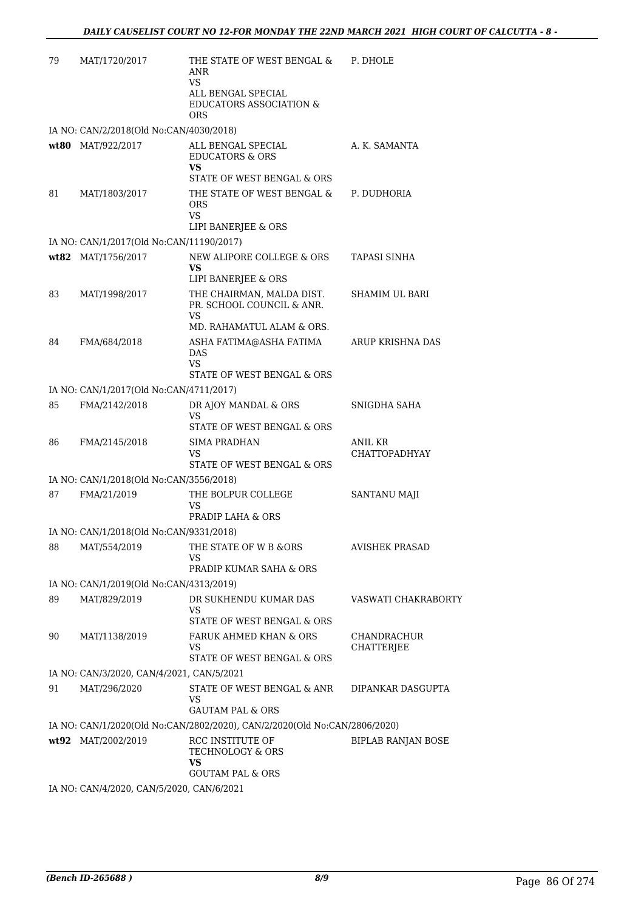| 79 | MAT/1720/2017                             | THE STATE OF WEST BENGAL &<br>ANR<br>VS<br>ALL BENGAL SPECIAL<br><b>EDUCATORS ASSOCIATION &amp;</b><br><b>ORS</b> | P. DHOLE                               |
|----|-------------------------------------------|-------------------------------------------------------------------------------------------------------------------|----------------------------------------|
|    | IA NO: CAN/2/2018(Old No:CAN/4030/2018)   |                                                                                                                   |                                        |
|    | wt80 MAT/922/2017                         | ALL BENGAL SPECIAL<br><b>EDUCATORS &amp; ORS</b><br>VS<br>STATE OF WEST BENGAL & ORS                              | A. K. SAMANTA                          |
| 81 | MAT/1803/2017                             | THE STATE OF WEST BENGAL &<br><b>ORS</b><br><b>VS</b><br>LIPI BANERJEE & ORS                                      | P. DUDHORIA                            |
|    | IA NO: CAN/1/2017(Old No:CAN/11190/2017)  |                                                                                                                   |                                        |
|    | wt82 MAT/1756/2017                        | NEW ALIPORE COLLEGE & ORS<br>VS<br>LIPI BANERJEE & ORS                                                            | <b>TAPASI SINHA</b>                    |
| 83 | MAT/1998/2017                             | THE CHAIRMAN, MALDA DIST.<br>PR. SCHOOL COUNCIL & ANR.<br>VS                                                      | <b>SHAMIM UL BARI</b>                  |
|    |                                           | MD. RAHAMATUL ALAM & ORS.                                                                                         |                                        |
| 84 | FMA/684/2018                              | ASHA FATIMA@ASHA FATIMA<br><b>DAS</b><br>VS                                                                       | ARUP KRISHNA DAS                       |
|    |                                           | STATE OF WEST BENGAL & ORS                                                                                        |                                        |
|    | IA NO: CAN/1/2017(Old No:CAN/4711/2017)   |                                                                                                                   |                                        |
| 85 | FMA/2142/2018                             | DR AJOY MANDAL & ORS<br>VS<br>STATE OF WEST BENGAL & ORS                                                          | SNIGDHA SAHA                           |
| 86 | FMA/2145/2018                             | <b>SIMA PRADHAN</b><br>VS<br>STATE OF WEST BENGAL & ORS                                                           | <b>ANIL KR</b><br><b>CHATTOPADHYAY</b> |
|    | IA NO: CAN/1/2018(Old No:CAN/3556/2018)   |                                                                                                                   |                                        |
| 87 | FMA/21/2019                               | THE BOLPUR COLLEGE<br>VS<br>PRADIP LAHA & ORS                                                                     | SANTANU MAJI                           |
|    | IA NO: CAN/1/2018(Old No:CAN/9331/2018)   |                                                                                                                   |                                        |
| 88 | MAT/554/2019                              | THE STATE OF W B & ORS<br>VS<br>PRADIP KUMAR SAHA & ORS                                                           | <b>AVISHEK PRASAD</b>                  |
|    | IA NO: CAN/1/2019(Old No:CAN/4313/2019)   |                                                                                                                   |                                        |
| 89 | MAT/829/2019                              | DR SUKHENDU KUMAR DAS<br><b>VS</b><br>STATE OF WEST BENGAL & ORS                                                  | VASWATI CHAKRABORTY                    |
| 90 | MAT/1138/2019                             | FARUK AHMED KHAN & ORS<br>VS<br>STATE OF WEST BENGAL & ORS                                                        | CHANDRACHUR<br><b>CHATTERJEE</b>       |
|    | IA NO: CAN/3/2020, CAN/4/2021, CAN/5/2021 |                                                                                                                   |                                        |
| 91 | MAT/296/2020                              | STATE OF WEST BENGAL & ANR<br>VS                                                                                  | DIPANKAR DASGUPTA                      |
|    |                                           | <b>GAUTAM PAL &amp; ORS</b>                                                                                       |                                        |
|    |                                           | IA NO: CAN/1/2020(Old No:CAN/2802/2020), CAN/2/2020(Old No:CAN/2806/2020)<br>RCC INSTITUTE OF                     | <b>BIPLAB RANJAN BOSE</b>              |
|    | wt92 MAT/2002/2019                        | <b>TECHNOLOGY &amp; ORS</b><br>VS<br><b>GOUTAM PAL &amp; ORS</b>                                                  |                                        |
|    | IA NO: CAN/4/2020, CAN/5/2020, CAN/6/2021 |                                                                                                                   |                                        |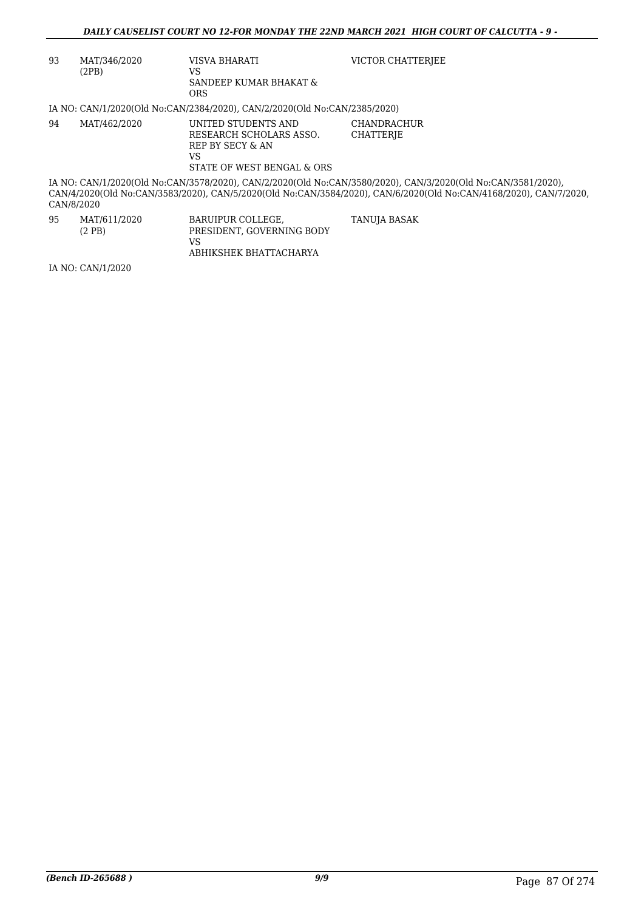| 93 | MAT/346/2020<br>(2PB)                                                                                                                                                                                                                           | VISVA BHARATI<br>VS<br>SANDEEP KUMAR BHAKAT &<br>ORS.                                                   | VICTOR CHATTERIEE                      |  |  |  |
|----|-------------------------------------------------------------------------------------------------------------------------------------------------------------------------------------------------------------------------------------------------|---------------------------------------------------------------------------------------------------------|----------------------------------------|--|--|--|
|    |                                                                                                                                                                                                                                                 | IA NO: CAN/1/2020(Old No:CAN/2384/2020), CAN/2/2020(Old No:CAN/2385/2020)                               |                                        |  |  |  |
| 94 | MAT/462/2020                                                                                                                                                                                                                                    | UNITED STUDENTS AND<br>RESEARCH SCHOLARS ASSO.<br>REP BY SECY & AN<br>VS.<br>STATE OF WEST BENGAL & ORS | <b>CHANDRACHUR</b><br><b>CHATTERIE</b> |  |  |  |
|    | IA NO: CAN/1/2020(Old No:CAN/3578/2020), CAN/2/2020(Old No:CAN/3580/2020), CAN/3/2020(Old No:CAN/3581/2020),<br>CAN/4/2020(Old No:CAN/3583/2020), CAN/5/2020(Old No:CAN/3584/2020), CAN/6/2020(Old No:CAN/4168/2020), CAN/7/2020,<br>CAN/8/2020 |                                                                                                         |                                        |  |  |  |
| 95 | MAT/611/2020<br>$(2$ PB $)$                                                                                                                                                                                                                     | BARUIPUR COLLEGE,<br>PRESIDENT, GOVERNING BODY<br>VS.<br>ABHIKSHEK BHATTACHARYA                         | TANUJA BASAK                           |  |  |  |
|    | IA NO: CAN/1/2020                                                                                                                                                                                                                               |                                                                                                         |                                        |  |  |  |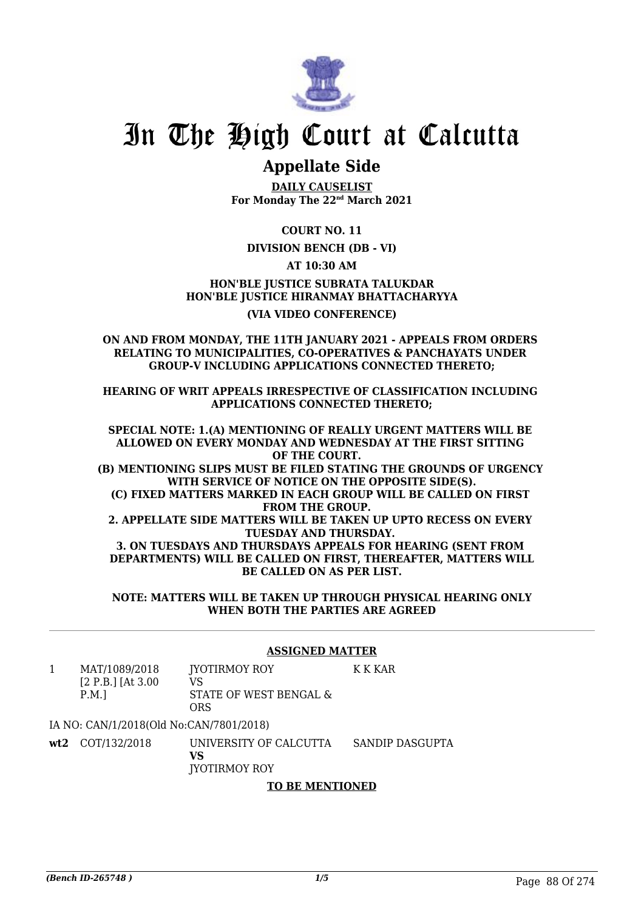

# **Appellate Side**

**DAILY CAUSELIST For Monday The 22nd March 2021**

**COURT NO. 11**

### **DIVISION BENCH (DB - VI)**

**AT 10:30 AM**

**HON'BLE JUSTICE SUBRATA TALUKDAR HON'BLE JUSTICE HIRANMAY BHATTACHARYYA (VIA VIDEO CONFERENCE)**

#### **ON AND FROM MONDAY, THE 11TH JANUARY 2021 - APPEALS FROM ORDERS RELATING TO MUNICIPALITIES, CO-OPERATIVES & PANCHAYATS UNDER GROUP-V INCLUDING APPLICATIONS CONNECTED THERETO;**

**HEARING OF WRIT APPEALS IRRESPECTIVE OF CLASSIFICATION INCLUDING APPLICATIONS CONNECTED THERETO;**

**SPECIAL NOTE: 1.(A) MENTIONING OF REALLY URGENT MATTERS WILL BE ALLOWED ON EVERY MONDAY AND WEDNESDAY AT THE FIRST SITTING OF THE COURT. (B) MENTIONING SLIPS MUST BE FILED STATING THE GROUNDS OF URGENCY WITH SERVICE OF NOTICE ON THE OPPOSITE SIDE(S). (C) FIXED MATTERS MARKED IN EACH GROUP WILL BE CALLED ON FIRST FROM THE GROUP. 2. APPELLATE SIDE MATTERS WILL BE TAKEN UP UPTO RECESS ON EVERY TUESDAY AND THURSDAY. 3. ON TUESDAYS AND THURSDAYS APPEALS FOR HEARING (SENT FROM DEPARTMENTS) WILL BE CALLED ON FIRST, THEREAFTER, MATTERS WILL BE CALLED ON AS PER LIST.**

**NOTE: MATTERS WILL BE TAKEN UP THROUGH PHYSICAL HEARING ONLY WHEN BOTH THE PARTIES ARE AGREED**

#### **ASSIGNED MATTER**

K K KAR

1 MAT/1089/2018 [2 P.B.] [At 3.00 P.M.] JYOTIRMOY ROY VS STATE OF WEST BENGAL & ORS

IA NO: CAN/1/2018(Old No:CAN/7801/2018)

**wt2** COT/132/2018 UNIVERSITY OF CALCUTTA **VS** JYOTIRMOY ROY SANDIP DASGUPTA

## **TO BE MENTIONED**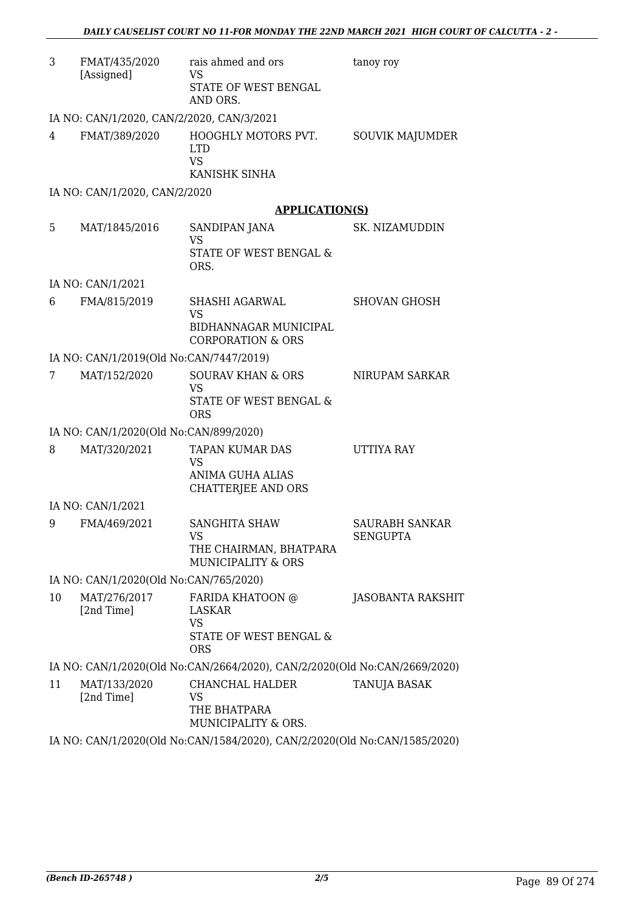| 3  | FMAT/435/2020<br>[Assigned]               | rais ahmed and ors<br><b>VS</b><br>STATE OF WEST BENGAL<br>AND ORS.                   | tanoy roy                                |
|----|-------------------------------------------|---------------------------------------------------------------------------------------|------------------------------------------|
|    | IA NO: CAN/1/2020, CAN/2/2020, CAN/3/2021 |                                                                                       |                                          |
| 4  | FMAT/389/2020                             | HOOGHLY MOTORS PVT.<br><b>LTD</b><br><b>VS</b><br>KANISHK SINHA                       | SOUVIK MAJUMDER                          |
|    | IA NO: CAN/1/2020, CAN/2/2020             |                                                                                       |                                          |
|    |                                           | <b>APPLICATION(S)</b>                                                                 |                                          |
| 5  | MAT/1845/2016                             | SANDIPAN JANA<br><b>VS</b><br>STATE OF WEST BENGAL &<br>ORS.                          | SK. NIZAMUDDIN                           |
|    | IA NO: CAN/1/2021                         |                                                                                       |                                          |
| 6  | FMA/815/2019                              | SHASHI AGARWAL<br><b>VS</b><br>BIDHANNAGAR MUNICIPAL<br><b>CORPORATION &amp; ORS</b>  | <b>SHOVAN GHOSH</b>                      |
|    | IA NO: CAN/1/2019(Old No:CAN/7447/2019)   |                                                                                       |                                          |
| 7  | MAT/152/2020                              | <b>SOURAV KHAN &amp; ORS</b><br><b>VS</b><br>STATE OF WEST BENGAL &<br><b>ORS</b>     | NIRUPAM SARKAR                           |
|    | IA NO: CAN/1/2020(Old No:CAN/899/2020)    |                                                                                       |                                          |
| 8  | MAT/320/2021                              | <b>TAPAN KUMAR DAS</b><br>VS<br><b>ANIMA GUHA ALIAS</b><br>CHATTERJEE AND ORS         | <b>UTTIYA RAY</b>                        |
|    | IA NO: CAN/1/2021                         |                                                                                       |                                          |
| 9  | FMA/469/2021                              | <b>SANGHITA SHAW</b><br>VS FOR STREET<br>THE CHAIRMAN, BHATPARA<br>MUNICIPALITY & ORS | <b>SAURABH SANKAR</b><br><b>SENGUPTA</b> |
|    | IA NO: CAN/1/2020(Old No:CAN/765/2020)    |                                                                                       |                                          |
| 10 | MAT/276/2017<br>[2nd Time]                | FARIDA KHATOON @<br>LASKAR<br><b>VS</b><br>STATE OF WEST BENGAL &<br><b>ORS</b>       | <b>JASOBANTA RAKSHIT</b>                 |
|    |                                           | IA NO: CAN/1/2020(Old No:CAN/2664/2020), CAN/2/2020(Old No:CAN/2669/2020)             |                                          |
| 11 | MAT/133/2020<br>[2nd Time]                | CHANCHAL HALDER<br>VS<br>THE BHATPARA<br>MUNICIPALITY & ORS.                          | TANUJA BASAK                             |
|    |                                           | IA NO: CAN/1/2020(Old No:CAN/1584/2020), CAN/2/2020(Old No:CAN/1585/2020)             |                                          |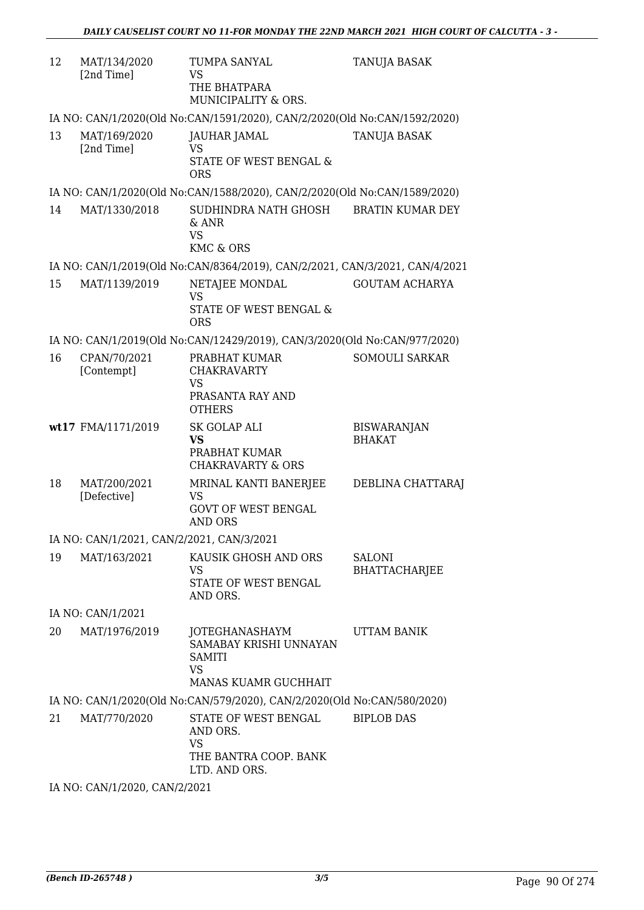| 12 | MAT/134/2020<br>[2nd Time]                | TUMPA SANYAL<br><b>VS</b><br>THE BHATPARA<br>MUNICIPALITY & ORS.                               | TANUJA BASAK                          |  |  |
|----|-------------------------------------------|------------------------------------------------------------------------------------------------|---------------------------------------|--|--|
|    |                                           | IA NO: CAN/1/2020(Old No:CAN/1591/2020), CAN/2/2020(Old No:CAN/1592/2020)                      |                                       |  |  |
| 13 | MAT/169/2020<br>[2nd Time]                | JAUHAR JAMAL<br><b>VS</b><br>STATE OF WEST BENGAL &<br><b>ORS</b>                              | <b>TANUJA BASAK</b>                   |  |  |
|    |                                           | IA NO: CAN/1/2020(Old No:CAN/1588/2020), CAN/2/2020(Old No:CAN/1589/2020)                      |                                       |  |  |
| 14 | MAT/1330/2018                             | SUDHINDRA NATH GHOSH<br>& ANR<br><b>VS</b>                                                     | <b>BRATIN KUMAR DEY</b>               |  |  |
|    |                                           | <b>KMC &amp; ORS</b>                                                                           |                                       |  |  |
|    |                                           | IA NO: CAN/1/2019(Old No:CAN/8364/2019), CAN/2/2021, CAN/3/2021, CAN/4/2021                    |                                       |  |  |
| 15 | MAT/1139/2019                             | NETAJEE MONDAL<br><b>VS</b>                                                                    | <b>GOUTAM ACHARYA</b>                 |  |  |
|    |                                           | <b>STATE OF WEST BENGAL &amp;</b><br><b>ORS</b>                                                |                                       |  |  |
|    |                                           | IA NO: CAN/1/2019(Old No:CAN/12429/2019), CAN/3/2020(Old No:CAN/977/2020)                      |                                       |  |  |
| 16 | CPAN/70/2021<br>[Contempt]                | PRABHAT KUMAR<br><b>CHAKRAVARTY</b><br>VS<br>PRASANTA RAY AND<br><b>OTHERS</b>                 | <b>SOMOULI SARKAR</b>                 |  |  |
|    | wt17 FMA/1171/2019                        | <b>SK GOLAP ALI</b><br><b>VS</b><br>PRABHAT KUMAR<br><b>CHAKRAVARTY &amp; ORS</b>              | <b>BISWARANJAN</b><br><b>BHAKAT</b>   |  |  |
| 18 | MAT/200/2021<br>[Defective]               | MRINAL KANTI BANERJEE<br><b>VS</b><br><b>GOVT OF WEST BENGAL</b><br><b>AND ORS</b>             | DEBLINA CHATTARAJ                     |  |  |
|    | IA NO: CAN/1/2021, CAN/2/2021, CAN/3/2021 |                                                                                                |                                       |  |  |
| 19 | MAT/163/2021                              | KAUSIK GHOSH AND ORS<br><b>VS</b><br>STATE OF WEST BENGAL<br>AND ORS.                          | <b>SALONI</b><br><b>BHATTACHARJEE</b> |  |  |
|    | IA NO: CAN/1/2021                         |                                                                                                |                                       |  |  |
| 20 | MAT/1976/2019                             | JOTEGHANASHAYM<br>SAMABAY KRISHI UNNAYAN<br><b>SAMITI</b><br><b>VS</b><br>MANAS KUAMR GUCHHAIT | UTTAM BANIK                           |  |  |
|    |                                           | IA NO: CAN/1/2020(Old No:CAN/579/2020), CAN/2/2020(Old No:CAN/580/2020)                        |                                       |  |  |
| 21 | MAT/770/2020                              | STATE OF WEST BENGAL<br>AND ORS.<br><b>VS</b><br>THE BANTRA COOP. BANK<br>LTD. AND ORS.        | <b>BIPLOB DAS</b>                     |  |  |
|    | IA NO: CAN/1/2020, CAN/2/2021             |                                                                                                |                                       |  |  |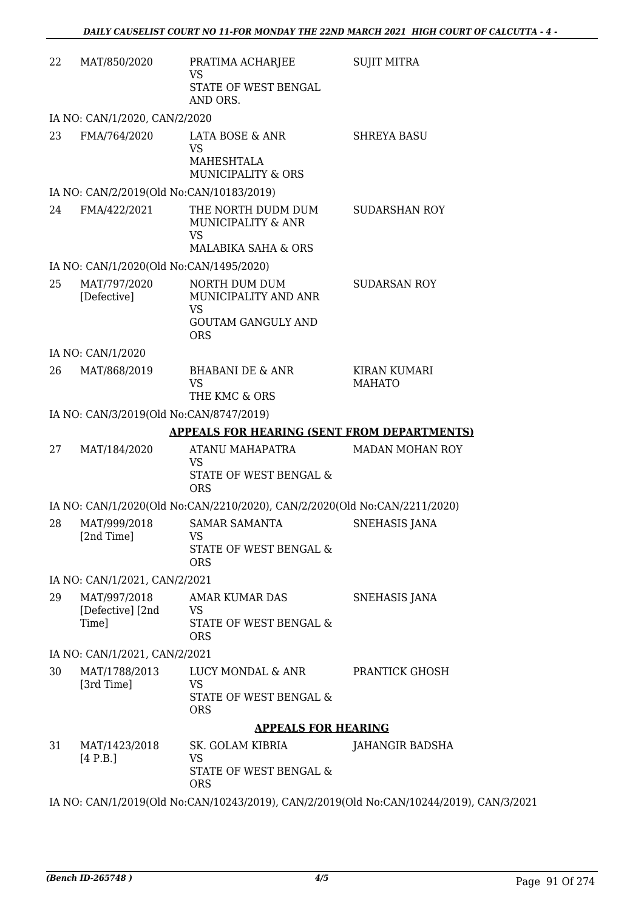| 22                            | MAT/850/2020                              | PRATIMA ACHARJEE<br>VS<br>STATE OF WEST BENGAL<br>AND ORS.                                    | <b>SUJIT MITRA</b>            |  |
|-------------------------------|-------------------------------------------|-----------------------------------------------------------------------------------------------|-------------------------------|--|
|                               | IA NO: CAN/1/2020, CAN/2/2020             |                                                                                               |                               |  |
| 23                            | FMA/764/2020                              | LATA BOSE & ANR<br><b>VS</b><br><b>MAHESHTALA</b><br><b>MUNICIPALITY &amp; ORS</b>            | <b>SHREYA BASU</b>            |  |
|                               | IA NO: CAN/2/2019(Old No:CAN/10183/2019)  |                                                                                               |                               |  |
| 24                            | FMA/422/2021                              | THE NORTH DUDM DUM<br>MUNICIPALITY & ANR<br><b>VS</b><br>MALABIKA SAHA & ORS                  | <b>SUDARSHAN ROY</b>          |  |
|                               | IA NO: CAN/1/2020(Old No:CAN/1495/2020)   |                                                                                               |                               |  |
| 25                            | MAT/797/2020<br>[Defective]               | NORTH DUM DUM<br>MUNICIPALITY AND ANR<br><b>VS</b><br><b>GOUTAM GANGULY AND</b><br><b>ORS</b> | <b>SUDARSAN ROY</b>           |  |
|                               | IA NO: CAN/1/2020                         |                                                                                               |                               |  |
| 26                            | MAT/868/2019                              | BHABANI DE & ANR<br><b>VS</b><br>THE KMC & ORS                                                | KIRAN KUMARI<br><b>MAHATO</b> |  |
|                               | IA NO: CAN/3/2019(Old No:CAN/8747/2019)   |                                                                                               |                               |  |
|                               |                                           | <b>APPEALS FOR HEARING (SENT FROM DEPARTMENTS)</b>                                            |                               |  |
| 27                            | MAT/184/2020                              | ATANU MAHAPATRA<br><b>VS</b><br>STATE OF WEST BENGAL &<br><b>ORS</b>                          | <b>MADAN MOHAN ROY</b>        |  |
|                               |                                           | IA NO: CAN/1/2020(Old No:CAN/2210/2020), CAN/2/2020(Old No:CAN/2211/2020)                     |                               |  |
| 28                            | MAT/999/2018<br>[2nd Time]                | <b>SAMAR SAMANTA</b><br>VS<br>STATE OF WEST BENGAL &<br><b>ORS</b>                            | <b>SNEHASIS JANA</b>          |  |
|                               | IA NO: CAN/1/2021, CAN/2/2021             |                                                                                               |                               |  |
| 29                            | MAT/997/2018<br>[Defective] [2nd<br>Time] | <b>AMAR KUMAR DAS</b><br><b>VS</b><br>STATE OF WEST BENGAL &<br><b>ORS</b>                    | SNEHASIS JANA                 |  |
| IA NO: CAN/1/2021, CAN/2/2021 |                                           |                                                                                               |                               |  |
| 30                            | MAT/1788/2013<br>[3rd Time]               | LUCY MONDAL & ANR<br><b>VS</b><br>STATE OF WEST BENGAL &<br><b>ORS</b>                        | PRANTICK GHOSH                |  |
|                               |                                           | <b>APPEALS FOR HEARING</b>                                                                    |                               |  |
| 31                            | MAT/1423/2018<br>[4 P.B.]                 | SK. GOLAM KIBRIA<br>VS<br>STATE OF WEST BENGAL &<br><b>ORS</b>                                | JAHANGIR BADSHA               |  |

IA NO: CAN/1/2019(Old No:CAN/10243/2019), CAN/2/2019(Old No:CAN/10244/2019), CAN/3/2021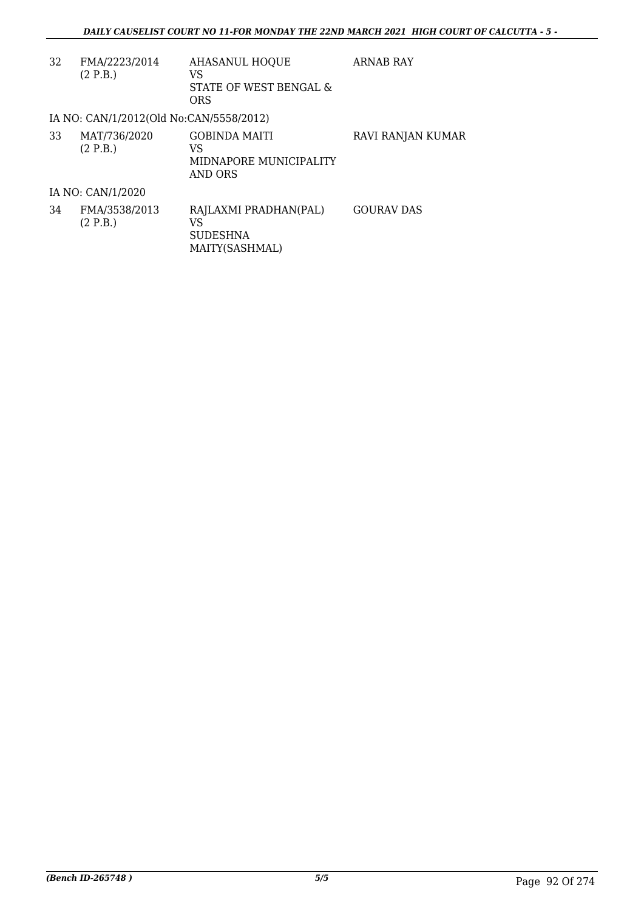| 32 | FMA/2223/2014<br>(2 P.B.)               | <b>AHASANUL HOQUE</b><br>VS<br>STATE OF WEST BENGAL &<br><b>ORS</b> | <b>ARNAB RAY</b>  |
|----|-----------------------------------------|---------------------------------------------------------------------|-------------------|
|    | IA NO: CAN/1/2012(Old No:CAN/5558/2012) |                                                                     |                   |
| 33 | MAT/736/2020<br>(2 P.B.)                | <b>GOBINDA MAITI</b><br>VS<br>MIDNAPORE MUNICIPALITY<br>AND ORS     | RAVI RANJAN KUMAR |
|    | IA NO: CAN/1/2020                       |                                                                     |                   |
| 34 | FMA/3538/2013<br>(2 P.B.)               | RAJLAXMI PRADHAN(PAL)<br>VS<br><b>SUDESHNA</b><br>MAITY(SASHMAL)    | <b>GOURAV DAS</b> |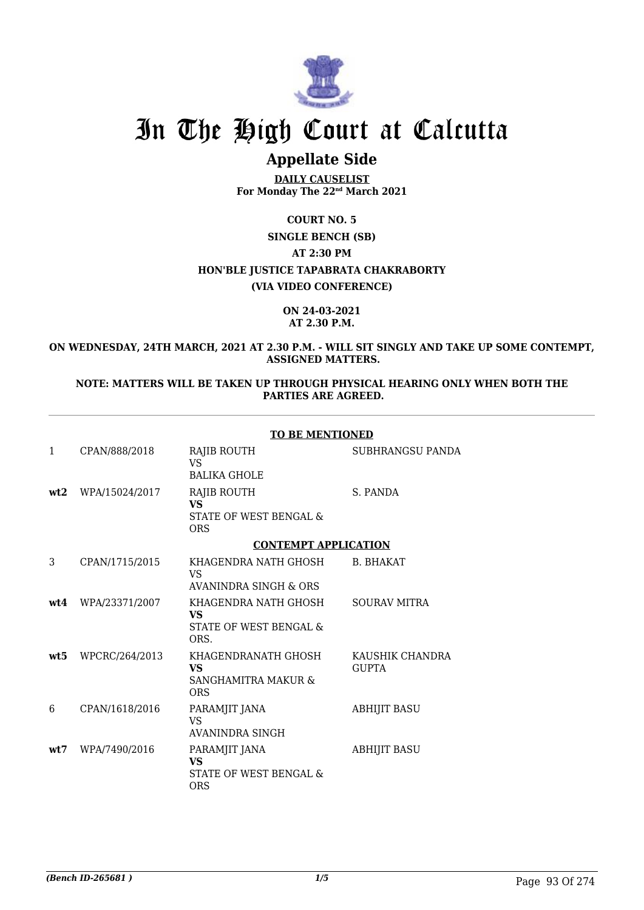

# **Appellate Side**

**DAILY CAUSELIST For Monday The 22nd March 2021**

**COURT NO. 5**

**SINGLE BENCH (SB) AT 2:30 PM HON'BLE JUSTICE TAPABRATA CHAKRABORTY**

**(VIA VIDEO CONFERENCE)**

**ON 24-03-2021 AT 2.30 P.M.**

**ON WEDNESDAY, 24TH MARCH, 2021 AT 2.30 P.M. - WILL SIT SINGLY AND TAKE UP SOME CONTEMPT, ASSIGNED MATTERS.**

**NOTE: MATTERS WILL BE TAKEN UP THROUGH PHYSICAL HEARING ONLY WHEN BOTH THE PARTIES ARE AGREED.**

|                 |                    | <b>TO BE MENTIONED</b>                                                         |                                 |  |
|-----------------|--------------------|--------------------------------------------------------------------------------|---------------------------------|--|
| $\mathbf{1}$    | CPAN/888/2018      | RAJIB ROUTH<br>VS.<br><b>BALIKA GHOLE</b>                                      | SUBHRANGSU PANDA                |  |
| wt2             | WPA/15024/2017     | RAJIB ROUTH<br><b>VS</b><br><b>STATE OF WEST BENGAL &amp;</b><br><b>ORS</b>    | S. PANDA                        |  |
|                 |                    | <b>CONTEMPT APPLICATION</b>                                                    |                                 |  |
| 3               | CPAN/1715/2015     | KHAGENDRA NATH GHOSH<br>VS.<br>AVANINDRA SINGH & ORS                           | <b>B. BHAKAT</b>                |  |
|                 | wt4 WPA/23371/2007 | KHAGENDRA NATH GHOSH<br><b>VS</b><br><b>STATE OF WEST BENGAL &amp;</b><br>ORS. | <b>SOURAV MITRA</b>             |  |
| wt <sub>5</sub> | WPCRC/264/2013     | KHAGENDRANATH GHOSH<br><b>VS</b><br>SANGHAMITRA MAKUR &<br><b>ORS</b>          | KAUSHIK CHANDRA<br><b>GUPTA</b> |  |
| 6               | CPAN/1618/2016     | PARAMJIT JANA<br><b>VS</b><br>AVANINDRA SINGH                                  | <b>ABHIJIT BASU</b>             |  |
| wt.7            | WPA/7490/2016      | PARAMJIT JANA<br><b>VS</b><br>STATE OF WEST BENGAL &<br><b>ORS</b>             | <b>ABHIJIT BASU</b>             |  |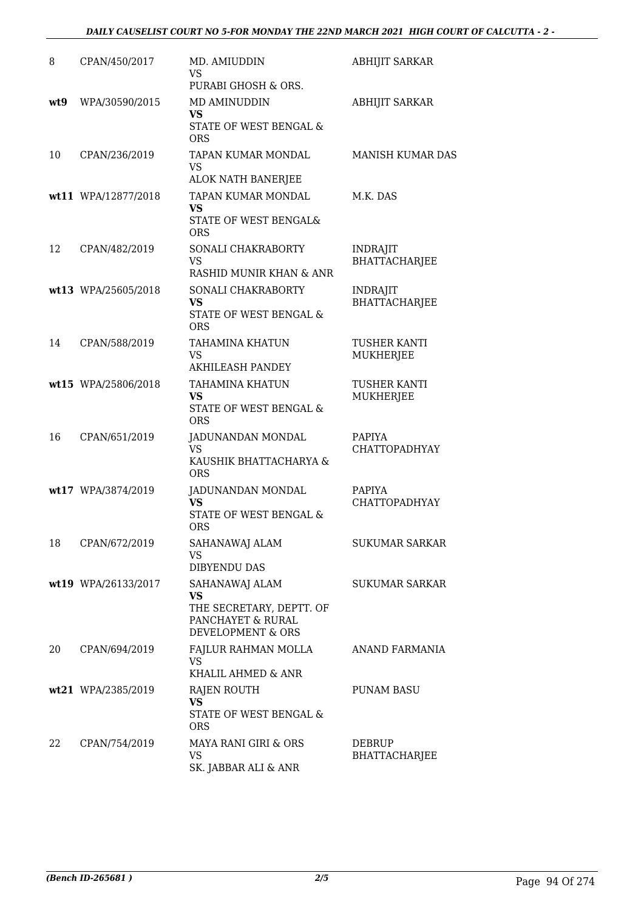## *DAILY CAUSELIST COURT NO 5-FOR MONDAY THE 22ND MARCH 2021 HIGH COURT OF CALCUTTA - 2 -*

| 8   | CPAN/450/2017       | MD. AMIUDDIN<br><b>VS</b>                                                                           | <b>ABHIJIT SARKAR</b>                   |
|-----|---------------------|-----------------------------------------------------------------------------------------------------|-----------------------------------------|
| wt9 | WPA/30590/2015      | PURABI GHOSH & ORS.<br>MD AMINUDDIN<br><b>VS</b><br><b>STATE OF WEST BENGAL &amp;</b><br><b>ORS</b> | <b>ABHIJIT SARKAR</b>                   |
| 10  | CPAN/236/2019       | TAPAN KUMAR MONDAL<br><b>VS</b><br>ALOK NATH BANERJEE                                               | <b>MANISH KUMAR DAS</b>                 |
|     | wt11 WPA/12877/2018 | TAPAN KUMAR MONDAL<br><b>VS</b><br>STATE OF WEST BENGAL&<br><b>ORS</b>                              | M.K. DAS                                |
| 12  | CPAN/482/2019       | SONALI CHAKRABORTY<br><b>VS</b><br>RASHID MUNIR KHAN & ANR                                          | <b>INDRAJIT</b><br>BHATTACHARJEE        |
|     | wt13 WPA/25605/2018 | SONALI CHAKRABORTY<br><b>VS</b><br><b>STATE OF WEST BENGAL &amp;</b><br><b>ORS</b>                  | <b>INDRAJIT</b><br><b>BHATTACHARJEE</b> |
| 14  | CPAN/588/2019       | TAHAMINA KHATUN<br><b>VS</b><br><b>AKHILEASH PANDEY</b>                                             | TUSHER KANTI<br>MUKHERJEE               |
|     | wt15 WPA/25806/2018 | <b>TAHAMINA KHATUN</b><br><b>VS</b><br>STATE OF WEST BENGAL &<br><b>ORS</b>                         | TUSHER KANTI<br><b>MUKHERJEE</b>        |
| 16  | CPAN/651/2019       | JADUNANDAN MONDAL<br><b>VS</b><br>KAUSHIK BHATTACHARYA &<br><b>ORS</b>                              | PAPIYA<br><b>CHATTOPADHYAY</b>          |
|     | wt17 WPA/3874/2019  | JADUNANDAN MONDAL<br><b>VS</b><br>STATE OF WEST BENGAL &<br><b>ORS</b>                              | PAPIYA<br><b>CHATTOPADHYAY</b>          |
| 18  | CPAN/672/2019       | SAHANAWAJ ALAM<br>VS<br><b>DIBYENDU DAS</b>                                                         | <b>SUKUMAR SARKAR</b>                   |
|     | wt19 WPA/26133/2017 | SAHANAWAJ ALAM<br><b>VS</b><br>THE SECRETARY, DEPTT. OF<br>PANCHAYET & RURAL<br>DEVELOPMENT & ORS   | <b>SUKUMAR SARKAR</b>                   |
| 20  | CPAN/694/2019       | FAJLUR RAHMAN MOLLA<br><b>VS</b><br>KHALIL AHMED & ANR                                              | ANAND FARMANIA                          |
|     | wt21 WPA/2385/2019  | RAJEN ROUTH<br><b>VS</b><br>STATE OF WEST BENGAL &<br><b>ORS</b>                                    | PUNAM BASU                              |
| 22  | CPAN/754/2019       | MAYA RANI GIRI & ORS<br>VS<br>SK. JABBAR ALI & ANR                                                  | <b>DEBRUP</b><br><b>BHATTACHARJEE</b>   |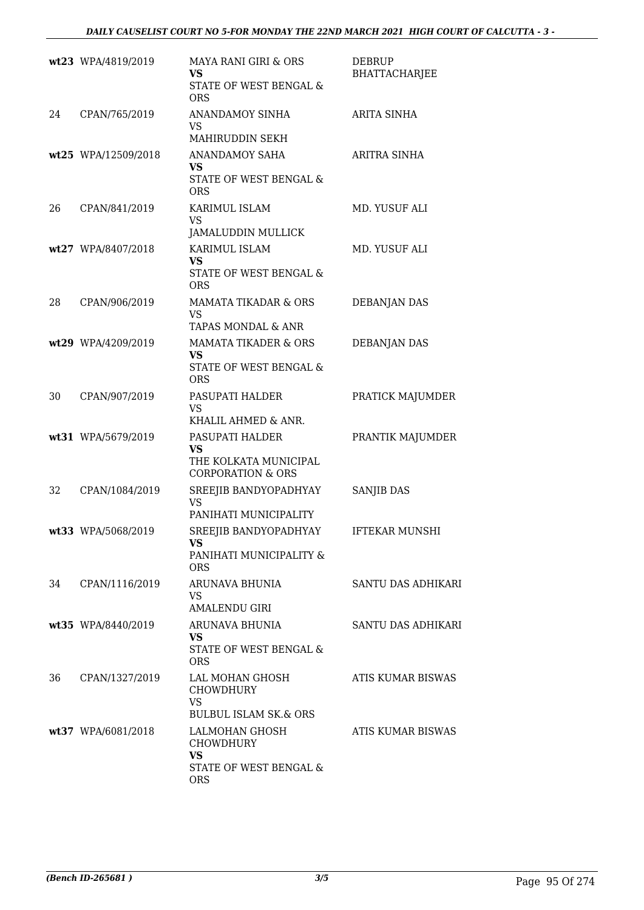|    | wt23 WPA/4819/2019  | MAYA RANI GIRI & ORS<br><b>VS</b><br>STATE OF WEST BENGAL &<br><b>ORS</b>      | DEBRUP<br>BHATTACHARJEE   |
|----|---------------------|--------------------------------------------------------------------------------|---------------------------|
| 24 | CPAN/765/2019       | <b>ANANDAMOY SINHA</b><br>VS<br>MAHIRUDDIN SEKH                                | ARITA SINHA               |
|    | wt25 WPA/12509/2018 | <b>ANANDAMOY SAHA</b><br>VS<br>STATE OF WEST BENGAL &<br><b>ORS</b>            | ARITRA SINHA              |
| 26 | CPAN/841/2019       | KARIMUL ISLAM<br><b>VS</b><br><b>JAMALUDDIN MULLICK</b>                        | MD. YUSUF ALI             |
|    | wt27 WPA/8407/2018  | KARIMUL ISLAM<br>VS<br>STATE OF WEST BENGAL &<br><b>ORS</b>                    | MD. YUSUF ALI             |
| 28 | CPAN/906/2019       | <b>MAMATA TIKADAR &amp; ORS</b><br><b>VS</b><br>TAPAS MONDAL & ANR             | <b>DEBANJAN DAS</b>       |
|    | wt29 WPA/4209/2019  | MAMATA TIKADER & ORS<br>VS<br>STATE OF WEST BENGAL &<br><b>ORS</b>             | <b>DEBANJAN DAS</b>       |
| 30 | CPAN/907/2019       | PASUPATI HALDER<br>VS.<br>KHALIL AHMED & ANR.                                  | PRATICK MAJUMDER          |
|    | wt31 WPA/5679/2019  | PASUPATI HALDER<br>VS<br>THE KOLKATA MUNICIPAL<br><b>CORPORATION &amp; ORS</b> | PRANTIK MAJUMDER          |
| 32 | CPAN/1084/2019      | SREEJIB BANDYOPADHYAY<br><b>VS</b><br>PANIHATI MUNICIPALITY                    | SANJIB DAS                |
|    | wt33 WPA/5068/2019  | SREEJIB BANDYOPADHYAY<br>VS<br>PANIHATI MUNICIPALITY &<br><b>ORS</b>           | <b>IFTEKAR MUNSHI</b>     |
|    | 34 CPAN/1116/2019   | ARUNAVA BHUNIA<br><b>VS</b><br><b>AMALENDU GIRI</b>                            | <b>SANTU DAS ADHIKARI</b> |
|    | wt35 WPA/8440/2019  | ARUNAVA BHUNIA<br>VS.<br>STATE OF WEST BENGAL &<br><b>ORS</b>                  | SANTU DAS ADHIKARI        |
| 36 | CPAN/1327/2019      | LAL MOHAN GHOSH<br>CHOWDHURY<br><b>VS</b><br><b>BULBUL ISLAM SK.&amp; ORS</b>  | ATIS KUMAR BISWAS         |
|    | wt37 WPA/6081/2018  | LALMOHAN GHOSH<br>CHOWDHURY<br>VS.<br>STATE OF WEST BENGAL &<br><b>ORS</b>     | ATIS KUMAR BISWAS         |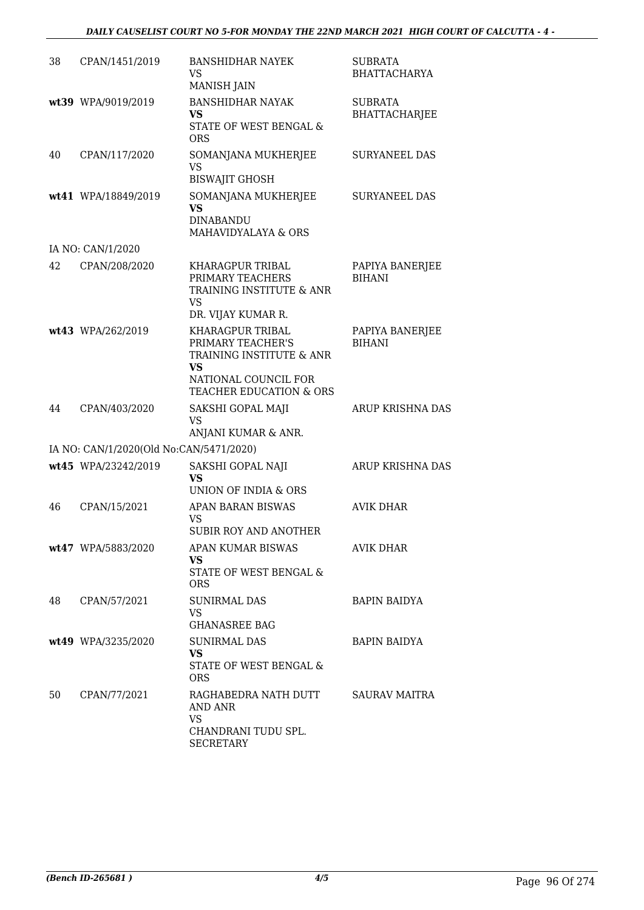| 38 | CPAN/1451/2019                          | <b>BANSHIDHAR NAYEK</b><br>VS<br><b>MANISH JAIN</b>                                                                        | <b>SUBRATA</b><br><b>BHATTACHARYA</b>  |
|----|-----------------------------------------|----------------------------------------------------------------------------------------------------------------------------|----------------------------------------|
|    | wt39 WPA/9019/2019                      | <b>BANSHIDHAR NAYAK</b><br>VS.<br>STATE OF WEST BENGAL &<br><b>ORS</b>                                                     | <b>SUBRATA</b><br><b>BHATTACHARJEE</b> |
| 40 | CPAN/117/2020                           | SOMANJANA MUKHERJEE<br>VS<br><b>BISWAJIT GHOSH</b>                                                                         | <b>SURYANEEL DAS</b>                   |
|    | wt41 WPA/18849/2019                     | SOMANJANA MUKHERJEE<br><b>VS</b><br><b>DINABANDU</b><br>MAHAVIDYALAYA & ORS                                                | <b>SURYANEEL DAS</b>                   |
|    | IA NO: CAN/1/2020                       |                                                                                                                            |                                        |
| 42 | CPAN/208/2020                           | KHARAGPUR TRIBAL<br>PRIMARY TEACHERS<br>TRAINING INSTITUTE & ANR<br><b>VS</b><br>DR. VIJAY KUMAR R.                        | PAPIYA BANERJEE<br><b>BIHANI</b>       |
|    | wt43 WPA/262/2019                       | KHARAGPUR TRIBAL<br>PRIMARY TEACHER'S<br>TRAINING INSTITUTE & ANR<br>VS<br>NATIONAL COUNCIL FOR<br>TEACHER EDUCATION & ORS | PAPIYA BANERJEE<br><b>BIHANI</b>       |
| 44 | CPAN/403/2020                           | SAKSHI GOPAL MAJI<br>VS<br>ANJANI KUMAR & ANR.                                                                             | ARUP KRISHNA DAS                       |
|    | IA NO: CAN/1/2020(Old No:CAN/5471/2020) |                                                                                                                            |                                        |
|    | wt45 WPA/23242/2019                     | SAKSHI GOPAL NAJI<br>VS<br>UNION OF INDIA & ORS                                                                            | <b>ARUP KRISHNA DAS</b>                |
| 46 | CPAN/15/2021                            | APAN BARAN BISWAS<br><b>VS</b><br><b>SUBIR ROY AND ANOTHER</b>                                                             | <b>AVIK DHAR</b>                       |
|    | wt47 WPA/5883/2020                      | APAN KUMAR BISWAS<br>VS.<br>STATE OF WEST BENGAL &<br><b>ORS</b>                                                           | AVIK DHAR                              |
| 48 | CPAN/57/2021                            | <b>SUNIRMAL DAS</b><br><b>VS</b><br><b>GHANASREE BAG</b>                                                                   | <b>BAPIN BAIDYA</b>                    |
|    | wt49 WPA/3235/2020                      | <b>SUNIRMAL DAS</b><br>VS.<br>STATE OF WEST BENGAL &<br><b>ORS</b>                                                         | <b>BAPIN BAIDYA</b>                    |
| 50 | CPAN/77/2021                            | RAGHABEDRA NATH DUTT<br>AND ANR<br><b>VS</b><br>CHANDRANI TUDU SPL.<br>SECRETARY                                           | <b>SAURAV MAITRA</b>                   |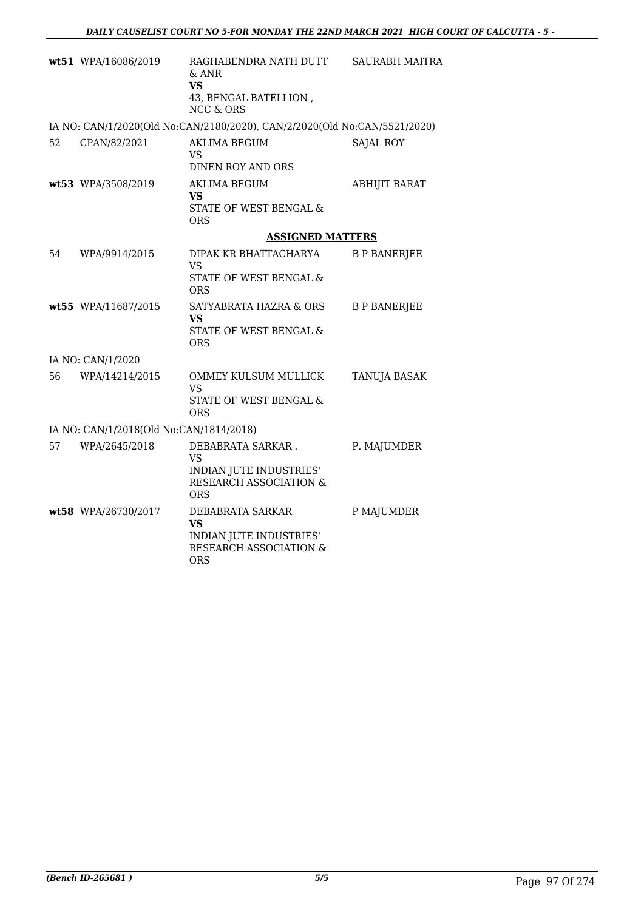|    | wt51 WPA/16086/2019                     | RAGHABENDRA NATH DUTT<br>& ANR<br>VS.<br>43, BENGAL BATELLION,<br><b>NCC &amp; ORS</b>            | <b>SAURABH MAITRA</b> |
|----|-----------------------------------------|---------------------------------------------------------------------------------------------------|-----------------------|
|    |                                         | IA NO: CAN/1/2020(Old No:CAN/2180/2020), CAN/2/2020(Old No:CAN/5521/2020)                         |                       |
| 52 | CPAN/82/2021                            | <b>AKLIMA BEGUM</b><br>VS.<br>DINEN ROY AND ORS                                                   | <b>SAJAL ROY</b>      |
|    | wt53 WPA/3508/2019                      | <b>AKLIMA BEGUM</b><br>VS<br>STATE OF WEST BENGAL &<br><b>ORS</b>                                 | <b>ABHIJIT BARAT</b>  |
|    |                                         | <b>ASSIGNED MATTERS</b>                                                                           |                       |
| 54 | WPA/9914/2015                           | DIPAK KR BHATTACHARYA<br>VS<br>STATE OF WEST BENGAL &<br><b>ORS</b>                               | <b>B P BANERJEE</b>   |
|    | wt55 WPA/11687/2015                     | SATYABRATA HAZRA & ORS<br><b>VS</b><br>STATE OF WEST BENGAL &<br><b>ORS</b>                       | <b>B P BANERJEE</b>   |
|    | IA NO: CAN/1/2020                       |                                                                                                   |                       |
| 56 | WPA/14214/2015                          | OMMEY KULSUM MULLICK<br>VS<br>STATE OF WEST BENGAL &<br><b>ORS</b>                                | <b>TANUJA BASAK</b>   |
|    | IA NO: CAN/1/2018(Old No:CAN/1814/2018) |                                                                                                   |                       |
| 57 | WPA/2645/2018                           | DEBABRATA SARKAR.<br><b>VS</b><br>INDIAN JUTE INDUSTRIES'<br>RESEARCH ASSOCIATION &<br><b>ORS</b> | P. MAJUMDER           |
|    | wt58 WPA/26730/2017                     | DEBABRATA SARKAR<br><b>VS</b><br>INDIAN JUTE INDUSTRIES'<br>RESEARCH ASSOCIATION &<br><b>ORS</b>  | P MAJUMDER            |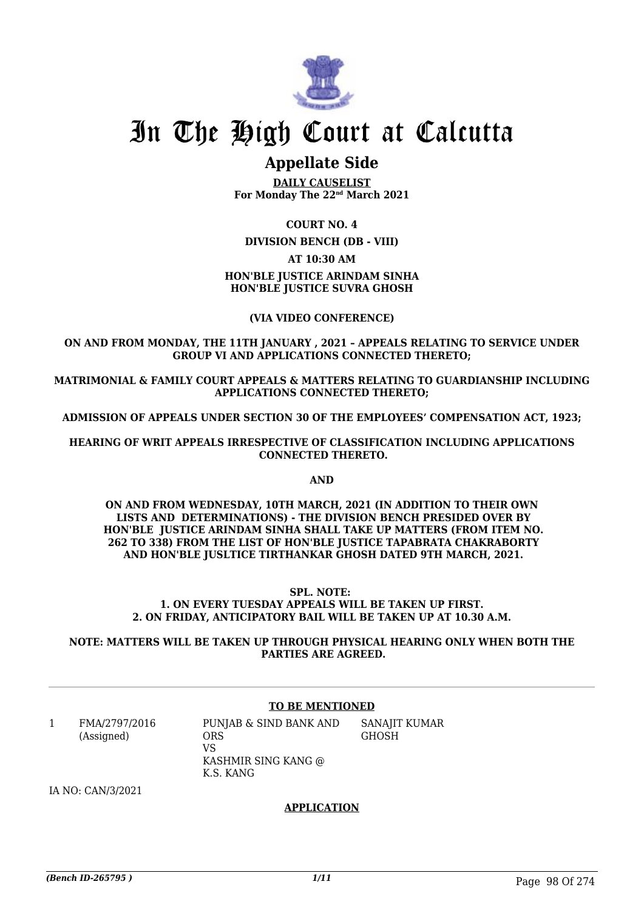

# **Appellate Side**

**DAILY CAUSELIST For Monday The 22nd March 2021**

**COURT NO. 4**

**DIVISION BENCH (DB - VIII)**

**AT 10:30 AM**

### **HON'BLE JUSTICE ARINDAM SINHA HON'BLE JUSTICE SUVRA GHOSH**

#### **(VIA VIDEO CONFERENCE)**

**ON AND FROM MONDAY, THE 11TH JANUARY , 2021 – APPEALS RELATING TO SERVICE UNDER GROUP VI AND APPLICATIONS CONNECTED THERETO;**

**MATRIMONIAL & FAMILY COURT APPEALS & MATTERS RELATING TO GUARDIANSHIP INCLUDING APPLICATIONS CONNECTED THERETO;**

**ADMISSION OF APPEALS UNDER SECTION 30 OF THE EMPLOYEES' COMPENSATION ACT, 1923;**

**HEARING OF WRIT APPEALS IRRESPECTIVE OF CLASSIFICATION INCLUDING APPLICATIONS CONNECTED THERETO.**

**AND**

**ON AND FROM WEDNESDAY, 10TH MARCH, 2021 (IN ADDITION TO THEIR OWN LISTS AND DETERMINATIONS) - THE DIVISION BENCH PRESIDED OVER BY HON'BLE JUSTICE ARINDAM SINHA SHALL TAKE UP MATTERS (FROM ITEM NO. 262 TO 338) FROM THE LIST OF HON'BLE JUSTICE TAPABRATA CHAKRABORTY AND HON'BLE JUSLTICE TIRTHANKAR GHOSH DATED 9TH MARCH, 2021.** 

#### **SPL. NOTE: 1. ON EVERY TUESDAY APPEALS WILL BE TAKEN UP FIRST. 2. ON FRIDAY, ANTICIPATORY BAIL WILL BE TAKEN UP AT 10.30 A.M.**

**NOTE: MATTERS WILL BE TAKEN UP THROUGH PHYSICAL HEARING ONLY WHEN BOTH THE PARTIES ARE AGREED.**

#### **TO BE MENTIONED**

1 FMA/2797/2016 (Assigned)

PUNJAB & SIND BANK AND ORS VS KASHMIR SING KANG @ K.S. KANG SANAJIT KUMAR **GHOSH** 

IA NO: CAN/3/2021

#### **APPLICATION**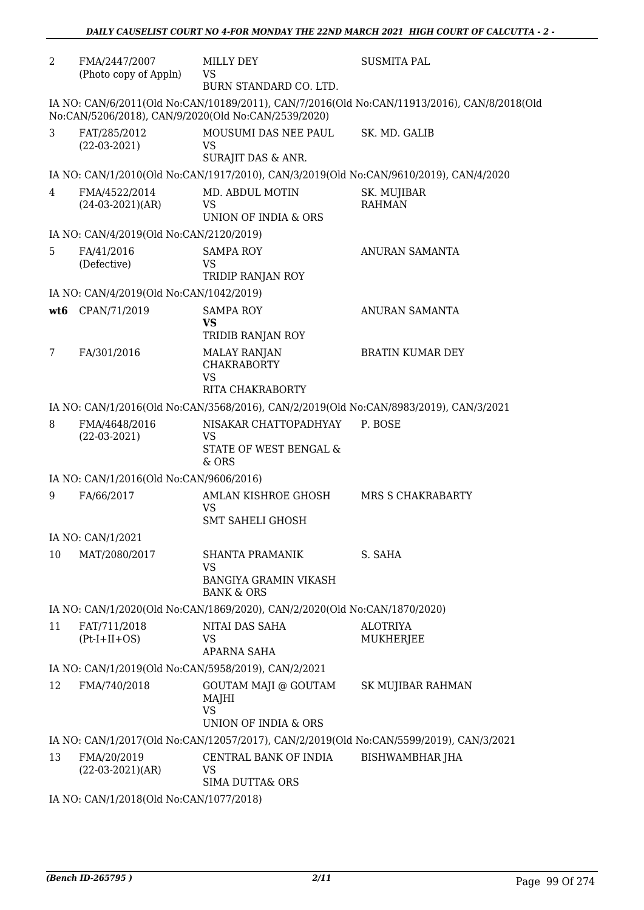| $\overline{2}$  | FMA/2447/2007<br>(Photo copy of Appln)  | MILLY DEY<br>VS                                                                       | <b>SUSMITA PAL</b>                                                                          |
|-----------------|-----------------------------------------|---------------------------------------------------------------------------------------|---------------------------------------------------------------------------------------------|
|                 |                                         | BURN STANDARD CO. LTD.                                                                |                                                                                             |
|                 |                                         | No:CAN/5206/2018), CAN/9/2020(Old No:CAN/2539/2020)                                   | IA NO: CAN/6/2011(Old No:CAN/10189/2011), CAN/7/2016(Old No:CAN/11913/2016), CAN/8/2018(Old |
| 3               | FAT/285/2012<br>$(22-03-2021)$          | MOUSUMI DAS NEE PAUL<br>VS                                                            | SK. MD. GALIB                                                                               |
|                 |                                         | SURAJIT DAS & ANR.                                                                    |                                                                                             |
|                 |                                         | IA NO: CAN/1/2010(Old No:CAN/1917/2010), CAN/3/2019(Old No:CAN/9610/2019), CAN/4/2020 |                                                                                             |
| 4               | FMA/4522/2014<br>$(24-03-2021)(AR)$     | MD. ABDUL MOTIN<br>VS<br>UNION OF INDIA & ORS                                         | SK. MUJIBAR<br><b>RAHMAN</b>                                                                |
|                 | IA NO: CAN/4/2019(Old No:CAN/2120/2019) |                                                                                       |                                                                                             |
| 5               | FA/41/2016<br>(Defective)               | <b>SAMPA ROY</b><br>VS<br>TRIDIP RANJAN ROY                                           | ANURAN SAMANTA                                                                              |
|                 | IA NO: CAN/4/2019(Old No:CAN/1042/2019) |                                                                                       |                                                                                             |
| wt <sub>6</sub> | CPAN/71/2019                            | <b>SAMPA ROY</b><br><b>VS</b><br>TRIDIB RANJAN ROY                                    | ANURAN SAMANTA                                                                              |
| 7               | FA/301/2016                             | <b>MALAY RANJAN</b><br><b>CHAKRABORTY</b><br><b>VS</b>                                | <b>BRATIN KUMAR DEY</b>                                                                     |
|                 |                                         | RITA CHAKRABORTY                                                                      |                                                                                             |
|                 |                                         | IA NO: CAN/1/2016(Old No:CAN/3568/2016), CAN/2/2019(Old No:CAN/8983/2019), CAN/3/2021 |                                                                                             |
| 8               | FMA/4648/2016<br>$(22-03-2021)$         | NISAKAR CHATTOPADHYAY<br><b>VS</b><br>STATE OF WEST BENGAL &<br>& ORS                 | P. BOSE                                                                                     |
|                 | IA NO: CAN/1/2016(Old No:CAN/9606/2016) |                                                                                       |                                                                                             |
| 9               | FA/66/2017                              | AMLAN KISHROE GHOSH<br><b>VS</b><br><b>SMT SAHELI GHOSH</b>                           | <b>MRS S CHAKRABARTY</b>                                                                    |
|                 | IA NO: CAN/1/2021                       |                                                                                       |                                                                                             |
| 10              | MAT/2080/2017                           | SHANTA PRAMANIK<br><b>VS</b>                                                          | S. SAHA                                                                                     |
|                 |                                         | <b>BANGIYA GRAMIN VIKASH</b><br><b>BANK &amp; ORS</b>                                 |                                                                                             |
|                 |                                         | IA NO: CAN/1/2020(Old No:CAN/1869/2020), CAN/2/2020(Old No:CAN/1870/2020)             |                                                                                             |
| 11              | FAT/711/2018<br>$(Pt-I+II+OS)$          | NITAI DAS SAHA<br>VS<br>APARNA SAHA                                                   | <b>ALOTRIYA</b><br>MUKHERJEE                                                                |
|                 |                                         | IA NO: CAN/1/2019(Old No:CAN/5958/2019), CAN/2/2021                                   |                                                                                             |
| 12              | FMA/740/2018                            | <b>GOUTAM MAJI @ GOUTAM</b><br>MAJHI<br><b>VS</b><br>UNION OF INDIA & ORS             | SK MUJIBAR RAHMAN                                                                           |
|                 |                                         |                                                                                       | IA NO: CAN/1/2017(Old No:CAN/12057/2017), CAN/2/2019(Old No:CAN/5599/2019), CAN/3/2021      |
| 13              | FMA/20/2019<br>$(22-03-2021)(AR)$       | CENTRAL BANK OF INDIA<br><b>VS</b><br><b>SIMA DUTTA&amp; ORS</b>                      | <b>BISHWAMBHAR JHA</b>                                                                      |
|                 | IA NO: CAN/1/2018(Old No:CAN/1077/2018) |                                                                                       |                                                                                             |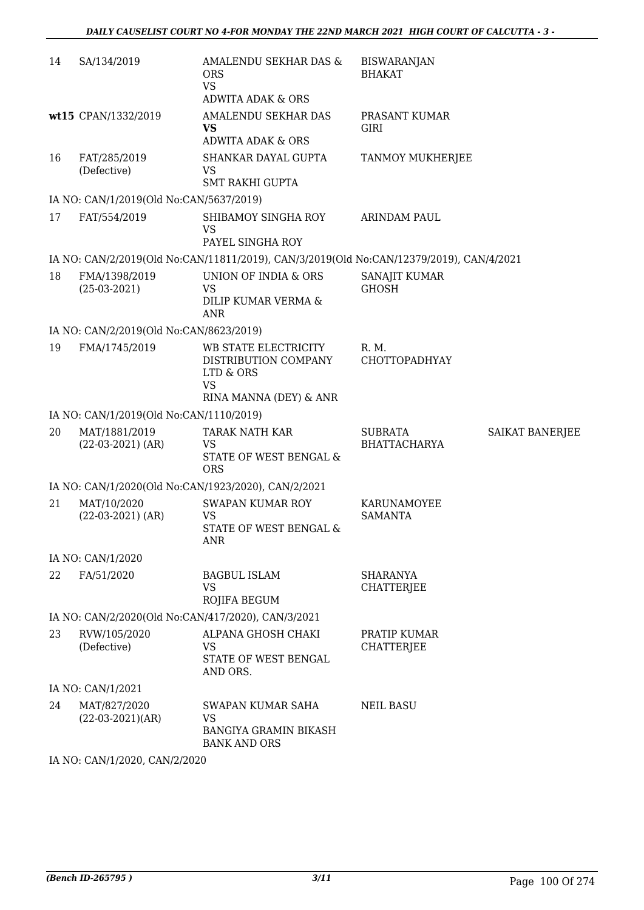| 14 | SA/134/2019                                        | AMALENDU SEKHAR DAS &<br><b>ORS</b><br><b>VS</b><br><b>ADWITA ADAK &amp; ORS</b>          | <b>BISWARANJAN</b><br><b>BHAKAT</b>   |                 |  |
|----|----------------------------------------------------|-------------------------------------------------------------------------------------------|---------------------------------------|-----------------|--|
|    | wt15 CPAN/1332/2019                                | AMALENDU SEKHAR DAS<br><b>VS</b><br><b>ADWITA ADAK &amp; ORS</b>                          | PRASANT KUMAR<br>GIRI                 |                 |  |
| 16 | FAT/285/2019<br>(Defective)                        | SHANKAR DAYAL GUPTA<br>VS<br><b>SMT RAKHI GUPTA</b>                                       | TANMOY MUKHERJEE                      |                 |  |
|    | IA NO: CAN/1/2019(Old No:CAN/5637/2019)            |                                                                                           |                                       |                 |  |
| 17 | FAT/554/2019                                       | SHIBAMOY SINGHA ROY<br>VS<br>PAYEL SINGHA ROY                                             | <b>ARINDAM PAUL</b>                   |                 |  |
|    |                                                    | IA NO: CAN/2/2019(Old No:CAN/11811/2019), CAN/3/2019(Old No:CAN/12379/2019), CAN/4/2021   |                                       |                 |  |
| 18 | FMA/1398/2019<br>$(25-03-2021)$                    | UNION OF INDIA & ORS<br>VS<br>DILIP KUMAR VERMA &<br><b>ANR</b>                           | SANAJIT KUMAR<br><b>GHOSH</b>         |                 |  |
|    | IA NO: CAN/2/2019(Old No:CAN/8623/2019)            |                                                                                           |                                       |                 |  |
| 19 | FMA/1745/2019                                      | WB STATE ELECTRICITY<br>DISTRIBUTION COMPANY<br>LTD & ORS<br>VS<br>RINA MANNA (DEY) & ANR | R. M.<br>CHOTTOPADHYAY                |                 |  |
|    | IA NO: CAN/1/2019(Old No:CAN/1110/2019)            |                                                                                           |                                       |                 |  |
| 20 | MAT/1881/2019<br>$(22-03-2021)$ (AR)               | <b>TARAK NATH KAR</b><br>VS<br>STATE OF WEST BENGAL &<br><b>ORS</b>                       | <b>SUBRATA</b><br><b>BHATTACHARYA</b> | SAIKAT BANERJEE |  |
|    |                                                    | IA NO: CAN/1/2020(Old No:CAN/1923/2020), CAN/2/2021                                       |                                       |                 |  |
| 21 | MAT/10/2020<br>$(22-03-2021)$ (AR)                 | <b>SWAPAN KUMAR ROY</b><br><b>VS</b><br><b>STATE OF WEST BENGAL &amp;</b><br>ANR          | KARUNAMOYEE<br><b>SAMANTA</b>         |                 |  |
|    | IA NO: CAN/1/2020                                  |                                                                                           |                                       |                 |  |
| 22 | FA/51/2020                                         | <b>BAGBUL ISLAM</b><br><b>VS</b><br>ROJIFA BEGUM                                          | <b>SHARANYA</b><br><b>CHATTERJEE</b>  |                 |  |
|    | IA NO: CAN/2/2020(Old No:CAN/417/2020), CAN/3/2021 |                                                                                           |                                       |                 |  |
| 23 | RVW/105/2020<br>(Defective)                        | ALPANA GHOSH CHAKI<br><b>VS</b><br>STATE OF WEST BENGAL<br>AND ORS.                       | PRATIP KUMAR<br><b>CHATTERJEE</b>     |                 |  |
|    | IA NO: CAN/1/2021                                  |                                                                                           |                                       |                 |  |
| 24 | MAT/827/2020<br>$(22-03-2021)(AR)$                 | SWAPAN KUMAR SAHA<br><b>VS</b><br><b>BANGIYA GRAMIN BIKASH</b><br><b>BANK AND ORS</b>     | <b>NEIL BASU</b>                      |                 |  |

IA NO: CAN/1/2020, CAN/2/2020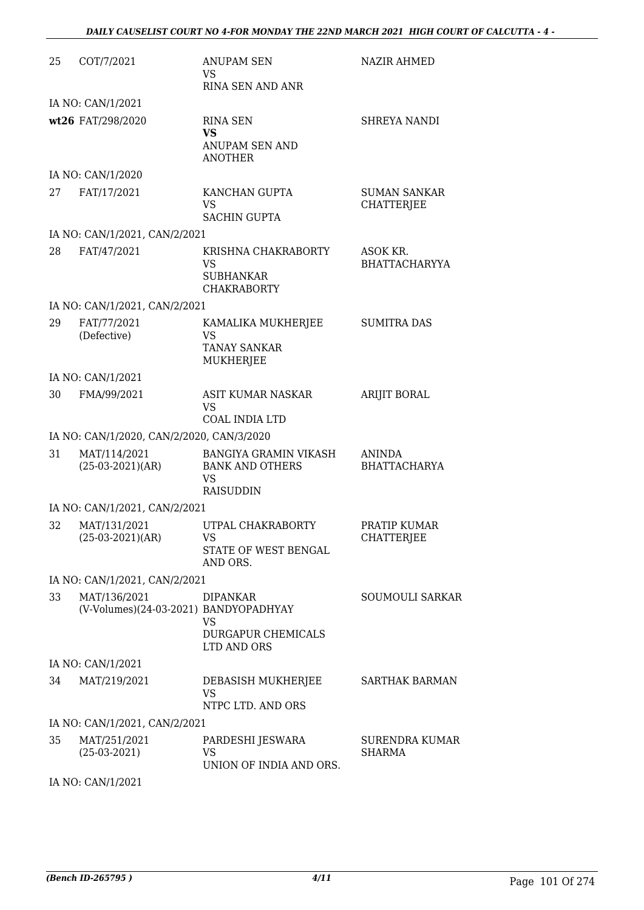| 25 | COT/7/2021                                            | ANUPAM SEN<br>VS.                                                                | NAZIR AHMED                              |
|----|-------------------------------------------------------|----------------------------------------------------------------------------------|------------------------------------------|
|    |                                                       | RINA SEN AND ANR                                                                 |                                          |
|    | IA NO: CAN/1/2021                                     |                                                                                  |                                          |
|    | wt26 FAT/298/2020                                     | <b>RINA SEN</b><br><b>VS</b><br><b>ANUPAM SEN AND</b><br><b>ANOTHER</b>          | <b>SHREYA NANDI</b>                      |
|    | IA NO: CAN/1/2020                                     |                                                                                  |                                          |
| 27 | FAT/17/2021                                           | KANCHAN GUPTA<br><b>VS</b><br><b>SACHIN GUPTA</b>                                | <b>SUMAN SANKAR</b><br><b>CHATTERJEE</b> |
|    | IA NO: CAN/1/2021, CAN/2/2021                         |                                                                                  |                                          |
| 28 | FAT/47/2021                                           | KRISHNA CHAKRABORTY<br>VS<br><b>SUBHANKAR</b><br><b>CHAKRABORTY</b>              | ASOK KR.<br><b>BHATTACHARYYA</b>         |
|    | IA NO: CAN/1/2021, CAN/2/2021                         |                                                                                  |                                          |
| 29 | FAT/77/2021<br>(Defective)                            | KAMALIKA MUKHERJEE<br>VS<br><b>TANAY SANKAR</b><br><b>MUKHERJEE</b>              | <b>SUMITRA DAS</b>                       |
|    | IA NO: CAN/1/2021                                     |                                                                                  |                                          |
| 30 | FMA/99/2021                                           | ASIT KUMAR NASKAR<br>VS<br><b>COAL INDIA LTD</b>                                 | <b>ARIJIT BORAL</b>                      |
|    | IA NO: CAN/1/2020, CAN/2/2020, CAN/3/2020             |                                                                                  |                                          |
| 31 | MAT/114/2021<br>$(25-03-2021)(AR)$                    | BANGIYA GRAMIN VIKASH<br><b>BANK AND OTHERS</b><br><b>VS</b><br><b>RAISUDDIN</b> | <b>ANINDA</b><br><b>BHATTACHARYA</b>     |
|    | IA NO: CAN/1/2021, CAN/2/2021                         |                                                                                  |                                          |
| 32 | MAT/131/2021<br>$(25-03-2021)(AR)$                    | UTPAL CHAKRABORTY<br>VS<br>STATE OF WEST BENGAL<br>AND ORS.                      | PRATIP KUMAR<br>CHATTERJEE               |
|    | IA NO: CAN/1/2021, CAN/2/2021                         |                                                                                  |                                          |
| 33 | MAT/136/2021<br>(V-Volumes)(24-03-2021) BANDYOPADHYAY | <b>DIPANKAR</b><br>VS<br><b>DURGAPUR CHEMICALS</b><br>LTD AND ORS                | SOUMOULI SARKAR                          |
|    | IA NO: CAN/1/2021                                     |                                                                                  |                                          |
| 34 | MAT/219/2021                                          | DEBASISH MUKHERJEE<br><b>VS</b><br>NTPC LTD. AND ORS                             | <b>SARTHAK BARMAN</b>                    |
|    | IA NO: CAN/1/2021, CAN/2/2021                         |                                                                                  |                                          |
| 35 | MAT/251/2021<br>$(25-03-2021)$                        | PARDESHI JESWARA<br>VS.<br>UNION OF INDIA AND ORS.                               | <b>SURENDRA KUMAR</b><br>SHARMA          |

IA NO: CAN/1/2021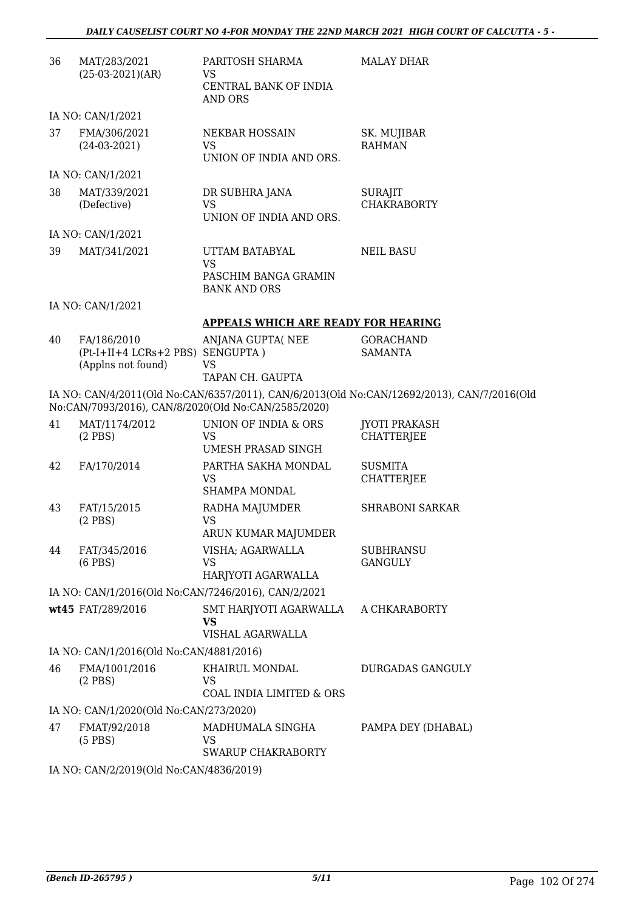| 36 | MAT/283/2021<br>$(25-03-2021)(AR)$                                    | PARITOSH SHARMA<br>VS<br>CENTRAL BANK OF INDIA<br><b>AND ORS</b>           | <b>MALAY DHAR</b>                                                                          |
|----|-----------------------------------------------------------------------|----------------------------------------------------------------------------|--------------------------------------------------------------------------------------------|
|    | IA NO: CAN/1/2021                                                     |                                                                            |                                                                                            |
| 37 | FMA/306/2021<br>$(24-03-2021)$                                        | <b>NEKBAR HOSSAIN</b><br><b>VS</b><br>UNION OF INDIA AND ORS.              | SK. MUJIBAR<br><b>RAHMAN</b>                                                               |
|    | IA NO: CAN/1/2021                                                     |                                                                            |                                                                                            |
| 38 | MAT/339/2021<br>(Defective)                                           | DR SUBHRA JANA<br><b>VS</b><br>UNION OF INDIA AND ORS.                     | <b>SURAJIT</b><br><b>CHAKRABORTY</b>                                                       |
|    | IA NO: CAN/1/2021                                                     |                                                                            |                                                                                            |
| 39 | MAT/341/2021                                                          | UTTAM BATABYAL<br><b>VS</b><br>PASCHIM BANGA GRAMIN<br><b>BANK AND ORS</b> | <b>NEIL BASU</b>                                                                           |
|    | IA NO: CAN/1/2021                                                     |                                                                            |                                                                                            |
|    |                                                                       | <b>APPEALS WHICH ARE READY FOR HEARING</b>                                 |                                                                                            |
| 40 | FA/186/2010<br>(Pt-I+II+4 LCRs+2 PBS) SENGUPTA)<br>(Applns not found) | ANJANA GUPTA(NEE<br>VS<br>TAPAN CH. GAUPTA                                 | <b>GORACHAND</b><br><b>SAMANTA</b>                                                         |
|    |                                                                       |                                                                            | IA NO: CAN/4/2011(Old No:CAN/6357/2011), CAN/6/2013(Old No:CAN/12692/2013), CAN/7/2016(Old |
|    |                                                                       | No:CAN/7093/2016), CAN/8/2020(Old No:CAN/2585/2020)                        |                                                                                            |
| 41 | MAT/1174/2012<br>$(2$ PBS $)$                                         | UNION OF INDIA & ORS<br>VS<br><b>UMESH PRASAD SINGH</b>                    | <b>JYOTI PRAKASH</b><br><b>CHATTERJEE</b>                                                  |
| 42 | FA/170/2014                                                           | PARTHA SAKHA MONDAL<br>VS<br><b>SHAMPA MONDAL</b>                          | <b>SUSMITA</b><br><b>CHATTERJEE</b>                                                        |
| 43 | FAT/15/2015<br>$(2$ PBS)                                              | RADHA MAJUMDER<br><b>VS</b><br>ARUN KUMAR MAJUMDER                         | <b>SHRABONI SARKAR</b>                                                                     |
| 44 | FAT/345/2016<br>$(6$ PBS $)$                                          | VISHA; AGARWALLA<br>VS<br>HARJYOTI AGARWALLA                               | <b>SUBHRANSU</b><br>GANGULY                                                                |
|    |                                                                       | IA NO: CAN/1/2016(Old No:CAN/7246/2016), CAN/2/2021                        |                                                                                            |
|    | wt45 FAT/289/2016                                                     | SMT HARJYOTI AGARWALLA<br><b>VS</b><br>VISHAL AGARWALLA                    | A CHKARABORTY                                                                              |
|    | IA NO: CAN/1/2016(Old No:CAN/4881/2016)                               |                                                                            |                                                                                            |
| 46 | FMA/1001/2016<br>$(2$ PBS $)$                                         | KHAIRUL MONDAL<br>VS<br>COAL INDIA LIMITED & ORS                           | <b>DURGADAS GANGULY</b>                                                                    |
|    | IA NO: CAN/1/2020(Old No:CAN/273/2020)                                |                                                                            |                                                                                            |
| 47 | FMAT/92/2018<br>$(5$ PBS $)$                                          | MADHUMALA SINGHA<br>VS<br>SWARUP CHAKRABORTY                               | PAMPA DEY (DHABAL)                                                                         |
|    | IA NO: CAN/2/2019(Old No:CAN/4836/2019)                               |                                                                            |                                                                                            |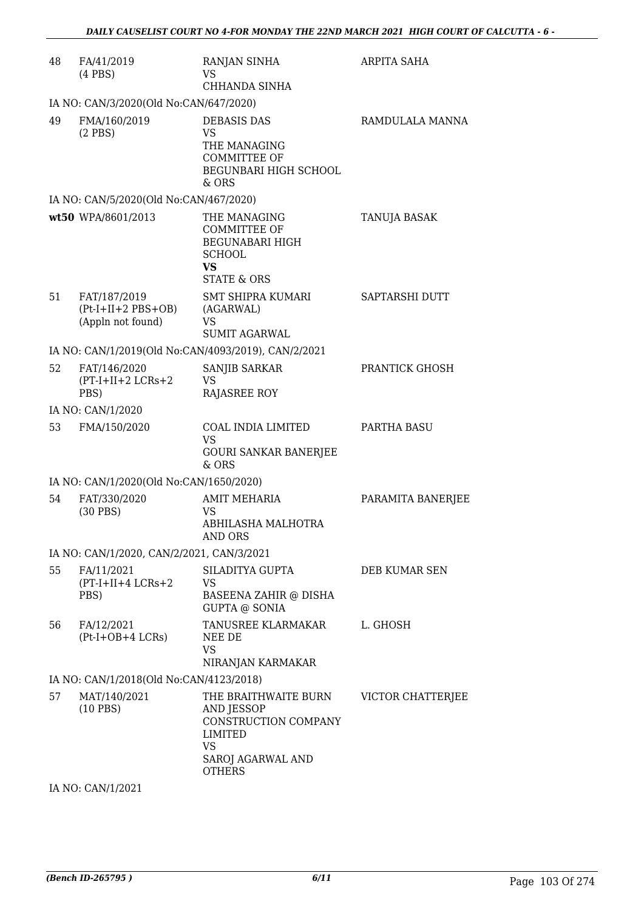| 48 | FA/41/2019<br>$(4$ PBS $)$                                | RANJAN SINHA<br>VS<br>CHHANDA SINHA                                                                                   | <b>ARPITA SAHA</b> |
|----|-----------------------------------------------------------|-----------------------------------------------------------------------------------------------------------------------|--------------------|
|    | IA NO: CAN/3/2020(Old No:CAN/647/2020)                    |                                                                                                                       |                    |
| 49 | FMA/160/2019<br>$(2$ PBS $)$                              | <b>DEBASIS DAS</b><br><b>VS</b><br>THE MANAGING<br><b>COMMITTEE OF</b><br>BEGUNBARI HIGH SCHOOL<br>& ORS              | RAMDULALA MANNA    |
|    | IA NO: CAN/5/2020(Old No:CAN/467/2020)                    |                                                                                                                       |                    |
|    | wt50 WPA/8601/2013                                        | THE MANAGING<br><b>COMMITTEE OF</b><br><b>BEGUNABARI HIGH</b><br><b>SCHOOL</b><br><b>VS</b><br><b>STATE &amp; ORS</b> | TANUJA BASAK       |
| 51 | FAT/187/2019<br>$(Pt-I+II+2 PBS+OB)$<br>(Appln not found) | SMT SHIPRA KUMARI<br>(AGARWAL)<br>VS<br><b>SUMIT AGARWAL</b>                                                          | SAPTARSHI DUTT     |
|    |                                                           | IA NO: CAN/1/2019(Old No:CAN/4093/2019), CAN/2/2021                                                                   |                    |
| 52 | FAT/146/2020<br>$(PT-I+II+2 LCRs+2)$<br>PBS)              | SANJIB SARKAR<br><b>VS</b><br><b>RAJASREE ROY</b>                                                                     | PRANTICK GHOSH     |
|    | IA NO: CAN/1/2020                                         |                                                                                                                       |                    |
| 53 | FMA/150/2020                                              | COAL INDIA LIMITED<br><b>VS</b><br><b>GOURI SANKAR BANERJEE</b><br>& ORS                                              | PARTHA BASU        |
|    | IA NO: CAN/1/2020(Old No:CAN/1650/2020)                   |                                                                                                                       |                    |
| 54 | FAT/330/2020<br>$(30$ PBS)                                | <b>AMIT MEHARIA</b><br>VS<br>ABHILASHA MALHOTRA<br>AND ORS                                                            | PARAMITA BANERJEE  |
|    | IA NO: CAN/1/2020, CAN/2/2021, CAN/3/2021                 |                                                                                                                       |                    |
| 55 | FA/11/2021<br>$(PT-I+II+4 LCRs+2$<br>PBS)                 | SILADITYA GUPTA<br><b>VS</b><br><b>BASEENA ZAHIR @ DISHA</b><br><b>GUPTA @ SONIA</b>                                  | DEB KUMAR SEN      |
| 56 | FA/12/2021<br>(Pt-I+OB+4 LCRs)                            | TANUSREE KLARMAKAR<br>NEE DE<br>VS<br>NIRANJAN KARMAKAR                                                               | L. GHOSH           |
|    | IA NO: CAN/1/2018(Old No:CAN/4123/2018)                   |                                                                                                                       |                    |
| 57 | MAT/140/2021<br>$(10$ PBS)                                | THE BRAITHWAITE BURN<br>AND JESSOP<br>CONSTRUCTION COMPANY<br>LIMITED<br>VS<br>SAROJ AGARWAL AND<br><b>OTHERS</b>     | VICTOR CHATTERJEE  |

IA NO: CAN/1/2021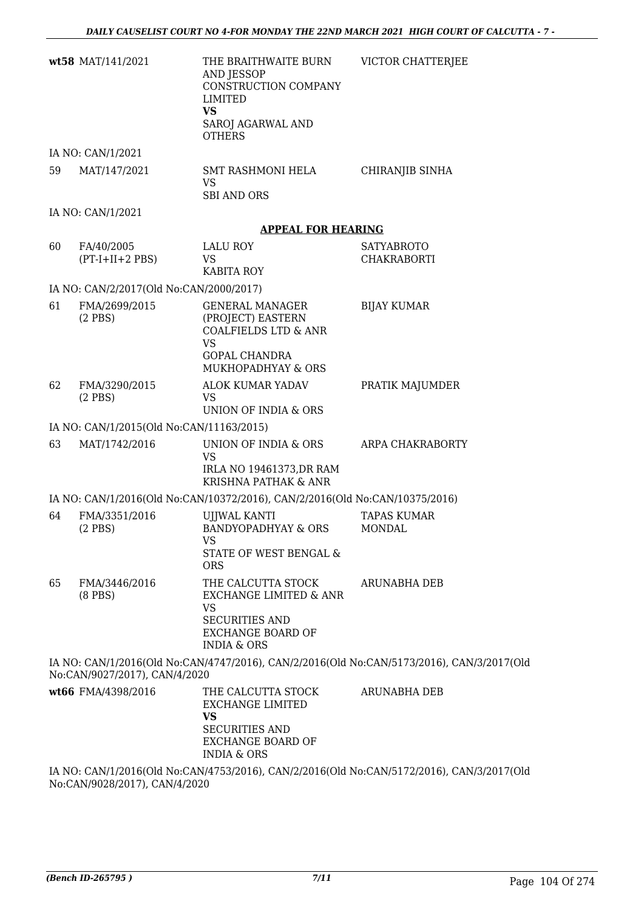|    | wt58 MAT/141/2021                        | THE BRAITHWAITE BURN<br>AND JESSOP<br>CONSTRUCTION COMPANY<br>LIMITED<br><b>VS</b><br>SAROJ AGARWAL AND                                             | VICTOR CHATTERJEE                                                                         |
|----|------------------------------------------|-----------------------------------------------------------------------------------------------------------------------------------------------------|-------------------------------------------------------------------------------------------|
|    |                                          | <b>OTHERS</b>                                                                                                                                       |                                                                                           |
|    | IA NO: CAN/1/2021                        |                                                                                                                                                     |                                                                                           |
| 59 | MAT/147/2021                             | <b>SMT RASHMONI HELA</b><br>VS<br><b>SBI AND ORS</b>                                                                                                | CHIRANJIB SINHA                                                                           |
|    | IA NO: CAN/1/2021                        |                                                                                                                                                     |                                                                                           |
|    |                                          | <b>APPEAL FOR HEARING</b>                                                                                                                           |                                                                                           |
| 60 | FA/40/2005<br>$(PT-I+II+2 PBS)$          | LALU ROY<br>VS<br><b>KABITA ROY</b>                                                                                                                 | <b>SATYABROTO</b><br>CHAKRABORTI                                                          |
|    | IA NO: CAN/2/2017(Old No:CAN/2000/2017)  |                                                                                                                                                     |                                                                                           |
| 61 | FMA/2699/2015<br>$(2$ PBS $)$            | <b>GENERAL MANAGER</b><br>(PROJECT) EASTERN<br><b>COALFIELDS LTD &amp; ANR</b><br><b>VS</b><br><b>GOPAL CHANDRA</b><br>MUKHOPADHYAY & ORS           | <b>BIJAY KUMAR</b>                                                                        |
| 62 | FMA/3290/2015<br>$(2$ PBS $)$            | ALOK KUMAR YADAV<br><b>VS</b><br>UNION OF INDIA & ORS                                                                                               | PRATIK MAJUMDER                                                                           |
|    | IA NO: CAN/1/2015(Old No:CAN/11163/2015) |                                                                                                                                                     |                                                                                           |
| 63 | MAT/1742/2016                            | UNION OF INDIA & ORS<br><b>VS</b><br>IRLA NO 19461373, DR RAM<br>KRISHNA PATHAK & ANR                                                               | ARPA CHAKRABORTY                                                                          |
|    |                                          | IA NO: CAN/1/2016(Old No:CAN/10372/2016), CAN/2/2016(Old No:CAN/10375/2016)                                                                         |                                                                                           |
| 64 | FMA/3351/2016<br>$(2$ PBS)               | <b>UJJWAL KANTI</b><br><b>BANDYOPADHYAY &amp; ORS</b><br>VS<br>STATE OF WEST BENGAL &<br><b>ORS</b>                                                 | <b>TAPAS KUMAR</b><br>MONDAL                                                              |
| 65 | FMA/3446/2016<br>$(8$ PBS $)$            | THE CALCUTTA STOCK<br><b>EXCHANGE LIMITED &amp; ANR</b><br><b>VS</b><br><b>SECURITIES AND</b><br><b>EXCHANGE BOARD OF</b><br><b>INDIA &amp; ORS</b> | ARUNABHA DEB                                                                              |
|    | No:CAN/9027/2017), CAN/4/2020            |                                                                                                                                                     | IA NO: CAN/1/2016(Old No:CAN/4747/2016), CAN/2/2016(Old No:CAN/5173/2016), CAN/3/2017(Old |
|    | wt66 FMA/4398/2016                       | THE CALCUTTA STOCK<br><b>EXCHANGE LIMITED</b><br><b>VS</b><br><b>SECURITIES AND</b><br><b>EXCHANGE BOARD OF</b><br><b>INDIA &amp; ORS</b>           | ARUNABHA DEB                                                                              |
|    |                                          |                                                                                                                                                     | IA NO: CAN/1/2016(Old No:CAN/4753/2016), CAN/2/2016(Old No:CAN/5172/2016), CAN/3/2017(Old |

No:CAN/9028/2017), CAN/4/2020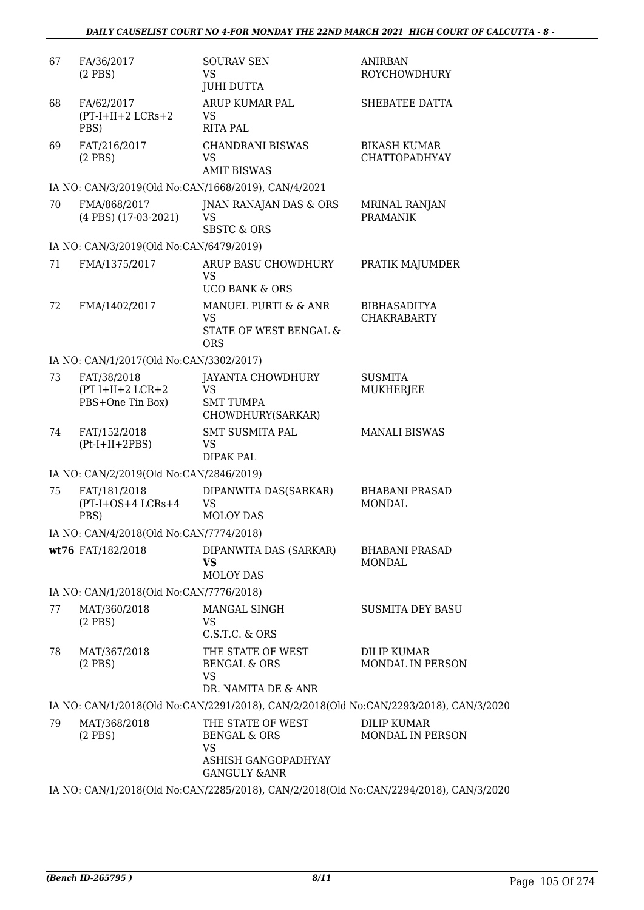| 67 | FA/36/2017<br>$(2$ PBS)                               | <b>SOURAV SEN</b><br><b>VS</b><br><b>JUHI DUTTA</b>                                                  | <b>ANIRBAN</b><br>ROYCHOWDHURY                                                        |  |  |
|----|-------------------------------------------------------|------------------------------------------------------------------------------------------------------|---------------------------------------------------------------------------------------|--|--|
| 68 | FA/62/2017<br>$(PT-I+II+2 LCRs+2)$<br>PBS)            | ARUP KUMAR PAL<br><b>VS</b><br><b>RITA PAL</b>                                                       | SHEBATEE DATTA                                                                        |  |  |
| 69 | FAT/216/2017<br>$(2$ PBS)                             | <b>CHANDRANI BISWAS</b><br><b>VS</b><br><b>AMIT BISWAS</b>                                           | <b>BIKASH KUMAR</b><br>CHATTOPADHYAY                                                  |  |  |
|    |                                                       | IA NO: CAN/3/2019(Old No:CAN/1668/2019), CAN/4/2021                                                  |                                                                                       |  |  |
| 70 | FMA/868/2017<br>(4 PBS) (17-03-2021)                  | <b>JNAN RANAJAN DAS &amp; ORS</b><br><b>VS</b><br><b>SBSTC &amp; ORS</b>                             | <b>MRINAL RANJAN</b><br><b>PRAMANIK</b>                                               |  |  |
|    | IA NO: CAN/3/2019(Old No:CAN/6479/2019)               |                                                                                                      |                                                                                       |  |  |
| 71 | FMA/1375/2017                                         | ARUP BASU CHOWDHURY<br><b>VS</b><br><b>UCO BANK &amp; ORS</b>                                        | PRATIK MAJUMDER                                                                       |  |  |
| 72 | FMA/1402/2017                                         | MANUEL PURTI & & ANR<br><b>VS</b><br>STATE OF WEST BENGAL &<br><b>ORS</b>                            | <b>BIBHASADITYA</b><br><b>CHAKRABARTY</b>                                             |  |  |
|    | IA NO: CAN/1/2017(Old No:CAN/3302/2017)               |                                                                                                      |                                                                                       |  |  |
| 73 | FAT/38/2018<br>$(PT I+II+2 LCR+2$<br>PBS+One Tin Box) | JAYANTA CHOWDHURY<br><b>VS</b><br><b>SMT TUMPA</b><br>CHOWDHURY(SARKAR)                              | <b>SUSMITA</b><br>MUKHERJEE                                                           |  |  |
| 74 | FAT/152/2018<br>$(Pt-I+II+2PBS)$                      | <b>SMT SUSMITA PAL</b><br><b>VS</b><br><b>DIPAK PAL</b>                                              | <b>MANALI BISWAS</b>                                                                  |  |  |
|    | IA NO: CAN/2/2019(Old No:CAN/2846/2019)               |                                                                                                      |                                                                                       |  |  |
|    |                                                       | DIPANWITA DAS(SARKAR)                                                                                | <b>BHABANI PRASAD</b>                                                                 |  |  |
| 75 | FAT/181/2018<br>$(PT-I+OS+4 LCRs+4$<br>PBS)           | <b>VS</b><br><b>MOLOY DAS</b>                                                                        | <b>MONDAL</b>                                                                         |  |  |
|    | IA NO: CAN/4/2018(Old No:CAN/7774/2018)               |                                                                                                      |                                                                                       |  |  |
|    | wt76 FAT/182/2018                                     | DIPANWITA DAS (SARKAR)<br><b>VS</b><br><b>MOLOY DAS</b>                                              | <b>BHABANI PRASAD</b><br><b>MONDAL</b>                                                |  |  |
|    | IA NO: CAN/1/2018(Old No:CAN/7776/2018)               |                                                                                                      |                                                                                       |  |  |
| 77 | MAT/360/2018<br>$(2$ PBS)                             | MANGAL SINGH<br><b>VS</b><br>C.S.T.C. & ORS                                                          | <b>SUSMITA DEY BASU</b>                                                               |  |  |
| 78 | MAT/367/2018<br>$(2$ PBS)                             | THE STATE OF WEST<br><b>BENGAL &amp; ORS</b><br><b>VS</b><br>DR. NAMITA DE & ANR                     | DILIP KUMAR<br>MONDAL IN PERSON                                                       |  |  |
|    |                                                       |                                                                                                      | IA NO: CAN/1/2018(Old No:CAN/2291/2018), CAN/2/2018(Old No:CAN/2293/2018), CAN/3/2020 |  |  |
| 79 | MAT/368/2018<br>$(2$ PBS)                             | THE STATE OF WEST<br><b>BENGAL &amp; ORS</b><br>VS<br>ASHISH GANGOPADHYAY<br><b>GANGULY &amp;ANR</b> | <b>DILIP KUMAR</b><br>MONDAL IN PERSON                                                |  |  |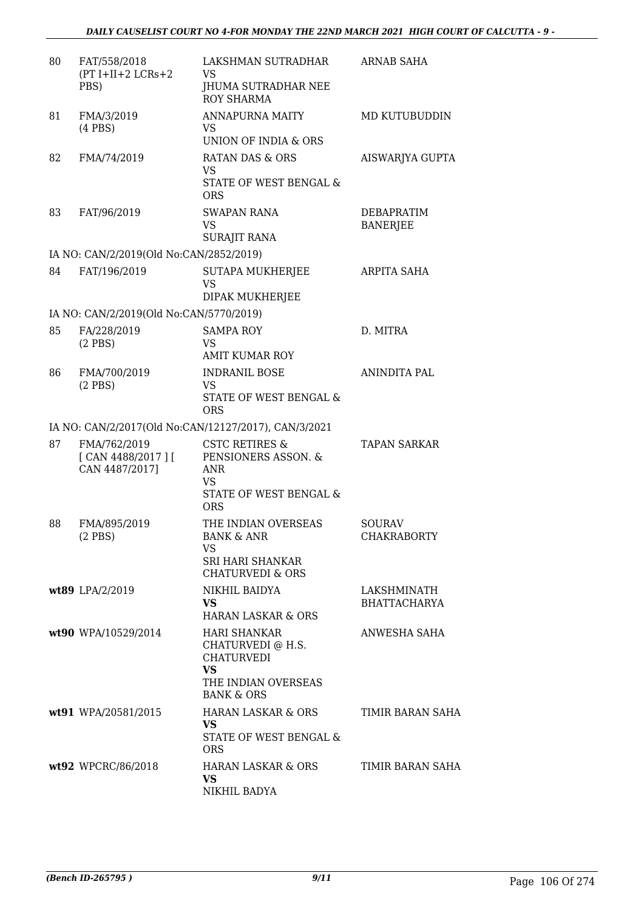| 80 | FAT/558/2018<br>$(PT I+II+2 LCRs+2$<br>PBS)         | LAKSHMAN SUTRADHAR<br>VS<br>JHUMA SUTRADHAR NEE<br><b>ROY SHARMA</b>                                                       | <b>ARNAB SAHA</b>                  |
|----|-----------------------------------------------------|----------------------------------------------------------------------------------------------------------------------------|------------------------------------|
| 81 | FMA/3/2019<br>$(4$ PBS)                             | <b>ANNAPURNA MAITY</b><br><b>VS</b><br><b>UNION OF INDIA &amp; ORS</b>                                                     | MD KUTUBUDDIN                      |
| 82 | FMA/74/2019                                         | <b>RATAN DAS &amp; ORS</b><br><b>VS</b><br>STATE OF WEST BENGAL &<br><b>ORS</b>                                            | AISWARJYA GUPTA                    |
| 83 | FAT/96/2019                                         | <b>SWAPAN RANA</b><br><b>VS</b><br><b>SURAJIT RANA</b>                                                                     | DEBAPRATIM<br><b>BANERJEE</b>      |
|    | IA NO: CAN/2/2019(Old No:CAN/2852/2019)             |                                                                                                                            |                                    |
| 84 | FAT/196/2019                                        | SUTAPA MUKHERJEE<br>VS<br>DIPAK MUKHERJEE                                                                                  | ARPITA SAHA                        |
|    | IA NO: CAN/2/2019(Old No:CAN/5770/2019)             |                                                                                                                            |                                    |
| 85 | FA/228/2019<br>$(2$ PBS $)$                         | <b>SAMPA ROY</b><br>VS<br><b>AMIT KUMAR ROY</b>                                                                            | D. MITRA                           |
| 86 | FMA/700/2019<br>$(2$ PBS)                           | <b>INDRANIL BOSE</b><br>VS<br>STATE OF WEST BENGAL &<br><b>ORS</b>                                                         | <b>ANINDITA PAL</b>                |
|    |                                                     | IA NO: CAN/2/2017(Old No:CAN/12127/2017), CAN/3/2021                                                                       |                                    |
| 87 | FMA/762/2019<br>[ CAN 4488/2017 ]<br>CAN 4487/2017] | <b>CSTC RETIRES &amp;</b><br>PENSIONERS ASSON. &<br><b>ANR</b><br>VS.<br>STATE OF WEST BENGAL &<br><b>ORS</b>              | <b>TAPAN SARKAR</b>                |
| 88 | FMA/895/2019<br>$(2$ PBS $)$                        | THE INDIAN OVERSEAS<br><b>BANK &amp; ANR</b><br>VS.<br><b>SRI HARI SHANKAR</b><br><b>CHATURVEDI &amp; ORS</b>              | SOURAV<br><b>CHAKRABORTY</b>       |
|    | wt89 LPA/2/2019                                     | NIKHIL BAIDYA<br><b>VS</b><br><b>HARAN LASKAR &amp; ORS</b>                                                                | LAKSHMINATH<br><b>BHATTACHARYA</b> |
|    | wt90 WPA/10529/2014                                 | <b>HARI SHANKAR</b><br>CHATURVEDI @ H.S.<br><b>CHATURVEDI</b><br><b>VS</b><br>THE INDIAN OVERSEAS<br><b>BANK &amp; ORS</b> | ANWESHA SAHA                       |
|    | wt91 WPA/20581/2015                                 | HARAN LASKAR & ORS<br>VS.<br>STATE OF WEST BENGAL &<br><b>ORS</b>                                                          | TIMIR BARAN SAHA                   |
|    | wt92 WPCRC/86/2018                                  | HARAN LASKAR & ORS<br><b>VS</b><br>NIKHIL BADYA                                                                            | TIMIR BARAN SAHA                   |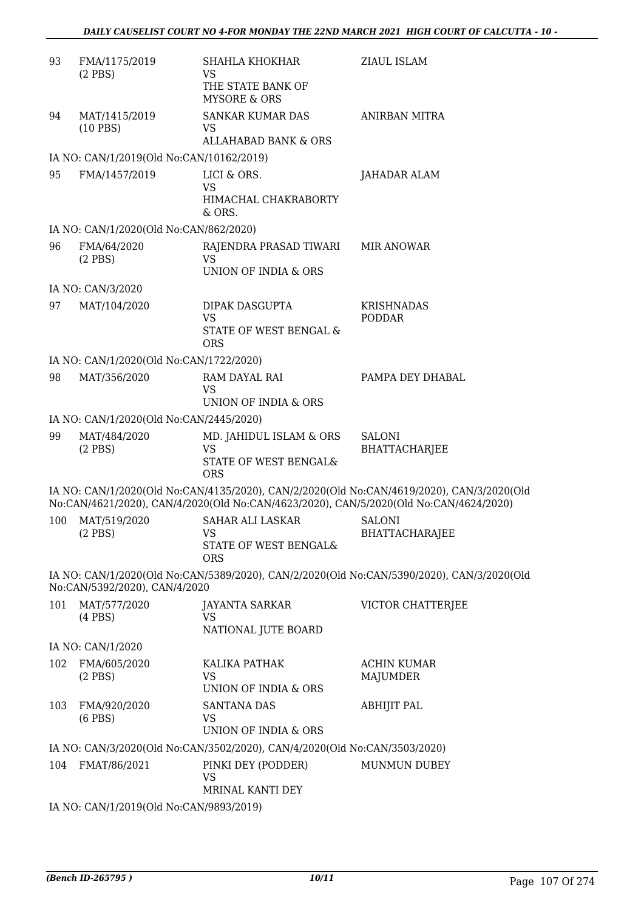| 93  | FMA/1175/2019<br>$(2$ PBS $)$            | SHAHLA KHOKHAR<br><b>VS</b><br>THE STATE BANK OF<br><b>MYSORE &amp; ORS</b> | ZIAUL ISLAM                                                                                                                                                                        |  |  |
|-----|------------------------------------------|-----------------------------------------------------------------------------|------------------------------------------------------------------------------------------------------------------------------------------------------------------------------------|--|--|
| 94  | MAT/1415/2019<br>$(10$ PBS)              | <b>SANKAR KUMAR DAS</b><br>VS<br>ALLAHABAD BANK & ORS                       | <b>ANIRBAN MITRA</b>                                                                                                                                                               |  |  |
|     | IA NO: CAN/1/2019(Old No:CAN/10162/2019) |                                                                             |                                                                                                                                                                                    |  |  |
| 95  | FMA/1457/2019                            | LICI & ORS.<br><b>VS</b><br>HIMACHAL CHAKRABORTY<br>$&$ ORS.                | JAHADAR ALAM                                                                                                                                                                       |  |  |
|     | IA NO: CAN/1/2020(Old No:CAN/862/2020)   |                                                                             |                                                                                                                                                                                    |  |  |
| 96  | FMA/64/2020<br>$(2$ PBS $)$              | RAJENDRA PRASAD TIWARI<br><b>VS</b><br>UNION OF INDIA & ORS                 | <b>MIR ANOWAR</b>                                                                                                                                                                  |  |  |
|     | IA NO: CAN/3/2020                        |                                                                             |                                                                                                                                                                                    |  |  |
| 97  | MAT/104/2020                             | DIPAK DASGUPTA<br><b>VS</b><br>STATE OF WEST BENGAL &<br><b>ORS</b>         | <b>KRISHNADAS</b><br><b>PODDAR</b>                                                                                                                                                 |  |  |
|     | IA NO: CAN/1/2020(Old No:CAN/1722/2020)  |                                                                             |                                                                                                                                                                                    |  |  |
| 98  | MAT/356/2020                             | RAM DAYAL RAI<br><b>VS</b><br>UNION OF INDIA & ORS                          | PAMPA DEY DHABAL                                                                                                                                                                   |  |  |
|     | IA NO: CAN/1/2020(Old No:CAN/2445/2020)  |                                                                             |                                                                                                                                                                                    |  |  |
| 99  | MAT/484/2020<br>$(2$ PBS $)$             | MD. JAHIDUL ISLAM & ORS<br><b>VS</b><br>STATE OF WEST BENGAL&<br><b>ORS</b> | SALONI<br><b>BHATTACHARJEE</b>                                                                                                                                                     |  |  |
|     |                                          |                                                                             | IA NO: CAN/1/2020(Old No:CAN/4135/2020), CAN/2/2020(Old No:CAN/4619/2020), CAN/3/2020(Old<br>No:CAN/4621/2020), CAN/4/2020(Old No:CAN/4623/2020), CAN/5/2020(Old No:CAN/4624/2020) |  |  |
| 100 | MAT/519/2020<br>$(2$ PBS $)$             | SAHAR ALI LASKAR<br>VS<br>STATE OF WEST BENGAL&<br>ORS                      | <b>SALONI</b><br>BHATTACHARAJEE                                                                                                                                                    |  |  |
|     | No:CAN/5392/2020), CAN/4/2020            |                                                                             | IA NO: CAN/1/2020(Old No:CAN/5389/2020), CAN/2/2020(Old No:CAN/5390/2020), CAN/3/2020(Old                                                                                          |  |  |
| 101 | MAT/577/2020<br>$(4$ PBS $)$             | JAYANTA SARKAR<br>VS<br>NATIONAL JUTE BOARD                                 | VICTOR CHATTERJEE                                                                                                                                                                  |  |  |
|     | IA NO: CAN/1/2020                        |                                                                             |                                                                                                                                                                                    |  |  |
| 102 | FMA/605/2020<br>$(2$ PBS $)$             | KALIKA PATHAK<br><b>VS</b><br>UNION OF INDIA & ORS                          | <b>ACHIN KUMAR</b><br>MAJUMDER                                                                                                                                                     |  |  |
| 103 | FMA/920/2020<br>$(6$ PBS $)$             | <b>SANTANA DAS</b><br>VS<br>UNION OF INDIA & ORS                            | <b>ABHIJIT PAL</b>                                                                                                                                                                 |  |  |
|     |                                          | IA NO: CAN/3/2020(Old No:CAN/3502/2020), CAN/4/2020(Old No:CAN/3503/2020)   |                                                                                                                                                                                    |  |  |
| 104 | FMAT/86/2021                             | PINKI DEY (PODDER)<br>VS<br>MRINAL KANTI DEY                                | MUNMUN DUBEY                                                                                                                                                                       |  |  |
|     | IA NO: CAN/1/2019(Old No:CAN/9893/2019)  |                                                                             |                                                                                                                                                                                    |  |  |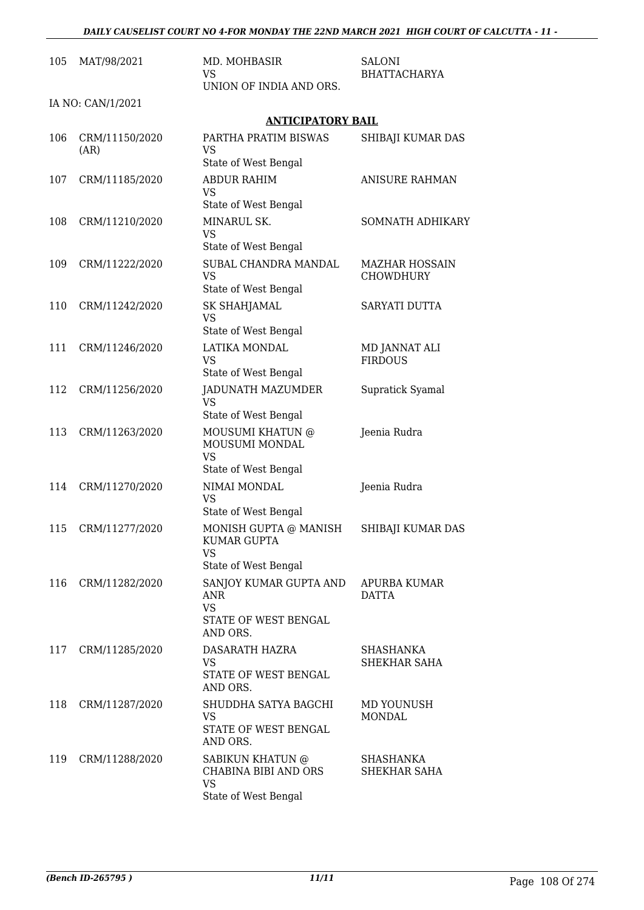| 105 | MAT/98/2021            | MD. MOHBASIR<br>VS.<br>UNION OF INDIA AND ORS.                            | SALONI<br><b>BHATTACHARYA</b>             |
|-----|------------------------|---------------------------------------------------------------------------|-------------------------------------------|
|     | IA NO: CAN/1/2021      |                                                                           |                                           |
|     |                        | <b>ANTICIPATORY BAIL</b>                                                  |                                           |
| 106 | CRM/11150/2020<br>(AR) | PARTHA PRATIM BISWAS<br><b>VS</b>                                         | SHIBAJI KUMAR DAS                         |
| 107 |                        | State of West Bengal<br><b>ABDUR RAHIM</b>                                | <b>ANISURE RAHMAN</b>                     |
|     | CRM/11185/2020         | VS<br>State of West Bengal                                                |                                           |
| 108 | CRM/11210/2020         | MINARUL SK.<br><b>VS</b>                                                  | SOMNATH ADHIKARY                          |
|     |                        | State of West Bengal                                                      |                                           |
| 109 | CRM/11222/2020         | SUBAL CHANDRA MANDAL<br>VS<br>State of West Bengal                        | <b>MAZHAR HOSSAIN</b><br><b>CHOWDHURY</b> |
| 110 | CRM/11242/2020         | <b>SK SHAHJAMAL</b>                                                       | SARYATI DUTTA                             |
|     |                        | <b>VS</b><br>State of West Bengal                                         |                                           |
| 111 | CRM/11246/2020         | LATIKA MONDAL                                                             | MD JANNAT ALI                             |
|     |                        | VS                                                                        | <b>FIRDOUS</b>                            |
|     |                        | State of West Bengal                                                      |                                           |
| 112 | CRM/11256/2020         | <b>JADUNATH MAZUMDER</b><br><b>VS</b><br>State of West Bengal             | Supratick Syamal                          |
| 113 | CRM/11263/2020         | MOUSUMI KHATUN @                                                          | Jeenia Rudra                              |
|     |                        | MOUSUMI MONDAL<br><b>VS</b>                                               |                                           |
|     |                        | State of West Bengal                                                      |                                           |
| 114 | CRM/11270/2020         | NIMAI MONDAL<br><b>VS</b><br>State of West Bengal                         | Jeenia Rudra                              |
|     |                        |                                                                           |                                           |
| 115 | CRM/11277/2020         | MONISH GUPTA @ MANISH<br><b>KUMAR GUPTA</b><br>VS                         | SHIBAJI KUMAR DAS                         |
|     |                        | State of West Bengal                                                      |                                           |
| 116 | CRM/11282/2020         | SANJOY KUMAR GUPTA AND<br><b>ANR</b><br><b>VS</b><br>STATE OF WEST BENGAL | APURBA KUMAR<br><b>DATTA</b>              |
|     |                        | AND ORS.                                                                  |                                           |
| 117 | CRM/11285/2020         | DASARATH HAZRA<br>VS                                                      | <b>SHASHANKA</b><br>SHEKHAR SAHA          |
|     |                        | STATE OF WEST BENGAL<br>AND ORS.                                          |                                           |
| 118 | CRM/11287/2020         | SHUDDHA SATYA BAGCHI                                                      | MD YOUNUSH                                |
|     |                        | <b>VS</b><br>STATE OF WEST BENGAL<br>AND ORS.                             | <b>MONDAL</b>                             |
| 119 | CRM/11288/2020         | SABIKUN KHATUN @                                                          | SHASHANKA                                 |
|     |                        | <b>CHABINA BIBI AND ORS</b><br><b>VS</b><br>State of West Bengal          | SHEKHAR SAHA                              |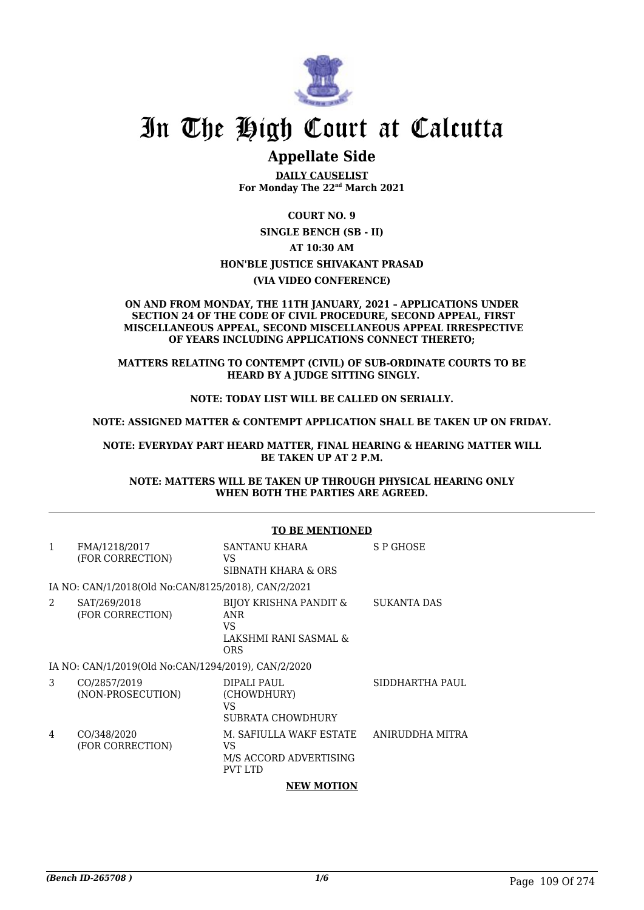

# In The High Court at Calcutta

### **Appellate Side**

**DAILY CAUSELIST For Monday The 22nd March 2021**

**COURT NO. 9 SINGLE BENCH (SB - II) AT 10:30 AM HON'BLE JUSTICE SHIVAKANT PRASAD (VIA VIDEO CONFERENCE)**

#### **ON AND FROM MONDAY, THE 11TH JANUARY, 2021 – APPLICATIONS UNDER SECTION 24 OF THE CODE OF CIVIL PROCEDURE, SECOND APPEAL, FIRST MISCELLANEOUS APPEAL, SECOND MISCELLANEOUS APPEAL IRRESPECTIVE OF YEARS INCLUDING APPLICATIONS CONNECT THERETO;**

**MATTERS RELATING TO CONTEMPT (CIVIL) OF SUB-ORDINATE COURTS TO BE HEARD BY A JUDGE SITTING SINGLY.**

#### **NOTE: TODAY LIST WILL BE CALLED ON SERIALLY.**

**NOTE: ASSIGNED MATTER & CONTEMPT APPLICATION SHALL BE TAKEN UP ON FRIDAY.**

**NOTE: EVERYDAY PART HEARD MATTER, FINAL HEARING & HEARING MATTER WILL BE TAKEN UP AT 2 P.M.**

**NOTE: MATTERS WILL BE TAKEN UP THROUGH PHYSICAL HEARING ONLY WHEN BOTH THE PARTIES ARE AGREED.**

#### **TO BE MENTIONED**

| $\mathbf{1}$ | FMA/1218/2017<br>(FOR CORRECTION)                   | SANTANU KHARA<br>VS<br>SIBNATH KHARA & ORS                                  | S P GHOSE       |
|--------------|-----------------------------------------------------|-----------------------------------------------------------------------------|-----------------|
|              | IA NO: CAN/1/2018(Old No:CAN/8125/2018), CAN/2/2021 |                                                                             |                 |
| 2            | SAT/269/2018<br>(FOR CORRECTION)                    | BIJOY KRISHNA PANDIT &<br><b>ANR</b><br>VS.<br>LAKSHMI RANI SASMAL &<br>ORS | SUKANTA DAS     |
|              | IA NO: CAN/1/2019(Old No:CAN/1294/2019), CAN/2/2020 |                                                                             |                 |
| 3            | CO/2857/2019<br>(NON-PROSECUTION)                   | DIPALI PAUL<br>(CHOWDHURY)<br>VS<br>SUBRATA CHOWDHURY                       | SIDDHARTHA PAUL |
| 4            | CO/348/2020<br>(FOR CORRECTION)                     | M. SAFIULLA WAKF ESTATE<br>VS.<br>M/S ACCORD ADVERTISING<br>PVT LTD         | ANIRUDDHA MITRA |
|              |                                                     | <b>NEW MOTION</b>                                                           |                 |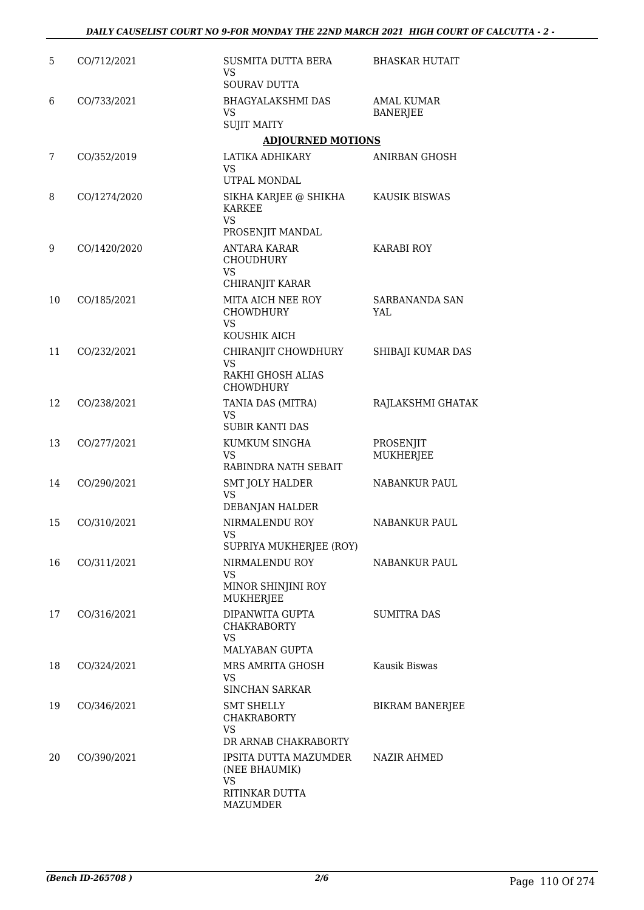| 5  | CO/712/2021  | SUSMITA DUTTA BERA<br><b>VS</b>                     | <b>BHASKAR HUTAIT</b>                |
|----|--------------|-----------------------------------------------------|--------------------------------------|
|    |              | <b>SOURAV DUTTA</b>                                 |                                      |
| 6  | CO/733/2021  | <b>BHAGYALAKSHMI DAS</b><br>VS                      | <b>AMAL KUMAR</b><br><b>BANERJEE</b> |
|    |              | <b>SUJIT MAITY</b><br><b>ADJOURNED MOTIONS</b>      |                                      |
| 7  | CO/352/2019  | LATIKA ADHIKARY                                     | <b>ANIRBAN GHOSH</b>                 |
|    |              | VS<br>UTPAL MONDAL                                  |                                      |
| 8  | CO/1274/2020 | SIKHA KARJEE @ SHIKHA<br><b>KARKEE</b><br><b>VS</b> | <b>KAUSIK BISWAS</b>                 |
|    |              | PROSENJIT MANDAL                                    |                                      |
| 9  | CO/1420/2020 | ANTARA KARAR<br>CHOUDHURY<br><b>VS</b>              | <b>KARABI ROY</b>                    |
|    |              | CHIRANJIT KARAR                                     |                                      |
| 10 | CO/185/2021  | MITA AICH NEE ROY<br><b>CHOWDHURY</b><br><b>VS</b>  | <b>SARBANANDA SAN</b><br>YAL         |
|    |              | KOUSHIK AICH                                        |                                      |
| 11 | CO/232/2021  | CHIRANJIT CHOWDHURY<br><b>VS</b>                    | SHIBAJI KUMAR DAS                    |
|    |              | RAKHI GHOSH ALIAS<br><b>CHOWDHURY</b>               |                                      |
| 12 | CO/238/2021  | TANIA DAS (MITRA)<br>VS                             | RAJLAKSHMI GHATAK                    |
|    |              | <b>SUBIR KANTI DAS</b>                              |                                      |
| 13 | CO/277/2021  | KUMKUM SINGHA<br><b>VS</b><br>RABINDRA NATH SEBAIT  | PROSENJIT<br><b>MUKHERJEE</b>        |
| 14 | CO/290/2021  | <b>SMT JOLY HALDER</b>                              | NABANKUR PAUL                        |
|    |              | <b>VS</b><br>DEBANJAN HALDER                        |                                      |
| 15 | CO/310/2021  | NIRMALENDU ROY                                      | <b>NABANKUR PAUL</b>                 |
|    |              | VS<br>SUPRIYA MUKHERJEE (ROY)                       |                                      |
| 16 | CO/311/2021  | NIRMALENDU ROY                                      | NABANKUR PAUL                        |
|    |              | <b>VS</b><br>MINOR SHINJINI ROY<br><b>MUKHERJEE</b> |                                      |
| 17 | CO/316/2021  | DIPANWITA GUPTA<br><b>CHAKRABORTY</b>               | <b>SUMITRA DAS</b>                   |
|    |              | VS<br><b>MALYABAN GUPTA</b>                         |                                      |
| 18 | CO/324/2021  | MRS AMRITA GHOSH                                    | Kausik Biswas                        |
|    |              | VS<br><b>SINCHAN SARKAR</b>                         |                                      |
| 19 | CO/346/2021  | <b>SMT SHELLY</b><br><b>CHAKRABORTY</b><br>VS       | <b>BIKRAM BANERJEE</b>               |
|    |              | DR ARNAB CHAKRABORTY                                |                                      |
| 20 | CO/390/2021  | IPSITA DUTTA MAZUMDER<br>(NEE BHAUMIK)              | NAZIR AHMED                          |
|    |              | VS<br>RITINKAR DUTTA<br>MAZUMDER                    |                                      |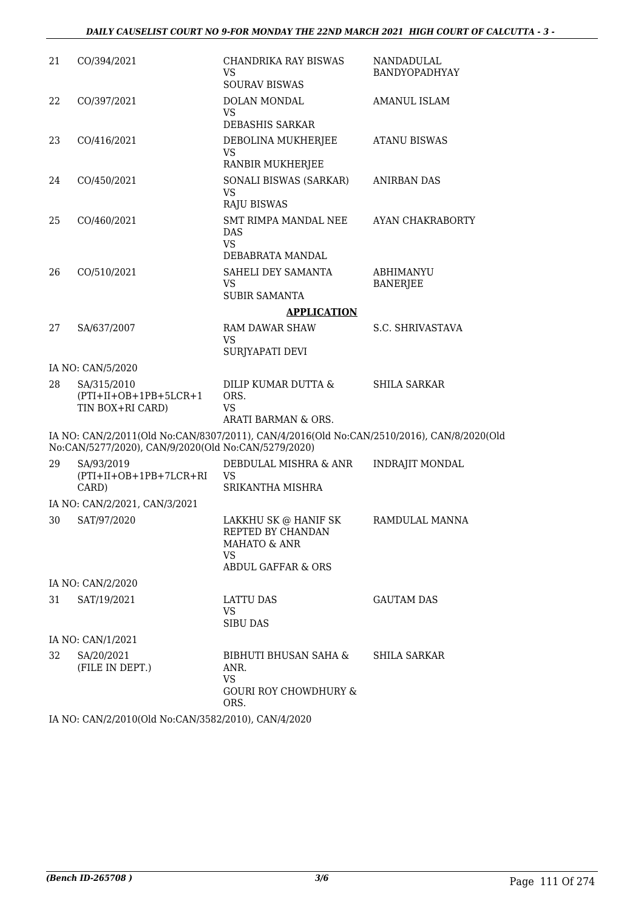| 21 | CO/394/2021                                                | CHANDRIKA RAY BISWAS<br><b>VS</b><br><b>SOURAV BISWAS</b>                                               | NANDADULAL<br>BANDYOPADHYAY  |
|----|------------------------------------------------------------|---------------------------------------------------------------------------------------------------------|------------------------------|
| 22 | CO/397/2021                                                | DOLAN MONDAL<br><b>VS</b><br>DEBASHIS SARKAR                                                            | AMANUL ISLAM                 |
| 23 | CO/416/2021                                                | DEBOLINA MUKHERJEE<br><b>VS</b><br><b>RANBIR MUKHERJEE</b>                                              | <b>ATANU BISWAS</b>          |
| 24 | CO/450/2021                                                | SONALI BISWAS (SARKAR)<br><b>VS</b><br><b>RAJU BISWAS</b>                                               | <b>ANIRBAN DAS</b>           |
| 25 | CO/460/2021                                                | SMT RIMPA MANDAL NEE<br><b>DAS</b><br><b>VS</b>                                                         | AYAN CHAKRABORTY             |
|    |                                                            | DEBABRATA MANDAL                                                                                        |                              |
| 26 | CO/510/2021                                                | SAHELI DEY SAMANTA<br><b>VS</b>                                                                         | ABHIMANYU<br><b>BANERJEE</b> |
|    |                                                            | <b>SUBIR SAMANTA</b>                                                                                    |                              |
|    |                                                            | <b>APPLICATION</b>                                                                                      |                              |
| 27 | SA/637/2007                                                | <b>RAM DAWAR SHAW</b><br><b>VS</b><br>SURJYAPATI DEVI                                                   | S.C. SHRIVASTAVA             |
|    | IA NO: CAN/5/2020                                          |                                                                                                         |                              |
| 28 | SA/315/2010<br>$(PTI+II+OB+1PB+5LCR+1$<br>TIN BOX+RI CARD) | DILIP KUMAR DUTTA &<br>ORS.<br>VS.                                                                      | <b>SHILA SARKAR</b>          |
|    |                                                            | ARATI BARMAN & ORS.                                                                                     |                              |
|    | No:CAN/5277/2020), CAN/9/2020(Old No:CAN/5279/2020)        | IA NO: CAN/2/2011(Old No:CAN/8307/2011), CAN/4/2016(Old No:CAN/2510/2016), CAN/8/2020(Old               |                              |
| 29 | SA/93/2019<br>$(PTI+II+OB+1PB+7LCR+RI)$<br>CARD)           | DEBDULAL MISHRA & ANR<br>VS.<br>SRIKANTHA MISHRA                                                        | <b>INDRAJIT MONDAL</b>       |
|    | IA NO: CAN/2/2021, CAN/3/2021                              |                                                                                                         |                              |
| 30 | SAT/97/2020                                                | LAKKHU SK @ HANIF SK<br>REPTED BY CHANDAN<br>MAHATO & ANR<br><b>VS</b><br><b>ABDUL GAFFAR &amp; ORS</b> | RAMDULAL MANNA               |
|    | IA NO: CAN/2/2020                                          |                                                                                                         |                              |
| 31 | SAT/19/2021                                                | LATTU DAS                                                                                               | <b>GAUTAM DAS</b>            |
|    |                                                            | <b>VS</b><br><b>SIBU DAS</b>                                                                            |                              |
|    | IA NO: CAN/1/2021                                          |                                                                                                         |                              |
| 32 | SA/20/2021<br>(FILE IN DEPT.)                              | BIBHUTI BHUSAN SAHA &<br>ANR.<br><b>VS</b><br><b>GOURI ROY CHOWDHURY &amp;</b><br>ORS.                  | <b>SHILA SARKAR</b>          |
|    |                                                            |                                                                                                         |                              |

IA NO: CAN/2/2010(Old No:CAN/3582/2010), CAN/4/2020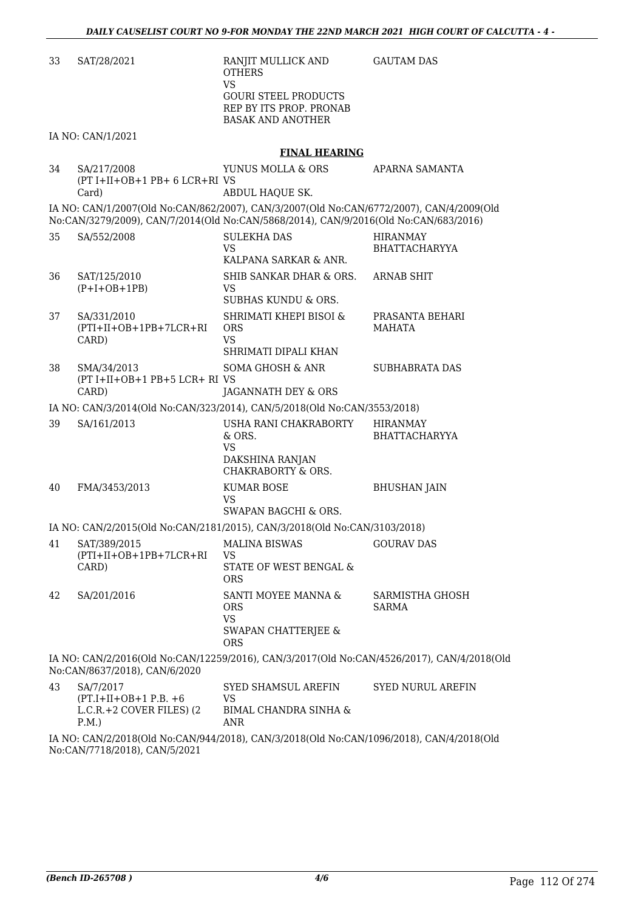| 33 | SAT/28/2021                                                         | RANJIT MULLICK AND<br><b>OTHERS</b><br><b>VS</b>                                           | <b>GAUTAM DAS</b>                       |
|----|---------------------------------------------------------------------|--------------------------------------------------------------------------------------------|-----------------------------------------|
|    |                                                                     | <b>GOURI STEEL PRODUCTS</b><br>REP BY ITS PROP. PRONAB<br><b>BASAK AND ANOTHER</b>         |                                         |
|    | IA NO: CAN/1/2021                                                   |                                                                                            |                                         |
|    |                                                                     | <b>FINAL HEARING</b>                                                                       |                                         |
| 34 | SA/217/2008<br>(PT I+II+OB+1 PB+ 6 LCR+RI VS<br>Card)               | YUNUS MOLLA & ORS<br>ABDUL HAQUE SK.                                                       | APARNA SAMANTA                          |
|    |                                                                     | IA NO: CAN/1/2007(Old No:CAN/862/2007), CAN/3/2007(Old No:CAN/6772/2007), CAN/4/2009(Old   |                                         |
|    |                                                                     | No:CAN/3279/2009), CAN/7/2014(Old No:CAN/5868/2014), CAN/9/2016(Old No:CAN/683/2016)       |                                         |
| 35 | SA/552/2008                                                         | <b>SULEKHA DAS</b><br><b>VS</b><br>KALPANA SARKAR & ANR.                                   | <b>HIRANMAY</b><br><b>BHATTACHARYYA</b> |
| 36 | SAT/125/2010<br>$(P+I+OB+1PB)$                                      | SHIB SANKAR DHAR & ORS.<br>VS                                                              | ARNAB SHIT                              |
|    |                                                                     | <b>SUBHAS KUNDU &amp; ORS.</b>                                                             |                                         |
| 37 | SA/331/2010<br>$(PTI+II+OB+1PB+7LCR+RI)$<br>CARD)                   | SHRIMATI KHEPI BISOI &<br><b>ORS</b><br>VS                                                 | PRASANTA BEHARI<br><b>MAHATA</b>        |
|    |                                                                     | SHRIMATI DIPALI KHAN                                                                       |                                         |
| 38 | SMA/34/2013<br>(PT I+II+OB+1 PB+5 LCR+ RI VS<br>CARD)               | SOMA GHOSH & ANR<br>JAGANNATH DEY & ORS                                                    | <b>SUBHABRATA DAS</b>                   |
|    |                                                                     | IA NO: CAN/3/2014(Old No:CAN/323/2014), CAN/5/2018(Old No:CAN/3553/2018)                   |                                         |
| 39 | SA/161/2013                                                         | USHA RANI CHAKRABORTY                                                                      | <b>HIRANMAY</b>                         |
|    |                                                                     | $&$ ORS.<br>VS                                                                             | <b>BHATTACHARYYA</b>                    |
|    |                                                                     | DAKSHINA RANJAN<br><b>CHAKRABORTY &amp; ORS.</b>                                           |                                         |
| 40 | FMA/3453/2013                                                       | <b>KUMAR BOSE</b><br>VS                                                                    | <b>BHUSHAN JAIN</b>                     |
|    |                                                                     | SWAPAN BAGCHI & ORS.                                                                       |                                         |
|    |                                                                     | IA NO: CAN/2/2015(Old No:CAN/2181/2015), CAN/3/2018(Old No:CAN/3103/2018)                  |                                         |
| 41 | SAT/389/2015<br>$(PTI+II+OB+1PB+7LCR+RI)$                           | <b>MALINA BISWAS</b><br><b>VS</b>                                                          | <b>GOURAV DAS</b>                       |
|    | CARD)                                                               | STATE OF WEST BENGAL &<br><b>ORS</b>                                                       |                                         |
| 42 | SA/201/2016                                                         | SANTI MOYEE MANNA &<br><b>ORS</b><br><b>VS</b>                                             | SARMISTHA GHOSH<br><b>SARMA</b>         |
|    |                                                                     | <b>SWAPAN CHATTERJEE &amp;</b><br><b>ORS</b>                                               |                                         |
|    | No:CAN/8637/2018), CAN/6/2020                                       | IA NO: CAN/2/2016(Old No:CAN/12259/2016), CAN/3/2017(Old No:CAN/4526/2017), CAN/4/2018(Old |                                         |
| 43 | SA/7/2017<br>$(PT.I+II+OB+1 P.B. +6)$<br>$L.C.R.+2 COVER FILES$ (2) | SYED SHAMSUL AREFIN<br><b>VS</b><br>BIMAL CHANDRA SINHA &                                  | SYED NURUL AREFIN                       |

IA NO: CAN/2/2018(Old No:CAN/944/2018), CAN/3/2018(Old No:CAN/1096/2018), CAN/4/2018(Old No:CAN/7718/2018), CAN/5/2021

ANR

P.M.)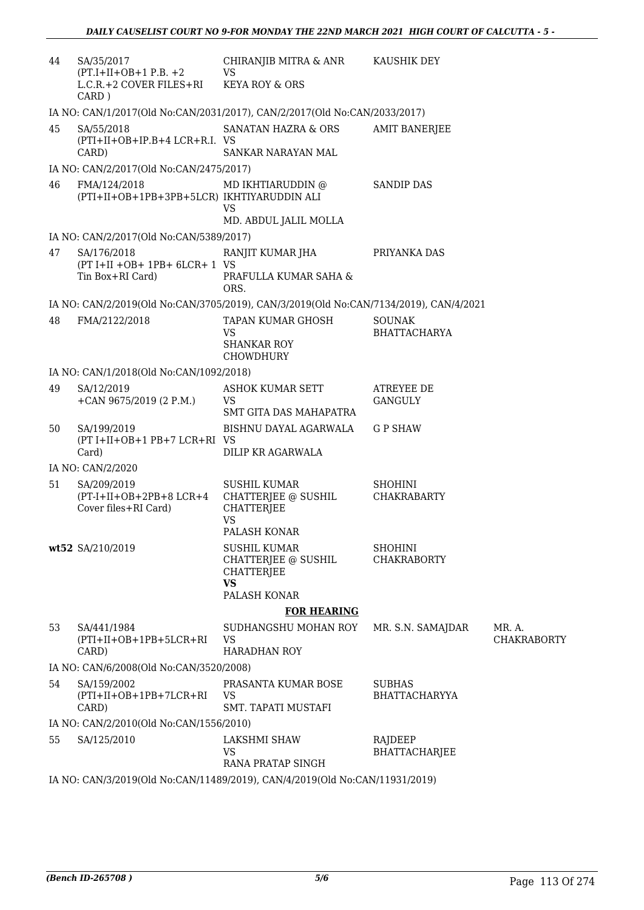| 44 | SA/35/2017<br>$(PT.I+II+OB+1 P.B. +2)$<br>L.C.R.+2 COVER FILES+RI<br>CARD) | CHIRANJIB MITRA & ANR<br><b>VS</b><br><b>KEYA ROY &amp; ORS</b>                              | KAUSHIK DEY                           |                    |
|----|----------------------------------------------------------------------------|----------------------------------------------------------------------------------------------|---------------------------------------|--------------------|
|    |                                                                            | IA NO: CAN/1/2017(Old No:CAN/2031/2017), CAN/2/2017(Old No:CAN/2033/2017)                    |                                       |                    |
| 45 | SA/55/2018<br>(PTI+II+OB+IP.B+4 LCR+R.I. VS<br>CARD)                       | SANATAN HAZRA & ORS<br>SANKAR NARAYAN MAL                                                    | <b>AMIT BANERJEE</b>                  |                    |
|    | IA NO: CAN/2/2017(Old No:CAN/2475/2017)                                    |                                                                                              |                                       |                    |
| 46 | FMA/124/2018<br>(PTI+II+OB+1PB+3PB+5LCR) IKHTIYARUDDIN ALI                 | MD IKHTIARUDDIN @<br>VS<br>MD. ABDUL JALIL MOLLA                                             | <b>SANDIP DAS</b>                     |                    |
|    | IA NO: CAN/2/2017(Old No:CAN/5389/2017)                                    |                                                                                              |                                       |                    |
| 47 | SA/176/2018<br>(PT I+II +OB+ 1PB+ 6LCR+ 1 VS<br>Tin Box+RI Card)           | RANJIT KUMAR JHA<br>PRAFULLA KUMAR SAHA &<br>ORS.                                            | PRIYANKA DAS                          |                    |
|    |                                                                            | IA NO: CAN/2/2019(Old No:CAN/3705/2019), CAN/3/2019(Old No:CAN/7134/2019), CAN/4/2021        |                                       |                    |
| 48 | FMA/2122/2018                                                              | TAPAN KUMAR GHOSH<br><b>VS</b><br><b>SHANKAR ROY</b><br>CHOWDHURY                            | <b>SOUNAK</b><br><b>BHATTACHARYA</b>  |                    |
|    | IA NO: CAN/1/2018(Old No:CAN/1092/2018)                                    |                                                                                              |                                       |                    |
| 49 | SA/12/2019<br>+CAN 9675/2019 (2 P.M.)                                      | ASHOK KUMAR SETT<br><b>VS</b><br>SMT GITA DAS MAHAPATRA                                      | ATREYEE DE<br>GANGULY                 |                    |
| 50 | SA/199/2019<br>(PT I+II+OB+1 PB+7 LCR+RI VS<br>Card)                       | BISHNU DAYAL AGARWALA<br>DILIP KR AGARWALA                                                   | <b>G P SHAW</b>                       |                    |
|    | IA NO: CAN/2/2020                                                          |                                                                                              |                                       |                    |
| 51 | SA/209/2019<br>$(PT-I+II+OB+2PB+8 LCR+4$<br>Cover files+RI Card)           | <b>SUSHIL KUMAR</b><br>CHATTERJEE @ SUSHIL<br><b>CHATTERJEE</b><br><b>VS</b><br>PALASH KONAR | <b>SHOHINI</b><br><b>CHAKRABARTY</b>  |                    |
|    | wt52 SA/210/2019                                                           | <b>SUSHIL KUMAR</b><br>CHATTERJEE @ SUSHIL<br><b>CHATTERJEE</b><br><b>VS</b><br>PALASH KONAR | <b>SHOHINI</b><br><b>CHAKRABORTY</b>  |                    |
| 53 | SA/441/1984                                                                | <b>FOR HEARING</b><br>SUDHANGSHU MOHAN ROY                                                   |                                       | MR. A.             |
|    | $(PTI+II+OB+1PB+5LCR+RI)$<br>CARD)                                         | <b>VS</b><br><b>HARADHAN ROY</b>                                                             | MR. S.N. SAMAJDAR                     | <b>CHAKRABORTY</b> |
|    | IA NO: CAN/6/2008(Old No:CAN/3520/2008)                                    |                                                                                              |                                       |                    |
| 54 | SA/159/2002<br>$(PTI+II+OB+1PB+7LCR+RI)$<br>CARD)                          | PRASANTA KUMAR BOSE<br><b>VS</b><br>SMT. TAPATI MUSTAFI                                      | <b>SUBHAS</b><br><b>BHATTACHARYYA</b> |                    |
|    | IA NO: CAN/2/2010(Old No:CAN/1556/2010)                                    |                                                                                              |                                       |                    |
| 55 | SA/125/2010                                                                | LAKSHMI SHAW<br><b>VS</b><br>RANA PRATAP SINGH                                               | RAJDEEP<br>BHATTACHARJEE              |                    |
|    |                                                                            | IA NO: CAN/3/2019(Old No:CAN/11489/2019), CAN/4/2019(Old No:CAN/11931/2019)                  |                                       |                    |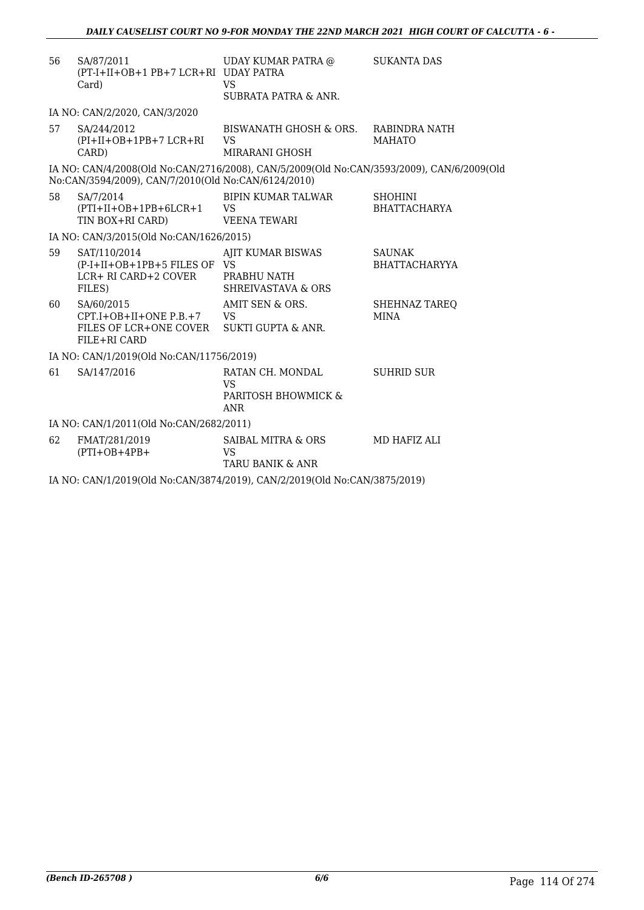| 56 | SA/87/2011<br>(PT-I+II+OB+1 PB+7 LCR+RI UDAY PATRA<br>Card)                                            | UDAY KUMAR PATRA @<br><b>VS</b><br>SUBRATA PATRA & ANR.                                   | <b>SUKANTA DAS</b>                    |
|----|--------------------------------------------------------------------------------------------------------|-------------------------------------------------------------------------------------------|---------------------------------------|
|    | IA NO: CAN/2/2020, CAN/3/2020                                                                          |                                                                                           |                                       |
| 57 | SA/244/2012<br>(PI+II+OB+1PB+7 LCR+RI<br>CARD)                                                         | BISWANATH GHOSH & ORS. RABINDRA NATH<br><b>VS</b><br>MIRARANI GHOSH                       | <b>MAHATO</b>                         |
|    | No:CAN/3594/2009), CAN/7/2010(Old No:CAN/6124/2010)                                                    | IA NO: CAN/4/2008(Old No:CAN/2716/2008), CAN/5/2009(Old No:CAN/3593/2009), CAN/6/2009(Old |                                       |
| 58 | SA/7/2014<br>$(PTI+II+OB+1PB+6LCR+1$<br>TIN BOX+RI CARD)                                               | <b>BIPIN KUMAR TALWAR</b><br><b>VS</b><br>VEENA TEWARI                                    | <b>SHOHINI</b><br><b>BHATTACHARYA</b> |
|    | IA NO: CAN/3/2015(Old No:CAN/1626/2015)                                                                |                                                                                           |                                       |
| 59 | SAT/110/2014<br>(P-I+II+OB+1PB+5 FILES OF VS<br>LCR+ RI CARD+2 COVER<br>FILES)                         | AJIT KUMAR BISWAS<br>PRABHU NATH<br><b>SHREIVASTAVA &amp; ORS</b>                         | <b>SAUNAK</b><br><b>BHATTACHARYYA</b> |
| 60 | SA/60/2015<br>$CPT.I+OB+II+ONE P.B.+7$ VS<br>FILES OF LCR+ONE COVER SUKTI GUPTA & ANR.<br>FILE+RI CARD | AMIT SEN & ORS.                                                                           | SHEHNAZ TAREQ<br><b>MINA</b>          |
|    | IA NO: CAN/1/2019(Old No:CAN/11756/2019)                                                               |                                                                                           |                                       |
| 61 | SA/147/2016                                                                                            | RATAN CH. MONDAL<br>VS<br>PARITOSH BHOWMICK &<br><b>ANR</b>                               | <b>SUHRID SUR</b>                     |
|    | IA NO: CAN/1/2011(Old No:CAN/2682/2011)                                                                |                                                                                           |                                       |
| 62 | FMAT/281/2019<br>$(PTI+OB+4PB+$                                                                        | SAIBAL MITRA & ORS<br><b>VS</b><br>TARU BANIK & ANR                                       | MD HAFIZ ALI                          |
|    |                                                                                                        | IA NO: CAN/1/2019(Old No:CAN/3874/2019), CAN/2/2019(Old No:CAN/3875/2019)                 |                                       |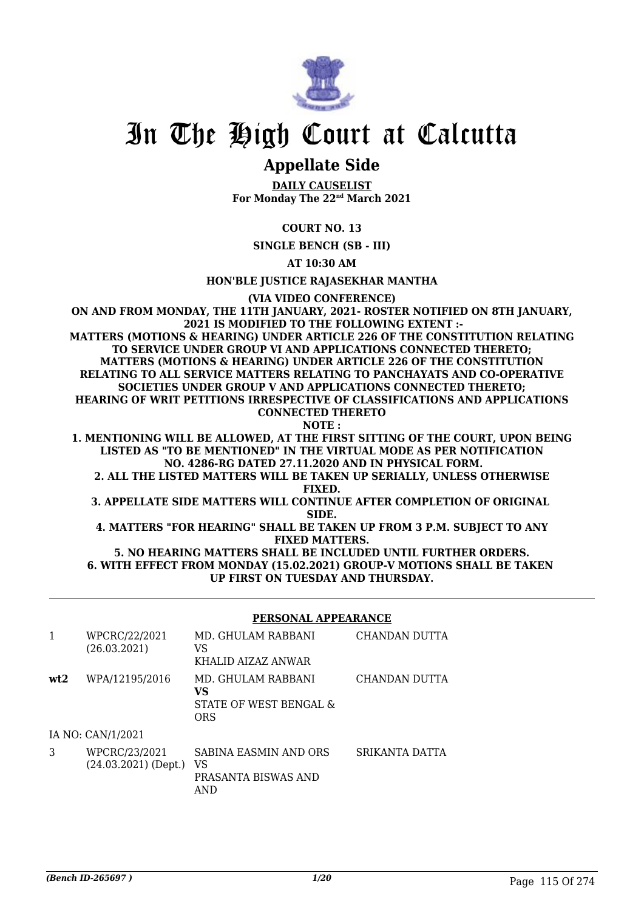

# In The High Court at Calcutta

### **Appellate Side**

**DAILY CAUSELIST For Monday The 22nd March 2021**

#### **COURT NO. 13**

**SINGLE BENCH (SB - III)**

**AT 10:30 AM**

**HON'BLE JUSTICE RAJASEKHAR MANTHA**

**(VIA VIDEO CONFERENCE)**

**ON AND FROM MONDAY, THE 11TH JANUARY, 2021- ROSTER NOTIFIED ON 8TH JANUARY, 2021 IS MODIFIED TO THE FOLLOWING EXTENT :- MATTERS (MOTIONS & HEARING) UNDER ARTICLE 226 OF THE CONSTITUTION RELATING TO SERVICE UNDER GROUP VI AND APPLICATIONS CONNECTED THERETO; MATTERS (MOTIONS & HEARING) UNDER ARTICLE 226 OF THE CONSTITUTION RELATING TO ALL SERVICE MATTERS RELATING TO PANCHAYATS AND CO-OPERATIVE SOCIETIES UNDER GROUP V AND APPLICATIONS CONNECTED THERETO; HEARING OF WRIT PETITIONS IRRESPECTIVE OF CLASSIFICATIONS AND APPLICATIONS CONNECTED THERETO NOTE :**

**1. MENTIONING WILL BE ALLOWED, AT THE FIRST SITTING OF THE COURT, UPON BEING LISTED AS "TO BE MENTIONED" IN THE VIRTUAL MODE AS PER NOTIFICATION NO. 4286-RG DATED 27.11.2020 AND IN PHYSICAL FORM.**

**2. ALL THE LISTED MATTERS WILL BE TAKEN UP SERIALLY, UNLESS OTHERWISE FIXED.**

**3. APPELLATE SIDE MATTERS WILL CONTINUE AFTER COMPLETION OF ORIGINAL SIDE.**

**4. MATTERS "FOR HEARING" SHALL BE TAKEN UP FROM 3 P.M. SUBJECT TO ANY FIXED MATTERS.**

**5. NO HEARING MATTERS SHALL BE INCLUDED UNTIL FURTHER ORDERS. 6. WITH EFFECT FROM MONDAY (15.02.2021) GROUP-V MOTIONS SHALL BE TAKEN UP FIRST ON TUESDAY AND THURSDAY.**

#### **PERSONAL APPEARANCE**

| 1   | WPCRC/22/2021<br>(26.03.2021)           | MD. GHULAM RABBANI<br>VS<br>KHALID AIZAZ ANWAR            | CHANDAN DUTTA  |
|-----|-----------------------------------------|-----------------------------------------------------------|----------------|
| wt2 | WPA/12195/2016                          | MD. GHULAM RABBANI<br>VS<br>STATE OF WEST BENGAL &<br>ORS | CHANDAN DUTTA  |
|     | IA NO: CAN/1/2021                       |                                                           |                |
| 3   | WPCRC/23/2021<br>$(24.03.2021)$ (Dept.) | SABINA EASMIN AND ORS<br>VS<br>PRASANTA BISWAS AND<br>AND | SRIKANTA DATTA |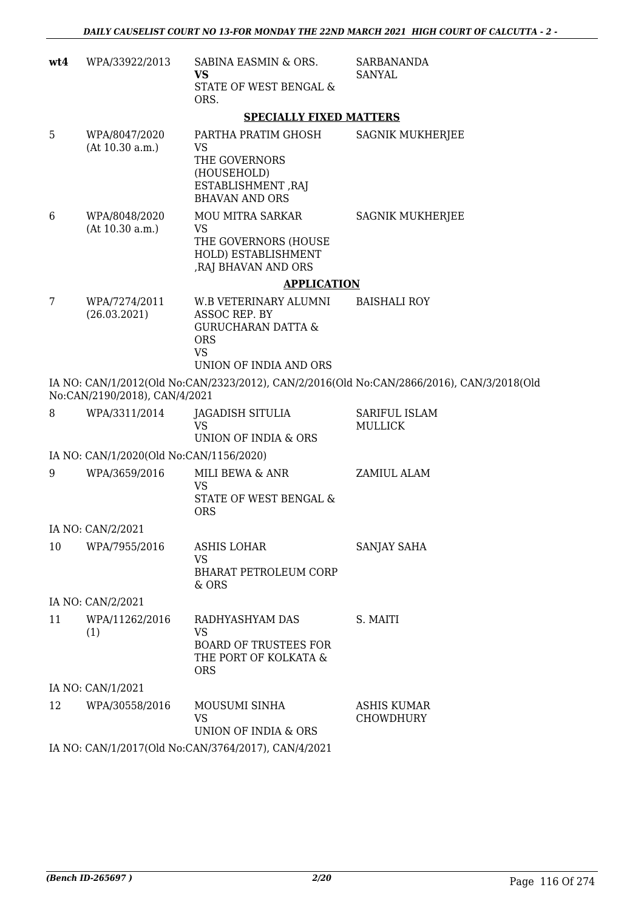| wt4 | WPA/33922/2013                                           | SABINA EASMIN & ORS.<br>VS                                                                           | <b>SARBANANDA</b><br><b>SANYAL</b>                                                        |
|-----|----------------------------------------------------------|------------------------------------------------------------------------------------------------------|-------------------------------------------------------------------------------------------|
|     |                                                          | STATE OF WEST BENGAL &<br>ORS.                                                                       |                                                                                           |
|     |                                                          | <b>SPECIALLY FIXED MATTERS</b>                                                                       |                                                                                           |
| 5   | WPA/8047/2020<br>(At 10.30 a.m.)                         | PARTHA PRATIM GHOSH<br>VS                                                                            | <b>SAGNIK MUKHERJEE</b>                                                                   |
|     |                                                          | THE GOVERNORS<br>(HOUSEHOLD)<br>ESTABLISHMENT, RAJ<br><b>BHAVAN AND ORS</b>                          |                                                                                           |
| 6   | WPA/8048/2020<br>(At 10.30 a.m.)                         | MOU MITRA SARKAR<br><b>VS</b><br>THE GOVERNORS (HOUSE<br>HOLD) ESTABLISHMENT<br>, RAJ BHAVAN AND ORS | <b>SAGNIK MUKHERJEE</b>                                                                   |
|     |                                                          | <b>APPLICATION</b>                                                                                   |                                                                                           |
| 7   | WPA/7274/2011                                            | W.B VETERINARY ALUMNI                                                                                | <b>BAISHALI ROY</b>                                                                       |
|     | (26.03.2021)                                             | ASSOC REP. BY<br><b>GURUCHARAN DATTA &amp;</b><br><b>ORS</b><br><b>VS</b>                            |                                                                                           |
|     |                                                          | UNION OF INDIA AND ORS                                                                               |                                                                                           |
|     | No:CAN/2190/2018), CAN/4/2021                            |                                                                                                      | IA NO: CAN/1/2012(Old No:CAN/2323/2012), CAN/2/2016(Old No:CAN/2866/2016), CAN/3/2018(Old |
| 8   | WPA/3311/2014                                            | <b>JAGADISH SITULIA</b><br><b>VS</b>                                                                 | SARIFUL ISLAM<br><b>MULLICK</b>                                                           |
|     |                                                          | UNION OF INDIA & ORS                                                                                 |                                                                                           |
| 9   | IA NO: CAN/1/2020(Old No:CAN/1156/2020)<br>WPA/3659/2016 | MILI BEWA & ANR                                                                                      | ZAMIUL ALAM                                                                               |
|     |                                                          | VS                                                                                                   |                                                                                           |
|     |                                                          | STATE OF WEST BENGAL &<br><b>ORS</b>                                                                 |                                                                                           |
|     | IA NO: CAN/2/2021                                        |                                                                                                      |                                                                                           |
| 10  | WPA/7955/2016                                            | ASHIS LOHAR                                                                                          | SANJAY SAHA                                                                               |
|     |                                                          | <b>VS</b><br><b>BHARAT PETROLEUM CORP</b><br>& ORS                                                   |                                                                                           |
|     | IA NO: CAN/2/2021                                        |                                                                                                      |                                                                                           |
| 11  | WPA/11262/2016<br>(1)                                    | RADHYASHYAM DAS<br><b>VS</b>                                                                         | S. MAITI                                                                                  |
|     |                                                          | <b>BOARD OF TRUSTEES FOR</b><br>THE PORT OF KOLKATA &<br><b>ORS</b>                                  |                                                                                           |
|     | IA NO: CAN/1/2021                                        |                                                                                                      |                                                                                           |
| 12  | WPA/30558/2016                                           | MOUSUMI SINHA<br>VS<br><b>UNION OF INDIA &amp; ORS</b>                                               | <b>ASHIS KUMAR</b><br><b>CHOWDHURY</b>                                                    |
|     |                                                          | IA NO: CAN/1/2017(Old No:CAN/3764/2017), CAN/4/2021                                                  |                                                                                           |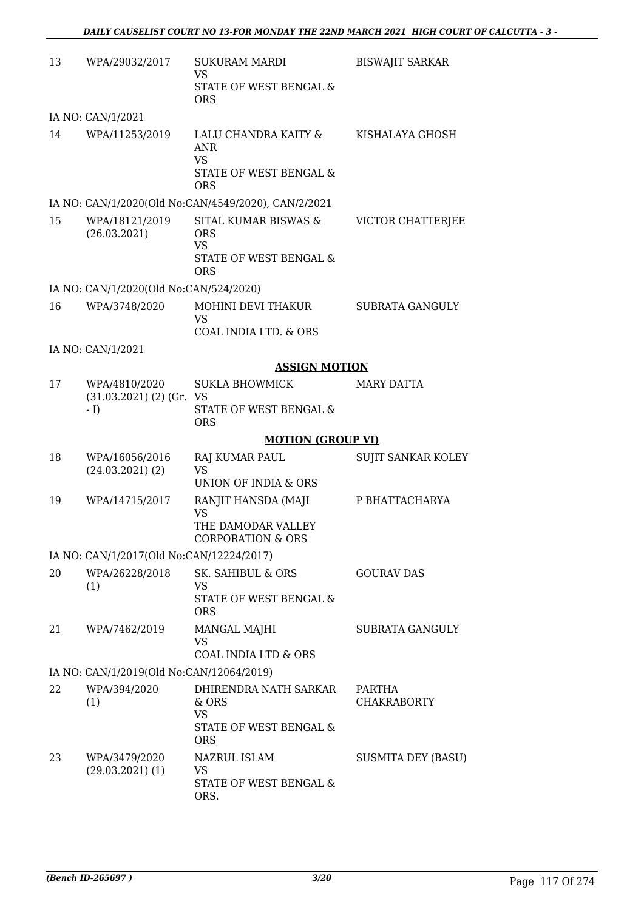| 13 | WPA/29032/2017                                           | <b>SUKURAM MARDI</b><br><b>VS</b><br>STATE OF WEST BENGAL &<br><b>ORS</b>               | <b>BISWAJIT SARKAR</b>       |
|----|----------------------------------------------------------|-----------------------------------------------------------------------------------------|------------------------------|
|    | IA NO: CAN/1/2021                                        |                                                                                         |                              |
| 14 | WPA/11253/2019                                           | LALU CHANDRA KAITY &<br><b>ANR</b><br><b>VS</b><br>STATE OF WEST BENGAL &<br><b>ORS</b> | KISHALAYA GHOSH              |
|    |                                                          | IA NO: CAN/1/2020(Old No:CAN/4549/2020), CAN/2/2021                                     |                              |
| 15 | WPA/18121/2019<br>(26.03.2021)                           | SITAL KUMAR BISWAS &<br><b>ORS</b><br><b>VS</b><br>STATE OF WEST BENGAL &<br><b>ORS</b> | VICTOR CHATTERJEE            |
|    | IA NO: CAN/1/2020(Old No:CAN/524/2020)                   |                                                                                         |                              |
| 16 | WPA/3748/2020                                            | MOHINI DEVI THAKUR<br><b>VS</b><br>COAL INDIA LTD. & ORS                                | <b>SUBRATA GANGULY</b>       |
|    | IA NO: CAN/1/2021                                        |                                                                                         |                              |
|    |                                                          | <b>ASSIGN MOTION</b>                                                                    |                              |
| 17 | WPA/4810/2020<br>$(31.03.2021)$ $(2)$ $(Gr. VS)$<br>$-1$ | <b>SUKLA BHOWMICK</b><br>STATE OF WEST BENGAL &<br><b>ORS</b>                           | <b>MARY DATTA</b>            |
|    |                                                          | <b>MOTION (GROUP VI)</b>                                                                |                              |
|    |                                                          |                                                                                         |                              |
| 18 | WPA/16056/2016<br>$(24.03.2021)$ $(2)$                   | <b>RAJ KUMAR PAUL</b><br><b>VS</b><br>UNION OF INDIA & ORS                              | SUJIT SANKAR KOLEY           |
| 19 | WPA/14715/2017                                           | RANJIT HANSDA (MAJI<br>VS<br>THE DAMODAR VALLEY<br><b>CORPORATION &amp; ORS</b>         | P BHATTACHARYA               |
|    | IA NO: CAN/1/2017(Old No:CAN/12224/2017)                 |                                                                                         |                              |
| 20 | WPA/26228/2018<br>(1)                                    | SK. SAHIBUL & ORS<br>VS<br>STATE OF WEST BENGAL &<br><b>ORS</b>                         | <b>GOURAV DAS</b>            |
| 21 | WPA/7462/2019                                            | MANGAL MAJHI<br>VS                                                                      | <b>SUBRATA GANGULY</b>       |
|    | IA NO: CAN/1/2019(Old No:CAN/12064/2019)                 | COAL INDIA LTD & ORS                                                                    |                              |
| 22 | WPA/394/2020<br>(1)                                      | DHIRENDRA NATH SARKAR<br>$&$ ORS<br><b>VS</b><br>STATE OF WEST BENGAL &<br><b>ORS</b>   | PARTHA<br><b>CHAKRABORTY</b> |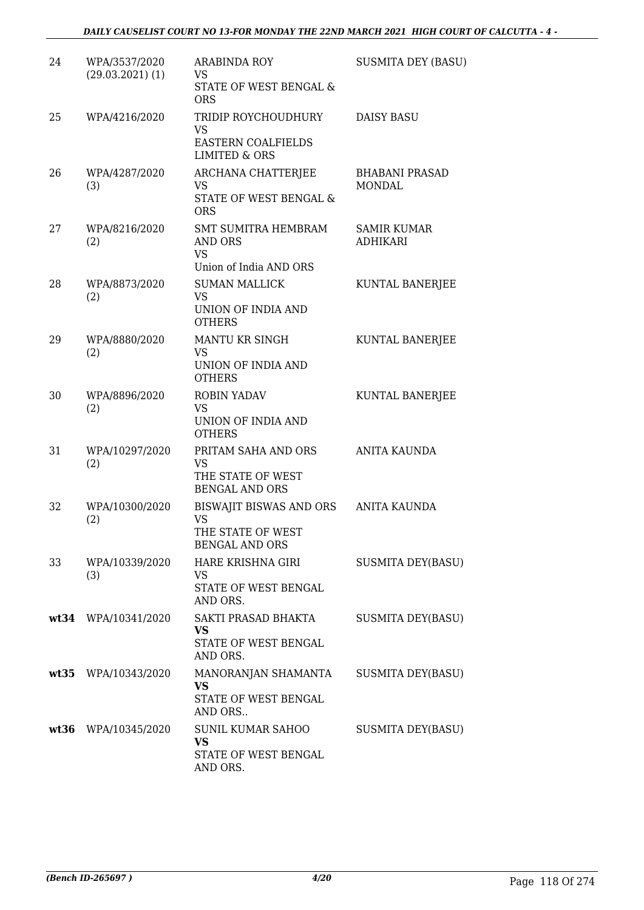#### *DAILY CAUSELIST COURT NO 13-FOR MONDAY THE 22ND MARCH 2021 HIGH COURT OF CALCUTTA - 4 -*

| 24 | WPA/3537/2020<br>$(29.03.2021)$ (1) | <b>ARABINDA ROY</b><br>VS.<br>STATE OF WEST BENGAL &<br><b>ORS</b>                 | <b>SUSMITA DEY (BASU)</b>             |
|----|-------------------------------------|------------------------------------------------------------------------------------|---------------------------------------|
| 25 | WPA/4216/2020                       | TRIDIP ROYCHOUDHURY<br>VS<br>EASTERN COALFIELDS<br><b>LIMITED &amp; ORS</b>        | <b>DAISY BASU</b>                     |
| 26 | WPA/4287/2020<br>(3)                | ARCHANA CHATTERJEE<br><b>VS</b><br><b>STATE OF WEST BENGAL &amp;</b><br><b>ORS</b> | <b>BHABANI PRASAD</b><br>MONDAL       |
| 27 | WPA/8216/2020<br>(2)                | <b>SMT SUMITRA HEMBRAM</b><br>AND ORS<br><b>VS</b><br>Union of India AND ORS       | <b>SAMIR KUMAR</b><br><b>ADHIKARI</b> |
| 28 | WPA/8873/2020<br>(2)                | <b>SUMAN MALLICK</b><br><b>VS</b><br>UNION OF INDIA AND<br><b>OTHERS</b>           | KUNTAL BANERJEE                       |
| 29 | WPA/8880/2020<br>(2)                | MANTU KR SINGH<br><b>VS</b><br>UNION OF INDIA AND<br><b>OTHERS</b>                 | KUNTAL BANERJEE                       |
| 30 | WPA/8896/2020<br>(2)                | <b>ROBIN YADAV</b><br><b>VS</b><br>UNION OF INDIA AND<br><b>OTHERS</b>             | KUNTAL BANERJEE                       |
| 31 | WPA/10297/2020<br>(2)               | PRITAM SAHA AND ORS<br>VS<br>THE STATE OF WEST<br><b>BENGAL AND ORS</b>            | <b>ANITA KAUNDA</b>                   |
| 32 | WPA/10300/2020<br>(2)               | BISWAJIT BISWAS AND ORS<br><b>VS</b><br>THE STATE OF WEST<br><b>BENGAL AND ORS</b> | ANITA KAUNDA                          |
| 33 | WPA/10339/2020<br>(3)               | HARE KRISHNA GIRI<br>VS<br>STATE OF WEST BENGAL<br>AND ORS.                        | <b>SUSMITA DEY(BASU)</b>              |
|    | wt34 WPA/10341/2020                 | SAKTI PRASAD BHAKTA<br><b>VS</b><br>STATE OF WEST BENGAL<br>AND ORS.               | <b>SUSMITA DEY(BASU)</b>              |
|    | wt35 WPA/10343/2020                 | MANORANJAN SHAMANTA<br>VS<br>STATE OF WEST BENGAL<br>AND ORS                       | <b>SUSMITA DEY(BASU)</b>              |
|    | wt36 WPA/10345/2020                 | SUNIL KUMAR SAHOO<br><b>VS</b><br>STATE OF WEST BENGAL<br>AND ORS.                 | <b>SUSMITA DEY(BASU)</b>              |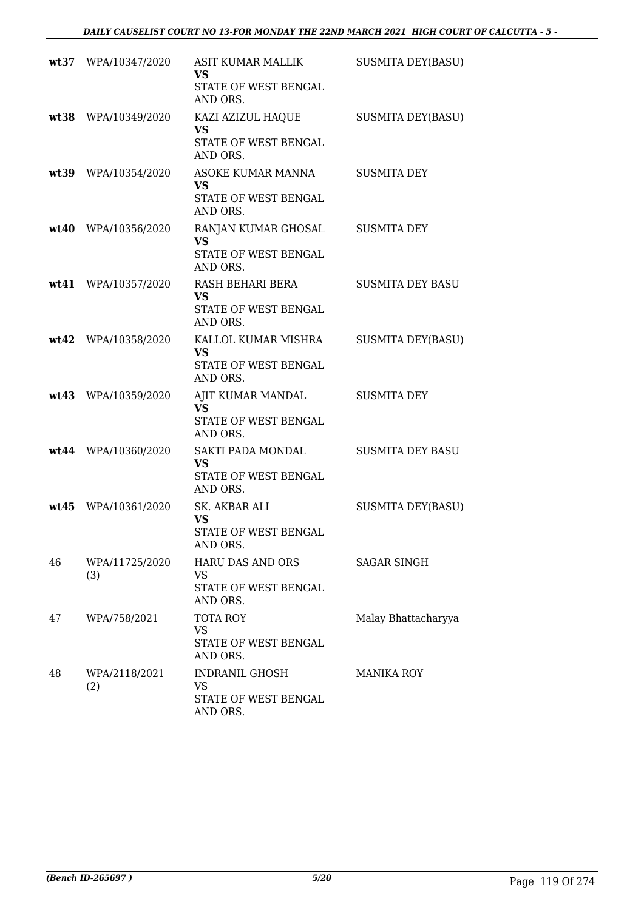|      | wt37 WPA/10347/2020   | ASIT KUMAR MALLIK<br>VS<br>STATE OF WEST BENGAL                      | <b>SUSMITA DEY(BASU)</b> |
|------|-----------------------|----------------------------------------------------------------------|--------------------------|
|      | wt38 WPA/10349/2020   | AND ORS.<br>KAZI AZIZUL HAQUE<br>VS.                                 | <b>SUSMITA DEY(BASU)</b> |
|      |                       | STATE OF WEST BENGAL<br>AND ORS.                                     |                          |
|      | wt39 WPA/10354/2020   | ASOKE KUMAR MANNA<br><b>VS</b><br>STATE OF WEST BENGAL               | <b>SUSMITA DEY</b>       |
|      | wt40 WPA/10356/2020   | AND ORS.                                                             | <b>SUSMITA DEY</b>       |
|      |                       | RANJAN KUMAR GHOSAL<br><b>VS</b><br>STATE OF WEST BENGAL<br>AND ORS. |                          |
| wt41 | WPA/10357/2020        | RASH BEHARI BERA<br><b>VS</b>                                        | <b>SUSMITA DEY BASU</b>  |
|      |                       | STATE OF WEST BENGAL<br>AND ORS.                                     |                          |
|      | wt42 WPA/10358/2020   | KALLOL KUMAR MISHRA<br><b>VS</b>                                     | <b>SUSMITA DEY(BASU)</b> |
|      |                       | STATE OF WEST BENGAL<br>AND ORS.                                     |                          |
|      | wt43 WPA/10359/2020   | AJIT KUMAR MANDAL<br>VS                                              | <b>SUSMITA DEY</b>       |
|      |                       | STATE OF WEST BENGAL<br>AND ORS.                                     |                          |
|      | wt44 WPA/10360/2020   | SAKTI PADA MONDAL<br>VS                                              | <b>SUSMITA DEY BASU</b>  |
|      |                       | STATE OF WEST BENGAL<br>AND ORS.                                     |                          |
|      | wt45 WPA/10361/2020   | SK. AKBAR ALI<br><b>VS</b>                                           | <b>SUSMITA DEY(BASU)</b> |
|      |                       | STATE OF WEST BENGAL<br>AND ORS.                                     |                          |
| 46   | WPA/11725/2020<br>(3) | HARU DAS AND ORS<br>VS                                               | <b>SAGAR SINGH</b>       |
|      |                       | STATE OF WEST BENGAL<br>AND ORS.                                     |                          |
| 47   | WPA/758/2021          | <b>TOTA ROY</b><br>VS                                                | Malay Bhattacharyya      |
|      |                       | STATE OF WEST BENGAL<br>AND ORS.                                     |                          |
| 48   | WPA/2118/2021<br>(2)  | <b>INDRANIL GHOSH</b><br>VS                                          | <b>MANIKA ROY</b>        |
|      |                       | STATE OF WEST BENGAL<br>AND ORS.                                     |                          |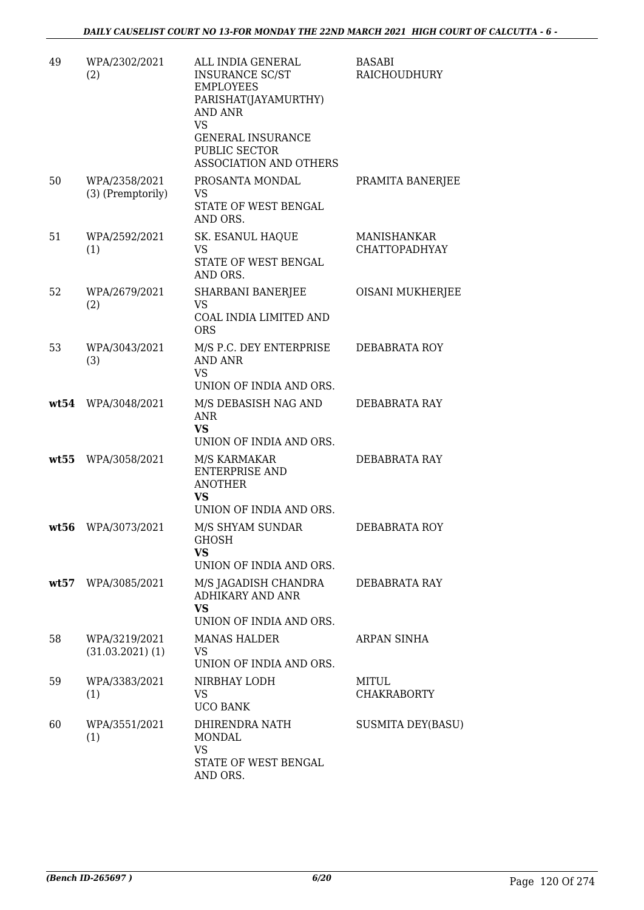| 49   | WPA/2302/2021<br>(2)                  | ALL INDIA GENERAL<br><b>INSURANCE SC/ST</b><br><b>EMPLOYEES</b><br>PARISHAT(JAYAMURTHY)<br><b>AND ANR</b><br><b>VS</b><br><b>GENERAL INSURANCE</b><br>PUBLIC SECTOR<br><b>ASSOCIATION AND OTHERS</b> | <b>BASABI</b><br>RAICHOUDHURY       |
|------|---------------------------------------|------------------------------------------------------------------------------------------------------------------------------------------------------------------------------------------------------|-------------------------------------|
| 50   | WPA/2358/2021<br>(3) (Premptorily)    | PROSANTA MONDAL<br>VS<br>STATE OF WEST BENGAL<br>AND ORS.                                                                                                                                            | PRAMITA BANERJEE                    |
| 51   | WPA/2592/2021<br>(1)                  | SK. ESANUL HAQUE<br><b>VS</b><br>STATE OF WEST BENGAL<br>AND ORS.                                                                                                                                    | MANISHANKAR<br><b>CHATTOPADHYAY</b> |
| 52   | WPA/2679/2021<br>(2)                  | <b>SHARBANI BANERJEE</b><br><b>VS</b><br><b>COAL INDIA LIMITED AND</b><br><b>ORS</b>                                                                                                                 | OISANI MUKHERJEE                    |
| 53   | WPA/3043/2021<br>(3)                  | M/S P.C. DEY ENTERPRISE<br>AND ANR<br><b>VS</b><br>UNION OF INDIA AND ORS.                                                                                                                           | DEBABRATA ROY                       |
|      | wt54 WPA/3048/2021                    | M/S DEBASISH NAG AND<br>ANR<br><b>VS</b><br>UNION OF INDIA AND ORS.                                                                                                                                  | DEBABRATA RAY                       |
| wt55 | WPA/3058/2021                         | M/S KARMAKAR<br><b>ENTERPRISE AND</b><br><b>ANOTHER</b><br>VS<br>UNION OF INDIA AND ORS.                                                                                                             | DEBABRATA RAY                       |
| wt56 | WPA/3073/2021                         | M/S SHYAM SUNDAR<br>GHOSH<br>VS<br>UNION OF INDIA AND ORS.                                                                                                                                           | DEBABRATA ROY                       |
|      | wt57 WPA/3085/2021                    | M/S JAGADISH CHANDRA<br><b>ADHIKARY AND ANR</b><br>VS<br>UNION OF INDIA AND ORS.                                                                                                                     | DEBABRATA RAY                       |
| 58   | WPA/3219/2021<br>$(31.03.2021)$ $(1)$ | <b>MANAS HALDER</b><br>VS<br>UNION OF INDIA AND ORS.                                                                                                                                                 | ARPAN SINHA                         |
| 59   | WPA/3383/2021<br>(1)                  | NIRBHAY LODH<br>VS<br><b>UCO BANK</b>                                                                                                                                                                | MITUL<br><b>CHAKRABORTY</b>         |
| 60   | WPA/3551/2021<br>(1)                  | DHIRENDRA NATH<br><b>MONDAL</b><br><b>VS</b><br>STATE OF WEST BENGAL<br>AND ORS.                                                                                                                     | <b>SUSMITA DEY(BASU)</b>            |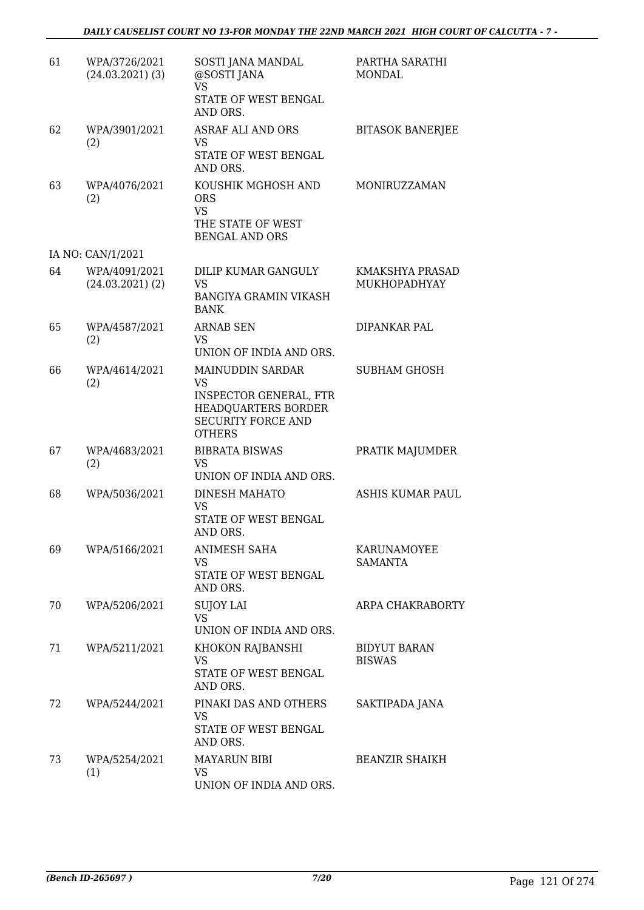| 61 | WPA/3726/2021<br>$(24.03.2021)$ (3)   | SOSTI JANA MANDAL<br>@SOSTI JANA<br><b>VS</b><br>STATE OF WEST BENGAL<br>AND ORS.                                                          | PARTHA SARATHI<br><b>MONDAL</b>      |
|----|---------------------------------------|--------------------------------------------------------------------------------------------------------------------------------------------|--------------------------------------|
| 62 | WPA/3901/2021<br>(2)                  | <b>ASRAF ALI AND ORS</b><br><b>VS</b><br>STATE OF WEST BENGAL<br>AND ORS.                                                                  | <b>BITASOK BANERJEE</b>              |
| 63 | WPA/4076/2021<br>(2)                  | KOUSHIK MGHOSH AND<br><b>ORS</b><br><b>VS</b><br>THE STATE OF WEST<br><b>BENGAL AND ORS</b>                                                | MONIRUZZAMAN                         |
|    | IA NO: CAN/1/2021                     |                                                                                                                                            |                                      |
| 64 | WPA/4091/2021<br>$(24.03.2021)$ $(2)$ | DILIP KUMAR GANGULY<br><b>VS</b><br><b>BANGIYA GRAMIN VIKASH</b><br><b>BANK</b>                                                            | KMAKSHYA PRASAD<br>MUKHOPADHYAY      |
| 65 | WPA/4587/2021<br>(2)                  | <b>ARNAB SEN</b><br>VS<br>UNION OF INDIA AND ORS.                                                                                          | DIPANKAR PAL                         |
| 66 | WPA/4614/2021<br>(2)                  | <b>MAINUDDIN SARDAR</b><br><b>VS</b><br><b>INSPECTOR GENERAL, FTR</b><br>HEADQUARTERS BORDER<br><b>SECURITY FORCE AND</b><br><b>OTHERS</b> | <b>SUBHAM GHOSH</b>                  |
| 67 | WPA/4683/2021<br>(2)                  | <b>BIBRATA BISWAS</b><br>VS<br>UNION OF INDIA AND ORS.                                                                                     | PRATIK MAJUMDER                      |
| 68 | WPA/5036/2021                         | DINESH MAHATO<br>VS<br>STATE OF WEST BENGAL<br>AND ORS.                                                                                    | ASHIS KUMAR PAUL                     |
| 69 | WPA/5166/2021                         | ANIMESH SAHA<br>VS<br>STATE OF WEST BENGAL<br>AND ORS.                                                                                     | KARUNAMOYEE<br><b>SAMANTA</b>        |
| 70 | WPA/5206/2021                         | <b>SUJOY LAI</b><br><b>VS</b><br>UNION OF INDIA AND ORS.                                                                                   | ARPA CHAKRABORTY                     |
| 71 | WPA/5211/2021                         | KHOKON RAJBANSHI<br><b>VS</b><br>STATE OF WEST BENGAL<br>AND ORS.                                                                          | <b>BIDYUT BARAN</b><br><b>BISWAS</b> |
| 72 | WPA/5244/2021                         | PINAKI DAS AND OTHERS<br>VS<br>STATE OF WEST BENGAL<br>AND ORS.                                                                            | SAKTIPADA JANA                       |
| 73 | WPA/5254/2021<br>(1)                  | <b>MAYARUN BIBI</b><br>VS<br>UNION OF INDIA AND ORS.                                                                                       | <b>BEANZIR SHAIKH</b>                |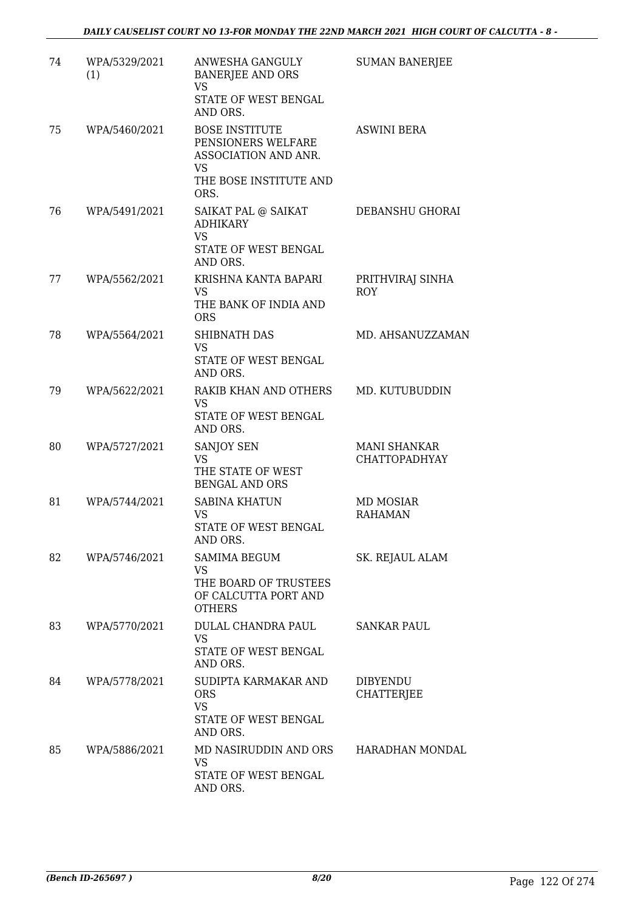| 74 | WPA/5329/2021<br>(1) | ANWESHA GANGULY<br><b>BANERJEE AND ORS</b><br>VS<br>STATE OF WEST BENGAL<br>AND ORS.                        | <b>SUMAN BANERJEE</b>                |
|----|----------------------|-------------------------------------------------------------------------------------------------------------|--------------------------------------|
| 75 | WPA/5460/2021        | <b>BOSE INSTITUTE</b><br>PENSIONERS WELFARE<br>ASSOCIATION AND ANR.<br>VS<br>THE BOSE INSTITUTE AND<br>ORS. | <b>ASWINI BERA</b>                   |
| 76 | WPA/5491/2021        | SAIKAT PAL @ SAIKAT<br><b>ADHIKARY</b><br><b>VS</b><br>STATE OF WEST BENGAL<br>AND ORS.                     | DEBANSHU GHORAI                      |
| 77 | WPA/5562/2021        | KRISHNA KANTA BAPARI<br><b>VS</b><br>THE BANK OF INDIA AND<br><b>ORS</b>                                    | PRITHVIRAJ SINHA<br><b>ROY</b>       |
| 78 | WPA/5564/2021        | <b>SHIBNATH DAS</b><br><b>VS</b><br>STATE OF WEST BENGAL<br>AND ORS.                                        | MD. AHSANUZZAMAN                     |
| 79 | WPA/5622/2021        | RAKIB KHAN AND OTHERS<br>VS<br>STATE OF WEST BENGAL<br>AND ORS.                                             | MD. KUTUBUDDIN                       |
| 80 | WPA/5727/2021        | SANJOY SEN<br><b>VS</b><br>THE STATE OF WEST<br><b>BENGAL AND ORS</b>                                       | MANI SHANKAR<br><b>CHATTOPADHYAY</b> |
| 81 | WPA/5744/2021        | <b>SABINA KHATUN</b><br>VS<br>STATE OF WEST BENGAL<br>AND ORS.                                              | <b>MD MOSIAR</b><br><b>RAHAMAN</b>   |
| 82 | WPA/5746/2021        | SAMIMA BEGUM<br><b>VS</b><br>THE BOARD OF TRUSTEES<br>OF CALCUTTA PORT AND<br><b>OTHERS</b>                 | SK. REJAUL ALAM                      |
| 83 | WPA/5770/2021        | DULAL CHANDRA PAUL<br><b>VS</b><br>STATE OF WEST BENGAL<br>AND ORS.                                         | <b>SANKAR PAUL</b>                   |
| 84 | WPA/5778/2021        | SUDIPTA KARMAKAR AND<br><b>ORS</b><br><b>VS</b><br>STATE OF WEST BENGAL<br>AND ORS.                         | DIBYENDU<br><b>CHATTERJEE</b>        |
| 85 | WPA/5886/2021        | MD NASIRUDDIN AND ORS<br><b>VS</b><br>STATE OF WEST BENGAL<br>AND ORS.                                      | HARADHAN MONDAL                      |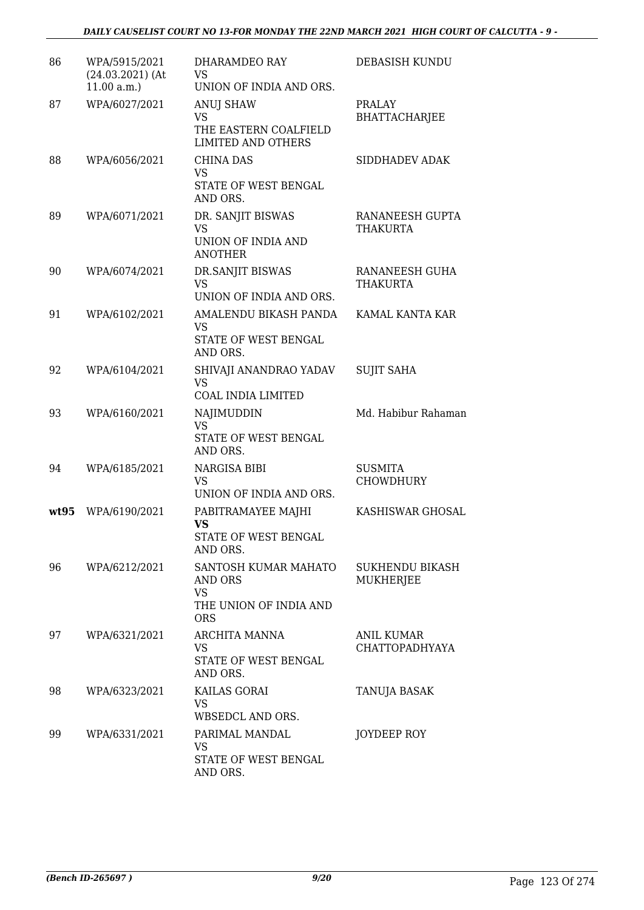| 86   | WPA/5915/2021<br>$(24.03.2021)$ (At<br>11.00 a.m. | DHARAMDEO RAY<br>VS<br>UNION OF INDIA AND ORS.                                              | DEBASISH KUNDU                        |
|------|---------------------------------------------------|---------------------------------------------------------------------------------------------|---------------------------------------|
| 87   | WPA/6027/2021                                     | ANUJ SHAW<br><b>VS</b><br>THE EASTERN COALFIELD<br><b>LIMITED AND OTHERS</b>                | <b>PRALAY</b><br><b>BHATTACHARJEE</b> |
| 88   | WPA/6056/2021                                     | CHINA DAS<br><b>VS</b><br>STATE OF WEST BENGAL<br>AND ORS.                                  | SIDDHADEV ADAK                        |
| 89   | WPA/6071/2021                                     | DR. SANJIT BISWAS<br><b>VS</b><br>UNION OF INDIA AND<br><b>ANOTHER</b>                      | RANANEESH GUPTA<br>THAKURTA           |
| 90   | WPA/6074/2021                                     | DR.SANJIT BISWAS<br><b>VS</b><br>UNION OF INDIA AND ORS.                                    | RANANEESH GUHA<br>THAKURTA            |
| 91   | WPA/6102/2021                                     | AMALENDU BIKASH PANDA<br><b>VS</b><br>STATE OF WEST BENGAL<br>AND ORS.                      | KAMAL KANTA KAR                       |
| 92   | WPA/6104/2021                                     | SHIVAJI ANANDRAO YADAV<br>VS<br>COAL INDIA LIMITED                                          | <b>SUJIT SAHA</b>                     |
| 93   | WPA/6160/2021                                     | NAJIMUDDIN<br><b>VS</b><br>STATE OF WEST BENGAL<br>AND ORS.                                 | Md. Habibur Rahaman                   |
| 94   | WPA/6185/2021                                     | NARGISA BIBI<br><b>VS</b><br>UNION OF INDIA AND ORS.                                        | <b>SUSMITA</b><br>CHOWDHURY           |
| wt95 | WPA/6190/2021                                     | PABITRAMAYEE MAJHI<br>VS<br>STATE OF WEST BENGAL<br>AND ORS.                                | KASHISWAR GHOSAL                      |
| 96   | WPA/6212/2021                                     | SANTOSH KUMAR MAHATO<br><b>AND ORS</b><br><b>VS</b><br>THE UNION OF INDIA AND<br><b>ORS</b> | SUKHENDU BIKASH<br>MUKHERJEE          |
| 97   | WPA/6321/2021                                     | ARCHITA MANNA<br>VS<br>STATE OF WEST BENGAL<br>AND ORS.                                     | ANIL KUMAR<br><b>CHATTOPADHYAYA</b>   |
| 98   | WPA/6323/2021                                     | KAILAS GORAI<br><b>VS</b><br>WBSEDCL AND ORS.                                               | TANUJA BASAK                          |
| 99   | WPA/6331/2021                                     | PARIMAL MANDAL<br><b>VS</b><br>STATE OF WEST BENGAL<br>AND ORS.                             | JOYDEEP ROY                           |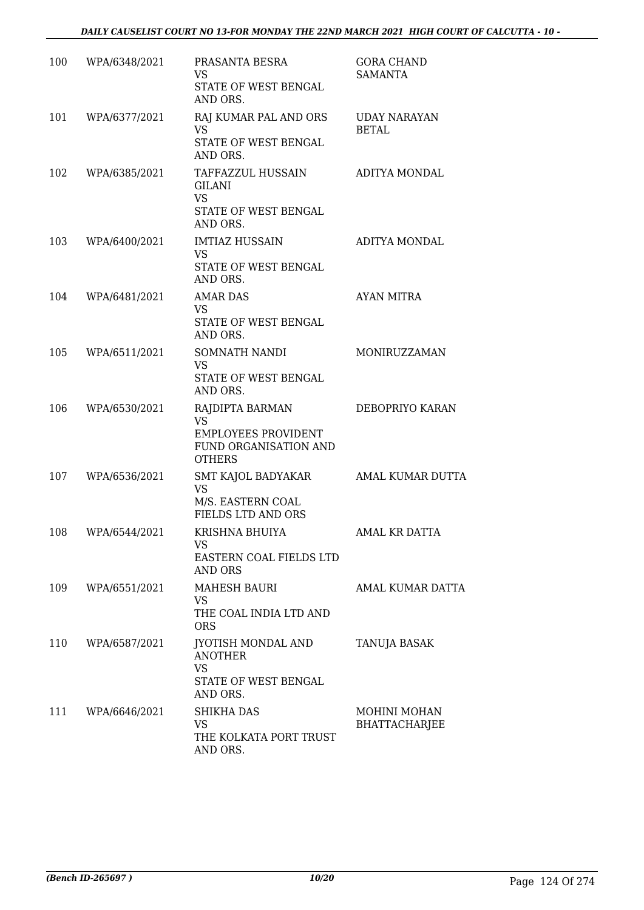| 100 | WPA/6348/2021 | PRASANTA BESRA<br>VS<br>STATE OF WEST BENGAL<br>AND ORS.                                             | <b>GORA CHAND</b><br><b>SAMANTA</b>  |
|-----|---------------|------------------------------------------------------------------------------------------------------|--------------------------------------|
| 101 | WPA/6377/2021 | RAJ KUMAR PAL AND ORS<br><b>VS</b><br>STATE OF WEST BENGAL<br>AND ORS.                               | <b>UDAY NARAYAN</b><br>BETAL         |
| 102 | WPA/6385/2021 | TAFFAZZUL HUSSAIN<br><b>GILANI</b><br><b>VS</b><br>STATE OF WEST BENGAL<br>AND ORS.                  | ADITYA MONDAL                        |
| 103 | WPA/6400/2021 | <b>IMTIAZ HUSSAIN</b><br><b>VS</b><br>STATE OF WEST BENGAL<br>AND ORS.                               | ADITYA MONDAL                        |
| 104 | WPA/6481/2021 | <b>AMAR DAS</b><br><b>VS</b><br>STATE OF WEST BENGAL<br>AND ORS.                                     | <b>AYAN MITRA</b>                    |
| 105 | WPA/6511/2021 | SOMNATH NANDI<br><b>VS</b><br>STATE OF WEST BENGAL<br>AND ORS.                                       | MONIRUZZAMAN                         |
| 106 | WPA/6530/2021 | RAJDIPTA BARMAN<br><b>VS</b><br><b>EMPLOYEES PROVIDENT</b><br>FUND ORGANISATION AND<br><b>OTHERS</b> | DEBOPRIYO KARAN                      |
| 107 | WPA/6536/2021 | SMT KAJOL BADYAKAR<br><b>VS</b><br>M/S. EASTERN COAL<br>FIELDS LTD AND ORS                           | <b>AMAL KUMAR DUTTA</b>              |
| 108 | WPA/6544/2021 | KRISHNA BHUIYA<br>VS<br>EASTERN COAL FIELDS LTD<br><b>AND ORS</b>                                    | AMAL KR DATTA                        |
| 109 | WPA/6551/2021 | <b>MAHESH BAURI</b><br>VS<br>THE COAL INDIA LTD AND<br><b>ORS</b>                                    | AMAL KUMAR DATTA                     |
| 110 | WPA/6587/2021 | JYOTISH MONDAL AND<br><b>ANOTHER</b><br><b>VS</b><br>STATE OF WEST BENGAL<br>AND ORS.                | TANUJA BASAK                         |
| 111 | WPA/6646/2021 | <b>SHIKHA DAS</b><br><b>VS</b><br>THE KOLKATA PORT TRUST<br>AND ORS.                                 | MOHINI MOHAN<br><b>BHATTACHARJEE</b> |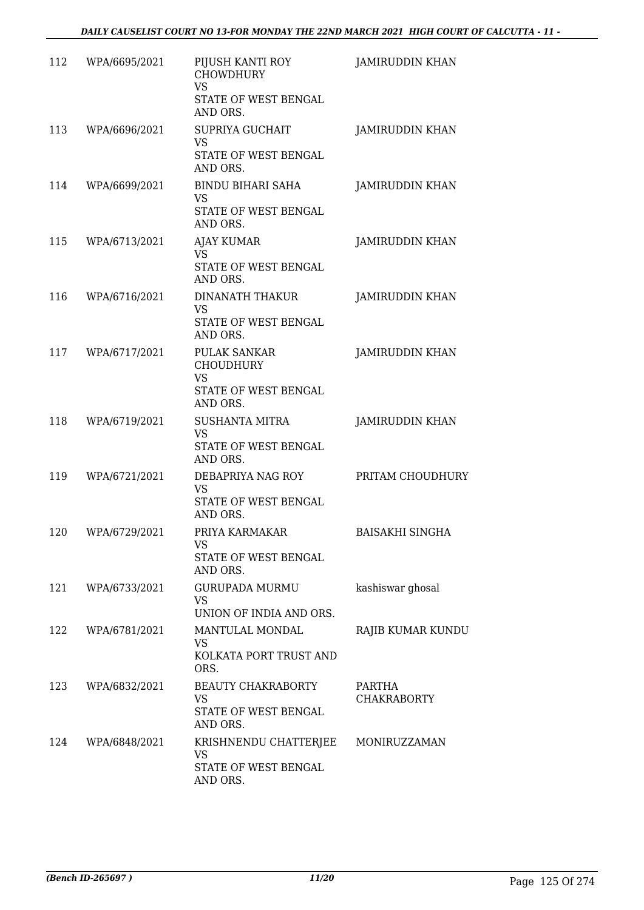| 112 | WPA/6695/2021 | PIJUSH KANTI ROY<br><b>CHOWDHURY</b><br><b>VS</b><br>STATE OF WEST BENGAL<br>AND ORS.    | <b>JAMIRUDDIN KHAN</b>       |
|-----|---------------|------------------------------------------------------------------------------------------|------------------------------|
| 113 | WPA/6696/2021 | SUPRIYA GUCHAIT<br><b>VS</b><br>STATE OF WEST BENGAL<br>AND ORS.                         | <b>JAMIRUDDIN KHAN</b>       |
| 114 | WPA/6699/2021 | <b>BINDU BIHARI SAHA</b><br><b>VS</b><br>STATE OF WEST BENGAL<br>AND ORS.                | <b>JAMIRUDDIN KHAN</b>       |
| 115 | WPA/6713/2021 | <b>AJAY KUMAR</b><br><b>VS</b><br>STATE OF WEST BENGAL<br>AND ORS.                       | <b>JAMIRUDDIN KHAN</b>       |
| 116 | WPA/6716/2021 | <b>DINANATH THAKUR</b><br><b>VS</b><br>STATE OF WEST BENGAL<br>AND ORS.                  | <b>JAMIRUDDIN KHAN</b>       |
| 117 | WPA/6717/2021 | <b>PULAK SANKAR</b><br><b>CHOUDHURY</b><br><b>VS</b><br>STATE OF WEST BENGAL<br>AND ORS. | <b>JAMIRUDDIN KHAN</b>       |
| 118 | WPA/6719/2021 | <b>SUSHANTA MITRA</b><br><b>VS</b><br>STATE OF WEST BENGAL<br>AND ORS.                   | <b>JAMIRUDDIN KHAN</b>       |
| 119 | WPA/6721/2021 | DEBAPRIYA NAG ROY<br>VS<br>STATE OF WEST BENGAL<br>AND ORS.                              | PRITAM CHOUDHURY             |
| 120 | WPA/6729/2021 | PRIYA KARMAKAR<br>VS.<br>STATE OF WEST BENGAL<br>AND ORS.                                | <b>BAISAKHI SINGHA</b>       |
| 121 | WPA/6733/2021 | <b>GURUPADA MURMU</b><br><b>VS</b><br>UNION OF INDIA AND ORS.                            | kashiswar ghosal             |
| 122 | WPA/6781/2021 | MANTULAL MONDAL<br><b>VS</b><br>KOLKATA PORT TRUST AND<br>ORS.                           | RAJIB KUMAR KUNDU            |
| 123 | WPA/6832/2021 | BEAUTY CHAKRABORTY<br>VS<br>STATE OF WEST BENGAL<br>AND ORS.                             | PARTHA<br><b>CHAKRABORTY</b> |
| 124 | WPA/6848/2021 | KRISHNENDU CHATTERJEE MONIRUZZAMAN<br>VS<br>STATE OF WEST BENGAL<br>AND ORS.             |                              |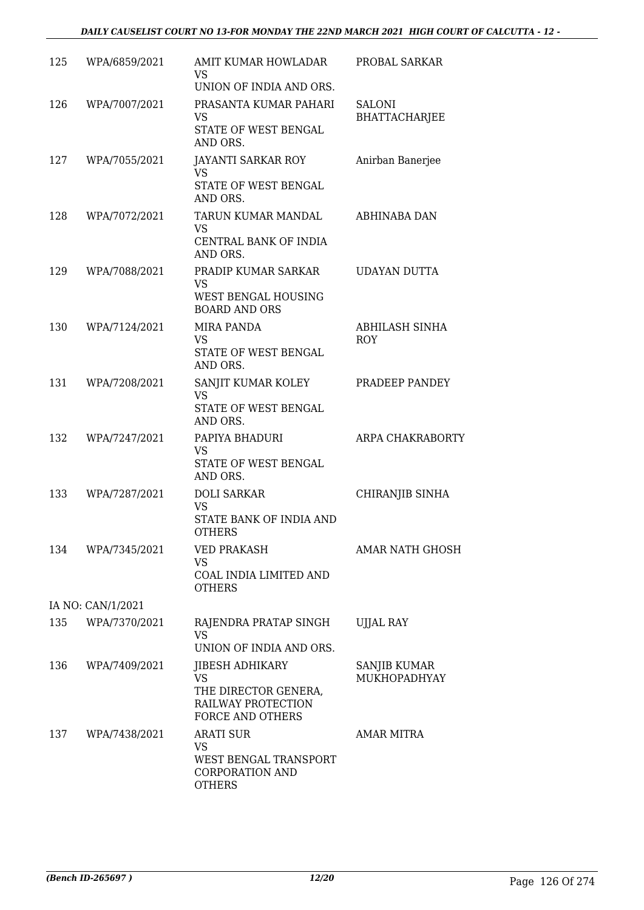#### *DAILY CAUSELIST COURT NO 13-FOR MONDAY THE 22ND MARCH 2021 HIGH COURT OF CALCUTTA - 12 -*

| 125 | WPA/6859/2021     | AMIT KUMAR HOWLADAR<br>VS<br>UNION OF INDIA AND ORS.                                           | PROBAL SARKAR                         |
|-----|-------------------|------------------------------------------------------------------------------------------------|---------------------------------------|
| 126 | WPA/7007/2021     | PRASANTA KUMAR PAHARI<br>VS<br>STATE OF WEST BENGAL<br>AND ORS.                                | <b>SALONI</b><br><b>BHATTACHARJEE</b> |
| 127 | WPA/7055/2021     | JAYANTI SARKAR ROY<br><b>VS</b><br>STATE OF WEST BENGAL<br>AND ORS.                            | Anirban Banerjee                      |
| 128 | WPA/7072/2021     | TARUN KUMAR MANDAL<br>VS.<br>CENTRAL BANK OF INDIA<br>AND ORS.                                 | ABHINABA DAN                          |
| 129 | WPA/7088/2021     | PRADIP KUMAR SARKAR<br>VS<br>WEST BENGAL HOUSING<br><b>BOARD AND ORS</b>                       | <b>UDAYAN DUTTA</b>                   |
| 130 | WPA/7124/2021     | <b>MIRA PANDA</b><br><b>VS</b><br>STATE OF WEST BENGAL<br>AND ORS.                             | ABHILASH SINHA<br><b>ROY</b>          |
| 131 | WPA/7208/2021     | SANJIT KUMAR KOLEY<br>VS<br>STATE OF WEST BENGAL<br>AND ORS.                                   | PRADEEP PANDEY                        |
| 132 | WPA/7247/2021     | PAPIYA BHADURI<br>VS<br>STATE OF WEST BENGAL<br>AND ORS.                                       | ARPA CHAKRABORTY                      |
| 133 | WPA/7287/2021     | <b>DOLI SARKAR</b><br><b>VS</b><br>STATE BANK OF INDIA AND<br><b>OTHERS</b>                    | CHIRANJIB SINHA                       |
| 134 | WPA/7345/2021     | <b>VED PRAKASH</b><br>VS<br>COAL INDIA LIMITED AND<br><b>OTHERS</b>                            | AMAR NATH GHOSH                       |
|     | IA NO: CAN/1/2021 |                                                                                                |                                       |
| 135 | WPA/7370/2021     | RAJENDRA PRATAP SINGH<br><b>VS</b><br>UNION OF INDIA AND ORS.                                  | <b>UJJAL RAY</b>                      |
| 136 | WPA/7409/2021     | JIBESH ADHIKARY<br><b>VS</b><br>THE DIRECTOR GENERA,<br>RAILWAY PROTECTION<br>FORCE AND OTHERS | <b>SANJIB KUMAR</b><br>MUKHOPADHYAY   |
| 137 | WPA/7438/2021     | <b>ARATI SUR</b><br>VS.<br>WEST BENGAL TRANSPORT<br><b>CORPORATION AND</b><br><b>OTHERS</b>    | <b>AMAR MITRA</b>                     |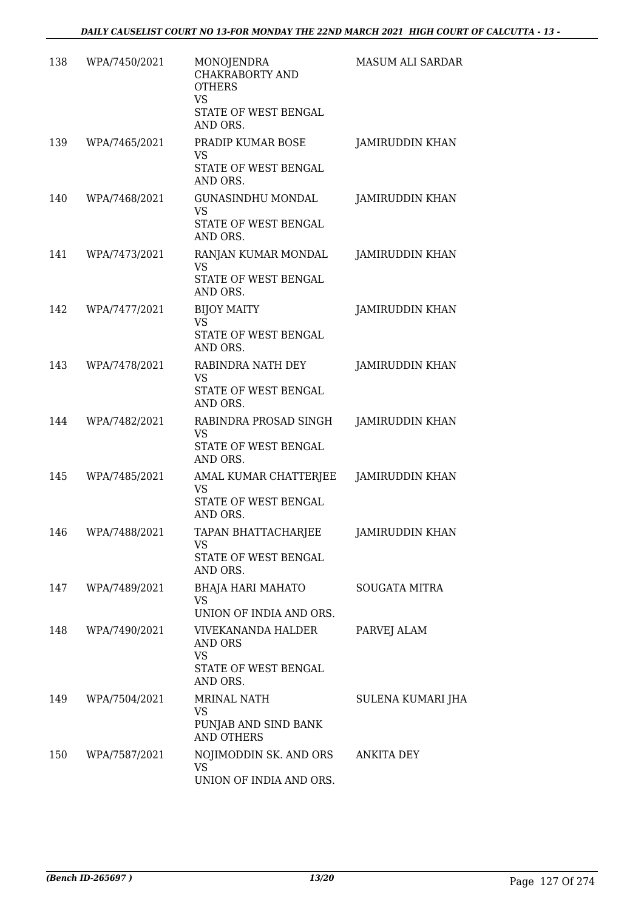| 138 | WPA/7450/2021 | MONOJENDRA<br>CHAKRABORTY AND<br><b>OTHERS</b><br><b>VS</b><br>STATE OF WEST BENGAL<br>AND ORS. | MASUM ALI SARDAR       |
|-----|---------------|-------------------------------------------------------------------------------------------------|------------------------|
| 139 | WPA/7465/2021 | PRADIP KUMAR BOSE<br>VS<br>STATE OF WEST BENGAL<br>AND ORS.                                     | <b>JAMIRUDDIN KHAN</b> |
| 140 | WPA/7468/2021 | <b>GUNASINDHU MONDAL</b><br><b>VS</b><br>STATE OF WEST BENGAL<br>AND ORS.                       | <b>JAMIRUDDIN KHAN</b> |
| 141 | WPA/7473/2021 | RANJAN KUMAR MONDAL<br><b>VS</b><br>STATE OF WEST BENGAL<br>AND ORS.                            | <b>JAMIRUDDIN KHAN</b> |
| 142 | WPA/7477/2021 | <b>BIJOY MAITY</b><br><b>VS</b><br>STATE OF WEST BENGAL<br>AND ORS.                             | <b>JAMIRUDDIN KHAN</b> |
| 143 | WPA/7478/2021 | RABINDRA NATH DEY<br>VS<br>STATE OF WEST BENGAL<br>AND ORS.                                     | <b>JAMIRUDDIN KHAN</b> |
| 144 | WPA/7482/2021 | RABINDRA PROSAD SINGH<br><b>VS</b><br>STATE OF WEST BENGAL<br>AND ORS.                          | JAMIRUDDIN KHAN        |
| 145 | WPA/7485/2021 | AMAL KUMAR CHATTERJEE<br>VS<br>STATE OF WEST BENGAL<br>AND ORS.                                 | JAMIRUDDIN KHAN        |
| 146 | WPA/7488/2021 | <b>TAPAN BHATTACHARJEE</b><br>VS<br>STATE OF WEST BENGAL<br>AND ORS.                            | <b>JAMIRUDDIN KHAN</b> |
| 147 | WPA/7489/2021 | <b>BHAJA HARI MAHATO</b><br><b>VS</b><br>UNION OF INDIA AND ORS.                                | SOUGATA MITRA          |
| 148 | WPA/7490/2021 | <b>VIVEKANANDA HALDER</b><br>AND ORS<br>VS<br>STATE OF WEST BENGAL<br>AND ORS.                  | PARVEJ ALAM            |
| 149 | WPA/7504/2021 | <b>MRINAL NATH</b><br>VS<br>PUNJAB AND SIND BANK<br><b>AND OTHERS</b>                           | SULENA KUMARI JHA      |
| 150 | WPA/7587/2021 | NOJIMODDIN SK. AND ORS<br>VS<br>UNION OF INDIA AND ORS.                                         | ANKITA DEY             |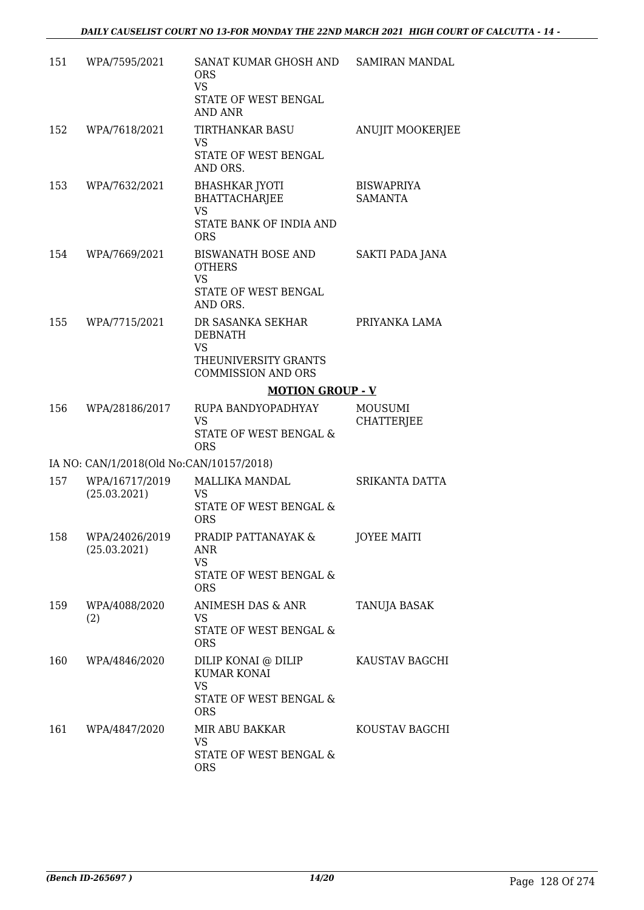| 151 | WPA/7595/2021                            | SANAT KUMAR GHOSH AND<br><b>ORS</b><br><b>VS</b><br>STATE OF WEST BENGAL<br><b>AND ANR</b>          | <b>SAMIRAN MANDAL</b>        |
|-----|------------------------------------------|-----------------------------------------------------------------------------------------------------|------------------------------|
| 152 | WPA/7618/2021                            | TIRTHANKAR BASU<br>VS.<br>STATE OF WEST BENGAL<br>AND ORS.                                          | <b>ANUJIT MOOKERJEE</b>      |
| 153 | WPA/7632/2021                            | <b>BHASHKAR JYOTI</b><br><b>BHATTACHARJEE</b><br><b>VS</b><br>STATE BANK OF INDIA AND<br><b>ORS</b> | BISWAPRIYA<br><b>SAMANTA</b> |
| 154 | WPA/7669/2021                            | <b>BISWANATH BOSE AND</b><br><b>OTHERS</b><br><b>VS</b><br>STATE OF WEST BENGAL<br>AND ORS.         | SAKTI PADA JANA              |
| 155 | WPA/7715/2021                            | DR SASANKA SEKHAR<br>DEBNATH<br><b>VS</b><br>THEUNIVERSITY GRANTS<br><b>COMMISSION AND ORS</b>      | PRIYANKA LAMA                |
|     |                                          | <b>MOTION GROUP - V</b>                                                                             |                              |
| 156 | WPA/28186/2017                           | RUPA BANDYOPADHYAY<br><b>VS</b><br>STATE OF WEST BENGAL &<br><b>ORS</b>                             | MOUSUMI<br><b>CHATTERJEE</b> |
|     | IA NO: CAN/1/2018(Old No:CAN/10157/2018) |                                                                                                     |                              |
|     | 157 WPA/16717/2019<br>(25.03.2021)       | MALLIKA MANDAL<br><b>VS</b><br>STATE OF WEST BENGAL &<br><b>ORS</b>                                 | SRIKANTA DATTA               |
| 158 | WPA/24026/2019<br>(25.03.2021)           | PRADIP PATTANAYAK &<br>ANR<br><b>VS</b><br>STATE OF WEST BENGAL &<br><b>ORS</b>                     | <b>JOYEE MAITI</b>           |
| 159 | WPA/4088/2020<br>(2)                     | ANIMESH DAS & ANR<br>VS<br>STATE OF WEST BENGAL &<br><b>ORS</b>                                     | TANUJA BASAK                 |
| 160 | WPA/4846/2020                            | DILIP KONAI @ DILIP<br><b>KUMAR KONAI</b><br><b>VS</b><br>STATE OF WEST BENGAL &<br><b>ORS</b>      | KAUSTAV BAGCHI               |
| 161 | WPA/4847/2020                            | MIR ABU BAKKAR<br>VS<br>STATE OF WEST BENGAL &<br><b>ORS</b>                                        | KOUSTAV BAGCHI               |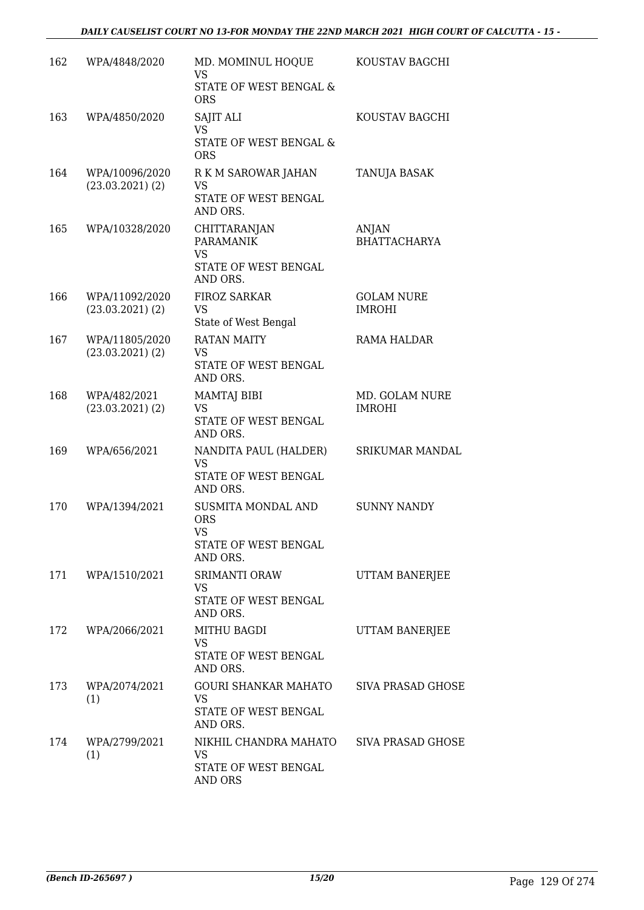| 162 | WPA/4848/2020                          | MD. MOMINUL HOQUE<br>VS<br>STATE OF WEST BENGAL &<br><b>ORS</b>                   | KOUSTAV BAGCHI                      |
|-----|----------------------------------------|-----------------------------------------------------------------------------------|-------------------------------------|
| 163 | WPA/4850/2020                          | <b>SAJIT ALI</b><br><b>VS</b><br>STATE OF WEST BENGAL &<br><b>ORS</b>             | KOUSTAV BAGCHI                      |
| 164 | WPA/10096/2020<br>$(23.03.2021)$ $(2)$ | R K M SAROWAR JAHAN<br><b>VS</b><br>STATE OF WEST BENGAL<br>AND ORS.              | TANUJA BASAK                        |
| 165 | WPA/10328/2020                         | CHITTARANJAN<br><b>PARAMANIK</b><br><b>VS</b><br>STATE OF WEST BENGAL<br>AND ORS. | <b>ANJAN</b><br><b>BHATTACHARYA</b> |
| 166 | WPA/11092/2020<br>$(23.03.2021)$ $(2)$ | FIROZ SARKAR<br><b>VS</b><br>State of West Bengal                                 | <b>GOLAM NURE</b><br><b>IMROHI</b>  |
| 167 | WPA/11805/2020<br>$(23.03.2021)$ $(2)$ | <b>RATAN MAITY</b><br>VS<br>STATE OF WEST BENGAL<br>AND ORS.                      | <b>RAMA HALDAR</b>                  |
| 168 | WPA/482/2021<br>$(23.03.2021)$ $(2)$   | MAMTAJ BIBI<br><b>VS</b><br>STATE OF WEST BENGAL<br>AND ORS.                      | MD. GOLAM NURE<br><b>IMROHI</b>     |
| 169 | WPA/656/2021                           | NANDITA PAUL (HALDER)<br>VS<br>STATE OF WEST BENGAL<br>AND ORS.                   | SRIKUMAR MANDAL                     |
| 170 | WPA/1394/2021                          | SUSMITA MONDAL AND<br><b>ORS</b><br><b>VS</b><br>STATE OF WEST BENGAL<br>AND ORS. | <b>SUNNY NANDY</b>                  |
|     | 171 WPA/1510/2021                      | <b>SRIMANTI ORAW</b><br>VS.<br>STATE OF WEST BENGAL<br>AND ORS.                   | <b>UTTAM BANERJEE</b>               |
| 172 | WPA/2066/2021                          | MITHU BAGDI<br>VS<br>STATE OF WEST BENGAL<br>AND ORS.                             | <b>UTTAM BANERJEE</b>               |
| 173 | WPA/2074/2021<br>(1)                   | GOURI SHANKAR MAHATO<br><b>VS</b><br>STATE OF WEST BENGAL<br>AND ORS.             | <b>SIVA PRASAD GHOSE</b>            |
| 174 | WPA/2799/2021<br>(1)                   | NIKHIL CHANDRA MAHATO<br>VS<br>STATE OF WEST BENGAL<br>AND ORS                    | <b>SIVA PRASAD GHOSE</b>            |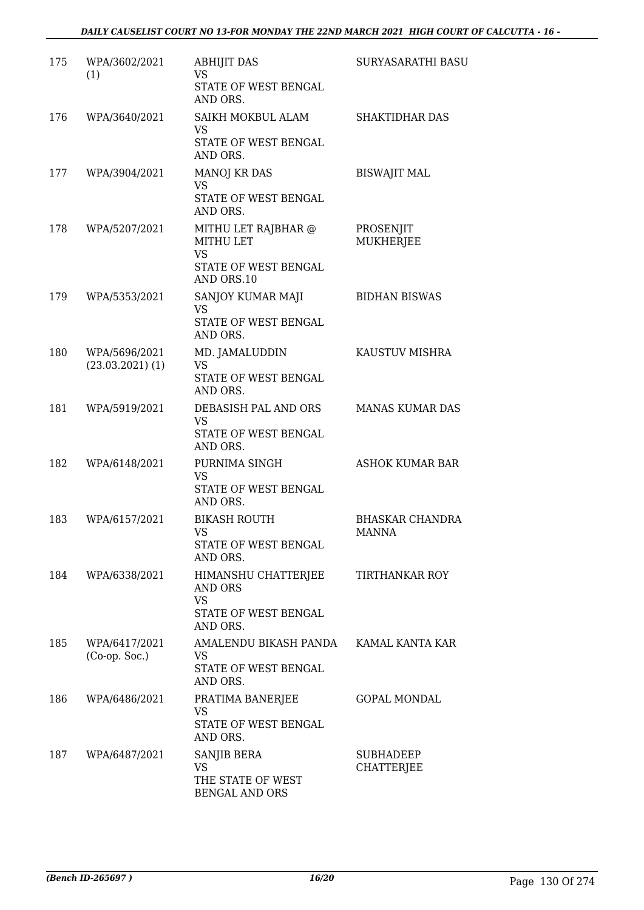| 175 | WPA/3602/2021<br>(1)                | <b>ABHIJIT DAS</b><br>VS<br>STATE OF WEST BENGAL<br>AND ORS.                               | SURYASARATHI BASU                      |
|-----|-------------------------------------|--------------------------------------------------------------------------------------------|----------------------------------------|
| 176 | WPA/3640/2021                       | SAIKH MOKBUL ALAM<br>VS<br>STATE OF WEST BENGAL<br>AND ORS.                                | <b>SHAKTIDHAR DAS</b>                  |
| 177 | WPA/3904/2021                       | <b>MANOJ KR DAS</b><br><b>VS</b><br>STATE OF WEST BENGAL<br>AND ORS.                       | <b>BISWAJIT MAL</b>                    |
| 178 | WPA/5207/2021                       | MITHU LET RAJBHAR @<br><b>MITHU LET</b><br><b>VS</b><br>STATE OF WEST BENGAL<br>AND ORS.10 | PROSENJIT<br><b>MUKHERJEE</b>          |
| 179 | WPA/5353/2021                       | SANJOY KUMAR MAJI<br><b>VS</b><br>STATE OF WEST BENGAL<br>AND ORS.                         | <b>BIDHAN BISWAS</b>                   |
| 180 | WPA/5696/2021<br>$(23.03.2021)$ (1) | MD. JAMALUDDIN<br>VS<br>STATE OF WEST BENGAL<br>AND ORS.                                   | KAUSTUV MISHRA                         |
| 181 | WPA/5919/2021                       | DEBASISH PAL AND ORS<br><b>VS</b><br>STATE OF WEST BENGAL<br>AND ORS.                      | <b>MANAS KUMAR DAS</b>                 |
| 182 | WPA/6148/2021                       | PURNIMA SINGH<br><b>VS</b><br>STATE OF WEST BENGAL<br>AND ORS.                             | ASHOK KUMAR BAR                        |
| 183 | WPA/6157/2021                       | <b>BIKASH ROUTH</b><br><b>VS</b><br>STATE OF WEST BENGAL<br>AND ORS.                       | <b>BHASKAR CHANDRA</b><br><b>MANNA</b> |
| 184 | WPA/6338/2021                       | HIMANSHU CHATTERJEE<br>AND ORS<br><b>VS</b><br>STATE OF WEST BENGAL<br>AND ORS.            | TIRTHANKAR ROY                         |
| 185 | WPA/6417/2021<br>$(Co-op. Soc.)$    | AMALENDU BIKASH PANDA<br>VS<br>STATE OF WEST BENGAL<br>AND ORS.                            | KAMAL KANTA KAR                        |
| 186 | WPA/6486/2021                       | PRATIMA BANERJEE<br><b>VS</b><br>STATE OF WEST BENGAL<br>AND ORS.                          | <b>GOPAL MONDAL</b>                    |
| 187 | WPA/6487/2021                       | SANJIB BERA<br>VS<br>THE STATE OF WEST<br><b>BENGAL AND ORS</b>                            | <b>SUBHADEEP</b><br><b>CHATTERJEE</b>  |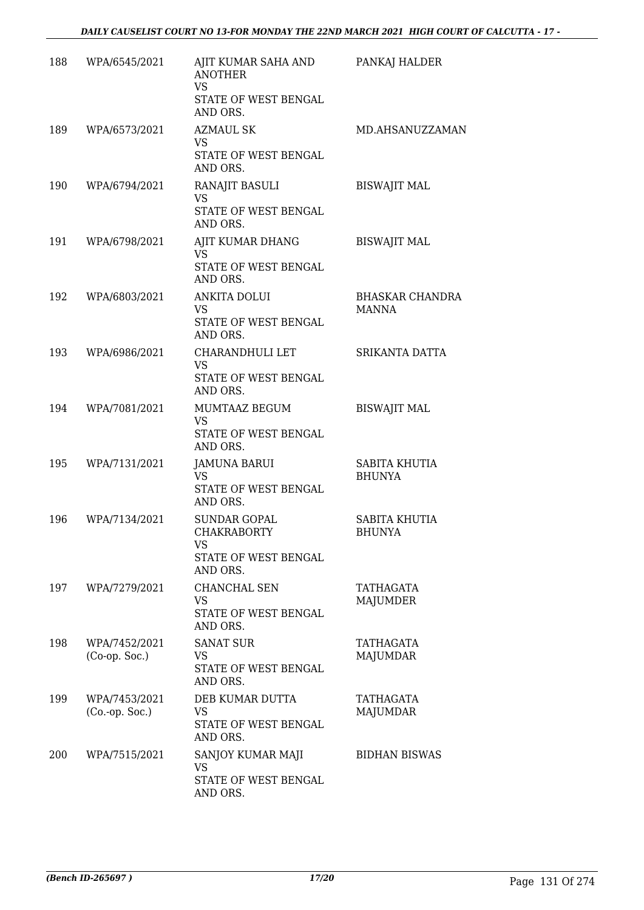| 188 | WPA/6545/2021                    | AJIT KUMAR SAHA AND<br><b>ANOTHER</b><br><b>VS</b><br>STATE OF WEST BENGAL<br>AND ORS. | PANKAJ HALDER                          |
|-----|----------------------------------|----------------------------------------------------------------------------------------|----------------------------------------|
| 189 | WPA/6573/2021                    | <b>AZMAUL SK</b><br>VS<br>STATE OF WEST BENGAL<br>AND ORS.                             | MD.AHSANUZZAMAN                        |
| 190 | WPA/6794/2021                    | RANAJIT BASULI<br><b>VS</b><br>STATE OF WEST BENGAL<br>AND ORS.                        | <b>BISWAJIT MAL</b>                    |
| 191 | WPA/6798/2021                    | AJIT KUMAR DHANG<br><b>VS</b><br>STATE OF WEST BENGAL<br>AND ORS.                      | <b>BISWAJIT MAL</b>                    |
| 192 | WPA/6803/2021                    | ANKITA DOLUI<br>VS.<br>STATE OF WEST BENGAL<br>AND ORS.                                | <b>BHASKAR CHANDRA</b><br><b>MANNA</b> |
| 193 | WPA/6986/2021                    | CHARANDHULI LET<br><b>VS</b><br>STATE OF WEST BENGAL<br>AND ORS.                       | SRIKANTA DATTA                         |
| 194 | WPA/7081/2021                    | MUMTAAZ BEGUM<br><b>VS</b><br>STATE OF WEST BENGAL<br>AND ORS.                         | <b>BISWAJIT MAL</b>                    |
| 195 | WPA/7131/2021                    | <b>JAMUNA BARUI</b><br>VS<br>STATE OF WEST BENGAL<br>AND ORS.                          | SABITA KHUTIA<br><b>BHUNYA</b>         |
| 196 | WPA/7134/2021                    | <b>SUNDAR GOPAL</b><br><b>CHAKRABORTY</b><br>VS<br>STATE OF WEST BENGAL<br>AND ORS.    | <b>SABITA KHUTIA</b><br><b>BHUNYA</b>  |
| 197 | WPA/7279/2021                    | CHANCHAL SEN<br>VS<br>STATE OF WEST BENGAL<br>AND ORS.                                 | TATHAGATA<br>MAJUMDER                  |
| 198 | WPA/7452/2021<br>$(Co-op. Soc.)$ | <b>SANAT SUR</b><br>VS<br>STATE OF WEST BENGAL<br>AND ORS.                             | TATHAGATA<br>MAJUMDAR                  |
| 199 | WPA/7453/2021<br>(Co. op. Soc.)  | DEB KUMAR DUTTA<br>VS<br>STATE OF WEST BENGAL<br>AND ORS.                              | TATHAGATA<br><b>MAJUMDAR</b>           |
| 200 | WPA/7515/2021                    | SANJOY KUMAR MAJI<br>VS<br>STATE OF WEST BENGAL<br>AND ORS.                            | <b>BIDHAN BISWAS</b>                   |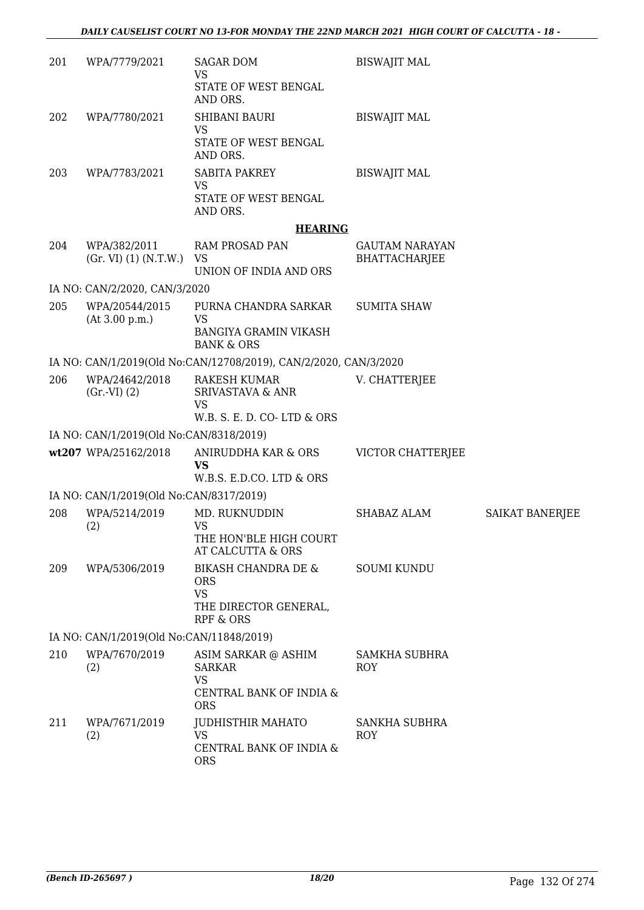| 201 | WPA/7779/2021                            | <b>SAGAR DOM</b><br><b>VS</b><br>STATE OF WEST BENGAL<br>AND ORS.                               | <b>BISWAJIT MAL</b>             |                 |
|-----|------------------------------------------|-------------------------------------------------------------------------------------------------|---------------------------------|-----------------|
| 202 | WPA/7780/2021                            | <b>SHIBANI BAURI</b><br>VS<br>STATE OF WEST BENGAL<br>AND ORS.                                  | <b>BISWAJIT MAL</b>             |                 |
| 203 | WPA/7783/2021                            | <b>SABITA PAKREY</b><br><b>VS</b><br>STATE OF WEST BENGAL<br>AND ORS.                           | <b>BISWAJIT MAL</b>             |                 |
|     |                                          | <b>HEARING</b>                                                                                  |                                 |                 |
| 204 | WPA/382/2011<br>(Gr. VI) (1) (N.T.W.)    | <b>RAM PROSAD PAN</b><br>VS<br>UNION OF INDIA AND ORS                                           | GAUTAM NARAYAN<br>BHATTACHARJEE |                 |
|     | IA NO: CAN/2/2020, CAN/3/2020            |                                                                                                 |                                 |                 |
| 205 | WPA/20544/2015<br>(At 3.00 p.m.)         | PURNA CHANDRA SARKAR<br>VS<br><b>BANGIYA GRAMIN VIKASH</b><br><b>BANK &amp; ORS</b>             | <b>SUMITA SHAW</b>              |                 |
|     |                                          | IA NO: CAN/1/2019(Old No:CAN/12708/2019), CAN/2/2020, CAN/3/2020                                |                                 |                 |
| 206 | WPA/24642/2018<br>(Gr.VI) (2)            | RAKESH KUMAR<br><b>SRIVASTAVA &amp; ANR</b><br><b>VS</b><br>W.B. S. E. D. CO-LTD & ORS          | V. CHATTERJEE                   |                 |
|     | IA NO: CAN/1/2019(Old No:CAN/8318/2019)  |                                                                                                 |                                 |                 |
|     | wt207 WPA/25162/2018                     | ANIRUDDHA KAR & ORS<br>VS<br>W.B.S. E.D.CO. LTD & ORS                                           | VICTOR CHATTERJEE               |                 |
|     | IA NO: CAN/1/2019(Old No:CAN/8317/2019)  |                                                                                                 |                                 |                 |
| 208 | WPA/5214/2019<br>(2)                     | MD. RUKNUDDIN<br>VS<br>THE HON'BLE HIGH COURT                                                   | SHABAZ ALAM                     | SAIKAT BANERJEE |
|     |                                          | AT CALCUTTA & ORS                                                                               |                                 |                 |
| 209 | WPA/5306/2019                            | BIKASH CHANDRA DE &<br><b>ORS</b><br><b>VS</b><br>THE DIRECTOR GENERAL,<br><b>RPF &amp; ORS</b> | <b>SOUMI KUNDU</b>              |                 |
|     | IA NO: CAN/1/2019(Old No:CAN/11848/2019) |                                                                                                 |                                 |                 |
| 210 | WPA/7670/2019<br>(2)                     | ASIM SARKAR @ ASHIM<br><b>SARKAR</b><br><b>VS</b><br>CENTRAL BANK OF INDIA &<br><b>ORS</b>      | <b>SAMKHA SUBHRA</b><br>ROY     |                 |
| 211 | WPA/7671/2019<br>(2)                     | <b>JUDHISTHIR MAHATO</b><br><b>VS</b><br>CENTRAL BANK OF INDIA &<br><b>ORS</b>                  | SANKHA SUBHRA<br><b>ROY</b>     |                 |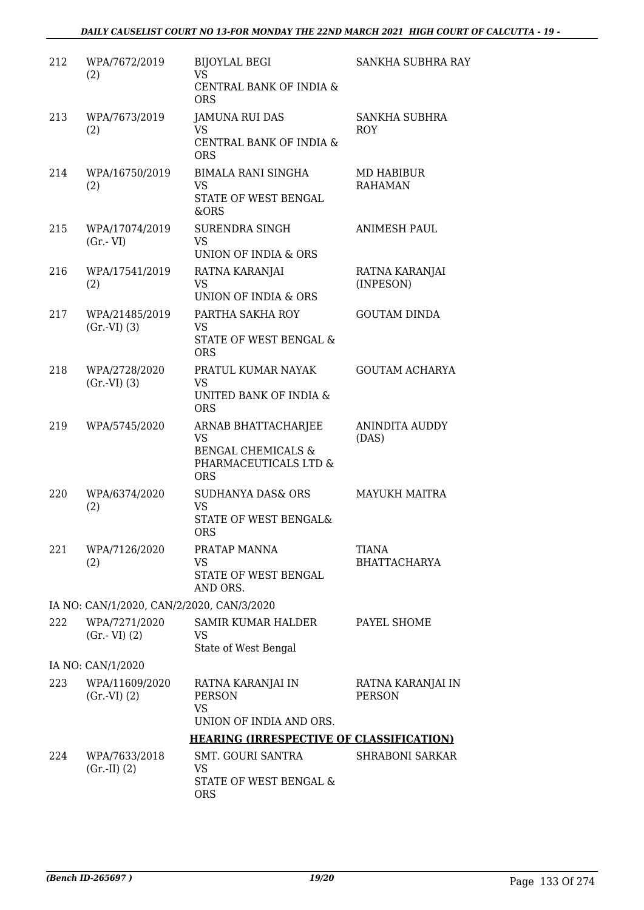| 212 | WPA/7672/2019<br>(2)                      | <b>BIJOYLAL BEGI</b><br>VS.                                                | SANKHA SUBHRA RAY                   |
|-----|-------------------------------------------|----------------------------------------------------------------------------|-------------------------------------|
|     |                                           | CENTRAL BANK OF INDIA &<br><b>ORS</b>                                      |                                     |
| 213 | WPA/7673/2019<br>(2)                      | <b>JAMUNA RUI DAS</b><br>VS                                                | <b>SANKHA SUBHRA</b><br><b>ROY</b>  |
|     |                                           | CENTRAL BANK OF INDIA &<br><b>ORS</b>                                      |                                     |
| 214 | WPA/16750/2019<br>(2)                     | <b>BIMALA RANI SINGHA</b><br><b>VS</b>                                     | MD HABIBUR<br><b>RAHAMAN</b>        |
|     |                                           | STATE OF WEST BENGAL<br>&ORS                                               |                                     |
| 215 | WPA/17074/2019                            | SURENDRA SINGH                                                             | <b>ANIMESH PAUL</b>                 |
|     | $(Gr.-VI)$                                | <b>VS</b><br>UNION OF INDIA & ORS                                          |                                     |
| 216 | WPA/17541/2019<br>(2)                     | RATNA KARANJAI<br><b>VS</b>                                                | RATNA KARANJAI<br>(INPESON)         |
|     |                                           | UNION OF INDIA & ORS                                                       |                                     |
| 217 | WPA/21485/2019<br>(Gr.VI) (3)             | PARTHA SAKHA ROY<br><b>VS</b>                                              | <b>GOUTAM DINDA</b>                 |
|     |                                           | <b>STATE OF WEST BENGAL &amp;</b><br><b>ORS</b>                            |                                     |
| 218 | WPA/2728/2020<br>(Gr.VI) (3)              | PRATUL KUMAR NAYAK<br>VS                                                   | <b>GOUTAM ACHARYA</b>               |
|     |                                           | UNITED BANK OF INDIA &<br><b>ORS</b>                                       |                                     |
| 219 | WPA/5745/2020                             | ARNAB BHATTACHARJEE<br><b>VS</b>                                           | ANINDITA AUDDY<br>(DAS)             |
|     |                                           | <b>BENGAL CHEMICALS &amp;</b><br>PHARMACEUTICALS LTD &<br><b>ORS</b>       |                                     |
| 220 | WPA/6374/2020                             | SUDHANYA DAS& ORS<br><b>VS</b>                                             | <b>MAYUKH MAITRA</b>                |
|     | (2)                                       | STATE OF WEST BENGAL&<br>ORS                                               |                                     |
| 221 | WPA/7126/2020<br>(2)                      | PRATAP MANNA<br>VS                                                         | <b>TIANA</b><br><b>BHATTACHARYA</b> |
|     |                                           | STATE OF WEST BENGAL<br>AND ORS.                                           |                                     |
|     | IA NO: CAN/1/2020, CAN/2/2020, CAN/3/2020 |                                                                            |                                     |
| 222 | WPA/7271/2020<br>$(Gr.-VI)$ $(2)$         | SAMIR KUMAR HALDER<br>VS<br>State of West Bengal                           | PAYEL SHOME                         |
|     | IA NO: CAN/1/2020                         |                                                                            |                                     |
| 223 | WPA/11609/2020<br>(Gr.VI) (2)             | RATNA KARANJAI IN<br><b>PERSON</b><br>VS                                   | RATNA KARANJAI IN<br><b>PERSON</b>  |
|     |                                           | UNION OF INDIA AND ORS.<br><b>HEARING (IRRESPECTIVE OF CLASSIFICATION)</b> |                                     |
| 224 | WPA/7633/2018                             | SMT. GOURI SANTRA                                                          | <b>SHRABONI SARKAR</b>              |
|     | $(Gr.-II) (2)$                            | VS                                                                         |                                     |
|     |                                           | STATE OF WEST BENGAL &<br><b>ORS</b>                                       |                                     |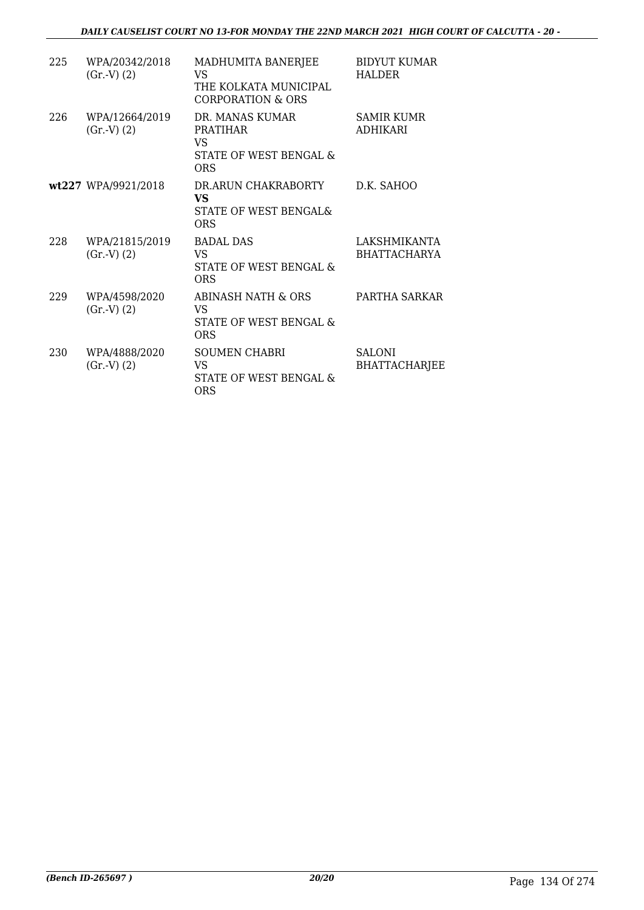#### *DAILY CAUSELIST COURT NO 13-FOR MONDAY THE 22ND MARCH 2021 HIGH COURT OF CALCUTTA - 20 -*

| 225 | WPA/20342/2018<br>(Gr.V) (2) | MADHUMITA BANERJEE<br>VS<br>THE KOLKATA MUNICIPAL<br>CORPORATION & ORS    | <b>BIDYUT KUMAR</b><br>HALDER         |
|-----|------------------------------|---------------------------------------------------------------------------|---------------------------------------|
| 226 | WPA/12664/2019<br>(Gr.V) (2) | DR. MANAS KUMAR<br><b>PRATIHAR</b><br>VS<br>STATE OF WEST BENGAL &<br>ORS | <b>SAMIR KUMR</b><br><b>ADHIKARI</b>  |
|     | wt227 WPA/9921/2018          | DR.ARUN CHAKRABORTY<br>VS<br>STATE OF WEST BENGAL&<br><b>ORS</b>          | D.K. SAHOO                            |
| 228 | WPA/21815/2019<br>(Gr.V) (2) | <b>BADAL DAS</b><br>VS<br>STATE OF WEST BENGAL &<br>ORS                   | LAKSHMIKANTA<br><b>BHATTACHARYA</b>   |
| 229 | WPA/4598/2020<br>(Gr.V) (2)  | ABINASH NATH & ORS<br>VS<br>STATE OF WEST BENGAL &<br>ORS                 | PARTHA SARKAR                         |
| 230 | WPA/4888/2020<br>(Gr.V) (2)  | <b>SOUMEN CHABRI</b><br>VS.<br>STATE OF WEST BENGAL &<br><b>ORS</b>       | <b>SALONI</b><br><b>BHATTACHARJEE</b> |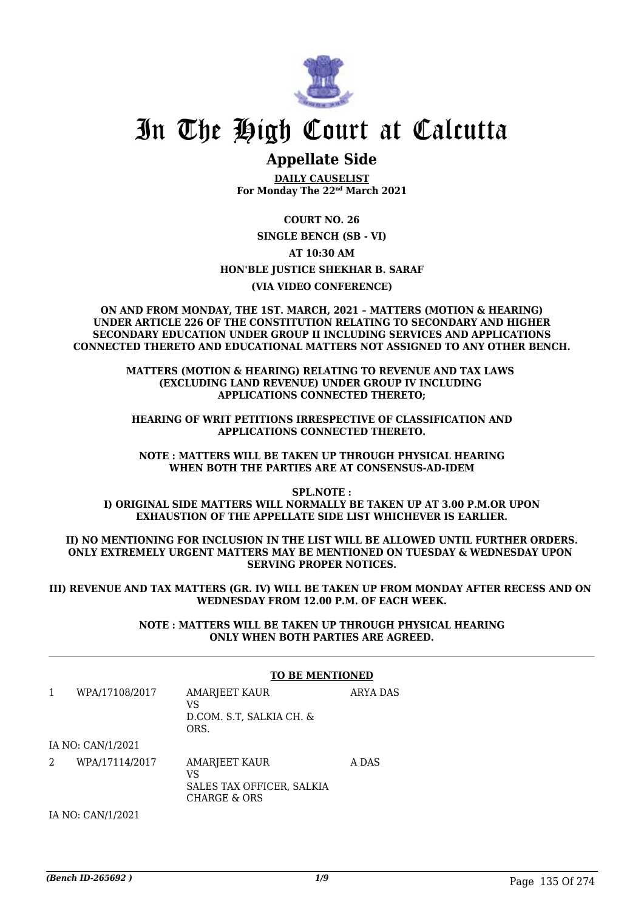

## In The High Court at Calcutta

### **Appellate Side**

**DAILY CAUSELIST For Monday The 22nd March 2021**

**COURT NO. 26 SINGLE BENCH (SB - VI) AT 10:30 AM HON'BLE JUSTICE SHEKHAR B. SARAF (VIA VIDEO CONFERENCE)**

**ON AND FROM MONDAY, THE 1ST. MARCH, 2021 – MATTERS (MOTION & HEARING) UNDER ARTICLE 226 OF THE CONSTITUTION RELATING TO SECONDARY AND HIGHER SECONDARY EDUCATION UNDER GROUP II INCLUDING SERVICES AND APPLICATIONS CONNECTED THERETO AND EDUCATIONAL MATTERS NOT ASSIGNED TO ANY OTHER BENCH.**

> **MATTERS (MOTION & HEARING) RELATING TO REVENUE AND TAX LAWS (EXCLUDING LAND REVENUE) UNDER GROUP IV INCLUDING APPLICATIONS CONNECTED THERETO;**

**HEARING OF WRIT PETITIONS IRRESPECTIVE OF CLASSIFICATION AND APPLICATIONS CONNECTED THERETO.**

**NOTE : MATTERS WILL BE TAKEN UP THROUGH PHYSICAL HEARING WHEN BOTH THE PARTIES ARE AT CONSENSUS-AD-IDEM**

**SPL.NOTE : I) ORIGINAL SIDE MATTERS WILL NORMALLY BE TAKEN UP AT 3.00 P.M.OR UPON EXHAUSTION OF THE APPELLATE SIDE LIST WHICHEVER IS EARLIER.**

**II) NO MENTIONING FOR INCLUSION IN THE LIST WILL BE ALLOWED UNTIL FURTHER ORDERS. ONLY EXTREMELY URGENT MATTERS MAY BE MENTIONED ON TUESDAY & WEDNESDAY UPON SERVING PROPER NOTICES.**

**III) REVENUE AND TAX MATTERS (GR. IV) WILL BE TAKEN UP FROM MONDAY AFTER RECESS AND ON WEDNESDAY FROM 12.00 P.M. OF EACH WEEK.**

> **NOTE : MATTERS WILL BE TAKEN UP THROUGH PHYSICAL HEARING ONLY WHEN BOTH PARTIES ARE AGREED.**

|                   | <b>TO BE MENTIONED</b>                                                      |          |
|-------------------|-----------------------------------------------------------------------------|----------|
| WPA/17108/2017    | AMARJEET KAUR<br>VS<br>D.COM. S.T. SALKIA CH. &<br>ORS.                     | ARYA DAS |
| IA NO: CAN/1/2021 |                                                                             |          |
| WPA/17114/2017    | AMARJEET KAUR<br>VS<br>SALES TAX OFFICER, SALKIA<br><b>CHARGE &amp; ORS</b> | A DAS    |
| IA NO: CAN/1/2021 |                                                                             |          |

*(Bench ID-265692 ) 1/9* Page 135 Of 274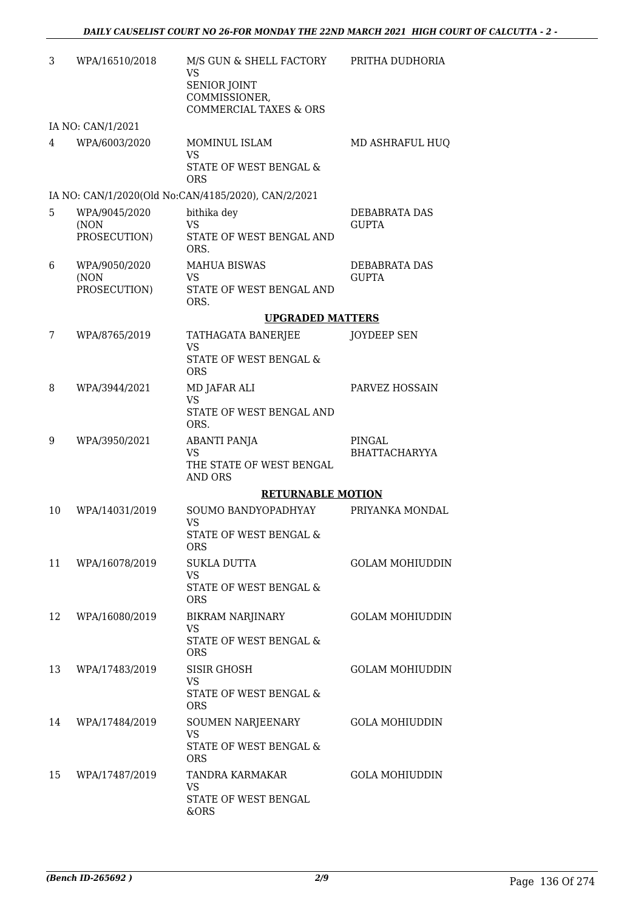| 3  | WPA/16510/2018       | M/S GUN & SHELL FACTORY<br><b>VS</b><br>SENIOR JOINT<br>COMMISSIONER,<br><b>COMMERCIAL TAXES &amp; ORS</b> | PRITHA DUDHORIA        |
|----|----------------------|------------------------------------------------------------------------------------------------------------|------------------------|
|    | IA NO: CAN/1/2021    |                                                                                                            |                        |
| 4  | WPA/6003/2020        | MOMINUL ISLAM<br><b>VS</b><br>STATE OF WEST BENGAL &<br>ORS                                                | MD ASHRAFUL HUQ        |
|    |                      | IA NO: CAN/1/2020(Old No:CAN/4185/2020), CAN/2/2021                                                        |                        |
| 5  | WPA/9045/2020        | bithika dey                                                                                                | <b>DEBABRATA DAS</b>   |
|    | (NON<br>PROSECUTION) | <b>VS</b><br>STATE OF WEST BENGAL AND<br>ORS.                                                              | <b>GUPTA</b>           |
| 6  | WPA/9050/2020        | <b>MAHUA BISWAS</b>                                                                                        | DEBABRATA DAS          |
|    | (NON<br>PROSECUTION) | <b>VS</b><br>STATE OF WEST BENGAL AND<br>ORS.                                                              | <b>GUPTA</b>           |
|    |                      | <b>UPGRADED MATTERS</b>                                                                                    |                        |
| 7  | WPA/8765/2019        | TATHAGATA BANERJEE<br><b>VS</b>                                                                            | <b>JOYDEEP SEN</b>     |
|    |                      | <b>STATE OF WEST BENGAL &amp;</b><br><b>ORS</b>                                                            |                        |
| 8  | WPA/3944/2021        | MD JAFAR ALI                                                                                               | PARVEZ HOSSAIN         |
|    |                      | VS.<br>STATE OF WEST BENGAL AND<br>ORS.                                                                    |                        |
| 9  | WPA/3950/2021        | <b>ABANTI PANJA</b>                                                                                        | PINGAL                 |
|    |                      | <b>VS</b><br>THE STATE OF WEST BENGAL<br>AND ORS                                                           | <b>BHATTACHARYYA</b>   |
|    |                      | <b>RETURNABLE MOTION</b>                                                                                   |                        |
| 10 | WPA/14031/2019       | SOUMO BANDYOPADHYAY<br><b>VS</b>                                                                           | PRIYANKA MONDAL        |
|    |                      | STATE OF WEST BENGAL &<br><b>ORS</b>                                                                       |                        |
| 11 | WPA/16078/2019       | SUKLA DUTTA<br><b>VS</b>                                                                                   | <b>GOLAM MOHIUDDIN</b> |
|    |                      | STATE OF WEST BENGAL &<br><b>ORS</b>                                                                       |                        |
| 12 | WPA/16080/2019       | <b>BIKRAM NARJINARY</b><br><b>VS</b>                                                                       | <b>GOLAM MOHIUDDIN</b> |
|    |                      | STATE OF WEST BENGAL &<br><b>ORS</b>                                                                       |                        |
| 13 | WPA/17483/2019       | SISIR GHOSH<br>VS                                                                                          | <b>GOLAM MOHIUDDIN</b> |
|    |                      | STATE OF WEST BENGAL &<br><b>ORS</b>                                                                       |                        |
| 14 | WPA/17484/2019       | SOUMEN NARJEENARY<br>VS                                                                                    | <b>GOLA MOHIUDDIN</b>  |
|    |                      | STATE OF WEST BENGAL &<br><b>ORS</b>                                                                       |                        |
| 15 | WPA/17487/2019       | TANDRA KARMAKAR<br>VS                                                                                      | <b>GOLA MOHIUDDIN</b>  |
|    |                      | STATE OF WEST BENGAL<br>&ORS                                                                               |                        |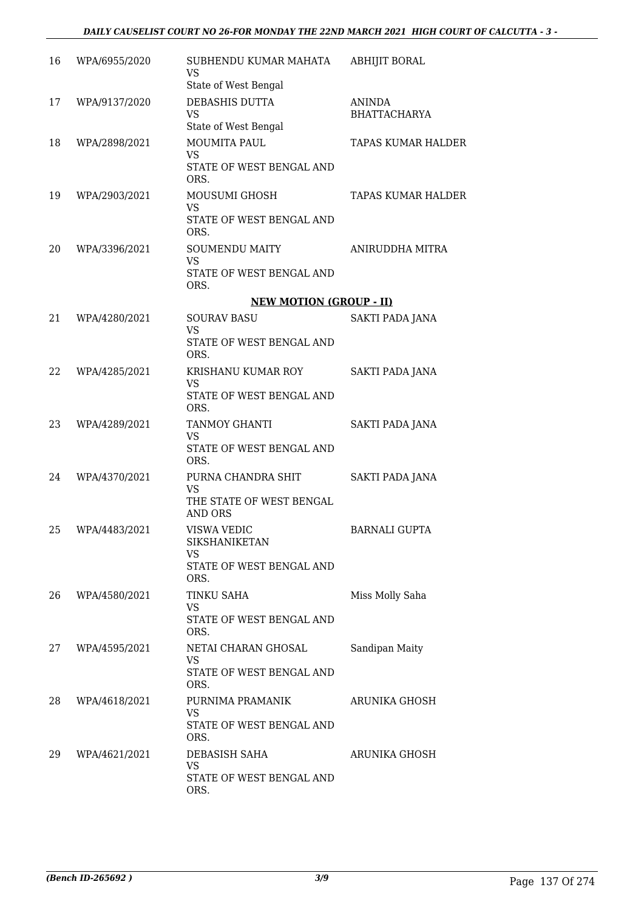| 16 | WPA/6955/2020 | SUBHENDU KUMAR MAHATA<br><b>VS</b><br>State of West Bengal                    | ABHIJIT BORAL                 |
|----|---------------|-------------------------------------------------------------------------------|-------------------------------|
| 17 | WPA/9137/2020 | DEBASHIS DUTTA<br><b>VS</b><br>State of West Bengal                           | ANINDA<br><b>BHATTACHARYA</b> |
| 18 | WPA/2898/2021 | <b>MOUMITA PAUL</b><br><b>VS</b><br>STATE OF WEST BENGAL AND<br>ORS.          | <b>TAPAS KUMAR HALDER</b>     |
| 19 | WPA/2903/2021 | MOUSUMI GHOSH<br><b>VS</b><br>STATE OF WEST BENGAL AND<br>ORS.                | <b>TAPAS KUMAR HALDER</b>     |
| 20 | WPA/3396/2021 | <b>SOUMENDU MAITY</b><br><b>VS</b><br>STATE OF WEST BENGAL AND<br>ORS.        | ANIRUDDHA MITRA               |
|    |               | <b>NEW MOTION (GROUP - II)</b>                                                |                               |
| 21 | WPA/4280/2021 | <b>SOURAV BASU</b><br><b>VS</b><br>STATE OF WEST BENGAL AND                   | SAKTI PADA JANA               |
|    |               | ORS.                                                                          |                               |
| 22 | WPA/4285/2021 | KRISHANU KUMAR ROY<br>VS<br>STATE OF WEST BENGAL AND                          | SAKTI PADA JANA               |
|    |               | ORS.                                                                          |                               |
| 23 | WPA/4289/2021 | TANMOY GHANTI<br><b>VS</b><br>STATE OF WEST BENGAL AND<br>ORS.                | SAKTI PADA JANA               |
| 24 | WPA/4370/2021 | PURNA CHANDRA SHIT<br><b>VS</b><br>THE STATE OF WEST BENGAL<br>AND ORS        | SAKTI PADA JANA               |
| 25 | WPA/4483/2021 | VISWA VEDIC<br><b>SIKSHANIKETAN</b><br>VS<br>STATE OF WEST BENGAL AND<br>ORS. | <b>BARNALI GUPTA</b>          |
| 26 | WPA/4580/2021 | <b>TINKU SAHA</b><br><b>VS</b><br>STATE OF WEST BENGAL AND<br>ORS.            | Miss Molly Saha               |
| 27 | WPA/4595/2021 | NETAI CHARAN GHOSAL<br><b>VS</b><br>STATE OF WEST BENGAL AND<br>ORS.          | Sandipan Maity                |
| 28 | WPA/4618/2021 | PURNIMA PRAMANIK<br><b>VS</b><br>STATE OF WEST BENGAL AND<br>ORS.             | ARUNIKA GHOSH                 |
| 29 | WPA/4621/2021 | DEBASISH SAHA<br><b>VS</b><br>STATE OF WEST BENGAL AND<br>ORS.                | ARUNIKA GHOSH                 |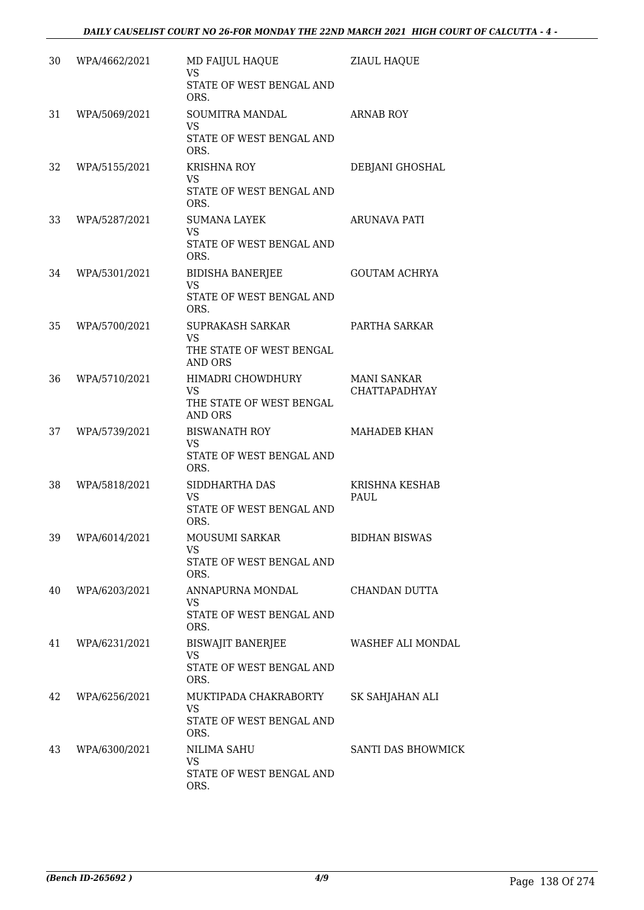| 30 | WPA/4662/2021 | MD FAIJUL HAQUE<br><b>VS</b><br>STATE OF WEST BENGAL AND | <b>ZIAUL HAQUE</b>    |
|----|---------------|----------------------------------------------------------|-----------------------|
|    |               | ORS.                                                     |                       |
| 31 | WPA/5069/2021 | <b>SOUMITRA MANDAL</b><br><b>VS</b>                      | <b>ARNAB ROY</b>      |
|    |               | STATE OF WEST BENGAL AND<br>ORS.                         |                       |
| 32 | WPA/5155/2021 | <b>KRISHNA ROY</b>                                       | DEBJANI GHOSHAL       |
|    |               | <b>VS</b><br>STATE OF WEST BENGAL AND<br>ORS.            |                       |
| 33 | WPA/5287/2021 | <b>SUMANA LAYEK</b>                                      | ARUNAVA PATI          |
|    |               | <b>VS</b><br>STATE OF WEST BENGAL AND<br>ORS.            |                       |
| 34 | WPA/5301/2021 | <b>BIDISHA BANERJEE</b>                                  | <b>GOUTAM ACHRYA</b>  |
|    |               | <b>VS</b><br>STATE OF WEST BENGAL AND<br>ORS.            |                       |
| 35 | WPA/5700/2021 | SUPRAKASH SARKAR<br><b>VS</b>                            | PARTHA SARKAR         |
|    |               | THE STATE OF WEST BENGAL<br><b>AND ORS</b>               |                       |
| 36 | WPA/5710/2021 | HIMADRI CHOWDHURY                                        | <b>MANI SANKAR</b>    |
|    |               | <b>VS</b><br>THE STATE OF WEST BENGAL<br><b>AND ORS</b>  | CHATTAPADHYAY         |
| 37 | WPA/5739/2021 | <b>BISWANATH ROY</b>                                     | <b>MAHADEB KHAN</b>   |
|    |               | <b>VS</b><br>STATE OF WEST BENGAL AND<br>ORS.            |                       |
| 38 | WPA/5818/2021 | SIDDHARTHA DAS                                           | <b>KRISHNA KESHAB</b> |
|    |               | <b>VS</b><br>STATE OF WEST BENGAL AND<br>ORS.            | PAUL                  |
| 39 | WPA/6014/2021 | MOUSUMI SARKAR                                           | <b>BIDHAN BISWAS</b>  |
|    |               | <b>VS</b><br>STATE OF WEST BENGAL AND<br>ORS.            |                       |
| 40 | WPA/6203/2021 | ANNAPURNA MONDAL                                         | CHANDAN DUTTA         |
|    |               | <b>VS</b><br>STATE OF WEST BENGAL AND<br>ORS.            |                       |
| 41 | WPA/6231/2021 | <b>BISWAJIT BANERJEE</b>                                 | WASHEF ALI MONDAL     |
|    |               | <b>VS</b><br>STATE OF WEST BENGAL AND<br>ORS.            |                       |
| 42 | WPA/6256/2021 | MUKTIPADA CHAKRABORTY                                    | SK SAHJAHAN ALI       |
|    |               | <b>VS</b><br>STATE OF WEST BENGAL AND<br>ORS.            |                       |
| 43 | WPA/6300/2021 | NILIMA SAHU                                              | SANTI DAS BHOWMICK    |
|    |               | <b>VS</b><br>STATE OF WEST BENGAL AND<br>ORS.            |                       |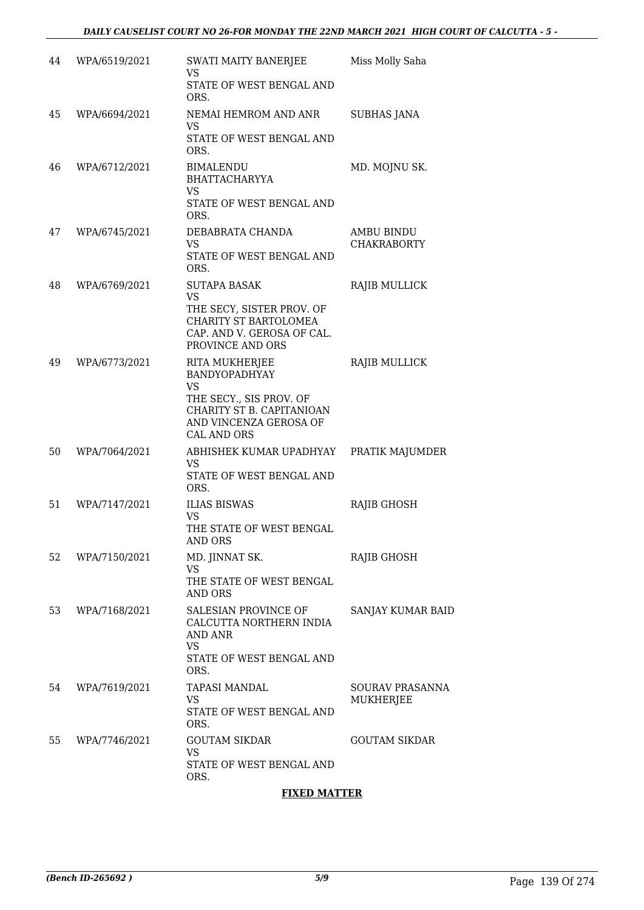| 44 | WPA/6519/2021 | SWATI MAITY BANERJEE<br><b>VS</b><br>STATE OF WEST BENGAL AND<br>ORS.                                                                                | Miss Molly Saha                     |
|----|---------------|------------------------------------------------------------------------------------------------------------------------------------------------------|-------------------------------------|
| 45 | WPA/6694/2021 | NEMAI HEMROM AND ANR<br>VS<br>STATE OF WEST BENGAL AND<br>ORS.                                                                                       | <b>SUBHAS JANA</b>                  |
| 46 | WPA/6712/2021 | BIMALENDU<br><b>BHATTACHARYYA</b><br><b>VS</b><br>STATE OF WEST BENGAL AND<br>ORS.                                                                   | MD. MOJNU SK.                       |
| 47 | WPA/6745/2021 | DEBABRATA CHANDA<br><b>VS</b><br>STATE OF WEST BENGAL AND<br>ORS.                                                                                    | AMBU BINDU<br><b>CHAKRABORTY</b>    |
| 48 | WPA/6769/2021 | <b>SUTAPA BASAK</b><br><b>VS</b><br>THE SECY, SISTER PROV. OF<br>CHARITY ST BARTOLOMEA<br>CAP. AND V. GEROSA OF CAL.<br>PROVINCE AND ORS             | RAJIB MULLICK                       |
| 49 | WPA/6773/2021 | RITA MUKHERJEE<br><b>BANDYOPADHYAY</b><br><b>VS</b><br>THE SECY., SIS PROV. OF<br>CHARITY ST B. CAPITANIOAN<br>AND VINCENZA GEROSA OF<br>CAL AND ORS | RAJIB MULLICK                       |
| 50 | WPA/7064/2021 | ABHISHEK KUMAR UPADHYAY<br><b>VS</b><br>STATE OF WEST BENGAL AND<br>ORS.                                                                             | PRATIK MAJUMDER                     |
| 51 | WPA/7147/2021 | <b>ILIAS BISWAS</b><br><b>VS</b><br>THE STATE OF WEST BENGAL<br><b>AND ORS</b>                                                                       | RAJIB GHOSH                         |
| 52 | WPA/7150/2021 | MD. JINNAT SK.<br><b>VS</b><br>THE STATE OF WEST BENGAL<br><b>AND ORS</b>                                                                            | RAJIB GHOSH                         |
| 53 | WPA/7168/2021 | SALESIAN PROVINCE OF<br>CALCUTTA NORTHERN INDIA<br><b>AND ANR</b><br><b>VS</b><br>STATE OF WEST BENGAL AND<br>ORS.                                   | SANJAY KUMAR BAID                   |
| 54 | WPA/7619/2021 | <b>TAPASI MANDAL</b><br>VS<br>STATE OF WEST BENGAL AND<br>ORS.                                                                                       | SOURAV PRASANNA<br><b>MUKHERJEE</b> |
| 55 | WPA/7746/2021 | <b>GOUTAM SIKDAR</b><br>VS<br>STATE OF WEST BENGAL AND<br>ORS.                                                                                       | <b>GOUTAM SIKDAR</b>                |

#### **FIXED MATTER**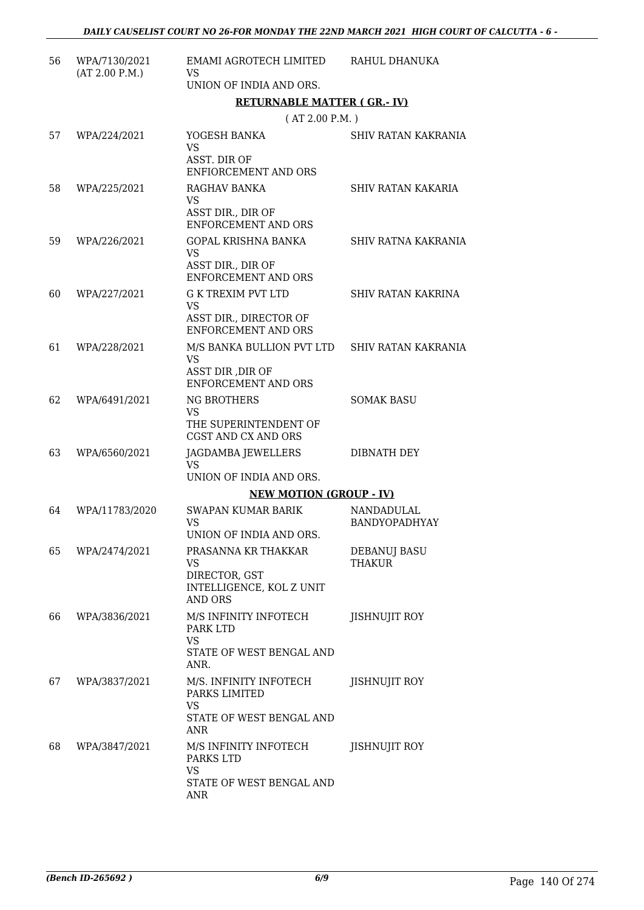| 56 | WPA/7130/2021<br>(AT 2.00 P.M.) | EMAMI AGROTECH LIMITED<br><b>VS</b><br>UNION OF INDIA AND ORS.                                 | RAHUL DHANUKA                      |
|----|---------------------------------|------------------------------------------------------------------------------------------------|------------------------------------|
|    |                                 | <b>RETURNABLE MATTER (GR.-IV)</b>                                                              |                                    |
|    |                                 | (AT 2.00 P.M. )                                                                                |                                    |
| 57 | WPA/224/2021                    | YOGESH BANKA<br><b>VS</b><br>ASST. DIR OF<br>ENFIORCEMENT AND ORS                              | <b>SHIV RATAN KAKRANIA</b>         |
| 58 | WPA/225/2021                    | RAGHAV BANKA<br><b>VS</b><br>ASST DIR., DIR OF<br><b>ENFORCEMENT AND ORS</b>                   | SHIV RATAN KAKARIA                 |
| 59 | WPA/226/2021                    | GOPAL KRISHNA BANKA<br><b>VS</b><br>ASST DIR., DIR OF<br><b>ENFORCEMENT AND ORS</b>            | SHIV RATNA KAKRANIA                |
| 60 | WPA/227/2021                    | <b>G K TREXIM PVT LTD</b><br><b>VS</b><br>ASST DIR., DIRECTOR OF<br><b>ENFORCEMENT AND ORS</b> | <b>SHIV RATAN KAKRINA</b>          |
| 61 | WPA/228/2021                    | M/S BANKA BULLION PVT LTD<br><b>VS</b><br>ASST DIR , DIR OF<br><b>ENFORCEMENT AND ORS</b>      | SHIV RATAN KAKRANIA                |
| 62 | WPA/6491/2021                   | <b>NG BROTHERS</b><br><b>VS</b><br>THE SUPERINTENDENT OF<br>CGST AND CX AND ORS                | <b>SOMAK BASU</b>                  |
| 63 | WPA/6560/2021                   | JAGDAMBA JEWELLERS<br><b>VS</b><br>UNION OF INDIA AND ORS.                                     | DIBNATH DEY                        |
|    |                                 | <b>NEW MOTION (GROUP - IV)</b>                                                                 |                                    |
| 64 | WPA/11783/2020                  | <b>SWAPAN KUMAR BARIK</b><br><b>VS</b><br>UNION OF INDIA AND ORS.                              | NANDADULAL<br><b>BANDYOPADHYAY</b> |
| 65 | WPA/2474/2021                   | PRASANNA KR THAKKAR<br>VS<br>DIRECTOR, GST<br>INTELLIGENCE, KOL Z UNIT<br><b>AND ORS</b>       | DEBANUJ BASU<br>THAKUR             |
| 66 | WPA/3836/2021                   | M/S INFINITY INFOTECH<br>PARK LTD<br><b>VS</b><br>STATE OF WEST BENGAL AND<br>ANR.             | JISHNUJIT ROY                      |
| 67 | WPA/3837/2021                   | M/S. INFINITY INFOTECH<br>PARKS LIMITED<br><b>VS</b><br>STATE OF WEST BENGAL AND<br>ANR        | <b>JISHNUJIT ROY</b>               |
| 68 | WPA/3847/2021                   | M/S INFINITY INFOTECH<br>PARKS LTD<br><b>VS</b><br>STATE OF WEST BENGAL AND<br>ANR             | JISHNUJIT ROY                      |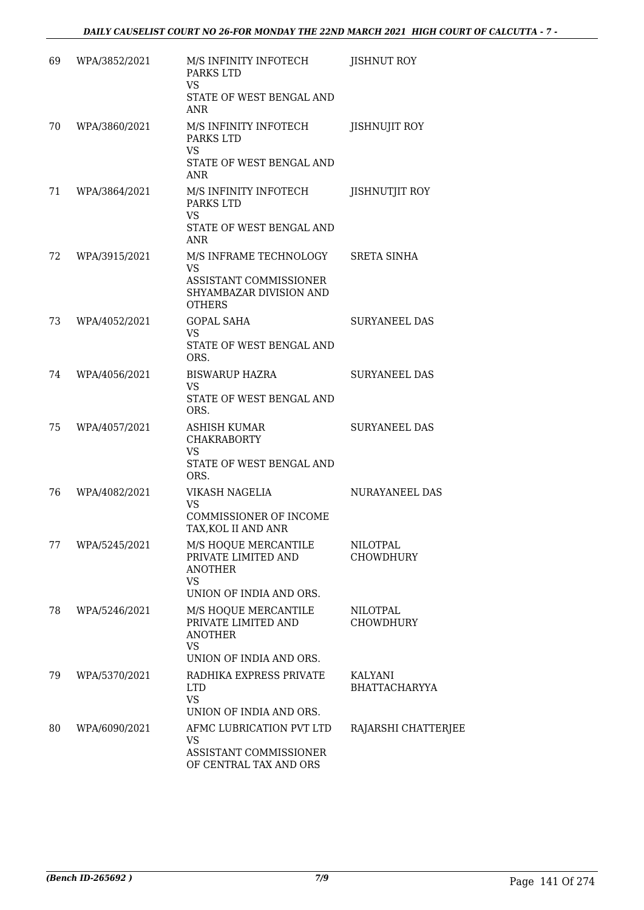| 69 | WPA/3852/2021 | M/S INFINITY INFOTECH<br>PARKS LTD<br><b>VS</b><br>STATE OF WEST BENGAL AND<br>ANR                        | JISHNUT ROY                         |
|----|---------------|-----------------------------------------------------------------------------------------------------------|-------------------------------------|
| 70 | WPA/3860/2021 | M/S INFINITY INFOTECH<br>PARKS LTD<br><b>VS</b><br>STATE OF WEST BENGAL AND<br>ANR                        | <b>JISHNUJIT ROY</b>                |
| 71 | WPA/3864/2021 | M/S INFINITY INFOTECH<br>PARKS LTD<br><b>VS</b><br>STATE OF WEST BENGAL AND<br>ANR                        | JISHNUTJIT ROY                      |
| 72 | WPA/3915/2021 | M/S INFRAME TECHNOLOGY<br><b>VS</b><br>ASSISTANT COMMISSIONER<br>SHYAMBAZAR DIVISION AND<br><b>OTHERS</b> | <b>SRETA SINHA</b>                  |
| 73 | WPA/4052/2021 | <b>GOPAL SAHA</b><br><b>VS</b><br>STATE OF WEST BENGAL AND<br>ORS.                                        | <b>SURYANEEL DAS</b>                |
| 74 | WPA/4056/2021 | <b>BISWARUP HAZRA</b><br><b>VS</b><br>STATE OF WEST BENGAL AND<br>ORS.                                    | <b>SURYANEEL DAS</b>                |
| 75 | WPA/4057/2021 | ASHISH KUMAR<br><b>CHAKRABORTY</b><br><b>VS</b><br>STATE OF WEST BENGAL AND<br>ORS.                       | <b>SURYANEEL DAS</b>                |
| 76 | WPA/4082/2021 | VIKASH NAGELIA<br><b>VS</b><br>COMMISSIONER OF INCOME<br>TAX, KOL II AND ANR                              | <b>NURAYANEEL DAS</b>               |
| 77 | WPA/5245/2021 | M/S HOQUE MERCANTILE<br>PRIVATE LIMITED AND<br><b>ANOTHER</b><br><b>VS</b><br>UNION OF INDIA AND ORS.     | <b>NILOTPAL</b><br><b>CHOWDHURY</b> |
| 78 | WPA/5246/2021 | M/S HOQUE MERCANTILE<br>PRIVATE LIMITED AND<br><b>ANOTHER</b><br><b>VS</b><br>UNION OF INDIA AND ORS.     | <b>NILOTPAL</b><br><b>CHOWDHURY</b> |
| 79 | WPA/5370/2021 | RADHIKA EXPRESS PRIVATE<br><b>LTD</b><br><b>VS</b><br>UNION OF INDIA AND ORS.                             | KALYANI<br>BHATTACHARYYA            |
| 80 | WPA/6090/2021 | AFMC LUBRICATION PVT LTD<br>VS<br>ASSISTANT COMMISSIONER<br>OF CENTRAL TAX AND ORS                        | RAJARSHI CHATTERJEE                 |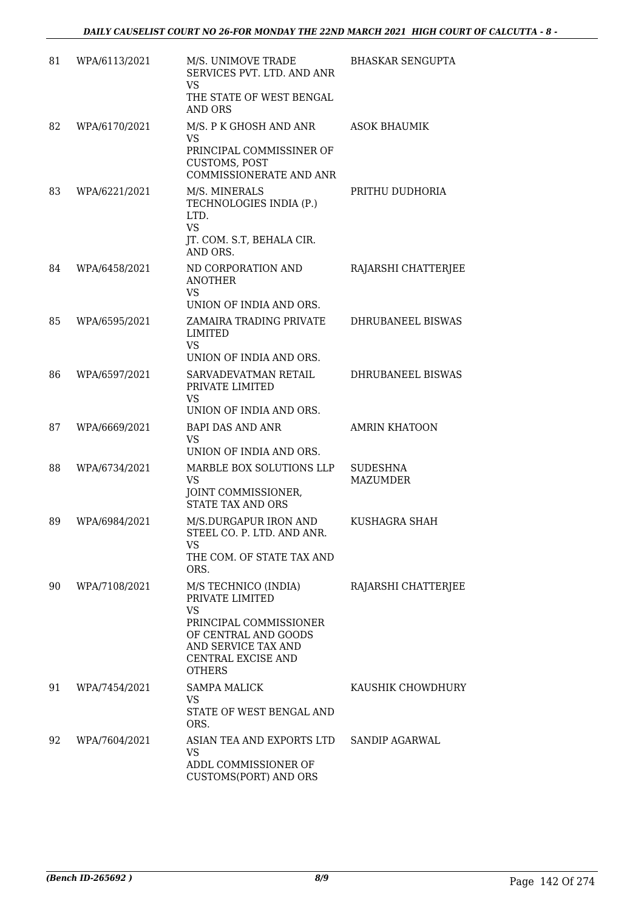| 81 | WPA/6113/2021 | M/S. UNIMOVE TRADE<br>SERVICES PVT. LTD. AND ANR<br>VS<br>THE STATE OF WEST BENGAL<br>AND ORS                                                                        | <b>BHASKAR SENGUPTA</b>     |
|----|---------------|----------------------------------------------------------------------------------------------------------------------------------------------------------------------|-----------------------------|
| 82 | WPA/6170/2021 | M/S. P K GHOSH AND ANR<br>VS.<br>PRINCIPAL COMMISSINER OF<br><b>CUSTOMS, POST</b><br>COMMISSIONERATE AND ANR                                                         | <b>ASOK BHAUMIK</b>         |
| 83 | WPA/6221/2021 | M/S. MINERALS<br>TECHNOLOGIES INDIA (P.)<br>LTD.<br><b>VS</b><br>JT. COM. S.T, BEHALA CIR.<br>AND ORS.                                                               | PRITHU DUDHORIA             |
| 84 | WPA/6458/2021 | ND CORPORATION AND<br><b>ANOTHER</b><br><b>VS</b><br>UNION OF INDIA AND ORS.                                                                                         | RAJARSHI CHATTERJEE         |
| 85 | WPA/6595/2021 | ZAMAIRA TRADING PRIVATE<br>LIMITED<br><b>VS</b><br>UNION OF INDIA AND ORS.                                                                                           | DHRUBANEEL BISWAS           |
| 86 | WPA/6597/2021 | SARVADEVATMAN RETAIL<br>PRIVATE LIMITED<br><b>VS</b><br>UNION OF INDIA AND ORS.                                                                                      | DHRUBANEEL BISWAS           |
| 87 | WPA/6669/2021 | <b>BAPI DAS AND ANR</b><br><b>VS</b><br>UNION OF INDIA AND ORS.                                                                                                      | <b>AMRIN KHATOON</b>        |
| 88 | WPA/6734/2021 | MARBLE BOX SOLUTIONS LLP<br><b>VS</b><br>JOINT COMMISSIONER,<br><b>STATE TAX AND ORS</b>                                                                             | <b>SUDESHNA</b><br>MAZUMDER |
| 89 | WPA/6984/2021 | M/S.DURGAPUR IRON AND<br>STEEL CO. P. LTD. AND ANR.<br>VS.<br>THE COM. OF STATE TAX AND<br>ORS.                                                                      | KUSHAGRA SHAH               |
| 90 | WPA/7108/2021 | M/S TECHNICO (INDIA)<br>PRIVATE LIMITED<br><b>VS</b><br>PRINCIPAL COMMISSIONER<br>OF CENTRAL AND GOODS<br>AND SERVICE TAX AND<br>CENTRAL EXCISE AND<br><b>OTHERS</b> | RAJARSHI CHATTERJEE         |
| 91 | WPA/7454/2021 | <b>SAMPA MALICK</b><br><b>VS</b><br>STATE OF WEST BENGAL AND<br>ORS.                                                                                                 | KAUSHIK CHOWDHURY           |
| 92 | WPA/7604/2021 | ASIAN TEA AND EXPORTS LTD<br>VS<br>ADDL COMMISSIONER OF<br>CUSTOMS(PORT) AND ORS                                                                                     | SANDIP AGARWAL              |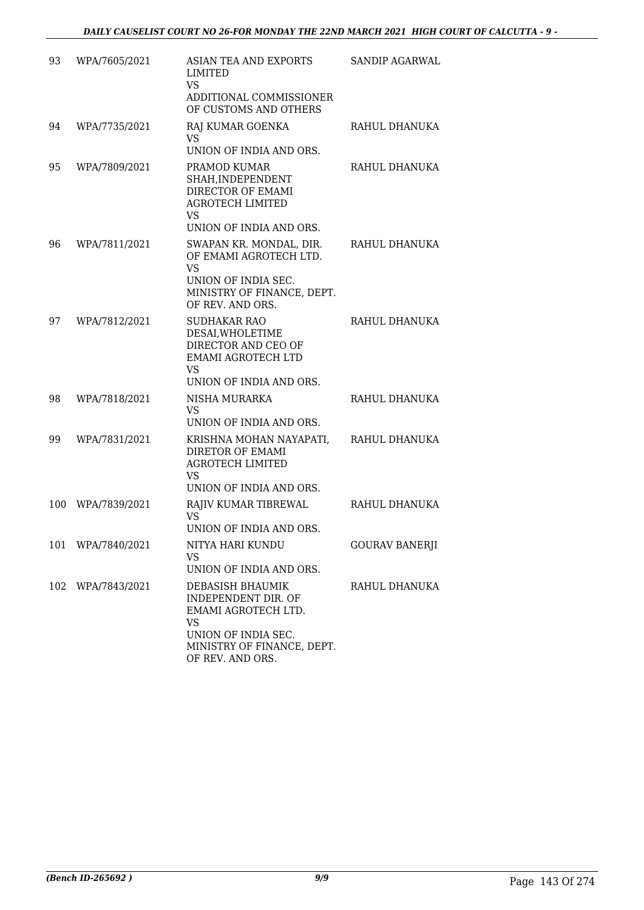| 93  | WPA/7605/2021     | ASIAN TEA AND EXPORTS<br>LIMITED<br><b>VS</b><br>ADDITIONAL COMMISSIONER<br>OF CUSTOMS AND OTHERS                                                    | SANDIP AGARWAL        |
|-----|-------------------|------------------------------------------------------------------------------------------------------------------------------------------------------|-----------------------|
| 94  | WPA/7735/2021     | RAJ KUMAR GOENKA<br><b>VS</b><br>UNION OF INDIA AND ORS.                                                                                             | RAHUL DHANUKA         |
| 95  | WPA/7809/2021     | PRAMOD KUMAR<br>SHAH, INDEPENDENT<br>DIRECTOR OF EMAMI<br><b>AGROTECH LIMITED</b><br><b>VS</b><br>UNION OF INDIA AND ORS.                            | RAHUL DHANUKA         |
| 96  | WPA/7811/2021     | SWAPAN KR. MONDAL, DIR.<br>OF EMAMI AGROTECH LTD.<br><b>VS</b><br>UNION OF INDIA SEC.<br>MINISTRY OF FINANCE, DEPT.<br>OF REV. AND ORS.              | RAHUL DHANUKA         |
| 97  | WPA/7812/2021     | <b>SUDHAKAR RAO</b><br>DESAI, WHOLETIME<br>DIRECTOR AND CEO OF<br><b>EMAMI AGROTECH LTD</b><br><b>VS</b><br>UNION OF INDIA AND ORS.                  | RAHUL DHANUKA         |
| 98  | WPA/7818/2021     | NISHA MURARKA<br><b>VS</b><br>UNION OF INDIA AND ORS.                                                                                                | RAHUL DHANUKA         |
| 99  | WPA/7831/2021     | KRISHNA MOHAN NAYAPATI,<br>DIRETOR OF EMAMI<br><b>AGROTECH LIMITED</b><br><b>VS</b><br>UNION OF INDIA AND ORS.                                       | RAHUL DHANUKA         |
| 100 | WPA/7839/2021     | RAJIV KUMAR TIBREWAL<br><b>VS</b><br>UNION OF INDIA AND ORS.                                                                                         | RAHUL DHANUKA         |
| 101 | WPA/7840/2021     | NITYA HARI KUNDU<br><b>VS</b><br>UNION OF INDIA AND ORS.                                                                                             | <b>GOURAV BANERJI</b> |
|     | 102 WPA/7843/2021 | DEBASISH BHAUMIK<br>INDEPENDENT DIR. OF<br>EMAMI AGROTECH LTD.<br><b>VS</b><br>UNION OF INDIA SEC.<br>MINISTRY OF FINANCE, DEPT.<br>OF REV. AND ORS. | RAHUL DHANUKA         |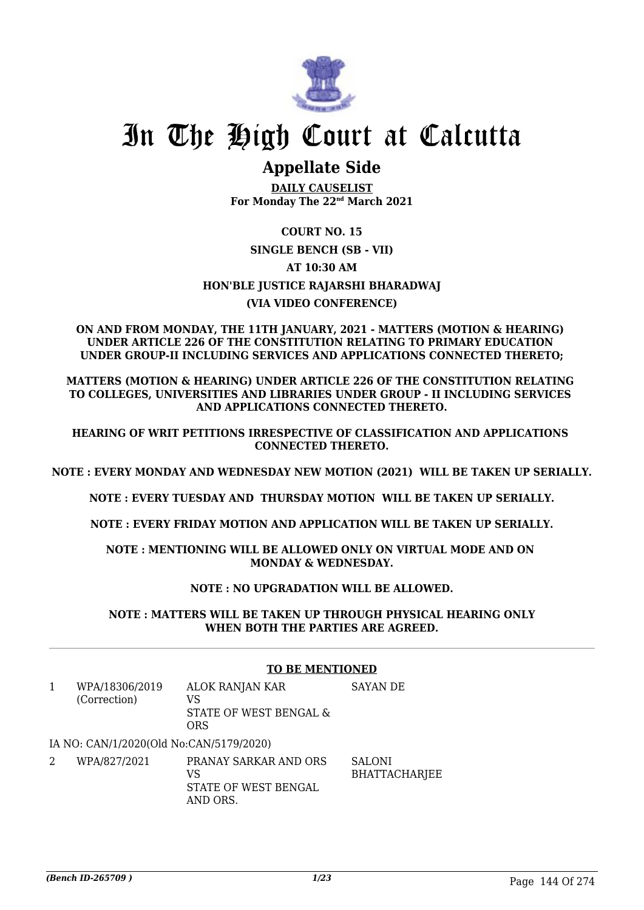

# In The High Court at Calcutta

# **Appellate Side**

**DAILY CAUSELIST For Monday The 22nd March 2021**

# **COURT NO. 15 SINGLE BENCH (SB - VII) AT 10:30 AM HON'BLE JUSTICE RAJARSHI BHARADWAJ (VIA VIDEO CONFERENCE)**

### **ON AND FROM MONDAY, THE 11TH JANUARY, 2021 - MATTERS (MOTION & HEARING) UNDER ARTICLE 226 OF THE CONSTITUTION RELATING TO PRIMARY EDUCATION UNDER GROUP-II INCLUDING SERVICES AND APPLICATIONS CONNECTED THERETO;**

**MATTERS (MOTION & HEARING) UNDER ARTICLE 226 OF THE CONSTITUTION RELATING TO COLLEGES, UNIVERSITIES AND LIBRARIES UNDER GROUP - II INCLUDING SERVICES AND APPLICATIONS CONNECTED THERETO.**

**HEARING OF WRIT PETITIONS IRRESPECTIVE OF CLASSIFICATION AND APPLICATIONS CONNECTED THERETO.**

**NOTE : EVERY MONDAY AND WEDNESDAY NEW MOTION (2021) WILL BE TAKEN UP SERIALLY.**

**NOTE : EVERY TUESDAY AND THURSDAY MOTION WILL BE TAKEN UP SERIALLY.**

**NOTE : EVERY FRIDAY MOTION AND APPLICATION WILL BE TAKEN UP SERIALLY.**

**NOTE : MENTIONING WILL BE ALLOWED ONLY ON VIRTUAL MODE AND ON MONDAY & WEDNESDAY.**

# **NOTE : NO UPGRADATION WILL BE ALLOWED.**

#### **NOTE : MATTERS WILL BE TAKEN UP THROUGH PHYSICAL HEARING ONLY WHEN BOTH THE PARTIES ARE AGREED.**

### **TO BE MENTIONED**

- 1 WPA/18306/2019 (Correction) ALOK RANJAN KAR VS STATE OF WEST BENGAL & **ORS** SAYAN DE IA NO: CAN/1/2020(Old No:CAN/5179/2020)
- 2 WPA/827/2021 PRANAY SARKAR AND ORS  $V<sup>Q</sup>$ STATE OF WEST BENGAL AND ORS. SALONI BHATTACHARJEE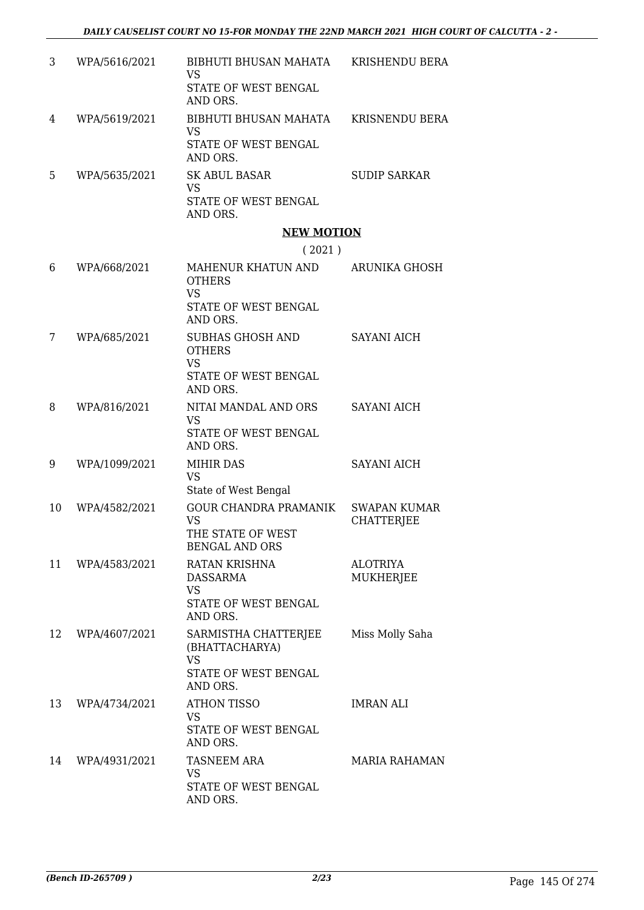| 3 | WPA/5616/2021 | BIBHUTI BHUSAN MAHATA<br>VS<br>STATE OF WEST BENGAL<br>AND ORS. | KRISHENDU BERA      |
|---|---------------|-----------------------------------------------------------------|---------------------|
| 4 | WPA/5619/2021 | BIBHUTI BHUSAN MAHATA<br>VS<br>STATE OF WEST BENGAL<br>AND ORS. | KRISNENDU BERA      |
| 5 | WPA/5635/2021 | SK ABUL BASAR<br>VS<br>STATE OF WEST BENGAL<br>AND ORS.         | <b>SUDIP SARKAR</b> |

### **NEW MOTION**

### ( 2021 )

| 6  | WPA/668/2021  | MAHENUR KHATUN AND<br><b>OTHERS</b><br><b>VS</b><br>STATE OF WEST BENGAL<br>AND ORS.    | <b>ARUNIKA GHOSH</b>                     |
|----|---------------|-----------------------------------------------------------------------------------------|------------------------------------------|
| 7  | WPA/685/2021  | SUBHAS GHOSH AND<br><b>OTHERS</b><br><b>VS</b><br>STATE OF WEST BENGAL<br>AND ORS.      | <b>SAYANI AICH</b>                       |
| 8  | WPA/816/2021  | NITAI MANDAL AND ORS<br><b>VS</b><br>STATE OF WEST BENGAL<br>AND ORS.                   | <b>SAYANI AICH</b>                       |
| 9  | WPA/1099/2021 | <b>MIHIR DAS</b><br><b>VS</b><br>State of West Bengal                                   | <b>SAYANI AICH</b>                       |
| 10 | WPA/4582/2021 | <b>GOUR CHANDRA PRAMANIK</b><br><b>VS</b><br>THE STATE OF WEST<br><b>BENGAL AND ORS</b> | <b>SWAPAN KUMAR</b><br><b>CHATTERJEE</b> |
| 11 | WPA/4583/2021 | RATAN KRISHNA<br><b>DASSARMA</b><br><b>VS</b><br>STATE OF WEST BENGAL<br>AND ORS.       | <b>ALOTRIYA</b><br><b>MUKHERJEE</b>      |
| 12 | WPA/4607/2021 | SARMISTHA CHATTERJEE<br>(BHATTACHARYA)<br><b>VS</b><br>STATE OF WEST BENGAL<br>AND ORS. | Miss Molly Saha                          |
| 13 | WPA/4734/2021 | <b>ATHON TISSO</b><br>VS<br>STATE OF WEST BENGAL<br>AND ORS.                            | <b>IMRAN ALI</b>                         |
| 14 | WPA/4931/2021 | <b>TASNEEM ARA</b><br><b>VS</b><br>STATE OF WEST BENGAL<br>AND ORS.                     | <b>MARIA RAHAMAN</b>                     |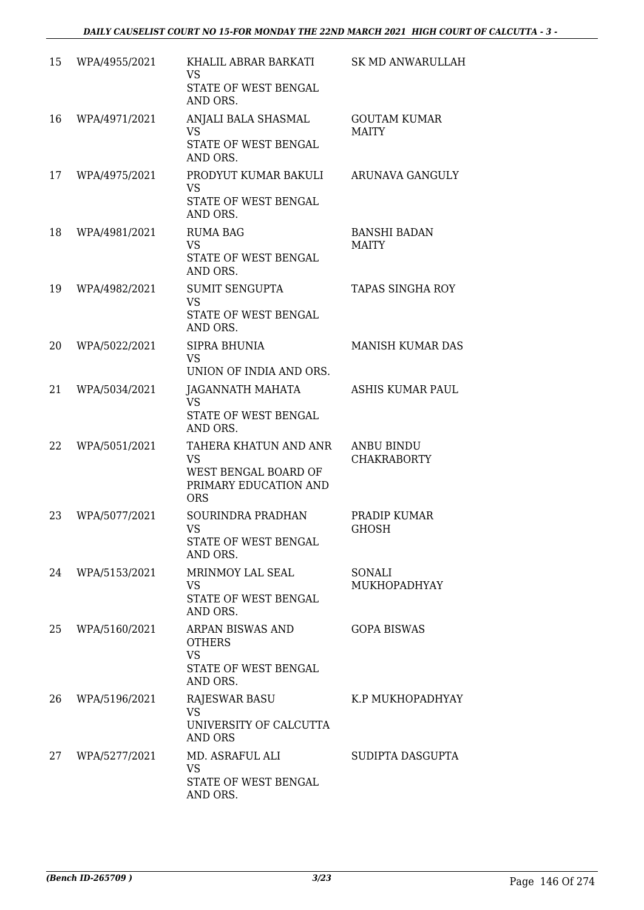| 15 | WPA/4955/2021 | KHALIL ABRAR BARKATI<br><b>VS</b><br>STATE OF WEST BENGAL<br>AND ORS.                      | SK MD ANWARULLAH                        |
|----|---------------|--------------------------------------------------------------------------------------------|-----------------------------------------|
| 16 | WPA/4971/2021 | ANJALI BALA SHASMAL<br>VS.<br>STATE OF WEST BENGAL<br>AND ORS.                             | <b>GOUTAM KUMAR</b><br><b>MAITY</b>     |
| 17 | WPA/4975/2021 | PRODYUT KUMAR BAKULI<br><b>VS</b><br>STATE OF WEST BENGAL<br>AND ORS.                      | ARUNAVA GANGULY                         |
| 18 | WPA/4981/2021 | <b>RUMA BAG</b><br><b>VS</b><br>STATE OF WEST BENGAL<br>AND ORS.                           | <b>BANSHI BADAN</b><br><b>MAITY</b>     |
| 19 | WPA/4982/2021 | <b>SUMIT SENGUPTA</b><br><b>VS</b><br>STATE OF WEST BENGAL<br>AND ORS.                     | TAPAS SINGHA ROY                        |
| 20 | WPA/5022/2021 | SIPRA BHUNIA<br><b>VS</b><br>UNION OF INDIA AND ORS.                                       | <b>MANISH KUMAR DAS</b>                 |
| 21 | WPA/5034/2021 | JAGANNATH MAHATA<br><b>VS</b><br>STATE OF WEST BENGAL<br>AND ORS.                          | <b>ASHIS KUMAR PAUL</b>                 |
| 22 | WPA/5051/2021 | TAHERA KHATUN AND ANR<br>VS<br>WEST BENGAL BOARD OF<br>PRIMARY EDUCATION AND<br><b>ORS</b> | <b>ANBU BINDU</b><br><b>CHAKRABORTY</b> |
| 23 | WPA/5077/2021 | SOURINDRA PRADHAN<br><b>VS</b><br>STATE OF WEST BENGAL<br>AND ORS.                         | PRADIP KUMAR<br><b>GHOSH</b>            |
| 24 | WPA/5153/2021 | MRINMOY LAL SEAL<br>VS.<br>STATE OF WEST BENGAL<br>AND ORS.                                | SONALI<br>MUKHOPADHYAY                  |
| 25 | WPA/5160/2021 | ARPAN BISWAS AND<br><b>OTHERS</b><br><b>VS</b><br>STATE OF WEST BENGAL<br>AND ORS.         | <b>GOPA BISWAS</b>                      |
| 26 | WPA/5196/2021 | <b>RAJESWAR BASU</b><br><b>VS</b><br>UNIVERSITY OF CALCUTTA<br><b>AND ORS</b>              | K.P MUKHOPADHYAY                        |
| 27 | WPA/5277/2021 | MD. ASRAFUL ALI<br>VS<br>STATE OF WEST BENGAL<br>AND ORS.                                  | SUDIPTA DASGUPTA                        |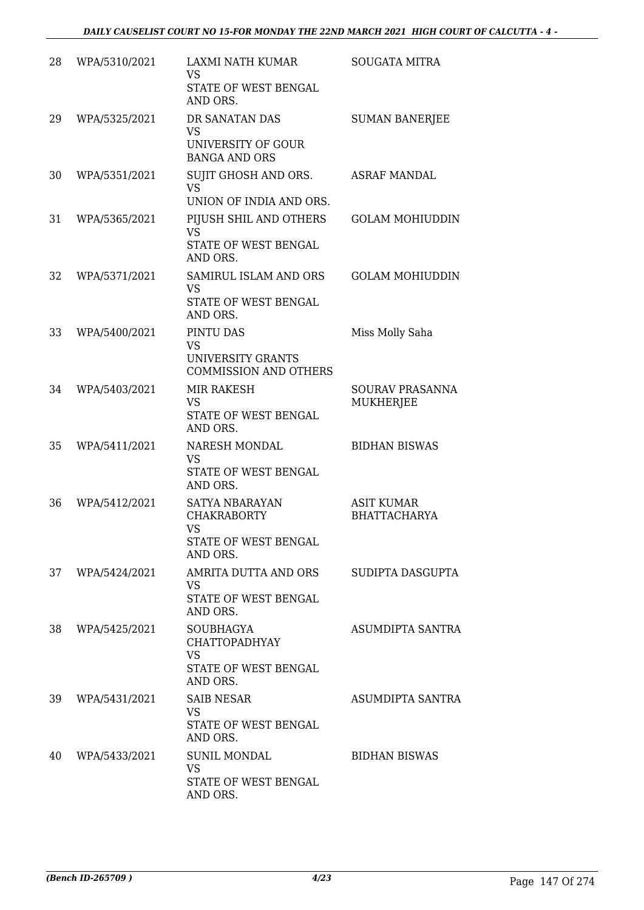| 28 | WPA/5310/2021 | LAXMI NATH KUMAR<br><b>VS</b><br>STATE OF WEST BENGAL<br>AND ORS.                         | <b>SOUGATA MITRA</b>                       |
|----|---------------|-------------------------------------------------------------------------------------------|--------------------------------------------|
| 29 | WPA/5325/2021 | DR SANATAN DAS<br><b>VS</b><br>UNIVERSITY OF GOUR<br><b>BANGA AND ORS</b>                 | <b>SUMAN BANERJEE</b>                      |
| 30 | WPA/5351/2021 | SUJIT GHOSH AND ORS.<br><b>VS</b><br>UNION OF INDIA AND ORS.                              | <b>ASRAF MANDAL</b>                        |
| 31 | WPA/5365/2021 | PIJUSH SHIL AND OTHERS<br><b>VS</b><br>STATE OF WEST BENGAL<br>AND ORS.                   | <b>GOLAM MOHIUDDIN</b>                     |
| 32 | WPA/5371/2021 | SAMIRUL ISLAM AND ORS<br><b>VS</b><br>STATE OF WEST BENGAL<br>AND ORS.                    | <b>GOLAM MOHIUDDIN</b>                     |
| 33 | WPA/5400/2021 | PINTU DAS<br><b>VS</b><br><b>UNIVERSITY GRANTS</b><br><b>COMMISSION AND OTHERS</b>        | Miss Molly Saha                            |
| 34 | WPA/5403/2021 | <b>MIR RAKESH</b><br><b>VS</b><br>STATE OF WEST BENGAL<br>AND ORS.                        | <b>SOURAV PRASANNA</b><br><b>MUKHERJEE</b> |
| 35 | WPA/5411/2021 | NARESH MONDAL<br><b>VS</b><br>STATE OF WEST BENGAL<br>AND ORS.                            | <b>BIDHAN BISWAS</b>                       |
| 36 | WPA/5412/2021 | SATYA NBARAYAN<br><b>CHAKRABORTY</b><br><b>VS</b><br>STATE OF WEST BENGAL<br>AND ORS.     | <b>ASIT KUMAR</b><br><b>BHATTACHARYA</b>   |
| 37 | WPA/5424/2021 | AMRITA DUTTA AND ORS<br><b>VS</b><br>STATE OF WEST BENGAL<br>AND ORS.                     | SUDIPTA DASGUPTA                           |
| 38 | WPA/5425/2021 | <b>SOUBHAGYA</b><br><b>CHATTOPADHYAY</b><br><b>VS</b><br>STATE OF WEST BENGAL<br>AND ORS. | <b>ASUMDIPTA SANTRA</b>                    |
| 39 | WPA/5431/2021 | <b>SAIB NESAR</b><br><b>VS</b><br>STATE OF WEST BENGAL<br>AND ORS.                        | ASUMDIPTA SANTRA                           |
| 40 | WPA/5433/2021 | <b>SUNIL MONDAL</b><br><b>VS</b><br>STATE OF WEST BENGAL<br>AND ORS.                      | <b>BIDHAN BISWAS</b>                       |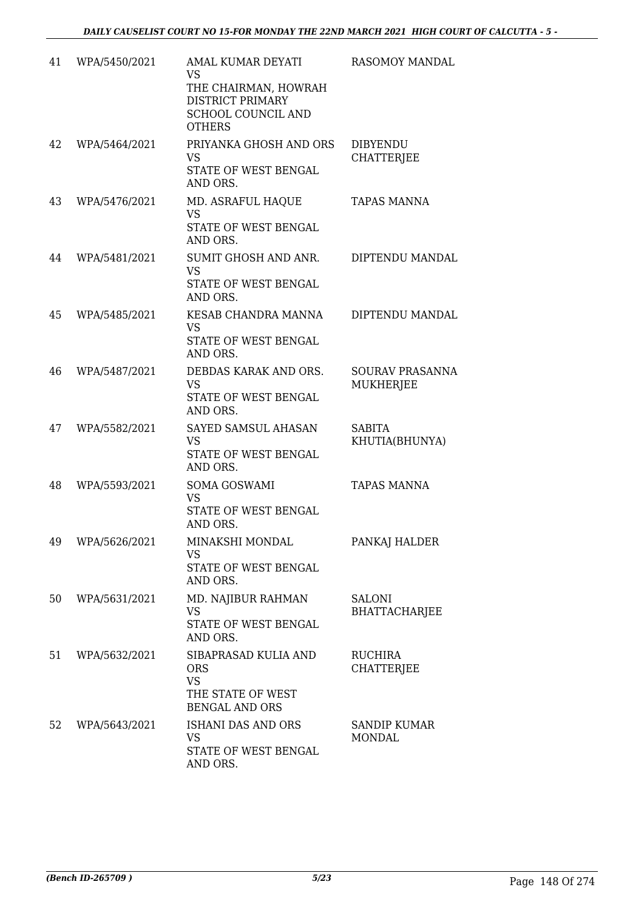| 41 | WPA/5450/2021 | AMAL KUMAR DEYATI<br>VS<br>THE CHAIRMAN, HOWRAH<br>DISTRICT PRIMARY<br>SCHOOL COUNCIL AND<br><b>OTHERS</b> | RASOMOY MANDAL                        |
|----|---------------|------------------------------------------------------------------------------------------------------------|---------------------------------------|
| 42 | WPA/5464/2021 | PRIYANKA GHOSH AND ORS<br><b>VS</b><br>STATE OF WEST BENGAL<br>AND ORS.                                    | <b>DIBYENDU</b><br><b>CHATTERJEE</b>  |
| 43 | WPA/5476/2021 | MD. ASRAFUL HAQUE<br><b>VS</b><br>STATE OF WEST BENGAL<br>AND ORS.                                         | <b>TAPAS MANNA</b>                    |
| 44 | WPA/5481/2021 | SUMIT GHOSH AND ANR.<br><b>VS</b><br>STATE OF WEST BENGAL<br>AND ORS.                                      | DIPTENDU MANDAL                       |
| 45 | WPA/5485/2021 | KESAB CHANDRA MANNA<br><b>VS</b><br>STATE OF WEST BENGAL<br>AND ORS.                                       | DIPTENDU MANDAL                       |
| 46 | WPA/5487/2021 | DEBDAS KARAK AND ORS.<br><b>VS</b><br>STATE OF WEST BENGAL<br>AND ORS.                                     | <b>SOURAV PRASANNA</b><br>MUKHERJEE   |
| 47 | WPA/5582/2021 | SAYED SAMSUL AHASAN<br><b>VS</b><br>STATE OF WEST BENGAL<br>AND ORS.                                       | <b>SABITA</b><br>KHUTIA(BHUNYA)       |
| 48 | WPA/5593/2021 | <b>SOMA GOSWAMI</b><br><b>VS</b><br>STATE OF WEST BENGAL<br>AND ORS.                                       | <b>TAPAS MANNA</b>                    |
| 49 | WPA/5626/2021 | MINAKSHI MONDAL<br><b>VS</b><br>STATE OF WEST BENGAL<br>AND ORS.                                           | PANKAJ HALDER                         |
| 50 | WPA/5631/2021 | MD. NAJIBUR RAHMAN<br><b>VS</b><br>STATE OF WEST BENGAL<br>AND ORS.                                        | <b>SALONI</b><br><b>BHATTACHARJEE</b> |
| 51 | WPA/5632/2021 | SIBAPRASAD KULIA AND<br><b>ORS</b><br>VS<br>THE STATE OF WEST                                              | <b>RUCHIRA</b><br><b>CHATTERJEE</b>   |
| 52 | WPA/5643/2021 | <b>BENGAL AND ORS</b><br><b>ISHANI DAS AND ORS</b><br>VS.<br>STATE OF WEST BENGAL<br>AND ORS.              | <b>SANDIP KUMAR</b><br><b>MONDAL</b>  |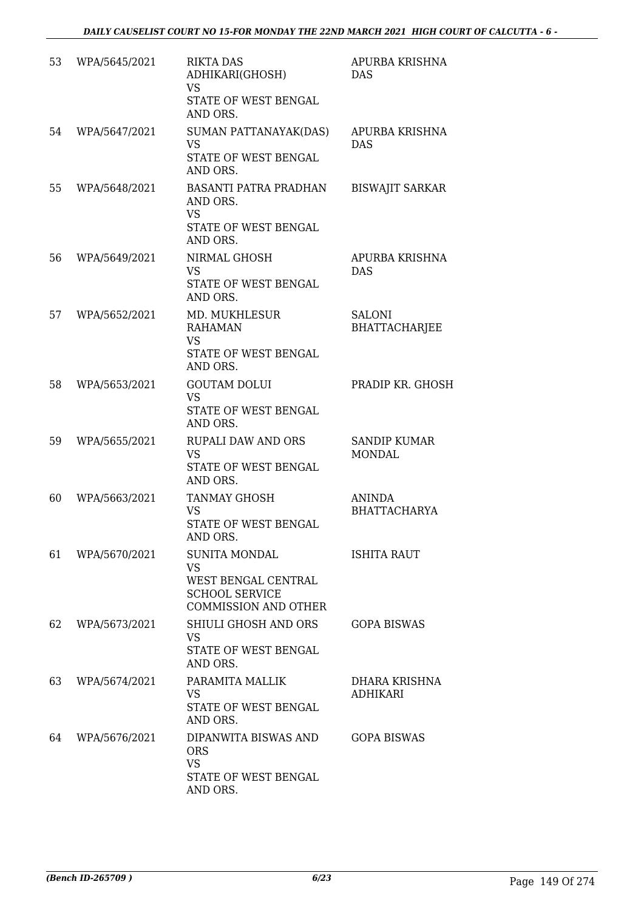| 53 | WPA/5645/2021 | <b>RIKTA DAS</b><br>ADHIKARI(GHOSH)<br><b>VS</b><br>STATE OF WEST BENGAL<br>AND ORS.                             | APURBA KRISHNA<br><b>DAS</b>          |
|----|---------------|------------------------------------------------------------------------------------------------------------------|---------------------------------------|
| 54 | WPA/5647/2021 | SUMAN PATTANAYAK(DAS)<br><b>VS</b><br>STATE OF WEST BENGAL<br>AND ORS.                                           | APURBA KRISHNA<br><b>DAS</b>          |
| 55 | WPA/5648/2021 | <b>BASANTI PATRA PRADHAN</b><br>AND ORS.<br><b>VS</b><br>STATE OF WEST BENGAL<br>AND ORS.                        | <b>BISWAJIT SARKAR</b>                |
| 56 | WPA/5649/2021 | NIRMAL GHOSH<br><b>VS</b><br>STATE OF WEST BENGAL<br>AND ORS.                                                    | APURBA KRISHNA<br>DAS                 |
| 57 | WPA/5652/2021 | MD. MUKHLESUR<br><b>RAHAMAN</b><br><b>VS</b><br>STATE OF WEST BENGAL<br>AND ORS.                                 | <b>SALONI</b><br><b>BHATTACHARJEE</b> |
| 58 | WPA/5653/2021 | <b>GOUTAM DOLUI</b><br><b>VS</b><br>STATE OF WEST BENGAL<br>AND ORS.                                             | PRADIP KR. GHOSH                      |
| 59 | WPA/5655/2021 | <b>RUPALI DAW AND ORS</b><br><b>VS</b><br>STATE OF WEST BENGAL<br>AND ORS.                                       | <b>SANDIP KUMAR</b><br><b>MONDAL</b>  |
| 60 | WPA/5663/2021 | <b>TANMAY GHOSH</b><br><b>VS</b><br><b>STATE OF WEST BENGAL</b><br>AND ORS.                                      | <b>ANINDA</b><br><b>BHATTACHARYA</b>  |
| 61 | WPA/5670/2021 | <b>SUNITA MONDAL</b><br><b>VS</b><br>WEST BENGAL CENTRAL<br><b>SCHOOL SERVICE</b><br><b>COMMISSION AND OTHER</b> | <b>ISHITA RAUT</b>                    |
| 62 | WPA/5673/2021 | <b>SHIULI GHOSH AND ORS</b><br><b>VS</b><br>STATE OF WEST BENGAL<br>AND ORS.                                     | <b>GOPA BISWAS</b>                    |
| 63 | WPA/5674/2021 | PARAMITA MALLIK<br>VS<br>STATE OF WEST BENGAL<br>AND ORS.                                                        | DHARA KRISHNA<br><b>ADHIKARI</b>      |
| 64 | WPA/5676/2021 | DIPANWITA BISWAS AND<br><b>ORS</b><br><b>VS</b><br>STATE OF WEST BENGAL<br>AND ORS.                              | <b>GOPA BISWAS</b>                    |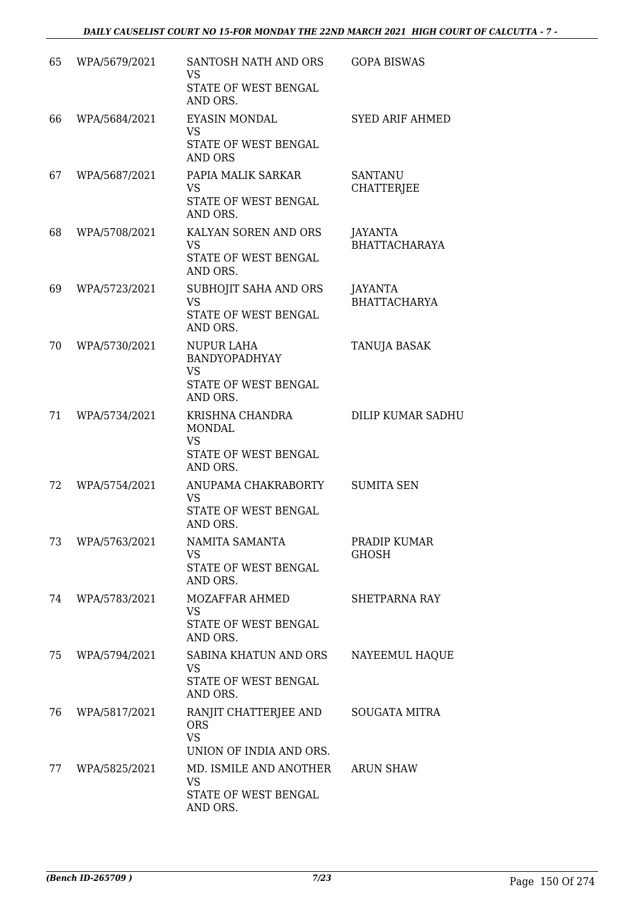| 65 | WPA/5679/2021 | SANTOSH NATH AND ORS<br><b>VS</b><br>STATE OF WEST BENGAL                             | <b>GOPA BISWAS</b>                     |
|----|---------------|---------------------------------------------------------------------------------------|----------------------------------------|
|    |               | AND ORS.                                                                              |                                        |
| 66 | WPA/5684/2021 | <b>EYASIN MONDAL</b><br><b>VS</b><br>STATE OF WEST BENGAL                             | <b>SYED ARIF AHMED</b>                 |
| 67 | WPA/5687/2021 | <b>AND ORS</b><br>PAPIA MALIK SARKAR<br><b>VS</b><br>STATE OF WEST BENGAL<br>AND ORS. | SANTANU<br><b>CHATTERJEE</b>           |
| 68 | WPA/5708/2021 | KALYAN SOREN AND ORS<br><b>VS</b><br>STATE OF WEST BENGAL<br>AND ORS.                 | <b>JAYANTA</b><br><b>BHATTACHARAYA</b> |
| 69 | WPA/5723/2021 | SUBHOJIT SAHA AND ORS<br><b>VS</b><br>STATE OF WEST BENGAL<br>AND ORS.                | <b>JAYANTA</b><br><b>BHATTACHARYA</b>  |
| 70 | WPA/5730/2021 | NUPUR LAHA<br><b>BANDYOPADHYAY</b><br><b>VS</b><br>STATE OF WEST BENGAL<br>AND ORS.   | <b>TANUJA BASAK</b>                    |
| 71 | WPA/5734/2021 | KRISHNA CHANDRA<br><b>MONDAL</b><br><b>VS</b><br>STATE OF WEST BENGAL<br>AND ORS.     | <b>DILIP KUMAR SADHU</b>               |
| 72 | WPA/5754/2021 | ANUPAMA CHAKRABORTY<br><b>VS</b><br><b>STATE OF WEST BENGAL</b><br>AND ORS.           | <b>SUMITA SEN</b>                      |
| 73 | WPA/5763/2021 | NAMITA SAMANTA<br><b>VS</b><br>STATE OF WEST BENGAL<br>AND ORS.                       | PRADIP KUMAR<br><b>GHOSH</b>           |
| 74 | WPA/5783/2021 | MOZAFFAR AHMED<br><b>VS</b><br>STATE OF WEST BENGAL<br>AND ORS.                       | <b>SHETPARNA RAY</b>                   |
| 75 | WPA/5794/2021 | SABINA KHATUN AND ORS<br><b>VS</b><br>STATE OF WEST BENGAL<br>AND ORS.                | NAYEEMUL HAQUE                         |
| 76 | WPA/5817/2021 | RANJIT CHATTERJEE AND<br><b>ORS</b><br><b>VS</b><br>UNION OF INDIA AND ORS.           | <b>SOUGATA MITRA</b>                   |
| 77 | WPA/5825/2021 | MD. ISMILE AND ANOTHER<br><b>VS</b><br>STATE OF WEST BENGAL<br>AND ORS.               | <b>ARUN SHAW</b>                       |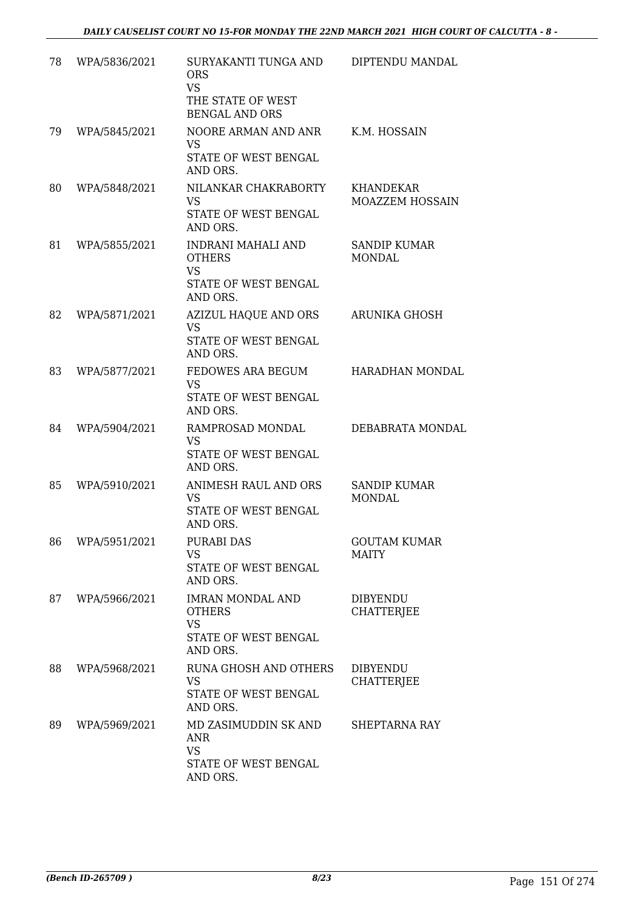| 78 | WPA/5836/2021 | SURYAKANTI TUNGA AND<br><b>ORS</b><br><b>VS</b><br>THE STATE OF WEST<br><b>BENGAL AND ORS</b> | DIPTENDU MANDAL                      |
|----|---------------|-----------------------------------------------------------------------------------------------|--------------------------------------|
| 79 | WPA/5845/2021 | NOORE ARMAN AND ANR<br><b>VS</b><br>STATE OF WEST BENGAL<br>AND ORS.                          | K.M. HOSSAIN                         |
| 80 | WPA/5848/2021 | NILANKAR CHAKRABORTY<br><b>VS</b><br>STATE OF WEST BENGAL<br>AND ORS.                         | <b>KHANDEKAR</b><br>MOAZZEM HOSSAIN  |
| 81 | WPA/5855/2021 | INDRANI MAHALI AND<br><b>OTHERS</b><br><b>VS</b><br>STATE OF WEST BENGAL<br>AND ORS.          | SANDIP KUMAR<br><b>MONDAL</b>        |
| 82 | WPA/5871/2021 | AZIZUL HAQUE AND ORS<br><b>VS</b><br>STATE OF WEST BENGAL<br>AND ORS.                         | ARUNIKA GHOSH                        |
| 83 | WPA/5877/2021 | FEDOWES ARA BEGUM<br><b>VS</b><br>STATE OF WEST BENGAL<br>AND ORS.                            | HARADHAN MONDAL                      |
| 84 | WPA/5904/2021 | RAMPROSAD MONDAL<br><b>VS</b><br>STATE OF WEST BENGAL<br>AND ORS.                             | DEBABRATA MONDAL                     |
| 85 | WPA/5910/2021 | ANIMESH RAUL AND ORS<br>VS<br>STATE OF WEST BENGAL<br>AND ORS.                                | SANDIP KUMAR<br><b>MONDAL</b>        |
| 86 | WPA/5951/2021 | PURABI DAS<br><b>VS</b><br>STATE OF WEST BENGAL<br>AND ORS.                                   | <b>GOUTAM KUMAR</b><br>MAITY         |
| 87 | WPA/5966/2021 | <b>IMRAN MONDAL AND</b><br><b>OTHERS</b><br><b>VS</b><br>STATE OF WEST BENGAL<br>AND ORS.     | <b>DIBYENDU</b><br><b>CHATTERJEE</b> |
| 88 | WPA/5968/2021 | RUNA GHOSH AND OTHERS<br><b>VS</b><br>STATE OF WEST BENGAL<br>AND ORS.                        | <b>DIBYENDU</b><br><b>CHATTERJEE</b> |
| 89 | WPA/5969/2021 | MD ZASIMUDDIN SK AND<br><b>ANR</b><br><b>VS</b><br>STATE OF WEST BENGAL<br>AND ORS.           | SHEPTARNA RAY                        |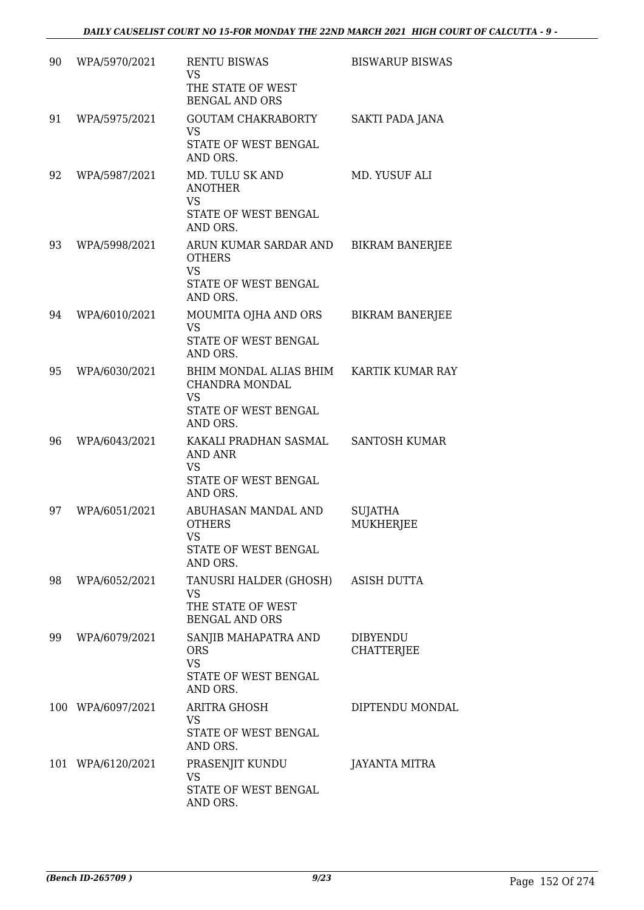| 90 | WPA/5970/2021     | <b>RENTU BISWAS</b><br><b>VS</b><br>THE STATE OF WEST<br><b>BENGAL AND ORS</b>                | <b>BISWARUP BISWAS</b>               |
|----|-------------------|-----------------------------------------------------------------------------------------------|--------------------------------------|
| 91 | WPA/5975/2021     | <b>GOUTAM CHAKRABORTY</b><br><b>VS</b><br>STATE OF WEST BENGAL<br>AND ORS.                    | SAKTI PADA JANA                      |
| 92 | WPA/5987/2021     | MD. TULU SK AND<br><b>ANOTHER</b><br><b>VS</b><br>STATE OF WEST BENGAL<br>AND ORS.            | MD. YUSUF ALI                        |
| 93 | WPA/5998/2021     | ARUN KUMAR SARDAR AND<br><b>OTHERS</b><br><b>VS</b><br>STATE OF WEST BENGAL<br>AND ORS.       | <b>BIKRAM BANERJEE</b>               |
| 94 | WPA/6010/2021     | MOUMITA OJHA AND ORS<br><b>VS</b><br>STATE OF WEST BENGAL<br>AND ORS.                         | <b>BIKRAM BANERJEE</b>               |
| 95 | WPA/6030/2021     | BHIM MONDAL ALIAS BHIM<br>CHANDRA MONDAL<br><b>VS</b><br>STATE OF WEST BENGAL<br>AND ORS.     | KARTIK KUMAR RAY                     |
| 96 | WPA/6043/2021     | KAKALI PRADHAN SASMAL<br><b>AND ANR</b><br><b>VS</b><br>STATE OF WEST BENGAL<br>AND ORS.      | <b>SANTOSH KUMAR</b>                 |
| 97 | WPA/6051/2021     | ABUHASAN MANDAL AND<br><b>OTHERS</b><br><b>VS</b><br>STATE OF WEST BENGAL<br>AND ORS.         | <b>SUJATHA</b><br><b>MUKHERJEE</b>   |
| 98 | WPA/6052/2021     | TANUSRI HALDER (GHOSH) ASISH DUTTA<br><b>VS</b><br>THE STATE OF WEST<br><b>BENGAL AND ORS</b> |                                      |
| 99 | WPA/6079/2021     | SANJIB MAHAPATRA AND<br><b>ORS</b><br><b>VS</b><br>STATE OF WEST BENGAL<br>AND ORS.           | <b>DIBYENDU</b><br><b>CHATTERJEE</b> |
|    | 100 WPA/6097/2021 | <b>ARITRA GHOSH</b><br><b>VS</b><br>STATE OF WEST BENGAL<br>AND ORS.                          | DIPTENDU MONDAL                      |
|    | 101 WPA/6120/2021 | PRASENJIT KUNDU<br><b>VS</b><br>STATE OF WEST BENGAL<br>AND ORS.                              | JAYANTA MITRA                        |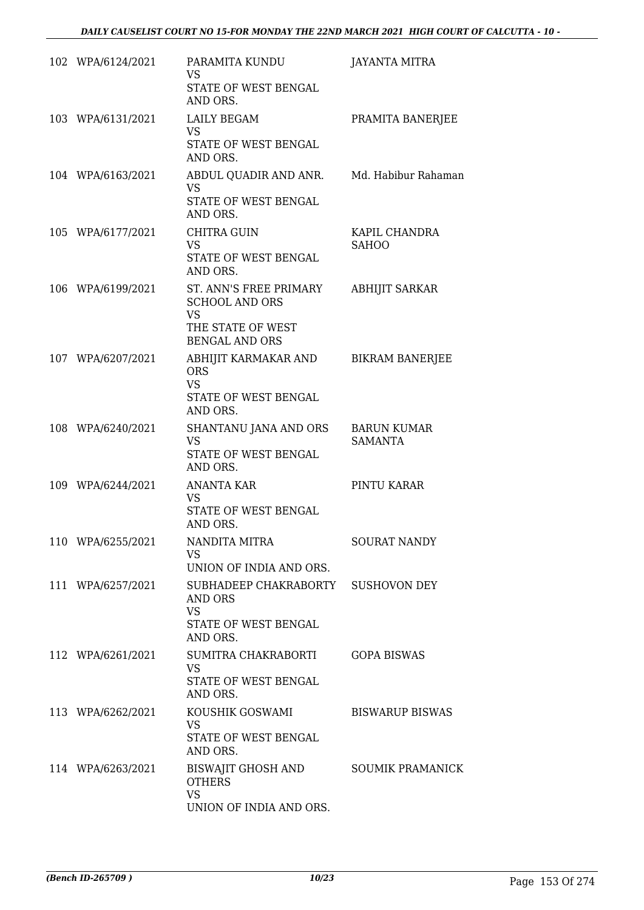| 102 WPA/6124/2021 | PARAMITA KUNDU<br>VS.<br>STATE OF WEST BENGAL<br>AND ORS.                                                  | <b>JAYANTA MITRA</b>                 |
|-------------------|------------------------------------------------------------------------------------------------------------|--------------------------------------|
| 103 WPA/6131/2021 | <b>LAILY BEGAM</b><br><b>VS</b><br>STATE OF WEST BENGAL<br>AND ORS.                                        | PRAMITA BANERJEE                     |
| 104 WPA/6163/2021 | ABDUL QUADIR AND ANR.<br><b>VS</b><br>STATE OF WEST BENGAL<br>AND ORS.                                     | Md. Habibur Rahaman                  |
| 105 WPA/6177/2021 | <b>CHITRA GUIN</b><br>VS<br>STATE OF WEST BENGAL<br>AND ORS.                                               | KAPIL CHANDRA<br><b>SAHOO</b>        |
| 106 WPA/6199/2021 | ST. ANN'S FREE PRIMARY<br><b>SCHOOL AND ORS</b><br><b>VS</b><br>THE STATE OF WEST<br><b>BENGAL AND ORS</b> | <b>ABHIJIT SARKAR</b>                |
| 107 WPA/6207/2021 | ABHIJIT KARMAKAR AND<br><b>ORS</b><br><b>VS</b><br>STATE OF WEST BENGAL<br>AND ORS.                        | <b>BIKRAM BANERJEE</b>               |
| 108 WPA/6240/2021 | SHANTANU JANA AND ORS<br><b>VS</b><br>STATE OF WEST BENGAL<br>AND ORS.                                     | <b>BARUN KUMAR</b><br><b>SAMANTA</b> |
| 109 WPA/6244/2021 | ANANTA KAR<br>VS<br>STATE OF WEST BENGAL<br>AND ORS.                                                       | PINTU KARAR                          |
| 110 WPA/6255/2021 | NANDITA MITRA<br><b>VS</b><br>UNION OF INDIA AND ORS.                                                      | <b>SOURAT NANDY</b>                  |
| 111 WPA/6257/2021 | SUBHADEEP CHAKRABORTY<br>AND ORS<br><b>VS</b><br>STATE OF WEST BENGAL<br>AND ORS.                          | <b>SUSHOVON DEY</b>                  |
| 112 WPA/6261/2021 | SUMITRA CHAKRABORTI<br><b>VS</b><br>STATE OF WEST BENGAL<br>AND ORS.                                       | <b>GOPA BISWAS</b>                   |
| 113 WPA/6262/2021 | KOUSHIK GOSWAMI<br><b>VS</b><br>STATE OF WEST BENGAL<br>AND ORS.                                           | <b>BISWARUP BISWAS</b>               |
| 114 WPA/6263/2021 | BISWAJIT GHOSH AND<br><b>OTHERS</b><br><b>VS</b><br>UNION OF INDIA AND ORS.                                | <b>SOUMIK PRAMANICK</b>              |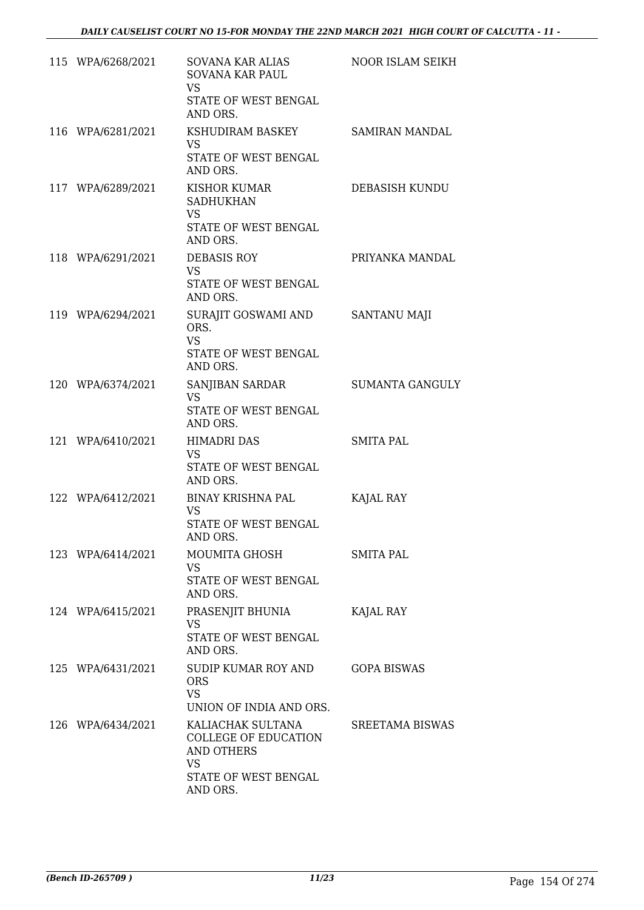| 115 WPA/6268/2021 | SOVANA KAR ALIAS<br><b>SOVANA KAR PAUL</b><br><b>VS</b><br>STATE OF WEST BENGAL<br>AND ORS.                            | NOOR ISLAM SEIKH       |
|-------------------|------------------------------------------------------------------------------------------------------------------------|------------------------|
| 116 WPA/6281/2021 | KSHUDIRAM BASKEY<br><b>VS</b><br>STATE OF WEST BENGAL<br>AND ORS.                                                      | <b>SAMIRAN MANDAL</b>  |
| 117 WPA/6289/2021 | <b>KISHOR KUMAR</b><br><b>SADHUKHAN</b><br><b>VS</b><br>STATE OF WEST BENGAL<br>AND ORS.                               | DEBASISH KUNDU         |
| 118 WPA/6291/2021 | DEBASIS ROY<br><b>VS</b><br>STATE OF WEST BENGAL<br>AND ORS.                                                           | PRIYANKA MANDAL        |
| 119 WPA/6294/2021 | SURAJIT GOSWAMI AND<br>ORS.<br><b>VS</b><br>STATE OF WEST BENGAL<br>AND ORS.                                           | <b>SANTANU MAJI</b>    |
| 120 WPA/6374/2021 | SANJIBAN SARDAR<br><b>VS</b><br>STATE OF WEST BENGAL<br>AND ORS.                                                       | <b>SUMANTA GANGULY</b> |
| 121 WPA/6410/2021 | <b>HIMADRI DAS</b><br><b>VS</b><br>STATE OF WEST BENGAL<br>AND ORS.                                                    | <b>SMITA PAL</b>       |
| 122 WPA/6412/2021 | <b>BINAY KRISHNA PAL</b><br><b>VS</b><br><b>STATE OF WEST BENGAL</b><br>AND ORS.                                       | KAJAL RAY              |
| 123 WPA/6414/2021 | MOUMITA GHOSH<br><b>VS</b><br>STATE OF WEST BENGAL<br>AND ORS.                                                         | <b>SMITA PAL</b>       |
| 124 WPA/6415/2021 | PRASENJIT BHUNIA<br><b>VS</b><br>STATE OF WEST BENGAL<br>AND ORS.                                                      | KAJAL RAY              |
| 125 WPA/6431/2021 | SUDIP KUMAR ROY AND<br><b>ORS</b><br><b>VS</b><br>UNION OF INDIA AND ORS.                                              | <b>GOPA BISWAS</b>     |
| 126 WPA/6434/2021 | KALIACHAK SULTANA<br><b>COLLEGE OF EDUCATION</b><br><b>AND OTHERS</b><br><b>VS</b><br>STATE OF WEST BENGAL<br>AND ORS. | <b>SREETAMA BISWAS</b> |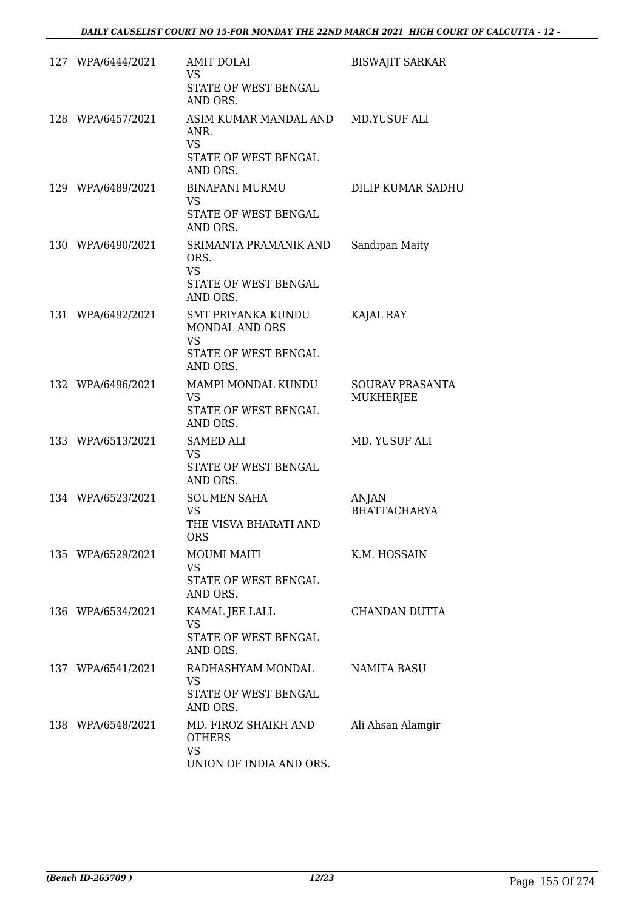| 127 WPA/6444/2021 | <b>AMIT DOLAI</b><br><b>VS</b><br>STATE OF WEST BENGAL<br>AND ORS.                           | <b>BISWAJIT SARKAR</b>              |
|-------------------|----------------------------------------------------------------------------------------------|-------------------------------------|
| 128 WPA/6457/2021 | ASIM KUMAR MANDAL AND<br>ANR.<br><b>VS</b><br>STATE OF WEST BENGAL<br>AND ORS.               | <b>MD.YUSUF ALI</b>                 |
| 129 WPA/6489/2021 | <b>BINAPANI MURMU</b><br><b>VS</b><br>STATE OF WEST BENGAL<br>AND ORS.                       | DILIP KUMAR SADHU                   |
| 130 WPA/6490/2021 | SRIMANTA PRAMANIK AND<br>ORS.<br><b>VS</b><br>STATE OF WEST BENGAL<br>AND ORS.               | Sandipan Maity                      |
| 131 WPA/6492/2021 | <b>SMT PRIYANKA KUNDU</b><br>MONDAL AND ORS<br><b>VS</b><br>STATE OF WEST BENGAL<br>AND ORS. | KAJAL RAY                           |
| 132 WPA/6496/2021 | MAMPI MONDAL KUNDU<br><b>VS</b><br>STATE OF WEST BENGAL<br>AND ORS.                          | <b>SOURAV PRASANTA</b><br>MUKHERJEE |
| 133 WPA/6513/2021 | <b>SAMED ALI</b><br><b>VS</b><br>STATE OF WEST BENGAL<br>AND ORS.                            | MD. YUSUF ALI                       |
| 134 WPA/6523/2021 | <b>SOUMEN SAHA</b><br><b>VS</b><br>THE VISVA BHARATI AND<br>ORS                              | ANJAN<br><b>BHATTACHARYA</b>        |
| 135 WPA/6529/2021 | <b>MOUMI MAITI</b><br><b>VS</b><br>STATE OF WEST BENGAL<br>AND ORS.                          | K.M. HOSSAIN                        |
| 136 WPA/6534/2021 | KAMAL JEE LALL<br><b>VS</b><br>STATE OF WEST BENGAL<br>AND ORS.                              | CHANDAN DUTTA                       |
| 137 WPA/6541/2021 | RADHASHYAM MONDAL<br><b>VS</b><br>STATE OF WEST BENGAL<br>AND ORS.                           | <b>NAMITA BASU</b>                  |
| 138 WPA/6548/2021 | MD. FIROZ SHAIKH AND<br><b>OTHERS</b><br><b>VS</b><br>UNION OF INDIA AND ORS.                | Ali Ahsan Alamgir                   |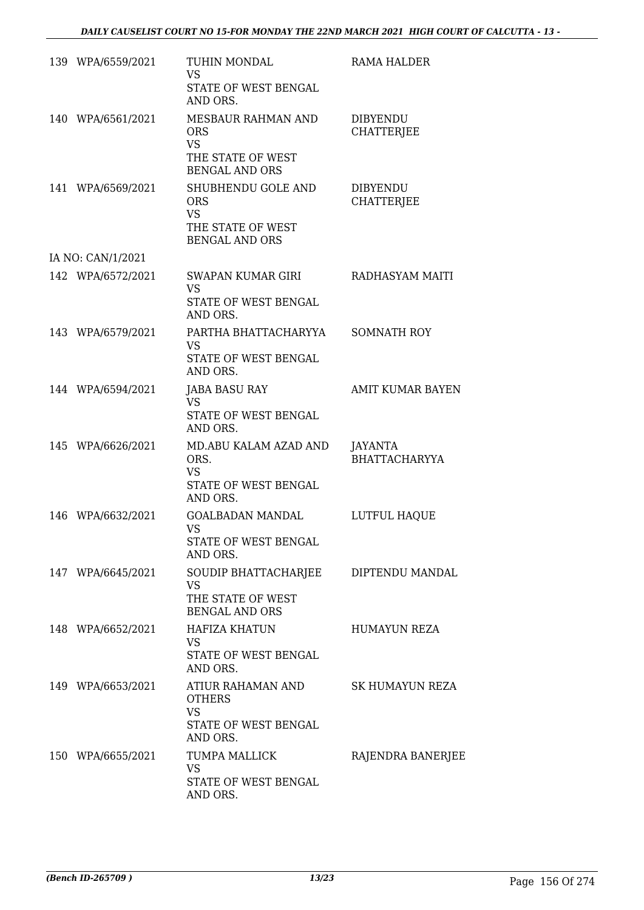| 139 WPA/6559/2021 | TUHIN MONDAL<br><b>VS</b><br>STATE OF WEST BENGAL<br>AND ORS.                                   | <b>RAMA HALDER</b>                     |
|-------------------|-------------------------------------------------------------------------------------------------|----------------------------------------|
| 140 WPA/6561/2021 | MESBAUR RAHMAN AND<br><b>ORS</b><br><b>VS</b><br>THE STATE OF WEST<br><b>BENGAL AND ORS</b>     | <b>DIBYENDU</b><br><b>CHATTERJEE</b>   |
| 141 WPA/6569/2021 | SHUBHENDU GOLE AND<br><b>ORS</b><br><b>VS</b><br>THE STATE OF WEST<br><b>BENGAL AND ORS</b>     | <b>DIBYENDU</b><br><b>CHATTERJEE</b>   |
| IA NO: CAN/1/2021 |                                                                                                 |                                        |
| 142 WPA/6572/2021 | SWAPAN KUMAR GIRI<br><b>VS</b><br>STATE OF WEST BENGAL<br>AND ORS.                              | RADHASYAM MAITI                        |
| 143 WPA/6579/2021 | PARTHA BHATTACHARYYA<br><b>VS</b><br><b>STATE OF WEST BENGAL</b><br>AND ORS.                    | <b>SOMNATH ROY</b>                     |
| 144 WPA/6594/2021 | <b>JABA BASU RAY</b><br><b>VS</b><br>STATE OF WEST BENGAL<br>AND ORS.                           | <b>AMIT KUMAR BAYEN</b>                |
| 145 WPA/6626/2021 | MD.ABU KALAM AZAD AND<br>ORS.<br><b>VS</b><br>STATE OF WEST BENGAL<br>AND ORS.                  | <b>JAYANTA</b><br><b>BHATTACHARYYA</b> |
| 146 WPA/6632/2021 | <b>GOALBADAN MANDAL</b><br><b>VS</b><br>STATE OF WEST BENGAL<br>AND ORS.                        | LUTFUL HAQUE                           |
| 147 WPA/6645/2021 | SOUDIP BHATTACHARJEE DIPTENDU MANDAL<br><b>VS</b><br>THE STATE OF WEST<br><b>BENGAL AND ORS</b> |                                        |
| 148 WPA/6652/2021 | HAFIZA KHATUN<br><b>VS</b><br>STATE OF WEST BENGAL<br>AND ORS.                                  | HUMAYUN REZA                           |
| 149 WPA/6653/2021 | ATIUR RAHAMAN AND<br><b>OTHERS</b><br><b>VS</b><br>STATE OF WEST BENGAL<br>AND ORS.             | SK HUMAYUN REZA                        |
| 150 WPA/6655/2021 | TUMPA MALLICK<br><b>VS</b><br>STATE OF WEST BENGAL<br>AND ORS.                                  | RAJENDRA BANERJEE                      |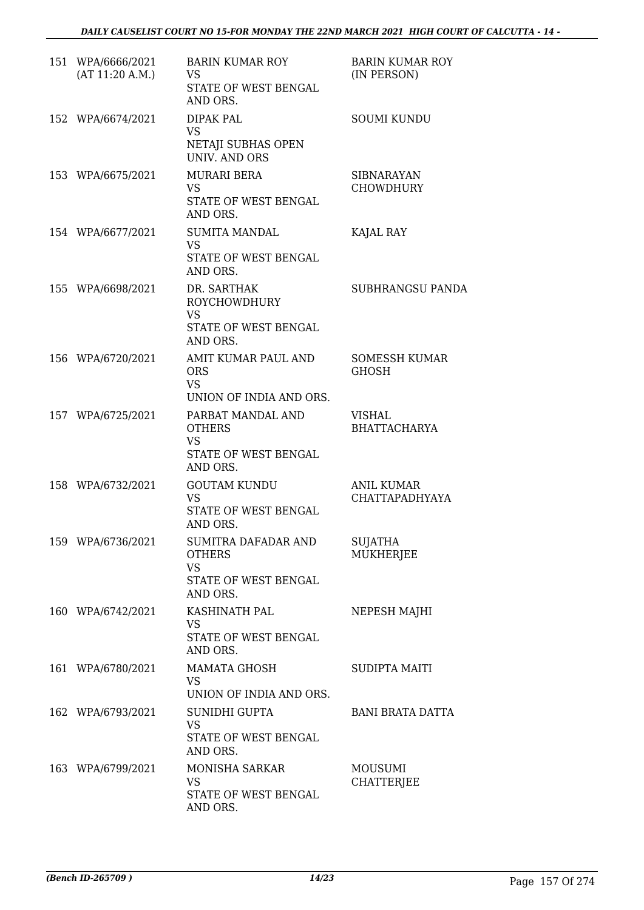| 151 WPA/6666/2021<br>(AT 11:20 A.M.) | <b>BARIN KUMAR ROY</b><br><b>VS</b><br>STATE OF WEST BENGAL<br>AND ORS.               | <b>BARIN KUMAR ROY</b><br>(IN PERSON) |
|--------------------------------------|---------------------------------------------------------------------------------------|---------------------------------------|
| 152 WPA/6674/2021                    | <b>DIPAK PAL</b><br><b>VS</b><br>NETAJI SUBHAS OPEN<br><b>UNIV. AND ORS</b>           | <b>SOUMI KUNDU</b>                    |
| 153 WPA/6675/2021                    | MURARI BERA<br><b>VS</b><br>STATE OF WEST BENGAL<br>AND ORS.                          | <b>SIBNARAYAN</b><br><b>CHOWDHURY</b> |
| 154 WPA/6677/2021                    | <b>SUMITA MANDAL</b><br><b>VS</b><br>STATE OF WEST BENGAL<br>AND ORS.                 | KAJAL RAY                             |
| 155 WPA/6698/2021                    | DR. SARTHAK<br><b>ROYCHOWDHURY</b><br><b>VS</b><br>STATE OF WEST BENGAL<br>AND ORS.   | SUBHRANGSU PANDA                      |
| 156 WPA/6720/2021                    | AMIT KUMAR PAUL AND<br><b>ORS</b><br><b>VS</b><br>UNION OF INDIA AND ORS.             | SOMESSH KUMAR<br>GHOSH                |
| 157 WPA/6725/2021                    | PARBAT MANDAL AND<br><b>OTHERS</b><br><b>VS</b><br>STATE OF WEST BENGAL<br>AND ORS.   | VISHAL<br><b>BHATTACHARYA</b>         |
| 158 WPA/6732/2021                    | <b>GOUTAM KUNDU</b><br><b>VS</b><br>STATE OF WEST BENGAL<br>AND ORS.                  | ANIL KUMAR<br><b>CHATTAPADHYAYA</b>   |
| 159 WPA/6736/2021                    | SUMITRA DAFADAR AND<br><b>OTHERS</b><br><b>VS</b><br>STATE OF WEST BENGAL<br>AND ORS. | <b>SUJATHA</b><br><b>MUKHERJEE</b>    |
| 160 WPA/6742/2021                    | KASHINATH PAL<br><b>VS</b><br>STATE OF WEST BENGAL<br>AND ORS.                        | NEPESH MAJHI                          |
| 161 WPA/6780/2021                    | <b>MAMATA GHOSH</b><br>VS<br>UNION OF INDIA AND ORS.                                  | <b>SUDIPTA MAITI</b>                  |
| 162 WPA/6793/2021                    | SUNIDHI GUPTA<br><b>VS</b><br>STATE OF WEST BENGAL<br>AND ORS.                        | <b>BANI BRATA DATTA</b>               |
| 163 WPA/6799/2021                    | MONISHA SARKAR<br><b>VS</b><br>STATE OF WEST BENGAL<br>AND ORS.                       | <b>MOUSUMI</b><br><b>CHATTERJEE</b>   |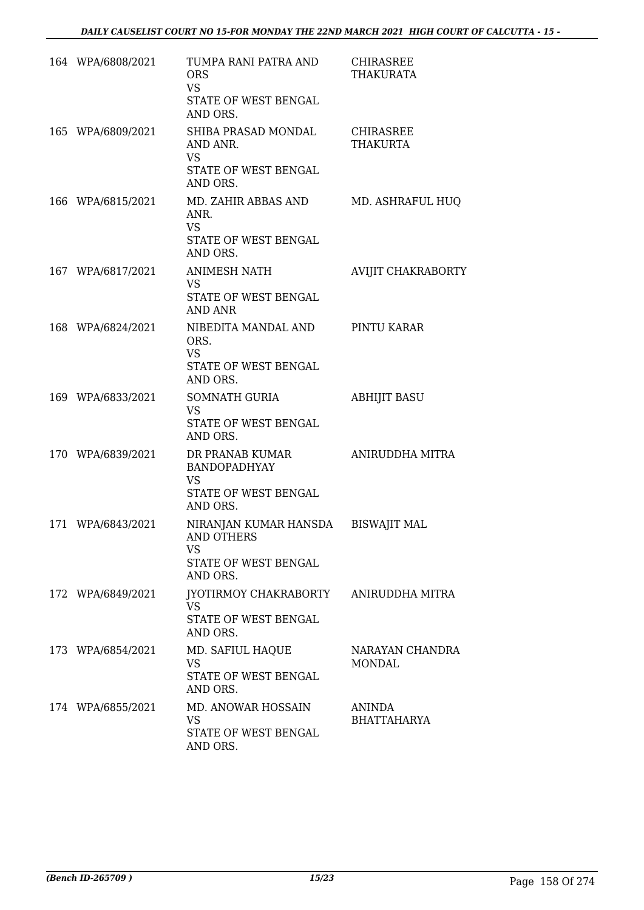| 164 WPA/6808/2021 | TUMPA RANI PATRA AND<br><b>ORS</b><br><b>VS</b><br>STATE OF WEST BENGAL<br>AND ORS.     | CHIRASREE<br><b>THAKURATA</b>       |
|-------------------|-----------------------------------------------------------------------------------------|-------------------------------------|
| 165 WPA/6809/2021 | SHIBA PRASAD MONDAL<br>AND ANR.<br><b>VS</b><br>STATE OF WEST BENGAL<br>AND ORS.        | <b>CHIRASREE</b><br><b>THAKURTA</b> |
| 166 WPA/6815/2021 | MD. ZAHIR ABBAS AND<br>ANR.<br><b>VS</b><br>STATE OF WEST BENGAL<br>AND ORS.            | MD. ASHRAFUL HUQ                    |
| 167 WPA/6817/2021 | <b>ANIMESH NATH</b><br><b>VS</b><br>STATE OF WEST BENGAL<br><b>AND ANR</b>              | AVIJIT CHAKRABORTY                  |
| 168 WPA/6824/2021 | NIBEDITA MANDAL AND<br>ORS.<br><b>VS</b><br>STATE OF WEST BENGAL<br>AND ORS.            | PINTU KARAR                         |
| 169 WPA/6833/2021 | SOMNATH GURIA<br><b>VS</b><br>STATE OF WEST BENGAL<br>AND ORS.                          | <b>ABHIJIT BASU</b>                 |
| 170 WPA/6839/2021 | DR PRANAB KUMAR<br><b>BANDOPADHYAY</b><br><b>VS</b><br>STATE OF WEST BENGAL<br>AND ORS. | ANIRUDDHA MITRA                     |
| 171 WPA/6843/2021 | NIRANJAN KUMAR HANSDA<br>AND OTHERS<br><b>VS</b><br>STATE OF WEST BENGAL<br>AND ORS.    | <b>BISWAJIT MAL</b>                 |
| 172 WPA/6849/2021 | JYOTIRMOY CHAKRABORTY<br><b>VS</b><br>STATE OF WEST BENGAL<br>AND ORS.                  | ANIRUDDHA MITRA                     |
| 173 WPA/6854/2021 | MD. SAFIUL HAQUE<br><b>VS</b><br>STATE OF WEST BENGAL<br>AND ORS.                       | NARAYAN CHANDRA<br><b>MONDAL</b>    |
| 174 WPA/6855/2021 | MD. ANOWAR HOSSAIN<br>VS<br>STATE OF WEST BENGAL<br>AND ORS.                            | ANINDA<br><b>BHATTAHARYA</b>        |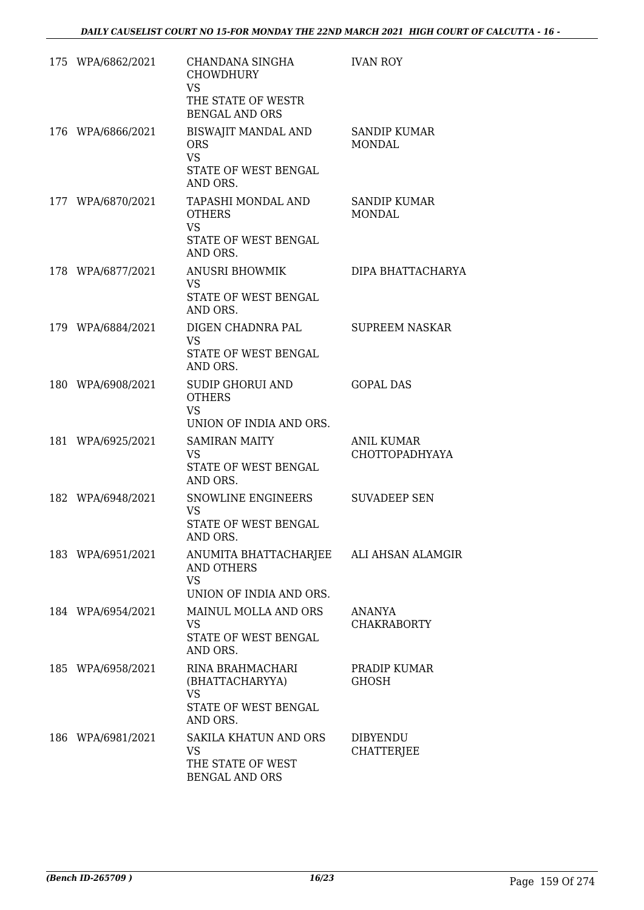| 175 WPA/6862/2021 | CHANDANA SINGHA<br><b>CHOWDHURY</b><br><b>VS</b><br>THE STATE OF WESTR<br><b>BENGAL AND ORS</b>      | <b>IVAN ROY</b>                            |
|-------------------|------------------------------------------------------------------------------------------------------|--------------------------------------------|
| 176 WPA/6866/2021 | BISWAJIT MANDAL AND<br><b>ORS</b><br><b>VS</b><br>STATE OF WEST BENGAL<br>AND ORS.                   | <b>SANDIP KUMAR</b><br><b>MONDAL</b>       |
| 177 WPA/6870/2021 | TAPASHI MONDAL AND<br><b>OTHERS</b><br><b>VS</b><br>STATE OF WEST BENGAL<br>AND ORS.                 | <b>SANDIP KUMAR</b><br><b>MONDAL</b>       |
| 178 WPA/6877/2021 | <b>ANUSRI BHOWMIK</b><br><b>VS</b><br>STATE OF WEST BENGAL<br>AND ORS.                               | DIPA BHATTACHARYA                          |
| 179 WPA/6884/2021 | DIGEN CHADNRA PAL<br><b>VS</b><br>STATE OF WEST BENGAL<br>AND ORS.                                   | <b>SUPREEM NASKAR</b>                      |
| 180 WPA/6908/2021 | <b>SUDIP GHORUI AND</b><br><b>OTHERS</b><br><b>VS</b><br>UNION OF INDIA AND ORS.                     | <b>GOPAL DAS</b>                           |
| 181 WPA/6925/2021 | <b>SAMIRAN MAITY</b><br><b>VS</b><br>STATE OF WEST BENGAL<br>AND ORS.                                | <b>ANIL KUMAR</b><br><b>CHOTTOPADHYAYA</b> |
| 182 WPA/6948/2021 | SNOWLINE ENGINEERS<br><b>VS</b><br>STATE OF WEST BENGAL<br>AND ORS.                                  | <b>SUVADEEP SEN</b>                        |
| 183 WPA/6951/2021 | ANUMITA BHATTACHARJEE ALI AHSAN ALAMGIR<br><b>AND OTHERS</b><br><b>VS</b><br>UNION OF INDIA AND ORS. |                                            |
| 184 WPA/6954/2021 | MAINUL MOLLA AND ORS<br><b>VS</b><br>STATE OF WEST BENGAL<br>AND ORS.                                | ANANYA<br><b>CHAKRABORTY</b>               |
| 185 WPA/6958/2021 | RINA BRAHMACHARI<br>(BHATTACHARYYA)<br><b>VS</b><br>STATE OF WEST BENGAL<br>AND ORS.                 | PRADIP KUMAR<br><b>GHOSH</b>               |
| 186 WPA/6981/2021 | <b>SAKILA KHATUN AND ORS</b><br><b>VS</b><br>THE STATE OF WEST<br><b>BENGAL AND ORS</b>              | <b>DIBYENDU</b><br><b>CHATTERJEE</b>       |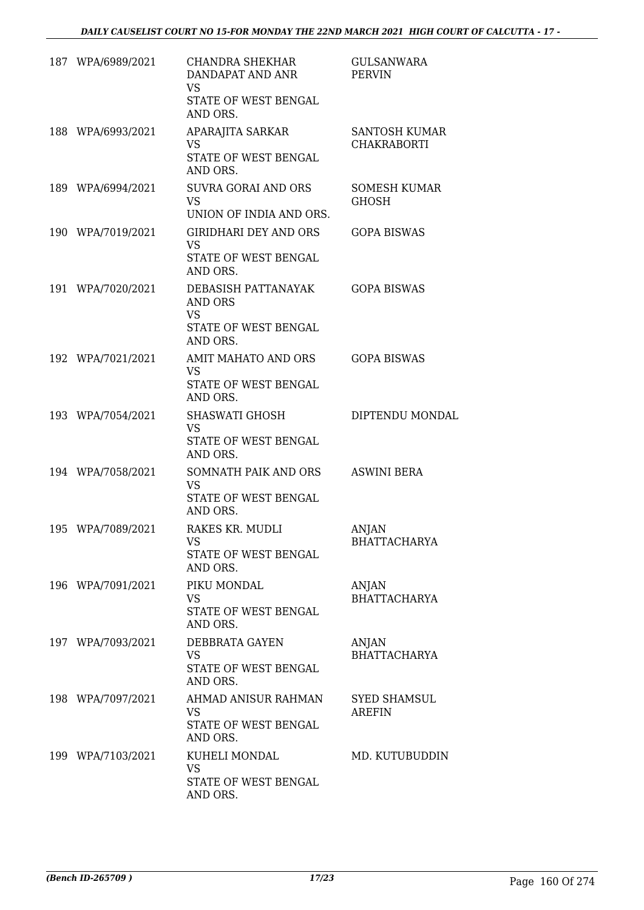| 187 WPA/6989/2021 | CHANDRA SHEKHAR<br>DANDAPAT AND ANR<br><b>VS</b><br>STATE OF WEST BENGAL<br>AND ORS.   | <b>GULSANWARA</b><br><b>PERVIN</b>         |
|-------------------|----------------------------------------------------------------------------------------|--------------------------------------------|
| 188 WPA/6993/2021 | APARAJITA SARKAR<br><b>VS</b><br>STATE OF WEST BENGAL<br>AND ORS.                      | <b>SANTOSH KUMAR</b><br><b>CHAKRABORTI</b> |
| 189 WPA/6994/2021 | SUVRA GORAI AND ORS<br><b>VS</b><br>UNION OF INDIA AND ORS.                            | <b>SOMESH KUMAR</b><br>GHOSH               |
| 190 WPA/7019/2021 | <b>GIRIDHARI DEY AND ORS</b><br><b>VS</b><br>STATE OF WEST BENGAL<br>AND ORS.          | <b>GOPA BISWAS</b>                         |
| 191 WPA/7020/2021 | DEBASISH PATTANAYAK<br><b>AND ORS</b><br><b>VS</b><br>STATE OF WEST BENGAL<br>AND ORS. | <b>GOPA BISWAS</b>                         |
| 192 WPA/7021/2021 | AMIT MAHATO AND ORS<br>VS.<br>STATE OF WEST BENGAL<br>AND ORS.                         | <b>GOPA BISWAS</b>                         |
| 193 WPA/7054/2021 | SHASWATI GHOSH<br><b>VS</b><br>STATE OF WEST BENGAL<br>AND ORS.                        | DIPTENDU MONDAL                            |
| 194 WPA/7058/2021 | SOMNATH PAIK AND ORS<br>VS<br>STATE OF WEST BENGAL<br>AND ORS.                         | <b>ASWINI BERA</b>                         |
| 195 WPA/7089/2021 | RAKES KR. MUDLI<br>VS<br>STATE OF WEST BENGAL<br>AND ORS.                              | <b>ANJAN</b><br><b>BHATTACHARYA</b>        |
| 196 WPA/7091/2021 | PIKU MONDAL<br><b>VS</b><br>STATE OF WEST BENGAL<br>AND ORS.                           | ANJAN<br><b>BHATTACHARYA</b>               |
| 197 WPA/7093/2021 | DEBBRATA GAYEN<br>VS<br>STATE OF WEST BENGAL<br>AND ORS.                               | ANJAN<br><b>BHATTACHARYA</b>               |
| 198 WPA/7097/2021 | AHMAD ANISUR RAHMAN<br><b>VS</b><br>STATE OF WEST BENGAL<br>AND ORS.                   | SYED SHAMSUL<br>AREFIN                     |
| 199 WPA/7103/2021 | KUHELI MONDAL<br>VS<br>STATE OF WEST BENGAL<br>AND ORS.                                | MD. KUTUBUDDIN                             |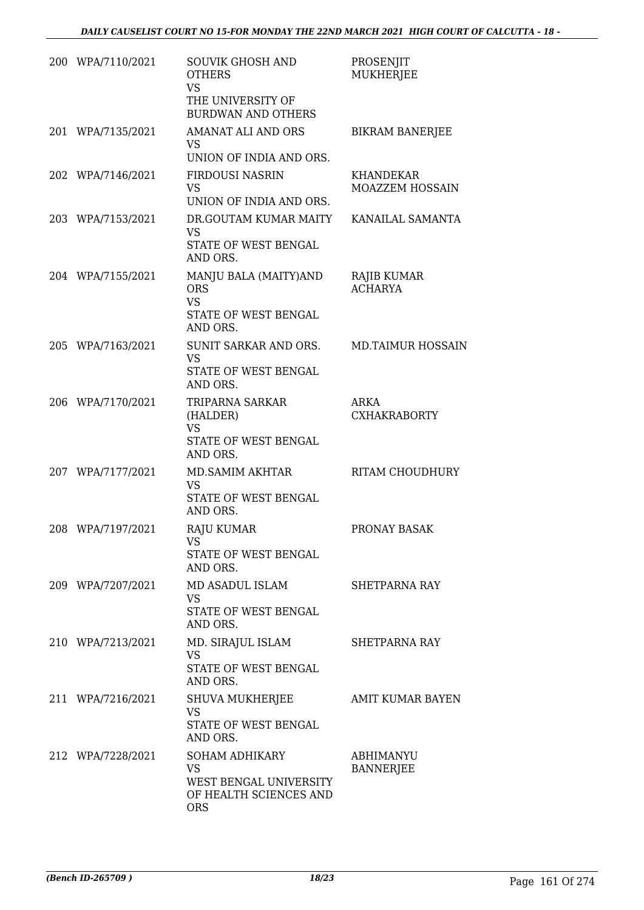| 200 WPA/7110/2021 | <b>SOUVIK GHOSH AND</b><br><b>OTHERS</b><br><b>VS</b><br>THE UNIVERSITY OF<br><b>BURDWAN AND OTHERS</b> | PROSENJIT<br><b>MUKHERJEE</b>       |
|-------------------|---------------------------------------------------------------------------------------------------------|-------------------------------------|
| 201 WPA/7135/2021 | AMANAT ALI AND ORS<br><b>VS</b><br>UNION OF INDIA AND ORS.                                              | <b>BIKRAM BANERJEE</b>              |
| 202 WPA/7146/2021 | <b>FIRDOUSI NASRIN</b><br><b>VS</b><br>UNION OF INDIA AND ORS.                                          | KHANDEKAR<br><b>MOAZZEM HOSSAIN</b> |
| 203 WPA/7153/2021 | DR.GOUTAM KUMAR MAITY<br><b>VS</b><br>STATE OF WEST BENGAL<br>AND ORS.                                  | KANAILAL SAMANTA                    |
| 204 WPA/7155/2021 | MANJU BALA (MAITY)AND<br><b>ORS</b><br><b>VS</b><br>STATE OF WEST BENGAL<br>AND ORS.                    | RAJIB KUMAR<br><b>ACHARYA</b>       |
| 205 WPA/7163/2021 | SUNIT SARKAR AND ORS.<br><b>VS</b><br>STATE OF WEST BENGAL<br>AND ORS.                                  | <b>MD.TAIMUR HOSSAIN</b>            |
| 206 WPA/7170/2021 | TRIPARNA SARKAR<br>(HALDER)<br><b>VS</b><br>STATE OF WEST BENGAL<br>AND ORS.                            | <b>ARKA</b><br><b>CXHAKRABORTY</b>  |
| 207 WPA/7177/2021 | MD.SAMIM AKHTAR<br><b>VS</b><br>STATE OF WEST BENGAL<br>AND ORS.                                        | RITAM CHOUDHURY                     |
| 208 WPA/7197/2021 | RAJU KUMAR<br><b>VS</b><br>STATE OF WEST BENGAL<br>AND ORS.                                             | PRONAY BASAK                        |
| 209 WPA/7207/2021 | MD ASADUL ISLAM<br><b>VS</b><br>STATE OF WEST BENGAL<br>AND ORS.                                        | <b>SHETPARNA RAY</b>                |
| 210 WPA/7213/2021 | MD. SIRAJUL ISLAM<br><b>VS</b><br>STATE OF WEST BENGAL<br>AND ORS.                                      | <b>SHETPARNA RAY</b>                |
| 211 WPA/7216/2021 | SHUVA MUKHERJEE<br><b>VS</b><br>STATE OF WEST BENGAL<br>AND ORS.                                        | <b>AMIT KUMAR BAYEN</b>             |
| 212 WPA/7228/2021 | SOHAM ADHIKARY<br><b>VS</b><br>WEST BENGAL UNIVERSITY<br>OF HEALTH SCIENCES AND<br><b>ORS</b>           | ABHIMANYU<br><b>BANNERJEE</b>       |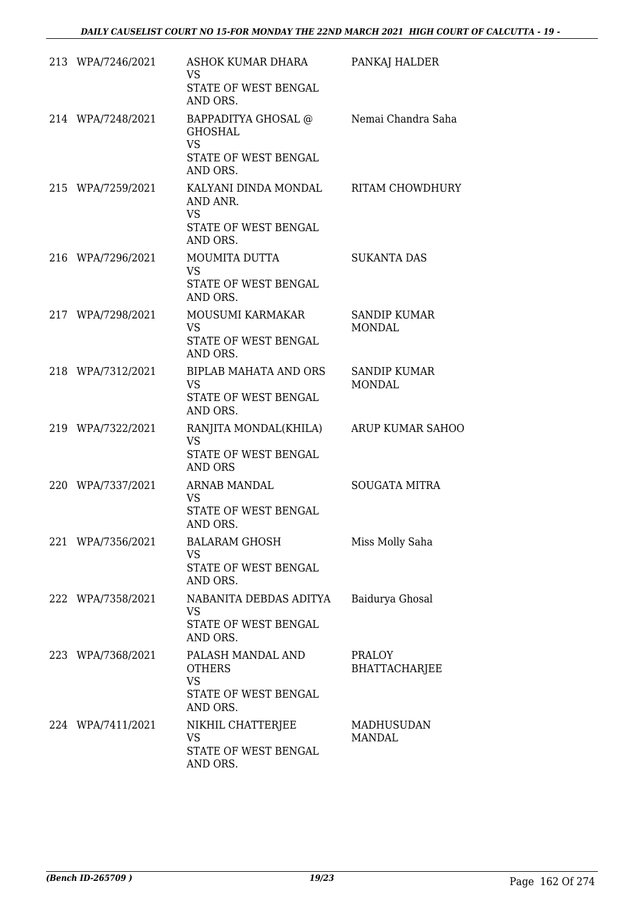| 213 WPA/7246/2021 | ASHOK KUMAR DHARA<br><b>VS</b><br>STATE OF WEST BENGAL<br>AND ORS.                     | PANKAJ HALDER                        |
|-------------------|----------------------------------------------------------------------------------------|--------------------------------------|
| 214 WPA/7248/2021 | BAPPADITYA GHOSAL @ Nemai Chandra Saha<br><b>GHOSHAL</b><br><b>VS</b>                  |                                      |
|                   | STATE OF WEST BENGAL<br>AND ORS.                                                       |                                      |
| 215 WPA/7259/2021 | KALYANI DINDA MONDAL RITAM CHOWDHURY<br>AND ANR.<br><b>VS</b>                          |                                      |
|                   | STATE OF WEST BENGAL<br>AND ORS.                                                       |                                      |
| 216 WPA/7296/2021 | MOUMITA DUTTA<br><b>VS</b><br><b>STATE OF WEST BENGAL</b>                              | <b>SUKANTA DAS</b>                   |
|                   | AND ORS.                                                                               |                                      |
| 217 WPA/7298/2021 | MOUSUMI KARMAKAR<br><b>VS</b><br>STATE OF WEST BENGAL<br>AND ORS.                      | <b>SANDIP KUMAR</b><br><b>MONDAL</b> |
| 218 WPA/7312/2021 | <b>BIPLAB MAHATA AND ORS</b><br><b>VS</b><br>STATE OF WEST BENGAL<br>AND ORS.          | <b>SANDIP KUMAR</b><br><b>MONDAL</b> |
| 219 WPA/7322/2021 | RANJITA MONDAL(KHILA) ARUP KUMAR SAHOO<br><b>VS</b><br>STATE OF WEST BENGAL<br>AND ORS |                                      |
| 220 WPA/7337/2021 | ARNAB MANDAL<br><b>VS</b><br>STATE OF WEST BENGAL                                      | <b>SOUGATA MITRA</b>                 |
| 221 WPA/7356/2021 | AND ORS.<br><b>BALARAM GHOSH</b><br><b>VS</b><br>STATE OF WEST BENGAL<br>AND ORS.      | Miss Molly Saha                      |
| 222 WPA/7358/2021 | NABANITA DEBDAS ADITYA<br>VS.<br>STATE OF WEST BENGAL<br>AND ORS.                      | Baidurya Ghosal                      |
| 223 WPA/7368/2021 | PALASH MANDAL AND<br><b>OTHERS</b><br><b>VS</b><br>STATE OF WEST BENGAL                | PRALOY<br><b>BHATTACHARJEE</b>       |
| 224 WPA/7411/2021 | AND ORS.<br>NIKHIL CHATTERJEE<br><b>VS</b><br>STATE OF WEST BENGAL<br>AND ORS.         | <b>MADHUSUDAN</b><br><b>MANDAL</b>   |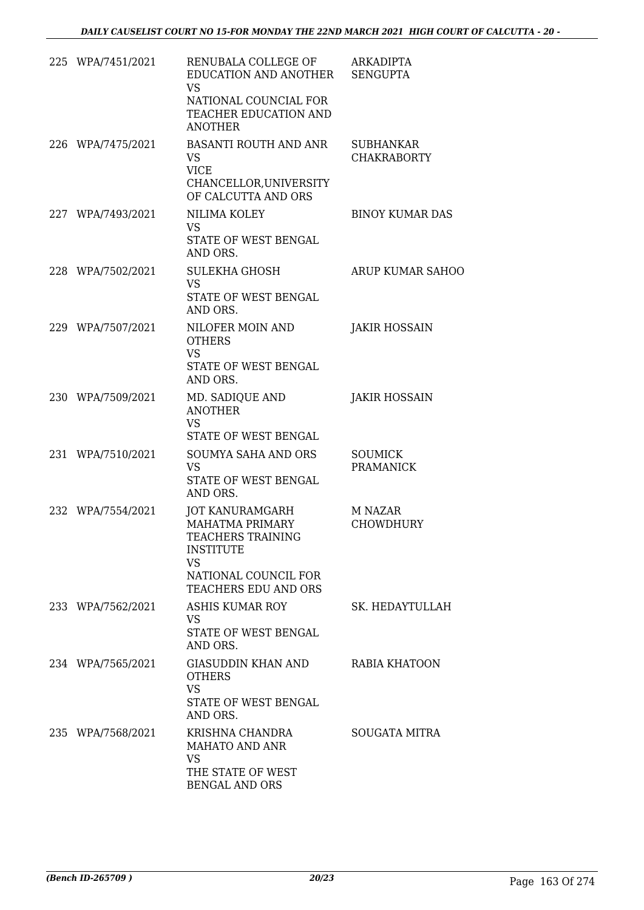| 225 WPA/7451/2021 | RENUBALA COLLEGE OF<br>EDUCATION AND ANOTHER SENGUPTA<br><b>VS</b><br>NATIONAL COUNCIAL FOR<br>TEACHER EDUCATION AND<br><b>ANOTHER</b>          | <b>ARKADIPTA</b>                       |
|-------------------|-------------------------------------------------------------------------------------------------------------------------------------------------|----------------------------------------|
| 226 WPA/7475/2021 | <b>BASANTI ROUTH AND ANR</b><br><b>VS</b><br><b>VICE</b><br>CHANCELLOR, UNIVERSITY<br>OF CALCUTTA AND ORS                                       | <b>SUBHANKAR</b><br><b>CHAKRABORTY</b> |
| 227 WPA/7493/2021 | NILIMA KOLEY<br><b>VS</b><br>STATE OF WEST BENGAL<br>AND ORS.                                                                                   | <b>BINOY KUMAR DAS</b>                 |
| 228 WPA/7502/2021 | <b>SULEKHA GHOSH</b><br><b>VS</b><br>STATE OF WEST BENGAL<br>AND ORS.                                                                           | <b>ARUP KUMAR SAHOO</b>                |
| 229 WPA/7507/2021 | NILOFER MOIN AND<br><b>OTHERS</b><br><b>VS</b><br>STATE OF WEST BENGAL<br>AND ORS.                                                              | <b>JAKIR HOSSAIN</b>                   |
| 230 WPA/7509/2021 | MD. SADIQUE AND<br><b>ANOTHER</b><br><b>VS</b><br>STATE OF WEST BENGAL                                                                          | JAKIR HOSSAIN                          |
| 231 WPA/7510/2021 | <b>SOUMYA SAHA AND ORS</b><br><b>VS</b><br>STATE OF WEST BENGAL<br>AND ORS.                                                                     | <b>SOUMICK</b><br><b>PRAMANICK</b>     |
| 232 WPA/7554/2021 | JOT KANURAMGARH<br><b>MAHATMA PRIMARY</b><br>TEACHERS TRAINING<br><b>INSTITUTE</b><br><b>VS</b><br>NATIONAL COUNCIL FOR<br>TEACHERS EDU AND ORS | M NAZAR<br><b>CHOWDHURY</b>            |
| 233 WPA/7562/2021 | ASHIS KUMAR ROY<br>VS.<br>STATE OF WEST BENGAL<br>AND ORS.                                                                                      | SK. HEDAYTULLAH                        |
| 234 WPA/7565/2021 | GIASUDDIN KHAN AND<br><b>OTHERS</b><br><b>VS</b><br>STATE OF WEST BENGAL<br>AND ORS.                                                            | RABIA KHATOON                          |
| 235 WPA/7568/2021 | KRISHNA CHANDRA<br>MAHATO AND ANR<br><b>VS</b><br>THE STATE OF WEST<br><b>BENGAL AND ORS</b>                                                    | SOUGATA MITRA                          |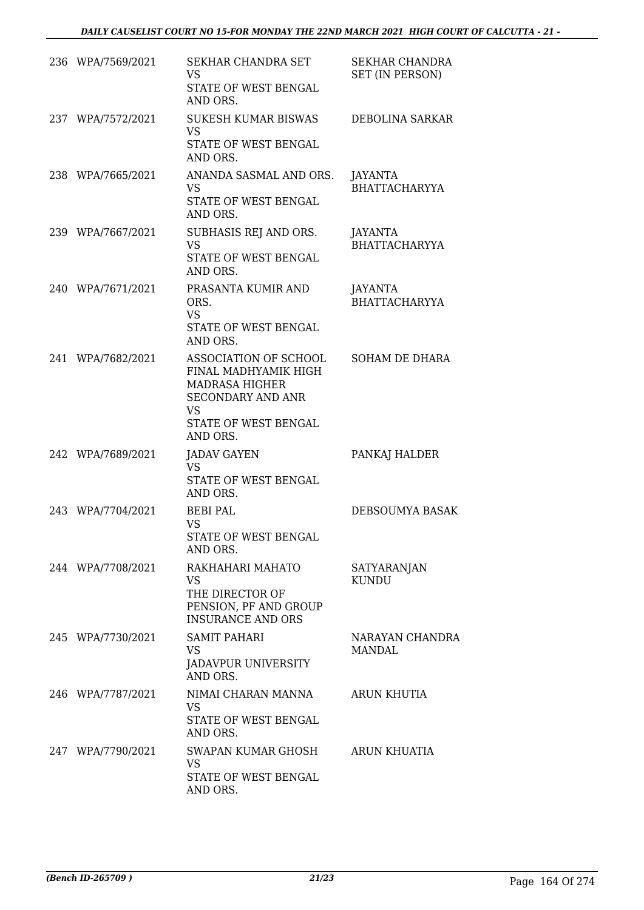| 236 WPA/7569/2021 | SEKHAR CHANDRA SET<br><b>VS</b><br><b>STATE OF WEST BENGAL</b><br>AND ORS.                                                                          | <b>SEKHAR CHANDRA</b><br>SET (IN PERSON) |
|-------------------|-----------------------------------------------------------------------------------------------------------------------------------------------------|------------------------------------------|
| 237 WPA/7572/2021 | <b>SUKESH KUMAR BISWAS</b><br><b>VS</b><br>STATE OF WEST BENGAL<br>AND ORS.                                                                         | DEBOLINA SARKAR                          |
| 238 WPA/7665/2021 | ANANDA SASMAL AND ORS.<br>VS.<br>STATE OF WEST BENGAL<br>AND ORS.                                                                                   | JAYANTA<br>BHATTACHARYYA                 |
| 239 WPA/7667/2021 | SUBHASIS REJ AND ORS.<br><b>VS</b><br>STATE OF WEST BENGAL<br>AND ORS.                                                                              | JAYANTA<br><b>BHATTACHARYYA</b>          |
| 240 WPA/7671/2021 | PRASANTA KUMIR AND<br>ORS.<br><b>VS</b><br>STATE OF WEST BENGAL<br>AND ORS.                                                                         | <b>JAYANTA</b><br><b>BHATTACHARYYA</b>   |
| 241 WPA/7682/2021 | ASSOCIATION OF SCHOOL<br>FINAL MADHYAMIK HIGH<br><b>MADRASA HIGHER</b><br><b>SECONDARY AND ANR</b><br><b>VS</b><br>STATE OF WEST BENGAL<br>AND ORS. | <b>SOHAM DE DHARA</b>                    |
| 242 WPA/7689/2021 | <b>JADAV GAYEN</b><br><b>VS</b><br>STATE OF WEST BENGAL<br>AND ORS.                                                                                 | PANKAJ HALDER                            |
| 243 WPA/7704/2021 | <b>BEBI PAL</b><br>VS<br>STATE OF WEST BENGAL<br>AND ORS.                                                                                           | DEBSOUMYA BASAK                          |
| 244 WPA/7708/2021 | RAKHAHARI MAHATO<br><b>VS</b><br>THE DIRECTOR OF<br>PENSION, PF AND GROUP<br><b>INSURANCE AND ORS</b>                                               | <b>SATYARANJAN</b><br><b>KUNDU</b>       |
| 245 WPA/7730/2021 | <b>SAMIT PAHARI</b><br><b>VS</b><br><b>JADAVPUR UNIVERSITY</b><br>AND ORS.                                                                          | NARAYAN CHANDRA<br>MANDAL                |
| 246 WPA/7787/2021 | NIMAI CHARAN MANNA<br><b>VS</b><br>STATE OF WEST BENGAL<br>AND ORS.                                                                                 | <b>ARUN KHUTIA</b>                       |
| 247 WPA/7790/2021 | SWAPAN KUMAR GHOSH<br><b>VS</b><br>STATE OF WEST BENGAL<br>AND ORS.                                                                                 | ARUN KHUATIA                             |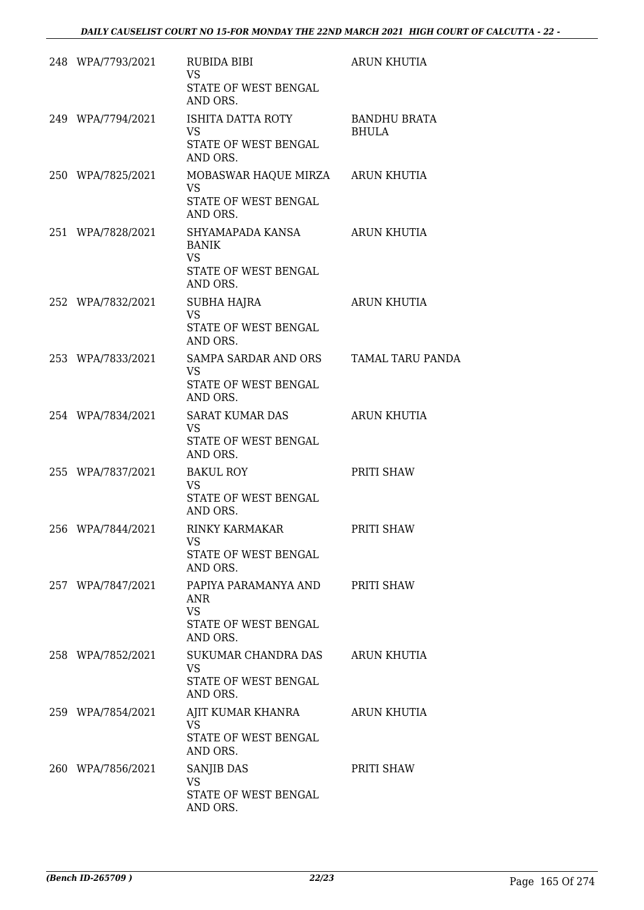| 248 WPA/7793/2021 | RUBIDA BIBI<br><b>VS</b><br>STATE OF WEST BENGAL<br>AND ORS.                             | <b>ARUN KHUTIA</b>                  |
|-------------------|------------------------------------------------------------------------------------------|-------------------------------------|
| 249 WPA/7794/2021 | ISHITA DATTA ROTY<br><b>VS</b><br>STATE OF WEST BENGAL<br>AND ORS.                       | <b>BANDHU BRATA</b><br><b>BHULA</b> |
| 250 WPA/7825/2021 | MOBASWAR HAQUE MIRZA ARUN KHUTIA<br>VS<br>STATE OF WEST BENGAL<br>AND ORS.               |                                     |
| 251 WPA/7828/2021 | SHYAMAPADA KANSA<br><b>BANIK</b><br><b>VS</b><br><b>STATE OF WEST BENGAL</b><br>AND ORS. | <b>ARUN KHUTIA</b>                  |
| 252 WPA/7832/2021 | <b>SUBHA HAJRA</b><br><b>VS</b><br>STATE OF WEST BENGAL<br>AND ORS.                      | <b>ARUN KHUTIA</b>                  |
| 253 WPA/7833/2021 | SAMPA SARDAR AND ORS<br><b>VS</b><br>STATE OF WEST BENGAL<br>AND ORS.                    | <b>TAMAL TARU PANDA</b>             |
| 254 WPA/7834/2021 | SARAT KUMAR DAS<br><b>VS</b><br>STATE OF WEST BENGAL<br>AND ORS.                         | <b>ARUN KHUTIA</b>                  |
| 255 WPA/7837/2021 | <b>BAKUL ROY</b><br><b>VS</b><br>STATE OF WEST BENGAL<br>AND ORS.                        | PRITI SHAW                          |
| 256 WPA/7844/2021 | <b>RINKY KARMAKAR</b><br>VS<br>STATE OF WEST BENGAL<br>AND ORS.                          | PRITI SHAW                          |
| 257 WPA/7847/2021 | PAPIYA PARAMANYA AND<br><b>ANR</b><br><b>VS</b><br>STATE OF WEST BENGAL<br>AND ORS.      | PRITI SHAW                          |
| 258 WPA/7852/2021 | SUKUMAR CHANDRA DAS<br>VS<br>STATE OF WEST BENGAL<br>AND ORS.                            | <b>ARUN KHUTIA</b>                  |
| 259 WPA/7854/2021 | AJIT KUMAR KHANRA<br><b>VS</b><br>STATE OF WEST BENGAL<br>AND ORS.                       | <b>ARUN KHUTIA</b>                  |
| 260 WPA/7856/2021 | <b>SANJIB DAS</b><br>VS<br>STATE OF WEST BENGAL<br>AND ORS.                              | PRITI SHAW                          |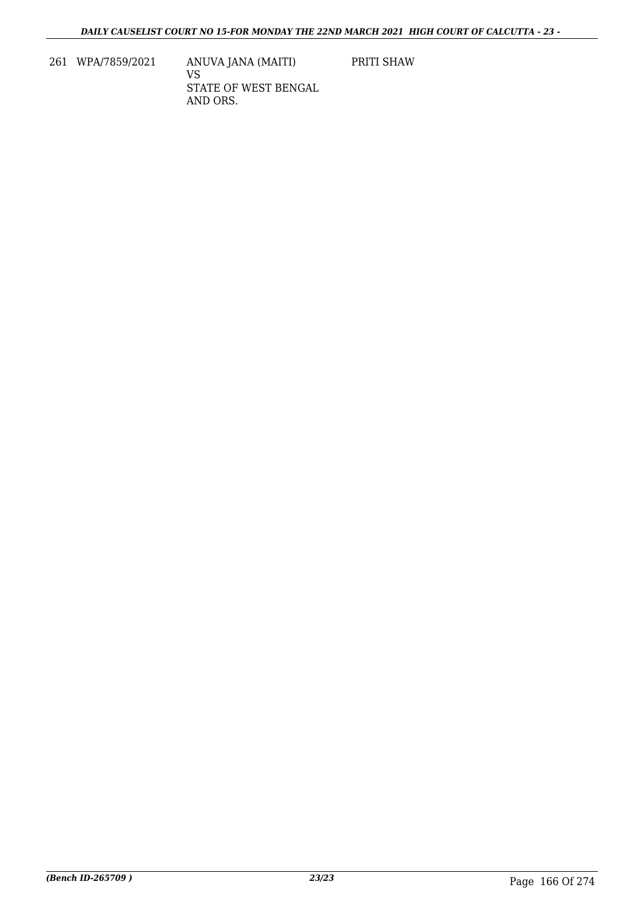261 WPA/7859/2021 ANUVA JANA (MAITI)

VS STATE OF WEST BENGAL AND ORS.

PRITI SHAW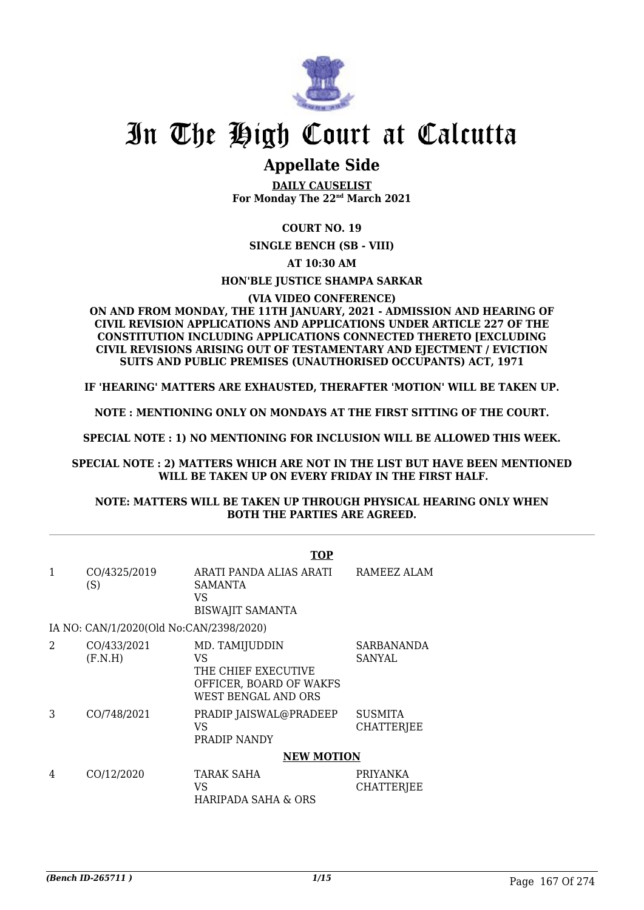

# In The High Court at Calcutta

# **Appellate Side**

**DAILY CAUSELIST For Monday The 22nd March 2021**

# **COURT NO. 19**

**SINGLE BENCH (SB - VIII)**

**AT 10:30 AM**

### **HON'BLE JUSTICE SHAMPA SARKAR**

### **(VIA VIDEO CONFERENCE)**

#### **ON AND FROM MONDAY, THE 11TH JANUARY, 2021 - ADMISSION AND HEARING OF CIVIL REVISION APPLICATIONS AND APPLICATIONS UNDER ARTICLE 227 OF THE CONSTITUTION INCLUDING APPLICATIONS CONNECTED THERETO [EXCLUDING CIVIL REVISIONS ARISING OUT OF TESTAMENTARY AND EJECTMENT / EVICTION SUITS AND PUBLIC PREMISES (UNAUTHORISED OCCUPANTS) ACT, 1971**

**IF 'HEARING' MATTERS ARE EXHAUSTED, THERAFTER 'MOTION' WILL BE TAKEN UP.**

**NOTE : MENTIONING ONLY ON MONDAYS AT THE FIRST SITTING OF THE COURT.**

**SPECIAL NOTE : 1) NO MENTIONING FOR INCLUSION WILL BE ALLOWED THIS WEEK.**

**SPECIAL NOTE : 2) MATTERS WHICH ARE NOT IN THE LIST BUT HAVE BEEN MENTIONED WILL BE TAKEN UP ON EVERY FRIDAY IN THE FIRST HALF.**

### **NOTE: MATTERS WILL BE TAKEN UP THROUGH PHYSICAL HEARING ONLY WHEN BOTH THE PARTIES ARE AGREED.**

|   |                                         | <b>TOP</b>                                                                                    |                                      |
|---|-----------------------------------------|-----------------------------------------------------------------------------------------------|--------------------------------------|
| 1 | CO/4325/2019<br>(S)                     | ARATI PANDA ALIAS ARATI<br>SAMANTA<br><b>VS</b><br><b>BISWAJIT SAMANTA</b>                    | RAMEEZ ALAM                          |
|   | IA NO: CAN/1/2020(Old No:CAN/2398/2020) |                                                                                               |                                      |
| 2 | CO/433/2021<br>(F.N.H)                  | MD. TAMIJUDDIN<br>VS<br>THE CHIEF EXECUTIVE<br>OFFICER, BOARD OF WAKFS<br>WEST BENGAL AND ORS | SARBANANDA<br>SANYAL                 |
| 3 | CO/748/2021                             | PRADIP JAISWAL@PRADEEP<br>VS<br>PRADIP NANDY                                                  | <b>SUSMITA</b><br><b>CHATTERJEE</b>  |
|   |                                         | <b>NEW MOTION</b>                                                                             |                                      |
| 4 | CO/12/2020                              | <b>TARAK SAHA</b><br>VS<br>HARIPADA SAHA & ORS                                                | <b>PRIYANKA</b><br><b>CHATTERJEE</b> |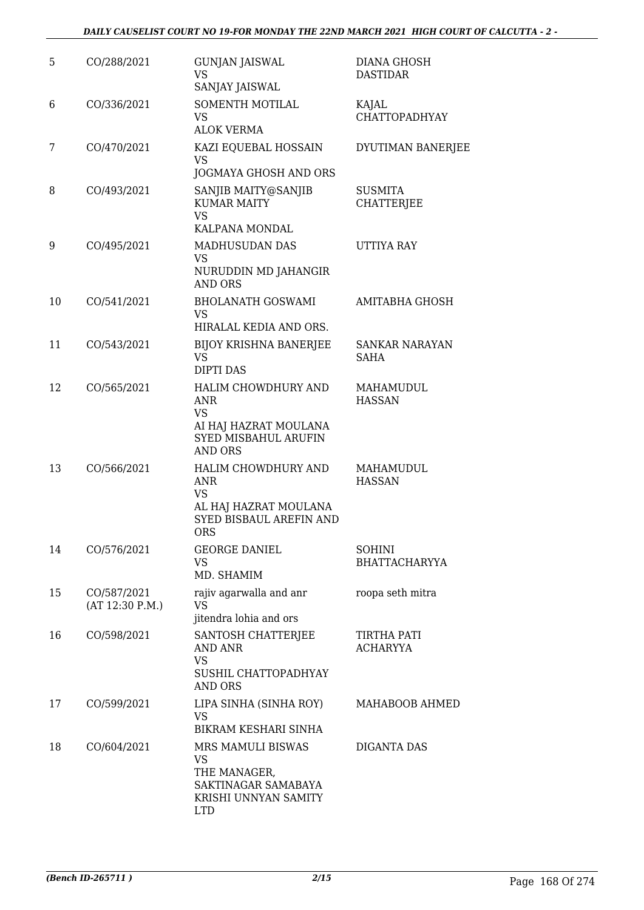| 5  | CO/288/2021                    | <b>GUNJAN JAISWAL</b><br>VS<br>SANJAY JAISWAL                                                              | <b>DIANA GHOSH</b><br><b>DASTIDAR</b> |
|----|--------------------------------|------------------------------------------------------------------------------------------------------------|---------------------------------------|
| 6  | CO/336/2021                    | SOMENTH MOTILAL<br><b>VS</b><br><b>ALOK VERMA</b>                                                          | KAJAL<br><b>CHATTOPADHYAY</b>         |
| 7  | CO/470/2021                    | KAZI EQUEBAL HOSSAIN<br><b>VS</b><br>JOGMAYA GHOSH AND ORS                                                 | DYUTIMAN BANERJEE                     |
| 8  | CO/493/2021                    | SANJIB MAITY@SANJIB<br><b>KUMAR MAITY</b><br><b>VS</b><br>KALPANA MONDAL                                   | <b>SUSMITA</b><br><b>CHATTERJEE</b>   |
| 9  | CO/495/2021                    | MADHUSUDAN DAS<br>VS<br>NURUDDIN MD JAHANGIR<br><b>AND ORS</b>                                             | UTTIYA RAY                            |
| 10 | CO/541/2021                    | <b>BHOLANATH GOSWAMI</b><br><b>VS</b><br>HIRALAL KEDIA AND ORS.                                            | AMITABHA GHOSH                        |
| 11 | CO/543/2021                    | <b>BIJOY KRISHNA BANERJEE</b><br><b>VS</b><br><b>DIPTI DAS</b>                                             | SANKAR NARAYAN<br><b>SAHA</b>         |
| 12 | CO/565/2021                    | HALIM CHOWDHURY AND<br>ANR<br><b>VS</b><br>AI HAJ HAZRAT MOULANA<br>SYED MISBAHUL ARUFIN<br><b>AND ORS</b> | MAHAMUDUL<br><b>HASSAN</b>            |
| 13 | CO/566/2021                    | HALIM CHOWDHURY AND<br>ANR<br><b>VS</b><br>AL HAJ HAZRAT MOULANA<br>SYED BISBAUL AREFIN AND<br><b>ORS</b>  | MAHAMUDUL<br><b>HASSAN</b>            |
| 14 | CO/576/2021                    | <b>GEORGE DANIEL</b><br>VS.<br>MD. SHAMIM                                                                  | <b>SOHINI</b><br><b>BHATTACHARYYA</b> |
| 15 | CO/587/2021<br>(AT 12:30 P.M.) | rajiv agarwalla and anr<br>VS.<br>jitendra lohia and ors                                                   | roopa seth mitra                      |
| 16 | CO/598/2021                    | SANTOSH CHATTERJEE<br>AND ANR<br><b>VS</b><br>SUSHIL CHATTOPADHYAY<br>AND ORS                              | TIRTHA PATI<br><b>ACHARYYA</b>        |
| 17 | CO/599/2021                    | LIPA SINHA (SINHA ROY)<br><b>VS</b><br>BIKRAM KESHARI SINHA                                                | MAHABOOB AHMED                        |
| 18 | CO/604/2021                    | MRS MAMULI BISWAS<br>VS<br>THE MANAGER,<br>SAKTINAGAR SAMABAYA<br>KRISHI UNNYAN SAMITY<br><b>LTD</b>       | DIGANTA DAS                           |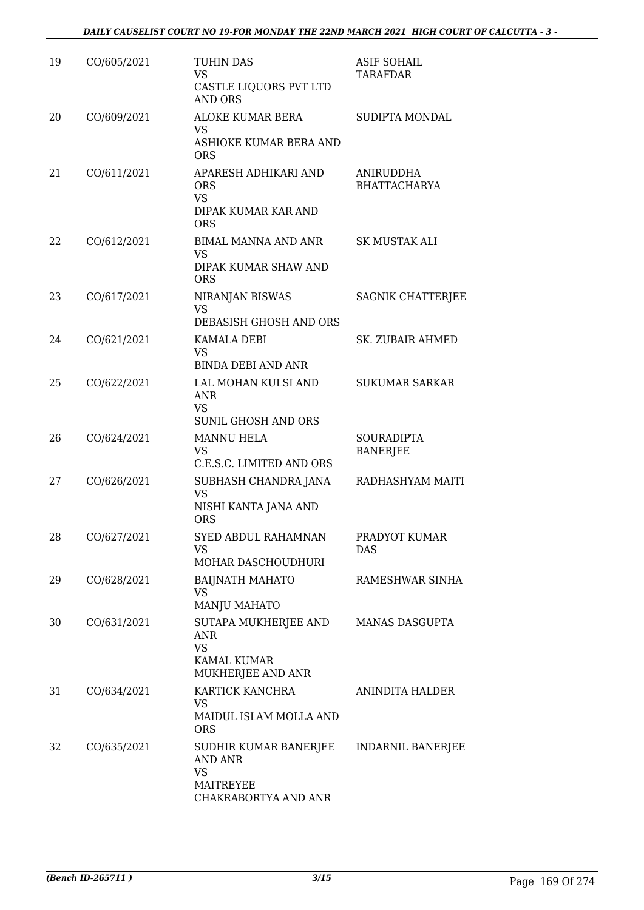| 19 | CO/605/2021 | TUHIN DAS<br>VS<br>CASTLE LIQUORS PVT LTD<br><b>AND ORS</b>                               | <b>ASIF SOHAIL</b><br>TARAFDAR   |
|----|-------------|-------------------------------------------------------------------------------------------|----------------------------------|
| 20 | CO/609/2021 | ALOKE KUMAR BERA<br><b>VS</b><br>ASHIOKE KUMAR BERA AND<br><b>ORS</b>                     | SUDIPTA MONDAL                   |
| 21 | CO/611/2021 | APARESH ADHIKARI AND<br><b>ORS</b><br><b>VS</b><br>DIPAK KUMAR KAR AND<br><b>ORS</b>      | ANIRUDDHA<br><b>BHATTACHARYA</b> |
| 22 | CO/612/2021 | <b>BIMAL MANNA AND ANR</b><br><b>VS</b><br>DIPAK KUMAR SHAW AND<br><b>ORS</b>             | SK MUSTAK ALI                    |
| 23 | CO/617/2021 | <b>NIRANJAN BISWAS</b><br><b>VS</b><br>DEBASISH GHOSH AND ORS                             | <b>SAGNIK CHATTERJEE</b>         |
| 24 | CO/621/2021 | <b>KAMALA DEBI</b><br><b>VS</b><br><b>BINDA DEBI AND ANR</b>                              | <b>SK. ZUBAIR AHMED</b>          |
| 25 | CO/622/2021 | LAL MOHAN KULSI AND<br><b>ANR</b><br><b>VS</b><br>SUNIL GHOSH AND ORS                     | <b>SUKUMAR SARKAR</b>            |
| 26 | CO/624/2021 | <b>MANNU HELA</b><br><b>VS</b><br>C.E.S.C. LIMITED AND ORS                                | SOURADIPTA<br><b>BANERJEE</b>    |
| 27 | CO/626/2021 | SUBHASH CHANDRA JANA<br><b>VS</b><br>NISHI KANTA JANA AND<br><b>ORS</b>                   | RADHASHYAM MAITI                 |
| 28 | CO/627/2021 | SYED ABDUL RAHAMNAN<br>VS<br>MOHAR DASCHOUDHURI                                           | PRADYOT KUMAR<br><b>DAS</b>      |
| 29 | CO/628/2021 | <b>BAIJNATH MAHATO</b><br>VS<br><b>MANJU MAHATO</b>                                       | RAMESHWAR SINHA                  |
| 30 | CO/631/2021 | SUTAPA MUKHERJEE AND<br>ANR<br><b>VS</b><br><b>KAMAL KUMAR</b><br>MUKHERJEE AND ANR       | <b>MANAS DASGUPTA</b>            |
| 31 | CO/634/2021 | KARTICK KANCHRA<br><b>VS</b><br>MAIDUL ISLAM MOLLA AND<br><b>ORS</b>                      | ANINDITA HALDER                  |
| 32 | CO/635/2021 | SUDHIR KUMAR BANERJEE<br><b>AND ANR</b><br><b>VS</b><br>MAITREYEE<br>CHAKRABORTYA AND ANR | INDARNIL BANERJEE                |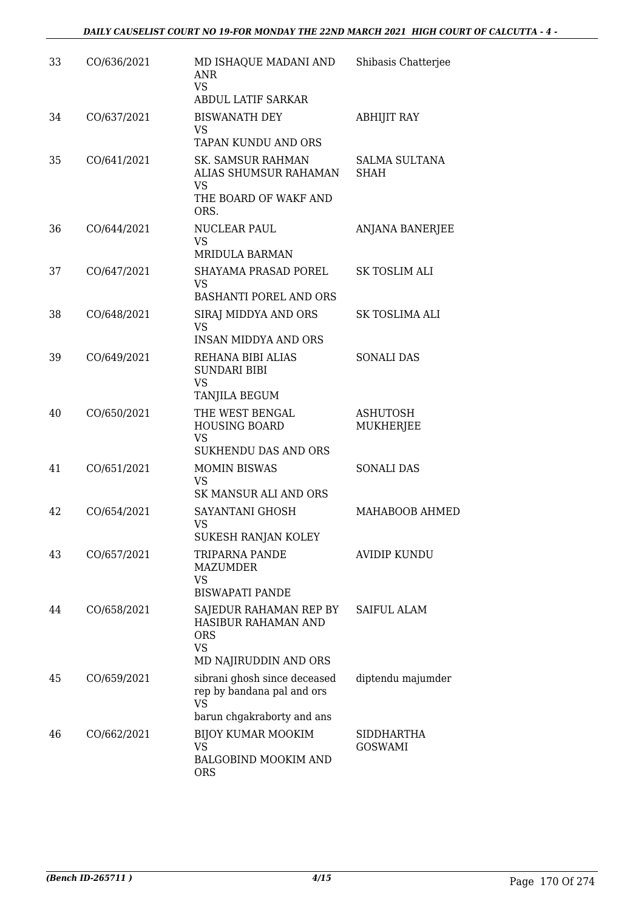| 33 | CO/636/2021 | MD ISHAQUE MADANI AND<br><b>ANR</b><br><b>VS</b><br><b>ABDUL LATIF SARKAR</b>                         | Shibasis Chatterjee          |
|----|-------------|-------------------------------------------------------------------------------------------------------|------------------------------|
| 34 | CO/637/2021 | <b>BISWANATH DEY</b><br>VS<br>TAPAN KUNDU AND ORS                                                     | <b>ABHIJIT RAY</b>           |
| 35 | CO/641/2021 | <b>SK. SAMSUR RAHMAN</b><br>ALIAS SHUMSUR RAHAMAN<br><b>VS</b><br>THE BOARD OF WAKF AND<br>ORS.       | <b>SALMA SULTANA</b><br>SHAH |
| 36 | CO/644/2021 | NUCLEAR PAUL<br><b>VS</b><br><b>MRIDULA BARMAN</b>                                                    | ANJANA BANERJEE              |
| 37 | CO/647/2021 | <b>SHAYAMA PRASAD POREL</b><br><b>VS</b><br><b>BASHANTI POREL AND ORS</b>                             | <b>SK TOSLIM ALI</b>         |
| 38 | CO/648/2021 | SIRAJ MIDDYA AND ORS<br><b>VS</b><br><b>INSAN MIDDYA AND ORS</b>                                      | SK TOSLIMA ALI               |
| 39 | CO/649/2021 | REHANA BIBI ALIAS<br><b>SUNDARI BIBI</b><br><b>VS</b><br>TANJILA BEGUM                                | <b>SONALI DAS</b>            |
| 40 | CO/650/2021 | THE WEST BENGAL<br><b>HOUSING BOARD</b><br><b>VS</b><br><b>SUKHENDU DAS AND ORS</b>                   | <b>ASHUTOSH</b><br>MUKHERJEE |
| 41 | CO/651/2021 | <b>MOMIN BISWAS</b><br><b>VS</b><br>SK MANSUR ALI AND ORS                                             | <b>SONALI DAS</b>            |
| 42 | CO/654/2021 | SAYANTANI GHOSH<br>VS<br>SUKESH RANJAN KOLEY                                                          | MAHABOOB AHMED               |
| 43 | CO/657/2021 | TRIPARNA PANDE<br>MAZUMDER<br><b>VS</b><br><b>BISWAPATI PANDE</b>                                     | <b>AVIDIP KUNDU</b>          |
| 44 | CO/658/2021 | SAJEDUR RAHAMAN REP BY<br>HASIBUR RAHAMAN AND<br><b>ORS</b><br><b>VS</b><br>MD NAJIRUDDIN AND ORS     | <b>SAIFUL ALAM</b>           |
| 45 | CO/659/2021 | sibrani ghosh since deceased<br>rep by bandana pal and ors<br><b>VS</b><br>barun chgakraborty and ans | diptendu majumder            |
| 46 | CO/662/2021 | <b>BIJOY KUMAR MOOKIM</b><br><b>VS</b><br><b>BALGOBIND MOOKIM AND</b><br><b>ORS</b>                   | SIDDHARTHA<br><b>GOSWAMI</b> |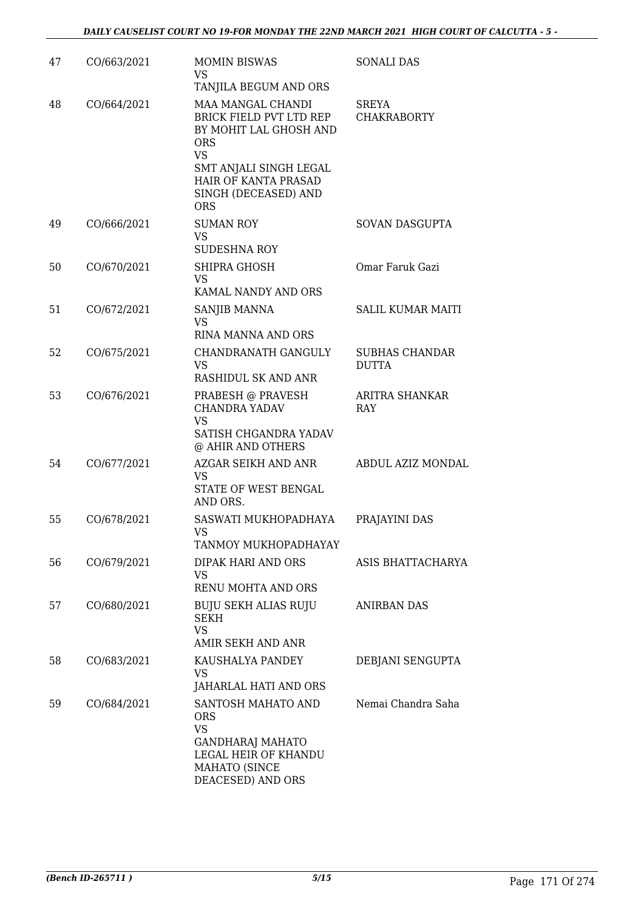| 47 | CO/663/2021 | <b>MOMIN BISWAS</b><br>VS.<br>TANJILA BEGUM AND ORS                                                                                                                                       | <b>SONALI DAS</b>                     |
|----|-------------|-------------------------------------------------------------------------------------------------------------------------------------------------------------------------------------------|---------------------------------------|
| 48 | CO/664/2021 | MAA MANGAL CHANDI<br>BRICK FIELD PVT LTD REP<br>BY MOHIT LAL GHOSH AND<br><b>ORS</b><br><b>VS</b><br>SMT ANJALI SINGH LEGAL<br>HAIR OF KANTA PRASAD<br>SINGH (DECEASED) AND<br><b>ORS</b> | SREYA<br><b>CHAKRABORTY</b>           |
| 49 | CO/666/2021 | <b>SUMAN ROY</b><br>VS<br><b>SUDESHNA ROY</b>                                                                                                                                             | SOVAN DASGUPTA                        |
| 50 | CO/670/2021 | SHIPRA GHOSH<br><b>VS</b><br>KAMAL NANDY AND ORS                                                                                                                                          | Omar Faruk Gazi                       |
| 51 | CO/672/2021 | SANJIB MANNA<br><b>VS</b><br>RINA MANNA AND ORS                                                                                                                                           | <b>SALIL KUMAR MAITI</b>              |
| 52 | CO/675/2021 | CHANDRANATH GANGULY<br><b>VS</b><br>RASHIDUL SK AND ANR                                                                                                                                   | <b>SUBHAS CHANDAR</b><br><b>DUTTA</b> |
| 53 | CO/676/2021 | PRABESH @ PRAVESH<br><b>CHANDRA YADAV</b><br><b>VS</b><br>SATISH CHGANDRA YADAV<br>@ AHIR AND OTHERS                                                                                      | ARITRA SHANKAR<br><b>RAY</b>          |
| 54 | CO/677/2021 | AZGAR SEIKH AND ANR<br><b>VS</b><br>STATE OF WEST BENGAL<br>AND ORS.                                                                                                                      | ABDUL AZIZ MONDAL                     |
| 55 | CO/678/2021 | SASWATI MUKHOPADHAYA<br><b>VS</b><br>TANMOY MUKHOPADHAYAY                                                                                                                                 | PRAJAYINI DAS                         |
| 56 | CO/679/2021 | DIPAK HARI AND ORS<br>VS.<br>RENU MOHTA AND ORS                                                                                                                                           | ASIS BHATTACHARYA                     |
| 57 | CO/680/2021 | <b>BUJU SEKH ALIAS RUJU</b><br>SEKH<br><b>VS</b><br>AMIR SEKH AND ANR                                                                                                                     | <b>ANIRBAN DAS</b>                    |
| 58 | CO/683/2021 | KAUSHALYA PANDEY<br>VS.<br>JAHARLAL HATI AND ORS                                                                                                                                          | DEBJANI SENGUPTA                      |
| 59 | CO/684/2021 | SANTOSH MAHATO AND<br><b>ORS</b><br><b>VS</b><br><b>GANDHARAJ MAHATO</b><br>LEGAL HEIR OF KHANDU<br><b>MAHATO (SINCE</b><br>DEACESED) AND ORS                                             | Nemai Chandra Saha                    |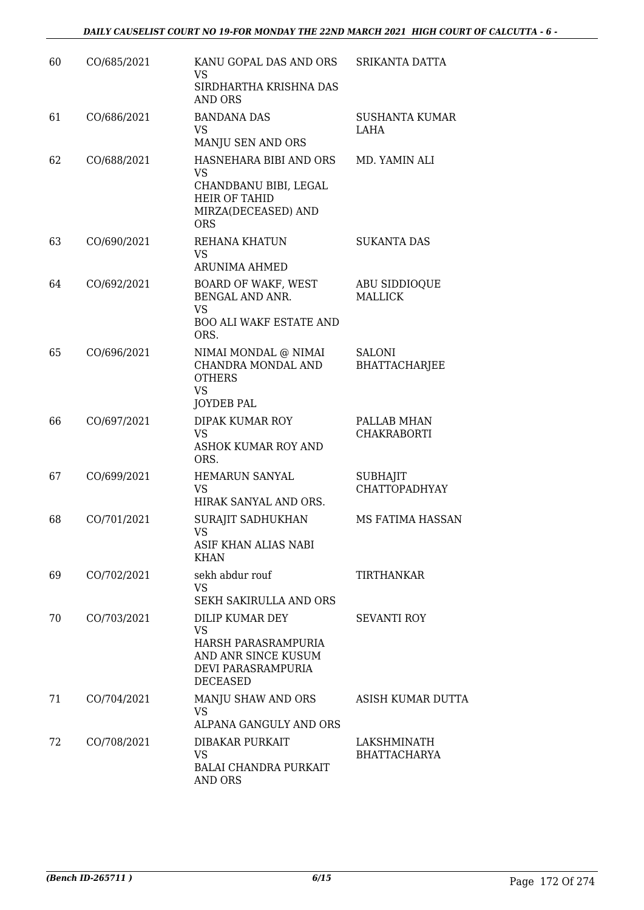| 60 | CO/685/2021 | KANU GOPAL DAS AND ORS<br>VS                                                                                              | SRIKANTA DATTA                          |
|----|-------------|---------------------------------------------------------------------------------------------------------------------------|-----------------------------------------|
|    |             | SIRDHARTHA KRISHNA DAS<br>AND ORS                                                                                         |                                         |
| 61 | CO/686/2021 | <b>BANDANA DAS</b><br>VS<br>MANJU SEN AND ORS                                                                             | <b>SUSHANTA KUMAR</b><br>LAHA           |
| 62 | CO/688/2021 | HASNEHARA BIBI AND ORS<br><b>VS</b><br>CHANDBANU BIBI, LEGAL<br><b>HEIR OF TAHID</b><br>MIRZA(DECEASED) AND<br><b>ORS</b> | MD. YAMIN ALI                           |
| 63 | CO/690/2021 | REHANA KHATUN<br><b>VS</b><br>ARUNIMA AHMED                                                                               | <b>SUKANTA DAS</b>                      |
| 64 | CO/692/2021 | BOARD OF WAKF, WEST<br><b>BENGAL AND ANR.</b><br>VS<br><b>BOO ALI WAKF ESTATE AND</b><br>ORS.                             | ABU SIDDIOQUE<br><b>MALLICK</b>         |
| 65 | CO/696/2021 | NIMAI MONDAL @ NIMAI<br>CHANDRA MONDAL AND<br><b>OTHERS</b><br><b>VS</b><br><b>JOYDEB PAL</b>                             | <b>SALONI</b><br><b>BHATTACHARJEE</b>   |
| 66 | CO/697/2021 | DIPAK KUMAR ROY<br><b>VS</b><br>ASHOK KUMAR ROY AND<br>ORS.                                                               | PALLAB MHAN<br><b>CHAKRABORTI</b>       |
| 67 | CO/699/2021 | <b>HEMARUN SANYAL</b><br>VS<br>HIRAK SANYAL AND ORS.                                                                      | <b>SUBHAJIT</b><br><b>CHATTOPADHYAY</b> |
| 68 | CO/701/2021 | <b>SURAJIT SADHUKHAN</b><br>VS.<br>ASIF KHAN ALIAS NABI<br><b>KHAN</b>                                                    | MS FATIMA HASSAN                        |
| 69 | CO/702/2021 | sekh abdur rouf<br><b>VS</b><br><b>SEKH SAKIRULLA AND ORS</b>                                                             | <b>TIRTHANKAR</b>                       |
| 70 | CO/703/2021 | DILIP KUMAR DEY<br><b>VS</b><br>HARSH PARASRAMPURIA<br>AND ANR SINCE KUSUM<br>DEVI PARASRAMPURIA<br><b>DECEASED</b>       | <b>SEVANTI ROY</b>                      |
| 71 | CO/704/2021 | MANJU SHAW AND ORS<br>VS<br>ALPANA GANGULY AND ORS                                                                        | ASISH KUMAR DUTTA                       |
| 72 | CO/708/2021 | DIBAKAR PURKAIT<br>VS<br><b>BALAI CHANDRA PURKAIT</b><br>AND ORS                                                          | LAKSHMINATH<br><b>BHATTACHARYA</b>      |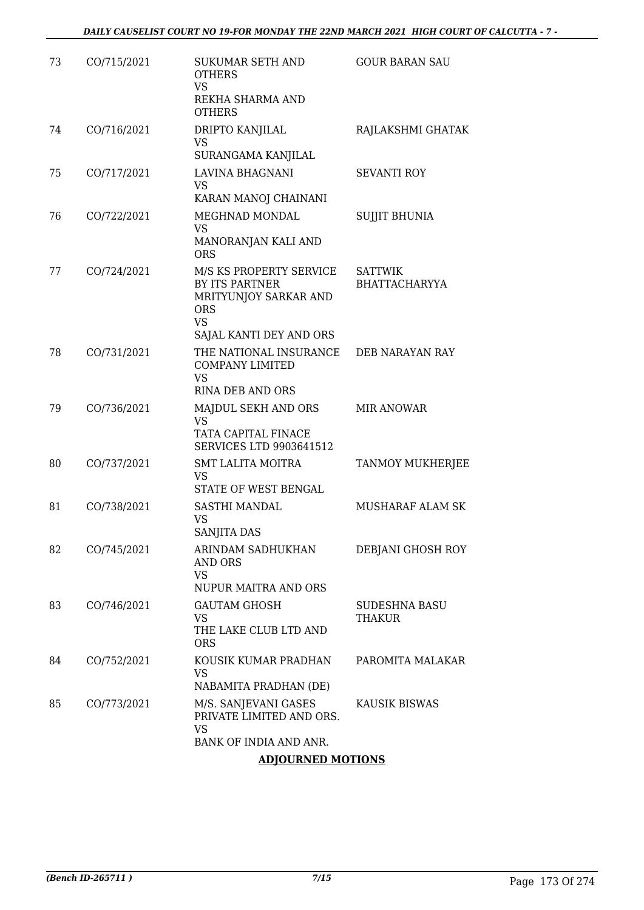| 73 | CO/715/2021 | <b>SUKUMAR SETH AND</b><br><b>OTHERS</b><br><b>VS</b><br>REKHA SHARMA AND<br><b>OTHERS</b>                               | <b>GOUR BARAN SAU</b>                  |
|----|-------------|--------------------------------------------------------------------------------------------------------------------------|----------------------------------------|
| 74 | CO/716/2021 | DRIPTO KANJILAL<br>VS<br>SURANGAMA KANJILAL                                                                              | RAJLAKSHMI GHATAK                      |
| 75 | CO/717/2021 | LAVINA BHAGNANI<br><b>VS</b><br>KARAN MANOJ CHAINANI                                                                     | <b>SEVANTI ROY</b>                     |
| 76 | CO/722/2021 | MEGHNAD MONDAL<br><b>VS</b><br>MANORANJAN KALI AND<br><b>ORS</b>                                                         | <b>SUJJIT BHUNIA</b>                   |
| 77 | CO/724/2021 | M/S KS PROPERTY SERVICE<br>BY ITS PARTNER<br>MRITYUNJOY SARKAR AND<br><b>ORS</b><br><b>VS</b><br>SAJAL KANTI DEY AND ORS | <b>SATTWIK</b><br><b>BHATTACHARYYA</b> |
| 78 | CO/731/2021 | THE NATIONAL INSURANCE<br><b>COMPANY LIMITED</b><br><b>VS</b><br><b>RINA DEB AND ORS</b>                                 | DEB NARAYAN RAY                        |
| 79 | CO/736/2021 | MAJDUL SEKH AND ORS<br><b>VS</b><br>TATA CAPITAL FINACE<br><b>SERVICES LTD 9903641512</b>                                | <b>MIR ANOWAR</b>                      |
| 80 | CO/737/2021 | <b>SMT LALITA MOITRA</b><br>VS<br>STATE OF WEST BENGAL                                                                   | <b>TANMOY MUKHERJEE</b>                |
| 81 | CO/738/2021 | SASTHI MANDAL<br><b>VS</b><br><b>SANJITA DAS</b>                                                                         | MUSHARAF ALAM SK                       |
| 82 | CO/745/2021 | ARINDAM SADHUKHAN<br>AND ORS<br>VS<br><b>NUPUR MAITRA AND ORS</b>                                                        | DEBJANI GHOSH ROY                      |
| 83 | CO/746/2021 | <b>GAUTAM GHOSH</b><br>VS<br>THE LAKE CLUB LTD AND<br><b>ORS</b>                                                         | SUDESHNA BASU<br><b>THAKUR</b>         |
| 84 | CO/752/2021 | KOUSIK KUMAR PRADHAN<br><b>VS</b><br>NABAMITA PRADHAN (DE)                                                               | PAROMITA MALAKAR                       |
| 85 | CO/773/2021 | M/S. SANJEVANI GASES<br>PRIVATE LIMITED AND ORS.<br><b>VS</b>                                                            | KAUSIK BISWAS                          |
|    |             | BANK OF INDIA AND ANR.                                                                                                   |                                        |

# **ADJOURNED MOTIONS**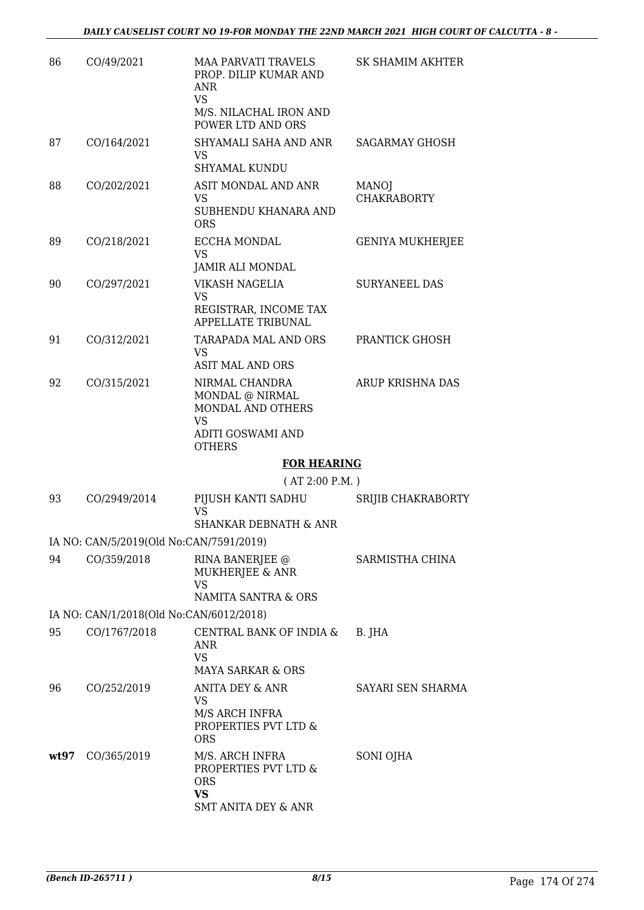| 86   | CO/49/2021                              | <b>MAA PARVATI TRAVELS</b><br>PROP. DILIP KUMAR AND<br>ANR<br><b>VS</b>                                          | <b>SK SHAMIM AKHTER</b>            |
|------|-----------------------------------------|------------------------------------------------------------------------------------------------------------------|------------------------------------|
|      |                                         | M/S. NILACHAL IRON AND<br>POWER LTD AND ORS                                                                      |                                    |
| 87   | CO/164/2021                             | SHYAMALI SAHA AND ANR<br><b>VS</b><br>SHYAMAL KUNDU                                                              | <b>SAGARMAY GHOSH</b>              |
| 88   | CO/202/2021                             | ASIT MONDAL AND ANR<br><b>VS</b><br>SUBHENDU KHANARA AND<br><b>ORS</b>                                           | <b>MANOJ</b><br><b>CHAKRABORTY</b> |
| 89   | CO/218/2021                             | ECCHA MONDAL<br><b>VS</b><br>JAMIR ALI MONDAL                                                                    | <b>GENIYA MUKHERJEE</b>            |
| 90   | CO/297/2021                             | VIKASH NAGELIA<br>VS<br>REGISTRAR, INCOME TAX<br>APPELLATE TRIBUNAL                                              | <b>SURYANEEL DAS</b>               |
| 91   | CO/312/2021                             | TARAPADA MAL AND ORS<br><b>VS</b><br><b>ASIT MAL AND ORS</b>                                                     | PRANTICK GHOSH                     |
| 92   | CO/315/2021                             | NIRMAL CHANDRA<br>MONDAL @ NIRMAL<br>MONDAL AND OTHERS<br><b>VS</b><br><b>ADITI GOSWAMI AND</b><br><b>OTHERS</b> | ARUP KRISHNA DAS                   |
|      |                                         | <b>FOR HEARING</b>                                                                                               |                                    |
|      |                                         | (AT 2:00 P.M.)                                                                                                   |                                    |
| 93   | CO/2949/2014                            | PIJUSH KANTI SADHU<br><b>VS</b><br>SHANKAR DEBNATH & ANR                                                         | SRIJIB CHAKRABORTY                 |
|      | IA NO: CAN/5/2019(Old No:CAN/7591/2019) |                                                                                                                  |                                    |
| 94   | CO/359/2018                             | RINA BANERJEE @<br>MUKHERJEE & ANR<br><b>VS</b><br><b>NAMITA SANTRA &amp; ORS</b>                                | SARMISTHA CHINA                    |
|      | IA NO: CAN/1/2018(Old No:CAN/6012/2018) |                                                                                                                  |                                    |
| 95   | CO/1767/2018                            | CENTRAL BANK OF INDIA &<br>ANR<br><b>VS</b><br><b>MAYA SARKAR &amp; ORS</b>                                      | B. JHA                             |
| 96   | CO/252/2019                             | ANITA DEY & ANR<br><b>VS</b><br>M/S ARCH INFRA<br>PROPERTIES PVT LTD &<br><b>ORS</b>                             | SAYARI SEN SHARMA                  |
| wt97 | CO/365/2019                             | M/S. ARCH INFRA<br>PROPERTIES PVT LTD &<br><b>ORS</b><br><b>VS</b><br><b>SMT ANITA DEY &amp; ANR</b>             | SONI OJHA                          |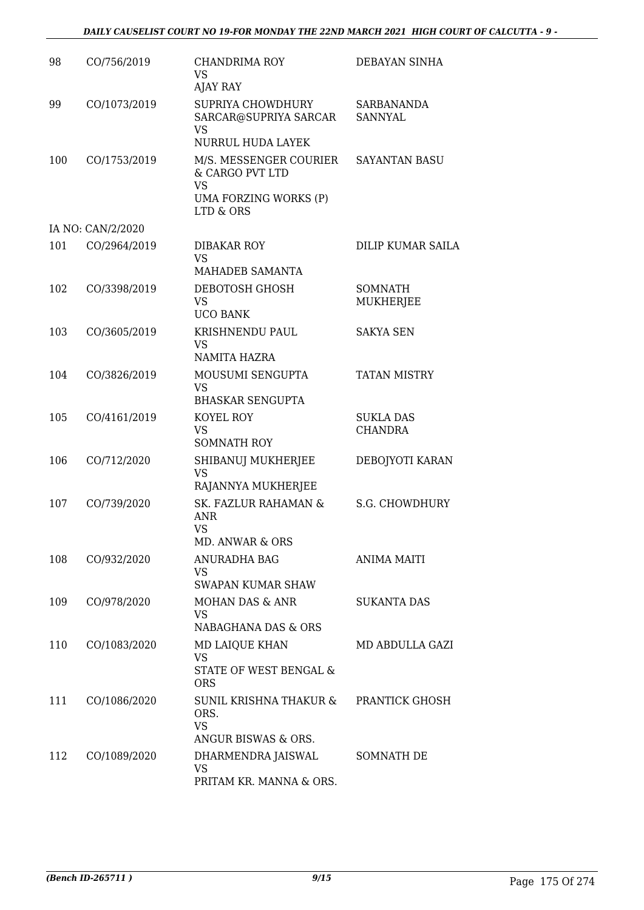| 98  | CO/756/2019       | <b>CHANDRIMA ROY</b><br><b>VS</b><br>AJAY RAY                                                | DEBAYAN SINHA                      |
|-----|-------------------|----------------------------------------------------------------------------------------------|------------------------------------|
| 99  | CO/1073/2019      | SUPRIYA CHOWDHURY<br>SARCAR@SUPRIYA SARCAR<br><b>VS</b><br>NURRUL HUDA LAYEK                 | SARBANANDA<br><b>SANNYAL</b>       |
| 100 | CO/1753/2019      | M/S. MESSENGER COURIER<br>& CARGO PVT LTD<br><b>VS</b><br>UMA FORZING WORKS (P)<br>LTD & ORS | <b>SAYANTAN BASU</b>               |
|     | IA NO: CAN/2/2020 |                                                                                              |                                    |
| 101 | CO/2964/2019      | DIBAKAR ROY<br><b>VS</b><br>MAHADEB SAMANTA                                                  | <b>DILIP KUMAR SAILA</b>           |
| 102 | CO/3398/2019      | DEBOTOSH GHOSH<br><b>VS</b><br><b>UCO BANK</b>                                               | <b>SOMNATH</b><br>MUKHERJEE        |
| 103 | CO/3605/2019      | KRISHNENDU PAUL<br>VS<br>NAMITA HAZRA                                                        | <b>SAKYA SEN</b>                   |
| 104 | CO/3826/2019      | MOUSUMI SENGUPTA<br><b>VS</b><br><b>BHASKAR SENGUPTA</b>                                     | <b>TATAN MISTRY</b>                |
| 105 | CO/4161/2019      | KOYEL ROY<br><b>VS</b><br><b>SOMNATH ROY</b>                                                 | <b>SUKLA DAS</b><br><b>CHANDRA</b> |
| 106 | CO/712/2020       | SHIBANUJ MUKHERJEE<br>VS<br>RAJANNYA MUKHERJEE                                               | DEBOJYOTI KARAN                    |
| 107 | CO/739/2020       | SK. FAZLUR RAHAMAN &<br>ANR<br><b>VS</b><br>MD. ANWAR & ORS                                  | S.G. CHOWDHURY                     |
| 108 | CO/932/2020       | ANURADHA BAG<br>VS<br><b>SWAPAN KUMAR SHAW</b>                                               | ANIMA MAITI                        |
| 109 | CO/978/2020       | MOHAN DAS & ANR<br>VS<br>NABAGHANA DAS & ORS                                                 | <b>SUKANTA DAS</b>                 |
| 110 | CO/1083/2020      | MD LAIQUE KHAN<br><b>VS</b><br>STATE OF WEST BENGAL &<br><b>ORS</b>                          | MD ABDULLA GAZI                    |
| 111 | CO/1086/2020      | SUNIL KRISHNA THAKUR &<br>ORS.<br><b>VS</b>                                                  | PRANTICK GHOSH                     |
| 112 | CO/1089/2020      | ANGUR BISWAS & ORS.<br>DHARMENDRA JAISWAL<br>VS<br>PRITAM KR. MANNA & ORS.                   | SOMNATH DE                         |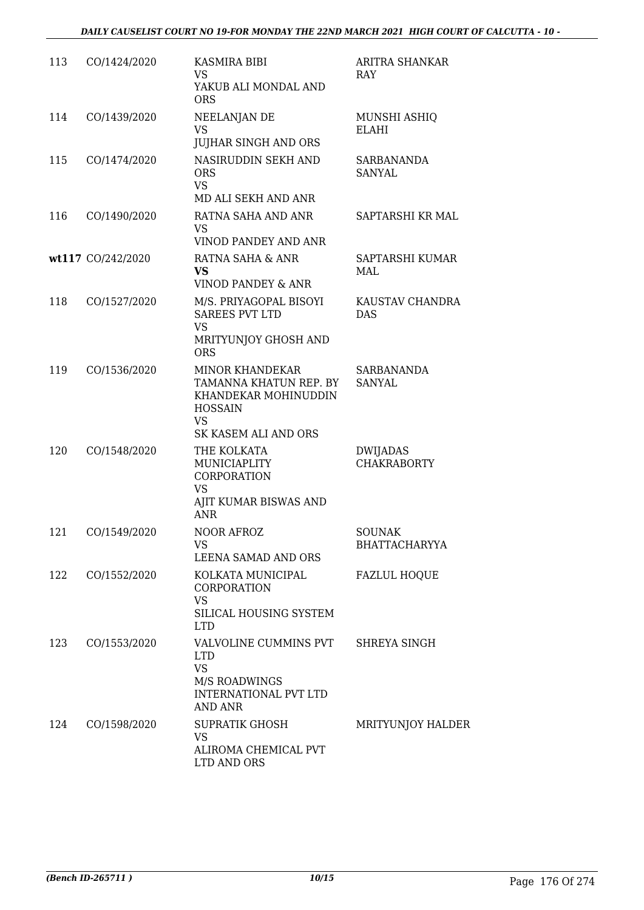| 113 | CO/1424/2020      | KASMIRA BIBI<br>VS<br>YAKUB ALI MONDAL AND<br><b>ORS</b>                                                                        | ARITRA SHANKAR<br>RAY                 |
|-----|-------------------|---------------------------------------------------------------------------------------------------------------------------------|---------------------------------------|
| 114 | CO/1439/2020      | NEELANJAN DE<br><b>VS</b><br><b>JUJHAR SINGH AND ORS</b>                                                                        | MUNSHI ASHIQ<br><b>ELAHI</b>          |
| 115 | CO/1474/2020      | NASIRUDDIN SEKH AND<br><b>ORS</b><br><b>VS</b><br>MD ALI SEKH AND ANR                                                           | <b>SARBANANDA</b><br>SANYAL           |
| 116 | CO/1490/2020      | RATNA SAHA AND ANR<br><b>VS</b><br>VINOD PANDEY AND ANR                                                                         | SAPTARSHI KR MAL                      |
|     | wt117 CO/242/2020 | RATNA SAHA & ANR<br><b>VS</b><br>VINOD PANDEY & ANR                                                                             | SAPTARSHI KUMAR<br>MAL                |
| 118 | CO/1527/2020      | M/S. PRIYAGOPAL BISOYI<br><b>SAREES PVT LTD</b><br><b>VS</b><br>MRITYUNJOY GHOSH AND<br><b>ORS</b>                              | KAUSTAV CHANDRA<br><b>DAS</b>         |
| 119 | CO/1536/2020      | <b>MINOR KHANDEKAR</b><br>TAMANNA KHATUN REP. BY<br>KHANDEKAR MOHINUDDIN<br><b>HOSSAIN</b><br><b>VS</b><br>SK KASEM ALI AND ORS | SARBANANDA<br>SANYAL                  |
| 120 | CO/1548/2020      | THE KOLKATA<br>MUNICIAPLITY<br>CORPORATION<br><b>VS</b><br>AJIT KUMAR BISWAS AND<br><b>ANR</b>                                  | DWIJADAS<br><b>CHAKRABORTY</b>        |
| 121 | CO/1549/2020      | NOOR AFROZ<br>VS.<br>LEENA SAMAD AND ORS                                                                                        | <b>SOUNAK</b><br><b>BHATTACHARYYA</b> |
| 122 | CO/1552/2020      | KOLKATA MUNICIPAL<br>CORPORATION<br><b>VS</b><br>SILICAL HOUSING SYSTEM<br><b>LTD</b>                                           | <b>FAZLUL HOQUE</b>                   |
| 123 | CO/1553/2020      | VALVOLINE CUMMINS PVT<br><b>LTD</b><br><b>VS</b><br><b>M/S ROADWINGS</b><br><b>INTERNATIONAL PVT LTD</b><br>AND ANR             | SHREYA SINGH                          |
| 124 | CO/1598/2020      | <b>SUPRATIK GHOSH</b><br><b>VS</b><br>ALIROMA CHEMICAL PVT<br>LTD AND ORS                                                       | MRITYUNJOY HALDER                     |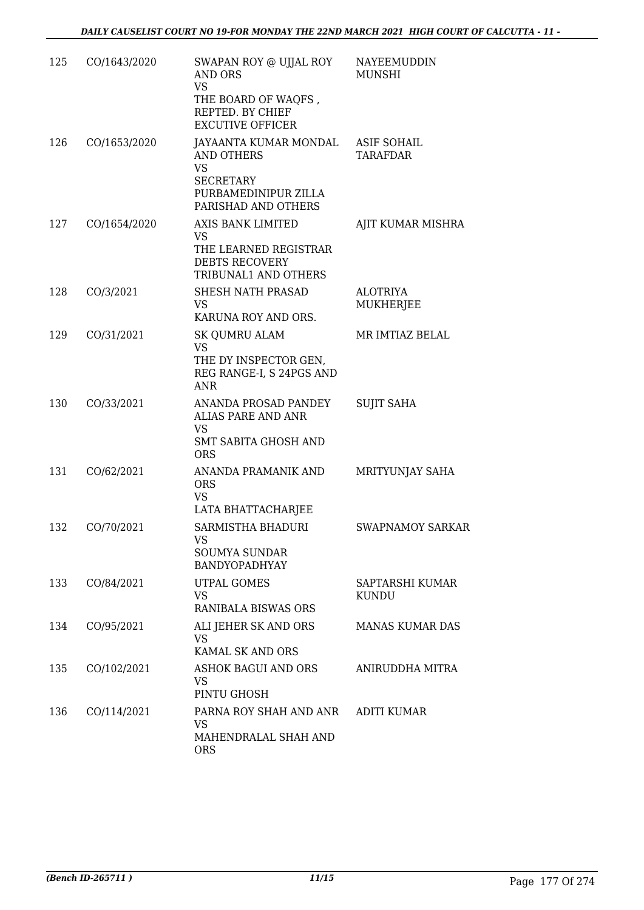| 125 | CO/1643/2020 | SWAPAN ROY @ UJJAL ROY<br><b>AND ORS</b><br><b>VS</b><br>THE BOARD OF WAQFS,<br>REPTED. BY CHIEF<br><b>EXCUTIVE OFFICER</b>     | NAYEEMUDDIN<br><b>MUNSHI</b>   |
|-----|--------------|---------------------------------------------------------------------------------------------------------------------------------|--------------------------------|
| 126 | CO/1653/2020 | JAYAANTA KUMAR MONDAL<br>AND OTHERS<br><b>VS</b><br><b>SECRETARY</b><br>PURBAMEDINIPUR ZILLA                                    | <b>ASIF SOHAIL</b><br>TARAFDAR |
| 127 | CO/1654/2020 | PARISHAD AND OTHERS<br>AXIS BANK LIMITED<br><b>VS</b><br>THE LEARNED REGISTRAR<br><b>DEBTS RECOVERY</b><br>TRIBUNAL1 AND OTHERS | AJIT KUMAR MISHRA              |
| 128 | CO/3/2021    | SHESH NATH PRASAD<br><b>VS</b><br>KARUNA ROY AND ORS.                                                                           | <b>ALOTRIYA</b><br>MUKHERJEE   |
| 129 | CO/31/2021   | SK QUMRU ALAM<br>VS<br>THE DY INSPECTOR GEN,<br>REG RANGE-I, S 24PGS AND<br><b>ANR</b>                                          | MR IMTIAZ BELAL                |
| 130 | CO/33/2021   | ANANDA PROSAD PANDEY<br>ALIAS PARE AND ANR<br><b>VS</b><br><b>SMT SABITA GHOSH AND</b><br><b>ORS</b>                            | <b>SUJIT SAHA</b>              |
| 131 | CO/62/2021   | ANANDA PRAMANIK AND<br><b>ORS</b><br><b>VS</b><br>LATA BHATTACHARJEE                                                            | MRITYUNJAY SAHA                |
| 132 | CO/70/2021   | SARMISTHA BHADURI<br><b>VS</b><br>SOUMYA SUNDAR<br>BANDYOPADHYAY                                                                | <b>SWAPNAMOY SARKAR</b>        |
| 133 | CO/84/2021   | UTPAL GOMES<br><b>VS</b><br>RANIBALA BISWAS ORS                                                                                 | SAPTARSHI KUMAR<br>KUNDU       |
| 134 | CO/95/2021   | ALI JEHER SK AND ORS<br><b>VS</b><br>KAMAL SK AND ORS                                                                           | MANAS KUMAR DAS                |
| 135 | CO/102/2021  | ASHOK BAGUI AND ORS<br>VS<br>PINTU GHOSH                                                                                        | ANIRUDDHA MITRA                |
| 136 | CO/114/2021  | PARNA ROY SHAH AND ANR<br><b>VS</b><br>MAHENDRALAL SHAH AND<br><b>ORS</b>                                                       | <b>ADITI KUMAR</b>             |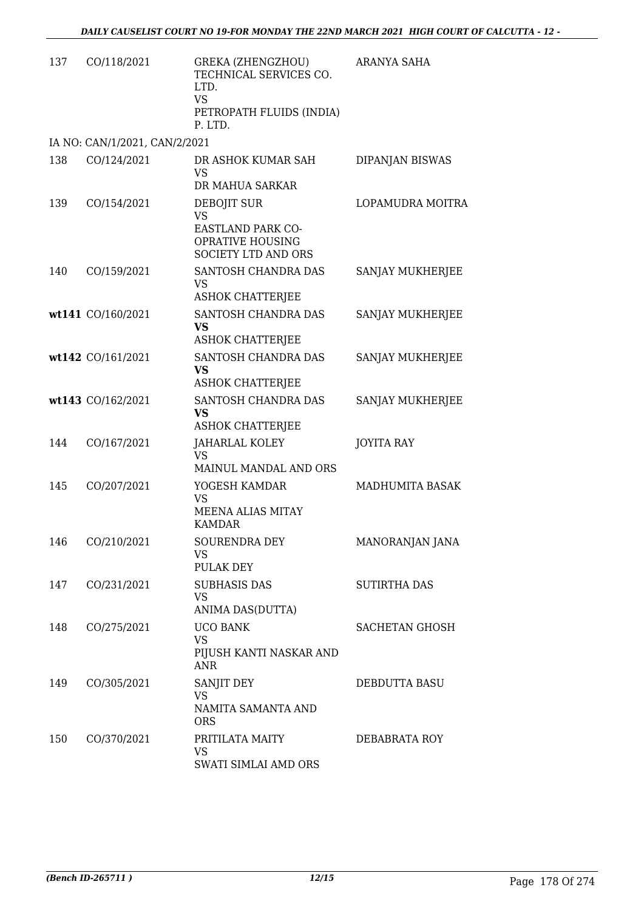| 137 | CO/118/2021                   | GREKA (ZHENGZHOU)<br>TECHNICAL SERVICES CO.<br>LTD.<br><b>VS</b><br>PETROPATH FLUIDS (INDIA)<br>P. LTD. | ARANYA SAHA           |
|-----|-------------------------------|---------------------------------------------------------------------------------------------------------|-----------------------|
|     | IA NO: CAN/1/2021, CAN/2/2021 |                                                                                                         |                       |
| 138 | CO/124/2021                   | DR ASHOK KUMAR SAH<br><b>VS</b><br>DR MAHUA SARKAR                                                      | DIPANJAN BISWAS       |
| 139 | CO/154/2021                   | DEBOJIT SUR<br><b>VS</b><br><b>EASTLAND PARK CO-</b><br>OPRATIVE HOUSING                                | LOPAMUDRA MOITRA      |
|     |                               | <b>SOCIETY LTD AND ORS</b>                                                                              |                       |
| 140 | CO/159/2021                   | SANTOSH CHANDRA DAS<br><b>VS</b><br><b>ASHOK CHATTERJEE</b>                                             | SANJAY MUKHERJEE      |
|     | wt141 CO/160/2021             | SANTOSH CHANDRA DAS<br>VS<br><b>ASHOK CHATTERJEE</b>                                                    | SANJAY MUKHERJEE      |
|     | wt142 CO/161/2021             | SANTOSH CHANDRA DAS<br><b>VS</b><br><b>ASHOK CHATTERJEE</b>                                             | SANJAY MUKHERJEE      |
|     | wt143 CO/162/2021             | SANTOSH CHANDRA DAS<br>VS<br><b>ASHOK CHATTERJEE</b>                                                    | SANJAY MUKHERJEE      |
| 144 | CO/167/2021                   | JAHARLAL KOLEY<br><b>VS</b>                                                                             | <b>JOYITA RAY</b>     |
| 145 | CO/207/2021                   | MAINUL MANDAL AND ORS<br>YOGESH KAMDAR<br><b>VS</b><br><b>MEENA ALIAS MITAY</b><br><b>KAMDAR</b>        | MADHUMITA BASAK       |
| 146 | CO/210/2021                   | SOURENDRA DEY<br>VS<br>PULAK DEY                                                                        | MANORANJAN JANA       |
| 147 | CO/231/2021                   | <b>SUBHASIS DAS</b><br><b>VS</b><br>ANIMA DAS(DUTTA)                                                    | <b>SUTIRTHA DAS</b>   |
| 148 | CO/275/2021                   | <b>UCO BANK</b><br><b>VS</b><br>PIJUSH KANTI NASKAR AND<br><b>ANR</b>                                   | <b>SACHETAN GHOSH</b> |
| 149 | CO/305/2021                   | SANJIT DEY<br><b>VS</b><br>NAMITA SAMANTA AND<br><b>ORS</b>                                             | DEBDUTTA BASU         |
| 150 | CO/370/2021                   | PRITILATA MAITY<br><b>VS</b><br>SWATI SIMLAI AMD ORS                                                    | DEBABRATA ROY         |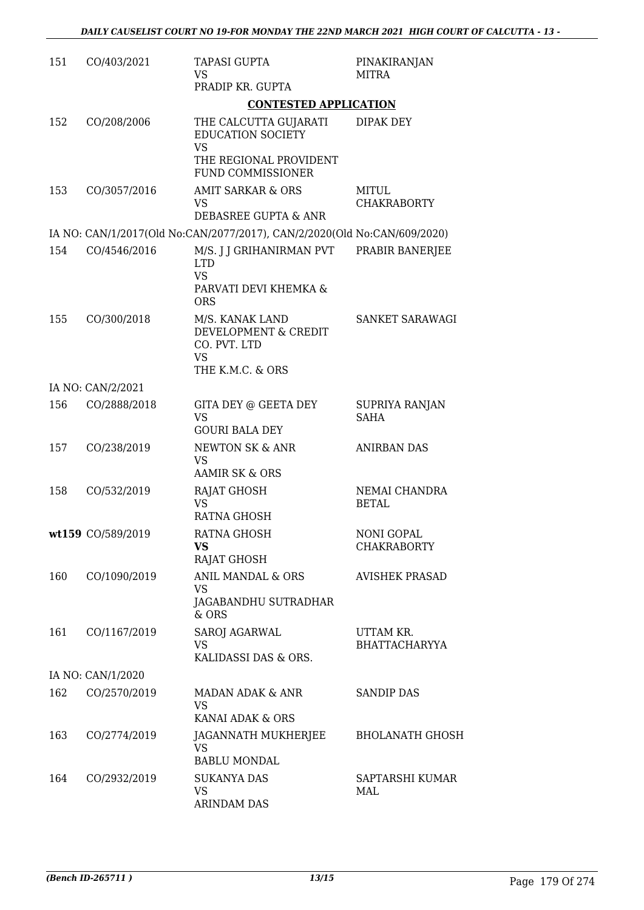| 151 | CO/403/2021       | <b>TAPASI GUPTA</b><br>VS<br>PRADIP KR. GUPTA                                              | PINAKIRANJAN<br>MITRA                   |
|-----|-------------------|--------------------------------------------------------------------------------------------|-----------------------------------------|
|     |                   | <b>CONTESTED APPLICATION</b>                                                               |                                         |
| 152 | CO/208/2006       | THE CALCUTTA GUJARATI<br><b>EDUCATION SOCIETY</b><br><b>VS</b>                             | DIPAK DEY                               |
|     |                   | THE REGIONAL PROVIDENT<br>FUND COMMISSIONER                                                |                                         |
| 153 | CO/3057/2016      | <b>AMIT SARKAR &amp; ORS</b><br>VS<br>DEBASREE GUPTA & ANR                                 | MITUL<br><b>CHAKRABORTY</b>             |
|     |                   | IA NO: CAN/1/2017(Old No:CAN/2077/2017), CAN/2/2020(Old No:CAN/609/2020)                   |                                         |
| 154 | CO/4546/2016      | M/S. J J GRIHANIRMAN PVT<br><b>LTD</b><br><b>VS</b><br>PARVATI DEVI KHEMKA &<br><b>ORS</b> | PRABIR BANERJEE                         |
| 155 | CO/300/2018       | M/S. KANAK LAND<br>DEVELOPMENT & CREDIT<br>CO. PVT. LTD<br><b>VS</b><br>THE K.M.C. & ORS   | SANKET SARAWAGI                         |
|     | IA NO: CAN/2/2021 |                                                                                            |                                         |
| 156 | CO/2888/2018      | GITA DEY @ GEETA DEY<br><b>VS</b><br><b>GOURI BALA DEY</b>                                 | SUPRIYA RANJAN<br><b>SAHA</b>           |
| 157 | CO/238/2019       | NEWTON SK & ANR<br>VS                                                                      | <b>ANIRBAN DAS</b>                      |
|     |                   | <b>AAMIR SK &amp; ORS</b>                                                                  |                                         |
| 158 | CO/532/2019       | RAJAT GHOSH<br><b>VS</b><br>RATNA GHOSH                                                    | NEMAI CHANDRA<br><b>BETAL</b>           |
|     | wt159 CO/589/2019 | RATNA GHOSH<br>VS<br><b>RAJAT GHOSH</b>                                                    | <b>NONI GOPAL</b><br><b>CHAKRABORTY</b> |
| 160 | CO/1090/2019      | ANIL MANDAL & ORS<br>VS                                                                    | <b>AVISHEK PRASAD</b>                   |
|     |                   | JAGABANDHU SUTRADHAR<br>$&$ ORS                                                            |                                         |
| 161 | CO/1167/2019      | SAROJ AGARWAL<br>VS.<br>KALIDASSI DAS & ORS.                                               | UTTAM KR.<br><b>BHATTACHARYYA</b>       |
|     | IA NO: CAN/1/2020 |                                                                                            |                                         |
| 162 | CO/2570/2019      | MADAN ADAK & ANR<br>VS<br>KANAI ADAK & ORS                                                 | <b>SANDIP DAS</b>                       |
| 163 | CO/2774/2019      | JAGANNATH MUKHERJEE<br>VS<br><b>BABLU MONDAL</b>                                           | <b>BHOLANATH GHOSH</b>                  |
| 164 | CO/2932/2019      | <b>SUKANYA DAS</b><br><b>VS</b><br><b>ARINDAM DAS</b>                                      | SAPTARSHI KUMAR<br>MAL                  |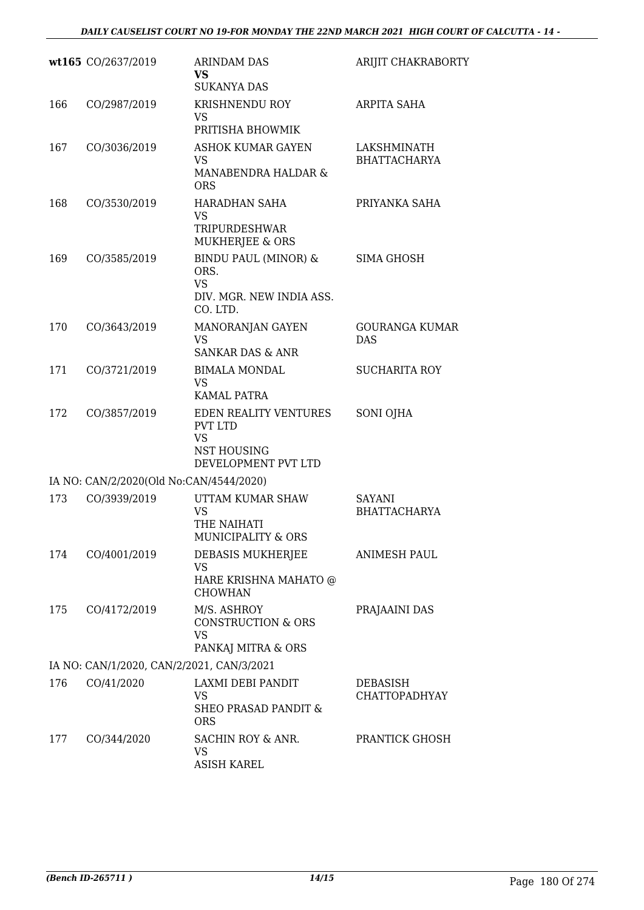|     | wt165 CO/2637/2019                        | <b>ARINDAM DAS</b><br>VS<br><b>SUKANYA DAS</b>                                                    | ARIJIT CHAKRABORTY                      |
|-----|-------------------------------------------|---------------------------------------------------------------------------------------------------|-----------------------------------------|
| 166 | CO/2987/2019                              | KRISHNENDU ROY<br>VS<br>PRITISHA BHOWMIK                                                          | ARPITA SAHA                             |
| 167 | CO/3036/2019                              | ASHOK KUMAR GAYEN<br>VS<br><b>MANABENDRA HALDAR &amp;</b><br><b>ORS</b>                           | LAKSHMINATH<br><b>BHATTACHARYA</b>      |
| 168 | CO/3530/2019                              | HARADHAN SAHA<br>VS<br>TRIPURDESHWAR<br>MUKHERJEE & ORS                                           | PRIYANKA SAHA                           |
| 169 | CO/3585/2019                              | <b>BINDU PAUL (MINOR) &amp;</b><br>ORS.<br><b>VS</b><br>DIV. MGR. NEW INDIA ASS.<br>CO. LTD.      | SIMA GHOSH                              |
| 170 | CO/3643/2019                              | MANORANJAN GAYEN<br>VS<br><b>SANKAR DAS &amp; ANR</b>                                             | <b>GOURANGA KUMAR</b><br><b>DAS</b>     |
| 171 | CO/3721/2019                              | <b>BIMALA MONDAL</b><br><b>VS</b><br>KAMAL PATRA                                                  | <b>SUCHARITA ROY</b>                    |
| 172 | CO/3857/2019                              | EDEN REALITY VENTURES<br><b>PVT LTD</b><br><b>VS</b><br><b>NST HOUSING</b><br>DEVELOPMENT PVT LTD | SONI OJHA                               |
|     | IA NO: CAN/2/2020(Old No:CAN/4544/2020)   |                                                                                                   |                                         |
| 173 | CO/3939/2019                              | UTTAM KUMAR SHAW<br>VS<br>THE NAIHATI<br>MUNICIPALITY & ORS                                       | SAYANI<br><b>BHATTACHARYA</b>           |
| 174 | CO/4001/2019                              | DEBASIS MUKHERJEE<br><b>VS</b><br>HARE KRISHNA MAHATO @<br><b>CHOWHAN</b>                         | <b>ANIMESH PAUL</b>                     |
| 175 | CO/4172/2019                              | M/S. ASHROY<br><b>CONSTRUCTION &amp; ORS</b><br>VS<br>PANKAJ MITRA & ORS                          | PRAJAAINI DAS                           |
|     | IA NO: CAN/1/2020, CAN/2/2021, CAN/3/2021 |                                                                                                   |                                         |
| 176 | CO/41/2020                                | LAXMI DEBI PANDIT<br><b>VS</b><br><b>SHEO PRASAD PANDIT &amp;</b><br><b>ORS</b>                   | <b>DEBASISH</b><br><b>CHATTOPADHYAY</b> |
| 177 | CO/344/2020                               | SACHIN ROY & ANR.<br>VS<br><b>ASISH KAREL</b>                                                     | PRANTICK GHOSH                          |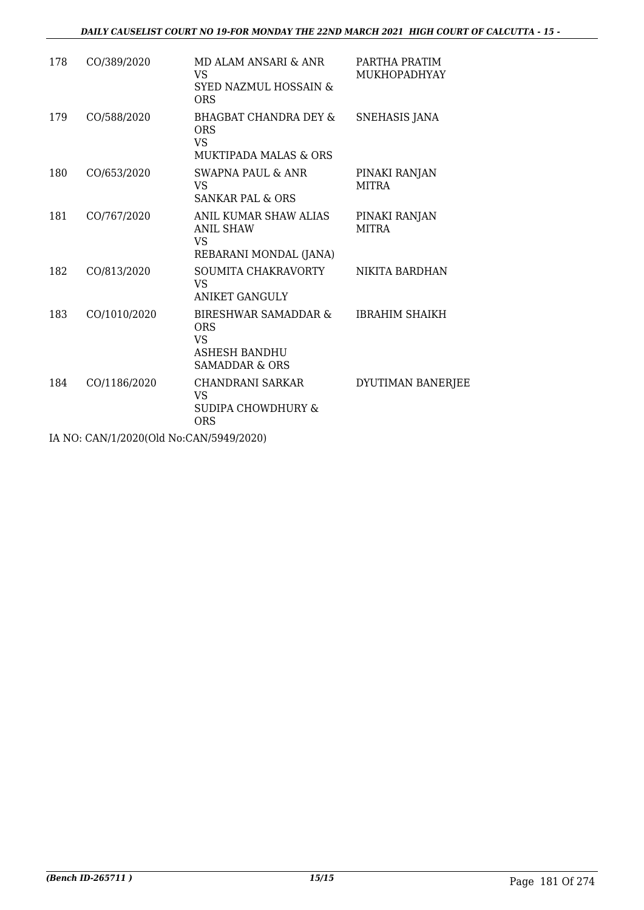| 178 | CO/389/2020  | MD ALAM ANSARI & ANR<br>VS<br>SYED NAZMUL HOSSAIN &<br><b>ORS</b>                              | PARTHA PRATIM<br><b>MUKHOPADHYAY</b> |
|-----|--------------|------------------------------------------------------------------------------------------------|--------------------------------------|
| 179 | CO/588/2020  | <b>BHAGBAT CHANDRA DEY &amp;</b><br><b>ORS</b><br>VS.<br>MUKTIPADA MALAS & ORS                 | SNEHASIS JANA                        |
| 180 | CO/653/2020  | SWAPNA PAUL & ANR<br>VS.<br><b>SANKAR PAL &amp; ORS</b>                                        | PINAKI RANJAN<br><b>MITRA</b>        |
| 181 | CO/767/2020  | ANIL KUMAR SHAW ALIAS<br><b>ANIL SHAW</b><br>VS<br>REBARANI MONDAL (JANA)                      | PINAKI RANJAN<br><b>MITRA</b>        |
| 182 | CO/813/2020  | SOUMITA CHAKRAVORTY<br>VS.<br><b>ANIKET GANGULY</b>                                            | NIKITA BARDHAN                       |
| 183 | CO/1010/2020 | BIRESHWAR SAMADDAR &<br><b>ORS</b><br>VS.<br><b>ASHESH BANDHU</b><br><b>SAMADDAR &amp; ORS</b> | <b>IBRAHIM SHAIKH</b>                |
| 184 | CO/1186/2020 | CHANDRANI SARKAR<br><b>VS</b><br>SUDIPA CHOWDHURY &<br>ORS                                     | DYUTIMAN BANERJEE                    |

IA NO: CAN/1/2020(Old No:CAN/5949/2020)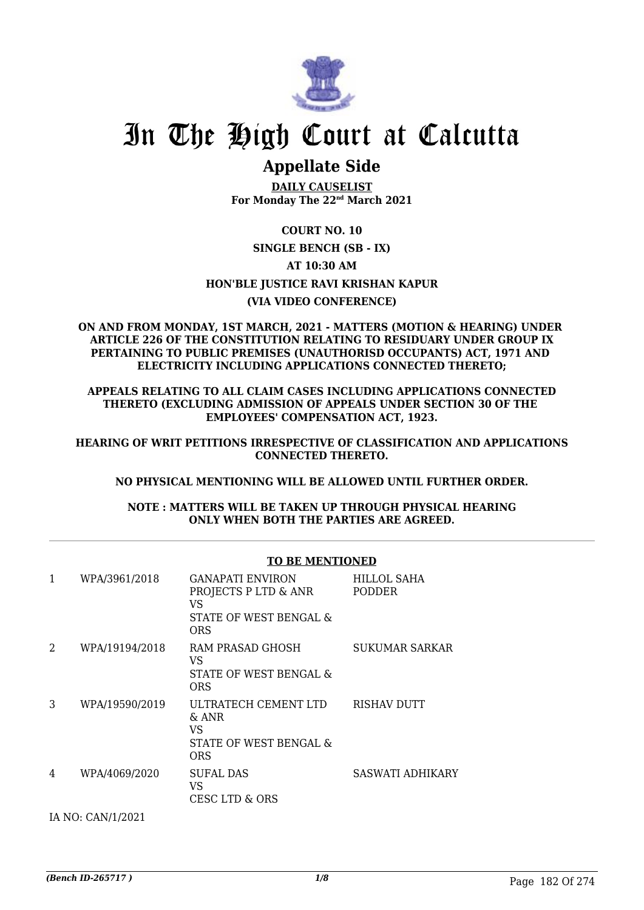

# **Appellate Side**

**DAILY CAUSELIST For Monday The 22nd March 2021**

**COURT NO. 10 SINGLE BENCH (SB - IX) AT 10:30 AM HON'BLE JUSTICE RAVI KRISHAN KAPUR (VIA VIDEO CONFERENCE)**

#### **ON AND FROM MONDAY, 1ST MARCH, 2021 - MATTERS (MOTION & HEARING) UNDER ARTICLE 226 OF THE CONSTITUTION RELATING TO RESIDUARY UNDER GROUP IX PERTAINING TO PUBLIC PREMISES (UNAUTHORISD OCCUPANTS) ACT, 1971 AND ELECTRICITY INCLUDING APPLICATIONS CONNECTED THERETO;**

**APPEALS RELATING TO ALL CLAIM CASES INCLUDING APPLICATIONS CONNECTED THERETO (EXCLUDING ADMISSION OF APPEALS UNDER SECTION 30 OF THE EMPLOYEES' COMPENSATION ACT, 1923.**

**HEARING OF WRIT PETITIONS IRRESPECTIVE OF CLASSIFICATION AND APPLICATIONS CONNECTED THERETO.**

### **NO PHYSICAL MENTIONING WILL BE ALLOWED UNTIL FURTHER ORDER.**

**NOTE : MATTERS WILL BE TAKEN UP THROUGH PHYSICAL HEARING ONLY WHEN BOTH THE PARTIES ARE AGREED.**

#### **TO BE MENTIONED**

| 1 | WPA/3961/2018     | <b>GANAPATI ENVIRON</b><br>PROJECTS P LTD & ANR<br>VS<br>STATE OF WEST BENGAL &<br><b>ORS</b> | HILLOL SAHA<br><b>PODDER</b> |
|---|-------------------|-----------------------------------------------------------------------------------------------|------------------------------|
| 2 | WPA/19194/2018    | RAM PRASAD GHOSH<br>VS<br>STATE OF WEST BENGAL &<br>ORS                                       | SUKUMAR SARKAR               |
| 3 | WPA/19590/2019    | ULTRATECH CEMENT LTD<br>$\&$ ANR<br>VS<br>STATE OF WEST BENGAL &<br><b>ORS</b>                | <b>RISHAV DUTT</b>           |
| 4 | WPA/4069/2020     | <b>SUFAL DAS</b><br>VS<br>CESC LTD & ORS                                                      | SASWATI ADHIKARY             |
|   | IA NO: CAN/1/2021 |                                                                                               |                              |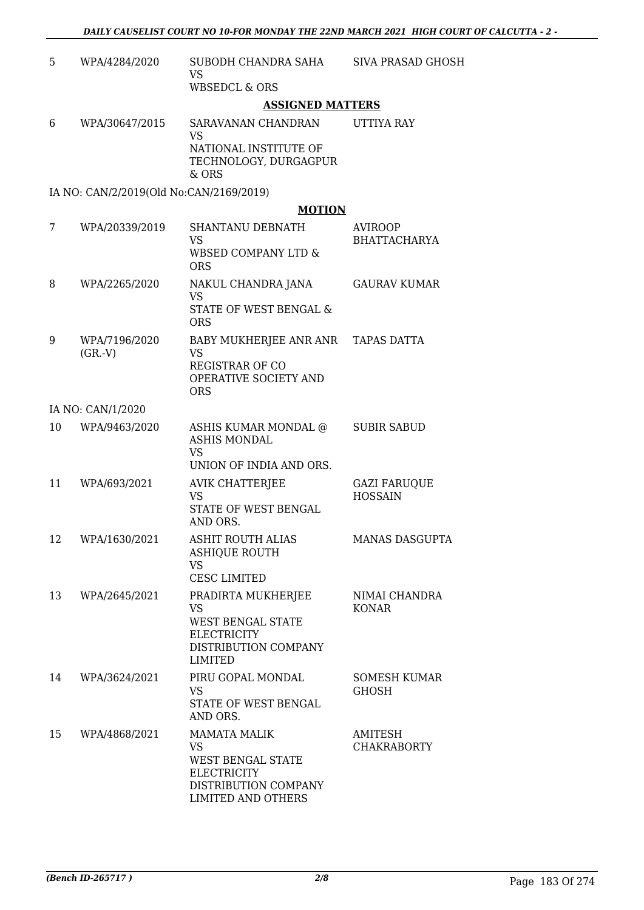| 5  | WPA/4284/2020                           | SUBODH CHANDRA SAHA<br><b>VS</b><br><b>WBSEDCL &amp; ORS</b>                                                              | <b>SIVA PRASAD GHOSH</b>              |
|----|-----------------------------------------|---------------------------------------------------------------------------------------------------------------------------|---------------------------------------|
|    |                                         | <b>ASSIGNED MATTERS</b>                                                                                                   |                                       |
| 6  | WPA/30647/2015                          | SARAVANAN CHANDRAN<br><b>VS</b><br>NATIONAL INSTITUTE OF<br>TECHNOLOGY, DURGAGPUR                                         | UTTIYA RAY                            |
|    |                                         | & ORS                                                                                                                     |                                       |
|    | IA NO: CAN/2/2019(Old No:CAN/2169/2019) |                                                                                                                           |                                       |
|    |                                         | <b>MOTION</b>                                                                                                             |                                       |
| 7  | WPA/20339/2019                          | SHANTANU DEBNATH<br><b>VS</b><br><b>WBSED COMPANY LTD &amp;</b><br><b>ORS</b>                                             | AVIROOP<br><b>BHATTACHARYA</b>        |
| 8  | WPA/2265/2020                           | NAKUL CHANDRA JANA<br><b>VS</b><br>STATE OF WEST BENGAL &<br><b>ORS</b>                                                   | <b>GAURAV KUMAR</b>                   |
| 9  | WPA/7196/2020<br>(GR.V)                 | BABY MUKHERJEE ANR ANR TAPAS DATTA<br><b>VS</b><br><b>REGISTRAR OF CO</b><br>OPERATIVE SOCIETY AND<br><b>ORS</b>          |                                       |
|    | IA NO: CAN/1/2020                       |                                                                                                                           |                                       |
| 10 | WPA/9463/2020                           | ASHIS KUMAR MONDAL @<br><b>ASHIS MONDAL</b><br><b>VS</b><br>UNION OF INDIA AND ORS.                                       | <b>SUBIR SABUD</b>                    |
| 11 | WPA/693/2021                            | <b>AVIK CHATTERJEE</b><br><b>VS</b><br>STATE OF WEST BENGAL<br>AND ORS.                                                   | <b>GAZI FARUQUE</b><br><b>HOSSAIN</b> |
| 12 | WPA/1630/2021                           | <b>ASHIT ROUTH ALIAS</b><br><b>ASHIQUE ROUTH</b><br><b>VS</b><br><b>CESC LIMITED</b>                                      | MANAS DASGUPTA                        |
| 13 | WPA/2645/2021                           | PRADIRTA MUKHERJEE<br><b>VS</b><br>WEST BENGAL STATE<br><b>ELECTRICITY</b><br>DISTRIBUTION COMPANY<br>LIMITED             | NIMAI CHANDRA<br><b>KONAR</b>         |
| 14 | WPA/3624/2021                           | PIRU GOPAL MONDAL<br><b>VS</b><br>STATE OF WEST BENGAL<br>AND ORS.                                                        | <b>SOMESH KUMAR</b><br><b>GHOSH</b>   |
| 15 | WPA/4868/2021                           | <b>MAMATA MALIK</b><br><b>VS</b><br>WEST BENGAL STATE<br><b>ELECTRICITY</b><br>DISTRIBUTION COMPANY<br>LIMITED AND OTHERS | AMITESH<br><b>CHAKRABORTY</b>         |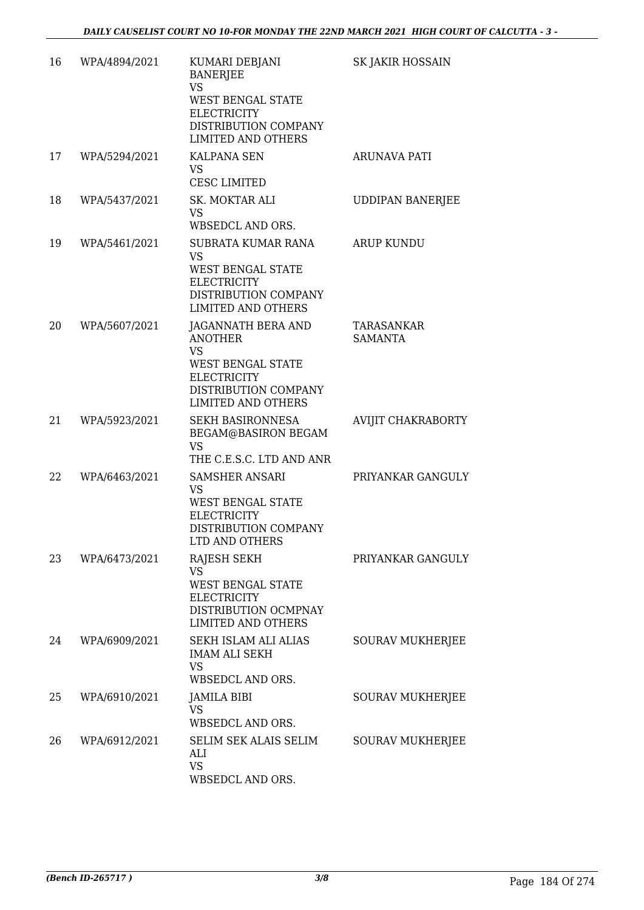| 16 | WPA/4894/2021 | KUMARI DEBJANI<br><b>BANERJEE</b><br><b>VS</b><br><b>WEST BENGAL STATE</b><br><b>ELECTRICITY</b><br>DISTRIBUTION COMPANY<br><b>LIMITED AND OTHERS</b>    | SK JAKIR HOSSAIN             |
|----|---------------|----------------------------------------------------------------------------------------------------------------------------------------------------------|------------------------------|
| 17 | WPA/5294/2021 | <b>KALPANA SEN</b><br><b>VS</b><br>CESC LIMITED                                                                                                          | ARUNAVA PATI                 |
| 18 | WPA/5437/2021 | SK. MOKTAR ALI<br><b>VS</b><br>WBSEDCL AND ORS.                                                                                                          | <b>UDDIPAN BANERJEE</b>      |
| 19 | WPA/5461/2021 | SUBRATA KUMAR RANA<br>VS<br><b>WEST BENGAL STATE</b><br><b>ELECTRICITY</b><br>DISTRIBUTION COMPANY<br><b>LIMITED AND OTHERS</b>                          | <b>ARUP KUNDU</b>            |
| 20 | WPA/5607/2021 | JAGANNATH BERA AND<br><b>ANOTHER</b><br><b>VS</b><br><b>WEST BENGAL STATE</b><br><b>ELECTRICITY</b><br>DISTRIBUTION COMPANY<br><b>LIMITED AND OTHERS</b> | TARASANKAR<br><b>SAMANTA</b> |
| 21 | WPA/5923/2021 | <b>SEKH BASIRONNESA</b><br>BEGAM@BASIRON BEGAM<br><b>VS</b><br>THE C.E.S.C. LTD AND ANR                                                                  | AVIJIT CHAKRABORTY           |
| 22 | WPA/6463/2021 | <b>SAMSHER ANSARI</b><br>VS<br>WEST BENGAL STATE<br><b>ELECTRICITY</b><br>DISTRIBUTION COMPANY<br>LID AND OTHERS                                         | PRIYANKAR GANGULY            |
| 23 | WPA/6473/2021 | <b>RAJESH SEKH</b><br><b>VS</b><br><b>WEST BENGAL STATE</b><br><b>ELECTRICITY</b><br>DISTRIBUTION OCMPNAY<br><b>LIMITED AND OTHERS</b>                   | PRIYANKAR GANGULY            |
| 24 | WPA/6909/2021 | SEKH ISLAM ALI ALIAS<br><b>IMAM ALI SEKH</b><br><b>VS</b><br>WBSEDCL AND ORS.                                                                            | SOURAV MUKHERJEE             |
| 25 | WPA/6910/2021 | JAMILA BIBI<br><b>VS</b><br>WBSEDCL AND ORS.                                                                                                             | SOURAV MUKHERJEE             |
| 26 | WPA/6912/2021 | SELIM SEK ALAIS SELIM<br>ALI<br><b>VS</b><br>WBSEDCL AND ORS.                                                                                            | <b>SOURAV MUKHERJEE</b>      |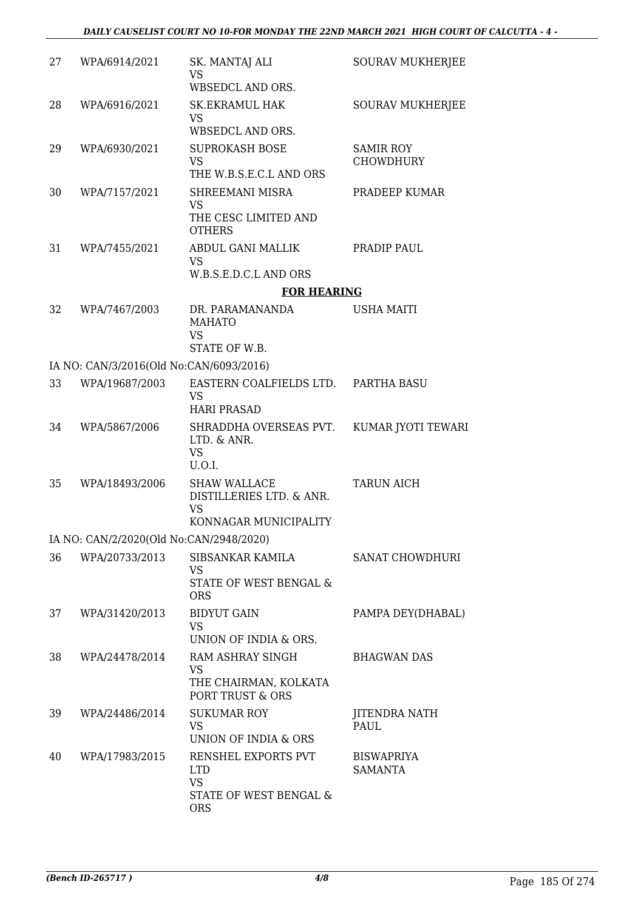| 27 | WPA/6914/2021                           | SK. MANTAJ ALI<br><b>VS</b><br>WBSEDCL AND ORS.                                        | <b>SOURAV MUKHERJEE</b>              |
|----|-----------------------------------------|----------------------------------------------------------------------------------------|--------------------------------------|
| 28 | WPA/6916/2021                           | <b>SK.EKRAMUL HAK</b><br><b>VS</b><br>WBSEDCL AND ORS.                                 | <b>SOURAV MUKHERJEE</b>              |
| 29 | WPA/6930/2021                           | <b>SUPROKASH BOSE</b><br><b>VS</b><br>THE W.B.S.E.C.L AND ORS                          | <b>SAMIR ROY</b><br><b>CHOWDHURY</b> |
| 30 | WPA/7157/2021                           | SHREEMANI MISRA<br><b>VS</b><br>THE CESC LIMITED AND                                   | PRADEEP KUMAR                        |
| 31 | WPA/7455/2021                           | <b>OTHERS</b><br>ABDUL GANI MALLIK<br><b>VS</b><br>W.B.S.E.D.C.L AND ORS               | PRADIP PAUL                          |
|    |                                         | <b>FOR HEARING</b>                                                                     |                                      |
| 32 | WPA/7467/2003                           | DR. PARAMANANDA<br><b>MAHATO</b><br><b>VS</b>                                          | <b>USHA MAITI</b>                    |
|    |                                         | STATE OF W.B.                                                                          |                                      |
|    | IA NO: CAN/3/2016(Old No:CAN/6093/2016) |                                                                                        |                                      |
| 33 | WPA/19687/2003                          | EASTERN COALFIELDS LTD. PARTHA BASU<br><b>VS</b><br><b>HARI PRASAD</b>                 |                                      |
| 34 | WPA/5867/2006                           | SHRADDHA OVERSEAS PVT.<br>LTD. & ANR.<br><b>VS</b><br>U.O.I.                           | KUMAR JYOTI TEWARI                   |
| 35 | WPA/18493/2006                          | <b>SHAW WALLACE</b><br>DISTILLERIES LTD. & ANR.<br><b>VS</b><br>KONNAGAR MUNICIPALITY  | <b>TARUN AICH</b>                    |
|    | IA NO: CAN/2/2020(Old No:CAN/2948/2020) |                                                                                        |                                      |
| 36 | WPA/20733/2013                          | SIBSANKAR KAMILA<br><b>VS</b><br>STATE OF WEST BENGAL &<br><b>ORS</b>                  | <b>SANAT CHOWDHURI</b>               |
| 37 | WPA/31420/2013                          | <b>BIDYUT GAIN</b><br><b>VS</b><br>UNION OF INDIA & ORS.                               | PAMPA DEY(DHABAL)                    |
| 38 | WPA/24478/2014                          | RAM ASHRAY SINGH<br><b>VS</b><br>THE CHAIRMAN, KOLKATA<br>PORT TRUST & ORS             | <b>BHAGWAN DAS</b>                   |
| 39 | WPA/24486/2014                          | <b>SUKUMAR ROY</b><br>VS<br>UNION OF INDIA & ORS                                       | JITENDRA NATH<br>PAUL                |
| 40 | WPA/17983/2015                          | RENSHEL EXPORTS PVT<br><b>LTD</b><br><b>VS</b><br>STATE OF WEST BENGAL &<br><b>ORS</b> | <b>BISWAPRIYA</b><br><b>SAMANTA</b>  |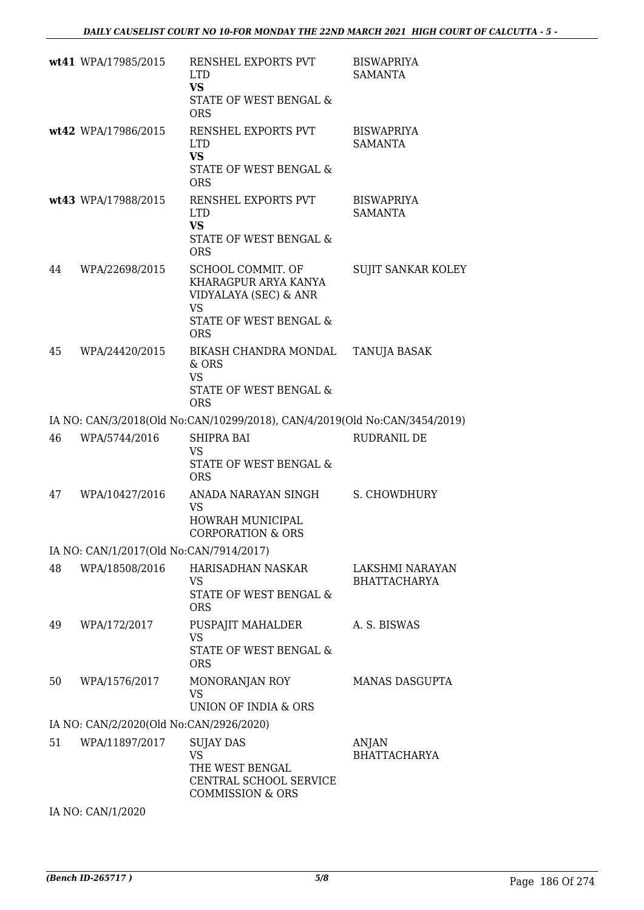|    | wt41 WPA/17985/2015                     | RENSHEL EXPORTS PVT<br><b>LTD</b><br><b>VS</b><br>STATE OF WEST BENGAL &<br><b>ORS</b>                                             | <b>BISWAPRIYA</b><br><b>SAMANTA</b>    |
|----|-----------------------------------------|------------------------------------------------------------------------------------------------------------------------------------|----------------------------------------|
|    | wt42 WPA/17986/2015                     | RENSHEL EXPORTS PVT<br><b>LTD</b><br><b>VS</b><br>STATE OF WEST BENGAL &<br><b>ORS</b>                                             | <b>BISWAPRIYA</b><br><b>SAMANTA</b>    |
|    | wt43 WPA/17988/2015                     | RENSHEL EXPORTS PVT<br><b>LTD</b><br><b>VS</b><br>STATE OF WEST BENGAL &<br><b>ORS</b>                                             | <b>BISWAPRIYA</b><br><b>SAMANTA</b>    |
| 44 | WPA/22698/2015                          | SCHOOL COMMIT. OF<br>KHARAGPUR ARYA KANYA<br>VIDYALAYA (SEC) & ANR<br><b>VS</b><br><b>STATE OF WEST BENGAL &amp;</b><br><b>ORS</b> | SUJIT SANKAR KOLEY                     |
| 45 | WPA/24420/2015                          | BIKASH CHANDRA MONDAL<br>& ORS<br><b>VS</b><br>STATE OF WEST BENGAL &<br><b>ORS</b>                                                | TANUJA BASAK                           |
|    |                                         | IA NO: CAN/3/2018(Old No:CAN/10299/2018), CAN/4/2019(Old No:CAN/3454/2019)                                                         |                                        |
| 46 | WPA/5744/2016                           | <b>SHIPRA BAI</b><br>VS<br>STATE OF WEST BENGAL &<br><b>ORS</b>                                                                    | RUDRANIL DE                            |
| 47 | WPA/10427/2016                          | ANADA NARAYAN SINGH<br><b>VS</b><br>HOWRAH MUNICIPAL<br><b>CORPORATION &amp; ORS</b>                                               | S. CHOWDHURY                           |
|    | IA NO: CAN/1/2017(Old No:CAN/7914/2017) |                                                                                                                                    |                                        |
| 48 | WPA/18508/2016                          | <b>HARISADHAN NASKAR</b><br>VS<br>STATE OF WEST BENGAL &<br><b>ORS</b>                                                             | LAKSHMI NARAYAN<br><b>BHATTACHARYA</b> |
| 49 | WPA/172/2017                            | PUSPAJIT MAHALDER<br><b>VS</b><br>STATE OF WEST BENGAL &<br><b>ORS</b>                                                             | A. S. BISWAS                           |
| 50 | WPA/1576/2017                           | MONORANJAN ROY<br>VS<br>UNION OF INDIA & ORS                                                                                       | <b>MANAS DASGUPTA</b>                  |
|    | IA NO: CAN/2/2020(Old No:CAN/2926/2020) |                                                                                                                                    |                                        |
| 51 | WPA/11897/2017                          | <b>SUJAY DAS</b><br><b>VS</b><br>THE WEST BENGAL<br>CENTRAL SCHOOL SERVICE<br><b>COMMISSION &amp; ORS</b>                          | <b>ANJAN</b><br><b>BHATTACHARYA</b>    |
|    | IA NO: CAN/1/2020                       |                                                                                                                                    |                                        |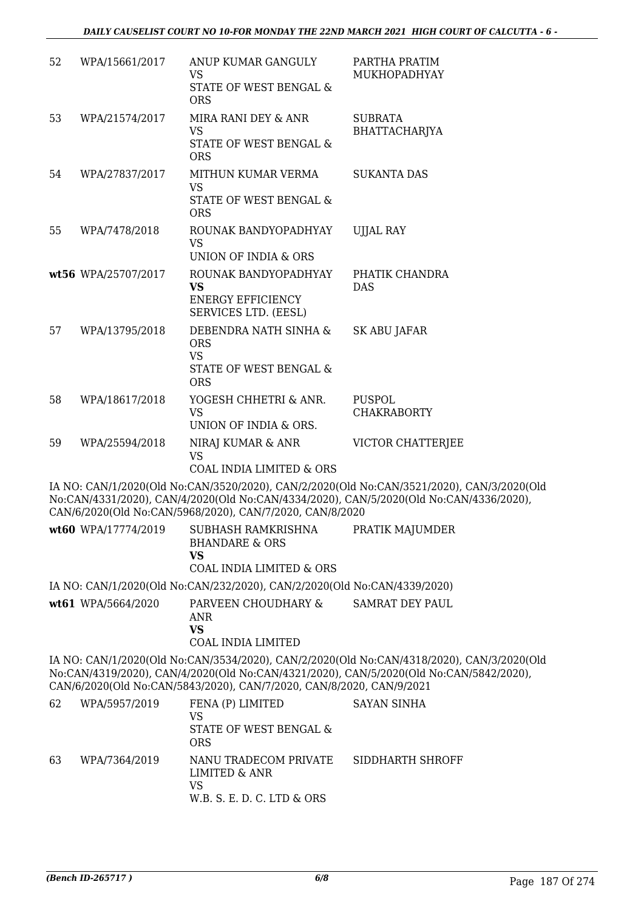| 52 | WPA/15661/2017      | ANUP KUMAR GANGULY<br><b>VS</b>                                                                  | PARTHA PRATIM<br>MUKHOPADHYAY                                                                                                                                                       |
|----|---------------------|--------------------------------------------------------------------------------------------------|-------------------------------------------------------------------------------------------------------------------------------------------------------------------------------------|
|    |                     | STATE OF WEST BENGAL &<br><b>ORS</b>                                                             |                                                                                                                                                                                     |
| 53 | WPA/21574/2017      | MIRA RANI DEY & ANR                                                                              | <b>SUBRATA</b>                                                                                                                                                                      |
|    |                     | <b>VS</b><br>STATE OF WEST BENGAL &<br><b>ORS</b>                                                | BHATTACHARJYA                                                                                                                                                                       |
| 54 | WPA/27837/2017      | MITHUN KUMAR VERMA                                                                               | <b>SUKANTA DAS</b>                                                                                                                                                                  |
|    |                     | <b>VS</b><br>STATE OF WEST BENGAL &<br><b>ORS</b>                                                |                                                                                                                                                                                     |
| 55 | WPA/7478/2018       | ROUNAK BANDYOPADHYAY<br><b>VS</b>                                                                | <b>UJJAL RAY</b>                                                                                                                                                                    |
|    | wt56 WPA/25707/2017 | UNION OF INDIA & ORS<br>ROUNAK BANDYOPADHYAY                                                     | PHATIK CHANDRA                                                                                                                                                                      |
|    |                     | <b>VS</b><br><b>ENERGY EFFICIENCY</b><br>SERVICES LTD. (EESL)                                    | <b>DAS</b>                                                                                                                                                                          |
| 57 | WPA/13795/2018      | DEBENDRA NATH SINHA &                                                                            | SK ABU JAFAR                                                                                                                                                                        |
|    |                     | <b>ORS</b><br><b>VS</b><br>STATE OF WEST BENGAL &<br><b>ORS</b>                                  |                                                                                                                                                                                     |
| 58 | WPA/18617/2018      | YOGESH CHHETRI & ANR.<br><b>VS</b><br>UNION OF INDIA & ORS.                                      | PUSPOL<br><b>CHAKRABORTY</b>                                                                                                                                                        |
| 59 | WPA/25594/2018      | NIRAJ KUMAR & ANR<br><b>VS</b><br><b>COAL INDIA LIMITED &amp; ORS</b>                            | VICTOR CHATTERJEE                                                                                                                                                                   |
|    |                     | CAN/6/2020(Old No:CAN/5968/2020), CAN/7/2020, CAN/8/2020                                         | IA NO: CAN/1/2020(Old No:CAN/3520/2020), CAN/2/2020(Old No:CAN/3521/2020), CAN/3/2020(Old<br>No:CAN/4331/2020), CAN/4/2020(Old No:CAN/4334/2020), CAN/5/2020(Old No:CAN/4336/2020), |
|    |                     | wt60 WPA/17774/2019 SUBHASH RAMKRISHNA PRATIK MAJUMDER<br><b>BHANDARE &amp; ORS</b><br><b>VS</b> |                                                                                                                                                                                     |
|    |                     | <b>COAL INDIA LIMITED &amp; ORS</b>                                                              |                                                                                                                                                                                     |
|    |                     | IA NO: CAN/1/2020(Old No:CAN/232/2020), CAN/2/2020(Old No:CAN/4339/2020)                         |                                                                                                                                                                                     |
|    | wt61 WPA/5664/2020  | PARVEEN CHOUDHARY &<br>ANR<br><b>VS</b><br><b>COAL INDIA LIMITED</b>                             | SAMRAT DEY PAUL                                                                                                                                                                     |
|    |                     | CAN/6/2020(Old No:CAN/5843/2020), CAN/7/2020, CAN/8/2020, CAN/9/2021                             | IA NO: CAN/1/2020(Old No:CAN/3534/2020), CAN/2/2020(Old No:CAN/4318/2020), CAN/3/2020(Old<br>No:CAN/4319/2020), CAN/4/2020(Old No:CAN/4321/2020), CAN/5/2020(Old No:CAN/5842/2020), |
| 62 | WPA/5957/2019       | FENA (P) LIMITED<br><b>VS</b><br>STATE OF WEST BENGAL &<br><b>ORS</b>                            | <b>SAYAN SINHA</b>                                                                                                                                                                  |
| 63 | WPA/7364/2019       | NANU TRADECOM PRIVATE<br><b>LIMITED &amp; ANR</b><br><b>VS</b>                                   | SIDDHARTH SHROFF                                                                                                                                                                    |

W.B. S. E. D. C. LTD & ORS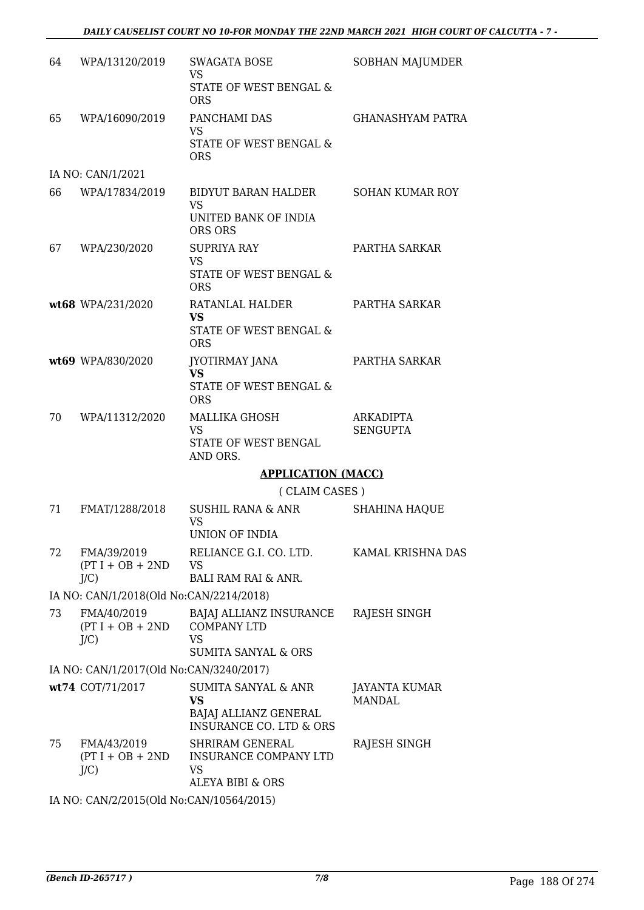| 64 | WPA/13120/2019                                              | <b>SWAGATA BOSE</b><br><b>VS</b><br>STATE OF WEST BENGAL &<br><b>ORS</b>                                   | SOBHAN MAJUMDER                |
|----|-------------------------------------------------------------|------------------------------------------------------------------------------------------------------------|--------------------------------|
| 65 | WPA/16090/2019                                              | PANCHAMI DAS<br><b>VS</b><br>STATE OF WEST BENGAL &<br><b>ORS</b>                                          | <b>GHANASHYAM PATRA</b>        |
|    | IA NO: CAN/1/2021                                           |                                                                                                            |                                |
| 66 | WPA/17834/2019                                              | BIDYUT BARAN HALDER<br><b>VS</b><br>UNITED BANK OF INDIA                                                   | <b>SOHAN KUMAR ROY</b>         |
|    |                                                             | ORS ORS                                                                                                    |                                |
| 67 | WPA/230/2020                                                | <b>SUPRIYA RAY</b><br><b>VS</b><br>STATE OF WEST BENGAL &<br><b>ORS</b>                                    | PARTHA SARKAR                  |
|    | wt68 WPA/231/2020                                           | RATANLAL HALDER<br>VS<br>STATE OF WEST BENGAL &<br><b>ORS</b>                                              | PARTHA SARKAR                  |
|    | wt69 WPA/830/2020                                           | <b>JYOTIRMAY JANA</b><br><b>VS</b><br>STATE OF WEST BENGAL &                                               | PARTHA SARKAR                  |
| 70 | WPA/11312/2020                                              | <b>ORS</b><br>MALLIKA GHOSH<br><b>VS</b><br>STATE OF WEST BENGAL<br>AND ORS.                               | ARKADIPTA<br><b>SENGUPTA</b>   |
|    |                                                             | <b>APPLICATION (MACC)</b>                                                                                  |                                |
|    |                                                             | (CLAIM CASES)                                                                                              |                                |
| 71 | FMAT/1288/2018                                              | SUSHIL RANA & ANR                                                                                          | <b>SHAHINA HAQUE</b>           |
|    |                                                             | <b>VS</b><br>UNION OF INDIA                                                                                |                                |
| 72 | FMA/39/2019<br>$(PT I + OB + 2ND$<br>$J/C$ )                | RELIANCE G.I. CO. LTD.<br><b>VS</b><br><b>BALI RAM RAI &amp; ANR.</b>                                      | KAMAL KRISHNA DAS              |
|    | IA NO: CAN/1/2018(Old No:CAN/2214/2018)                     |                                                                                                            |                                |
| 73 | FMA/40/2019<br>$(PT I + OB + 2ND$<br>$J/C$ )                | BAJAJ ALLIANZ INSURANCE<br><b>COMPANY LTD</b><br><b>VS</b>                                                 | RAJESH SINGH                   |
|    |                                                             | <b>SUMITA SANYAL &amp; ORS</b>                                                                             |                                |
|    | IA NO: CAN/1/2017(Old No:CAN/3240/2017)<br>wt74 COT/71/2017 | <b>SUMITA SANYAL &amp; ANR</b><br><b>VS</b><br>BAJAJ ALLIANZ GENERAL<br><b>INSURANCE CO. LTD &amp; ORS</b> | JAYANTA KUMAR<br><b>MANDAL</b> |
| 75 | FMA/43/2019<br>$(PT I + OB + 2ND$<br>$J/C$ )                | <b>SHRIRAM GENERAL</b><br>INSURANCE COMPANY LTD<br>VS<br><b>ALEYA BIBI &amp; ORS</b>                       | RAJESH SINGH                   |

IA NO: CAN/2/2015(Old No:CAN/10564/2015)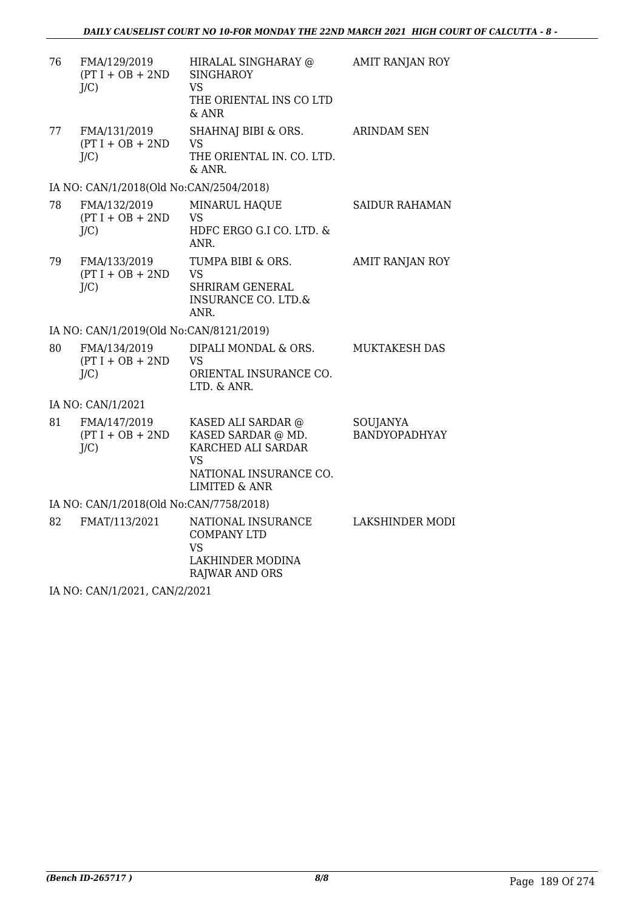| 76 | FMA/129/2019<br>$(PT I + OB + 2ND$<br>$J/C$ ) | HIRALAL SINGHARAY @<br><b>SINGHAROY</b><br><b>VS</b><br>THE ORIENTAL INS CO LTD<br>& ANR                                          | AMIT RANJAN ROY           |
|----|-----------------------------------------------|-----------------------------------------------------------------------------------------------------------------------------------|---------------------------|
| 77 | FMA/131/2019<br>$(PT I + OB + 2ND$<br>$J/C$ ) | SHAHNAJ BIBI & ORS.<br><b>VS</b><br>THE ORIENTAL IN. CO. LTD.<br>& ANR.                                                           | <b>ARINDAM SEN</b>        |
|    | IA NO: CAN/1/2018(Old No:CAN/2504/2018)       |                                                                                                                                   |                           |
| 78 | FMA/132/2019<br>$(PT I + OB + 2ND$<br>$J/C$ ) | MINARUL HAQUE<br>VS<br>HDFC ERGO G.I CO. LTD. &<br>ANR.                                                                           | <b>SAIDUR RAHAMAN</b>     |
| 79 | FMA/133/2019<br>$(PT I + OB + 2ND$<br>$J/C$ ) | TUMPA BIBI & ORS.<br><b>VS</b><br><b>SHRIRAM GENERAL</b><br><b>INSURANCE CO. LTD.&amp;</b><br>ANR.                                | AMIT RANJAN ROY           |
|    | IA NO: CAN/1/2019(Old No:CAN/8121/2019)       |                                                                                                                                   |                           |
| 80 | FMA/134/2019<br>$(PT I + OB + 2ND$<br>$J/C$ ) | DIPALI MONDAL & ORS.<br>VS<br>ORIENTAL INSURANCE CO.<br>LTD. & ANR.                                                               | <b>MUKTAKESH DAS</b>      |
|    | IA NO: CAN/1/2021                             |                                                                                                                                   |                           |
| 81 | FMA/147/2019<br>$(PT I + OB + 2ND$<br>J/C     | KASED ALI SARDAR @<br>KASED SARDAR @ MD.<br>KARCHED ALI SARDAR<br><b>VS</b><br>NATIONAL INSURANCE CO.<br><b>LIMITED &amp; ANR</b> | SOUJANYA<br>BANDYOPADHYAY |
|    | IA NO: CAN/1/2018(Old No:CAN/7758/2018)       |                                                                                                                                   |                           |
| 82 | FMAT/113/2021                                 | NATIONAL INSURANCE<br><b>COMPANY LTD</b><br>VS<br>LAKHINDER MODINA<br>RAJWAR AND ORS                                              | <b>LAKSHINDER MODI</b>    |
|    |                                               |                                                                                                                                   |                           |

IA NO: CAN/1/2021, CAN/2/2021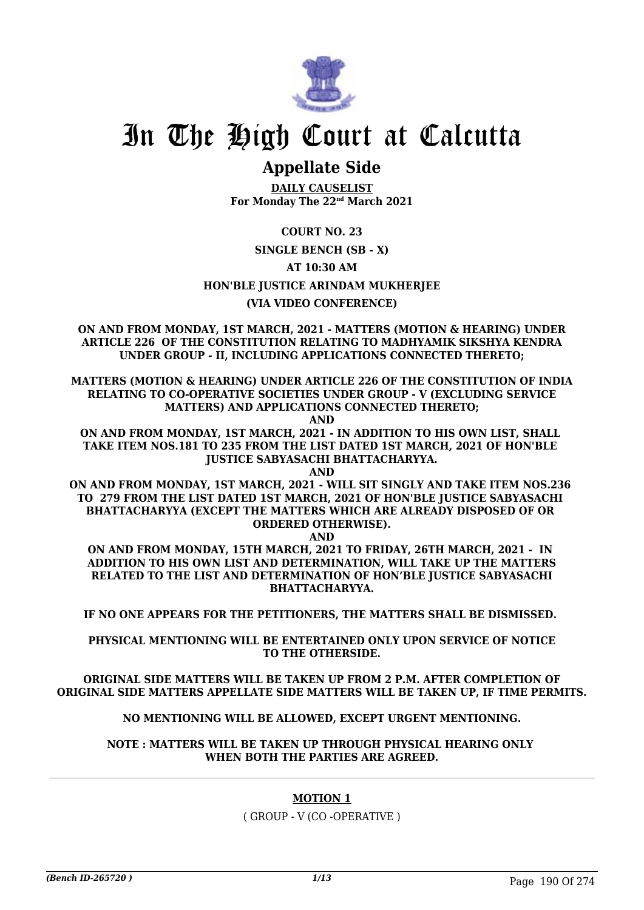

# **Appellate Side**

**DAILY CAUSELIST For Monday The 22nd March 2021**

**COURT NO. 23**

### **SINGLE BENCH (SB - X)**

**AT 10:30 AM**

### **HON'BLE JUSTICE ARINDAM MUKHERJEE**

### **(VIA VIDEO CONFERENCE)**

**ON AND FROM MONDAY, 1ST MARCH, 2021 - MATTERS (MOTION & HEARING) UNDER ARTICLE 226 OF THE CONSTITUTION RELATING TO MADHYAMIK SIKSHYA KENDRA UNDER GROUP - II, INCLUDING APPLICATIONS CONNECTED THERETO;**

**MATTERS (MOTION & HEARING) UNDER ARTICLE 226 OF THE CONSTITUTION OF INDIA RELATING TO CO-OPERATIVE SOCIETIES UNDER GROUP - V (EXCLUDING SERVICE MATTERS) AND APPLICATIONS CONNECTED THERETO;**

**AND**

**ON AND FROM MONDAY, 1ST MARCH, 2021 - IN ADDITION TO HIS OWN LIST, SHALL TAKE ITEM NOS.181 TO 235 FROM THE LIST DATED 1ST MARCH, 2021 OF HON'BLE JUSTICE SABYASACHI BHATTACHARYYA.**

**AND**

**ON AND FROM MONDAY, 1ST MARCH, 2021 - WILL SIT SINGLY AND TAKE ITEM NOS.236 TO 279 FROM THE LIST DATED 1ST MARCH, 2021 OF HON'BLE JUSTICE SABYASACHI BHATTACHARYYA (EXCEPT THE MATTERS WHICH ARE ALREADY DISPOSED OF OR ORDERED OTHERWISE).**

**AND**

**ON AND FROM MONDAY, 15TH MARCH, 2021 TO FRIDAY, 26TH MARCH, 2021 - IN ADDITION TO HIS OWN LIST AND DETERMINATION, WILL TAKE UP THE MATTERS RELATED TO THE LIST AND DETERMINATION OF HON'BLE JUSTICE SABYASACHI BHATTACHARYYA.**

**IF NO ONE APPEARS FOR THE PETITIONERS, THE MATTERS SHALL BE DISMISSED.** 

**PHYSICAL MENTIONING WILL BE ENTERTAINED ONLY UPON SERVICE OF NOTICE TO THE OTHERSIDE.**

**ORIGINAL SIDE MATTERS WILL BE TAKEN UP FROM 2 P.M. AFTER COMPLETION OF ORIGINAL SIDE MATTERS APPELLATE SIDE MATTERS WILL BE TAKEN UP, IF TIME PERMITS.**

**NO MENTIONING WILL BE ALLOWED, EXCEPT URGENT MENTIONING.**

**NOTE : MATTERS WILL BE TAKEN UP THROUGH PHYSICAL HEARING ONLY WHEN BOTH THE PARTIES ARE AGREED.**

### **MOTION 1**

( GROUP - V (CO -OPERATIVE )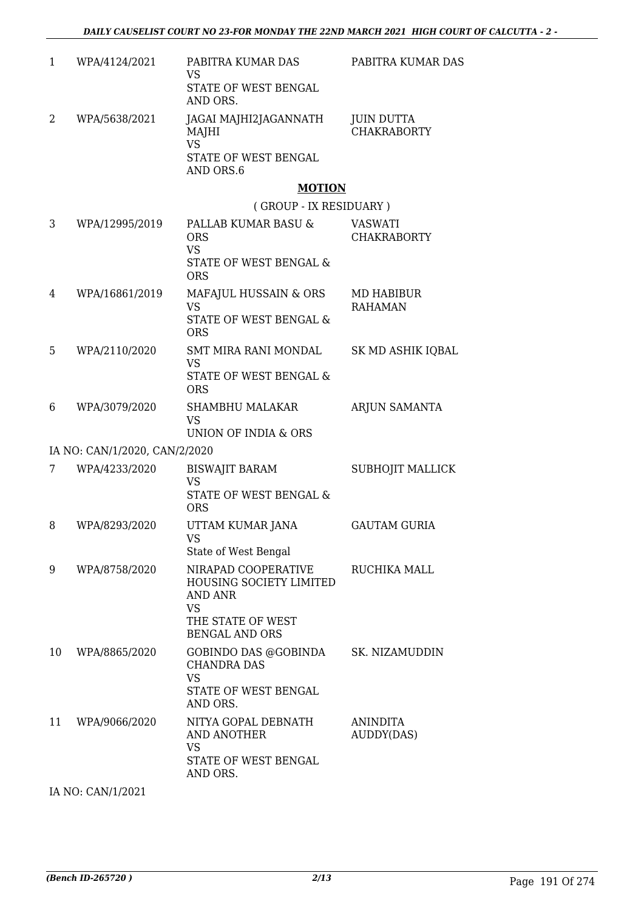| 1  | WPA/4124/2021                 | PABITRA KUMAR DAS<br><b>VS</b><br>STATE OF WEST BENGAL<br>AND ORS.                                                                 | PABITRA KUMAR DAS                       |
|----|-------------------------------|------------------------------------------------------------------------------------------------------------------------------------|-----------------------------------------|
| 2  | WPA/5638/2021                 | JAGAI MAJHI2JAGANNATH<br>MAJHI<br><b>VS</b><br>STATE OF WEST BENGAL<br>AND ORS.6                                                   | <b>JUIN DUTTA</b><br><b>CHAKRABORTY</b> |
|    |                               | <b>MOTION</b><br>(GROUP - IX RESIDUARY)                                                                                            |                                         |
| 3  | WPA/12995/2019                | PALLAB KUMAR BASU &                                                                                                                | <b>VASWATI</b>                          |
|    |                               | <b>ORS</b><br><b>VS</b>                                                                                                            | <b>CHAKRABORTY</b>                      |
|    |                               | STATE OF WEST BENGAL &<br><b>ORS</b>                                                                                               |                                         |
| 4  | WPA/16861/2019                | MAFAJUL HUSSAIN & ORS<br><b>VS</b><br><b>STATE OF WEST BENGAL &amp;</b><br><b>ORS</b>                                              | <b>MD HABIBUR</b><br><b>RAHAMAN</b>     |
| 5  | WPA/2110/2020                 | SMT MIRA RANI MONDAL<br><b>VS</b><br>STATE OF WEST BENGAL &<br><b>ORS</b>                                                          | SK MD ASHIK IQBAL                       |
| 6  | WPA/3079/2020                 | <b>SHAMBHU MALAKAR</b><br><b>VS</b><br>UNION OF INDIA & ORS                                                                        | ARJUN SAMANTA                           |
|    | IA NO: CAN/1/2020, CAN/2/2020 |                                                                                                                                    |                                         |
| 7  | WPA/4233/2020                 | <b>BISWAJIT BARAM</b><br><b>VS</b><br>STATE OF WEST BENGAL &<br><b>ORS</b>                                                         | SUBHOJIT MALLICK                        |
| 8  | WPA/8293/2020                 | UTTAM KUMAR JANA<br>VS<br>State of West Bengal                                                                                     | <b>GAUTAM GURIA</b>                     |
| 9  | WPA/8758/2020                 | NIRAPAD COOPERATIVE<br><b>HOUSING SOCIETY LIMITED</b><br><b>AND ANR</b><br><b>VS</b><br>THE STATE OF WEST<br><b>BENGAL AND ORS</b> | RUCHIKA MALL                            |
| 10 | WPA/8865/2020                 | GOBINDO DAS @GOBINDA<br><b>CHANDRA DAS</b><br><b>VS</b><br>STATE OF WEST BENGAL<br>AND ORS.                                        | SK. NIZAMUDDIN                          |
| 11 | WPA/9066/2020                 | NITYA GOPAL DEBNATH<br><b>AND ANOTHER</b><br><b>VS</b><br>STATE OF WEST BENGAL<br>AND ORS.                                         | <b>ANINDITA</b><br>AUDDY(DAS)           |
|    |                               |                                                                                                                                    |                                         |

IA NO: CAN/1/2021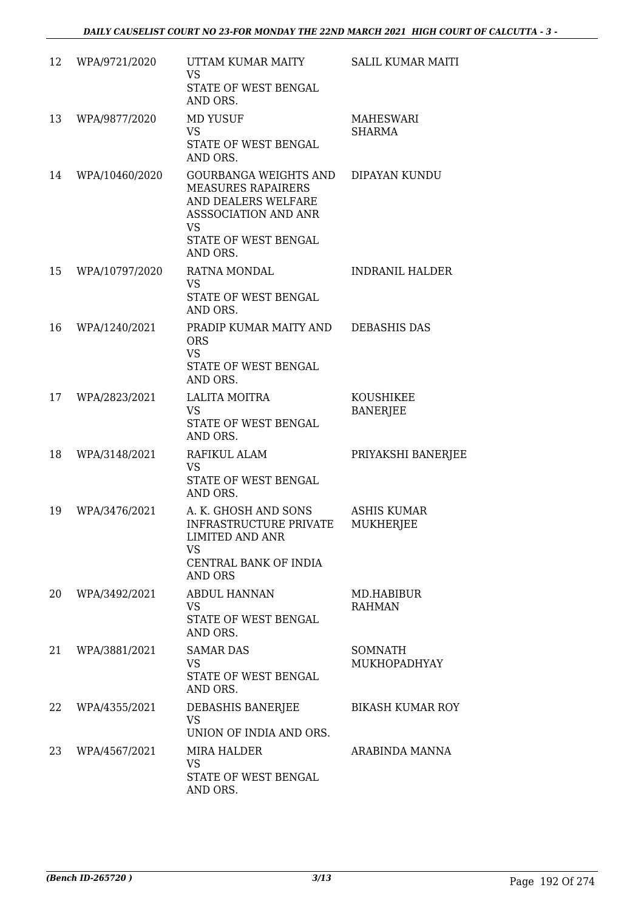| 12 | WPA/9721/2020  | UTTAM KUMAR MAITY<br><b>VS</b><br>STATE OF WEST BENGAL<br>AND ORS.                                                                                 | <b>SALIL KUMAR MAITI</b>              |
|----|----------------|----------------------------------------------------------------------------------------------------------------------------------------------------|---------------------------------------|
| 13 | WPA/9877/2020  | <b>MD YUSUF</b><br><b>VS</b><br>STATE OF WEST BENGAL<br>AND ORS.                                                                                   | MAHESWARI<br><b>SHARMA</b>            |
| 14 | WPA/10460/2020 | GOURBANGA WEIGHTS AND<br><b>MEASURES RAPAIRERS</b><br>AND DEALERS WELFARE<br>ASSSOCIATION AND ANR<br><b>VS</b><br>STATE OF WEST BENGAL<br>AND ORS. | DIPAYAN KUNDU                         |
| 15 | WPA/10797/2020 | RATNA MONDAL<br><b>VS</b><br>STATE OF WEST BENGAL<br>AND ORS.                                                                                      | <b>INDRANIL HALDER</b>                |
| 16 | WPA/1240/2021  | PRADIP KUMAR MAITY AND<br><b>ORS</b><br><b>VS</b><br>STATE OF WEST BENGAL<br>AND ORS.                                                              | <b>DEBASHIS DAS</b>                   |
| 17 | WPA/2823/2021  | <b>LALITA MOITRA</b><br><b>VS</b><br>STATE OF WEST BENGAL<br>AND ORS.                                                                              | KOUSHIKEE<br><b>BANERJEE</b>          |
| 18 | WPA/3148/2021  | RAFIKUL ALAM<br><b>VS</b><br>STATE OF WEST BENGAL<br>AND ORS.                                                                                      | PRIYAKSHI BANERJEE                    |
| 19 | WPA/3476/2021  | A. K. GHOSH AND SONS<br><b>INFRASTRUCTURE PRIVATE</b><br>LIMITED AND ANR<br><b>VS</b><br>CENTRAL BANK OF INDIA<br><b>AND ORS</b>                   | ASHIS KUMAR<br>MUKHERJEE              |
| 20 | WPA/3492/2021  | <b>ABDUL HANNAN</b><br><b>VS</b><br>STATE OF WEST BENGAL<br>AND ORS.                                                                               | MD.HABIBUR<br><b>RAHMAN</b>           |
| 21 | WPA/3881/2021  | <b>SAMAR DAS</b><br><b>VS</b><br>STATE OF WEST BENGAL<br>AND ORS.                                                                                  | <b>SOMNATH</b><br><b>MUKHOPADHYAY</b> |
| 22 | WPA/4355/2021  | DEBASHIS BANERJEE<br><b>VS</b><br>UNION OF INDIA AND ORS.                                                                                          | <b>BIKASH KUMAR ROY</b>               |
| 23 | WPA/4567/2021  | <b>MIRA HALDER</b><br><b>VS</b><br>STATE OF WEST BENGAL<br>AND ORS.                                                                                | ARABINDA MANNA                        |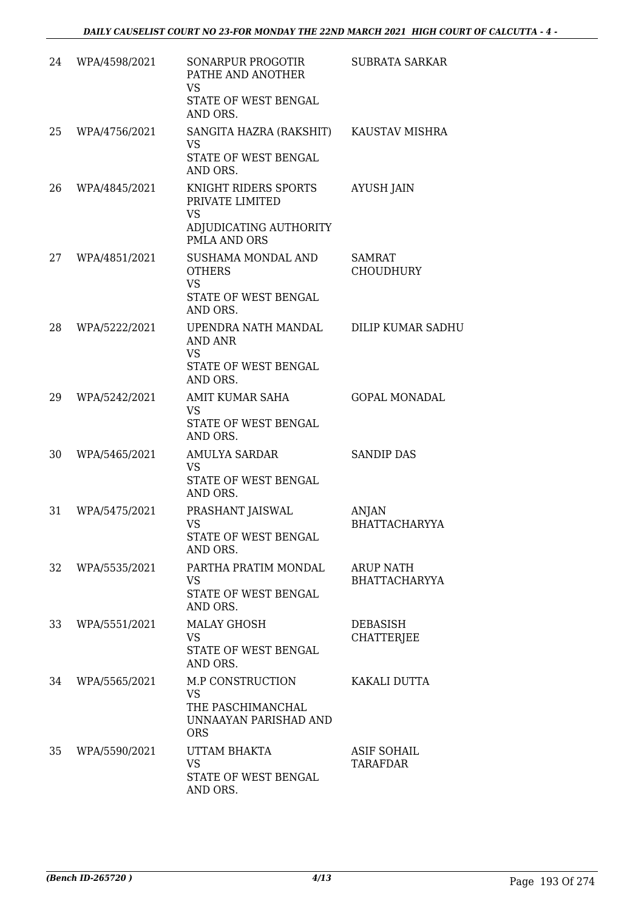| 24 | WPA/4598/2021 | <b>SONARPUR PROGOTIR</b><br>PATHE AND ANOTHER<br><b>VS</b><br>STATE OF WEST BENGAL<br>AND ORS. | <b>SUBRATA SARKAR</b>                    |
|----|---------------|------------------------------------------------------------------------------------------------|------------------------------------------|
| 25 | WPA/4756/2021 | SANGITA HAZRA (RAKSHIT)<br><b>VS</b><br>STATE OF WEST BENGAL<br>AND ORS.                       | KAUSTAV MISHRA                           |
| 26 | WPA/4845/2021 | KNIGHT RIDERS SPORTS<br>PRIVATE LIMITED<br><b>VS</b><br>ADJUDICATING AUTHORITY<br>PMLA AND ORS | <b>AYUSH JAIN</b>                        |
| 27 | WPA/4851/2021 | SUSHAMA MONDAL AND<br><b>OTHERS</b><br><b>VS</b><br>STATE OF WEST BENGAL<br>AND ORS.           | SAMRAT<br><b>CHOUDHURY</b>               |
| 28 | WPA/5222/2021 | UPENDRA NATH MANDAL<br><b>AND ANR</b><br><b>VS</b><br>STATE OF WEST BENGAL<br>AND ORS.         | <b>DILIP KUMAR SADHU</b>                 |
| 29 | WPA/5242/2021 | <b>AMIT KUMAR SAHA</b><br><b>VS</b><br>STATE OF WEST BENGAL<br>AND ORS.                        | <b>GOPAL MONADAL</b>                     |
| 30 | WPA/5465/2021 | AMULYA SARDAR<br><b>VS</b><br>STATE OF WEST BENGAL<br>AND ORS.                                 | <b>SANDIP DAS</b>                        |
| 31 | WPA/5475/2021 | PRASHANT JAISWAL<br><b>VS</b><br>STATE OF WEST BENGAL<br>AND ORS.                              | ANJAN<br><b>BHATTACHARYYA</b>            |
| 32 | WPA/5535/2021 | PARTHA PRATIM MONDAL<br><b>VS</b><br>STATE OF WEST BENGAL<br>AND ORS.                          | <b>ARUP NATH</b><br><b>BHATTACHARYYA</b> |
| 33 | WPA/5551/2021 | <b>MALAY GHOSH</b><br><b>VS</b><br>STATE OF WEST BENGAL<br>AND ORS.                            | <b>DEBASISH</b><br><b>CHATTERJEE</b>     |
| 34 | WPA/5565/2021 | M.P CONSTRUCTION<br><b>VS</b><br>THE PASCHIMANCHAL<br>UNNAAYAN PARISHAD AND<br><b>ORS</b>      | KAKALI DUTTA                             |
| 35 | WPA/5590/2021 | UTTAM BHAKTA<br><b>VS</b><br>STATE OF WEST BENGAL<br>AND ORS.                                  | <b>ASIF SOHAIL</b><br><b>TARAFDAR</b>    |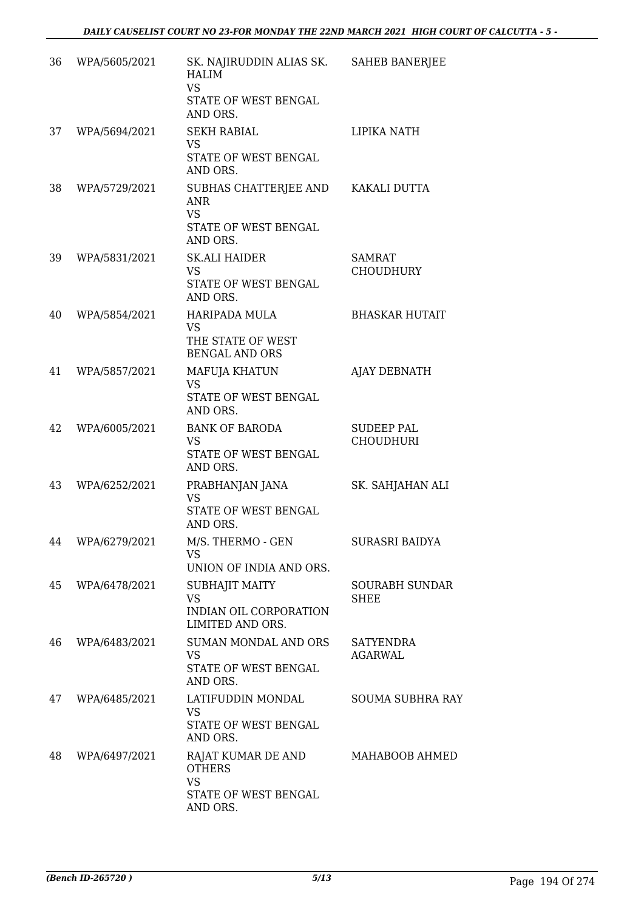| 36 | WPA/5605/2021    | SK. NAJIRUDDIN ALIAS SK.<br><b>HALIM</b><br><b>VS</b><br>STATE OF WEST BENGAL<br>AND ORS.         | <b>SAHEB BANERJEE</b>                 |
|----|------------------|---------------------------------------------------------------------------------------------------|---------------------------------------|
| 37 | WPA/5694/2021    | <b>SEKH RABIAL</b><br><b>VS</b><br>STATE OF WEST BENGAL<br>AND ORS.                               | LIPIKA NATH                           |
| 38 | WPA/5729/2021    | SUBHAS CHATTERJEE AND KAKALI DUTTA<br><b>ANR</b><br><b>VS</b><br>STATE OF WEST BENGAL<br>AND ORS. |                                       |
| 39 | WPA/5831/2021    | <b>SK.ALI HAIDER</b><br><b>VS</b><br>STATE OF WEST BENGAL<br>AND ORS.                             | SAMRAT<br><b>CHOUDHURY</b>            |
| 40 | WPA/5854/2021    | <b>HARIPADA MULA</b><br><b>VS</b><br>THE STATE OF WEST<br><b>BENGAL AND ORS</b>                   | <b>BHASKAR HUTAIT</b>                 |
| 41 | WPA/5857/2021    | MAFUJA KHATUN<br><b>VS</b><br>STATE OF WEST BENGAL<br>AND ORS.                                    | AJAY DEBNATH                          |
| 42 | WPA/6005/2021    | <b>BANK OF BARODA</b><br><b>VS</b><br>STATE OF WEST BENGAL<br>AND ORS.                            | <b>SUDEEP PAL</b><br><b>CHOUDHURI</b> |
| 43 | WPA/6252/2021    | PRABHANJAN JANA<br><b>VS</b><br>STATE OF WEST BENGAL<br>AND ORS.                                  | SK. SAHJAHAN ALI                      |
|    | 44 WPA/6279/2021 | M/S. THERMO - GEN<br>VS<br>UNION OF INDIA AND ORS.                                                | SURASRI BAIDYA                        |
| 45 | WPA/6478/2021    | SUBHAJIT MAITY<br><b>VS</b><br>INDIAN OIL CORPORATION<br>LIMITED AND ORS.                         | <b>SOURABH SUNDAR</b><br>SHEE         |
| 46 | WPA/6483/2021    | <b>SUMAN MONDAL AND ORS</b><br><b>VS</b><br>STATE OF WEST BENGAL<br>AND ORS.                      | <b>SATYENDRA</b><br>AGARWAL           |
| 47 | WPA/6485/2021    | LATIFUDDIN MONDAL<br><b>VS</b><br>STATE OF WEST BENGAL<br>AND ORS.                                | <b>SOUMA SUBHRA RAY</b>               |
| 48 | WPA/6497/2021    | RAJAT KUMAR DE AND<br><b>OTHERS</b><br><b>VS</b><br>STATE OF WEST BENGAL<br>AND ORS.              | MAHABOOB AHMED                        |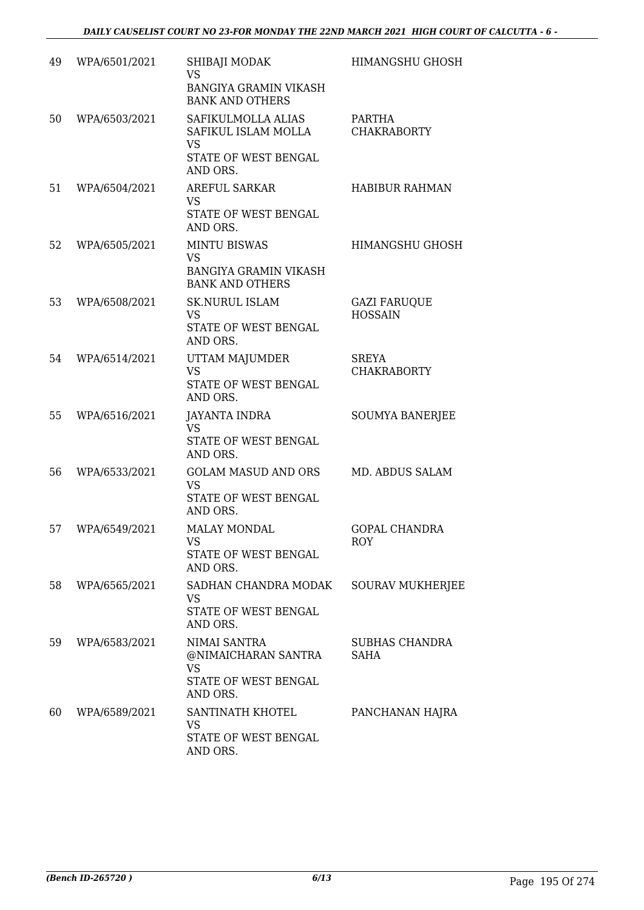| 49 | WPA/6501/2021 | SHIBAJI MODAK<br><b>VS</b><br><b>BANGIYA GRAMIN VIKASH</b><br><b>BANK AND OTHERS</b>       | HIMANGSHU GHOSH                       |
|----|---------------|--------------------------------------------------------------------------------------------|---------------------------------------|
| 50 | WPA/6503/2021 | SAFIKULMOLLA ALIAS<br>SAFIKUL ISLAM MOLLA<br><b>VS</b><br>STATE OF WEST BENGAL<br>AND ORS. | PARTHA<br><b>CHAKRABORTY</b>          |
| 51 | WPA/6504/2021 | <b>AREFUL SARKAR</b><br><b>VS</b><br>STATE OF WEST BENGAL<br>AND ORS.                      | <b>HABIBUR RAHMAN</b>                 |
| 52 | WPA/6505/2021 | <b>MINTU BISWAS</b><br><b>VS</b><br><b>BANGIYA GRAMIN VIKASH</b><br><b>BANK AND OTHERS</b> | HIMANGSHU GHOSH                       |
| 53 | WPA/6508/2021 | <b>SK.NURUL ISLAM</b><br><b>VS</b><br>STATE OF WEST BENGAL<br>AND ORS.                     | <b>GAZI FARUQUE</b><br><b>HOSSAIN</b> |
| 54 | WPA/6514/2021 | UTTAM MAJUMDER<br><b>VS</b><br>STATE OF WEST BENGAL<br>AND ORS.                            | <b>SREYA</b><br><b>CHAKRABORTY</b>    |
| 55 | WPA/6516/2021 | <b>JAYANTA INDRA</b><br><b>VS</b><br>STATE OF WEST BENGAL<br>AND ORS.                      | <b>SOUMYA BANERJEE</b>                |
| 56 | WPA/6533/2021 | <b>GOLAM MASUD AND ORS</b><br><b>VS</b><br>STATE OF WEST BENGAL<br>AND ORS.                | MD. ABDUS SALAM                       |
| 57 | WPA/6549/2021 | <b>MALAY MONDAL</b><br>VS<br>STATE OF WEST BENGAL<br>AND ORS.                              | <b>GOPAL CHANDRA</b><br><b>ROY</b>    |
| 58 | WPA/6565/2021 | SADHAN CHANDRA MODAK<br><b>VS</b><br>STATE OF WEST BENGAL<br>AND ORS.                      | <b>SOURAV MUKHERJEE</b>               |
| 59 | WPA/6583/2021 | NIMAI SANTRA<br>@NIMAICHARAN SANTRA<br><b>VS</b><br>STATE OF WEST BENGAL<br>AND ORS.       | SUBHAS CHANDRA<br>SAHA                |
| 60 | WPA/6589/2021 | SANTINATH KHOTEL<br><b>VS</b><br>STATE OF WEST BENGAL<br>AND ORS.                          | PANCHANAN HAJRA                       |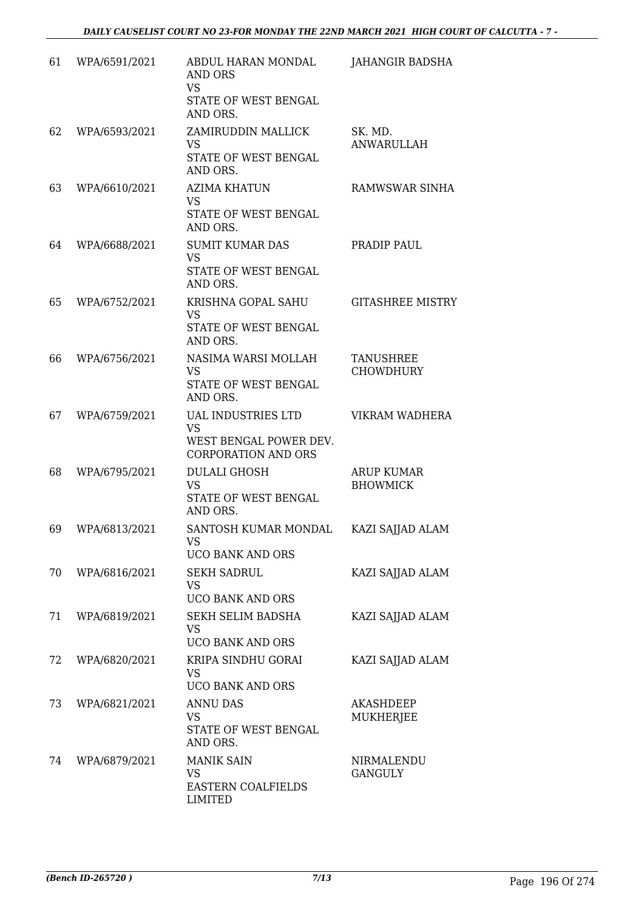| 61 | WPA/6591/2021 | ABDUL HARAN MONDAL<br><b>AND ORS</b><br><b>VS</b><br>STATE OF WEST BENGAL<br>AND ORS.          | <b>JAHANGIR BADSHA</b>               |
|----|---------------|------------------------------------------------------------------------------------------------|--------------------------------------|
| 62 | WPA/6593/2021 | ZAMIRUDDIN MALLICK<br><b>VS</b><br>STATE OF WEST BENGAL<br>AND ORS.                            | SK. MD.<br><b>ANWARULLAH</b>         |
| 63 | WPA/6610/2021 | AZIMA KHATUN<br><b>VS</b><br>STATE OF WEST BENGAL<br>AND ORS.                                  | RAMWSWAR SINHA                       |
| 64 | WPA/6688/2021 | <b>SUMIT KUMAR DAS</b><br><b>VS</b><br><b>STATE OF WEST BENGAL</b><br>AND ORS.                 | PRADIP PAUL                          |
| 65 | WPA/6752/2021 | KRISHNA GOPAL SAHU<br><b>VS</b><br>STATE OF WEST BENGAL<br>AND ORS.                            | <b>GITASHREE MISTRY</b>              |
| 66 | WPA/6756/2021 | NASIMA WARSI MOLLAH<br><b>VS</b><br>STATE OF WEST BENGAL<br>AND ORS.                           | <b>TANUSHREE</b><br><b>CHOWDHURY</b> |
| 67 | WPA/6759/2021 | <b>UAL INDUSTRIES LTD</b><br><b>VS</b><br>WEST BENGAL POWER DEV.<br><b>CORPORATION AND ORS</b> | VIKRAM WADHERA                       |
| 68 | WPA/6795/2021 | <b>DULALI GHOSH</b><br><b>VS</b><br>STATE OF WEST BENGAL<br>AND ORS.                           | <b>ARUP KUMAR</b><br><b>BHOWMICK</b> |
| 69 | WPA/6813/2021 | SANTOSH KUMAR MONDAL<br><b>VS</b><br>UCO BANK AND ORS                                          | KAZI SAJJAD ALAM                     |
| 70 | WPA/6816/2021 | <b>SEKH SADRUL</b><br><b>VS</b><br><b>UCO BANK AND ORS</b>                                     | KAZI SAJJAD ALAM                     |
| 71 | WPA/6819/2021 | SEKH SELIM BADSHA<br><b>VS</b><br><b>UCO BANK AND ORS</b>                                      | KAZI SAJJAD ALAM                     |
| 72 | WPA/6820/2021 | KRIPA SINDHU GORAI<br><b>VS</b><br><b>UCO BANK AND ORS</b>                                     | KAZI SAJJAD ALAM                     |
| 73 | WPA/6821/2021 | <b>ANNU DAS</b><br><b>VS</b><br>STATE OF WEST BENGAL<br>AND ORS.                               | <b>AKASHDEEP</b><br><b>MUKHERJEE</b> |
| 74 | WPA/6879/2021 | <b>MANIK SAIN</b><br><b>VS</b><br>EASTERN COALFIELDS<br><b>LIMITED</b>                         | NIRMALENDU<br><b>GANGULY</b>         |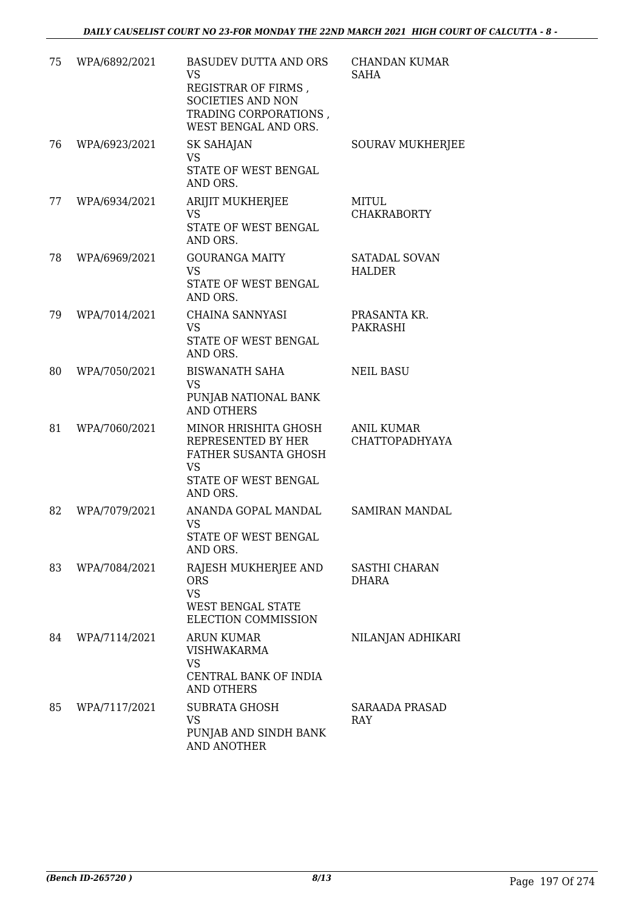| 75 | WPA/6892/2021 | <b>BASUDEV DUTTA AND ORS</b><br><b>VS</b><br>REGISTRAR OF FIRMS,<br><b>SOCIETIES AND NON</b><br>TRADING CORPORATIONS,<br>WEST BENGAL AND ORS. | CHANDAN KUMAR<br><b>SAHA</b>               |
|----|---------------|-----------------------------------------------------------------------------------------------------------------------------------------------|--------------------------------------------|
| 76 | WPA/6923/2021 | <b>SK SAHAJAN</b><br><b>VS</b><br>STATE OF WEST BENGAL<br>AND ORS.                                                                            | SOURAV MUKHERJEE                           |
| 77 | WPA/6934/2021 | ARIJIT MUKHERJEE<br>VS<br>STATE OF WEST BENGAL<br>AND ORS.                                                                                    | MITUL<br><b>CHAKRABORTY</b>                |
| 78 | WPA/6969/2021 | <b>GOURANGA MAITY</b><br><b>VS</b><br>STATE OF WEST BENGAL<br>AND ORS.                                                                        | SATADAL SOVAN<br><b>HALDER</b>             |
| 79 | WPA/7014/2021 | <b>CHAINA SANNYASI</b><br><b>VS</b><br>STATE OF WEST BENGAL<br>AND ORS.                                                                       | PRASANTA KR.<br><b>PAKRASHI</b>            |
| 80 | WPA/7050/2021 | <b>BISWANATH SAHA</b><br><b>VS</b><br>PUNJAB NATIONAL BANK<br><b>AND OTHERS</b>                                                               | <b>NEIL BASU</b>                           |
| 81 | WPA/7060/2021 | MINOR HRISHITA GHOSH<br>REPRESENTED BY HER<br>FATHER SUSANTA GHOSH<br><b>VS</b><br>STATE OF WEST BENGAL<br>AND ORS.                           | <b>ANIL KUMAR</b><br><b>CHATTOPADHYAYA</b> |
| 82 | WPA/7079/2021 | ANANDA GOPAL MANDAL<br><b>VS</b><br>STATE OF WEST BENGAL<br>AND ORS.                                                                          | <b>SAMIRAN MANDAL</b>                      |
| 83 | WPA/7084/2021 | RAJESH MUKHERJEE AND<br><b>ORS</b><br><b>VS</b><br><b>WEST BENGAL STATE</b><br>ELECTION COMMISSION                                            | SASTHI CHARAN<br><b>DHARA</b>              |
| 84 | WPA/7114/2021 | ARUN KUMAR<br><b>VISHWAKARMA</b><br><b>VS</b><br>CENTRAL BANK OF INDIA<br><b>AND OTHERS</b>                                                   | NILANJAN ADHIKARI                          |
| 85 | WPA/7117/2021 | <b>SUBRATA GHOSH</b><br>VS<br>PUNJAB AND SINDH BANK<br><b>AND ANOTHER</b>                                                                     | SARAADA PRASAD<br>RAY                      |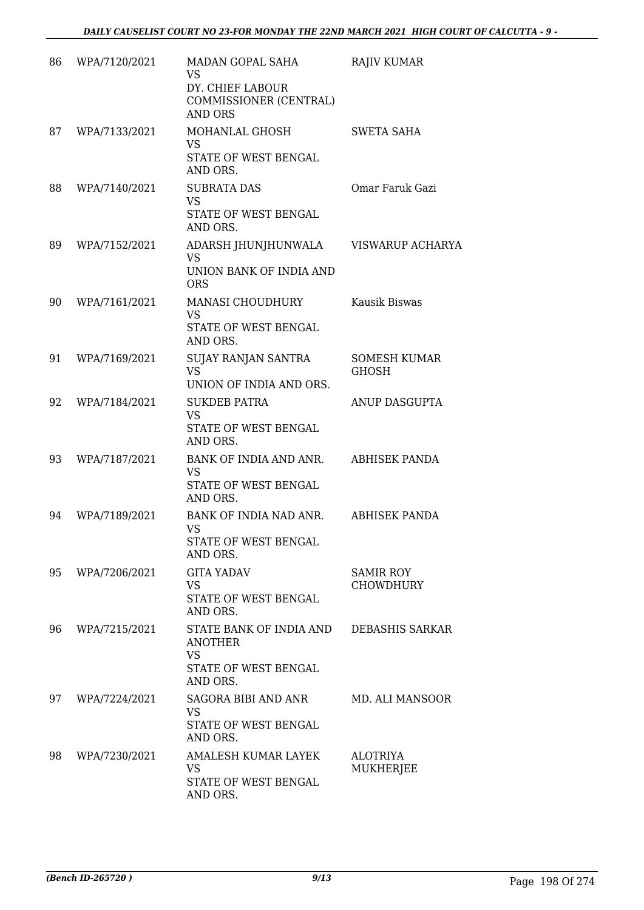| 86 | WPA/7120/2021 | MADAN GOPAL SAHA<br><b>VS</b><br>DY. CHIEF LABOUR<br>COMMISSIONER (CENTRAL)<br><b>AND ORS</b>     | <b>RAJIV KUMAR</b>                   |
|----|---------------|---------------------------------------------------------------------------------------------------|--------------------------------------|
| 87 | WPA/7133/2021 | MOHANLAL GHOSH<br><b>VS</b><br>STATE OF WEST BENGAL<br>AND ORS.                                   | <b>SWETA SAHA</b>                    |
| 88 | WPA/7140/2021 | <b>SUBRATA DAS</b><br><b>VS</b><br>STATE OF WEST BENGAL<br>AND ORS.                               | Omar Faruk Gazi                      |
| 89 | WPA/7152/2021 | ADARSH JHUNJHUNWALA<br><b>VS</b><br>UNION BANK OF INDIA AND<br><b>ORS</b>                         | VISWARUP ACHARYA                     |
| 90 | WPA/7161/2021 | <b>MANASI CHOUDHURY</b><br><b>VS</b><br>STATE OF WEST BENGAL<br>AND ORS.                          | Kausik Biswas                        |
| 91 | WPA/7169/2021 | SUJAY RANJAN SANTRA<br><b>VS</b><br>UNION OF INDIA AND ORS.                                       | <b>SOMESH KUMAR</b><br><b>GHOSH</b>  |
| 92 | WPA/7184/2021 | <b>SUKDEB PATRA</b><br><b>VS</b><br>STATE OF WEST BENGAL<br>AND ORS.                              | ANUP DASGUPTA                        |
| 93 | WPA/7187/2021 | BANK OF INDIA AND ANR.<br><b>VS</b><br>STATE OF WEST BENGAL<br>AND ORS.                           | <b>ABHISEK PANDA</b>                 |
| 94 | WPA/7189/2021 | BANK OF INDIA NAD ANR.<br><b>VS</b><br>STATE OF WEST BENGAL<br>AND ORS.                           | <b>ABHISEK PANDA</b>                 |
| 95 | WPA/7206/2021 | <b>GITA YADAV</b><br><b>VS</b><br>STATE OF WEST BENGAL<br>AND ORS.                                | <b>SAMIR ROY</b><br><b>CHOWDHURY</b> |
| 96 | WPA/7215/2021 | STATE BANK OF INDIA AND<br><b>ANOTHER</b><br><b>VS</b><br><b>STATE OF WEST BENGAL</b><br>AND ORS. | DEBASHIS SARKAR                      |
| 97 | WPA/7224/2021 | SAGORA BIBI AND ANR<br><b>VS</b><br>STATE OF WEST BENGAL<br>AND ORS.                              | MD. ALI MANSOOR                      |
| 98 | WPA/7230/2021 | AMALESH KUMAR LAYEK<br><b>VS</b><br>STATE OF WEST BENGAL<br>AND ORS.                              | <b>ALOTRIYA</b><br><b>MUKHERJEE</b>  |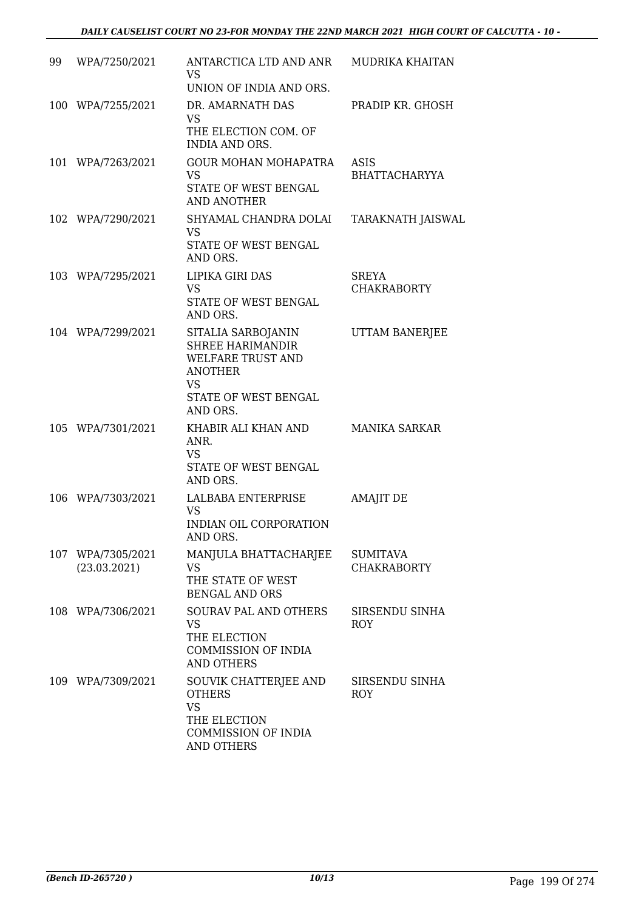| 99 | WPA/7250/2021                     | ANTARCTICA LTD AND ANR<br>VS<br>UNION OF INDIA AND ORS.                                                                                      | MUDRIKA KHAITAN                       |
|----|-----------------------------------|----------------------------------------------------------------------------------------------------------------------------------------------|---------------------------------------|
|    | 100 WPA/7255/2021                 | DR. AMARNATH DAS<br><b>VS</b><br>THE ELECTION COM. OF<br><b>INDIA AND ORS.</b>                                                               | PRADIP KR. GHOSH                      |
|    | 101 WPA/7263/2021                 | <b>GOUR MOHAN MOHAPATRA</b><br><b>VS</b><br>STATE OF WEST BENGAL<br><b>AND ANOTHER</b>                                                       | ASIS<br><b>BHATTACHARYYA</b>          |
|    | 102 WPA/7290/2021                 | SHYAMAL CHANDRA DOLAI<br><b>VS</b><br>STATE OF WEST BENGAL<br>AND ORS.                                                                       | TARAKNATH JAISWAL                     |
|    | 103 WPA/7295/2021                 | LIPIKA GIRI DAS<br><b>VS</b><br>STATE OF WEST BENGAL<br>AND ORS.                                                                             | <b>SREYA</b><br><b>CHAKRABORTY</b>    |
|    | 104 WPA/7299/2021                 | SITALIA SARBOJANIN<br><b>SHREE HARIMANDIR</b><br><b>WELFARE TRUST AND</b><br><b>ANOTHER</b><br><b>VS</b><br>STATE OF WEST BENGAL<br>AND ORS. | UTTAM BANERJEE                        |
|    | 105 WPA/7301/2021                 | KHABIR ALI KHAN AND<br>ANR.<br><b>VS</b><br>STATE OF WEST BENGAL<br>AND ORS.                                                                 | <b>MANIKA SARKAR</b>                  |
|    | 106 WPA/7303/2021                 | LALBABA ENTERPRISE<br><b>VS</b><br>INDIAN OIL CORPORATION<br>AND ORS.                                                                        | <b>AMAJIT DE</b>                      |
|    | 107 WPA/7305/2021<br>(23.03.2021) | MANJULA BHATTACHARJEE<br><b>VS</b><br>THE STATE OF WEST<br><b>BENGAL AND ORS</b>                                                             | <b>SUMITAVA</b><br><b>CHAKRABORTY</b> |
|    | 108 WPA/7306/2021                 | SOURAV PAL AND OTHERS<br><b>VS</b><br>THE ELECTION<br><b>COMMISSION OF INDIA</b><br><b>AND OTHERS</b>                                        | SIRSENDU SINHA<br><b>ROY</b>          |
|    | 109 WPA/7309/2021                 | SOUVIK CHATTERJEE AND<br><b>OTHERS</b><br><b>VS</b><br>THE ELECTION<br><b>COMMISSION OF INDIA</b><br><b>AND OTHERS</b>                       | SIRSENDU SINHA<br><b>ROY</b>          |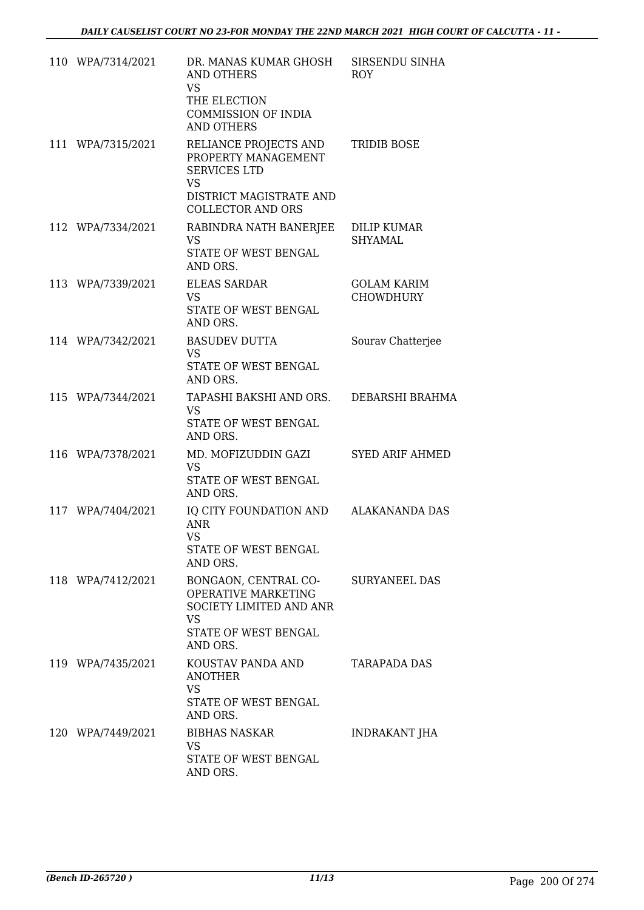| 110 WPA/7314/2021 | DR. MANAS KUMAR GHOSH<br><b>AND OTHERS</b><br><b>VS</b><br>THE ELECTION<br><b>COMMISSION OF INDIA</b><br><b>AND OTHERS</b>              | SIRSENDU SINHA<br><b>ROY</b>           |
|-------------------|-----------------------------------------------------------------------------------------------------------------------------------------|----------------------------------------|
| 111 WPA/7315/2021 | RELIANCE PROJECTS AND<br>PROPERTY MANAGEMENT<br><b>SERVICES LTD</b><br><b>VS</b><br>DISTRICT MAGISTRATE AND<br><b>COLLECTOR AND ORS</b> | <b>TRIDIB BOSE</b>                     |
| 112 WPA/7334/2021 | RABINDRA NATH BANERJEE<br><b>VS</b><br>STATE OF WEST BENGAL<br>AND ORS.                                                                 | <b>DILIP KUMAR</b><br><b>SHYAMAL</b>   |
| 113 WPA/7339/2021 | <b>ELEAS SARDAR</b><br><b>VS</b><br>STATE OF WEST BENGAL<br>AND ORS.                                                                    | <b>GOLAM KARIM</b><br><b>CHOWDHURY</b> |
| 114 WPA/7342/2021 | <b>BASUDEV DUTTA</b><br><b>VS</b><br><b>STATE OF WEST BENGAL</b><br>AND ORS.                                                            | Sourav Chatterjee                      |
| 115 WPA/7344/2021 | TAPASHI BAKSHI AND ORS. DEBARSHI BRAHMA<br><b>VS</b><br>STATE OF WEST BENGAL<br>AND ORS.                                                |                                        |
| 116 WPA/7378/2021 | MD. MOFIZUDDIN GAZI<br><b>VS</b><br>STATE OF WEST BENGAL<br>AND ORS.                                                                    | <b>SYED ARIF AHMED</b>                 |
| 117 WPA/7404/2021 | IQ CITY FOUNDATION AND ALAKANANDA DAS<br><b>ANR</b><br><b>VS</b><br>STATE OF WEST BENGAL<br>AND ORS.                                    |                                        |
| 118 WPA/7412/2021 | BONGAON, CENTRAL CO-<br>OPERATIVE MARKETING<br>SOCIETY LIMITED AND ANR<br><b>VS</b><br>STATE OF WEST BENGAL<br>AND ORS.                 | SURYANEEL DAS                          |
| 119 WPA/7435/2021 | KOUSTAV PANDA AND<br><b>ANOTHER</b><br><b>VS</b><br>STATE OF WEST BENGAL<br>AND ORS.                                                    | <b>TARAPADA DAS</b>                    |
| 120 WPA/7449/2021 | <b>BIBHAS NASKAR</b><br><b>VS</b><br>STATE OF WEST BENGAL<br>AND ORS.                                                                   | <b>INDRAKANT JHA</b>                   |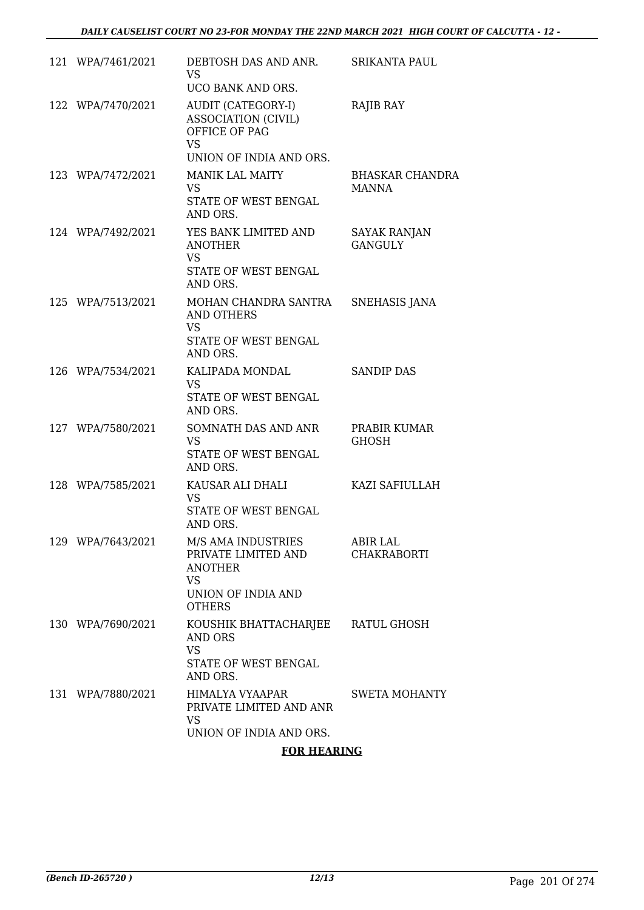| 121 WPA/7461/2021 | DEBTOSH DAS AND ANR.<br>VS.<br>UCO BANK AND ORS.                                                                | <b>SRIKANTA PAUL</b>                  |
|-------------------|-----------------------------------------------------------------------------------------------------------------|---------------------------------------|
| 122 WPA/7470/2021 | AUDIT (CATEGORY-I)<br><b>ASSOCIATION (CIVIL)</b><br>OFFICE OF PAG<br><b>VS</b><br>UNION OF INDIA AND ORS.       | RAJIB RAY                             |
| 123 WPA/7472/2021 | <b>MANIK LAL MAITY</b><br>VS.<br>STATE OF WEST BENGAL<br>AND ORS.                                               | BHASKAR CHANDRA<br><b>MANNA</b>       |
| 124 WPA/7492/2021 | YES BANK LIMITED AND<br><b>ANOTHER</b><br><b>VS</b><br>STATE OF WEST BENGAL<br>AND ORS.                         | <b>SAYAK RANJAN</b><br><b>GANGULY</b> |
| 125 WPA/7513/2021 | MOHAN CHANDRA SANTRA<br><b>AND OTHERS</b><br><b>VS</b><br>STATE OF WEST BENGAL<br>AND ORS.                      | SNEHASIS JANA                         |
| 126 WPA/7534/2021 | KALIPADA MONDAL<br><b>VS</b><br>STATE OF WEST BENGAL<br>AND ORS.                                                | <b>SANDIP DAS</b>                     |
| 127 WPA/7580/2021 | SOMNATH DAS AND ANR<br><b>VS</b><br>STATE OF WEST BENGAL<br>AND ORS.                                            | PRABIR KUMAR<br><b>GHOSH</b>          |
| 128 WPA/7585/2021 | KAUSAR ALI DHALI<br><b>VS</b><br>STATE OF WEST BENGAL<br>AND ORS.                                               | KAZI SAFIULLAH                        |
| 129 WPA/7643/2021 | M/S AMA INDUSTRIES<br>PRIVATE LIMITED AND<br><b>ANOTHER</b><br><b>VS</b><br>UNION OF INDIA AND<br><b>OTHERS</b> | <b>ABIR LAL</b><br><b>CHAKRABORTI</b> |
| 130 WPA/7690/2021 | KOUSHIK BHATTACHARJEE<br>AND ORS<br><b>VS</b><br>STATE OF WEST BENGAL<br>AND ORS.                               | RATUL GHOSH                           |
| 131 WPA/7880/2021 | HIMALYA VYAAPAR<br>PRIVATE LIMITED AND ANR<br><b>VS</b><br>UNION OF INDIA AND ORS.                              | SWETA MOHANTY                         |

### **FOR HEARING**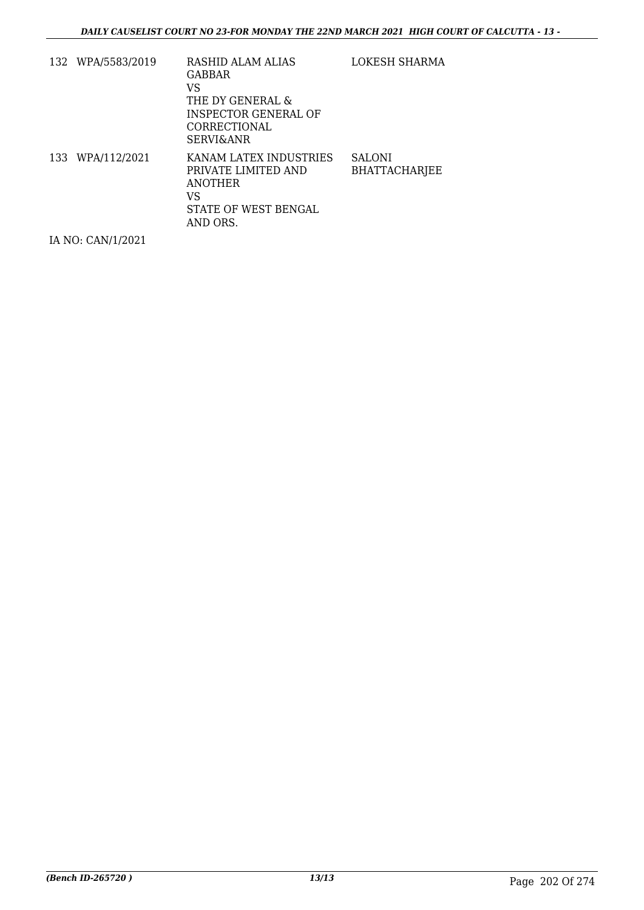| 132 WPA/5583/2019 | <b>RASHID ALAM ALIAS</b><br>GABBAR<br>VS<br>THE DY GENERAL &<br><b>INSPECTOR GENERAL OF</b><br>CORRECTIONAL<br><b>SERVI&amp;ANR</b> | LOKESH SHARMA                         |
|-------------------|-------------------------------------------------------------------------------------------------------------------------------------|---------------------------------------|
| 133 WPA/112/2021  | KANAM LATEX INDUSTRIES<br>PRIVATE LIMITED AND<br>ANOTHER<br>VS<br>STATE OF WEST BENGAL<br>AND ORS.                                  | <b>SALONI</b><br><b>BHATTACHARJEE</b> |

IA NO: CAN/1/2021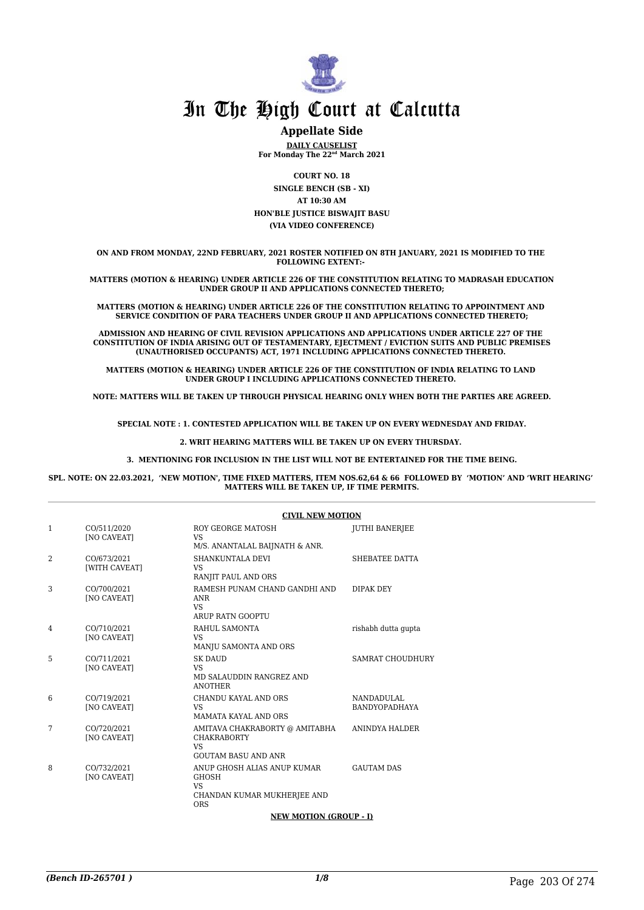

# **Appellate Side**

**DAILY CAUSELIST For Monday The 22nd March 2021**

**COURT NO. 18 SINGLE BENCH (SB - XI) AT 10:30 AM HON'BLE JUSTICE BISWAJIT BASU (VIA VIDEO CONFERENCE)**

**ON AND FROM MONDAY, 22ND FEBRUARY, 2021 ROSTER NOTIFIED ON 8TH JANUARY, 2021 IS MODIFIED TO THE FOLLOWING EXTENT:-** 

**MATTERS (MOTION & HEARING) UNDER ARTICLE 226 OF THE CONSTITUTION RELATING TO MADRASAH EDUCATION UNDER GROUP II AND APPLICATIONS CONNECTED THERETO;**

**MATTERS (MOTION & HEARING) UNDER ARTICLE 226 OF THE CONSTITUTION RELATING TO APPOINTMENT AND SERVICE CONDITION OF PARA TEACHERS UNDER GROUP II AND APPLICATIONS CONNECTED THERETO;**

**ADMISSION AND HEARING OF CIVIL REVISION APPLICATIONS AND APPLICATIONS UNDER ARTICLE 227 OF THE CONSTITUTION OF INDIA ARISING OUT OF TESTAMENTARY, EJECTMENT / EVICTION SUITS AND PUBLIC PREMISES (UNAUTHORISED OCCUPANTS) ACT, 1971 INCLUDING APPLICATIONS CONNECTED THERETO.** 

**MATTERS (MOTION & HEARING) UNDER ARTICLE 226 OF THE CONSTITUTION OF INDIA RELATING TO LAND UNDER GROUP I INCLUDING APPLICATIONS CONNECTED THERETO.** 

**NOTE: MATTERS WILL BE TAKEN UP THROUGH PHYSICAL HEARING ONLY WHEN BOTH THE PARTIES ARE AGREED.**

**SPECIAL NOTE : 1. CONTESTED APPLICATION WILL BE TAKEN UP ON EVERY WEDNESDAY AND FRIDAY.**

**2. WRIT HEARING MATTERS WILL BE TAKEN UP ON EVERY THURSDAY.** 

**3. MENTIONING FOR INCLUSION IN THE LIST WILL NOT BE ENTERTAINED FOR THE TIME BEING.**

**SPL. NOTE: ON 22.03.2021, 'NEW MOTION', TIME FIXED MATTERS, ITEM NOS.62,64 & 66 FOLLOWED BY 'MOTION' AND 'WRIT HEARING' MATTERS WILL BE TAKEN UP, IF TIME PERMITS.**

|   |                                   | <b>CIVIL NEW MOTION</b>                                                                         |                             |
|---|-----------------------------------|-------------------------------------------------------------------------------------------------|-----------------------------|
| 1 | CO/511/2020<br><b>INO CAVEATI</b> | ROY GEORGE MATOSH<br><b>VS</b><br>M/S. ANANTALAL BAIJNATH & ANR.                                | <b>JUTHI BANERJEE</b>       |
| 2 | CO/673/2021<br>[WITH CAVEAT]      | SHANKUNTALA DEVI<br>VS.<br>RANJIT PAUL AND ORS                                                  | SHEBATEE DATTA              |
| 3 | CO/700/2021<br><b>[NO CAVEAT]</b> | RAMESH PUNAM CHAND GANDHI AND<br>ANR<br>VS.<br>ARUP RATN GOOPTU                                 | DIPAK DEY                   |
| 4 | CO/710/2021<br><b>[NO CAVEAT]</b> | RAHUL SAMONTA<br><b>VS</b><br>MANJU SAMONTA AND ORS                                             | rishabh dutta qupta         |
| 5 | CO/711/2021<br><b>[NO CAVEAT]</b> | <b>SK DAUD</b><br><b>VS</b><br>MD SALAUDDIN RANGREZ AND<br><b>ANOTHER</b>                       | <b>SAMRAT CHOUDHURY</b>     |
| 6 | CO/719/2021<br>[NO CAVEAT]        | CHANDU KAYAL AND ORS<br><b>VS</b><br><b>MAMATA KAYAL AND ORS</b>                                | NANDADULAL<br>BANDYOPADHAYA |
| 7 | CO/720/2021<br>[NO CAVEAT]        | AMITAVA CHAKRABORTY @ AMITABHA<br><b>CHAKRABORTY</b><br><b>VS</b><br><b>GOUTAM BASU AND ANR</b> | ANINDYA HALDER              |
| 8 | CO/732/2021<br><b>INO CAVEATI</b> | ANUP GHOSH ALIAS ANUP KUMAR<br><b>GHOSH</b><br>VS.<br>CHANDAN KUMAR MUKHERJEE AND<br>ORS        | <b>GAUTAM DAS</b>           |

#### **NEW MOTION (GROUP - I)**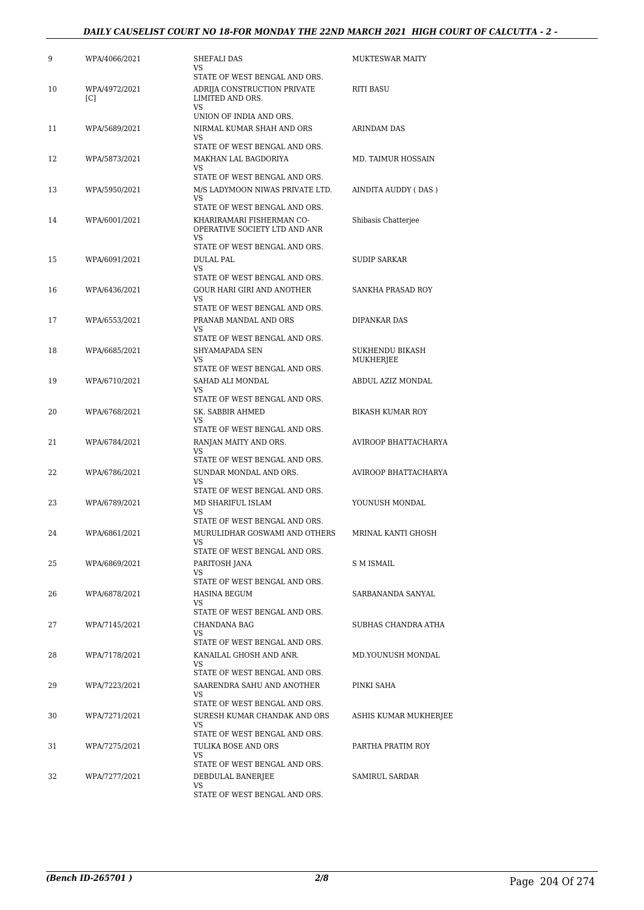### *DAILY CAUSELIST COURT NO 18-FOR MONDAY THE 22ND MARCH 2021 HIGH COURT OF CALCUTTA - 2 -*

| 9  | WPA/4066/2021        | SHEFALI DAS<br>VS                                                | <b>MUKTESWAR MAITY</b>    |
|----|----------------------|------------------------------------------------------------------|---------------------------|
|    |                      | STATE OF WEST BENGAL AND ORS.                                    |                           |
| 10 | WPA/4972/2021<br>[C] | ADRIJA CONSTRUCTION PRIVATE<br>LIMITED AND ORS.                  | <b>RITI BASU</b>          |
|    |                      | VS<br>UNION OF INDIA AND ORS.                                    |                           |
| 11 | WPA/5689/2021        | NIRMAL KUMAR SHAH AND ORS<br>VS                                  | ARINDAM DAS               |
|    |                      | STATE OF WEST BENGAL AND ORS.                                    |                           |
| 12 | WPA/5873/2021        | MAKHAN LAL BAGDORIYA<br>VS<br>STATE OF WEST BENGAL AND ORS.      | <b>MD. TAIMUR HOSSAIN</b> |
| 13 | WPA/5950/2021        | M/S LADYMOON NIWAS PRIVATE LTD.                                  | AINDITA AUDDY (DAS)       |
|    |                      | VS<br>STATE OF WEST BENGAL AND ORS.                              |                           |
| 14 | WPA/6001/2021        | KHARIRAMARI FISHERMAN CO-<br>OPERATIVE SOCIETY LTD AND ANR<br>VS | Shibasis Chatterjee       |
|    |                      | STATE OF WEST BENGAL AND ORS.                                    |                           |
| 15 | WPA/6091/2021        | <b>DULAL PAL</b>                                                 | <b>SUDIP SARKAR</b>       |
|    |                      | VS<br>STATE OF WEST BENGAL AND ORS.                              |                           |
| 16 | WPA/6436/2021        | <b>GOUR HARI GIRI AND ANOTHER</b>                                | <b>SANKHA PRASAD ROY</b>  |
|    |                      | VS                                                               |                           |
|    |                      | STATE OF WEST BENGAL AND ORS.                                    |                           |
| 17 | WPA/6553/2021        | PRANAB MANDAL AND ORS<br>VS                                      | DIPANKAR DAS              |
|    |                      | STATE OF WEST BENGAL AND ORS.                                    |                           |
| 18 | WPA/6685/2021        | SHYAMAPADA SEN                                                   | <b>SUKHENDU BIKASH</b>    |
|    |                      | VS<br>STATE OF WEST BENGAL AND ORS.                              | MUKHERJEE                 |
| 19 | WPA/6710/2021        | SAHAD ALI MONDAL                                                 | ABDUL AZIZ MONDAL         |
|    |                      | VS                                                               |                           |
| 20 | WPA/6768/2021        | STATE OF WEST BENGAL AND ORS.<br>SK. SABBIR AHMED                | <b>BIKASH KUMAR ROY</b>   |
|    |                      | VS                                                               |                           |
|    |                      | STATE OF WEST BENGAL AND ORS.                                    |                           |
| 21 | WPA/6784/2021        | RANJAN MAITY AND ORS.<br>VS                                      | AVIROOP BHATTACHARYA      |
|    |                      | STATE OF WEST BENGAL AND ORS.                                    |                           |
| 22 | WPA/6786/2021        | SUNDAR MONDAL AND ORS.                                           | AVIROOP BHATTACHARYA      |
|    |                      | VS<br>STATE OF WEST BENGAL AND ORS.                              |                           |
| 23 | WPA/6789/2021        | MD SHARIFUL ISLAM                                                | YOUNUSH MONDAL            |
|    |                      | VS                                                               |                           |
| 24 | WPA/6861/2021        | STATE OF WEST BENGAL AND ORS.<br>MURULIDHAR GOSWAMI AND OTHERS   | MRINAL KANTI GHOSH        |
|    |                      | <b>VS</b>                                                        |                           |
|    |                      | STATE OF WEST BENGAL AND ORS.                                    |                           |
| 25 | WPA/6869/2021        | PARITOSH JANA<br>VS                                              | S M ISMAIL                |
|    |                      | STATE OF WEST BENGAL AND ORS.                                    |                           |
| 26 | WPA/6878/2021        | HASINA BEGUM                                                     | SARBANANDA SANYAL         |
|    |                      | VS<br>STATE OF WEST BENGAL AND ORS.                              |                           |
| 27 | WPA/7145/2021        | CHANDANA BAG                                                     | SUBHAS CHANDRA ATHA       |
|    |                      | VS                                                               |                           |
|    |                      | STATE OF WEST BENGAL AND ORS.                                    |                           |
| 28 | WPA/7178/2021        | KANAILAL GHOSH AND ANR.<br>VS.                                   | MD.YOUNUSH MONDAL         |
|    |                      | STATE OF WEST BENGAL AND ORS.                                    |                           |
| 29 | WPA/7223/2021        | SAARENDRA SAHU AND ANOTHER<br>VS                                 | PINKI SAHA                |
|    |                      | STATE OF WEST BENGAL AND ORS.                                    |                           |
| 30 | WPA/7271/2021        | SURESH KUMAR CHANDAK AND ORS                                     | ASHIS KUMAR MUKHERJEE     |
|    |                      | VS<br>STATE OF WEST BENGAL AND ORS.                              |                           |
| 31 | WPA/7275/2021        | TULIKA BOSE AND ORS                                              | PARTHA PRATIM ROY         |
|    |                      | VS.                                                              |                           |
|    |                      | STATE OF WEST BENGAL AND ORS.                                    |                           |
| 32 | WPA/7277/2021        | DEBDULAL BANERJEE<br>VS                                          | SAMIRUL SARDAR            |
|    |                      | STATE OF WEST BENGAL AND ORS.                                    |                           |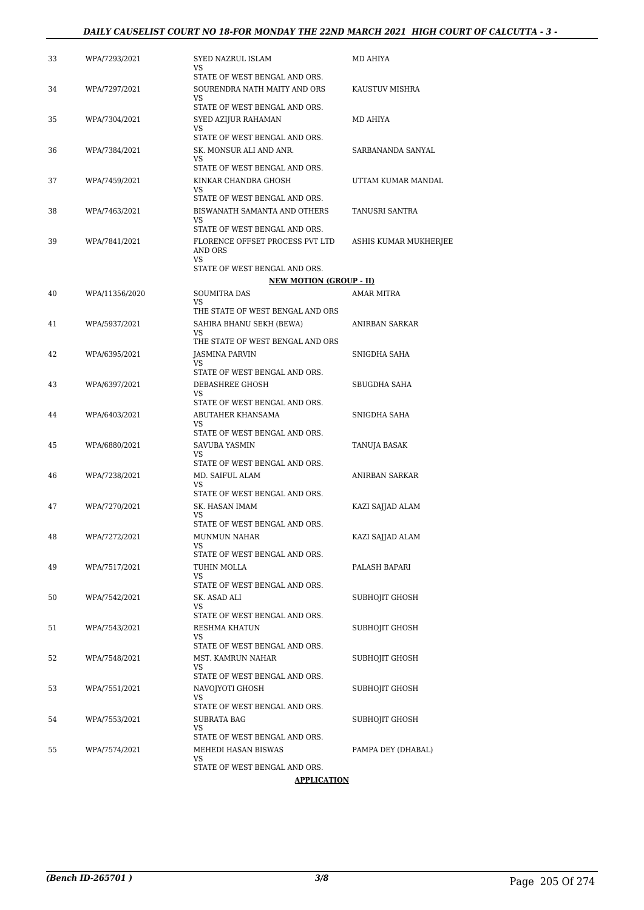#### *DAILY CAUSELIST COURT NO 18-FOR MONDAY THE 22ND MARCH 2021 HIGH COURT OF CALCUTTA - 3 -*

| 33 | WPA/7293/2021  | SYED NAZRUL ISLAM<br>VS.                                            | MD AHIYA              |
|----|----------------|---------------------------------------------------------------------|-----------------------|
| 34 | WPA/7297/2021  | STATE OF WEST BENGAL AND ORS.<br>SOURENDRA NATH MAITY AND ORS<br>VS | KAUSTUV MISHRA        |
| 35 | WPA/7304/2021  | STATE OF WEST BENGAL AND ORS.<br>SYED AZIJUR RAHAMAN                | MD AHIYA              |
|    |                | VS<br>STATE OF WEST BENGAL AND ORS.                                 |                       |
| 36 | WPA/7384/2021  | SK. MONSUR ALI AND ANR.<br>VS                                       | SARBANANDA SANYAL     |
|    |                | STATE OF WEST BENGAL AND ORS.                                       |                       |
| 37 | WPA/7459/2021  | KINKAR CHANDRA GHOSH<br>VS.<br>STATE OF WEST BENGAL AND ORS.        | UTTAM KUMAR MANDAL    |
| 38 | WPA/7463/2021  | BISWANATH SAMANTA AND OTHERS<br>VS                                  | TANUSRI SANTRA        |
|    |                | STATE OF WEST BENGAL AND ORS.                                       |                       |
| 39 | WPA/7841/2021  | FLORENCE OFFSET PROCESS PVT LTD<br>AND ORS<br><b>VS</b>             | ASHIS KUMAR MUKHERJEE |
|    |                | STATE OF WEST BENGAL AND ORS.                                       |                       |
|    |                | <b>NEW MOTION (GROUP - II)</b>                                      |                       |
| 40 | WPA/11356/2020 | <b>SOUMITRA DAS</b><br>VS.                                          | <b>AMAR MITRA</b>     |
|    |                | THE STATE OF WEST BENGAL AND ORS                                    |                       |
| 41 | WPA/5937/2021  | SAHIRA BHANU SEKH (BEWA)<br>VS.                                     | <b>ANIRBAN SARKAR</b> |
| 42 | WPA/6395/2021  | THE STATE OF WEST BENGAL AND ORS<br><b>JASMINA PARVIN</b>           | SNIGDHA SAHA          |
|    |                | VS                                                                  |                       |
| 43 | WPA/6397/2021  | STATE OF WEST BENGAL AND ORS.<br>DEBASHREE GHOSH                    | SBUGDHA SAHA          |
|    |                | VS<br>STATE OF WEST BENGAL AND ORS.                                 |                       |
| 44 | WPA/6403/2021  | ABUTAHER KHANSAMA<br>VS                                             | SNIGDHA SAHA          |
|    |                | STATE OF WEST BENGAL AND ORS.                                       |                       |
| 45 | WPA/6880/2021  | SAVUBA YASMIN<br>VS.<br>STATE OF WEST BENGAL AND ORS.               | TANUJA BASAK          |
| 46 | WPA/7238/2021  | MD. SAIFUL ALAM                                                     | ANIRBAN SARKAR        |
|    |                | VS<br>STATE OF WEST BENGAL AND ORS.                                 |                       |
| 47 | WPA/7270/2021  | SK. HASAN IMAM                                                      | KAZI SAJJAD ALAM      |
|    |                | VS<br>STATE OF WEST BENGAL AND ORS.                                 |                       |
| 48 | WPA/7272/2021  | MUNMUN NAHAR                                                        | KAZI SAJJAD ALAM      |
|    |                | VS<br>STATE OF WEST BENGAL AND ORS.                                 |                       |
| 49 | WPA/7517/2021  | TUHIN MOLLA                                                         | PALASH BAPARI         |
|    |                | VS                                                                  |                       |
|    |                | STATE OF WEST BENGAL AND ORS.                                       |                       |
| 50 | WPA/7542/2021  | SK. ASAD ALI<br>VS.<br>STATE OF WEST BENGAL AND ORS.                | SUBHOJIT GHOSH        |
| 51 | WPA/7543/2021  | RESHMA KHATUN                                                       | SUBHOJIT GHOSH        |
|    |                | VS.<br>STATE OF WEST BENGAL AND ORS.                                |                       |
| 52 | WPA/7548/2021  | MST. KAMRUN NAHAR                                                   | SUBHOJIT GHOSH        |
|    |                | VS                                                                  |                       |
|    |                | STATE OF WEST BENGAL AND ORS.                                       |                       |
| 53 | WPA/7551/2021  | NAVOJYOTI GHOSH<br>VS                                               | SUBHOJIT GHOSH        |
|    |                | STATE OF WEST BENGAL AND ORS.                                       |                       |
| 54 | WPA/7553/2021  | SUBRATA BAG<br>VS                                                   | SUBHOJIT GHOSH        |
|    |                | STATE OF WEST BENGAL AND ORS.                                       |                       |
| 55 | WPA/7574/2021  | MEHEDI HASAN BISWAS                                                 | PAMPA DEY (DHABAL)    |
|    |                | <b>VS</b><br>STATE OF WEST BENGAL AND ORS.                          |                       |
|    |                | <u>APPLICATION</u>                                                  |                       |
|    |                |                                                                     |                       |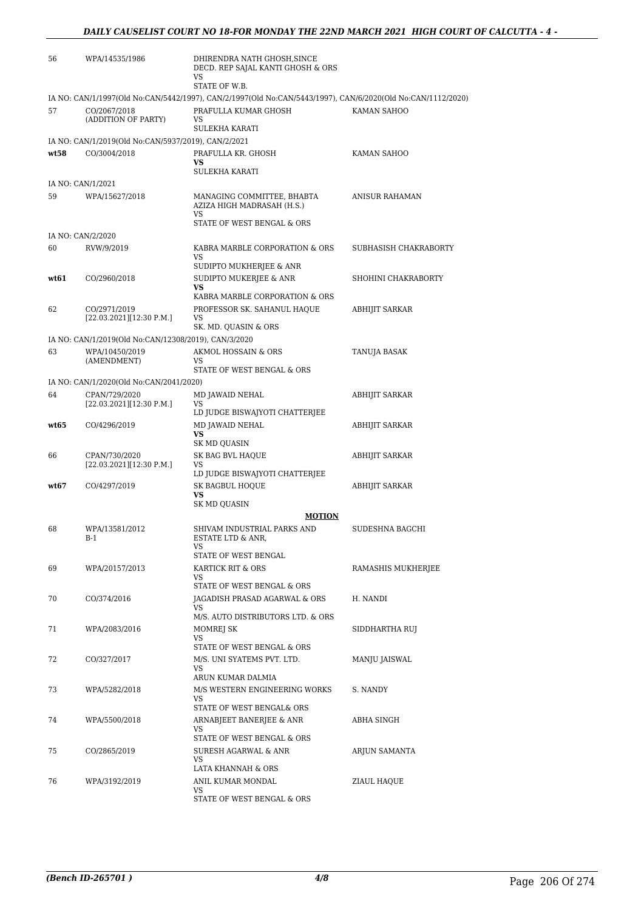| 56   | WPA/14535/1986                                       | DHIRENDRA NATH GHOSH, SINCE<br>DECD. REP SAJAL KANTI GHOSH & ORS<br>VS<br>STATE OF W.B.                                                   |                       |
|------|------------------------------------------------------|-------------------------------------------------------------------------------------------------------------------------------------------|-----------------------|
| 57   | CO/2067/2018<br>(ADDITION OF PARTY)                  | IA NO: CAN/1/1997(Old No:CAN/5442/1997), CAN/2/1997(Old No:CAN/5443/1997), CAN/6/2020(Old No:CAN/1112/2020)<br>PRAFULLA KUMAR GHOSH<br>VS | KAMAN SAHOO           |
|      | IA NO: CAN/1/2019(Old No:CAN/5937/2019), CAN/2/2021  | <b>SULEKHA KARATI</b>                                                                                                                     |                       |
| wt58 | CO/3004/2018                                         | PRAFULLA KR. GHOSH<br>VS<br><b>SULEKHA KARATI</b>                                                                                         | KAMAN SAHOO           |
|      | IA NO: CAN/1/2021                                    |                                                                                                                                           |                       |
| 59   | WPA/15627/2018                                       | MANAGING COMMITTEE, BHABTA<br>AZIZA HIGH MADRASAH (H.S.)<br>VS                                                                            | ANISUR RAHAMAN        |
|      |                                                      | STATE OF WEST BENGAL & ORS                                                                                                                |                       |
| 60   | IA NO: CAN/2/2020<br>RVW/9/2019                      | KABRA MARBLE CORPORATION & ORS<br>VS                                                                                                      | SUBHASISH CHAKRABORTY |
|      |                                                      | SUDIPTO MUKHERJEE & ANR                                                                                                                   |                       |
| wt61 | CO/2960/2018                                         | SUDIPTO MUKERJEE & ANR<br><b>VS</b>                                                                                                       | SHOHINI CHAKRABORTY   |
| 62   | CO/2971/2019<br>[22.03.2021][12:30 P.M.]             | KABRA MARBLE CORPORATION & ORS<br>PROFESSOR SK. SAHANUL HAQUE<br>VS                                                                       | ABHIJIT SARKAR        |
|      |                                                      | SK. MD. QUASIN & ORS                                                                                                                      |                       |
|      | IA NO: CAN/1/2019(Old No:CAN/12308/2019), CAN/3/2020 |                                                                                                                                           |                       |
| 63   | WPA/10450/2019<br>(AMENDMENT)                        | AKMOL HOSSAIN & ORS<br>VS<br>STATE OF WEST BENGAL & ORS                                                                                   | TANUJA BASAK          |
|      | IA NO: CAN/1/2020(Old No:CAN/2041/2020)              |                                                                                                                                           |                       |
| 64   | CPAN/729/2020<br>[22.03.2021][12:30 P.M.]            | MD JAWAID NEHAL<br>VS                                                                                                                     | ABHIJIT SARKAR        |
| wt65 | CO/4296/2019                                         | LD JUDGE BISWAJYOTI CHATTERJEE<br>MD JAWAID NEHAL<br>VS                                                                                   | ABHIJIT SARKAR        |
| 66   | CPAN/730/2020<br>[22.03.2021][12.30 P.M.]            | SK MD QUASIN<br>SK BAG BVL HAQUE<br>VS                                                                                                    | ABHIJIT SARKAR        |
| wt67 | CO/4297/2019                                         | LD JUDGE BISWAJYOTI CHATTERJEE<br>SK BAGBUL HOQUE<br>VS                                                                                   | ABHIJIT SARKAR        |
|      |                                                      | SK MD QUASIN<br><b>MOTION</b>                                                                                                             |                       |
| 68   | WPA/13581/2012<br>B-1                                | SHIVAM INDUSTRIAL PARKS AND<br>ESTATE LTD & ANR,<br>VS                                                                                    | SUDESHNA BAGCHI       |
| 69   | WPA/20157/2013                                       | STATE OF WEST BENGAL<br>KARTICK RIT & ORS                                                                                                 | RAMASHIS MUKHERJEE    |
|      |                                                      | VS<br>STATE OF WEST BENGAL & ORS                                                                                                          |                       |
| 70   | CO/374/2016                                          | JAGADISH PRASAD AGARWAL & ORS<br>VS                                                                                                       | H. NANDI              |
| 71   | WPA/2083/2016                                        | M/S. AUTO DISTRIBUTORS LTD. & ORS<br>MOMREJ SK<br>VS                                                                                      | SIDDHARTHA RUJ        |
| 72   | CO/327/2017                                          | STATE OF WEST BENGAL & ORS<br>M/S. UNI SYATEMS PVT. LTD.                                                                                  | MANJU JAISWAL         |
|      |                                                      | <b>VS</b><br>ARUN KUMAR DALMIA                                                                                                            |                       |
| 73   | WPA/5282/2018                                        | M/S WESTERN ENGINEERING WORKS<br>VS<br>STATE OF WEST BENGAL& ORS                                                                          | S. NANDY              |
| 74   | WPA/5500/2018                                        | ARNABJEET BANERJEE & ANR<br>VS                                                                                                            | ABHA SINGH            |
| 75   | CO/2865/2019                                         | STATE OF WEST BENGAL & ORS<br>SURESH AGARWAL & ANR<br>VS.                                                                                 | ARJUN SAMANTA         |
|      |                                                      | LATA KHANNAH & ORS                                                                                                                        |                       |
| 76   | WPA/3192/2019                                        | ANIL KUMAR MONDAL<br>VS<br>STATE OF WEST BENGAL & ORS                                                                                     | ZIAUL HAQUE           |
|      |                                                      |                                                                                                                                           |                       |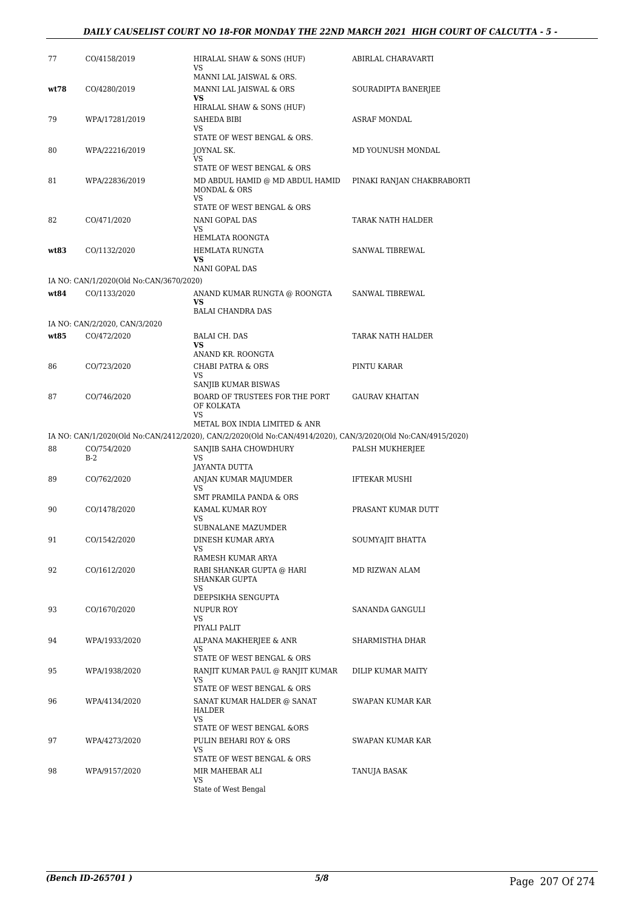### *DAILY CAUSELIST COURT NO 18-FOR MONDAY THE 22ND MARCH 2021 HIGH COURT OF CALCUTTA - 5 -*

| 77   | CO/4158/2019                                            | HIRALAL SHAW & SONS (HUF)<br>VS                                                                             | ABIRLAL CHARAVARTI         |
|------|---------------------------------------------------------|-------------------------------------------------------------------------------------------------------------|----------------------------|
| wt78 | CO/4280/2019                                            | MANNI LAL JAISWAL & ORS.<br>MANNI LAL JAISWAL & ORS<br>VS                                                   | SOURADIPTA BANERJEE        |
|      |                                                         | HIRALAL SHAW & SONS (HUF)                                                                                   |                            |
| 79   | WPA/17281/2019                                          | SAHEDA BIBI                                                                                                 | <b>ASRAF MONDAL</b>        |
|      |                                                         | VS<br>STATE OF WEST BENGAL & ORS.                                                                           |                            |
| 80   | WPA/22216/2019                                          | JOYNAL SK.                                                                                                  | MD YOUNUSH MONDAL          |
|      |                                                         | VS<br>STATE OF WEST BENGAL & ORS                                                                            |                            |
| 81   | WPA/22836/2019                                          | MD ABDUL HAMID @ MD ABDUL HAMID<br>MONDAL & ORS<br><b>VS</b>                                                | PINAKI RANJAN CHAKBRABORTI |
|      |                                                         | STATE OF WEST BENGAL & ORS                                                                                  |                            |
| 82   | CO/471/2020                                             | NANI GOPAL DAS                                                                                              | TARAK NATH HALDER          |
|      |                                                         | VS<br>HEMLATA ROONGTA                                                                                       |                            |
| wt83 | CO/1132/2020                                            | HEMLATA RUNGTA                                                                                              | SANWAL TIBREWAL            |
|      |                                                         | VS                                                                                                          |                            |
|      |                                                         | NANI GOPAL DAS                                                                                              |                            |
| wt84 | IA NO: CAN/1/2020(Old No:CAN/3670/2020)<br>CO/1133/2020 |                                                                                                             | SANWAL TIBREWAL            |
|      |                                                         | ANAND KUMAR RUNGTA @ ROONGTA<br>VS                                                                          |                            |
|      |                                                         | <b>BALAI CHANDRA DAS</b>                                                                                    |                            |
|      | IA NO: CAN/2/2020, CAN/3/2020                           |                                                                                                             |                            |
| wt85 | CO/472/2020                                             | <b>BALAI CH. DAS</b><br><b>VS</b>                                                                           | TARAK NATH HALDER          |
|      |                                                         | ANAND KR. ROONGTA                                                                                           |                            |
| 86   | CO/723/2020                                             | <b>CHABI PATRA &amp; ORS</b>                                                                                | PINTU KARAR                |
|      |                                                         | <b>VS</b><br>SANJIB KUMAR BISWAS                                                                            |                            |
| 87   | CO/746/2020                                             | BOARD OF TRUSTEES FOR THE PORT                                                                              | <b>GAURAV KHAITAN</b>      |
|      |                                                         | OF KOLKATA<br>VS                                                                                            |                            |
|      |                                                         | METAL BOX INDIA LIMITED & ANR                                                                               |                            |
|      |                                                         | IA NO: CAN/1/2020(Old No:CAN/2412/2020), CAN/2/2020(Old No:CAN/4914/2020), CAN/3/2020(Old No:CAN/4915/2020) |                            |
| 88   | CO/754/2020<br>$B-2$                                    | SANJIB SAHA CHOWDHURY<br>VS<br><b>JAYANTA DUTTA</b>                                                         | PALSH MUKHERJEE            |
|      |                                                         |                                                                                                             |                            |
| 89   | CO/762/2020                                             | ANJAN KUMAR MAJUMDER                                                                                        | <b>IFTEKAR MUSHI</b>       |
|      |                                                         | VS                                                                                                          |                            |
|      |                                                         | SMT PRAMILA PANDA & ORS                                                                                     |                            |
| 90   | CO/1478/2020                                            | KAMAL KUMAR ROY<br>VS                                                                                       | PRASANT KUMAR DUTT         |
|      |                                                         | SUBNALANE MAZUMDER                                                                                          |                            |
| 91   | CO/1542/2020                                            | DINESH KUMAR ARYA<br>VS                                                                                     | SOUMYAJIT BHATTA           |
|      |                                                         | RAMESH KUMAR ARYA                                                                                           |                            |
| 92   | CO/1612/2020                                            | RABI SHANKAR GUPTA @ HARI<br>SHANKAR GUPTA<br>VS                                                            | MD RIZWAN ALAM             |
|      |                                                         | DEEPSIKHA SENGUPTA                                                                                          |                            |
| 93   | CO/1670/2020                                            | NUPUR ROY                                                                                                   | SANANDA GANGULI            |
|      |                                                         | VS<br>PIYALI PALIT                                                                                          |                            |
| 94   | WPA/1933/2020                                           | ALPANA MAKHERJEE & ANR                                                                                      | SHARMISTHA DHAR            |
|      |                                                         | VS                                                                                                          |                            |
|      |                                                         | STATE OF WEST BENGAL & ORS                                                                                  |                            |
| 95   | WPA/1938/2020                                           | RANJIT KUMAR PAUL @ RANJIT KUMAR<br>VS                                                                      | DILIP KUMAR MAITY          |
|      |                                                         | STATE OF WEST BENGAL & ORS                                                                                  |                            |
| 96   | WPA/4134/2020                                           | SANAT KUMAR HALDER @ SANAT<br>HALDER                                                                        | SWAPAN KUMAR KAR           |
|      |                                                         | VS<br>STATE OF WEST BENGAL &ORS                                                                             |                            |
| 97   | WPA/4273/2020                                           | PULIN BEHARI ROY & ORS                                                                                      | SWAPAN KUMAR KAR           |
|      |                                                         | VS<br>STATE OF WEST BENGAL & ORS                                                                            |                            |
| 98   | WPA/9157/2020                                           | MIR MAHEBAR ALI                                                                                             | TANUJA BASAK               |
|      |                                                         | VS<br>State of West Bengal                                                                                  |                            |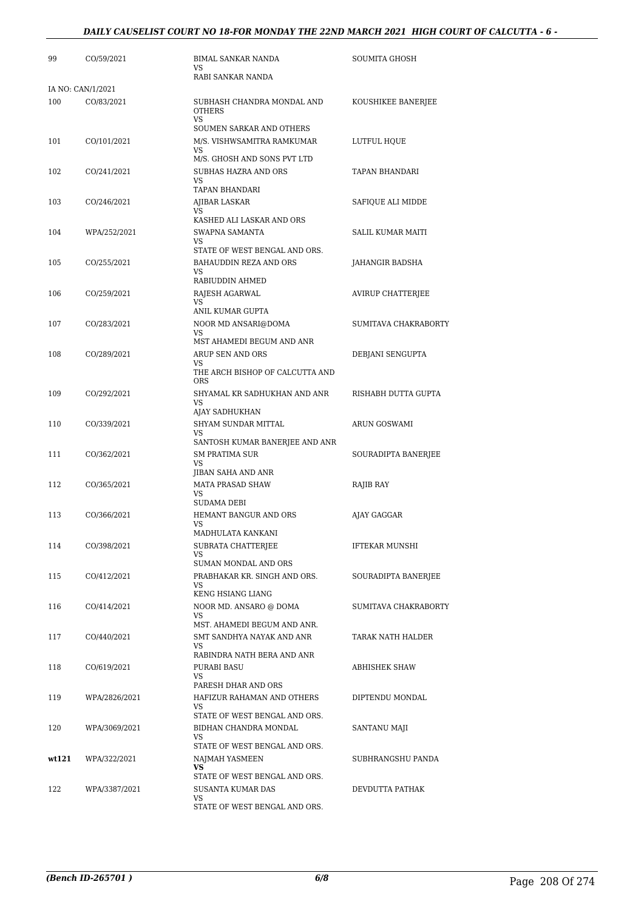### *DAILY CAUSELIST COURT NO 18-FOR MONDAY THE 22ND MARCH 2021 HIGH COURT OF CALCUTTA - 6 -*

| 99    | CO/59/2021        | <b>BIMAL SANKAR NANDA</b><br><b>VS</b>                   | SOUMITA GHOSH            |
|-------|-------------------|----------------------------------------------------------|--------------------------|
|       |                   | RABI SANKAR NANDA                                        |                          |
|       | IA NO: CAN/1/2021 |                                                          |                          |
| 100   | CO/83/2021        | SUBHASH CHANDRA MONDAL AND<br><b>OTHERS</b><br><b>VS</b> | KOUSHIKEE BANERJEE       |
|       |                   | SOUMEN SARKAR AND OTHERS                                 |                          |
| 101   | CO/101/2021       | M/S. VISHWSAMITRA RAMKUMAR<br>VS.                        | LUTFUL HQUE              |
| 102   | CO/241/2021       | M/S. GHOSH AND SONS PVT LTD<br>SUBHAS HAZRA AND ORS      | TAPAN BHANDARI           |
|       |                   | VS                                                       |                          |
|       |                   | TAPAN BHANDARI                                           |                          |
| 103   | CO/246/2021       | AJIBAR LASKAR<br>VS.                                     | SAFIQUE ALI MIDDE        |
|       |                   | KASHED ALI LASKAR AND ORS                                |                          |
| 104   | WPA/252/2021      | SWAPNA SAMANTA<br>VS.                                    | <b>SALIL KUMAR MAITI</b> |
|       |                   | STATE OF WEST BENGAL AND ORS.                            |                          |
| 105   | CO/255/2021       | BAHAUDDIN REZA AND ORS                                   | <b>JAHANGIR BADSHA</b>   |
|       |                   | VS<br>RABIUDDIN AHMED                                    |                          |
| 106   | CO/259/2021       | RAJESH AGARWAL                                           | AVIRUP CHATTERJEE        |
|       |                   | VS<br>ANIL KUMAR GUPTA                                   |                          |
| 107   | CO/283/2021       | NOOR MD ANSARI@DOMA                                      | SUMITAVA CHAKRABORTY     |
|       |                   | VS.                                                      |                          |
| 108   | CO/289/2021       | MST AHAMEDI BEGUM AND ANR<br>ARUP SEN AND ORS            | DEBJANI SENGUPTA         |
|       |                   | VS                                                       |                          |
|       |                   | THE ARCH BISHOP OF CALCUTTA AND<br><b>ORS</b>            |                          |
| 109   | CO/292/2021       | SHYAMAL KR SADHUKHAN AND ANR                             | RISHABH DUTTA GUPTA      |
|       |                   | <b>VS</b><br>AJAY SADHUKHAN                              |                          |
| 110   | CO/339/2021       | SHYAM SUNDAR MITTAL                                      | ARUN GOSWAMI             |
|       |                   | VS<br>SANTOSH KUMAR BANERJEE AND ANR                     |                          |
| 111   | CO/362/2021       | <b>SM PRATIMA SUR</b>                                    | SOURADIPTA BANERJEE      |
|       |                   | VS                                                       |                          |
| 112   | CO/365/2021       | JIBAN SAHA AND ANR<br>MATA PRASAD SHAW                   | RAJIB RAY                |
|       |                   | VS                                                       |                          |
|       |                   | <b>SUDAMA DEBI</b>                                       |                          |
| 113   | CO/366/2021       | HEMANT BANGUR AND ORS<br>VS                              | AJAY GAGGAR              |
|       |                   | MADHULATA KANKANI                                        |                          |
| 114   | CO/398/2021       | SUBRATA CHATTERJEE<br>VS                                 | IFTEKAR MUNSHI           |
|       |                   | <b>SUMAN MONDAL AND ORS</b>                              |                          |
| 115   | CO/412/2021       | PRABHAKAR KR. SINGH AND ORS.<br>VS.                      | SOURADIPTA BANERJEE      |
|       |                   | KENG HSIANG LIANG                                        |                          |
| 116   | CO/414/2021       | NOOR MD. ANSARO @ DOMA                                   | SUMITAVA CHAKRABORTY     |
|       |                   | VS<br>MST. AHAMEDI BEGUM AND ANR.                        |                          |
| 117   | CO/440/2021       | SMT SANDHYA NAYAK AND ANR                                | TARAK NATH HALDER        |
|       |                   | VS<br>RABINDRA NATH BERA AND ANR                         |                          |
| 118   | CO/619/2021       | PURABI BASU                                              | ABHISHEK SHAW            |
|       |                   | VS.                                                      |                          |
| 119   | WPA/2826/2021     | PARESH DHAR AND ORS<br>HAFIZUR RAHAMAN AND OTHERS        | DIPTENDU MONDAL          |
|       |                   | <b>VS</b>                                                |                          |
|       |                   | STATE OF WEST BENGAL AND ORS.                            |                          |
| 120   | WPA/3069/2021     | BIDHAN CHANDRA MONDAL<br>VS                              | SANTANU MAJI             |
|       |                   | STATE OF WEST BENGAL AND ORS.                            |                          |
| wt121 | WPA/322/2021      | NAJMAH YASMEEN<br>VS                                     | SUBHRANGSHU PANDA        |
|       |                   | STATE OF WEST BENGAL AND ORS.                            |                          |
| 122   | WPA/3387/2021     | <b>SUSANTA KUMAR DAS</b>                                 | DEVDUTTA PATHAK          |
|       |                   | VS<br>STATE OF WEST BENGAL AND ORS.                      |                          |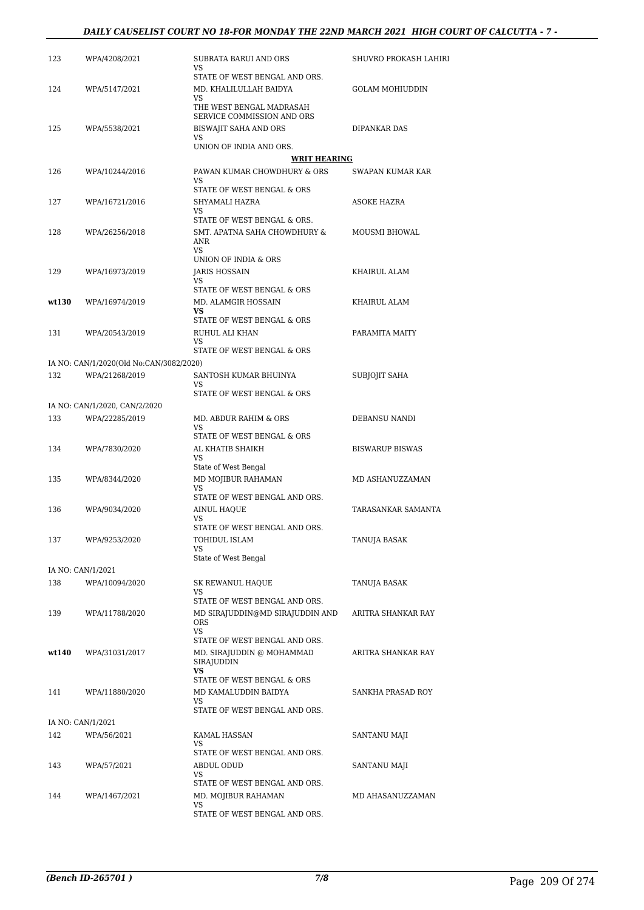### *DAILY CAUSELIST COURT NO 18-FOR MONDAY THE 22ND MARCH 2021 HIGH COURT OF CALCUTTA - 7 -*

| 123   | WPA/4208/2021                           | <b>SUBRATA BARUI AND ORS</b><br><b>VS</b>              | SHUVRO PROKASH LAHIRI  |
|-------|-----------------------------------------|--------------------------------------------------------|------------------------|
|       |                                         | STATE OF WEST BENGAL AND ORS.                          |                        |
| 124   | WPA/5147/2021                           | MD. KHALILULLAH BAIDYA<br>VS                           | <b>GOLAM MOHIUDDIN</b> |
|       |                                         | THE WEST BENGAL MADRASAH<br>SERVICE COMMISSION AND ORS |                        |
| 125   | WPA/5538/2021                           | <b>BISWAJIT SAHA AND ORS</b>                           | DIPANKAR DAS           |
|       |                                         | VS<br>UNION OF INDIA AND ORS.                          |                        |
|       |                                         | <b>WRIT HEARING</b>                                    |                        |
| 126   | WPA/10244/2016                          | PAWAN KUMAR CHOWDHURY & ORS<br>VS                      | SWAPAN KUMAR KAR       |
|       |                                         | STATE OF WEST BENGAL & ORS                             |                        |
| 127   | WPA/16721/2016                          | SHYAMALI HAZRA<br>VS.                                  | ASOKE HAZRA            |
|       |                                         | STATE OF WEST BENGAL & ORS.                            |                        |
| 128   | WPA/26256/2018                          | SMT. APATNA SAHA CHOWDHURY &<br>ANR<br>VS              | MOUSMI BHOWAL          |
|       |                                         | UNION OF INDIA & ORS                                   |                        |
| 129   | WPA/16973/2019                          | JARIS HOSSAIN<br>VS.                                   | KHAIRUL ALAM           |
|       |                                         | STATE OF WEST BENGAL & ORS                             |                        |
| wt130 | WPA/16974/2019                          | MD. ALAMGIR HOSSAIN<br><b>VS</b>                       | KHAIRUL ALAM           |
|       |                                         | STATE OF WEST BENGAL & ORS                             |                        |
| 131   | WPA/20543/2019                          | RUHUL ALI KHAN                                         | PARAMITA MAITY         |
|       |                                         | VS<br>STATE OF WEST BENGAL & ORS                       |                        |
|       | IA NO: CAN/1/2020(Old No:CAN/3082/2020) |                                                        |                        |
| 132   | WPA/21268/2019                          | SANTOSH KUMAR BHUINYA                                  | SUBJOJIT SAHA          |
|       |                                         | VS.<br>STATE OF WEST BENGAL & ORS                      |                        |
|       | IA NO: CAN/1/2020, CAN/2/2020           |                                                        |                        |
| 133   | WPA/22285/2019                          | MD. ABDUR RAHIM & ORS<br><b>VS</b>                     | DEBANSU NANDI          |
|       |                                         | STATE OF WEST BENGAL & ORS                             |                        |
| 134   | WPA/7830/2020                           | AL KHATIB SHAIKH<br>VS                                 | <b>BISWARUP BISWAS</b> |
| 135   | WPA/8344/2020                           | State of West Bengal<br>MD MOJIBUR RAHAMAN             | MD ASHANUZZAMAN        |
|       |                                         | VS.<br>STATE OF WEST BENGAL AND ORS.                   |                        |
| 136   | WPA/9034/2020                           | AINUL HAQUE                                            | TARASANKAR SAMANTA     |
|       |                                         | <b>VS</b><br>STATE OF WEST BENGAL AND ORS.             |                        |
| 137   | WPA/9253/2020                           | TOHIDUL ISLAM                                          | TANUJA BASAK           |
|       |                                         | VS<br>State of West Bengal                             |                        |
|       | IA NO: CAN/1/2021                       |                                                        |                        |
| 138   | WPA/10094/2020                          | <b>SK REWANUL HAQUE</b>                                | TANUJA BASAK           |
|       |                                         | VS.<br>STATE OF WEST BENGAL AND ORS.                   |                        |
| 139   | WPA/11788/2020                          | MD SIRAJUDDIN@MD SIRAJUDDIN AND                        | ARITRA SHANKAR RAY     |
|       |                                         | <b>ORS</b>                                             |                        |
|       |                                         | <b>VS</b><br>STATE OF WEST BENGAL AND ORS.             |                        |
| wt140 | WPA/31031/2017                          | MD. SIRAJUDDIN @ MOHAMMAD<br>SIRAJUDDIN                | ARITRA SHANKAR RAY     |
|       |                                         | <b>VS</b><br>STATE OF WEST BENGAL & ORS                |                        |
| 141   | WPA/11880/2020                          | MD KAMALUDDIN BAIDYA                                   | SANKHA PRASAD ROY      |
|       |                                         | VS<br>STATE OF WEST BENGAL AND ORS.                    |                        |
|       | IA NO: CAN/1/2021                       |                                                        |                        |
| 142   | WPA/56/2021                             | KAMAL HASSAN                                           | SANTANU MAJI           |
|       |                                         | VS<br>STATE OF WEST BENGAL AND ORS.                    |                        |
| 143   | WPA/57/2021                             | ABDUL ODUD                                             | SANTANU MAJI           |
|       |                                         | VS                                                     |                        |
| 144   | WPA/1467/2021                           | STATE OF WEST BENGAL AND ORS.<br>MD. MOJIBUR RAHAMAN   | MD AHASANUZZAMAN       |
|       |                                         | VS                                                     |                        |
|       |                                         | STATE OF WEST BENGAL AND ORS.                          |                        |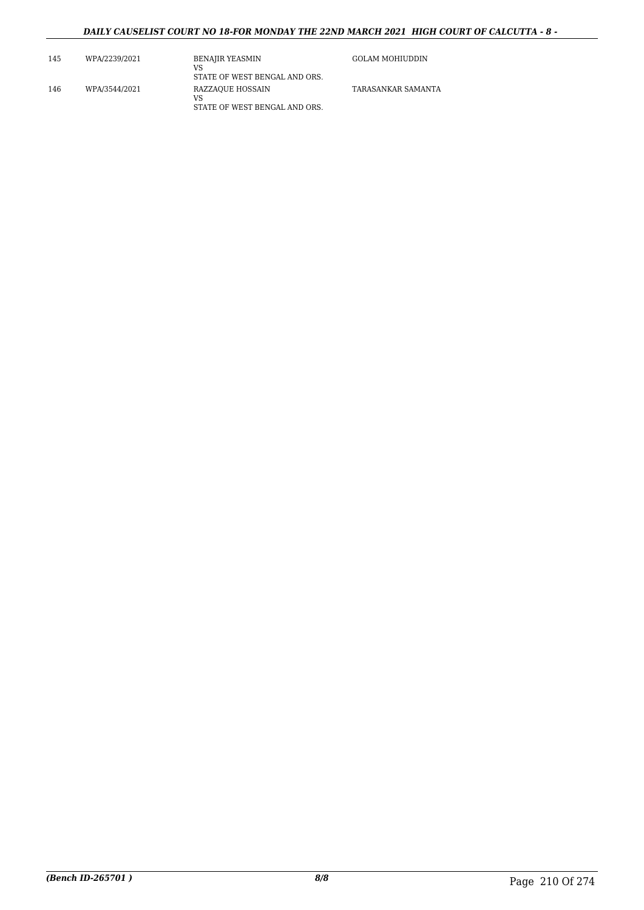### *DAILY CAUSELIST COURT NO 18-FOR MONDAY THE 22ND MARCH 2021 HIGH COURT OF CALCUTTA - 8 -*

| 145 | WPA/2239/2021 | <b>BENAJIR YEASMIN</b><br>VS<br>STATE OF WEST BENGAL AND ORS. | <b>GOLAM MOHIUDDIN</b> |
|-----|---------------|---------------------------------------------------------------|------------------------|
| 146 | WPA/3544/2021 | RAZZAOUE HOSSAIN<br>VS<br>STATE OF WEST BENGAL AND ORS.       | TARASANKAR SAMANTA     |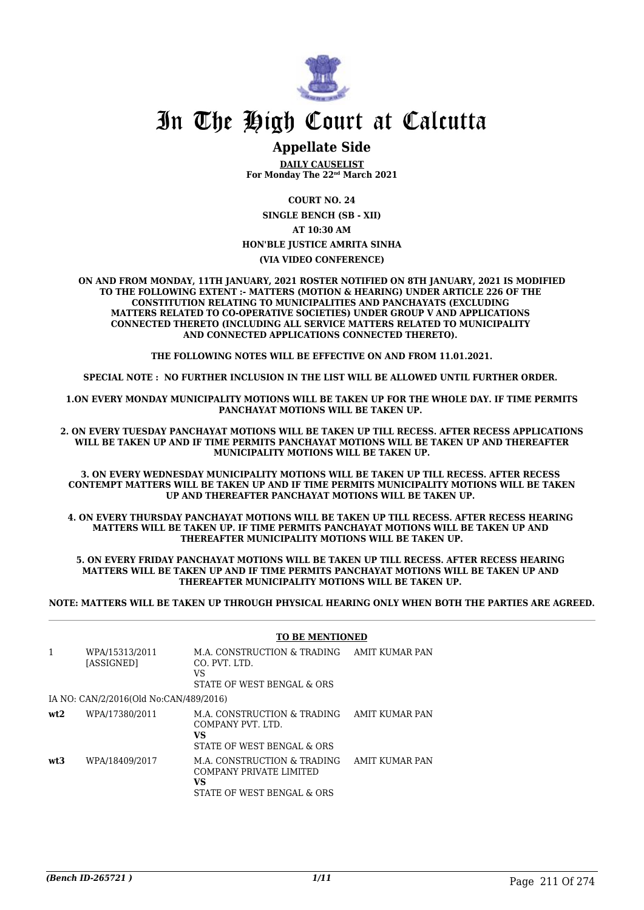

## **Appellate Side**

**DAILY CAUSELIST For Monday The 22nd March 2021**

**COURT NO. 24**

**SINGLE BENCH (SB - XII) AT 10:30 AM**

#### **HON'BLE JUSTICE AMRITA SINHA**

#### **(VIA VIDEO CONFERENCE)**

**ON AND FROM MONDAY, 11TH JANUARY, 2021 ROSTER NOTIFIED ON 8TH JANUARY, 2021 IS MODIFIED TO THE FOLLOWING EXTENT :- MATTERS (MOTION & HEARING) UNDER ARTICLE 226 OF THE CONSTITUTION RELATING TO MUNICIPALITIES AND PANCHAYATS (EXCLUDING MATTERS RELATED TO CO-OPERATIVE SOCIETIES) UNDER GROUP V AND APPLICATIONS CONNECTED THERETO (INCLUDING ALL SERVICE MATTERS RELATED TO MUNICIPALITY AND CONNECTED APPLICATIONS CONNECTED THERETO).** 

**THE FOLLOWING NOTES WILL BE EFFECTIVE ON AND FROM 11.01.2021.**

**SPECIAL NOTE : NO FURTHER INCLUSION IN THE LIST WILL BE ALLOWED UNTIL FURTHER ORDER.** 

**1.ON EVERY MONDAY MUNICIPALITY MOTIONS WILL BE TAKEN UP FOR THE WHOLE DAY. IF TIME PERMITS PANCHAYAT MOTIONS WILL BE TAKEN UP.** 

**2. ON EVERY TUESDAY PANCHAYAT MOTIONS WILL BE TAKEN UP TILL RECESS. AFTER RECESS APPLICATIONS WILL BE TAKEN UP AND IF TIME PERMITS PANCHAYAT MOTIONS WILL BE TAKEN UP AND THEREAFTER MUNICIPALITY MOTIONS WILL BE TAKEN UP.**

**3. ON EVERY WEDNESDAY MUNICIPALITY MOTIONS WILL BE TAKEN UP TILL RECESS. AFTER RECESS CONTEMPT MATTERS WILL BE TAKEN UP AND IF TIME PERMITS MUNICIPALITY MOTIONS WILL BE TAKEN UP AND THEREAFTER PANCHAYAT MOTIONS WILL BE TAKEN UP.** 

**4. ON EVERY THURSDAY PANCHAYAT MOTIONS WILL BE TAKEN UP TILL RECESS. AFTER RECESS HEARING MATTERS WILL BE TAKEN UP. IF TIME PERMITS PANCHAYAT MOTIONS WILL BE TAKEN UP AND THEREAFTER MUNICIPALITY MOTIONS WILL BE TAKEN UP.**

**5. ON EVERY FRIDAY PANCHAYAT MOTIONS WILL BE TAKEN UP TILL RECESS. AFTER RECESS HEARING MATTERS WILL BE TAKEN UP AND IF TIME PERMITS PANCHAYAT MOTIONS WILL BE TAKEN UP AND THEREAFTER MUNICIPALITY MOTIONS WILL BE TAKEN UP.** 

**NOTE: MATTERS WILL BE TAKEN UP THROUGH PHYSICAL HEARING ONLY WHEN BOTH THE PARTIES ARE AGREED.**

#### **TO BE MENTIONED**

| 1   | WPA/15313/2011<br>[ASSIGNED]           | M.A. CONSTRUCTION & TRADING<br>CO. PVT. LTD.<br>VS<br>STATE OF WEST BENGAL & ORS           | AMIT KUMAR PAN        |
|-----|----------------------------------------|--------------------------------------------------------------------------------------------|-----------------------|
|     | IA NO: CAN/2/2016(Old No:CAN/489/2016) |                                                                                            |                       |
| wt2 | WPA/17380/2011                         | M.A. CONSTRUCTION & TRADING<br>COMPANY PVT. LTD.<br>VS<br>STATE OF WEST BENGAL & ORS       | AMIT KUMAR PAN        |
| wt3 | WPA/18409/2017                         | M.A. CONSTRUCTION & TRADING<br>COMPANY PRIVATE LIMITED<br>VS<br>STATE OF WEST BENGAL & ORS | <b>AMIT KUMAR PAN</b> |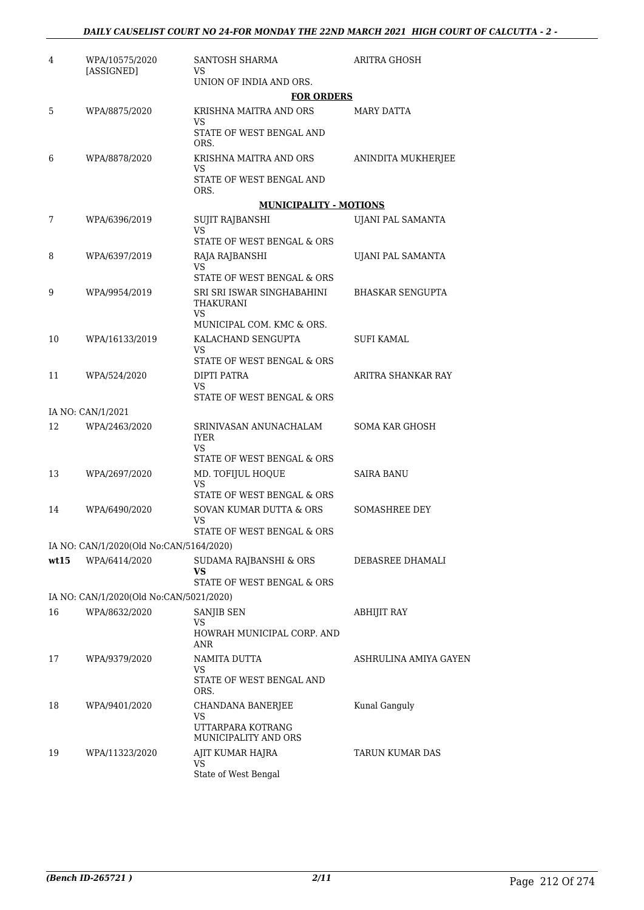| 4    | WPA/10575/2020<br>[ASSIGNED]            | SANTOSH SHARMA<br>VS                                       | ARITRA GHOSH            |
|------|-----------------------------------------|------------------------------------------------------------|-------------------------|
|      |                                         | UNION OF INDIA AND ORS.                                    |                         |
|      |                                         | <b>FOR ORDERS</b>                                          |                         |
| 5    | WPA/8875/2020                           | KRISHNA MAITRA AND ORS<br>VS                               | MARY DATTA              |
|      |                                         | STATE OF WEST BENGAL AND<br>ORS.                           |                         |
| 6    | WPA/8878/2020                           | KRISHNA MAITRA AND ORS<br>VS                               | ANINDITA MUKHERJEE      |
|      |                                         | STATE OF WEST BENGAL AND<br>ORS.                           |                         |
|      |                                         | <b>MUNICIPALITY - MOTIONS</b>                              |                         |
| 7    | WPA/6396/2019                           | SUJIT RAJBANSHI<br>VS.                                     | UJANI PAL SAMANTA       |
|      |                                         | STATE OF WEST BENGAL & ORS                                 |                         |
| 8    | WPA/6397/2019                           | RAJA RAJBANSHI<br>VS.<br>STATE OF WEST BENGAL & ORS        | UJANI PAL SAMANTA       |
|      |                                         |                                                            |                         |
| 9    | WPA/9954/2019                           | SRI SRI ISWAR SINGHABAHINI<br>THAKURANI<br>VS.             | <b>BHASKAR SENGUPTA</b> |
|      |                                         | MUNICIPAL COM. KMC & ORS.                                  |                         |
| 10   | WPA/16133/2019                          | KALACHAND SENGUPTA<br>VS                                   | <b>SUFI KAMAL</b>       |
|      |                                         | STATE OF WEST BENGAL & ORS                                 |                         |
| 11   | WPA/524/2020                            | DIPTI PATRA<br>VS                                          | ARITRA SHANKAR RAY      |
|      |                                         | STATE OF WEST BENGAL & ORS                                 |                         |
|      | IA NO: CAN/1/2021                       |                                                            |                         |
| 12   | WPA/2463/2020                           | SRINIVASAN ANUNACHALAM<br>IYER<br>VS                       | <b>SOMA KAR GHOSH</b>   |
|      |                                         | STATE OF WEST BENGAL & ORS                                 |                         |
| 13   | WPA/2697/2020                           | MD. TOFIJUL HOQUE<br>VS                                    | <b>SAIRA BANU</b>       |
|      |                                         | STATE OF WEST BENGAL & ORS                                 |                         |
| 14   | WPA/6490/2020                           | SOVAN KUMAR DUTTA & ORS<br><b>VS</b>                       | <b>SOMASHREE DEY</b>    |
|      |                                         | STATE OF WEST BENGAL & ORS                                 |                         |
|      | IA NO: CAN/1/2020(Old No:CAN/5164/2020) |                                                            |                         |
| wt15 | WPA/6414/2020                           | SUDAMA RAJBANSHI & ORS<br>VS<br>STATE OF WEST BENGAL & ORS | DEBASREE DHAMALI        |
|      | IA NO: CAN/1/2020(Old No:CAN/5021/2020) |                                                            |                         |
| 16   | WPA/8632/2020                           | SANJIB SEN                                                 | ABHIJIT RAY             |
|      |                                         | VS.<br>HOWRAH MUNICIPAL CORP. AND<br>ANR                   |                         |
| 17   | WPA/9379/2020                           | NAMITA DUTTA<br>VS.                                        | ASHRULINA AMIYA GAYEN   |
|      |                                         | STATE OF WEST BENGAL AND<br>ORS.                           |                         |
| 18   | WPA/9401/2020                           | CHANDANA BANERJEE<br>VS                                    | Kunal Ganguly           |
|      |                                         | UTTARPARA KOTRANG<br>MUNICIPALITY AND ORS                  |                         |
| 19   | WPA/11323/2020                          | AJIT KUMAR HAJRA<br>VS                                     | TARUN KUMAR DAS         |
|      |                                         | State of West Bengal                                       |                         |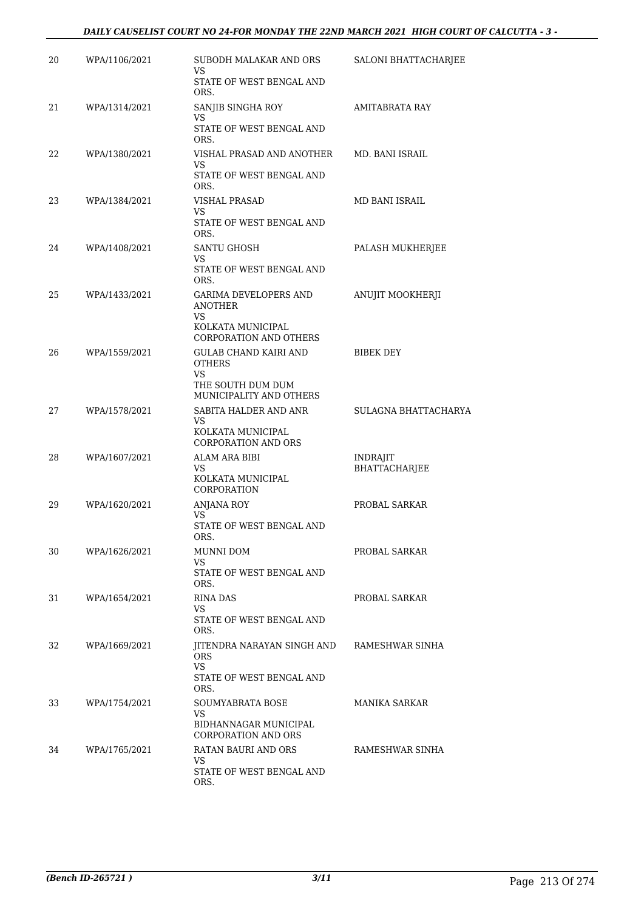### *DAILY CAUSELIST COURT NO 24-FOR MONDAY THE 22ND MARCH 2021 HIGH COURT OF CALCUTTA - 3 -*

| 20 | WPA/1106/2021 | SUBODH MALAKAR AND ORS<br>VS                                                    | SALONI BHATTACHARJEE      |
|----|---------------|---------------------------------------------------------------------------------|---------------------------|
|    |               | STATE OF WEST BENGAL AND<br>ORS.                                                |                           |
| 21 | WPA/1314/2021 | SANJIB SINGHA ROY<br>VS                                                         | AMITABRATA RAY            |
|    |               | STATE OF WEST BENGAL AND<br>ORS.                                                |                           |
| 22 | WPA/1380/2021 | VISHAL PRASAD AND ANOTHER<br>VS.<br>STATE OF WEST BENGAL AND                    | MD. BANI ISRAIL           |
| 23 | WPA/1384/2021 | ORS.<br><b>VISHAL PRASAD</b>                                                    | MD BANI ISRAIL            |
|    |               | VS<br>STATE OF WEST BENGAL AND                                                  |                           |
| 24 | WPA/1408/2021 | ORS.<br>SANTU GHOSH                                                             | PALASH MUKHERJEE          |
|    |               | VS.<br>STATE OF WEST BENGAL AND<br>ORS.                                         |                           |
| 25 | WPA/1433/2021 | GARIMA DEVELOPERS AND<br>ANOTHER<br>VS.<br>KOLKATA MUNICIPAL                    | ANUJIT MOOKHERJI          |
|    |               | <b>CORPORATION AND OTHERS</b>                                                   |                           |
| 26 | WPA/1559/2021 | <b>GULAB CHAND KAIRI AND</b><br><b>OTHERS</b><br>VS<br>THE SOUTH DUM DUM        | BIBEK DEY                 |
|    |               | MUNICIPALITY AND OTHERS                                                         |                           |
| 27 | WPA/1578/2021 | SABITA HALDER AND ANR<br>VS.<br>KOLKATA MUNICIPAL<br><b>CORPORATION AND ORS</b> | SULAGNA BHATTACHARYA      |
| 28 | WPA/1607/2021 | ALAM ARA BIBI<br>VS.<br>KOLKATA MUNICIPAL<br>CORPORATION                        | INDRAJIT<br>BHATTACHARJEE |
| 29 | WPA/1620/2021 | <b>ANJANA ROY</b>                                                               | PROBAL SARKAR             |
|    |               | VS<br>STATE OF WEST BENGAL AND<br>ORS.                                          |                           |
| 30 | WPA/1626/2021 | MUNNI DOM<br>VS                                                                 | PROBAL SARKAR             |
|    |               | STATE OF WEST BENGAL AND<br>ORS.                                                |                           |
| 31 | WPA/1654/2021 | RINA DAS<br>VS.<br>STATE OF WEST BENGAL AND                                     | PROBAL SARKAR             |
| 32 | WPA/1669/2021 | ORS.<br>JITENDRA NARAYAN SINGH AND                                              | RAMESHWAR SINHA           |
|    |               | <b>ORS</b><br>VS<br>STATE OF WEST BENGAL AND                                    |                           |
|    |               | ORS.                                                                            |                           |
| 33 | WPA/1754/2021 | SOUMYABRATA BOSE<br>VS.<br>BIDHANNAGAR MUNICIPAL<br><b>CORPORATION AND ORS</b>  | MANIKA SARKAR             |
| 34 | WPA/1765/2021 | RATAN BAURI AND ORS                                                             | RAMESHWAR SINHA           |
|    |               | VS<br>STATE OF WEST BENGAL AND<br>ORS.                                          |                           |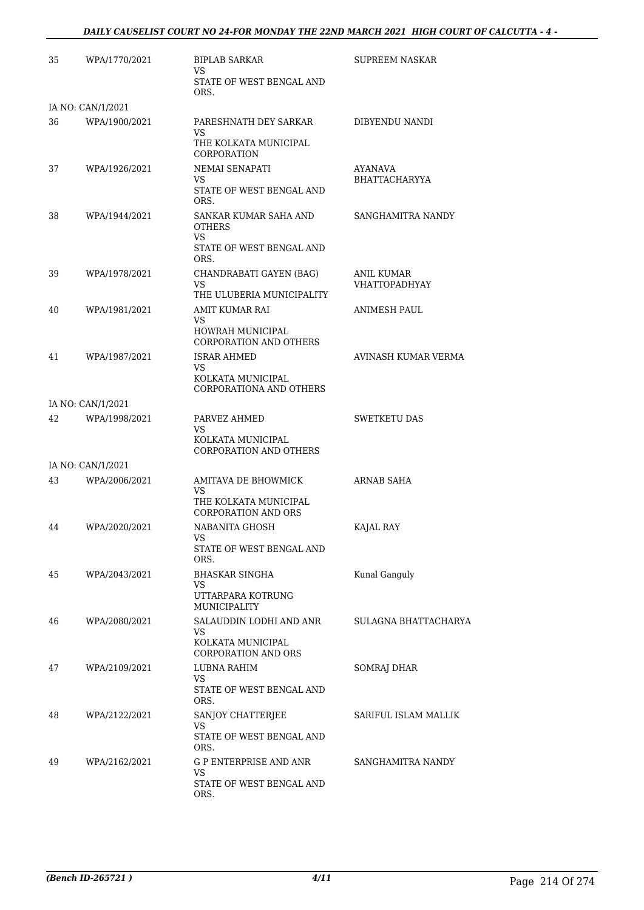### *DAILY CAUSELIST COURT NO 24-FOR MONDAY THE 22ND MARCH 2021 HIGH COURT OF CALCUTTA - 4 -*

| 35 | WPA/1770/2021     | <b>BIPLAB SARKAR</b><br>VS                               | SUPREEM NASKAR                     |
|----|-------------------|----------------------------------------------------------|------------------------------------|
|    |                   | STATE OF WEST BENGAL AND<br>ORS.                         |                                    |
|    | IA NO: CAN/1/2021 |                                                          |                                    |
| 36 | WPA/1900/2021     | PARESHNATH DEY SARKAR<br>VS<br>THE KOLKATA MUNICIPAL     | DIBYENDU NANDI                     |
|    |                   | CORPORATION                                              |                                    |
| 37 | WPA/1926/2021     | NEMAI SENAPATI<br>VS<br>STATE OF WEST BENGAL AND<br>ORS. | AYANAVA<br>BHATTACHARYYA           |
| 38 | WPA/1944/2021     | SANKAR KUMAR SAHA AND<br><b>OTHERS</b><br>VS.            | SANGHAMITRA NANDY                  |
|    |                   | STATE OF WEST BENGAL AND<br>ORS.                         |                                    |
| 39 | WPA/1978/2021     | CHANDRABATI GAYEN (BAG)<br>VS                            | ANIL KUMAR<br><b>VHATTOPADHYAY</b> |
|    |                   | THE ULUBERIA MUNICIPALITY                                |                                    |
| 40 | WPA/1981/2021     | <b>AMIT KUMAR RAI</b><br>VS                              | <b>ANIMESH PAUL</b>                |
|    |                   | HOWRAH MUNICIPAL<br><b>CORPORATION AND OTHERS</b>        |                                    |
| 41 | WPA/1987/2021     | <b>ISRAR AHMED</b><br>VS                                 | AVINASH KUMAR VERMA                |
|    |                   | KOLKATA MUNICIPAL<br>CORPORATIONA AND OTHERS             |                                    |
|    | IA NO: CAN/1/2021 |                                                          |                                    |
| 42 | WPA/1998/2021     | PARVEZ AHMED<br>VS<br>KOLKATA MUNICIPAL                  | <b>SWETKETU DAS</b>                |
|    |                   | <b>CORPORATION AND OTHERS</b>                            |                                    |
|    | IA NO: CAN/1/2021 |                                                          |                                    |
| 43 | WPA/2006/2021     | AMITAVA DE BHOWMICK<br>VS<br>THE KOLKATA MUNICIPAL       | ARNAB SAHA                         |
|    |                   | <b>CORPORATION AND ORS</b>                               |                                    |
| 44 | WPA/2020/2021     | NABANITA GHOSH<br>VS                                     | KAJAL RAY                          |
|    |                   | STATE OF WEST BENGAL AND<br>ORS.                         |                                    |
| 45 | WPA/2043/2021     | <b>BHASKAR SINGHA</b><br>VS                              | Kunal Ganguly                      |
|    |                   | UTTARPARA KOTRUNG<br><b>MUNICIPALITY</b>                 |                                    |
| 46 | WPA/2080/2021     | SALAUDDIN LODHI AND ANR<br>VS.                           | SULAGNA BHATTACHARYA               |
|    |                   | KOLKATA MUNICIPAL<br><b>CORPORATION AND ORS</b>          |                                    |
| 47 | WPA/2109/2021     | LUBNA RAHIM<br>VS<br>STATE OF WEST BENGAL AND            | <b>SOMRAJ DHAR</b>                 |
|    |                   | ORS.                                                     |                                    |
| 48 | WPA/2122/2021     | SANJOY CHATTERJEE<br>VS                                  | SARIFUL ISLAM MALLIK               |
|    |                   | STATE OF WEST BENGAL AND<br>ORS.                         |                                    |
| 49 | WPA/2162/2021     | <b>G P ENTERPRISE AND ANR</b><br>VS                      | SANGHAMITRA NANDY                  |
|    |                   | STATE OF WEST BENGAL AND<br>ORS.                         |                                    |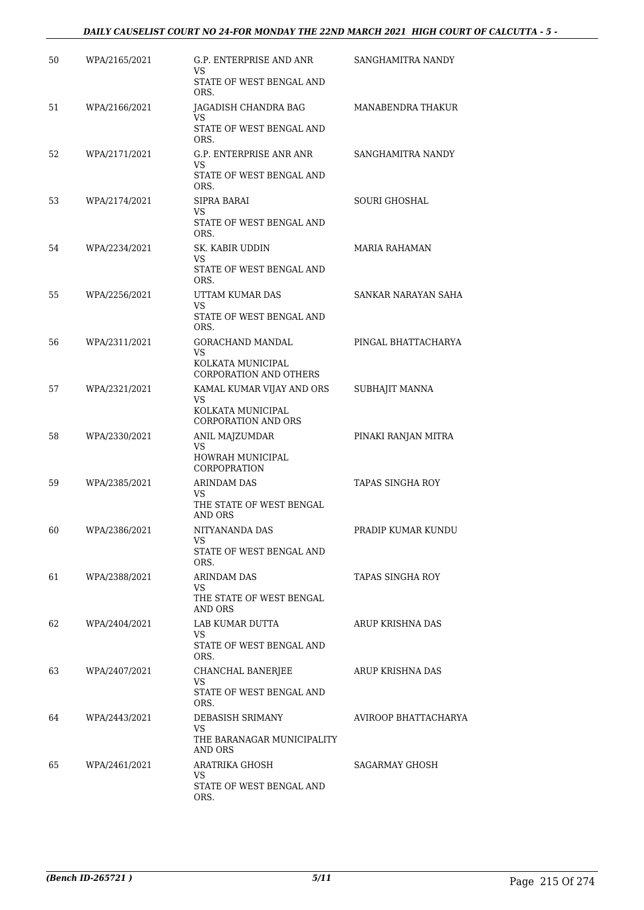## *DAILY CAUSELIST COURT NO 24-FOR MONDAY THE 22ND MARCH 2021 HIGH COURT OF CALCUTTA - 5 -*

| 50 | WPA/2165/2021 | G.P. ENTERPRISE AND ANR<br>VS<br>STATE OF WEST BENGAL AND                           | SANGHAMITRA NANDY    |
|----|---------------|-------------------------------------------------------------------------------------|----------------------|
| 51 | WPA/2166/2021 | ORS.<br>JAGADISH CHANDRA BAG                                                        | MANABENDRA THAKUR    |
|    |               | VS.<br>STATE OF WEST BENGAL AND<br>ORS.                                             |                      |
| 52 | WPA/2171/2021 | G.P. ENTERPRISE ANR ANR<br>VS<br>STATE OF WEST BENGAL AND                           | SANGHAMITRA NANDY    |
| 53 | WPA/2174/2021 | ORS.<br>SIPRA BARAI<br>VS.<br>STATE OF WEST BENGAL AND<br>ORS.                      | SOURI GHOSHAL        |
| 54 | WPA/2234/2021 | SK. KABIR UDDIN<br>VS<br>STATE OF WEST BENGAL AND<br>ORS.                           | <b>MARIA RAHAMAN</b> |
| 55 | WPA/2256/2021 | UTTAM KUMAR DAS<br>VS<br>STATE OF WEST BENGAL AND<br>ORS.                           | SANKAR NARAYAN SAHA  |
| 56 | WPA/2311/2021 | GORACHAND MANDAL<br>VS.<br>KOLKATA MUNICIPAL<br>CORPORATION AND OTHERS              | PINGAL BHATTACHARYA  |
| 57 | WPA/2321/2021 | KAMAL KUMAR VIJAY AND ORS<br>VS.<br>KOLKATA MUNICIPAL<br><b>CORPORATION AND ORS</b> | SUBHAJIT MANNA       |
| 58 | WPA/2330/2021 | ANIL MAJZUMDAR<br>VS<br>HOWRAH MUNICIPAL<br>CORPOPRATION                            | PINAKI RANJAN MITRA  |
| 59 | WPA/2385/2021 | <b>ARINDAM DAS</b><br>VS<br>THE STATE OF WEST BENGAL<br><b>AND ORS</b>              | TAPAS SINGHA ROY     |
| 60 | WPA/2386/2021 | NITYANANDA DAS<br>VS.<br>STATE OF WEST BENGAL AND<br>ORS.                           | PRADIP KUMAR KUNDU   |
| 61 | WPA/2388/2021 | <b>ARINDAM DAS</b><br>VS.<br>THE STATE OF WEST BENGAL<br>AND ORS                    | TAPAS SINGHA ROY     |
| 62 | WPA/2404/2021 | LAB KUMAR DUTTA<br>VS<br>STATE OF WEST BENGAL AND<br>ORS.                           | ARUP KRISHNA DAS     |
| 63 | WPA/2407/2021 | CHANCHAL BANERJEE<br>VS<br>STATE OF WEST BENGAL AND<br>ORS.                         | ARUP KRISHNA DAS     |
| 64 | WPA/2443/2021 | DEBASISH SRIMANY<br>VS.<br>THE BARANAGAR MUNICIPALITY<br>AND ORS                    | AVIROOP BHATTACHARYA |
| 65 | WPA/2461/2021 | ARATRIKA GHOSH<br>VS<br>STATE OF WEST BENGAL AND<br>ORS.                            | SAGARMAY GHOSH       |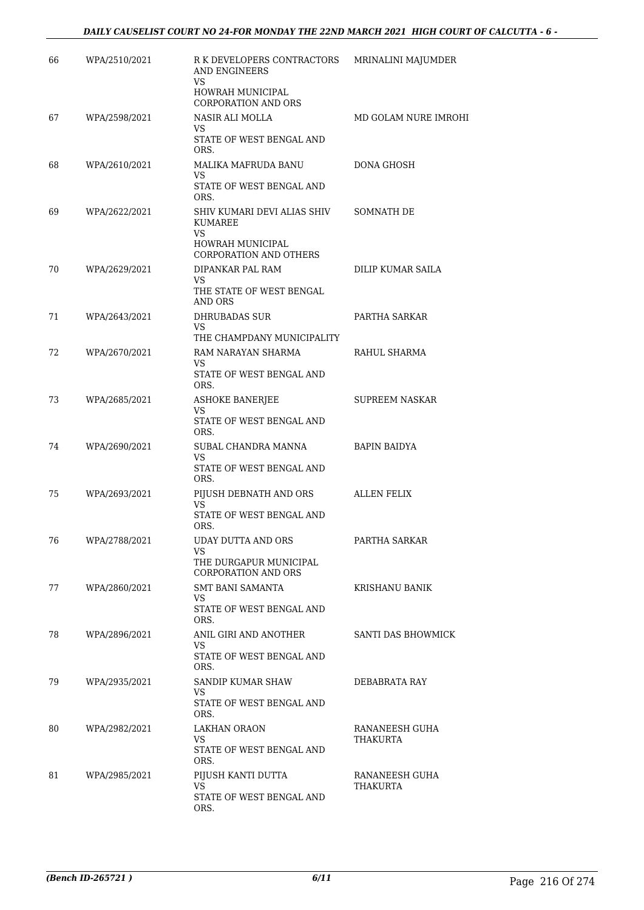| 66 | WPA/2510/2021 | R K DEVELOPERS CONTRACTORS<br>AND ENGINEERS<br>VS                                                  | MRINALINI MAJUMDER         |
|----|---------------|----------------------------------------------------------------------------------------------------|----------------------------|
|    |               | HOWRAH MUNICIPAL<br><b>CORPORATION AND ORS</b>                                                     |                            |
| 67 | WPA/2598/2021 | NASIR ALI MOLLA<br>VS.<br>STATE OF WEST BENGAL AND                                                 | MD GOLAM NURE IMROHI       |
| 68 | WPA/2610/2021 | ORS.<br>MALIKA MAFRUDA BANU<br>VS.                                                                 | DONA GHOSH                 |
|    |               | STATE OF WEST BENGAL AND<br>ORS.                                                                   |                            |
| 69 | WPA/2622/2021 | SHIV KUMARI DEVI ALIAS SHIV<br><b>KUMAREE</b><br>VS.<br>HOWRAH MUNICIPAL<br>CORPORATION AND OTHERS | SOMNATH DE                 |
| 70 | WPA/2629/2021 | DIPANKAR PAL RAM<br>VS.<br>THE STATE OF WEST BENGAL<br>AND ORS                                     | DILIP KUMAR SAILA          |
| 71 | WPA/2643/2021 | <b>DHRUBADAS SUR</b><br>VS<br>THE CHAMPDANY MUNICIPALITY                                           | PARTHA SARKAR              |
| 72 | WPA/2670/2021 | RAM NARAYAN SHARMA<br>VS<br>STATE OF WEST BENGAL AND<br>ORS.                                       | RAHUL SHARMA               |
| 73 | WPA/2685/2021 | ASHOKE BANERJEE<br>VS<br>STATE OF WEST BENGAL AND<br>ORS.                                          | SUPREEM NASKAR             |
| 74 | WPA/2690/2021 | SUBAL CHANDRA MANNA<br>VS.<br>STATE OF WEST BENGAL AND                                             | BAPIN BAIDYA               |
| 75 | WPA/2693/2021 | ORS.<br>PIJUSH DEBNATH AND ORS<br>VS<br>STATE OF WEST BENGAL AND<br>ORS.                           | ALLEN FELIX                |
| 76 | WPA/2788/2021 | UDAY DUTTA AND ORS<br>VS<br>THE DURGAPUR MUNICIPAL<br>CORPORATION AND ORS                          | PARTHA SARKAR              |
| 77 | WPA/2860/2021 | <b>SMT BANI SAMANTA</b><br>VS.<br>STATE OF WEST BENGAL AND<br>ORS.                                 | KRISHANU BANIK             |
| 78 | WPA/2896/2021 | ANIL GIRI AND ANOTHER<br>VS<br>STATE OF WEST BENGAL AND<br>ORS.                                    | SANTI DAS BHOWMICK         |
| 79 | WPA/2935/2021 | SANDIP KUMAR SHAW<br>VS.<br>STATE OF WEST BENGAL AND<br>ORS.                                       | DEBABRATA RAY              |
| 80 | WPA/2982/2021 | LAKHAN ORAON<br>VS.<br>STATE OF WEST BENGAL AND<br>ORS.                                            | RANANEESH GUHA<br>THAKURTA |
| 81 | WPA/2985/2021 | PIJUSH KANTI DUTTA<br>VS.<br>STATE OF WEST BENGAL AND<br>ORS.                                      | RANANEESH GUHA<br>THAKURTA |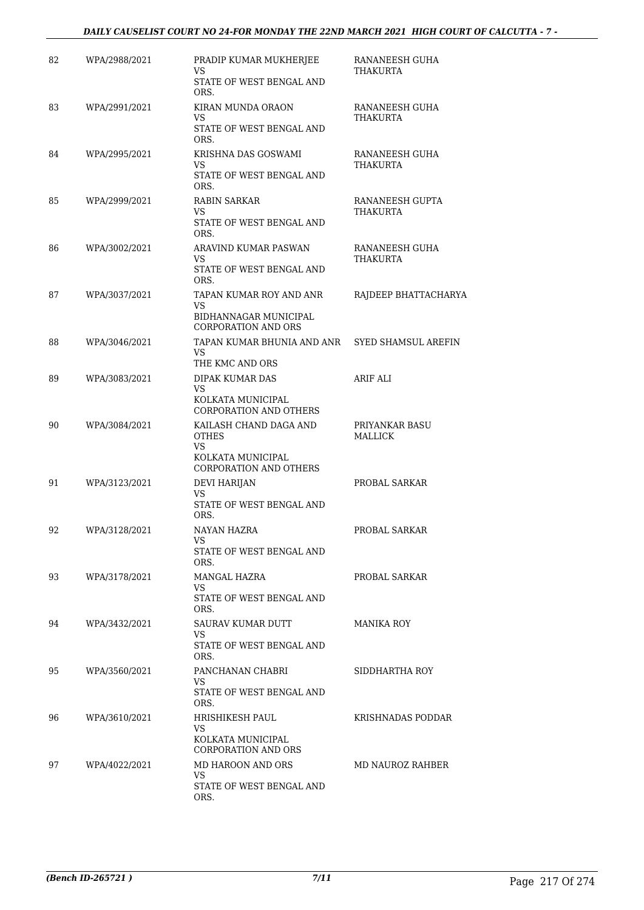## *DAILY CAUSELIST COURT NO 24-FOR MONDAY THE 22ND MARCH 2021 HIGH COURT OF CALCUTTA - 7 -*

| 82 | WPA/2988/2021 | PRADIP KUMAR MUKHERJEE<br>VS<br>STATE OF WEST BENGAL AND<br>ORS.                                   | RANANEESH GUHA<br>THAKURTA  |
|----|---------------|----------------------------------------------------------------------------------------------------|-----------------------------|
| 83 | WPA/2991/2021 | KIRAN MUNDA ORAON<br>VS<br>STATE OF WEST BENGAL AND<br>ORS.                                        | RANANEESH GUHA<br>THAKURTA  |
| 84 | WPA/2995/2021 | KRISHNA DAS GOSWAMI<br>VS.<br>STATE OF WEST BENGAL AND<br>ORS.                                     | RANANEESH GUHA<br>THAKURTA  |
| 85 | WPA/2999/2021 | <b>RABIN SARKAR</b><br>VS.<br>STATE OF WEST BENGAL AND<br>ORS.                                     | RANANEESH GUPTA<br>THAKURTA |
| 86 | WPA/3002/2021 | ARAVIND KUMAR PASWAN<br>VS<br>STATE OF WEST BENGAL AND<br>ORS.                                     | RANANEESH GUHA<br>THAKURTA  |
| 87 | WPA/3037/2021 | TAPAN KUMAR ROY AND ANR<br>VS<br>BIDHANNAGAR MUNICIPAL<br><b>CORPORATION AND ORS</b>               | RAJDEEP BHATTACHARYA        |
| 88 | WPA/3046/2021 | TAPAN KUMAR BHUNIA AND ANR<br>VS.<br>THE KMC AND ORS                                               | SYED SHAMSUL AREFIN         |
| 89 | WPA/3083/2021 | DIPAK KUMAR DAS<br>VS<br>KOLKATA MUNICIPAL<br><b>CORPORATION AND OTHERS</b>                        | ARIF ALI                    |
| 90 | WPA/3084/2021 | KAILASH CHAND DAGA AND<br><b>OTHES</b><br>VS<br>KOLKATA MUNICIPAL<br><b>CORPORATION AND OTHERS</b> | PRIYANKAR BASU<br>MALLICK   |
| 91 | WPA/3123/2021 | <b>DEVI HARIJAN</b><br>VS<br>STATE OF WEST BENGAL AND<br>ORS.                                      | PROBAL SARKAR               |
| 92 | WPA/3128/2021 | NAYAN HAZRA<br>VS<br>STATE OF WEST BENGAL AND<br>ORS.                                              | PROBAL SARKAR               |
| 93 | WPA/3178/2021 | <b>MANGAL HAZRA</b><br>VS.<br>STATE OF WEST BENGAL AND<br>ORS.                                     | PROBAL SARKAR               |
| 94 | WPA/3432/2021 | SAURAV KUMAR DUTT<br>VS.<br>STATE OF WEST BENGAL AND<br>ORS.                                       | <b>MANIKA ROY</b>           |
| 95 | WPA/3560/2021 | PANCHANAN CHABRI<br>VS.<br>STATE OF WEST BENGAL AND<br>ORS.                                        | SIDDHARTHA ROY              |
| 96 | WPA/3610/2021 | HRISHIKESH PAUL<br>VS.<br>KOLKATA MUNICIPAL<br><b>CORPORATION AND ORS</b>                          | KRISHNADAS PODDAR           |
| 97 | WPA/4022/2021 | MD HAROON AND ORS<br>VS<br>STATE OF WEST BENGAL AND<br>ORS.                                        | MD NAUROZ RAHBER            |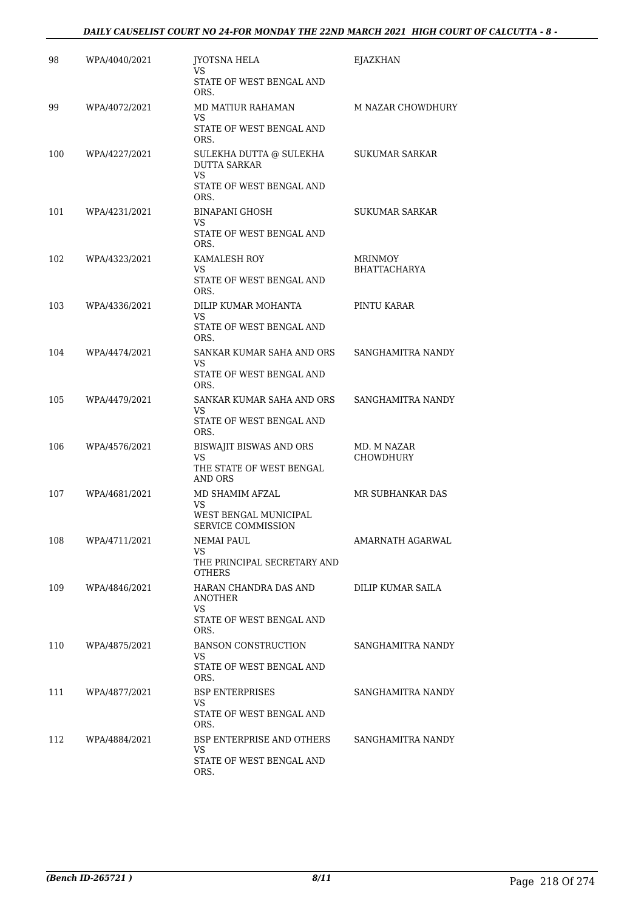| 98  | WPA/4040/2021 | <b>IYOTSNA HELA</b><br>VS                                                                | EJAZKHAN                       |
|-----|---------------|------------------------------------------------------------------------------------------|--------------------------------|
|     |               | STATE OF WEST BENGAL AND<br>ORS.                                                         |                                |
| 99  | WPA/4072/2021 | MD MATIUR RAHAMAN<br>VS<br>STATE OF WEST BENGAL AND                                      | M NAZAR CHOWDHURY              |
|     |               | ORS.                                                                                     |                                |
| 100 | WPA/4227/2021 | SULEKHA DUTTA @ SULEKHA<br><b>DUTTA SARKAR</b><br>VS<br>STATE OF WEST BENGAL AND<br>ORS. | SUKUMAR SARKAR                 |
| 101 | WPA/4231/2021 | <b>BINAPANI GHOSH</b><br>VS<br>STATE OF WEST BENGAL AND<br>ORS.                          | SUKUMAR SARKAR                 |
| 102 | WPA/4323/2021 | KAMALESH ROY<br>VS<br>STATE OF WEST BENGAL AND<br>ORS.                                   | MRINMOY<br><b>BHATTACHARYA</b> |
| 103 | WPA/4336/2021 | DILIP KUMAR MOHANTA<br>VS<br>STATE OF WEST BENGAL AND<br>ORS.                            | PINTU KARAR                    |
| 104 | WPA/4474/2021 | SANKAR KUMAR SAHA AND ORS<br>VS<br>STATE OF WEST BENGAL AND<br>ORS.                      | SANGHAMITRA NANDY              |
| 105 | WPA/4479/2021 | SANKAR KUMAR SAHA AND ORS<br>VS<br>STATE OF WEST BENGAL AND<br>ORS.                      | SANGHAMITRA NANDY              |
| 106 | WPA/4576/2021 | BISWAJIT BISWAS AND ORS<br>VS                                                            | MD. M NAZAR<br>CHOWDHURY       |
|     |               | THE STATE OF WEST BENGAL<br><b>AND ORS</b>                                               |                                |
| 107 | WPA/4681/2021 | MD SHAMIM AFZAL<br>VS<br>WEST BENGAL MUNICIPAL                                           | MR SUBHANKAR DAS               |
|     |               | SERVICE COMMISSION                                                                       |                                |
| 108 | WPA/4711/2021 | <b>NEMAI PAUL</b><br>VS<br>THE PRINCIPAL SECRETARY AND<br><b>OTHERS</b>                  | AMARNATH AGARWAL               |
| 109 | WPA/4846/2021 | HARAN CHANDRA DAS AND<br>ANOTHER<br><b>VS</b>                                            | DILIP KUMAR SAILA              |
|     |               | STATE OF WEST BENGAL AND<br>ORS.                                                         |                                |
| 110 | WPA/4875/2021 | <b>BANSON CONSTRUCTION</b><br>VS.<br>STATE OF WEST BENGAL AND<br>ORS.                    | SANGHAMITRA NANDY              |
| 111 | WPA/4877/2021 | <b>BSP ENTERPRISES</b><br>VS                                                             | SANGHAMITRA NANDY              |
|     |               | STATE OF WEST BENGAL AND<br>ORS.                                                         |                                |
| 112 | WPA/4884/2021 | BSP ENTERPRISE AND OTHERS<br>VS.<br>STATE OF WEST BENGAL AND<br>ORS.                     | SANGHAMITRA NANDY              |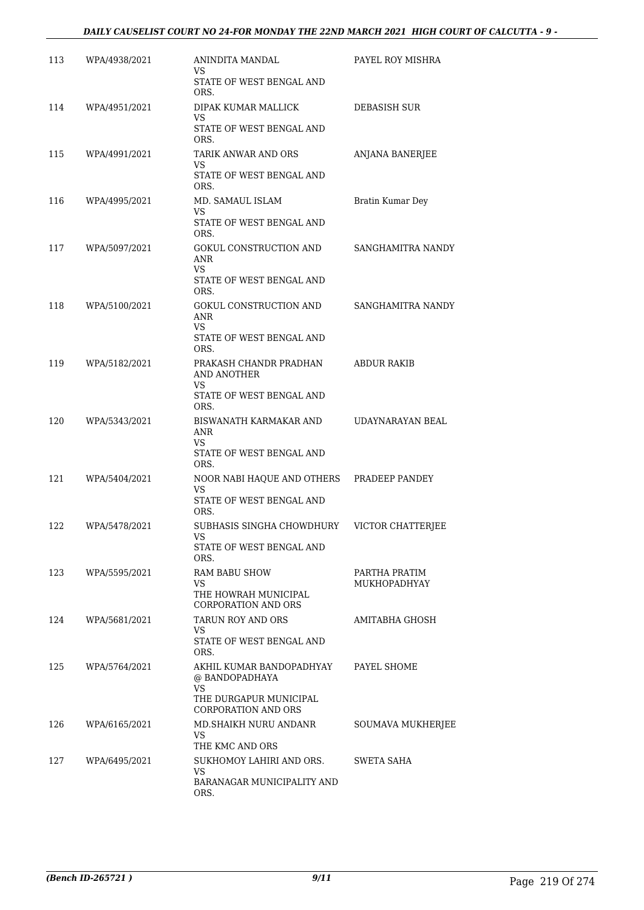## *DAILY CAUSELIST COURT NO 24-FOR MONDAY THE 22ND MARCH 2021 HIGH COURT OF CALCUTTA - 9 -*

| 113 | WPA/4938/2021 | ANINDITA MANDAL<br>VS                                | PAYEL ROY MISHRA                     |
|-----|---------------|------------------------------------------------------|--------------------------------------|
|     |               | STATE OF WEST BENGAL AND<br>ORS.                     |                                      |
| 114 | WPA/4951/2021 | DIPAK KUMAR MALLICK<br>VS                            | DEBASISH SUR                         |
|     |               | STATE OF WEST BENGAL AND<br>ORS.                     |                                      |
| 115 | WPA/4991/2021 | TARIK ANWAR AND ORS<br>VS                            | ANJANA BANERJEE                      |
|     |               | STATE OF WEST BENGAL AND<br>ORS.                     |                                      |
| 116 | WPA/4995/2021 | MD. SAMAUL ISLAM<br>VS                               | Bratin Kumar Dey                     |
|     |               | STATE OF WEST BENGAL AND<br>ORS.                     |                                      |
| 117 | WPA/5097/2021 | GOKUL CONSTRUCTION AND<br>ANR                        | SANGHAMITRA NANDY                    |
|     |               | VS<br>STATE OF WEST BENGAL AND<br>ORS.               |                                      |
| 118 | WPA/5100/2021 | GOKUL CONSTRUCTION AND<br>ANR                        | SANGHAMITRA NANDY                    |
|     |               | VS<br>STATE OF WEST BENGAL AND<br>ORS.               |                                      |
| 119 | WPA/5182/2021 | PRAKASH CHANDR PRADHAN<br>AND ANOTHER                | <b>ABDUR RAKIB</b>                   |
|     |               | VS<br>STATE OF WEST BENGAL AND                       |                                      |
|     |               | ORS.                                                 |                                      |
| 120 | WPA/5343/2021 | BISWANATH KARMAKAR AND<br>ANR<br>VS                  | UDAYNARAYAN BEAL                     |
|     |               | STATE OF WEST BENGAL AND<br>ORS.                     |                                      |
| 121 | WPA/5404/2021 | NOOR NABI HAQUE AND OTHERS<br>VS                     | PRADEEP PANDEY                       |
|     |               | STATE OF WEST BENGAL AND<br>ORS.                     |                                      |
| 122 | WPA/5478/2021 | SUBHASIS SINGHA CHOWDHURY                            | VICTOR CHATTERJEE                    |
|     |               | STATE OF WEST BENGAL AND<br>ORS.                     |                                      |
| 123 | WPA/5595/2021 | <b>RAM BABU SHOW</b><br>VS                           | PARTHA PRATIM<br><b>MUKHOPADHYAY</b> |
|     |               | THE HOWRAH MUNICIPAL<br><b>CORPORATION AND ORS</b>   |                                      |
| 124 | WPA/5681/2021 | TARUN ROY AND ORS<br>VS.                             | AMITABHA GHOSH                       |
|     |               | STATE OF WEST BENGAL AND<br>ORS.                     |                                      |
| 125 | WPA/5764/2021 | AKHIL KUMAR BANDOPADHYAY<br>@ BANDOPADHAYA<br>VS     | PAYEL SHOME                          |
|     |               | THE DURGAPUR MUNICIPAL<br><b>CORPORATION AND ORS</b> |                                      |
| 126 | WPA/6165/2021 | MD.SHAIKH NURU ANDANR<br>VS.                         | SOUMAVA MUKHERJEE                    |
|     |               | THE KMC AND ORS                                      |                                      |
| 127 | WPA/6495/2021 | SUKHOMOY LAHIRI AND ORS.<br>VS                       | SWETA SAHA                           |
|     |               | BARANAGAR MUNICIPALITY AND<br>ORS.                   |                                      |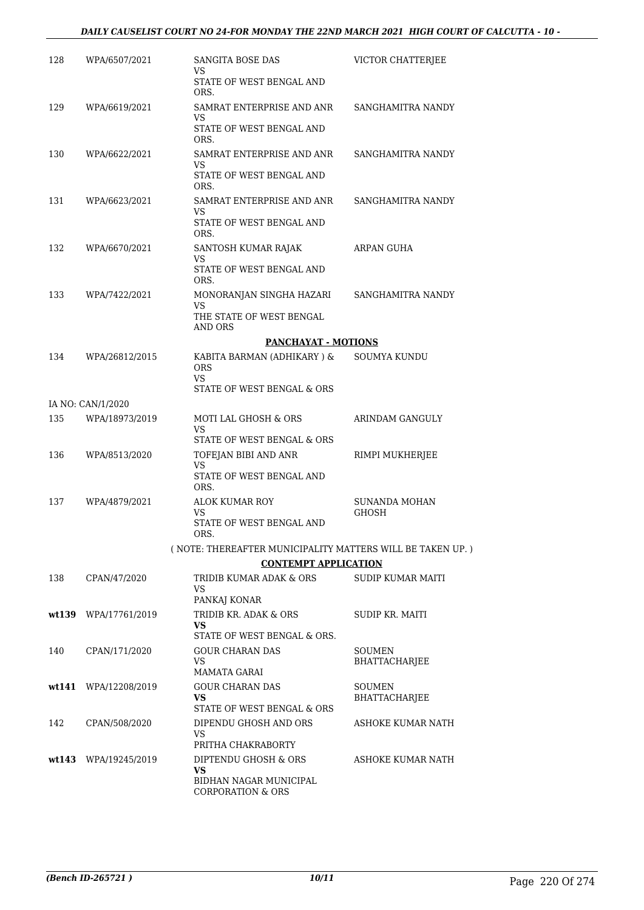## *DAILY CAUSELIST COURT NO 24-FOR MONDAY THE 22ND MARCH 2021 HIGH COURT OF CALCUTTA - 10 -*

| 128 | WPA/6507/2021        | SANGITA BOSE DAS<br>VS                                     | VICTOR CHATTERJEE        |
|-----|----------------------|------------------------------------------------------------|--------------------------|
|     |                      | STATE OF WEST BENGAL AND<br>ORS.                           |                          |
| 129 | WPA/6619/2021        | SAMRAT ENTERPRISE AND ANR<br>VS                            | SANGHAMITRA NANDY        |
|     |                      | STATE OF WEST BENGAL AND<br>ORS.                           |                          |
| 130 | WPA/6622/2021        | SAMRAT ENTERPRISE AND ANR<br>VS                            | SANGHAMITRA NANDY        |
|     |                      | STATE OF WEST BENGAL AND<br>ORS.                           |                          |
| 131 | WPA/6623/2021        | SAMRAT ENTERPRISE AND ANR<br>VS                            | SANGHAMITRA NANDY        |
|     |                      | STATE OF WEST BENGAL AND<br>ORS.                           |                          |
| 132 | WPA/6670/2021        | SANTOSH KUMAR RAJAK<br>VS                                  | ARPAN GUHA               |
|     |                      | STATE OF WEST BENGAL AND<br>ORS.                           |                          |
| 133 | WPA/7422/2021        | MONORANJAN SINGHA HAZARI<br>VS                             | SANGHAMITRA NANDY        |
|     |                      | THE STATE OF WEST BENGAL<br><b>AND ORS</b>                 |                          |
|     |                      | <b>PANCHAYAT - MOTIONS</b>                                 |                          |
| 134 | WPA/26812/2015       | KABITA BARMAN (ADHIKARY ) &<br><b>ORS</b>                  | SOUMYA KUNDU             |
|     |                      | VS.<br>STATE OF WEST BENGAL & ORS                          |                          |
|     | IA NO: CAN/1/2020    |                                                            |                          |
| 135 | WPA/18973/2019       | MOTI LAL GHOSH & ORS<br>VS.<br>STATE OF WEST BENGAL & ORS  | ARINDAM GANGULY          |
| 136 |                      |                                                            |                          |
|     | WPA/8513/2020        | TOFEJAN BIBI AND ANR<br>VS.                                | RIMPI MUKHERJEE          |
|     |                      | STATE OF WEST BENGAL AND<br>ORS.                           |                          |
| 137 | WPA/4879/2021        | ALOK KUMAR ROY<br>VS                                       | SUNANDA MOHAN<br>GHOSH   |
|     |                      | STATE OF WEST BENGAL AND<br>ORS.                           |                          |
|     |                      | (NOTE: THEREAFTER MUNICIPALITY MATTERS WILL BE TAKEN UP.)  |                          |
|     |                      | <b>CONTEMPT APPLICATION</b>                                |                          |
| 138 | CPAN/47/2020         | TRIDIB KUMAR ADAK & ORS<br>VS                              | <b>SUDIP KUMAR MAITI</b> |
|     |                      | PANKAJ KONAR                                               |                          |
|     | wt139 WPA/17761/2019 | TRIDIB KR. ADAK & ORS<br>VS<br>STATE OF WEST BENGAL & ORS. | SUDIP KR. MAITI          |
| 140 | CPAN/171/2020        | <b>GOUR CHARAN DAS</b>                                     | <b>SOUMEN</b>            |
|     |                      | VS<br>MAMATA GARAI                                         | <b>BHATTACHARJEE</b>     |
|     | wt141 WPA/12208/2019 | <b>GOUR CHARAN DAS</b>                                     | SOUMEN                   |
|     |                      | VS<br>STATE OF WEST BENGAL & ORS                           | BHATTACHARJEE            |
| 142 | CPAN/508/2020        | DIPENDU GHOSH AND ORS<br>VS                                | ASHOKE KUMAR NATH        |
|     |                      | PRITHA CHAKRABORTY                                         |                          |
|     | wt143 WPA/19245/2019 | DIPTENDU GHOSH & ORS<br>VS                                 | ASHOKE KUMAR NATH        |
|     |                      | BIDHAN NAGAR MUNICIPAL<br><b>CORPORATION &amp; ORS</b>     |                          |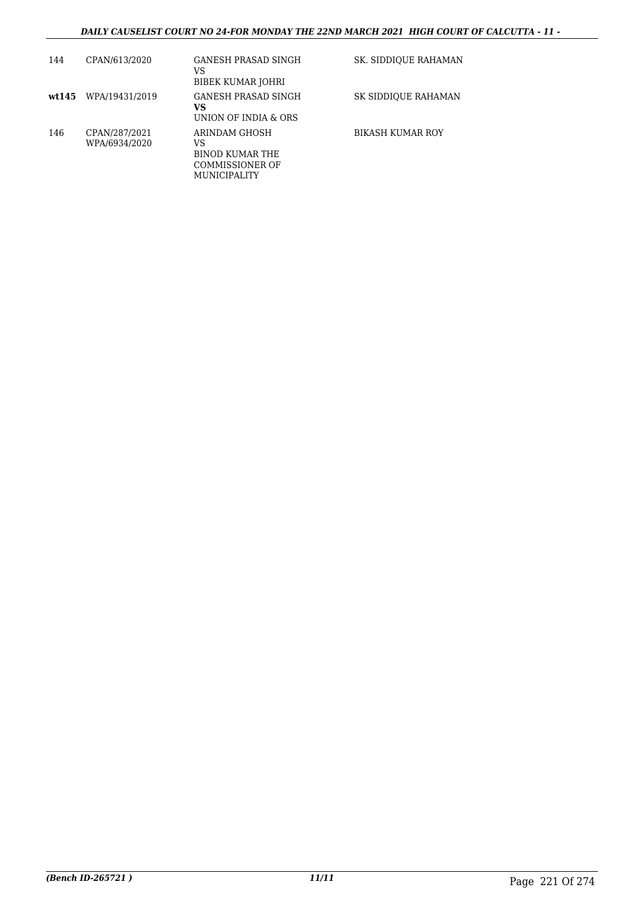## *DAILY CAUSELIST COURT NO 24-FOR MONDAY THE 22ND MARCH 2021 HIGH COURT OF CALCUTTA - 11 -*

| 144   | CPAN/613/2020                  | GANESH PRASAD SINGH<br>VS<br>BIBEK KUMAR JOHRI                                   | SK. SIDDIQUE RAHAMAN    |
|-------|--------------------------------|----------------------------------------------------------------------------------|-------------------------|
| wt145 | WPA/19431/2019                 | GANESH PRASAD SINGH<br>VS<br>UNION OF INDIA & ORS                                | SK SIDDIOUE RAHAMAN     |
| 146   | CPAN/287/2021<br>WPA/6934/2020 | ARINDAM GHOSH<br>VS<br>BINOD KUMAR THE<br>COMMISSIONER OF<br><b>MUNICIPALITY</b> | <b>BIKASH KUMAR ROY</b> |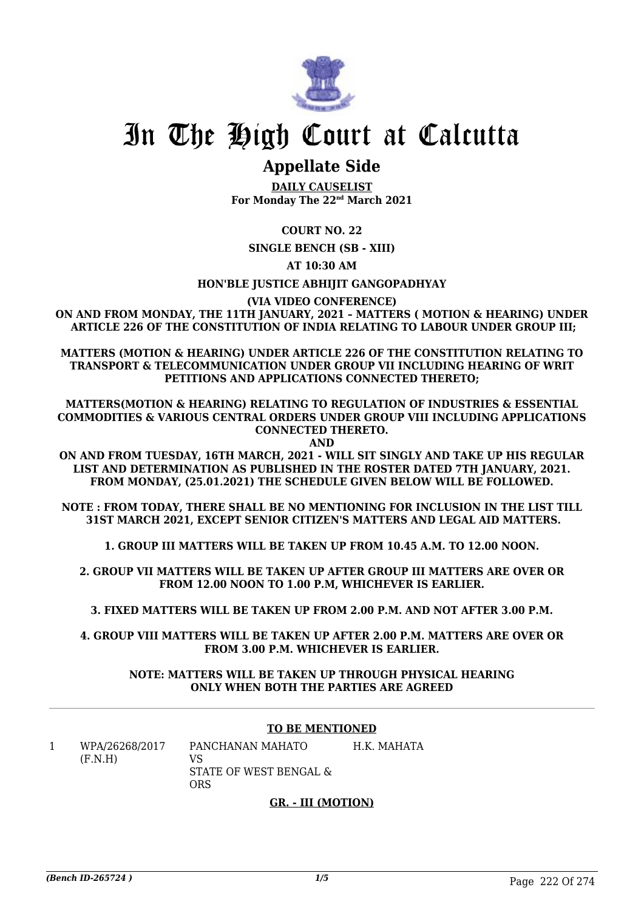

# In The High Court at Calcutta

# **Appellate Side**

**DAILY CAUSELIST For Monday The 22nd March 2021**

# **COURT NO. 22**

**SINGLE BENCH (SB - XIII)**

# **AT 10:30 AM**

## **HON'BLE JUSTICE ABHIJIT GANGOPADHYAY**

**(VIA VIDEO CONFERENCE)**

**ON AND FROM MONDAY, THE 11TH JANUARY, 2021 – MATTERS ( MOTION & HEARING) UNDER ARTICLE 226 OF THE CONSTITUTION OF INDIA RELATING TO LABOUR UNDER GROUP III;**

**MATTERS (MOTION & HEARING) UNDER ARTICLE 226 OF THE CONSTITUTION RELATING TO TRANSPORT & TELECOMMUNICATION UNDER GROUP VII INCLUDING HEARING OF WRIT PETITIONS AND APPLICATIONS CONNECTED THERETO;**

**MATTERS(MOTION & HEARING) RELATING TO REGULATION OF INDUSTRIES & ESSENTIAL COMMODITIES & VARIOUS CENTRAL ORDERS UNDER GROUP VIII INCLUDING APPLICATIONS CONNECTED THERETO. AND**

**ON AND FROM TUESDAY, 16TH MARCH, 2021 - WILL SIT SINGLY AND TAKE UP HIS REGULAR LIST AND DETERMINATION AS PUBLISHED IN THE ROSTER DATED 7TH JANUARY, 2021. FROM MONDAY, (25.01.2021) THE SCHEDULE GIVEN BELOW WILL BE FOLLOWED.**

**NOTE : FROM TODAY, THERE SHALL BE NO MENTIONING FOR INCLUSION IN THE LIST TILL 31ST MARCH 2021, EXCEPT SENIOR CITIZEN'S MATTERS AND LEGAL AID MATTERS.**

**1. GROUP III MATTERS WILL BE TAKEN UP FROM 10.45 A.M. TO 12.00 NOON.**

**2. GROUP VII MATTERS WILL BE TAKEN UP AFTER GROUP III MATTERS ARE OVER OR FROM 12.00 NOON TO 1.00 P.M, WHICHEVER IS EARLIER.**

**3. FIXED MATTERS WILL BE TAKEN UP FROM 2.00 P.M. AND NOT AFTER 3.00 P.M.**

**4. GROUP VIII MATTERS WILL BE TAKEN UP AFTER 2.00 P.M. MATTERS ARE OVER OR FROM 3.00 P.M. WHICHEVER IS EARLIER.**

### **NOTE: MATTERS WILL BE TAKEN UP THROUGH PHYSICAL HEARING ONLY WHEN BOTH THE PARTIES ARE AGREED**

### **TO BE MENTIONED**

1 WPA/26268/2017  $(F.N.H)$ PANCHANAN MAHATO VS

STATE OF WEST BENGAL & ORS H.K. MAHATA

# **GR. - III (MOTION)**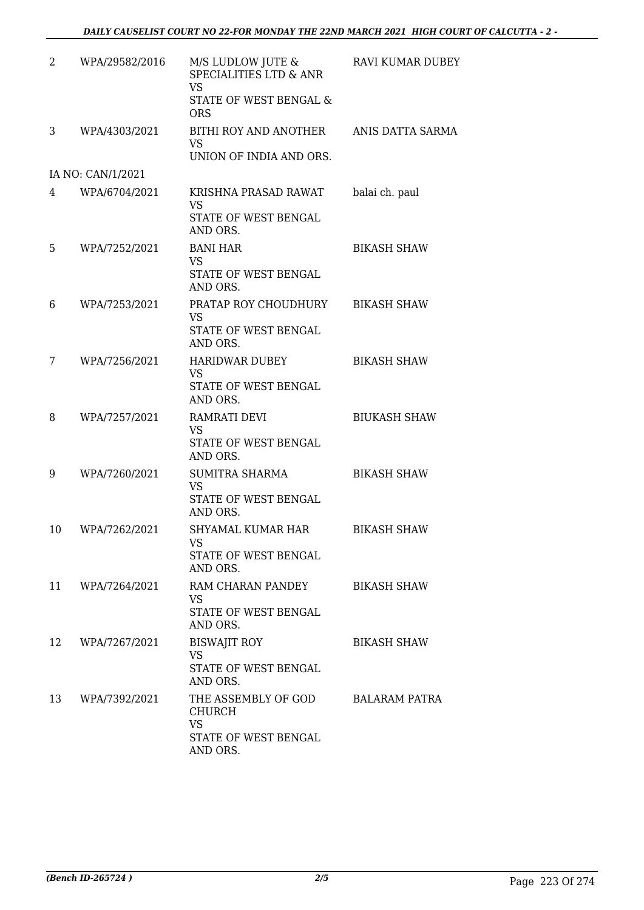| 2  | WPA/29582/2016    | M/S LUDLOW JUTE &<br>SPECIALITIES LTD & ANR<br><b>VS</b><br>STATE OF WEST BENGAL &<br><b>ORS</b> | <b>RAVI KUMAR DUBEY</b> |
|----|-------------------|--------------------------------------------------------------------------------------------------|-------------------------|
| 3  | WPA/4303/2021     | BITHI ROY AND ANOTHER<br><b>VS</b><br>UNION OF INDIA AND ORS.                                    | ANIS DATTA SARMA        |
|    | IA NO: CAN/1/2021 |                                                                                                  |                         |
| 4  | WPA/6704/2021     | KRISHNA PRASAD RAWAT<br><b>VS</b><br>STATE OF WEST BENGAL<br>AND ORS.                            | balai ch. paul          |
| 5  | WPA/7252/2021     | <b>BANI HAR</b><br><b>VS</b><br>STATE OF WEST BENGAL<br>AND ORS.                                 | <b>BIKASH SHAW</b>      |
| 6  | WPA/7253/2021     | PRATAP ROY CHOUDHURY<br><b>VS</b><br>STATE OF WEST BENGAL<br>AND ORS.                            | <b>BIKASH SHAW</b>      |
| 7  | WPA/7256/2021     | <b>HARIDWAR DUBEY</b><br><b>VS</b><br>STATE OF WEST BENGAL<br>AND ORS.                           | <b>BIKASH SHAW</b>      |
| 8  | WPA/7257/2021     | RAMRATI DEVI<br><b>VS</b><br>STATE OF WEST BENGAL<br>AND ORS.                                    | <b>BIUKASH SHAW</b>     |
| 9  | WPA/7260/2021     | SUMITRA SHARMA<br>VS<br>STATE OF WEST BENGAL<br>AND ORS.                                         | <b>BIKASH SHAW</b>      |
| 10 | WPA/7262/2021     | SHYAMAL KUMAR HAR<br>VS<br>STATE OF WEST BENGAL<br>AND ORS.                                      | <b>BIKASH SHAW</b>      |
| 11 | WPA/7264/2021     | RAM CHARAN PANDEY<br><b>VS</b><br>STATE OF WEST BENGAL<br>AND ORS.                               | <b>BIKASH SHAW</b>      |
| 12 | WPA/7267/2021     | <b>BISWAJIT ROY</b><br><b>VS</b><br>STATE OF WEST BENGAL<br>AND ORS.                             | <b>BIKASH SHAW</b>      |
| 13 | WPA/7392/2021     | THE ASSEMBLY OF GOD<br>CHURCH<br><b>VS</b><br>STATE OF WEST BENGAL<br>AND ORS.                   | <b>BALARAM PATRA</b>    |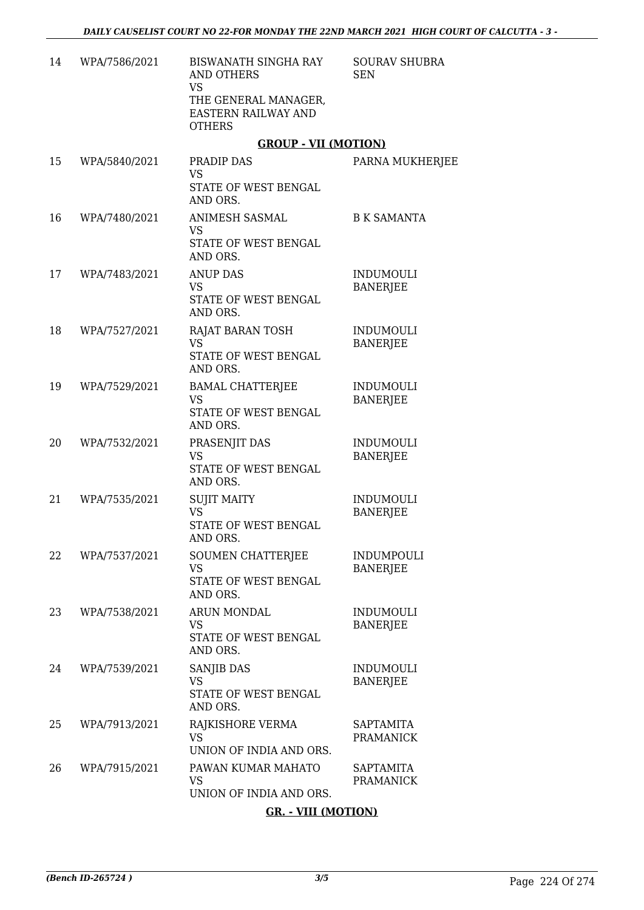| 14 | WPA/7586/2021 | <b>BISWANATH SINGHA RAY</b><br><b>AND OTHERS</b><br><b>VS</b><br>THE GENERAL MANAGER,<br>EASTERN RAILWAY AND<br><b>OTHERS</b> | <b>SOURAV SHUBRA</b><br><b>SEN</b>   |
|----|---------------|-------------------------------------------------------------------------------------------------------------------------------|--------------------------------------|
|    |               | <b>GROUP - VII (MOTION)</b>                                                                                                   |                                      |
| 15 | WPA/5840/2021 | PRADIP DAS<br><b>VS</b><br>STATE OF WEST BENGAL<br>AND ORS.                                                                   | PARNA MUKHERJEE                      |
| 16 | WPA/7480/2021 | ANIMESH SASMAL<br><b>VS</b><br>STATE OF WEST BENGAL<br>AND ORS.                                                               | <b>B K SAMANTA</b>                   |
| 17 | WPA/7483/2021 | <b>ANUP DAS</b><br><b>VS</b><br>STATE OF WEST BENGAL<br>AND ORS.                                                              | <b>INDUMOULI</b><br><b>BANERJEE</b>  |
| 18 | WPA/7527/2021 | RAJAT BARAN TOSH<br><b>VS</b><br>STATE OF WEST BENGAL<br>AND ORS.                                                             | <b>INDUMOULI</b><br><b>BANERJEE</b>  |
| 19 | WPA/7529/2021 | <b>BAMAL CHATTERJEE</b><br><b>VS</b><br>STATE OF WEST BENGAL<br>AND ORS.                                                      | <b>INDUMOULI</b><br><b>BANERJEE</b>  |
| 20 | WPA/7532/2021 | PRASENJIT DAS<br><b>VS</b><br>STATE OF WEST BENGAL<br>AND ORS.                                                                | <b>INDUMOULI</b><br><b>BANERJEE</b>  |
| 21 | WPA/7535/2021 | <b>SUJIT MAITY</b><br><b>VS</b><br>STATE OF WEST BENGAL<br>AND ORS.                                                           | <b>INDUMOULI</b><br><b>BANERJEE</b>  |
| 22 | WPA/7537/2021 | <b>SOUMEN CHATTERJEE</b><br><b>VS</b><br>STATE OF WEST BENGAL<br>AND ORS.                                                     | <b>INDUMPOULI</b><br><b>BANERJEE</b> |
| 23 | WPA/7538/2021 | ARUN MONDAL<br><b>VS</b><br>STATE OF WEST BENGAL<br>AND ORS.                                                                  | <b>INDUMOULI</b><br><b>BANERJEE</b>  |
| 24 | WPA/7539/2021 | <b>SANJIB DAS</b><br><b>VS</b><br>STATE OF WEST BENGAL<br>AND ORS.                                                            | <b>INDUMOULI</b><br><b>BANERJEE</b>  |
| 25 | WPA/7913/2021 | RAJKISHORE VERMA<br><b>VS</b><br>UNION OF INDIA AND ORS.                                                                      | SAPTAMITA<br><b>PRAMANICK</b>        |
| 26 | WPA/7915/2021 | PAWAN KUMAR MAHATO<br><b>VS</b><br>UNION OF INDIA AND ORS.                                                                    | <b>SAPTAMITA</b><br><b>PRAMANICK</b> |
|    |               | <b>GR. - VIII (MOTION)</b>                                                                                                    |                                      |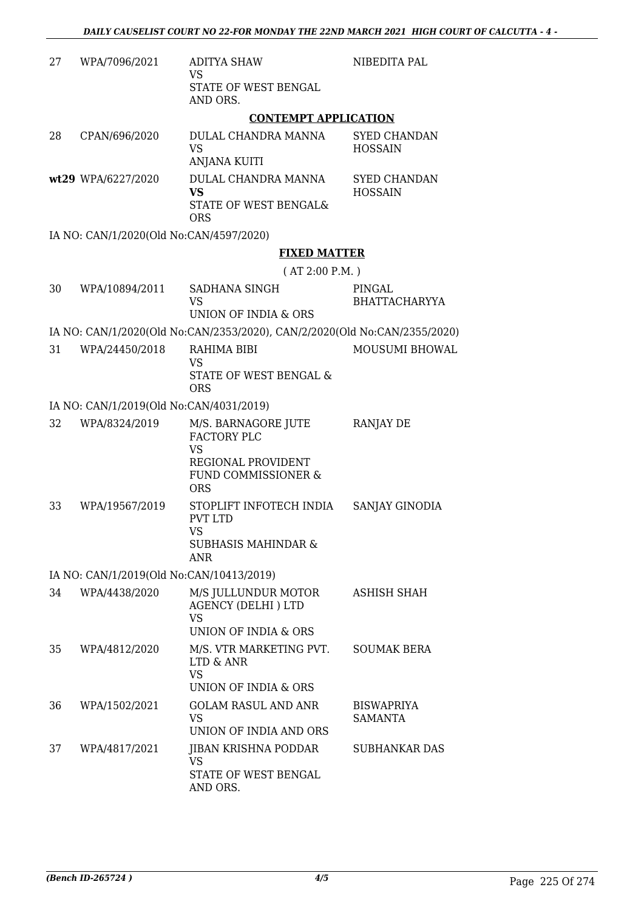| 27 | WPA/7096/2021                            | <b>ADITYA SHAW</b><br><b>VS</b>                                                               | NIBEDITA PAL                          |
|----|------------------------------------------|-----------------------------------------------------------------------------------------------|---------------------------------------|
|    |                                          | STATE OF WEST BENGAL<br>AND ORS.                                                              |                                       |
|    |                                          | <b>CONTEMPT APPLICATION</b>                                                                   |                                       |
| 28 | CPAN/696/2020                            | DULAL CHANDRA MANNA<br><b>VS</b><br><b>ANJANA KUITI</b>                                       | <b>SYED CHANDAN</b><br><b>HOSSAIN</b> |
|    | wt29 WPA/6227/2020                       | DULAL CHANDRA MANNA<br><b>VS</b>                                                              | <b>SYED CHANDAN</b><br><b>HOSSAIN</b> |
|    |                                          | STATE OF WEST BENGAL&<br><b>ORS</b>                                                           |                                       |
|    | IA NO: CAN/1/2020(Old No:CAN/4597/2020)  |                                                                                               |                                       |
|    |                                          | <b>FIXED MATTER</b>                                                                           |                                       |
|    |                                          | (AT 2:00 P.M.)                                                                                |                                       |
| 30 | WPA/10894/2011                           | SADHANA SINGH<br><b>VS</b>                                                                    | PINGAL<br><b>BHATTACHARYYA</b>        |
|    |                                          | UNION OF INDIA & ORS                                                                          |                                       |
|    |                                          | IA NO: CAN/1/2020(Old No:CAN/2353/2020), CAN/2/2020(Old No:CAN/2355/2020)                     | <b>MOUSUMI BHOWAL</b>                 |
| 31 | WPA/24450/2018                           | RAHIMA BIBI<br><b>VS</b><br>STATE OF WEST BENGAL &<br><b>ORS</b>                              |                                       |
|    | IA NO: CAN/1/2019(Old No:CAN/4031/2019)  |                                                                                               |                                       |
| 32 | WPA/8324/2019                            | M/S. BARNAGORE JUTE<br><b>FACTORY PLC</b>                                                     | RANJAY DE                             |
|    |                                          | <b>VS</b><br>REGIONAL PROVIDENT<br>FUND COMMISSIONER &<br><b>ORS</b>                          |                                       |
| 33 | WPA/19567/2019                           | STOPLIFT INFOTECH INDIA<br><b>PVT LTD</b><br>VS <b>Same</b><br><b>SUBHASIS MAHINDAR &amp;</b> | SANJAY GINODIA                        |
|    |                                          | ANR                                                                                           |                                       |
|    | IA NO: CAN/1/2019(Old No:CAN/10413/2019) |                                                                                               |                                       |
| 34 | WPA/4438/2020                            | M/S JULLUNDUR MOTOR<br><b>AGENCY (DELHI) LTD</b><br><b>VS</b>                                 | ASHISH SHAH                           |
|    |                                          | UNION OF INDIA & ORS                                                                          |                                       |
| 35 | WPA/4812/2020                            | M/S. VTR MARKETING PVT.<br>LTD & ANR<br><b>VS</b><br>UNION OF INDIA & ORS                     | <b>SOUMAK BERA</b>                    |
| 36 | WPA/1502/2021                            | <b>GOLAM RASUL AND ANR</b><br><b>VS</b><br>UNION OF INDIA AND ORS                             | <b>BISWAPRIYA</b><br>SAMANTA          |
| 37 | WPA/4817/2021                            | JIBAN KRISHNA PODDAR                                                                          | SUBHANKAR DAS                         |
|    |                                          | VS<br>STATE OF WEST BENGAL<br>AND ORS.                                                        |                                       |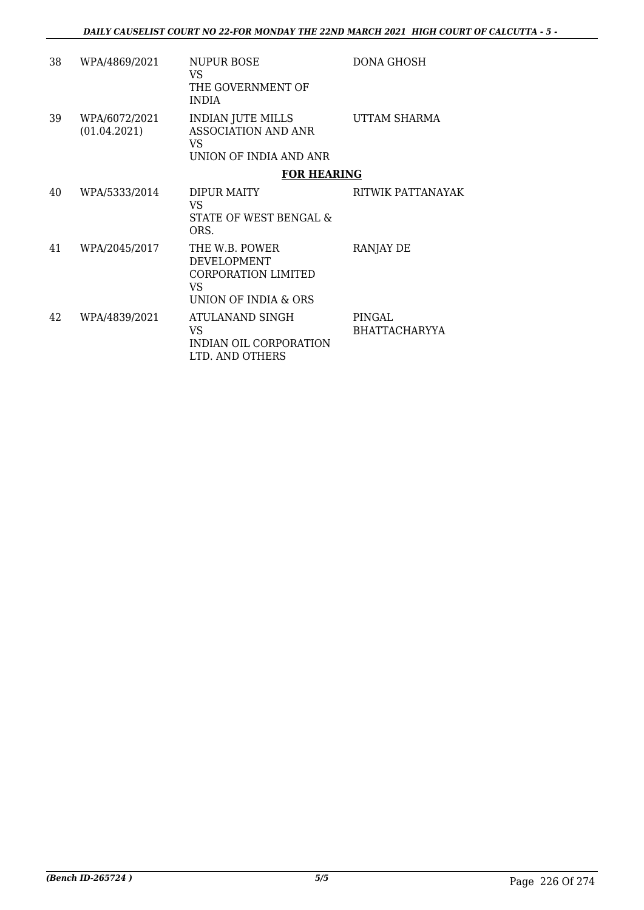| 38 | WPA/4869/2021                 | <b>NUPUR BOSE</b><br>VS.<br>THE GOVERNMENT OF<br><b>INDIA</b>                              | DONA GHOSH                     |
|----|-------------------------------|--------------------------------------------------------------------------------------------|--------------------------------|
| 39 | WPA/6072/2021<br>(01.04.2021) | <b>INDIAN JUTE MILLS</b><br>ASSOCIATION AND ANR<br>VS.<br>UNION OF INDIA AND ANR           | UTTAM SHARMA                   |
|    |                               | <b>FOR HEARING</b>                                                                         |                                |
| 40 | WPA/5333/2014                 | DIPUR MAITY<br>VS.<br>STATE OF WEST BENGAL &<br>ORS.                                       | RITWIK PATTANAYAK              |
| 41 | WPA/2045/2017                 | THE W.B. POWER<br><b>DEVELOPMENT</b><br>CORPORATION LIMITED<br>VS.<br>UNION OF INDIA & ORS | RANJAY DE                      |
| 42 | WPA/4839/2021                 | ATULANAND SINGH<br>VS.<br>INDIAN OIL CORPORATION<br>LTD. AND OTHERS                        | PINGAL<br><b>BHATTACHARYYA</b> |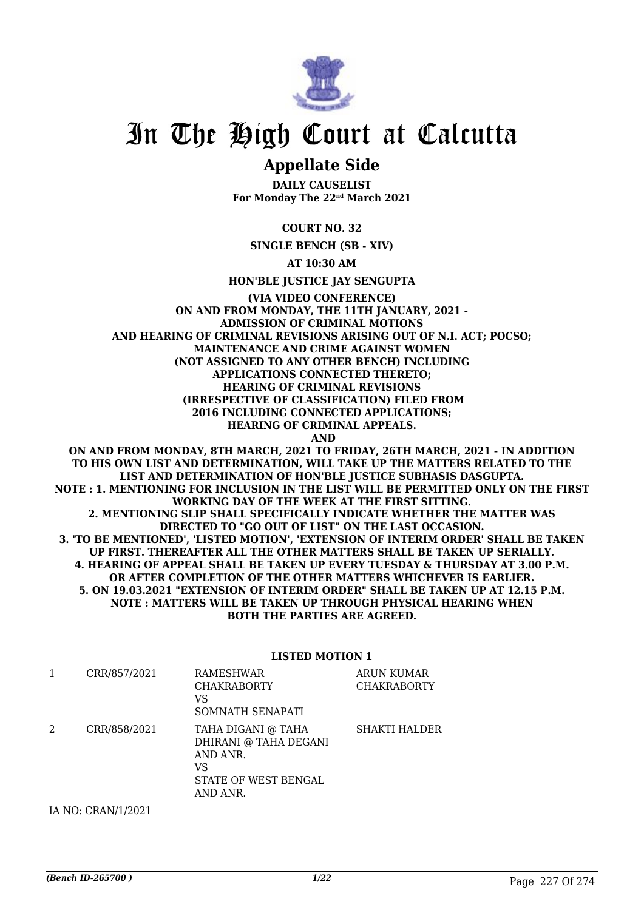

# In The High Court at Calcutta

# **Appellate Side**

**DAILY CAUSELIST For Monday The 22nd March 2021**

**COURT NO. 32**

**SINGLE BENCH (SB - XIV)**

**AT 10:30 AM**

**HON'BLE JUSTICE JAY SENGUPTA**

**(VIA VIDEO CONFERENCE) ON AND FROM MONDAY, THE 11TH JANUARY, 2021 - ADMISSION OF CRIMINAL MOTIONS AND HEARING OF CRIMINAL REVISIONS ARISING OUT OF N.I. ACT; POCSO; MAINTENANCE AND CRIME AGAINST WOMEN (NOT ASSIGNED TO ANY OTHER BENCH) INCLUDING APPLICATIONS CONNECTED THERETO; HEARING OF CRIMINAL REVISIONS (IRRESPECTIVE OF CLASSIFICATION) FILED FROM 2016 INCLUDING CONNECTED APPLICATIONS; HEARING OF CRIMINAL APPEALS. AND ON AND FROM MONDAY, 8TH MARCH, 2021 TO FRIDAY, 26TH MARCH, 2021 - IN ADDITION**

**TO HIS OWN LIST AND DETERMINATION, WILL TAKE UP THE MATTERS RELATED TO THE LIST AND DETERMINATION OF HON'BLE JUSTICE SUBHASIS DASGUPTA. NOTE : 1. MENTIONING FOR INCLUSION IN THE LIST WILL BE PERMITTED ONLY ON THE FIRST WORKING DAY OF THE WEEK AT THE FIRST SITTING. 2. MENTIONING SLIP SHALL SPECIFICALLY INDICATE WHETHER THE MATTER WAS DIRECTED TO "GO OUT OF LIST" ON THE LAST OCCASION. 3. 'TO BE MENTIONED', 'LISTED MOTION', 'EXTENSION OF INTERIM ORDER' SHALL BE TAKEN UP FIRST. THEREAFTER ALL THE OTHER MATTERS SHALL BE TAKEN UP SERIALLY. 4. HEARING OF APPEAL SHALL BE TAKEN UP EVERY TUESDAY & THURSDAY AT 3.00 P.M. OR AFTER COMPLETION OF THE OTHER MATTERS WHICHEVER IS EARLIER. 5. ON 19.03.2021 "EXTENSION OF INTERIM ORDER" SHALL BE TAKEN UP AT 12.15 P.M. NOTE : MATTERS WILL BE TAKEN UP THROUGH PHYSICAL HEARING WHEN BOTH THE PARTIES ARE AGREED.**

**LISTED MOTION 1**

|   | CRR/857/2021       | RAMESHWAR<br><b>CHAKRABORTY</b><br>VS<br>SOMNATH SENAPATI                                         | ARUN KUMAR<br><b>CHAKRABORTY</b> |
|---|--------------------|---------------------------------------------------------------------------------------------------|----------------------------------|
| 2 | CRR/858/2021       | TAHA DIGANI @ TAHA<br>DHIRANI @ TAHA DEGANI<br>AND ANR.<br>VS<br>STATE OF WEST BENGAL<br>AND ANR. | SHAKTI HALDER                    |
|   | IA NO: CRAN/1/2021 |                                                                                                   |                                  |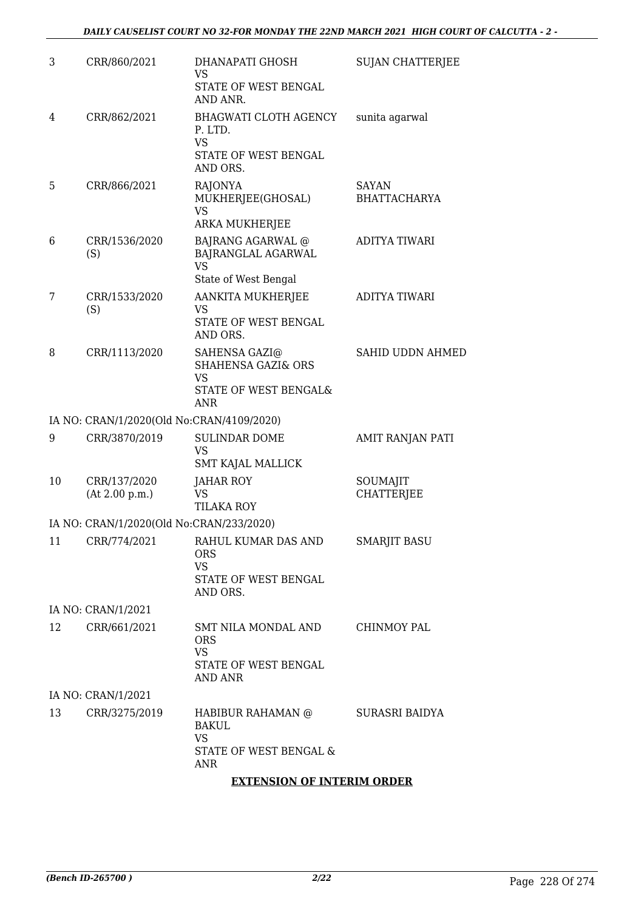| 3  | CRR/860/2021                              | DHANAPATI GHOSH<br><b>VS</b><br>STATE OF WEST BENGAL<br>AND ANR.                                   | <b>SUJAN CHATTERJEE</b>       |
|----|-------------------------------------------|----------------------------------------------------------------------------------------------------|-------------------------------|
| 4  | CRR/862/2021                              | BHAGWATI CLOTH AGENCY<br>P. LTD.<br><b>VS</b><br>STATE OF WEST BENGAL<br>AND ORS.                  | sunita agarwal                |
| 5  | CRR/866/2021                              | RAJONYA<br>MUKHERJEE(GHOSAL)<br><b>VS</b><br>ARKA MUKHERJEE                                        | SAYAN<br><b>BHATTACHARYA</b>  |
| 6  | CRR/1536/2020<br>(S)                      | <b>BAJRANG AGARWAL @</b><br>BAJRANGLAL AGARWAL<br>VS<br>State of West Bengal                       | ADITYA TIWARI                 |
| 7  | CRR/1533/2020<br>(S)                      | AANKITA MUKHERJEE<br>VS<br>STATE OF WEST BENGAL<br>AND ORS.                                        | ADITYA TIWARI                 |
| 8  | CRR/1113/2020                             | SAHENSA GAZI@<br><b>SHAHENSA GAZI&amp; ORS</b><br><b>VS</b><br>STATE OF WEST BENGAL&<br><b>ANR</b> | SAHID UDDN AHMED              |
|    | IA NO: CRAN/1/2020(Old No:CRAN/4109/2020) |                                                                                                    |                               |
| 9  | CRR/3870/2019                             | <b>SULINDAR DOME</b><br><b>VS</b><br>SMT KAJAL MALLICK                                             | AMIT RANJAN PATI              |
| 10 | CRR/137/2020<br>(At 2.00 p.m.)            | JAHAR ROY<br><b>VS</b><br><b>TILAKA ROY</b>                                                        | SOUMAJIT<br><b>CHATTERJEE</b> |
|    | IA NO: CRAN/1/2020(Old No:CRAN/233/2020)  |                                                                                                    |                               |
| 11 | CRR/774/2021                              | RAHUL KUMAR DAS AND<br><b>ORS</b><br><b>VS</b><br>STATE OF WEST BENGAL<br>AND ORS.                 | <b>SMARJIT BASU</b>           |
|    | IA NO: CRAN/1/2021                        |                                                                                                    |                               |
| 12 | CRR/661/2021                              | SMT NILA MONDAL AND<br><b>ORS</b><br><b>VS</b><br>STATE OF WEST BENGAL<br><b>AND ANR</b>           | CHINMOY PAL                   |
|    | IA NO: CRAN/1/2021                        |                                                                                                    |                               |
| 13 | CRR/3275/2019                             | HABIBUR RAHAMAN @<br>BAKUL<br><b>VS</b><br>STATE OF WEST BENGAL &<br>ANR                           | SURASRI BAIDYA                |
|    |                                           |                                                                                                    |                               |

# **EXTENSION OF INTERIM ORDER**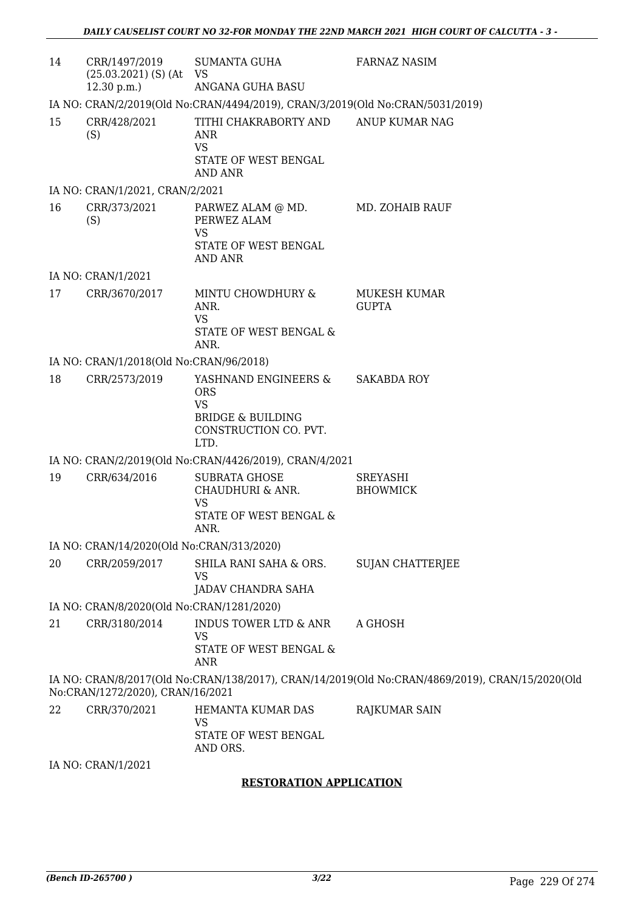| 14 | CRR/1497/2019<br>$(25.03.2021)$ (S) (At VS<br>12.30 p.m.                      | <b>SUMANTA GUHA</b><br>ANGANA GUHA BASU                                                                          | <b>FARNAZ NASIM</b>                                                                             |  |  |
|----|-------------------------------------------------------------------------------|------------------------------------------------------------------------------------------------------------------|-------------------------------------------------------------------------------------------------|--|--|
|    | IA NO: CRAN/2/2019(Old No:CRAN/4494/2019), CRAN/3/2019(Old No:CRAN/5031/2019) |                                                                                                                  |                                                                                                 |  |  |
| 15 | CRR/428/2021<br>(S)                                                           | TITHI CHAKRABORTY AND<br>ANR<br><b>VS</b><br>STATE OF WEST BENGAL<br>AND ANR                                     | ANUP KUMAR NAG                                                                                  |  |  |
|    | IA NO: CRAN/1/2021, CRAN/2/2021                                               |                                                                                                                  |                                                                                                 |  |  |
| 16 | CRR/373/2021<br>(S)                                                           | PARWEZ ALAM @ MD.<br>PERWEZ ALAM<br><b>VS</b><br>STATE OF WEST BENGAL<br><b>AND ANR</b>                          | MD. ZOHAIB RAUF                                                                                 |  |  |
|    | IA NO: CRAN/1/2021                                                            |                                                                                                                  |                                                                                                 |  |  |
| 17 | CRR/3670/2017                                                                 | MINTU CHOWDHURY &<br>ANR.<br><b>VS</b><br>STATE OF WEST BENGAL &<br>ANR.                                         | MUKESH KUMAR<br><b>GUPTA</b>                                                                    |  |  |
|    | IA NO: CRAN/1/2018(Old No:CRAN/96/2018)                                       |                                                                                                                  |                                                                                                 |  |  |
| 18 | CRR/2573/2019                                                                 | YASHNAND ENGINEERS &<br><b>ORS</b><br><b>VS</b><br><b>BRIDGE &amp; BUILDING</b><br>CONSTRUCTION CO. PVT.<br>LTD. | <b>SAKABDA ROY</b>                                                                              |  |  |
|    |                                                                               | IA NO: CRAN/2/2019(Old No:CRAN/4426/2019), CRAN/4/2021                                                           |                                                                                                 |  |  |
| 19 | CRR/634/2016                                                                  | <b>SUBRATA GHOSE</b><br>CHAUDHURI & ANR.<br><b>VS</b><br>STATE OF WEST BENGAL &<br>ANR.                          | SREYASHI<br><b>BHOWMICK</b>                                                                     |  |  |
|    | IA NO: CRAN/14/2020(Old No:CRAN/313/2020)                                     |                                                                                                                  |                                                                                                 |  |  |
| 20 | CRR/2059/2017                                                                 | SHILA RANI SAHA & ORS.<br>VS<br>JADAV CHANDRA SAHA                                                               | <b>SUJAN CHATTERJEE</b>                                                                         |  |  |
|    | IA NO: CRAN/8/2020(Old No:CRAN/1281/2020)                                     |                                                                                                                  |                                                                                                 |  |  |
| 21 | CRR/3180/2014                                                                 | <b>INDUS TOWER LTD &amp; ANR</b><br><b>VS</b><br>STATE OF WEST BENGAL &<br><b>ANR</b>                            | A GHOSH                                                                                         |  |  |
|    | No:CRAN/1272/2020), CRAN/16/2021                                              |                                                                                                                  | IA NO: CRAN/8/2017(Old No:CRAN/138/2017), CRAN/14/2019(Old No:CRAN/4869/2019), CRAN/15/2020(Old |  |  |
| 22 | CRR/370/2021                                                                  | HEMANTA KUMAR DAS<br>VS<br>STATE OF WEST BENGAL<br>AND ORS.                                                      | RAJKUMAR SAIN                                                                                   |  |  |

IA NO: CRAN/1/2021

### **RESTORATION APPLICATION**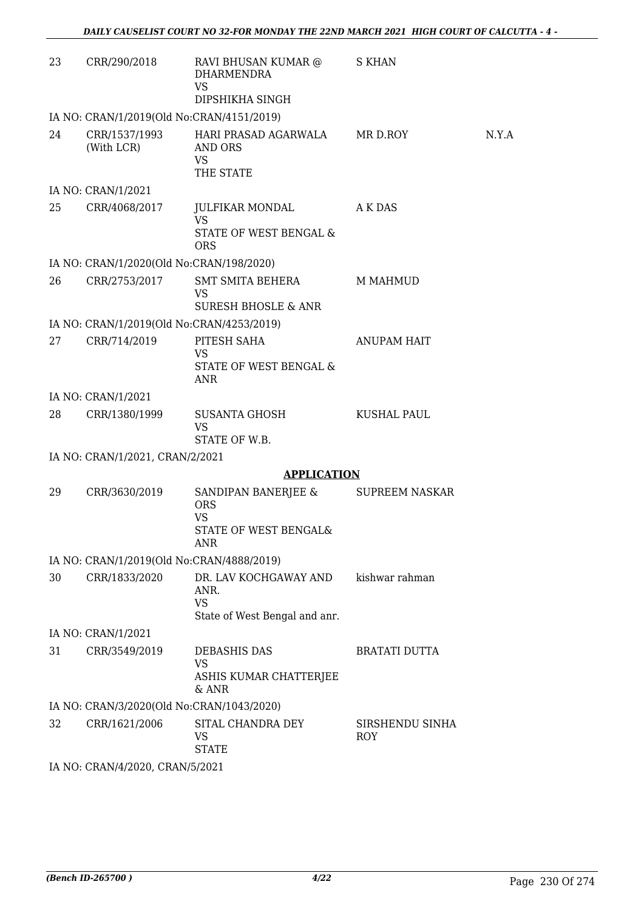| 23 | CRR/290/2018                              | RAVI BHUSAN KUMAR @<br>DHARMENDRA<br><b>VS</b><br>DIPSHIKHA SINGH                     | S KHAN                        |       |
|----|-------------------------------------------|---------------------------------------------------------------------------------------|-------------------------------|-------|
|    | IA NO: CRAN/1/2019(Old No:CRAN/4151/2019) |                                                                                       |                               |       |
| 24 | (With LCR)                                | CRR/1537/1993 HARI PRASAD AGARWALA MR D.ROY<br>AND ORS<br>VS<br>THE STATE             |                               | N.Y.A |
|    | IA NO: CRAN/1/2021                        |                                                                                       |                               |       |
| 25 | CRR/4068/2017                             | JULFIKAR MONDAL<br><b>VS</b><br>STATE OF WEST BENGAL &<br><b>ORS</b>                  | A K DAS                       |       |
|    | IA NO: CRAN/1/2020(Old No:CRAN/198/2020)  |                                                                                       |                               |       |
| 26 | CRR/2753/2017                             | SMT SMITA BEHERA<br>VS<br><b>SURESH BHOSLE &amp; ANR</b>                              | M MAHMUD                      |       |
|    | IA NO: CRAN/1/2019(Old No:CRAN/4253/2019) |                                                                                       |                               |       |
| 27 | CRR/714/2019                              | PITESH SAHA<br><b>VS</b><br>STATE OF WEST BENGAL &<br>ANR                             | <b>ANUPAM HAIT</b>            |       |
|    | IA NO: CRAN/1/2021                        |                                                                                       |                               |       |
| 28 | CRR/1380/1999                             | SUSANTA GHOSH<br><b>VS</b><br>STATE OF W.B.                                           | KUSHAL PAUL                   |       |
|    | IA NO: CRAN/1/2021, CRAN/2/2021           |                                                                                       |                               |       |
|    |                                           | <b>APPLICATION</b>                                                                    |                               |       |
| 29 | CRR/3630/2019                             | SANDIPAN BANERJEE &<br><b>ORS</b><br><b>VS</b><br>STATE OF WEST BENGAL&<br><b>ANR</b> | <b>SUPREEM NASKAR</b>         |       |
|    | IA NO: CRAN/1/2019(Old No:CRAN/4888/2019) |                                                                                       |                               |       |
| 30 | CRR/1833/2020                             | DR. LAV KOCHGAWAY AND<br>ANR.<br><b>VS</b><br>State of West Bengal and anr.           | kishwar rahman                |       |
|    | IA NO: CRAN/1/2021                        |                                                                                       |                               |       |
| 31 | CRR/3549/2019                             | <b>DEBASHIS DAS</b><br><b>VS</b><br>ASHIS KUMAR CHATTERJEE<br>$&$ ANR                 | <b>BRATATI DUTTA</b>          |       |
|    | IA NO: CRAN/3/2020(Old No:CRAN/1043/2020) |                                                                                       |                               |       |
| 32 | CRR/1621/2006                             | SITAL CHANDRA DEY<br>VS<br><b>STATE</b>                                               | SIRSHENDU SINHA<br><b>ROY</b> |       |
|    | IA NO: CRAN/4/2020, CRAN/5/2021           |                                                                                       |                               |       |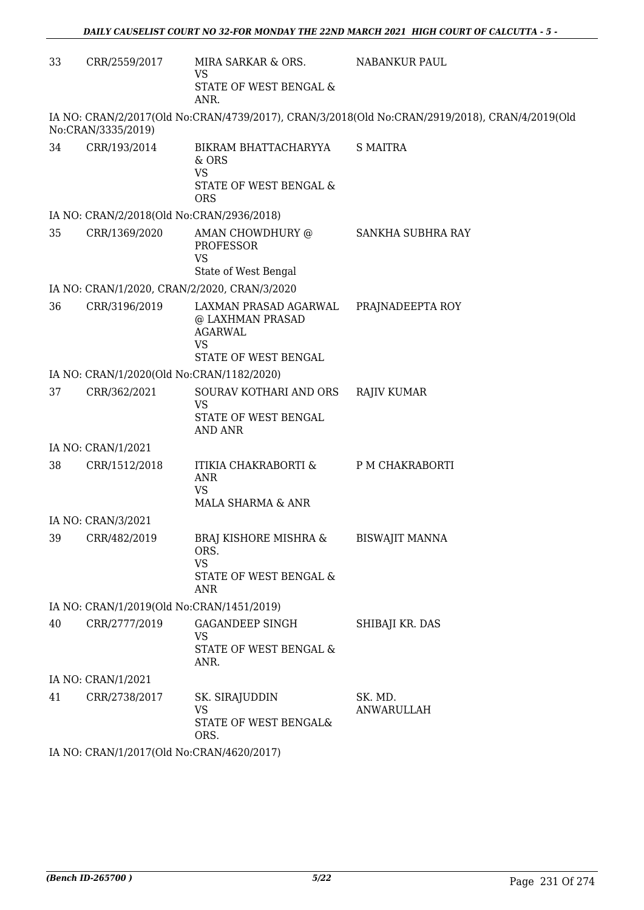| 33 | CRR/2559/2017                             | MIRA SARKAR & ORS.<br>VS                                                                         | <b>NABANKUR PAUL</b>                                                                           |
|----|-------------------------------------------|--------------------------------------------------------------------------------------------------|------------------------------------------------------------------------------------------------|
|    |                                           | STATE OF WEST BENGAL &<br>ANR.                                                                   |                                                                                                |
|    | No:CRAN/3335/2019)                        |                                                                                                  | IA NO: CRAN/2/2017(Old No:CRAN/4739/2017), CRAN/3/2018(Old No:CRAN/2919/2018), CRAN/4/2019(Old |
| 34 | CRR/193/2014                              | BIKRAM BHATTACHARYYA<br>$&$ ORS<br><b>VS</b><br>STATE OF WEST BENGAL &<br><b>ORS</b>             | <b>S MAITRA</b>                                                                                |
|    | IA NO: CRAN/2/2018(Old No:CRAN/2936/2018) |                                                                                                  |                                                                                                |
| 35 | CRR/1369/2020                             | AMAN CHOWDHURY @<br><b>PROFESSOR</b><br><b>VS</b>                                                | SANKHA SUBHRA RAY                                                                              |
|    |                                           | State of West Bengal                                                                             |                                                                                                |
|    |                                           | IA NO: CRAN/1/2020, CRAN/2/2020, CRAN/3/2020                                                     |                                                                                                |
| 36 | CRR/3196/2019                             | LAXMAN PRASAD AGARWAL<br>@ LAXHMAN PRASAD<br><b>AGARWAL</b><br><b>VS</b><br>STATE OF WEST BENGAL | PRAJNADEEPTA ROY                                                                               |
|    | IA NO: CRAN/1/2020(Old No:CRAN/1182/2020) |                                                                                                  |                                                                                                |
| 37 | CRR/362/2021                              | SOURAV KOTHARI AND ORS                                                                           | <b>RAJIV KUMAR</b>                                                                             |
|    |                                           | <b>VS</b><br>STATE OF WEST BENGAL<br><b>AND ANR</b>                                              |                                                                                                |
|    | IA NO: CRAN/1/2021                        |                                                                                                  |                                                                                                |
| 38 | CRR/1512/2018                             | ITIKIA CHAKRABORTI &<br><b>ANR</b><br><b>VS</b><br>MALA SHARMA & ANR                             | P M CHAKRABORTI                                                                                |
|    | IA NO: CRAN/3/2021                        |                                                                                                  |                                                                                                |
|    | 39 CRR/482/2019                           | BRAJ KISHORE MISHRA &<br>ORS.<br><b>VS</b><br>STATE OF WEST BENGAL &<br>ANR                      | <b>BISWAJIT MANNA</b>                                                                          |
|    | IA NO: CRAN/1/2019(Old No:CRAN/1451/2019) |                                                                                                  |                                                                                                |
| 40 | CRR/2777/2019                             | <b>GAGANDEEP SINGH</b><br><b>VS</b><br>STATE OF WEST BENGAL &<br>ANR.                            | SHIBAJI KR. DAS                                                                                |
|    | IA NO: CRAN/1/2021                        |                                                                                                  |                                                                                                |
| 41 | CRR/2738/2017                             | SK. SIRAJUDDIN<br>VS<br>STATE OF WEST BENGAL&<br>ORS.                                            | SK. MD.<br>ANWARULLAH                                                                          |
|    | IA NO: CRAN/1/2017(Old No:CRAN/4620/2017) |                                                                                                  |                                                                                                |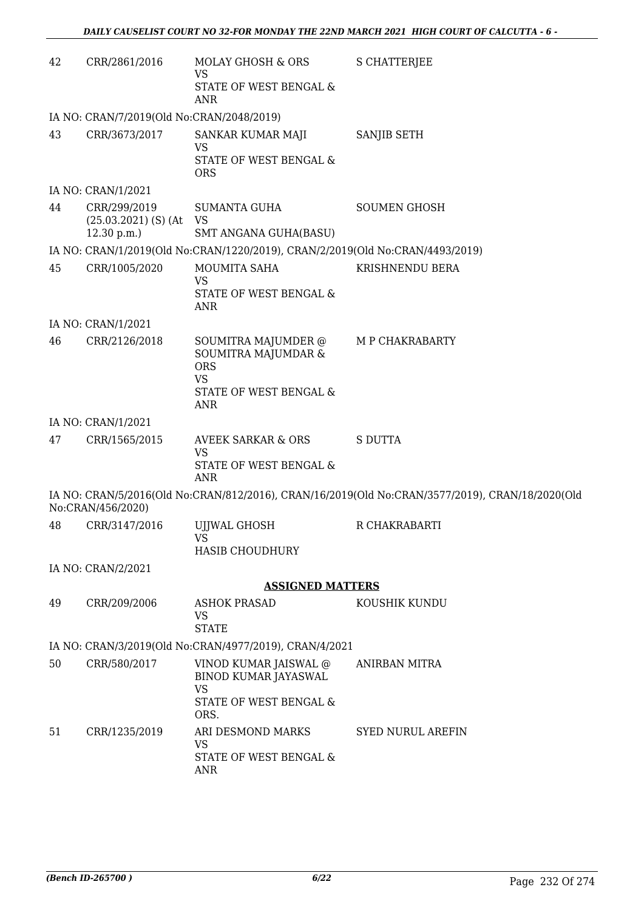| 42 | CRR/2861/2016                                           | MOLAY GHOSH & ORS<br>VS<br>STATE OF WEST BENGAL &<br>ANR                                                      | S CHATTERJEE                                                                                    |
|----|---------------------------------------------------------|---------------------------------------------------------------------------------------------------------------|-------------------------------------------------------------------------------------------------|
|    | IA NO: CRAN/7/2019(Old No:CRAN/2048/2019)               |                                                                                                               |                                                                                                 |
| 43 | CRR/3673/2017                                           | SANKAR KUMAR MAJI<br><b>VS</b><br>STATE OF WEST BENGAL &<br><b>ORS</b>                                        | SANJIB SETH                                                                                     |
|    | IA NO: CRAN/1/2021                                      |                                                                                                               |                                                                                                 |
| 44 | CRR/299/2019<br>$(25.03.2021)$ (S) (At VS<br>12.30 p.m. | SUMANTA GUHA<br>SMT ANGANA GUHA(BASU)                                                                         | <b>SOUMEN GHOSH</b>                                                                             |
|    |                                                         | IA NO: CRAN/1/2019(Old No:CRAN/1220/2019), CRAN/2/2019(Old No:CRAN/4493/2019)                                 |                                                                                                 |
| 45 | CRR/1005/2020                                           | MOUMITA SAHA<br><b>VS</b><br>STATE OF WEST BENGAL &<br>ANR                                                    | KRISHNENDU BERA                                                                                 |
|    | IA NO: CRAN/1/2021                                      |                                                                                                               |                                                                                                 |
| 46 | CRR/2126/2018                                           | SOUMITRA MAJUMDER @<br>SOUMITRA MAJUMDAR &<br><b>ORS</b><br><b>VS</b><br>STATE OF WEST BENGAL &<br><b>ANR</b> | M P CHAKRABARTY                                                                                 |
|    | IA NO: CRAN/1/2021                                      |                                                                                                               |                                                                                                 |
| 47 | CRR/1565/2015                                           | <b>AVEEK SARKAR &amp; ORS</b><br><b>VS</b><br>STATE OF WEST BENGAL &<br><b>ANR</b>                            | <b>S DUTTA</b>                                                                                  |
|    | No:CRAN/456/2020)                                       |                                                                                                               | IA NO: CRAN/5/2016(Old No:CRAN/812/2016), CRAN/16/2019(Old No:CRAN/3577/2019), CRAN/18/2020(Old |
| 48 | CRR/3147/2016                                           | <b>UJJWAL GHOSH</b><br>VS<br><b>HASIB CHOUDHURY</b>                                                           | R CHAKRABARTI                                                                                   |
|    | IA NO: CRAN/2/2021                                      |                                                                                                               |                                                                                                 |
|    |                                                         | <b>ASSIGNED MATTERS</b>                                                                                       |                                                                                                 |
| 49 | CRR/209/2006                                            | <b>ASHOK PRASAD</b><br>VS<br><b>STATE</b>                                                                     | KOUSHIK KUNDU                                                                                   |
|    |                                                         | IA NO: CRAN/3/2019(Old No:CRAN/4977/2019), CRAN/4/2021                                                        |                                                                                                 |
| 50 | CRR/580/2017                                            | VINOD KUMAR JAISWAL @<br><b>BINOD KUMAR JAYASWAL</b><br><b>VS</b><br>STATE OF WEST BENGAL &<br>ORS.           | ANIRBAN MITRA                                                                                   |
| 51 | CRR/1235/2019                                           | ARI DESMOND MARKS<br>VS<br>STATE OF WEST BENGAL &<br>ANR                                                      | <b>SYED NURUL AREFIN</b>                                                                        |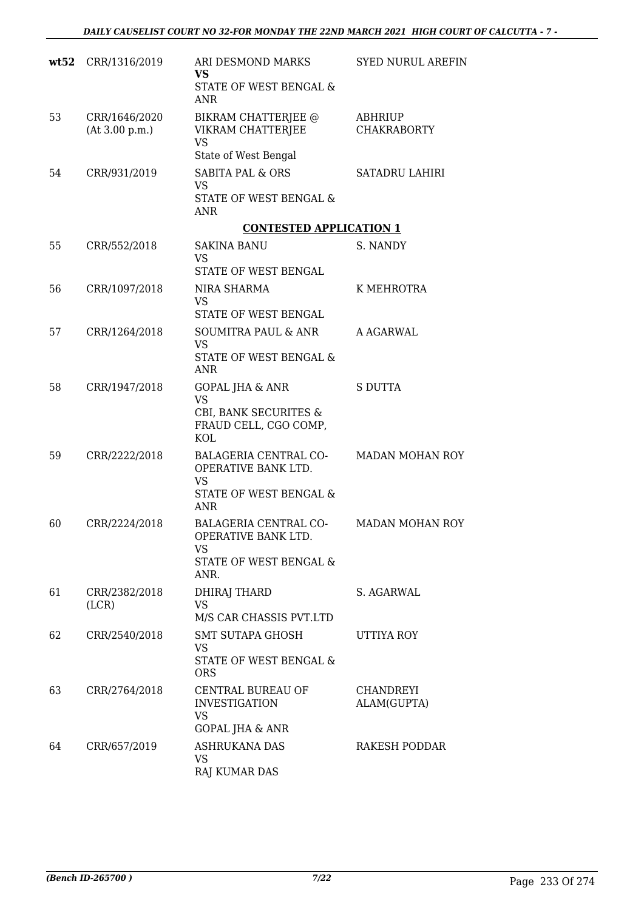|    | wt52 CRR/1316/2019              | ARI DESMOND MARKS<br><b>VS</b>                                                                   | <b>SYED NURUL AREFIN</b>             |
|----|---------------------------------|--------------------------------------------------------------------------------------------------|--------------------------------------|
|    |                                 | STATE OF WEST BENGAL &<br><b>ANR</b>                                                             |                                      |
| 53 | CRR/1646/2020<br>(At 3.00 p.m.) | BIKRAM CHATTERJEE @<br>VIKRAM CHATTERJEE<br><b>VS</b>                                            | <b>ABHRIUP</b><br><b>CHAKRABORTY</b> |
| 54 | CRR/931/2019                    | State of West Bengal<br><b>SABITA PAL &amp; ORS</b>                                              | <b>SATADRU LAHIRI</b>                |
|    |                                 | VS<br>STATE OF WEST BENGAL &                                                                     |                                      |
|    |                                 | <b>ANR</b><br><b>CONTESTED APPLICATION 1</b>                                                     |                                      |
| 55 | CRR/552/2018                    | <b>SAKINA BANU</b><br>VS                                                                         | S. NANDY                             |
|    |                                 | STATE OF WEST BENGAL                                                                             |                                      |
| 56 | CRR/1097/2018                   | NIRA SHARMA<br><b>VS</b><br>STATE OF WEST BENGAL                                                 | K MEHROTRA                           |
| 57 | CRR/1264/2018                   | SOUMITRA PAUL & ANR                                                                              | A AGARWAL                            |
|    |                                 | VS<br>STATE OF WEST BENGAL &                                                                     |                                      |
|    |                                 | <b>ANR</b>                                                                                       |                                      |
| 58 | CRR/1947/2018                   | <b>GOPAL JHA &amp; ANR</b><br><b>VS</b><br>CBI, BANK SECURITES &<br>FRAUD CELL, CGO COMP,<br>KOL | <b>S DUTTA</b>                       |
| 59 | CRR/2222/2018                   | BALAGERIA CENTRAL CO-<br>OPERATIVE BANK LTD.<br><b>VS</b><br>STATE OF WEST BENGAL &<br>ANR       | <b>MADAN MOHAN ROY</b>               |
| 60 | CRR/2224/2018                   | BALAGERIA CENTRAL CO-<br>OPERATIVE BANK LTD.<br>VS<br>STATE OF WEST BENGAL &                     | <b>MADAN MOHAN ROY</b>               |
|    |                                 | ANR.                                                                                             |                                      |
| 61 | CRR/2382/2018<br>(LCR)          | DHIRAJ THARD<br><b>VS</b><br>M/S CAR CHASSIS PVT.LTD                                             | S. AGARWAL                           |
| 62 | CRR/2540/2018                   | SMT SUTAPA GHOSH                                                                                 | UTTIYA ROY                           |
|    |                                 | VS<br>STATE OF WEST BENGAL &<br><b>ORS</b>                                                       |                                      |
| 63 | CRR/2764/2018                   | CENTRAL BUREAU OF<br><b>INVESTIGATION</b><br>VS<br><b>GOPAL JHA &amp; ANR</b>                    | CHANDREYI<br>ALAM(GUPTA)             |
| 64 | CRR/657/2019                    | ASHRUKANA DAS<br>VS.<br>RAJ KUMAR DAS                                                            | <b>RAKESH PODDAR</b>                 |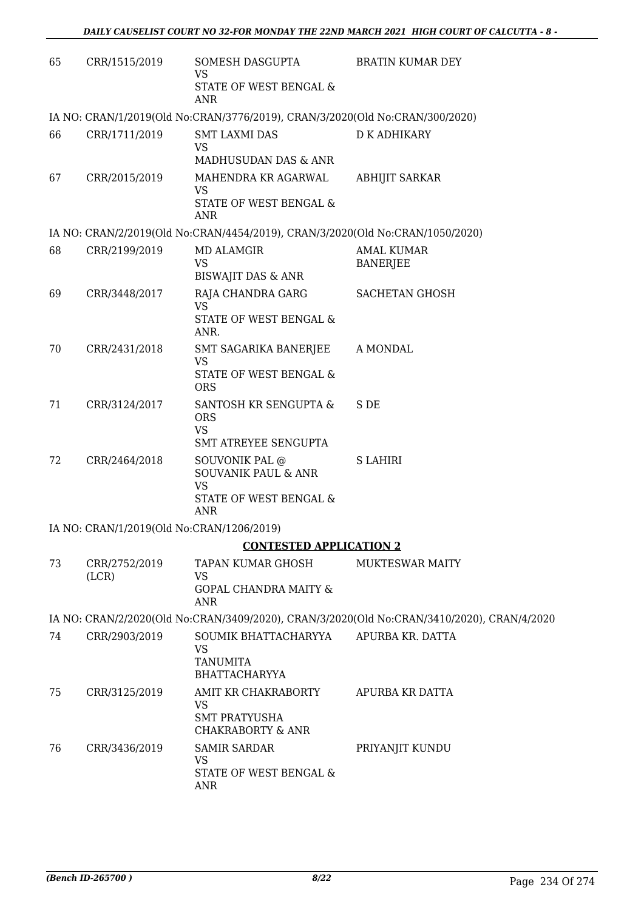| 65 | CRR/1515/2019                             | SOMESH DASGUPTA<br><b>VS</b>                                                      | <b>BRATIN KUMAR DEY</b>                                                                    |
|----|-------------------------------------------|-----------------------------------------------------------------------------------|--------------------------------------------------------------------------------------------|
|    |                                           | STATE OF WEST BENGAL &<br><b>ANR</b>                                              |                                                                                            |
|    |                                           | IA NO: CRAN/1/2019(Old No:CRAN/3776/2019), CRAN/3/2020(Old No:CRAN/300/2020)      |                                                                                            |
| 66 | CRR/1711/2019                             | <b>SMT LAXMI DAS</b><br><b>VS</b>                                                 | <b>D K ADHIKARY</b>                                                                        |
|    |                                           | MADHUSUDAN DAS & ANR                                                              |                                                                                            |
| 67 | CRR/2015/2019                             | MAHENDRA KR AGARWAL<br><b>VS</b><br>STATE OF WEST BENGAL &<br><b>ANR</b>          | <b>ABHIJIT SARKAR</b>                                                                      |
|    |                                           | IA NO: CRAN/2/2019(Old No:CRAN/4454/2019), CRAN/3/2020(Old No:CRAN/1050/2020)     |                                                                                            |
| 68 | CRR/2199/2019                             | MD ALAMGIR<br><b>VS</b>                                                           | <b>AMAL KUMAR</b><br><b>BANERJEE</b>                                                       |
|    |                                           | <b>BISWAJIT DAS &amp; ANR</b>                                                     |                                                                                            |
| 69 | CRR/3448/2017                             | RAJA CHANDRA GARG<br><b>VS</b><br>STATE OF WEST BENGAL &<br>ANR.                  | <b>SACHETAN GHOSH</b>                                                                      |
| 70 | CRR/2431/2018                             | SMT SAGARIKA BANERJEE<br><b>VS</b><br>STATE OF WEST BENGAL &                      | A MONDAL                                                                                   |
|    |                                           | <b>ORS</b>                                                                        |                                                                                            |
| 71 | CRR/3124/2017                             | SANTOSH KR SENGUPTA &<br><b>ORS</b><br><b>VS</b><br>SMT ATREYEE SENGUPTA          | S DE                                                                                       |
| 72 | CRR/2464/2018                             | SOUVONIK PAL @                                                                    | <b>S LAHIRI</b>                                                                            |
|    |                                           | <b>SOUVANIK PAUL &amp; ANR</b><br><b>VS</b><br>STATE OF WEST BENGAL &             |                                                                                            |
|    |                                           | <b>ANR</b>                                                                        |                                                                                            |
|    | IA NO: CRAN/1/2019(Old No:CRAN/1206/2019) |                                                                                   |                                                                                            |
|    |                                           | <b>CONTESTED APPLICATION 2</b>                                                    |                                                                                            |
| 73 | CRR/2752/2019<br>(LCR)                    | TAPAN KUMAR GHOSH<br>VS<br><b>GOPAL CHANDRA MAITY &amp;</b><br><b>ANR</b>         | MUKTESWAR MAITY                                                                            |
|    |                                           |                                                                                   | IA NO: CRAN/2/2020(Old No:CRAN/3409/2020), CRAN/3/2020(Old No:CRAN/3410/2020), CRAN/4/2020 |
| 74 | CRR/2903/2019                             | SOUMIK BHATTACHARYYA<br><b>VS</b><br><b>TANUMITA</b><br><b>BHATTACHARYYA</b>      | APURBA KR. DATTA                                                                           |
| 75 | CRR/3125/2019                             | AMIT KR CHAKRABORTY<br>VS<br><b>SMT PRATYUSHA</b><br><b>CHAKRABORTY &amp; ANR</b> | APURBA KR DATTA                                                                            |
| 76 | CRR/3436/2019                             | <b>SAMIR SARDAR</b><br>VS.<br>STATE OF WEST BENGAL &<br><b>ANR</b>                | PRIYANJIT KUNDU                                                                            |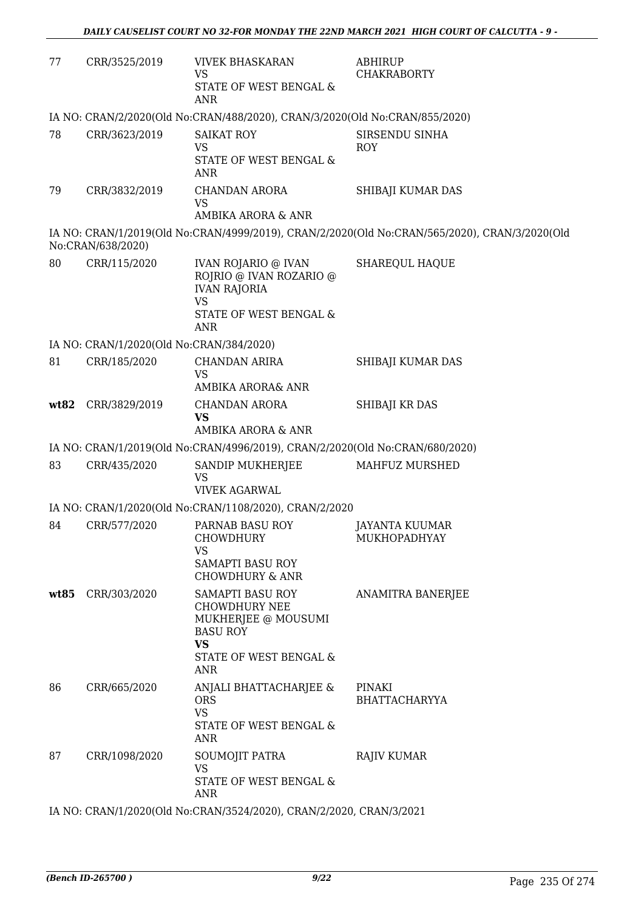| 77   | CRR/3525/2019                            | <b>VIVEK BHASKARAN</b><br>VS<br>STATE OF WEST BENGAL &<br><b>ANR</b>                                                             | <b>ABHIRUP</b><br><b>CHAKRABORTY</b>                                                          |
|------|------------------------------------------|----------------------------------------------------------------------------------------------------------------------------------|-----------------------------------------------------------------------------------------------|
|      |                                          | IA NO: CRAN/2/2020(Old No:CRAN/488/2020), CRAN/3/2020(Old No:CRAN/855/2020)                                                      |                                                                                               |
| 78   | CRR/3623/2019                            | <b>SAIKAT ROY</b><br><b>VS</b><br>STATE OF WEST BENGAL &<br><b>ANR</b>                                                           | SIRSENDU SINHA<br><b>ROY</b>                                                                  |
| 79   | CRR/3832/2019                            | <b>CHANDAN ARORA</b><br><b>VS</b><br>AMBIKA ARORA & ANR                                                                          | SHIBAJI KUMAR DAS                                                                             |
|      | No:CRAN/638/2020)                        |                                                                                                                                  | IA NO: CRAN/1/2019(Old No:CRAN/4999/2019), CRAN/2/2020(Old No:CRAN/565/2020), CRAN/3/2020(Old |
| 80   | CRR/115/2020                             | <b>IVAN ROJARIO @ IVAN</b><br>ROJRIO @ IVAN ROZARIO @<br><b>IVAN RAJORIA</b><br><b>VS</b>                                        | <b>SHAREQUL HAQUE</b>                                                                         |
|      |                                          | STATE OF WEST BENGAL &<br><b>ANR</b>                                                                                             |                                                                                               |
|      | IA NO: CRAN/1/2020(Old No:CRAN/384/2020) |                                                                                                                                  |                                                                                               |
| 81   | CRR/185/2020                             | <b>CHANDAN ARIRA</b><br><b>VS</b><br>AMBIKA ARORA& ANR                                                                           | SHIBAJI KUMAR DAS                                                                             |
| wt82 | CRR/3829/2019                            | <b>CHANDAN ARORA</b><br><b>VS</b><br>AMBIKA ARORA & ANR                                                                          | SHIBAJI KR DAS                                                                                |
|      |                                          | IA NO: CRAN/1/2019(Old No:CRAN/4996/2019), CRAN/2/2020(Old No:CRAN/680/2020)                                                     |                                                                                               |
| 83   | CRR/435/2020                             | <b>SANDIP MUKHERJEE</b><br><b>VS</b><br><b>VIVEK AGARWAL</b>                                                                     | MAHFUZ MURSHED                                                                                |
|      |                                          | IA NO: CRAN/1/2020(Old No:CRAN/1108/2020), CRAN/2/2020                                                                           |                                                                                               |
| 84   | CRR/577/2020                             | PARNAB BASU ROY<br><b>CHOWDHURY</b><br>VS<br><b>SAMAPTI BASU ROY</b>                                                             | <b>JAYANTA KUUMAR</b><br>MUKHOPADHYAY                                                         |
|      |                                          | <b>CHOWDHURY &amp; ANR</b>                                                                                                       |                                                                                               |
| wt85 | CRR/303/2020                             | SAMAPTI BASU ROY<br><b>CHOWDHURY NEE</b><br>MUKHERJEE @ MOUSUMI<br><b>BASU ROY</b><br><b>VS</b><br>STATE OF WEST BENGAL &<br>ANR | ANAMITRA BANERJEE                                                                             |
| 86   | CRR/665/2020                             | ANJALI BHATTACHARJEE &<br><b>ORS</b><br><b>VS</b><br>STATE OF WEST BENGAL &<br>ANR                                               | PINAKI<br><b>BHATTACHARYYA</b>                                                                |
| 87   | CRR/1098/2020                            | SOUMOJIT PATRA<br>VS<br>STATE OF WEST BENGAL &<br>ANR                                                                            | <b>RAJIV KUMAR</b>                                                                            |

IA NO: CRAN/1/2020(Old No:CRAN/3524/2020), CRAN/2/2020, CRAN/3/2021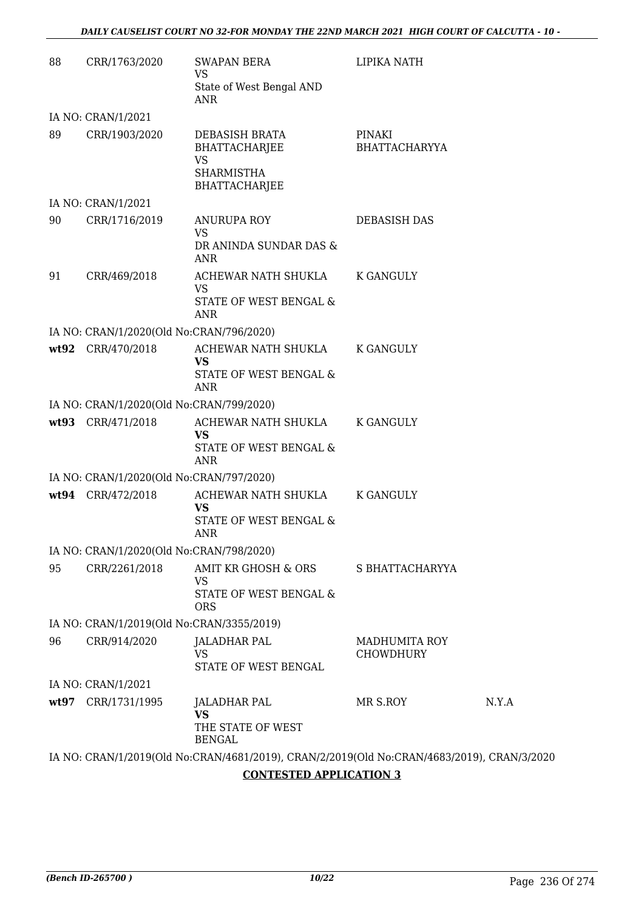| 88   | CRR/1763/2020                             | <b>SWAPAN BERA</b><br>VS                                                                   | LIPIKA NATH                              |       |
|------|-------------------------------------------|--------------------------------------------------------------------------------------------|------------------------------------------|-------|
|      |                                           | State of West Bengal AND<br>ANR                                                            |                                          |       |
|      | IA NO: CRAN/1/2021                        |                                                                                            |                                          |       |
| 89   | CRR/1903/2020                             | DEBASISH BRATA<br>BHATTACHARJEE<br><b>VS</b><br><b>SHARMISTHA</b><br><b>BHATTACHARJEE</b>  | PINAKI<br><b>BHATTACHARYYA</b>           |       |
|      | IA NO: CRAN/1/2021                        |                                                                                            |                                          |       |
| 90   | CRR/1716/2019                             | <b>ANURUPA ROY</b><br><b>VS</b><br>DR ANINDA SUNDAR DAS &<br>ANR                           | DEBASISH DAS                             |       |
| 91   | CRR/469/2018                              | ACHEWAR NATH SHUKLA<br>VS<br>STATE OF WEST BENGAL &<br>ANR                                 | K GANGULY                                |       |
|      | IA NO: CRAN/1/2020(Old No:CRAN/796/2020)  |                                                                                            |                                          |       |
|      | wt92 CRR/470/2018                         | ACHEWAR NATH SHUKLA<br><b>VS</b><br>STATE OF WEST BENGAL &<br><b>ANR</b>                   | K GANGULY                                |       |
|      | IA NO: CRAN/1/2020(Old No:CRAN/799/2020)  |                                                                                            |                                          |       |
|      | wt93 CRR/471/2018                         | ACHEWAR NATH SHUKLA<br><b>VS</b><br>STATE OF WEST BENGAL &<br><b>ANR</b>                   | <b>K GANGULY</b>                         |       |
|      | IA NO: CRAN/1/2020(Old No:CRAN/797/2020)  |                                                                                            |                                          |       |
|      | wt94 CRR/472/2018                         | ACHEWAR NATH SHUKLA<br>VS<br>STATE OF WEST BENGAL &<br><b>ANR</b>                          | K GANGULY                                |       |
|      | IA NO: CRAN/1/2020(Old No:CRAN/798/2020)  |                                                                                            |                                          |       |
| 95   | CRR/2261/2018                             | AMIT KR GHOSH & ORS<br>VS<br>STATE OF WEST BENGAL &<br><b>ORS</b>                          | S BHATTACHARYYA                          |       |
|      | IA NO: CRAN/1/2019(Old No:CRAN/3355/2019) |                                                                                            |                                          |       |
| 96   | CRR/914/2020                              | <b>JALADHAR PAL</b><br><b>VS</b><br>STATE OF WEST BENGAL                                   | <b>MADHUMITA ROY</b><br><b>CHOWDHURY</b> |       |
|      | IA NO: CRAN/1/2021                        |                                                                                            |                                          |       |
| wt97 | CRR/1731/1995                             | JALADHAR PAL<br><b>VS</b><br>THE STATE OF WEST<br><b>BENGAL</b>                            | MR S.ROY                                 | N.Y.A |
|      |                                           | IA NO: CRAN/1/2019(Old No:CRAN/4681/2019), CRAN/2/2019(Old No:CRAN/4683/2019), CRAN/3/2020 |                                          |       |

**CONTESTED APPLICATION 3**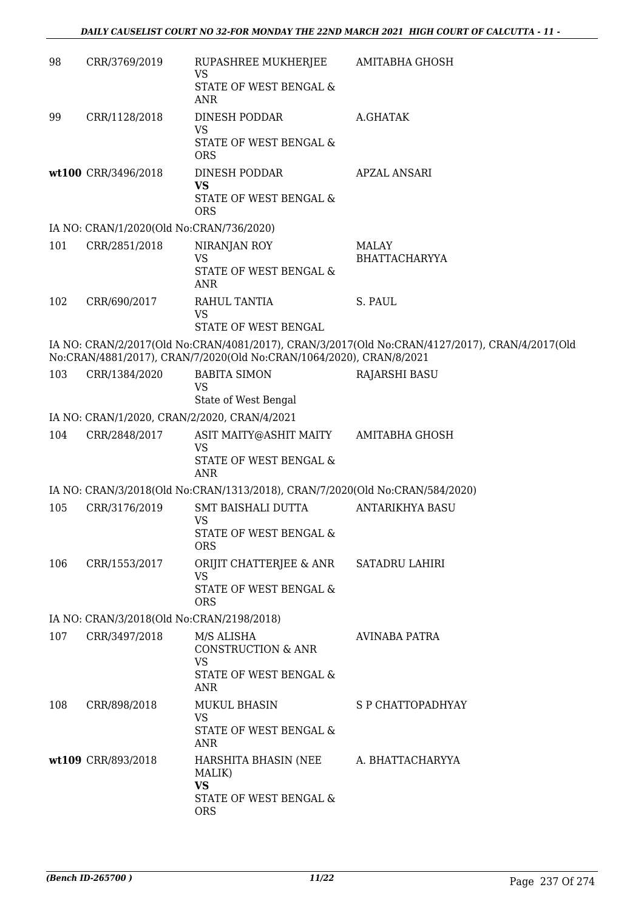| 98  | CRR/3769/2019                                | RUPASHREE MUKHERJEE<br><b>VS</b>                                             | AMITABHA GHOSH                                                                                 |
|-----|----------------------------------------------|------------------------------------------------------------------------------|------------------------------------------------------------------------------------------------|
|     |                                              | STATE OF WEST BENGAL &<br><b>ANR</b>                                         |                                                                                                |
| 99  | CRR/1128/2018                                | DINESH PODDAR<br><b>VS</b>                                                   | A.GHATAK                                                                                       |
|     |                                              | STATE OF WEST BENGAL &<br><b>ORS</b>                                         |                                                                                                |
|     | wt100 CRR/3496/2018                          | DINESH PODDAR<br><b>VS</b><br>STATE OF WEST BENGAL &                         | APZAL ANSARI                                                                                   |
|     |                                              | <b>ORS</b>                                                                   |                                                                                                |
|     | IA NO: CRAN/1/2020(Old No:CRAN/736/2020)     |                                                                              |                                                                                                |
| 101 | CRR/2851/2018                                | NIRANJAN ROY<br><b>VS</b>                                                    | MALAY<br><b>BHATTACHARYYA</b>                                                                  |
|     |                                              | STATE OF WEST BENGAL &<br><b>ANR</b>                                         |                                                                                                |
| 102 | CRR/690/2017                                 | RAHUL TANTIA<br><b>VS</b><br>STATE OF WEST BENGAL                            | S. PAUL                                                                                        |
|     |                                              | No:CRAN/4881/2017), CRAN/7/2020(Old No:CRAN/1064/2020), CRAN/8/2021          | IA NO: CRAN/2/2017(Old No:CRAN/4081/2017), CRAN/3/2017(Old No:CRAN/4127/2017), CRAN/4/2017(Old |
| 103 | CRR/1384/2020                                | <b>BABITA SIMON</b><br><b>VS</b><br>State of West Bengal                     | <b>RAJARSHI BASU</b>                                                                           |
|     | IA NO: CRAN/1/2020, CRAN/2/2020, CRAN/4/2021 |                                                                              |                                                                                                |
| 104 | CRR/2848/2017                                | ASIT MAITY@ASHIT MAITY                                                       | AMITABHA GHOSH                                                                                 |
|     |                                              | <b>VS</b><br>STATE OF WEST BENGAL &                                          |                                                                                                |
|     |                                              | <b>ANR</b>                                                                   |                                                                                                |
|     |                                              | IA NO: CRAN/3/2018(Old No:CRAN/1313/2018), CRAN/7/2020(Old No:CRAN/584/2020) |                                                                                                |
| 105 | CRR/3176/2019                                | <b>SMT BAISHALI DUTTA</b><br><b>VS</b>                                       | <b>ANTARIKHYA BASU</b>                                                                         |
|     |                                              | STATE OF WEST BENGAL &<br><b>ORS</b>                                         |                                                                                                |
| 106 | CRR/1553/2017                                | ORIJIT CHATTERJEE & ANR<br><b>VS</b>                                         | SATADRU LAHIRI                                                                                 |
|     |                                              | STATE OF WEST BENGAL &<br><b>ORS</b>                                         |                                                                                                |
|     | IA NO: CRAN/3/2018(Old No:CRAN/2198/2018)    |                                                                              |                                                                                                |
| 107 | CRR/3497/2018                                | M/S ALISHA<br>CONSTRUCTION & ANR                                             | AVINABA PATRA                                                                                  |
|     |                                              | <b>VS</b><br>STATE OF WEST BENGAL &<br><b>ANR</b>                            |                                                                                                |
| 108 | CRR/898/2018                                 | <b>MUKUL BHASIN</b><br><b>VS</b>                                             | S P CHATTOPADHYAY                                                                              |
|     |                                              | STATE OF WEST BENGAL &<br>ANR                                                |                                                                                                |
|     | wt109 CRR/893/2018                           | HARSHITA BHASIN (NEE<br>MALIK)                                               | A. BHATTACHARYYA                                                                               |
|     |                                              | <b>VS</b><br>STATE OF WEST BENGAL &<br><b>ORS</b>                            |                                                                                                |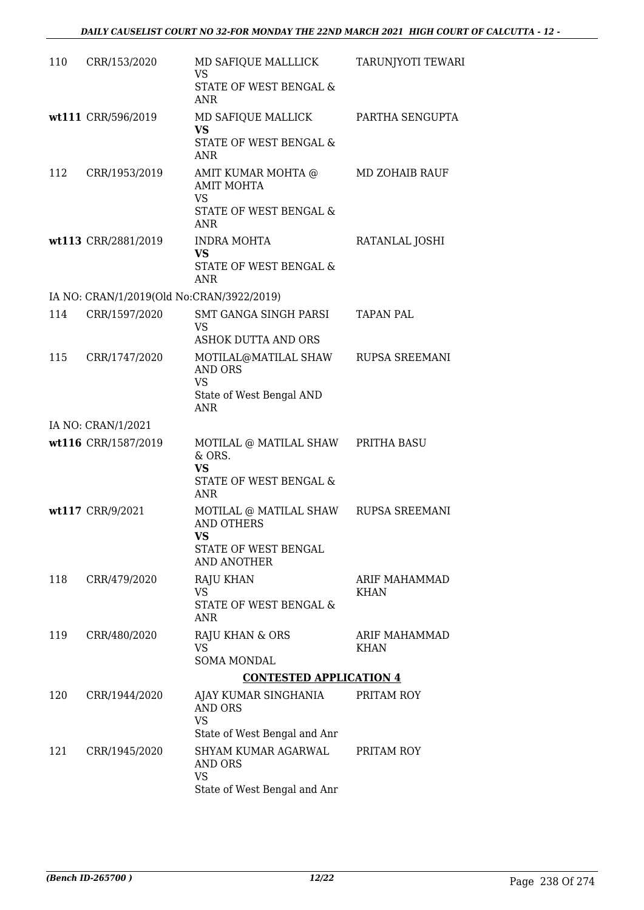| 110 | CRR/153/2020                              | MD SAFIQUE MALLLICK<br><b>VS</b>                                                                                   | TARUNJYOTI TEWARI     |
|-----|-------------------------------------------|--------------------------------------------------------------------------------------------------------------------|-----------------------|
|     |                                           | STATE OF WEST BENGAL &<br><b>ANR</b>                                                                               |                       |
|     | wt111 CRR/596/2019                        | MD SAFIQUE MALLICK<br>VS.<br>STATE OF WEST BENGAL &<br>ANR                                                         | PARTHA SENGUPTA       |
| 112 | CRR/1953/2019                             | AMIT KUMAR MOHTA @<br><b>AMIT MOHTA</b><br><b>VS</b><br>STATE OF WEST BENGAL &<br><b>ANR</b>                       | MD ZOHAIB RAUF        |
|     | wt113 CRR/2881/2019                       | INDRA MOHTA<br><b>VS</b><br>STATE OF WEST BENGAL &<br><b>ANR</b>                                                   | RATANLAL JOSHI        |
|     | IA NO: CRAN/1/2019(Old No:CRAN/3922/2019) |                                                                                                                    |                       |
| 114 | CRR/1597/2020                             | SMT GANGA SINGH PARSI<br><b>VS</b><br><b>ASHOK DUTTA AND ORS</b>                                                   | <b>TAPAN PAL</b>      |
| 115 | CRR/1747/2020                             | MOTILAL@MATILAL SHAW<br><b>AND ORS</b><br><b>VS</b><br>State of West Bengal AND<br><b>ANR</b>                      | RUPSA SREEMANI        |
|     | IA NO: CRAN/1/2021                        |                                                                                                                    |                       |
|     | wt116 CRR/1587/2019                       | MOTILAL @ MATILAL SHAW PRITHA BASU<br>& ORS.<br><b>VS</b><br>STATE OF WEST BENGAL &                                |                       |
|     | wt117 CRR/9/2021                          | <b>ANR</b><br>MOTILAL @ MATILAL SHAW<br><b>AND OTHERS</b><br><b>VS</b>                                             | RUPSA SREEMANI        |
|     |                                           | STATE OF WEST BENGAL<br>AND ANOTHER                                                                                |                       |
| 118 | CRR/479/2020                              | <b>RAJU KHAN</b><br><b>VS</b><br><b>STATE OF WEST BENGAL &amp;</b><br>ANR                                          | ARIF MAHAMMAD<br>KHAN |
| 119 | CRR/480/2020                              | RAJU KHAN & ORS<br>VS<br><b>SOMA MONDAL</b>                                                                        | ARIF MAHAMMAD<br>KHAN |
|     |                                           | <b>CONTESTED APPLICATION 4</b>                                                                                     |                       |
| 120 | CRR/1944/2020                             | AJAY KUMAR SINGHANIA<br><b>AND ORS</b><br><b>VS</b>                                                                | PRITAM ROY            |
| 121 | CRR/1945/2020                             | State of West Bengal and Anr<br>SHYAM KUMAR AGARWAL<br><b>AND ORS</b><br><b>VS</b><br>State of West Bengal and Anr | PRITAM ROY            |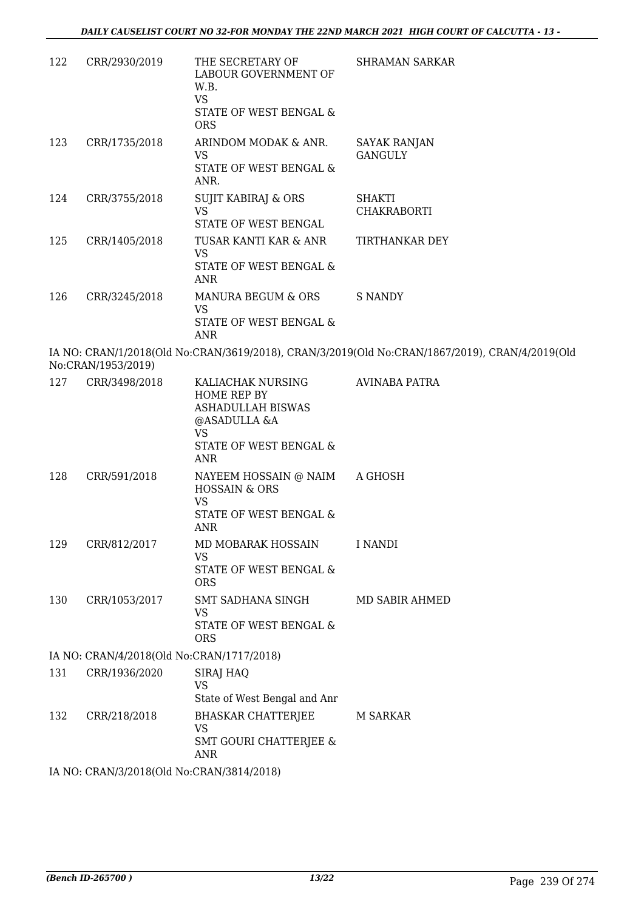| 122 | CRR/2930/2019                             | THE SECRETARY OF<br>LABOUR GOVERNMENT OF<br>W.B.<br><b>VS</b><br>STATE OF WEST BENGAL &<br><b>ORS</b>                             | <b>SHRAMAN SARKAR</b>                                                                          |
|-----|-------------------------------------------|-----------------------------------------------------------------------------------------------------------------------------------|------------------------------------------------------------------------------------------------|
| 123 | CRR/1735/2018                             | ARINDOM MODAK & ANR.<br>VS<br>STATE OF WEST BENGAL &                                                                              | <b>SAYAK RANJAN</b><br><b>GANGULY</b>                                                          |
| 124 | CRR/3755/2018                             | ANR.<br>SUJIT KABIRAJ & ORS<br><b>VS</b>                                                                                          | <b>SHAKTI</b><br>CHAKRABORTI                                                                   |
|     |                                           | STATE OF WEST BENGAL                                                                                                              |                                                                                                |
| 125 | CRR/1405/2018                             | TUSAR KANTI KAR & ANR<br>VS<br>STATE OF WEST BENGAL &<br><b>ANR</b>                                                               | TIRTHANKAR DEY                                                                                 |
| 126 | CRR/3245/2018                             | MANURA BEGUM & ORS<br>VS<br>STATE OF WEST BENGAL &<br>ANR                                                                         | <b>S NANDY</b>                                                                                 |
|     | No:CRAN/1953/2019)                        |                                                                                                                                   | IA NO: CRAN/1/2018(Old No:CRAN/3619/2018), CRAN/3/2019(Old No:CRAN/1867/2019), CRAN/4/2019(Old |
| 127 | CRR/3498/2018                             | KALIACHAK NURSING<br>HOME REP BY<br><b>ASHADULLAH BISWAS</b><br>@ASADULLA &A<br><b>VS</b><br>STATE OF WEST BENGAL &<br><b>ANR</b> | <b>AVINABA PATRA</b>                                                                           |
| 128 | CRR/591/2018                              | NAYEEM HOSSAIN @ NAIM<br><b>HOSSAIN &amp; ORS</b><br><b>VS</b><br>STATE OF WEST BENGAL &<br><b>ANR</b>                            | A GHOSH                                                                                        |
| 129 | CRR/812/2017                              | MD MOBARAK HOSSAIN<br><b>VS</b><br>STATE OF WEST BENGAL &<br><b>ORS</b>                                                           | I NANDI                                                                                        |
| 130 | CRR/1053/2017                             | SMT SADHANA SINGH<br>VS<br>STATE OF WEST BENGAL &<br><b>ORS</b>                                                                   | MD SABIR AHMED                                                                                 |
|     | IA NO: CRAN/4/2018(Old No:CRAN/1717/2018) |                                                                                                                                   |                                                                                                |
| 131 | CRR/1936/2020                             | SIRAJ HAQ<br><b>VS</b><br>State of West Bengal and Anr                                                                            |                                                                                                |
| 132 | CRR/218/2018                              | <b>BHASKAR CHATTERJEE</b><br><b>VS</b><br><b>SMT GOURI CHATTERJEE &amp;</b><br>ANR                                                | M SARKAR                                                                                       |
|     | IA NO: CRAN/3/2018(Old No:CRAN/3814/2018) |                                                                                                                                   |                                                                                                |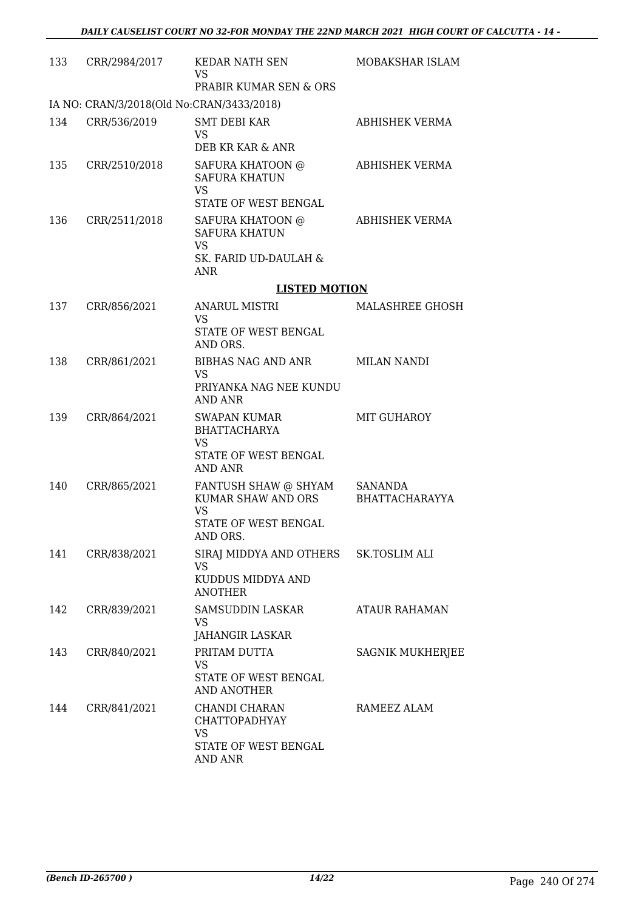| 133                                       | CRR/2984/2017 | <b>KEDAR NATH SEN</b><br>VS<br>PRABIR KUMAR SEN & ORS                                              | MOBAKSHAR ISLAM           |  |  |
|-------------------------------------------|---------------|----------------------------------------------------------------------------------------------------|---------------------------|--|--|
| IA NO: CRAN/3/2018(Old No:CRAN/3433/2018) |               |                                                                                                    |                           |  |  |
| 134                                       | CRR/536/2019  | <b>SMT DEBI KAR</b><br><b>VS</b><br>DEB KR KAR & ANR                                               | <b>ABHISHEK VERMA</b>     |  |  |
| 135                                       | CRR/2510/2018 | SAFURA KHATOON @<br><b>SAFURA KHATUN</b><br><b>VS</b><br>STATE OF WEST BENGAL                      | ABHISHEK VERMA            |  |  |
| 136                                       | CRR/2511/2018 | SAFURA KHATOON @<br><b>SAFURA KHATUN</b><br><b>VS</b><br>SK. FARID UD-DAULAH &<br><b>ANR</b>       | <b>ABHISHEK VERMA</b>     |  |  |
|                                           |               | <b>LISTED MOTION</b>                                                                               |                           |  |  |
| 137                                       | CRR/856/2021  | <b>ANARUL MISTRI</b>                                                                               | MALASHREE GHOSH           |  |  |
|                                           |               | <b>VS</b><br>STATE OF WEST BENGAL<br>AND ORS.                                                      |                           |  |  |
| 138                                       | CRR/861/2021  | BIBHAS NAG AND ANR<br><b>VS</b><br>PRIYANKA NAG NEE KUNDU<br>AND ANR                               | <b>MILAN NANDI</b>        |  |  |
| 139                                       | CRR/864/2021  | SWAPAN KUMAR<br><b>BHATTACHARYA</b><br><b>VS</b><br>STATE OF WEST BENGAL<br><b>AND ANR</b>         | MIT GUHAROY               |  |  |
| 140                                       | CRR/865/2021  | FANTUSH SHAW @ SHYAM<br>KUMAR SHAW AND ORS<br><b>VS</b><br><b>STATE OF WEST BENGAL</b><br>AND ORS. | SANANDA<br>BHATTACHARAYYA |  |  |
| 141                                       | CRR/838/2021  | SIRAJ MIDDYA AND OTHERS<br><b>VS</b><br>KUDDUS MIDDYA AND<br><b>ANOTHER</b>                        | SK.TOSLIM ALI             |  |  |
| 142                                       | CRR/839/2021  | SAMSUDDIN LASKAR<br>VS<br>JAHANGIR LASKAR                                                          | ATAUR RAHAMAN             |  |  |
| 143                                       | CRR/840/2021  | PRITAM DUTTA<br>VS<br>STATE OF WEST BENGAL<br>AND ANOTHER                                          | SAGNIK MUKHERJEE          |  |  |
| 144                                       | CRR/841/2021  | CHANDI CHARAN<br><b>CHATTOPADHYAY</b><br>VS<br>STATE OF WEST BENGAL<br>AND ANR                     | RAMEEZ ALAM               |  |  |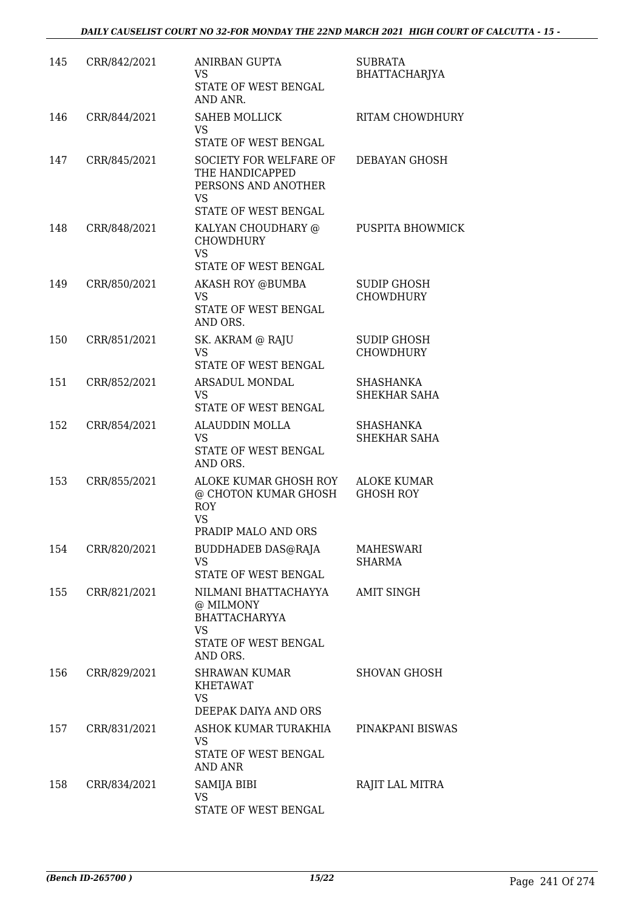| 145 | CRR/842/2021 | <b>ANIRBAN GUPTA</b><br>VS<br>STATE OF WEST BENGAL<br>AND ANR.                                               | <b>SUBRATA</b><br>BHATTACHARJYA        |
|-----|--------------|--------------------------------------------------------------------------------------------------------------|----------------------------------------|
| 146 | CRR/844/2021 | <b>SAHEB MOLLICK</b><br><b>VS</b><br>STATE OF WEST BENGAL                                                    | <b>RITAM CHOWDHURY</b>                 |
| 147 | CRR/845/2021 | <b>SOCIETY FOR WELFARE OF</b><br>THE HANDICAPPED<br>PERSONS AND ANOTHER<br><b>VS</b><br>STATE OF WEST BENGAL | DEBAYAN GHOSH                          |
| 148 | CRR/848/2021 | KALYAN CHOUDHARY @<br><b>CHOWDHURY</b><br><b>VS</b><br>STATE OF WEST BENGAL                                  | PUSPITA BHOWMICK                       |
| 149 | CRR/850/2021 | <b>AKASH ROY @BUMBA</b><br><b>VS</b><br>STATE OF WEST BENGAL<br>AND ORS.                                     | <b>SUDIP GHOSH</b><br><b>CHOWDHURY</b> |
| 150 | CRR/851/2021 | SK. AKRAM @ RAJU<br><b>VS</b><br>STATE OF WEST BENGAL                                                        | <b>SUDIP GHOSH</b><br><b>CHOWDHURY</b> |
| 151 | CRR/852/2021 | ARSADUL MONDAL<br>VS<br>STATE OF WEST BENGAL                                                                 | SHASHANKA<br>SHEKHAR SAHA              |
| 152 | CRR/854/2021 | <b>ALAUDDIN MOLLA</b><br><b>VS</b><br>STATE OF WEST BENGAL<br>AND ORS.                                       | SHASHANKA<br>SHEKHAR SAHA              |
| 153 | CRR/855/2021 | ALOKE KUMAR GHOSH ROY<br>@ CHOTON KUMAR GHOSH<br><b>ROY</b><br><b>VS</b><br>PRADIP MALO AND ORS              | <b>ALOKE KUMAR</b><br><b>GHOSH ROY</b> |
| 154 | CRR/820/2021 | BUDDHADEB DAS@RAJA<br><b>VS</b><br>STATE OF WEST BENGAL                                                      | MAHESWARI<br><b>SHARMA</b>             |
| 155 | CRR/821/2021 | NILMANI BHATTACHAYYA<br>@ MILMONY<br><b>BHATTACHARYYA</b><br><b>VS</b><br>STATE OF WEST BENGAL<br>AND ORS.   | <b>AMIT SINGH</b>                      |
| 156 | CRR/829/2021 | SHRAWAN KUMAR<br><b>KHETAWAT</b><br><b>VS</b><br>DEEPAK DAIYA AND ORS                                        | <b>SHOVAN GHOSH</b>                    |
| 157 | CRR/831/2021 | ASHOK KUMAR TURAKHIA<br>VS<br>STATE OF WEST BENGAL<br>AND ANR                                                | PINAKPANI BISWAS                       |
| 158 | CRR/834/2021 | SAMIJA BIBI<br>VS<br>STATE OF WEST BENGAL                                                                    | RAJIT LAL MITRA                        |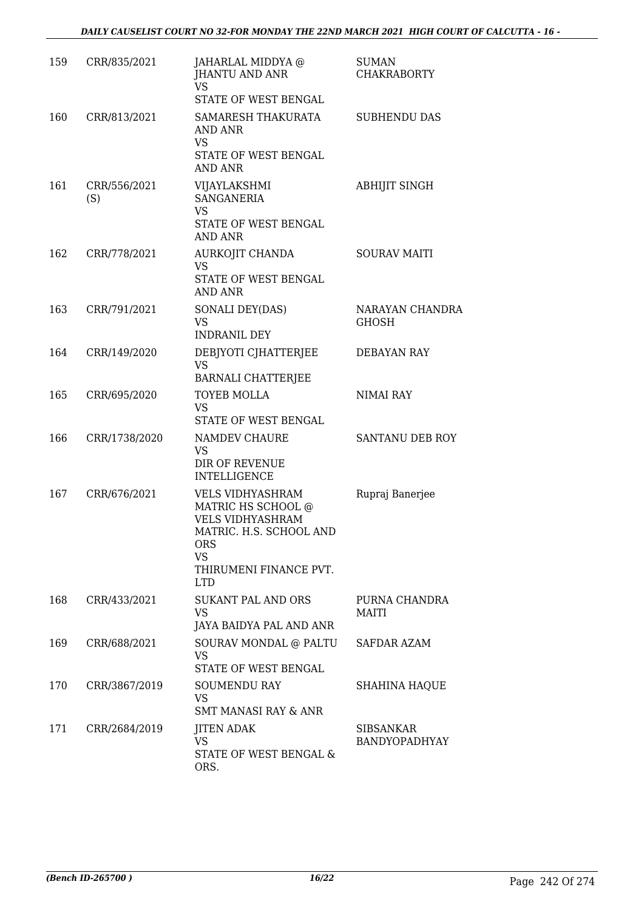| 159 | CRR/835/2021        | JAHARLAL MIDDYA @<br>JHANTU AND ANR<br><b>VS</b><br>STATE OF WEST BENGAL                                                                                 | <b>SUMAN</b><br><b>CHAKRABORTY</b> |
|-----|---------------------|----------------------------------------------------------------------------------------------------------------------------------------------------------|------------------------------------|
| 160 | CRR/813/2021        | SAMARESH THAKURATA<br>AND ANR<br><b>VS</b><br>STATE OF WEST BENGAL<br>AND ANR                                                                            | <b>SUBHENDU DAS</b>                |
| 161 | CRR/556/2021<br>(S) | VIJAYLAKSHMI<br><b>SANGANERIA</b><br><b>VS</b><br>STATE OF WEST BENGAL<br>AND ANR                                                                        | <b>ABHIJIT SINGH</b>               |
| 162 | CRR/778/2021        | AURKOJIT CHANDA<br>VS<br>STATE OF WEST BENGAL<br>AND ANR                                                                                                 | <b>SOURAV MAITI</b>                |
| 163 | CRR/791/2021        | SONALI DEY(DAS)<br><b>VS</b><br><b>INDRANIL DEY</b>                                                                                                      | NARAYAN CHANDRA<br><b>GHOSH</b>    |
| 164 | CRR/149/2020        | DEBJYOTI CJHATTERJEE<br><b>VS</b><br><b>BARNALI CHATTERJEE</b>                                                                                           | <b>DEBAYAN RAY</b>                 |
| 165 | CRR/695/2020        | <b>TOYEB MOLLA</b><br>VS<br>STATE OF WEST BENGAL                                                                                                         | NIMAI RAY                          |
| 166 | CRR/1738/2020       | NAMDEV CHAURE<br><b>VS</b><br>DIR OF REVENUE<br><b>INTELLIGENCE</b>                                                                                      | SANTANU DEB ROY                    |
| 167 | CRR/676/2021        | VELS VIDHYASHRAM<br>MATRIC HS SCHOOL @<br><b>VELS VIDHYASHRAM</b><br>MATRIC. H.S. SCHOOL AND<br><b>ORS</b><br>VS<br>THIRUMENI FINANCE PVT.<br><b>LTD</b> | Rupraj Banerjee                    |
| 168 | CRR/433/2021        | <b>SUKANT PAL AND ORS</b><br><b>VS</b><br>JAYA BAIDYA PAL AND ANR                                                                                        | PURNA CHANDRA<br>MAITI             |
| 169 | CRR/688/2021        | SOURAV MONDAL @ PALTU<br>VS<br>STATE OF WEST BENGAL                                                                                                      | <b>SAFDAR AZAM</b>                 |
| 170 | CRR/3867/2019       | <b>SOUMENDU RAY</b><br><b>VS</b><br><b>SMT MANASI RAY &amp; ANR</b>                                                                                      | <b>SHAHINA HAQUE</b>               |
| 171 | CRR/2684/2019       | <b>JITEN ADAK</b><br><b>VS</b><br>STATE OF WEST BENGAL &<br>ORS.                                                                                         | <b>SIBSANKAR</b><br>BANDYOPADHYAY  |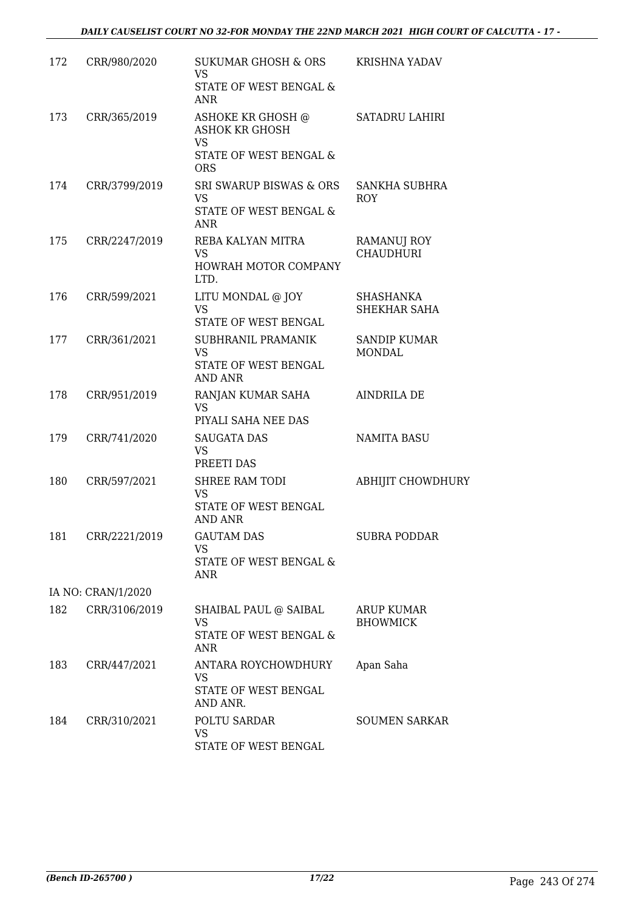| 172 | CRR/980/2020       | SUKUMAR GHOSH & ORS<br><b>VS</b><br>STATE OF WEST BENGAL &<br>ANR                               | <b>KRISHNA YADAV</b>                   |
|-----|--------------------|-------------------------------------------------------------------------------------------------|----------------------------------------|
| 173 | CRR/365/2019       | ASHOKE KR GHOSH @<br><b>ASHOK KR GHOSH</b><br><b>VS</b><br>STATE OF WEST BENGAL &<br><b>ORS</b> | SATADRU LAHIRI                         |
| 174 | CRR/3799/2019      | SRI SWARUP BISWAS & ORS<br><b>VS</b><br>STATE OF WEST BENGAL &<br><b>ANR</b>                    | <b>SANKHA SUBHRA</b><br><b>ROY</b>     |
| 175 | CRR/2247/2019      | REBA KALYAN MITRA<br><b>VS</b><br>HOWRAH MOTOR COMPANY<br>LTD.                                  | <b>RAMANUJ ROY</b><br><b>CHAUDHURI</b> |
| 176 | CRR/599/2021       | LITU MONDAL @ JOY<br><b>VS</b><br>STATE OF WEST BENGAL                                          | SHASHANKA<br><b>SHEKHAR SAHA</b>       |
| 177 | CRR/361/2021       | SUBHRANIL PRAMANIK<br><b>VS</b><br>STATE OF WEST BENGAL<br><b>AND ANR</b>                       | <b>SANDIP KUMAR</b><br><b>MONDAL</b>   |
| 178 | CRR/951/2019       | RANJAN KUMAR SAHA<br><b>VS</b><br>PIYALI SAHA NEE DAS                                           | <b>AINDRILA DE</b>                     |
| 179 | CRR/741/2020       | <b>SAUGATA DAS</b><br><b>VS</b><br>PREETI DAS                                                   | <b>NAMITA BASU</b>                     |
| 180 | CRR/597/2021       | SHREE RAM TODI<br><b>VS</b><br>STATE OF WEST BENGAL<br><b>AND ANR</b>                           | <b>ABHIJIT CHOWDHURY</b>               |
|     | 181 CRR/2221/2019  | <b>GAUTAM DAS</b><br>VS.<br>STATE OF WEST BENGAL &<br>ANR                                       | <b>SUBRA PODDAR</b>                    |
|     | IA NO: CRAN/1/2020 |                                                                                                 |                                        |
| 182 | CRR/3106/2019      | SHAIBAL PAUL @ SAIBAL<br><b>VS</b><br>STATE OF WEST BENGAL &<br>ANR                             | ARUP KUMAR<br><b>BHOWMICK</b>          |
| 183 | CRR/447/2021       | ANTARA ROYCHOWDHURY<br>VS<br>STATE OF WEST BENGAL<br>AND ANR.                                   | Apan Saha                              |
| 184 | CRR/310/2021       | POLTU SARDAR<br><b>VS</b><br>STATE OF WEST BENGAL                                               | <b>SOUMEN SARKAR</b>                   |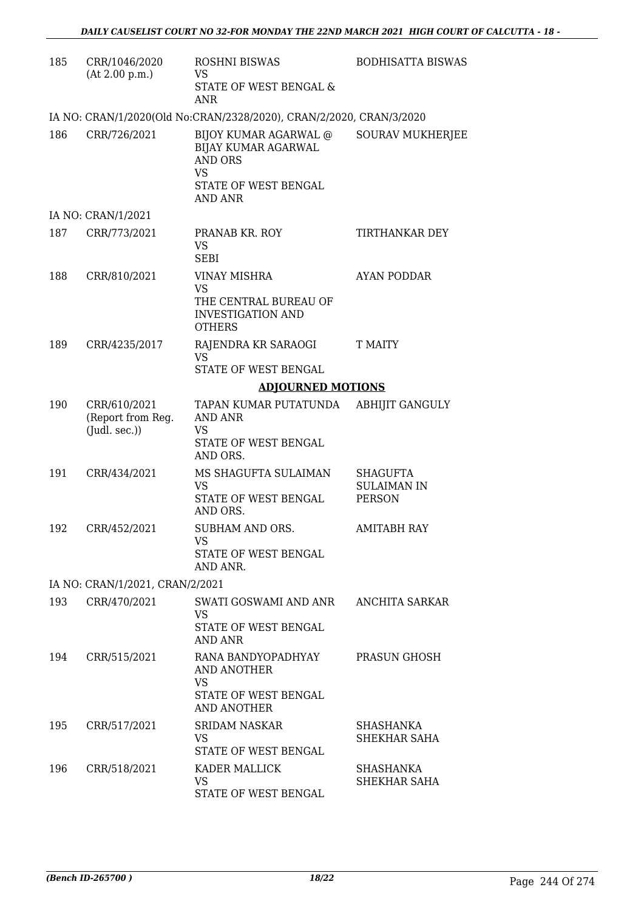| 185 | CRR/1046/2020<br>(At 2.00 p.m.)                          | <b>ROSHNI BISWAS</b><br>VS<br>STATE OF WEST BENGAL &<br><b>ANR</b>                                      | <b>BODHISATTA BISWAS</b>                               |
|-----|----------------------------------------------------------|---------------------------------------------------------------------------------------------------------|--------------------------------------------------------|
|     |                                                          | IA NO: CRAN/1/2020(Old No:CRAN/2328/2020), CRAN/2/2020, CRAN/3/2020                                     |                                                        |
| 186 | CRR/726/2021                                             | BIJOY KUMAR AGARWAL @<br>BIJAY KUMAR AGARWAL<br><b>AND ORS</b><br>VS<br>STATE OF WEST BENGAL<br>AND ANR | <b>SOURAV MUKHERJEE</b>                                |
|     | IA NO: CRAN/1/2021                                       |                                                                                                         |                                                        |
| 187 | CRR/773/2021                                             | PRANAB KR. ROY<br><b>VS</b><br><b>SEBI</b>                                                              | TIRTHANKAR DEY                                         |
| 188 | CRR/810/2021                                             | <b>VINAY MISHRA</b><br><b>VS</b><br>THE CENTRAL BUREAU OF<br><b>INVESTIGATION AND</b><br><b>OTHERS</b>  | <b>AYAN PODDAR</b>                                     |
| 189 | CRR/4235/2017                                            | RAJENDRA KR SARAOGI<br><b>VS</b><br>STATE OF WEST BENGAL                                                | T MAITY                                                |
|     |                                                          | <b>ADJOURNED MOTIONS</b>                                                                                |                                                        |
| 190 | CRR/610/2021<br>(Report from Reg.<br>$($ Judl. sec. $))$ | TAPAN KUMAR PUTATUNDA<br><b>AND ANR</b><br>VS<br>STATE OF WEST BENGAL<br>AND ORS.                       | <b>ABHIJIT GANGULY</b>                                 |
| 191 | CRR/434/2021                                             | MS SHAGUFTA SULAIMAN<br><b>VS</b><br>STATE OF WEST BENGAL<br>AND ORS.                                   | <b>SHAGUFTA</b><br><b>SULAIMAN IN</b><br><b>PERSON</b> |
| 192 | CRR/452/2021                                             | SUBHAM AND ORS.<br>VS<br>STATE OF WEST BENGAL<br>AND ANR.                                               | AMITABH RAY                                            |
|     | IA NO: CRAN/1/2021, CRAN/2/2021                          |                                                                                                         |                                                        |
| 193 | CRR/470/2021                                             | SWATI GOSWAMI AND ANR<br>VS.<br>STATE OF WEST BENGAL<br><b>AND ANR</b>                                  | ANCHITA SARKAR                                         |
| 194 | CRR/515/2021                                             | RANA BANDYOPADHYAY<br>AND ANOTHER<br>VS<br>STATE OF WEST BENGAL<br>AND ANOTHER                          | PRASUN GHOSH                                           |
| 195 | CRR/517/2021                                             | <b>SRIDAM NASKAR</b><br>VS.<br>STATE OF WEST BENGAL                                                     | SHASHANKA<br>SHEKHAR SAHA                              |
| 196 | CRR/518/2021                                             | KADER MALLICK<br>VS<br>STATE OF WEST BENGAL                                                             | SHASHANKA<br>SHEKHAR SAHA                              |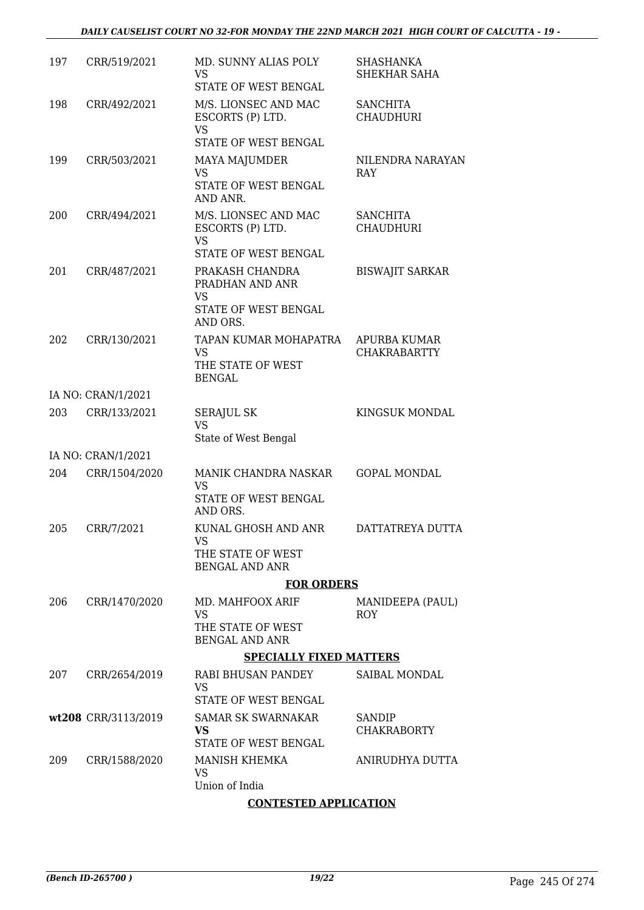| 197 | CRR/519/2021        | MD. SUNNY ALIAS POLY<br><b>VS</b><br>STATE OF WEST BENGAL                            | <b>SHASHANKA</b><br>SHEKHAR SAHA           |
|-----|---------------------|--------------------------------------------------------------------------------------|--------------------------------------------|
| 198 | CRR/492/2021        | M/S. LIONSEC AND MAC<br>ESCORTS (P) LTD.<br><b>VS</b><br>STATE OF WEST BENGAL        | <b>SANCHITA</b><br><b>CHAUDHURI</b>        |
| 199 | CRR/503/2021        | MAYA MAJUMDER<br><b>VS</b><br>STATE OF WEST BENGAL<br>AND ANR.                       | NILENDRA NARAYAN<br><b>RAY</b>             |
| 200 | CRR/494/2021        | M/S. LIONSEC AND MAC<br>ESCORTS (P) LTD.<br><b>VS</b><br>STATE OF WEST BENGAL        | <b>SANCHITA</b><br><b>CHAUDHURI</b>        |
| 201 | CRR/487/2021        | PRAKASH CHANDRA<br>PRADHAN AND ANR<br><b>VS</b><br>STATE OF WEST BENGAL              | <b>BISWAJIT SARKAR</b>                     |
| 202 | CRR/130/2021        | AND ORS.<br>TAPAN KUMAR MOHAPATRA<br><b>VS</b><br>THE STATE OF WEST<br><b>BENGAL</b> | <b>APURBA KUMAR</b><br><b>CHAKRABARTTY</b> |
|     | IA NO: CRAN/1/2021  |                                                                                      |                                            |
| 203 | CRR/133/2021        | <b>SERAJUL SK</b><br><b>VS</b><br>State of West Bengal                               | KINGSUK MONDAL                             |
|     | IA NO: CRAN/1/2021  |                                                                                      |                                            |
| 204 | CRR/1504/2020       | MANIK CHANDRA NASKAR<br>VS<br>STATE OF WEST BENGAL                                   | <b>GOPAL MONDAL</b>                        |
|     |                     | AND ORS.                                                                             |                                            |
| 205 | CRR/7/2021          | KUNAL GHOSH AND ANR<br><b>VS</b><br>THE STATE OF WEST<br><b>BENGAL AND ANR</b>       | DATTATREYA DUTTA                           |
|     |                     | <b>FOR ORDERS</b>                                                                    |                                            |
| 206 | CRR/1470/2020       | MD. MAHFOOX ARIF<br><b>VS</b><br>THE STATE OF WEST<br><b>BENGAL AND ANR</b>          | MANIDEEPA (PAUL)<br><b>ROY</b>             |
|     |                     | <b>SPECIALLY FIXED MATTERS</b>                                                       |                                            |
| 207 | CRR/2654/2019       | RABI BHUSAN PANDEY<br>VS<br>STATE OF WEST BENGAL                                     | SAIBAL MONDAL                              |
|     | wt208 CRR/3113/2019 | <b>SAMAR SK SWARNAKAR</b><br>VS<br>STATE OF WEST BENGAL                              | SANDIP<br><b>CHAKRABORTY</b>               |
| 209 | CRR/1588/2020       | MANISH KHEMKA<br><b>VS</b><br>Union of India                                         | ANIRUDHYA DUTTA                            |
|     |                     |                                                                                      |                                            |

## **CONTESTED APPLICATION**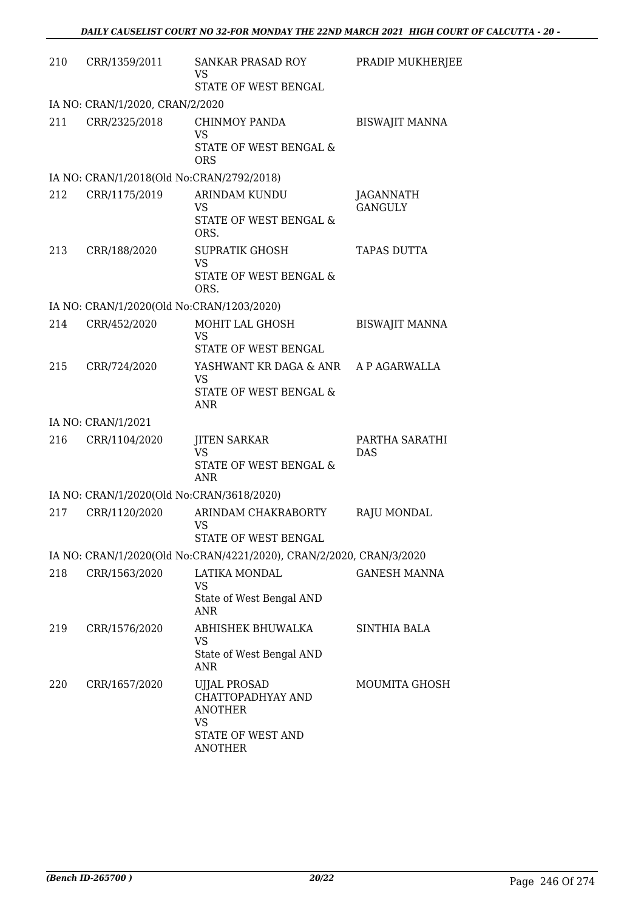| 210 | CRR/1359/2011                             | SANKAR PRASAD ROY<br><b>VS</b><br>STATE OF WEST BENGAL                                                  | PRADIP MUKHERJEE                   |
|-----|-------------------------------------------|---------------------------------------------------------------------------------------------------------|------------------------------------|
|     | IA NO: CRAN/1/2020, CRAN/2/2020           |                                                                                                         |                                    |
| 211 | CRR/2325/2018                             | <b>CHINMOY PANDA</b><br><b>VS</b><br>STATE OF WEST BENGAL &<br><b>ORS</b>                               | <b>BISWAJIT MANNA</b>              |
|     | IA NO: CRAN/1/2018(Old No:CRAN/2792/2018) |                                                                                                         |                                    |
| 212 | CRR/1175/2019                             | <b>ARINDAM KUNDU</b><br>VS<br>STATE OF WEST BENGAL &<br>ORS.                                            | <b>JAGANNATH</b><br><b>GANGULY</b> |
| 213 | CRR/188/2020                              | <b>SUPRATIK GHOSH</b><br><b>VS</b><br>STATE OF WEST BENGAL &<br>ORS.                                    | <b>TAPAS DUTTA</b>                 |
|     | IA NO: CRAN/1/2020(Old No:CRAN/1203/2020) |                                                                                                         |                                    |
| 214 | CRR/452/2020                              | MOHIT LAL GHOSH<br><b>VS</b><br>STATE OF WEST BENGAL                                                    | <b>BISWAJIT MANNA</b>              |
| 215 | CRR/724/2020                              | YASHWANT KR DAGA & ANR<br><b>VS</b><br>STATE OF WEST BENGAL &<br><b>ANR</b>                             | A P AGARWALLA                      |
|     | IA NO: CRAN/1/2021                        |                                                                                                         |                                    |
| 216 | CRR/1104/2020                             | <b>JITEN SARKAR</b><br>VS<br>STATE OF WEST BENGAL &<br><b>ANR</b>                                       | PARTHA SARATHI<br><b>DAS</b>       |
|     | IA NO: CRAN/1/2020(Old No:CRAN/3618/2020) |                                                                                                         |                                    |
| 217 | CRR/1120/2020                             | ARINDAM CHAKRABORTY<br>VS<br>STATE OF WEST BENGAL                                                       | <b>RAJU MONDAL</b>                 |
|     |                                           | IA NO: CRAN/1/2020(Old No:CRAN/4221/2020), CRAN/2/2020, CRAN/3/2020                                     |                                    |
| 218 | CRR/1563/2020                             | LATIKA MONDAL<br>VS<br>State of West Bengal AND<br>ANR                                                  | <b>GANESH MANNA</b>                |
| 219 | CRR/1576/2020                             | ABHISHEK BHUWALKA<br>VS<br>State of West Bengal AND<br>ANR                                              | SINTHIA BALA                       |
| 220 | CRR/1657/2020                             | <b>UJJAL PROSAD</b><br>CHATTOPADHYAY AND<br><b>ANOTHER</b><br>VS<br>STATE OF WEST AND<br><b>ANOTHER</b> | <b>MOUMITA GHOSH</b>               |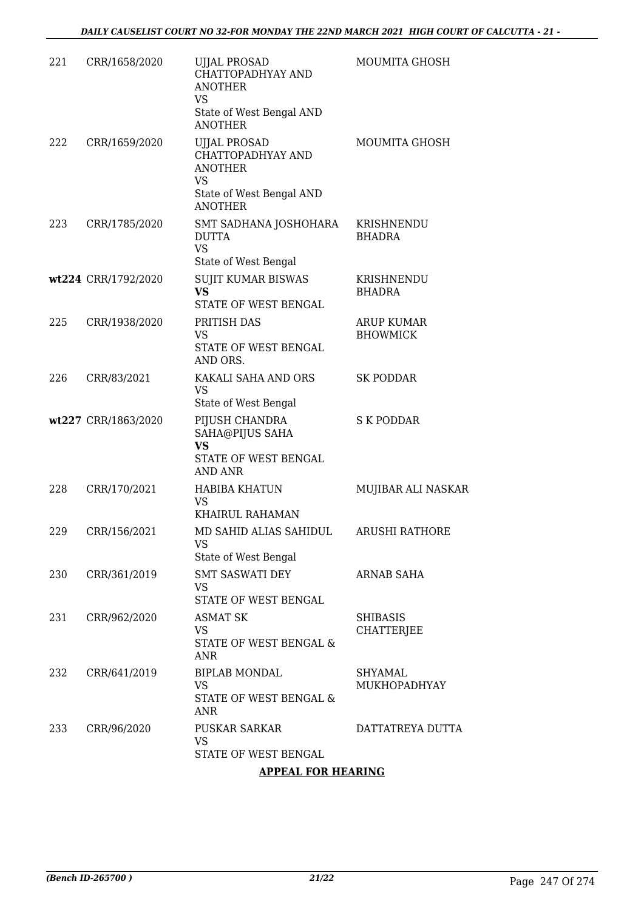| 221 | CRR/1658/2020       | <b>UJJAL PROSAD</b><br>CHATTOPADHYAY AND<br><b>ANOTHER</b><br><b>VS</b><br>State of West Bengal AND<br><b>ANOTHER</b> | MOUMITA GHOSH                         |
|-----|---------------------|-----------------------------------------------------------------------------------------------------------------------|---------------------------------------|
| 222 | CRR/1659/2020       | <b>UJJAL PROSAD</b><br>CHATTOPADHYAY AND<br><b>ANOTHER</b><br><b>VS</b><br>State of West Bengal AND<br><b>ANOTHER</b> | MOUMITA GHOSH                         |
| 223 | CRR/1785/2020       | SMT SADHANA JOSHOHARA<br><b>DUTTA</b><br><b>VS</b><br>State of West Bengal                                            | KRISHNENDU<br><b>BHADRA</b>           |
|     | wt224 CRR/1792/2020 | <b>SUJIT KUMAR BISWAS</b><br><b>VS</b><br>STATE OF WEST BENGAL                                                        | KRISHNENDU<br><b>BHADRA</b>           |
| 225 | CRR/1938/2020       | PRITISH DAS<br>VS<br>STATE OF WEST BENGAL<br>AND ORS.                                                                 | <b>ARUP KUMAR</b><br><b>BHOWMICK</b>  |
| 226 | CRR/83/2021         | KAKALI SAHA AND ORS<br><b>VS</b><br>State of West Bengal                                                              | <b>SK PODDAR</b>                      |
|     | wt227 CRR/1863/2020 | PIJUSH CHANDRA<br>SAHA@PIJUS SAHA<br><b>VS</b><br>STATE OF WEST BENGAL<br>AND ANR                                     | <b>S K PODDAR</b>                     |
| 228 | CRR/170/2021        | HABIBA KHATUN<br>VS<br>KHAIRUL RAHAMAN                                                                                | MUJIBAR ALI NASKAR                    |
| 229 | CRR/156/2021        | MD SAHID ALIAS SAHIDUL<br><b>VS</b><br>State of West Bengal                                                           | <b>ARUSHI RATHORE</b>                 |
| 230 | CRR/361/2019        | <b>SMT SASWATI DEY</b><br>VS<br>STATE OF WEST BENGAL                                                                  | <b>ARNAB SAHA</b>                     |
| 231 | CRR/962/2020        | <b>ASMAT SK</b><br>VS<br>STATE OF WEST BENGAL &<br><b>ANR</b>                                                         | <b>SHIBASIS</b><br><b>CHATTERJEE</b>  |
| 232 | CRR/641/2019        | <b>BIPLAB MONDAL</b><br><b>VS</b><br>STATE OF WEST BENGAL &<br>ANR                                                    | <b>SHYAMAL</b><br><b>MUKHOPADHYAY</b> |
| 233 | CRR/96/2020         | <b>PUSKAR SARKAR</b><br>VS<br>STATE OF WEST BENGAL                                                                    | DATTATREYA DUTTA                      |

### **APPEAL FOR HEARING**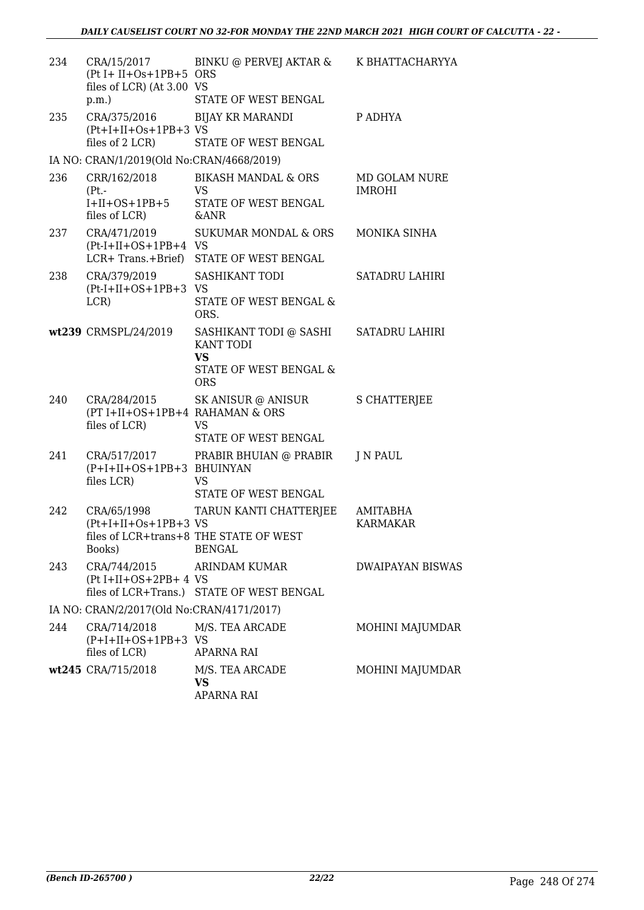| 234 | CRA/15/2017<br>$(Pt I + II + Os + 1PB + 5 ORS)$<br>files of LCR) (At 3.00 VS | BINKU @ PERVEJ AKTAR & K BHATTACHARYYA                                                          |                                |
|-----|------------------------------------------------------------------------------|-------------------------------------------------------------------------------------------------|--------------------------------|
|     | p.m.                                                                         | STATE OF WEST BENGAL                                                                            |                                |
| 235 | CRA/375/2016 BIJAY KR MARANDI<br>$(Pt+I+II+Os+1PB+3VS)$<br>files of 2 LCR)   | STATE OF WEST BENGAL                                                                            | P ADHYA                        |
|     | IA NO: CRAN/1/2019(Old No:CRAN/4668/2019)                                    |                                                                                                 |                                |
| 236 | CRR/162/2018<br>$(Pt. -$<br>$I+II+OS+1PB+5$                                  | <b>BIKASH MANDAL &amp; ORS</b><br>VS<br>STATE OF WEST BENGAL                                    | MD GOLAM NURE<br><b>IMROHI</b> |
|     | files of LCR)                                                                | &ANR                                                                                            |                                |
| 237 | CRA/471/2019<br>$(Pt-I+II+OS+1PB+4$ VS                                       | SUKUMAR MONDAL & ORS<br>LCR+ Trans.+Brief) STATE OF WEST BENGAL                                 | MONIKA SINHA                   |
| 238 | CRA/379/2019<br>$(Pt-I+II+OS+1PB+3$ VS<br>LCR)                               | SASHIKANT TODI<br>STATE OF WEST BENGAL &<br>ORS.                                                | SATADRU LAHIRI                 |
|     | wt239 CRMSPL/24/2019                                                         | SASHIKANT TODI @ SASHI<br><b>KANT TODI</b><br><b>VS</b><br>STATE OF WEST BENGAL &<br><b>ORS</b> | <b>SATADRU LAHIRI</b>          |
| 240 | (PT I+II+OS+1PB+4 RAHAMAN & ORS<br>files of LCR)                             | CRA/284/2015 SK ANISUR @ ANISUR<br><b>VS</b><br>STATE OF WEST BENGAL                            | <b>S CHATTERJEE</b>            |
| 241 | (P+I+II+OS+1PB+3 BHUINYAN<br>files LCR)                                      | CRA/517/2017 PRABIR BHUIAN @ PRABIR<br>VS<br>STATE OF WEST BENGAL                               | J N PAUL                       |
| 242 | CRA/65/1998<br>$(Pt+I+II+Os+1PB+3VS)$<br>Books)                              | TARUN KANTI CHATTERJEE<br>files of LCR+trans+8 THE STATE OF WEST<br><b>BENGAL</b>               | AMITABHA<br><b>KARMAKAR</b>    |
| 243 | CRA/744/2015 ARINDAM KUMAR<br>$(Pt I+II+OS+2PB+4VS)$                         | files of LCR+Trans.) STATE OF WEST BENGAL                                                       | <b>DWAIPAYAN BISWAS</b>        |
|     | IA NO: CRAN/2/2017(Old No:CRAN/4171/2017)                                    |                                                                                                 |                                |
| 244 | CRA/714/2018 M/S. TEA ARCADE<br>$(P+I+II+OS+1PB+3$ VS<br>files of LCR)       | APARNA RAI                                                                                      | MOHINI MAJUMDAR                |
|     | wt245 CRA/715/2018                                                           | M/S. TEA ARCADE<br><b>VS</b><br><b>APARNA RAI</b>                                               | MOHINI MAJUMDAR                |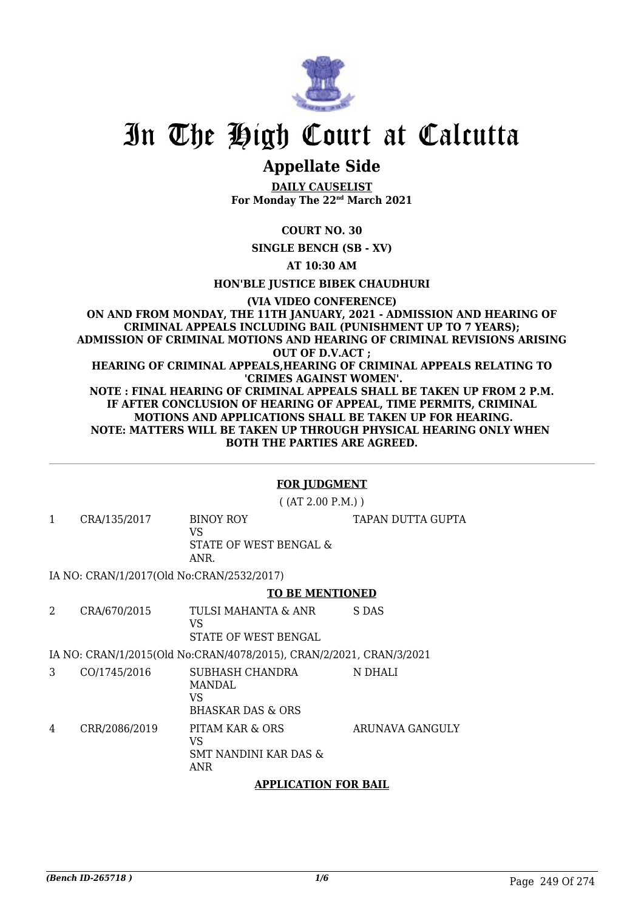

# In The High Court at Calcutta

# **Appellate Side**

**DAILY CAUSELIST For Monday The 22nd March 2021**

**COURT NO. 30**

**SINGLE BENCH (SB - XV)**

**AT 10:30 AM**

**HON'BLE JUSTICE BIBEK CHAUDHURI**

**(VIA VIDEO CONFERENCE) ON AND FROM MONDAY, THE 11TH JANUARY, 2021 - ADMISSION AND HEARING OF CRIMINAL APPEALS INCLUDING BAIL (PUNISHMENT UP TO 7 YEARS); ADMISSION OF CRIMINAL MOTIONS AND HEARING OF CRIMINAL REVISIONS ARISING OUT OF D.V.ACT ; HEARING OF CRIMINAL APPEALS,HEARING OF CRIMINAL APPEALS RELATING TO 'CRIMES AGAINST WOMEN'. NOTE : FINAL HEARING OF CRIMINAL APPEALS SHALL BE TAKEN UP FROM 2 P.M. IF AFTER CONCLUSION OF HEARING OF APPEAL, TIME PERMITS, CRIMINAL MOTIONS AND APPLICATIONS SHALL BE TAKEN UP FOR HEARING. NOTE: MATTERS WILL BE TAKEN UP THROUGH PHYSICAL HEARING ONLY WHEN BOTH THE PARTIES ARE AGREED.**

# **FOR JUDGMENT**

( (AT 2.00 P.M.) )

TAPAN DUTTA GUPTA

1 CRA/135/2017 BINOY ROY  $V<sup>Q</sup>$ STATE OF WEST BENGAL & ANR.

IA NO: CRAN/1/2017(Old No:CRAN/2532/2017)

### **TO BE MENTIONED**

2 CRA/670/2015 TULSI MAHANTA & ANR VS STATE OF WEST BENGAL S DAS

IA NO: CRAN/1/2015(Old No:CRAN/4078/2015), CRAN/2/2021, CRAN/3/2021

3 CO/1745/2016 SUBHASH CHANDRA MANDAL VS BHASKAR DAS & ORS N DHALI 4 CRR/2086/2019 PITAM KAR & ORS VS SMT NANDINI KAR DAS & ANR ARUNAVA GANGULY

# **APPLICATION FOR BAIL**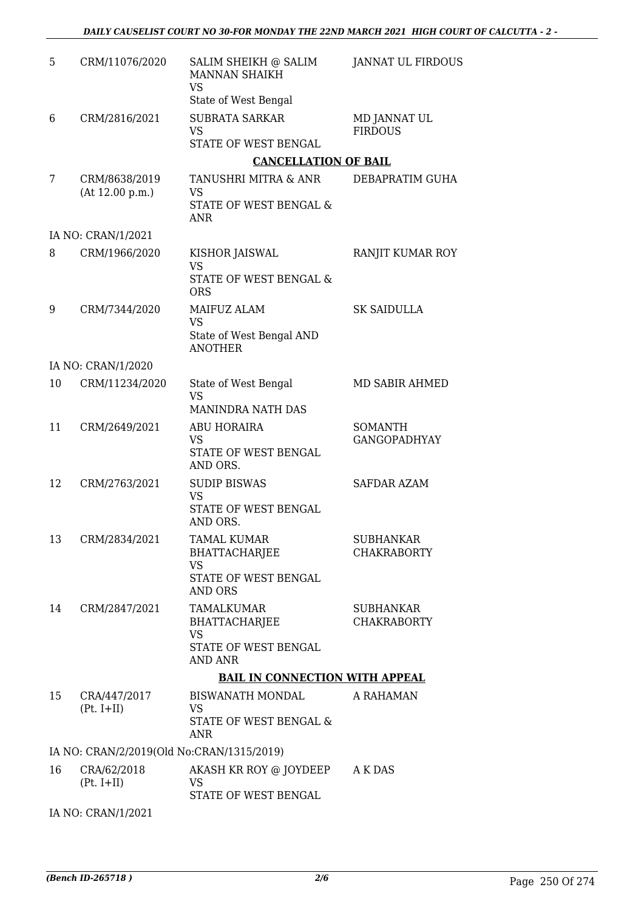| 5  | CRM/11076/2020                            | SALIM SHEIKH @ SALIM<br><b>MANNAN SHAIKH</b><br><b>VS</b>     | <b>JANNAT UL FIRDOUS</b>               |
|----|-------------------------------------------|---------------------------------------------------------------|----------------------------------------|
|    |                                           | State of West Bengal                                          |                                        |
| 6  | CRM/2816/2021                             | <b>SUBRATA SARKAR</b><br><b>VS</b>                            | MD JANNAT UL<br><b>FIRDOUS</b>         |
|    |                                           | STATE OF WEST BENGAL                                          |                                        |
|    |                                           | <b>CANCELLATION OF BAIL</b>                                   |                                        |
| 7  | CRM/8638/2019<br>(At 12.00 p.m.)          | TANUSHRI MITRA & ANR<br><b>VS</b><br>STATE OF WEST BENGAL &   | DEBAPRATIM GUHA                        |
|    |                                           | <b>ANR</b>                                                    |                                        |
|    | IA NO: CRAN/1/2021                        |                                                               |                                        |
| 8  | CRM/1966/2020                             | KISHOR JAISWAL<br><b>VS</b>                                   | RANJIT KUMAR ROY                       |
|    |                                           | <b>STATE OF WEST BENGAL &amp;</b><br><b>ORS</b>               |                                        |
| 9  | CRM/7344/2020                             | MAIFUZ ALAM<br><b>VS</b>                                      | <b>SK SAIDULLA</b>                     |
|    |                                           | State of West Bengal AND<br><b>ANOTHER</b>                    |                                        |
|    | IA NO: CRAN/1/2020                        |                                                               |                                        |
| 10 | CRM/11234/2020                            | State of West Bengal<br><b>VS</b><br><b>MANINDRA NATH DAS</b> | MD SABIR AHMED                         |
| 11 | CRM/2649/2021                             | ABU HORAIRA                                                   | <b>SOMANTH</b>                         |
|    |                                           | VS<br>STATE OF WEST BENGAL<br>AND ORS.                        | <b>GANGOPADHYAY</b>                    |
| 12 | CRM/2763/2021                             | <b>SUDIP BISWAS</b><br><b>VS</b>                              | <b>SAFDAR AZAM</b>                     |
|    |                                           | STATE OF WEST BENGAL<br>AND ORS.                              |                                        |
| 13 | CRM/2834/2021                             | <b>TAMAL KUMAR</b><br><b>BHATTACHARJEE</b>                    | <b>SUBHANKAR</b><br><b>CHAKRABORTY</b> |
|    |                                           | VS<br>STATE OF WEST BENGAL                                    |                                        |
|    |                                           | <b>AND ORS</b>                                                |                                        |
| 14 | CRM/2847/2021                             | TAMALKUMAR<br>BHATTACHARJEE                                   | <b>SUBHANKAR</b><br><b>CHAKRABORTY</b> |
|    |                                           | <b>VS</b><br>STATE OF WEST BENGAL<br><b>AND ANR</b>           |                                        |
|    |                                           | <b>BAIL IN CONNECTION WITH APPEAL</b>                         |                                        |
| 15 | CRA/447/2017                              | BISWANATH MONDAL                                              | A RAHAMAN                              |
|    | $(Pt. I+II)$                              | VS.<br>STATE OF WEST BENGAL &                                 |                                        |
|    |                                           | ANR                                                           |                                        |
|    | IA NO: CRAN/2/2019(Old No:CRAN/1315/2019) |                                                               |                                        |
| 16 | CRA/62/2018<br>$(Pt. I+II)$               | AKASH KR ROY @ JOYDEEP<br>VS<br>STATE OF WEST BENGAL          | A K DAS                                |
|    | IA NO: CRAN/1/2021                        |                                                               |                                        |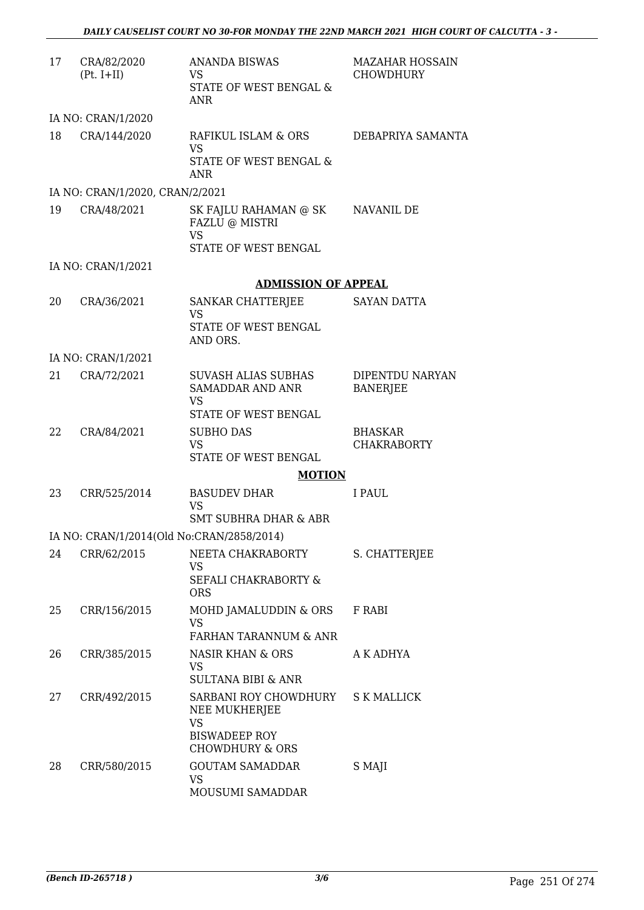| 17 | CRA/82/2020<br>$(Pt. I+II)$     | <b>ANANDA BISWAS</b><br><b>VS</b><br>STATE OF WEST BENGAL &<br><b>ANR</b>                                 | <b>MAZAHAR HOSSAIN</b><br><b>CHOWDHURY</b> |
|----|---------------------------------|-----------------------------------------------------------------------------------------------------------|--------------------------------------------|
|    | IA NO: CRAN/1/2020              |                                                                                                           |                                            |
| 18 | CRA/144/2020                    | RAFIKUL ISLAM & ORS<br><b>VS</b><br>STATE OF WEST BENGAL &<br><b>ANR</b>                                  | DEBAPRIYA SAMANTA                          |
|    | IA NO: CRAN/1/2020, CRAN/2/2021 |                                                                                                           |                                            |
| 19 | CRA/48/2021                     | SK FAJLU RAHAMAN @ SK<br>FAZLU @ MISTRI<br><b>VS</b><br>STATE OF WEST BENGAL                              | NAVANIL DE                                 |
|    | IA NO: CRAN/1/2021              |                                                                                                           |                                            |
|    |                                 | <b>ADMISSION OF APPEAL</b>                                                                                |                                            |
| 20 | CRA/36/2021                     | SANKAR CHATTERJEE<br><b>VS</b><br>STATE OF WEST BENGAL<br>AND ORS.                                        | <b>SAYAN DATTA</b>                         |
|    | IA NO: CRAN/1/2021              |                                                                                                           |                                            |
| 21 | CRA/72/2021                     | <b>SUVASH ALIAS SUBHAS</b><br>SAMADDAR AND ANR<br><b>VS</b>                                               | DIPENTDU NARYAN<br><b>BANERJEE</b>         |
| 22 | CRA/84/2021                     | STATE OF WEST BENGAL<br><b>SUBHO DAS</b><br><b>VS</b><br>STATE OF WEST BENGAL                             | <b>BHASKAR</b><br><b>CHAKRABORTY</b>       |
|    |                                 | <b>MOTION</b>                                                                                             |                                            |
| 23 | CRR/525/2014                    | <b>BASUDEV DHAR</b><br><b>VS</b><br>SMT SUBHRA DHAR & ABR                                                 | I PAUL.                                    |
|    |                                 | IA NO: CRAN/1/2014(Old No:CRAN/2858/2014)                                                                 |                                            |
| 24 | CRR/62/2015                     | NEETA CHAKRABORTY<br>VS<br>SEFALI CHAKRABORTY &<br><b>ORS</b>                                             | S. CHATTERJEE                              |
| 25 | CRR/156/2015                    | MOHD JAMALUDDIN & ORS<br>VS<br>FARHAN TARANNUM & ANR                                                      | F RABI                                     |
| 26 | CRR/385/2015                    | <b>NASIR KHAN &amp; ORS</b><br><b>VS</b><br><b>SULTANA BIBI &amp; ANR</b>                                 | A K ADHYA                                  |
| 27 | CRR/492/2015                    | SARBANI ROY CHOWDHURY<br>NEE MUKHERJEE<br><b>VS</b><br><b>BISWADEEP ROY</b><br><b>CHOWDHURY &amp; ORS</b> | <b>S K MALLICK</b>                         |
| 28 | CRR/580/2015                    | <b>GOUTAM SAMADDAR</b><br>VS<br>MOUSUMI SAMADDAR                                                          | S MAJI                                     |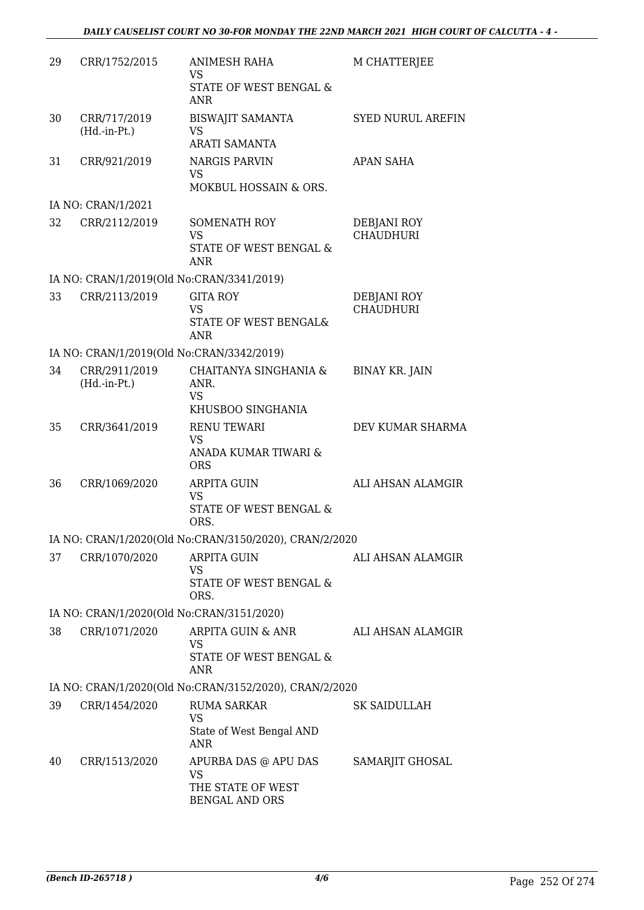| 29 | CRR/1752/2015                             | <b>ANIMESH RAHA</b><br><b>VS</b><br>STATE OF WEST BENGAL &           | M CHATTERJEE                    |
|----|-------------------------------------------|----------------------------------------------------------------------|---------------------------------|
|    |                                           | <b>ANR</b>                                                           |                                 |
| 30 | CRR/717/2019<br>$(Hd.-in-Pt.)$            | <b>BISWAJIT SAMANTA</b><br><b>VS</b><br><b>ARATI SAMANTA</b>         | <b>SYED NURUL AREFIN</b>        |
| 31 | CRR/921/2019                              | <b>NARGIS PARVIN</b><br><b>VS</b>                                    | <b>APAN SAHA</b>                |
|    |                                           | MOKBUL HOSSAIN & ORS.                                                |                                 |
|    | IA NO: CRAN/1/2021                        |                                                                      |                                 |
| 32 | CRR/2112/2019                             | SOMENATH ROY<br><b>VS</b><br>STATE OF WEST BENGAL &                  | DEBJANI ROY<br><b>CHAUDHURI</b> |
|    |                                           | <b>ANR</b>                                                           |                                 |
|    | IA NO: CRAN/1/2019(Old No:CRAN/3341/2019) |                                                                      |                                 |
| 33 | CRR/2113/2019                             | <b>GITA ROY</b><br><b>VS</b><br>STATE OF WEST BENGAL&<br>ANR         | DEBJANI ROY<br><b>CHAUDHURI</b> |
|    | IA NO: CRAN/1/2019(Old No:CRAN/3342/2019) |                                                                      |                                 |
| 34 | CRR/2911/2019<br>$(Hd.-in-Pt.)$           | CHAITANYA SINGHANIA &<br>ANR.<br><b>VS</b>                           | <b>BINAY KR. JAIN</b>           |
|    |                                           | KHUSBOO SINGHANIA                                                    |                                 |
| 35 | CRR/3641/2019                             | <b>RENU TEWARI</b><br><b>VS</b>                                      | DEV KUMAR SHARMA                |
|    |                                           | ANADA KUMAR TIWARI &<br><b>ORS</b>                                   |                                 |
| 36 | CRR/1069/2020                             | <b>ARPITA GUIN</b><br><b>VS</b><br><b>STATE OF WEST BENGAL &amp;</b> | ALI AHSAN ALAMGIR               |
|    |                                           | ORS.                                                                 |                                 |
|    |                                           | IA NO: CRAN/1/2020(Old No:CRAN/3150/2020), CRAN/2/2020               |                                 |
| 37 | CRR/1070/2020                             | <b>ARPITA GUIN</b><br><b>VS</b><br>STATE OF WEST BENGAL &            | ALI AHSAN ALAMGIR               |
|    |                                           | ORS.                                                                 |                                 |
|    | IA NO: CRAN/1/2020(Old No:CRAN/3151/2020) |                                                                      |                                 |
| 38 | CRR/1071/2020                             | ARPITA GUIN & ANR<br><b>VS</b><br>STATE OF WEST BENGAL &             | ALI AHSAN ALAMGIR               |
|    |                                           | <b>ANR</b>                                                           |                                 |
|    |                                           | IA NO: CRAN/1/2020(Old No:CRAN/3152/2020), CRAN/2/2020               |                                 |
| 39 | CRR/1454/2020                             | <b>RUMA SARKAR</b><br>VS                                             | SK SAIDULLAH                    |
|    |                                           | State of West Bengal AND<br>ANR                                      |                                 |
| 40 | CRR/1513/2020                             | APURBA DAS @ APU DAS<br><b>VS</b>                                    | SAMARJIT GHOSAL                 |
|    |                                           | THE STATE OF WEST<br><b>BENGAL AND ORS</b>                           |                                 |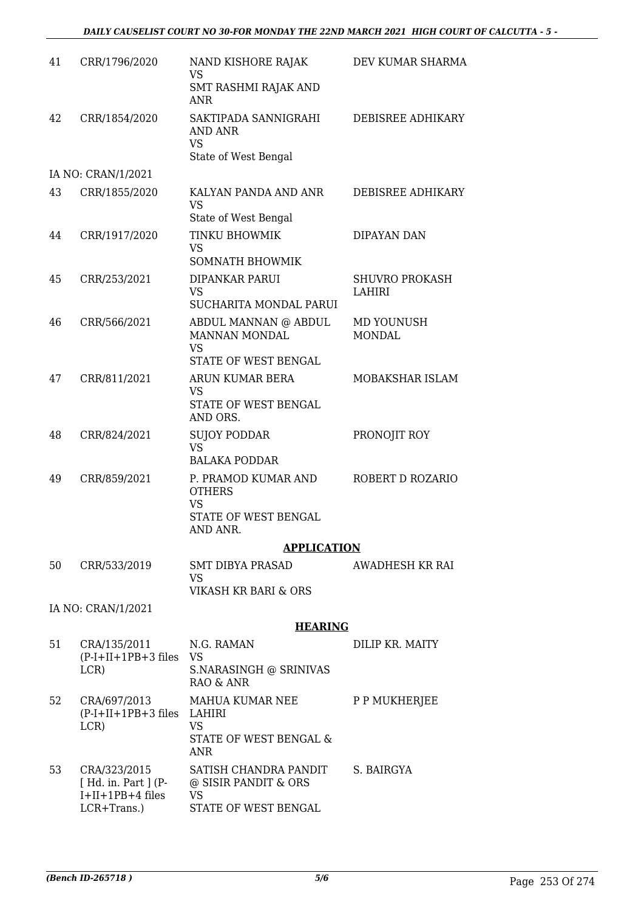| 41 | CRR/1796/2020                                                             | NAND KISHORE RAJAK<br><b>VS</b><br>SMT RASHMI RAJAK AND                               | DEV KUMAR SHARMA                |
|----|---------------------------------------------------------------------------|---------------------------------------------------------------------------------------|---------------------------------|
|    |                                                                           | ANR                                                                                   |                                 |
| 42 | CRR/1854/2020                                                             | SAKTIPADA SANNIGRAHI<br>AND ANR<br><b>VS</b>                                          | <b>DEBISREE ADHIKARY</b>        |
|    |                                                                           | State of West Bengal                                                                  |                                 |
|    | IA NO: CRAN/1/2021                                                        |                                                                                       |                                 |
| 43 | CRR/1855/2020                                                             | KALYAN PANDA AND ANR<br><b>VS</b><br>State of West Bengal                             | DEBISREE ADHIKARY               |
| 44 | CRR/1917/2020                                                             | TINKU BHOWMIK<br><b>VS</b><br><b>SOMNATH BHOWMIK</b>                                  | DIPAYAN DAN                     |
| 45 | CRR/253/2021                                                              | DIPANKAR PARUI<br><b>VS</b><br>SUCHARITA MONDAL PARUI                                 | <b>SHUVRO PROKASH</b><br>LAHIRI |
| 46 | CRR/566/2021                                                              | ABDUL MANNAN @ ABDUL<br>MANNAN MONDAL<br><b>VS</b>                                    | MD YOUNUSH<br><b>MONDAL</b>     |
|    |                                                                           | STATE OF WEST BENGAL                                                                  |                                 |
| 47 | CRR/811/2021                                                              | ARUN KUMAR BERA<br><b>VS</b>                                                          | MOBAKSHAR ISLAM                 |
|    |                                                                           | STATE OF WEST BENGAL<br>AND ORS.                                                      |                                 |
| 48 | CRR/824/2021                                                              | <b>SUJOY PODDAR</b><br><b>VS</b>                                                      | PRONOJIT ROY                    |
|    |                                                                           | <b>BALAKA PODDAR</b>                                                                  |                                 |
| 49 | CRR/859/2021                                                              | P. PRAMOD KUMAR AND<br><b>OTHERS</b><br><b>VS</b><br>STATE OF WEST BENGAL<br>AND ANR. | ROBERT D ROZARIO                |
|    |                                                                           | <b>APPLICATION</b>                                                                    |                                 |
| 50 | CRR/533/2019                                                              | SMT DIBYA PRASAD<br>VS                                                                | AWADHESH KR RAI                 |
|    |                                                                           | VIKASH KR BARI & ORS                                                                  |                                 |
|    | IA NO: CRAN/1/2021                                                        |                                                                                       |                                 |
|    |                                                                           | <b>HEARING</b>                                                                        |                                 |
| 51 | CRA/135/2011<br>$(P-I+II+1PB+3$ files VS<br>LCR)                          | N.G. RAMAN<br>S.NARASINGH @ SRINIVAS<br><b>RAO &amp; ANR</b>                          | DILIP KR. MAITY                 |
| 52 | CRA/697/2013<br>(P-I+II+1PB+3 files LAHIRI<br>LCR)                        | MAHUA KUMAR NEE<br><b>VS</b><br>STATE OF WEST BENGAL &<br><b>ANR</b>                  | P P MUKHERJEE                   |
| 53 | CRA/323/2015<br>[ Hd. in. Part ] (P-<br>$I+II+1PB+4$ files<br>LCR+Trans.) | SATISH CHANDRA PANDIT<br>@ SISIR PANDIT & ORS<br>VS<br>STATE OF WEST BENGAL           | S. BAIRGYA                      |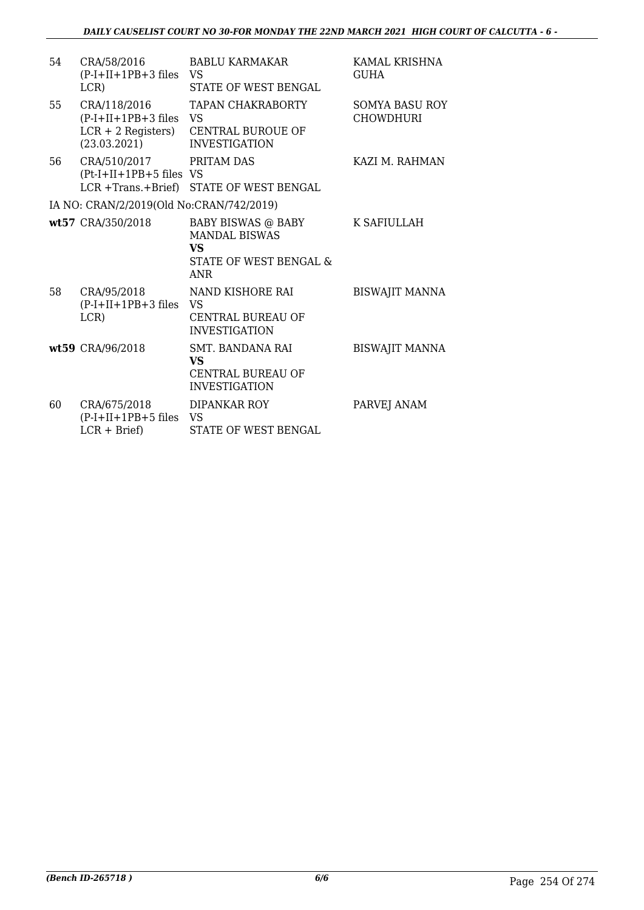| 54 | CRA/58/2016<br>$(P-I+II+1PB+3$ files<br>LCR)                                  | <b>BABLU KARMAKAR</b><br>VS<br>STATE OF WEST BENGAL                                      | KAMAL KRISHNA<br><b>GUHA</b>              |
|----|-------------------------------------------------------------------------------|------------------------------------------------------------------------------------------|-------------------------------------------|
| 55 | CRA/118/2016<br>$(P-I+II+1PB+3$ files<br>$LCR + 2$ Registers)<br>(23.03.2021) | <b>TAPAN CHAKRABORTY</b><br>VS.<br><b>CENTRAL BUROUE OF</b><br><b>INVESTIGATION</b>      | <b>SOMYA BASU ROY</b><br><b>CHOWDHURI</b> |
| 56 | CRA/510/2017<br>$(Pt-I+II+1PB+5$ files VS<br>LCR +Trans.+Brief)               | PRITAM DAS<br>STATE OF WEST BENGAL                                                       | KAZI M. RAHMAN                            |
|    | IA NO: CRAN/2/2019(Old No:CRAN/742/2019)                                      |                                                                                          |                                           |
|    | wt57 CRA/350/2018                                                             | BABY BISWAS @ BABY<br><b>MANDAL BISWAS</b><br><b>VS</b><br>STATE OF WEST BENGAL &<br>ANR | K SAFIULLAH                               |
| 58 | CRA/95/2018<br>$(P-I+II+1PB+3$ files<br>LCR)                                  | NAND KISHORE RAI<br><b>VS</b><br><b>CENTRAL BUREAU OF</b><br><b>INVESTIGATION</b>        | <b>BISWAJIT MANNA</b>                     |
|    | wt59 CRA/96/2018                                                              | SMT. BANDANA RAI<br>VS<br><b>CENTRAL BUREAU OF</b><br><b>INVESTIGATION</b>               | <b>BISWAJIT MANNA</b>                     |
| 60 | CRA/675/2018<br>$(P-I+II+1PB+5$ files<br>$LCR + Brief$                        | DIPANKAR ROY<br>VS<br>STATE OF WEST BENGAL                                               | PARVEJ ANAM                               |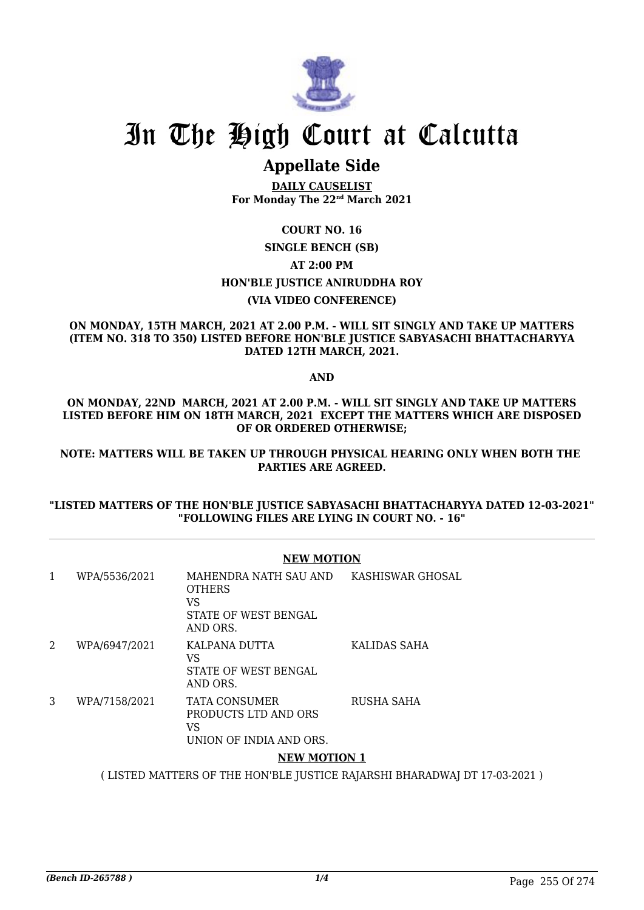

# In The High Court at Calcutta

# **Appellate Side**

**DAILY CAUSELIST For Monday The 22nd March 2021**

### **COURT NO. 16**

### **SINGLE BENCH (SB) AT 2:00 PM HON'BLE JUSTICE ANIRUDDHA ROY (VIA VIDEO CONFERENCE)**

### **ON MONDAY, 15TH MARCH, 2021 AT 2.00 P.M. - WILL SIT SINGLY AND TAKE UP MATTERS (ITEM NO. 318 TO 350) LISTED BEFORE HON'BLE JUSTICE SABYASACHI BHATTACHARYYA DATED 12TH MARCH, 2021.**

**AND**

### **ON MONDAY, 22ND MARCH, 2021 AT 2.00 P.M. - WILL SIT SINGLY AND TAKE UP MATTERS LISTED BEFORE HIM ON 18TH MARCH, 2021 EXCEPT THE MATTERS WHICH ARE DISPOSED OF OR ORDERED OTHERWISE;**

**NOTE: MATTERS WILL BE TAKEN UP THROUGH PHYSICAL HEARING ONLY WHEN BOTH THE PARTIES ARE AGREED.**

### **"LISTED MATTERS OF THE HON'BLE JUSTICE SABYASACHI BHATTACHARYYA DATED 12-03-2021" "FOLLOWING FILES ARE LYING IN COURT NO. - 16"**

### **NEW MOTION**

| 1 | WPA/5536/2021 | MAHENDRA NATH SAU AND<br><b>OTHERS</b><br>VS<br>STATE OF WEST BENGAL<br>AND ORS. | KASHISWAR GHOSAL |
|---|---------------|----------------------------------------------------------------------------------|------------------|
| 2 | WPA/6947/2021 | KALPANA DUTTA<br>VS<br>STATE OF WEST BENGAL<br>AND ORS.                          | KALIDAS SAHA     |
| 3 | WPA/7158/2021 | TATA CONSUMER<br>PRODUCTS LTD AND ORS<br>VS<br>UNION OF INDIA AND ORS.           | RUSHA SAHA       |
|   |               | ,,,,,,,, <i>,</i> ,,,,,,,,                                                       |                  |

### **NEW MOTION 1**

( LISTED MATTERS OF THE HON'BLE JUSTICE RAJARSHI BHARADWAJ DT 17-03-2021 )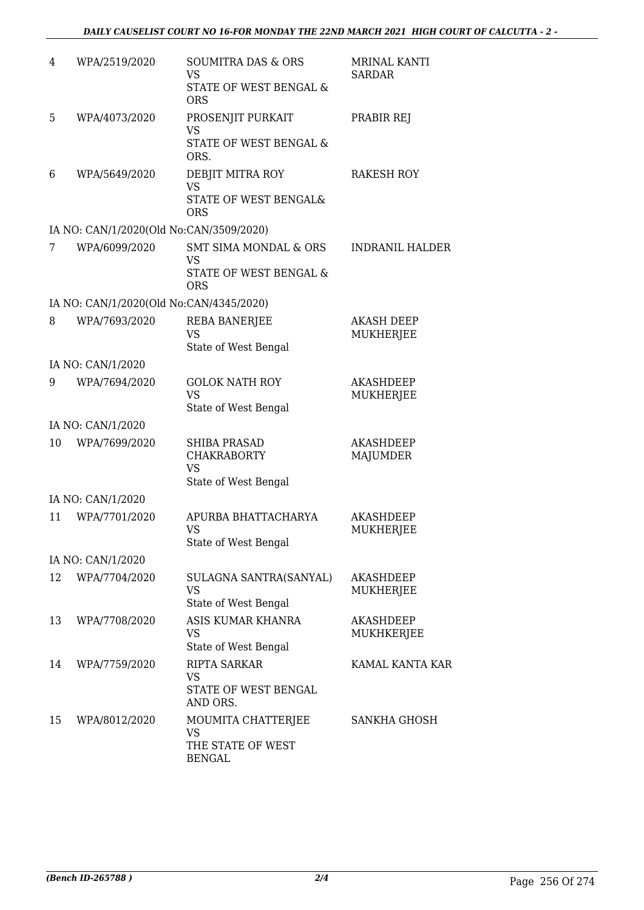| 4  | WPA/2519/2020                           | <b>SOUMITRA DAS &amp; ORS</b><br><b>VS</b><br>STATE OF WEST BENGAL &<br><b>ORS</b>    | MRINAL KANTI<br>SARDAR                |
|----|-----------------------------------------|---------------------------------------------------------------------------------------|---------------------------------------|
| 5  | WPA/4073/2020                           | PROSENJIT PURKAIT<br><b>VS</b><br>STATE OF WEST BENGAL &<br>ORS.                      | PRABIR REJ                            |
| 6  | WPA/5649/2020                           | DEBJIT MITRA ROY<br><b>VS</b><br>STATE OF WEST BENGAL&<br><b>ORS</b>                  | <b>RAKESH ROY</b>                     |
|    | IA NO: CAN/1/2020(Old No:CAN/3509/2020) |                                                                                       |                                       |
| 7  | WPA/6099/2020                           | <b>SMT SIMA MONDAL &amp; ORS</b><br><b>VS</b><br>STATE OF WEST BENGAL &<br><b>ORS</b> | <b>INDRANIL HALDER</b>                |
|    | IA NO: CAN/1/2020(Old No:CAN/4345/2020) |                                                                                       |                                       |
| 8  | WPA/7693/2020                           | <b>REBA BANERJEE</b><br><b>VS</b><br>State of West Bengal                             | <b>AKASH DEEP</b><br><b>MUKHERJEE</b> |
|    | IA NO: CAN/1/2020                       |                                                                                       |                                       |
| 9  | WPA/7694/2020                           | <b>GOLOK NATH ROY</b><br><b>VS</b><br>State of West Bengal                            | <b>AKASHDEEP</b><br>MUKHERJEE         |
|    | IA NO: CAN/1/2020                       |                                                                                       |                                       |
| 10 | WPA/7699/2020                           | SHIBA PRASAD<br><b>CHAKRABORTY</b><br><b>VS</b><br>State of West Bengal               | <b>AKASHDEEP</b><br><b>MAJUMDER</b>   |
|    | IA NO: CAN/1/2020                       |                                                                                       |                                       |
| 11 | WPA/7701/2020                           | APURBA BHATTACHARYA<br><b>VS</b><br>State of West Bengal                              | <b>AKASHDEEP</b><br><b>MUKHERJEE</b>  |
|    | IA NO: CAN/1/2020                       |                                                                                       |                                       |
| 12 | WPA/7704/2020                           | SULAGNA SANTRA(SANYAL)<br>VS<br>State of West Bengal                                  | AKASHDEEP<br>MUKHERJEE                |
| 13 | WPA/7708/2020                           | ASIS KUMAR KHANRA<br><b>VS</b><br>State of West Bengal                                | <b>AKASHDEEP</b><br>MUKHKERJEE        |
| 14 | WPA/7759/2020                           | <b>RIPTA SARKAR</b><br>VS<br>STATE OF WEST BENGAL<br>AND ORS.                         | KAMAL KANTA KAR                       |
| 15 | WPA/8012/2020                           | MOUMITA CHATTERJEE<br>VS<br>THE STATE OF WEST<br><b>BENGAL</b>                        | SANKHA GHOSH                          |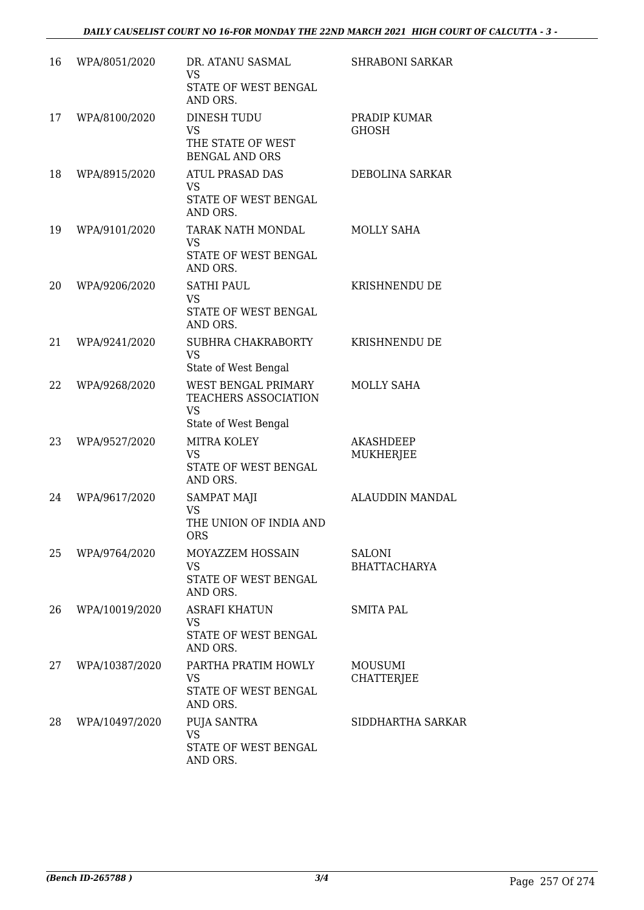| 16 | WPA/8051/2020  | DR. ATANU SASMAL<br><b>VS</b><br>STATE OF WEST BENGAL<br>AND ORS.                | <b>SHRABONI SARKAR</b>              |
|----|----------------|----------------------------------------------------------------------------------|-------------------------------------|
| 17 | WPA/8100/2020  | <b>DINESH TUDU</b><br><b>VS</b><br>THE STATE OF WEST<br><b>BENGAL AND ORS</b>    | PRADIP KUMAR<br><b>GHOSH</b>        |
| 18 | WPA/8915/2020  | <b>ATUL PRASAD DAS</b><br><b>VS</b><br>STATE OF WEST BENGAL<br>AND ORS.          | DEBOLINA SARKAR                     |
| 19 | WPA/9101/2020  | TARAK NATH MONDAL<br><b>VS</b><br>STATE OF WEST BENGAL<br>AND ORS.               | MOLLY SAHA                          |
| 20 | WPA/9206/2020  | <b>SATHI PAUL</b><br><b>VS</b><br>STATE OF WEST BENGAL<br>AND ORS.               | KRISHNENDU DE                       |
| 21 | WPA/9241/2020  | SUBHRA CHAKRABORTY<br><b>VS</b><br>State of West Bengal                          | KRISHNENDU DE                       |
| 22 | WPA/9268/2020  | WEST BENGAL PRIMARY<br>TEACHERS ASSOCIATION<br><b>VS</b><br>State of West Bengal | MOLLY SAHA                          |
| 23 | WPA/9527/2020  | MITRA KOLEY<br><b>VS</b><br>STATE OF WEST BENGAL<br>AND ORS.                     | AKASHDEEP<br>MUKHERJEE              |
| 24 | WPA/9617/2020  | <b>SAMPAT MAJI</b><br><b>VS</b><br>THE UNION OF INDIA AND<br>ORS                 | ALAUDDIN MANDAL                     |
| 25 | WPA/9764/2020  | MOYAZZEM HOSSAIN<br><b>VS</b><br>STATE OF WEST BENGAL<br>AND ORS.                | SALONI<br><b>BHATTACHARYA</b>       |
| 26 | WPA/10019/2020 | <b>ASRAFI KHATUN</b><br><b>VS</b><br>STATE OF WEST BENGAL<br>AND ORS.            | <b>SMITA PAL</b>                    |
| 27 | WPA/10387/2020 | PARTHA PRATIM HOWLY<br>VS<br>STATE OF WEST BENGAL<br>AND ORS.                    | <b>MOUSUMI</b><br><b>CHATTERJEE</b> |
| 28 | WPA/10497/2020 | PUJA SANTRA<br><b>VS</b><br>STATE OF WEST BENGAL<br>AND ORS.                     | SIDDHARTHA SARKAR                   |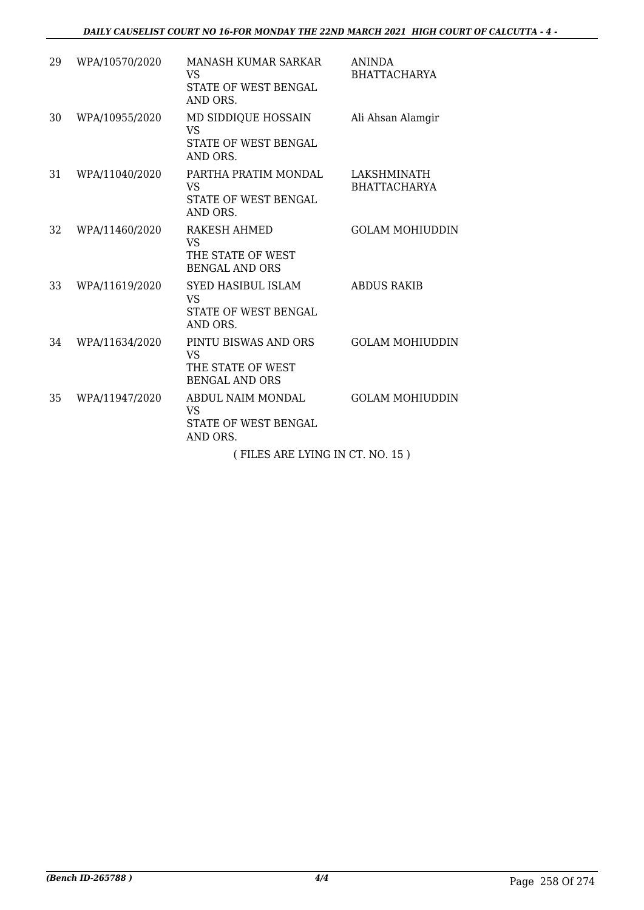| 29 | WPA/10570/2020 | MANASH KUMAR SARKAR<br><b>VS</b><br>STATE OF WEST BENGAL<br>AND ORS.              | <b>ANINDA</b><br><b>BHATTACHARYA</b> |
|----|----------------|-----------------------------------------------------------------------------------|--------------------------------------|
| 30 | WPA/10955/2020 | MD SIDDIQUE HOSSAIN<br><b>VS</b><br>STATE OF WEST BENGAL<br>AND ORS.              | Ali Ahsan Alamgir                    |
| 31 | WPA/11040/2020 | PARTHA PRATIM MONDAL<br><b>VS</b><br>STATE OF WEST BENGAL<br>AND ORS.             | LAKSHMINATH<br><b>BHATTACHARYA</b>   |
| 32 | WPA/11460/2020 | <b>RAKESH AHMED</b><br><b>VS</b><br>THE STATE OF WEST<br><b>BENGAL AND ORS</b>    | <b>GOLAM MOHIUDDIN</b>               |
| 33 | WPA/11619/2020 | <b>SYED HASIBUL ISLAM</b><br><b>VS</b><br><b>STATE OF WEST BENGAL</b><br>AND ORS. | <b>ABDUS RAKIB</b>                   |
| 34 | WPA/11634/2020 | PINTU BISWAS AND ORS<br><b>VS</b><br>THE STATE OF WEST<br><b>BENGAL AND ORS</b>   | <b>GOLAM MOHIUDDIN</b>               |
| 35 | WPA/11947/2020 | ABDUL NAIM MONDAL<br><b>VS</b><br>STATE OF WEST BENGAL<br>AND ORS.                | <b>GOLAM MOHIUDDIN</b>               |
|    |                | (FILES ARE LYING IN CT. NO. 15)                                                   |                                      |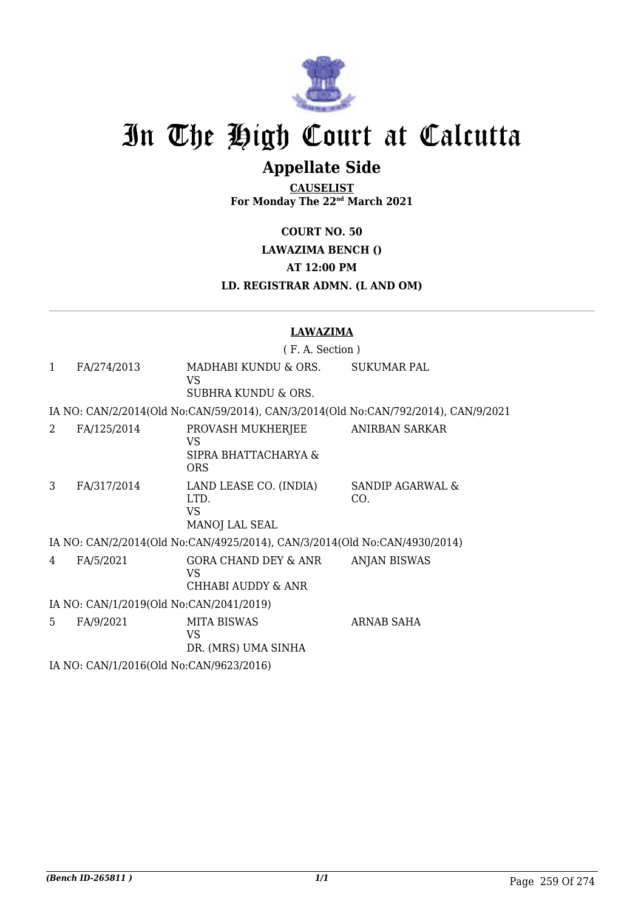

# In The High Court at Calcutta

# **Appellate Side**

**CAUSELIST For Monday The 22nd March 2021**

**COURT NO. 50**

**LAWAZIMA BENCH ()**

**AT 12:00 PM**

**LD. REGISTRAR ADMN. (L AND OM)**

### **LAWAZIMA**

( F. A. Section ) 1 FA/274/2013 MADHABI KUNDU & ORS. VS SUBHRA KUNDU & ORS. SUKUMAR PAL IA NO: CAN/2/2014(Old No:CAN/59/2014), CAN/3/2014(Old No:CAN/792/2014), CAN/9/2021 2 FA/125/2014 PROVASH MUKHERJEE VS SIPRA BHATTACHARYA & ORS ANIRBAN SARKAR 3 FA/317/2014 LAND LEASE CO. (INDIA) LTD. VS MANOJ LAL SEAL SANDIP AGARWAL & CO. IA NO: CAN/2/2014(Old No:CAN/4925/2014), CAN/3/2014(Old No:CAN/4930/2014) 4 FA/5/2021 GORA CHAND DEY & ANR VS CHHABI AUDDY & ANR ANJAN BISWAS IA NO: CAN/1/2019(Old No:CAN/2041/2019) 5 FA/9/2021 MITA BISWAS VS DR. (MRS) UMA SINHA ARNAB SAHA

IA NO: CAN/1/2016(Old No:CAN/9623/2016)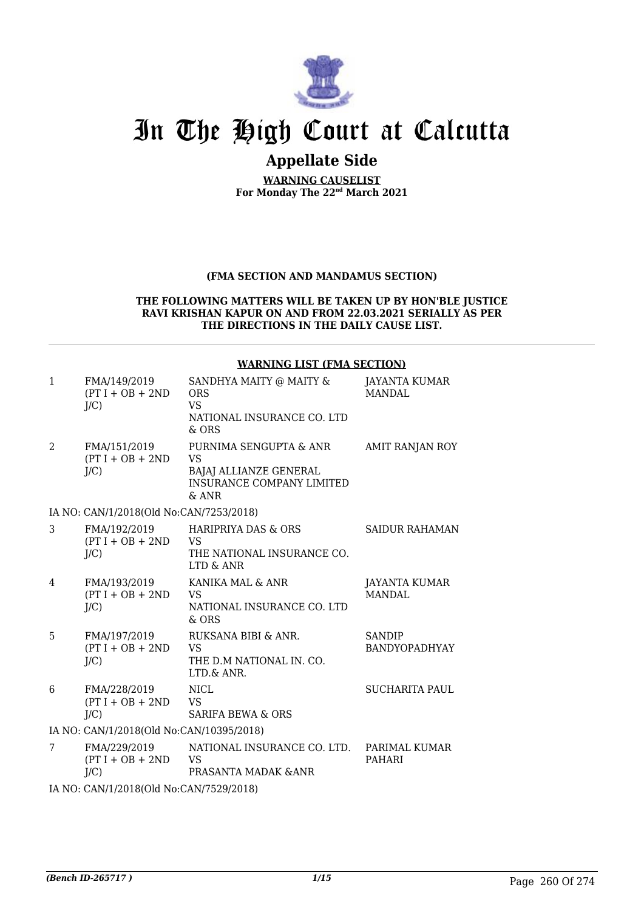

# In The High Court at Calcutta

### **Appellate Side**

**WARNING CAUSELIST For Monday The 22nd March 2021**

### **(FMA SECTION AND MANDAMUS SECTION)**

#### **THE FOLLOWING MATTERS WILL BE TAKEN UP BY HON'BLE JUSTICE RAVI KRISHAN KAPUR ON AND FROM 22.03.2021 SERIALLY AS PER THE DIRECTIONS IN THE DAILY CAUSE LIST.**

#### 1 FMA/149/2019  $(PT I + OB + 2ND$  $I/C$ ) SANDHYA MAITY @ MAITY & ORS VS NATIONAL INSURANCE CO. LTD & ORS JAYANTA KUMAR MANDAL 2 FMA/151/2019  $(PT I + OB + 2ND$  $I/C$ ) PURNIMA SENGUPTA & ANR VS BAJAJ ALLIANZE GENERAL INSURANCE COMPANY LIMITED & ANR AMIT RANJAN ROY IA NO: CAN/1/2018(Old No:CAN/7253/2018) 3 FMA/192/2019  $(PT I + OB + 2ND$  $I/C$ ) HARIPRIYA DAS & ORS VS THE NATIONAL INSURANCE CO. LTD & ANR SAIDUR RAHAMAN 4 FMA/193/2019  $(PT I + OB + 2ND$  $J/C$ KANIKA MAL & ANR VS NATIONAL INSURANCE CO. LTD & ORS JAYANTA KUMAR MANDAL 5 FMA/197/2019  $(PT I + OB + 2ND$  $I/C$ ) RUKSANA BIBI & ANR. VS THE D.M NATIONAL IN. CO. LTD.& ANR. SANDIP BANDYOPADHYAY 6 FMA/228/2019  $(PT I + OB + 2ND$  $J/C$ NICL VS SARIFA BEWA & ORS SUCHARITA PAUL IA NO: CAN/1/2018(Old No:CAN/10395/2018) 7 FMA/229/2019  $(PT I + OB + 2ND$  $J/C$ NATIONAL INSURANCE CO. LTD. VS PRASANTA MADAK &ANR PARIMAL KUMAR PAHARI IA NO: CAN/1/2018(Old No:CAN/7529/2018)

#### **WARNING LIST (FMA SECTION)**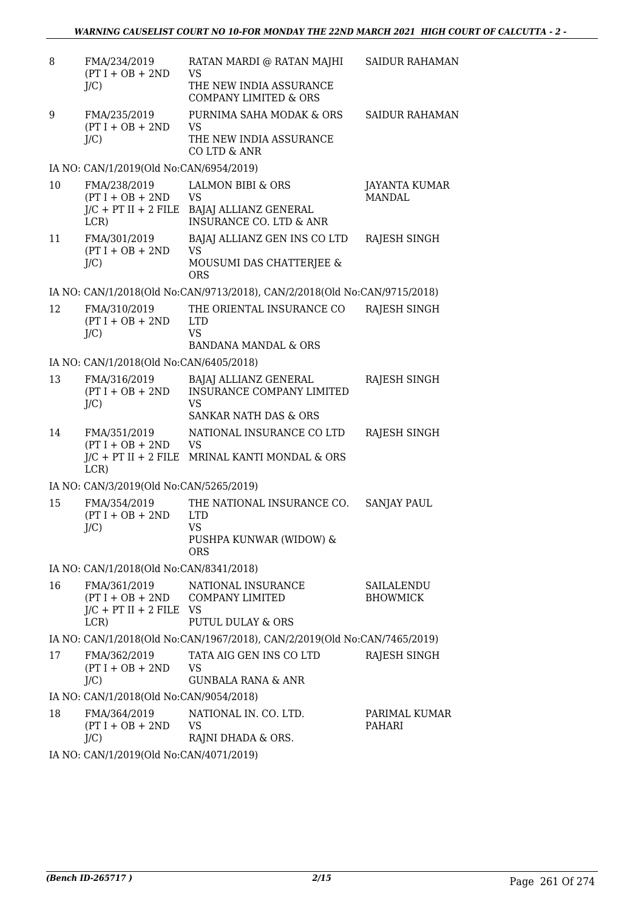| 8  | FMA/234/2019<br>$(PT I + OB + 2ND$<br>$J/C$ )                              | RATAN MARDI @ RATAN MAJHI<br>VS<br>THE NEW INDIA ASSURANCE<br><b>COMPANY LIMITED &amp; ORS</b>             | <b>SAIDUR RAHAMAN</b>                 |
|----|----------------------------------------------------------------------------|------------------------------------------------------------------------------------------------------------|---------------------------------------|
| 9  | FMA/235/2019<br>$(PT I + OB + 2ND$<br>$J/C$ )                              | PURNIMA SAHA MODAK & ORS<br>VS<br>THE NEW INDIA ASSURANCE<br>CO LTD & ANR                                  | <b>SAIDUR RAHAMAN</b>                 |
|    | IA NO: CAN/1/2019(Old No:CAN/6954/2019)                                    |                                                                                                            |                                       |
| 10 | FMA/238/2019<br>$(PT I + OB + 2ND$<br>$J/C$ + PT II + 2 FILE<br>LCR)       | <b>LALMON BIBI &amp; ORS</b><br><b>VS</b><br>BAJAJ ALLIANZ GENERAL<br><b>INSURANCE CO. LTD &amp; ANR</b>   | <b>JAYANTA KUMAR</b><br><b>MANDAL</b> |
| 11 | FMA/301/2019<br>$(PT I + OB + 2ND$<br>$J/C$ )                              | BAJAJ ALLIANZ GEN INS CO LTD<br>VS.<br>MOUSUMI DAS CHATTERJEE &<br><b>ORS</b>                              | RAJESH SINGH                          |
|    |                                                                            | IA NO: CAN/1/2018(Old No:CAN/9713/2018), CAN/2/2018(Old No:CAN/9715/2018)                                  |                                       |
| 12 | FMA/310/2019<br>$(PT I + OB + 2ND$<br>$J/C$ )                              | THE ORIENTAL INSURANCE CO<br><b>LTD</b><br><b>VS</b><br><b>BANDANA MANDAL &amp; ORS</b>                    | RAJESH SINGH                          |
|    | IA NO: CAN/1/2018(Old No:CAN/6405/2018)                                    |                                                                                                            |                                       |
| 13 | FMA/316/2019<br>$(PT I + OB + 2ND$<br>$J/C$ )                              | BAJAJ ALLIANZ GENERAL<br><b>INSURANCE COMPANY LIMITED</b><br><b>VS</b><br><b>SANKAR NATH DAS &amp; ORS</b> | RAJESH SINGH                          |
| 14 | FMA/351/2019<br>$(PT I + OB + 2ND$<br>LCR                                  | NATIONAL INSURANCE CO LTD<br><b>VS</b><br>$J/C$ + PT II + 2 FILE MRINAL KANTI MONDAL & ORS                 | RAJESH SINGH                          |
|    | IA NO: CAN/3/2019(Old No:CAN/5265/2019)                                    |                                                                                                            |                                       |
| 15 | FMA/354/2019<br>$(PT I + OB + 2ND$<br>$J/C$ )                              | THE NATIONAL INSURANCE CO.<br><b>LTD</b><br><b>VS</b><br>PUSHPA KUNWAR (WIDOW) &<br><b>ORS</b>             | <b>SANJAY PAUL</b>                    |
|    | IA NO: CAN/1/2018(Old No:CAN/8341/2018)                                    |                                                                                                            |                                       |
| 16 | FMA/361/2019<br>$(PT I + OB + 2ND$<br>$J/C$ + PT II + 2 FILE VS<br>$LCR$ ) | NATIONAL INSURANCE<br>COMPANY LIMITED<br><b>PUTUL DULAY &amp; ORS</b>                                      | SAILALENDU<br><b>BHOWMICK</b>         |
|    |                                                                            | IA NO: CAN/1/2018(Old No:CAN/1967/2018), CAN/2/2019(Old No:CAN/7465/2019)                                  |                                       |
| 17 | FMA/362/2019<br>$(PT I + OB + 2ND$<br>$J/C$ )                              | TATA AIG GEN INS CO LTD<br><b>VS</b><br>GUNBALA RANA & ANR                                                 | RAJESH SINGH                          |
|    | IA NO: CAN/1/2018(Old No:CAN/9054/2018)                                    |                                                                                                            |                                       |
| 18 | FMA/364/2019<br>$(PT I + OB + 2ND$<br>$J/C$ )                              | NATIONAL IN. CO. LTD.<br>VS.<br>RAJNI DHADA & ORS.                                                         | PARIMAL KUMAR<br>PAHARI               |

IA NO: CAN/1/2019(Old No:CAN/4071/2019)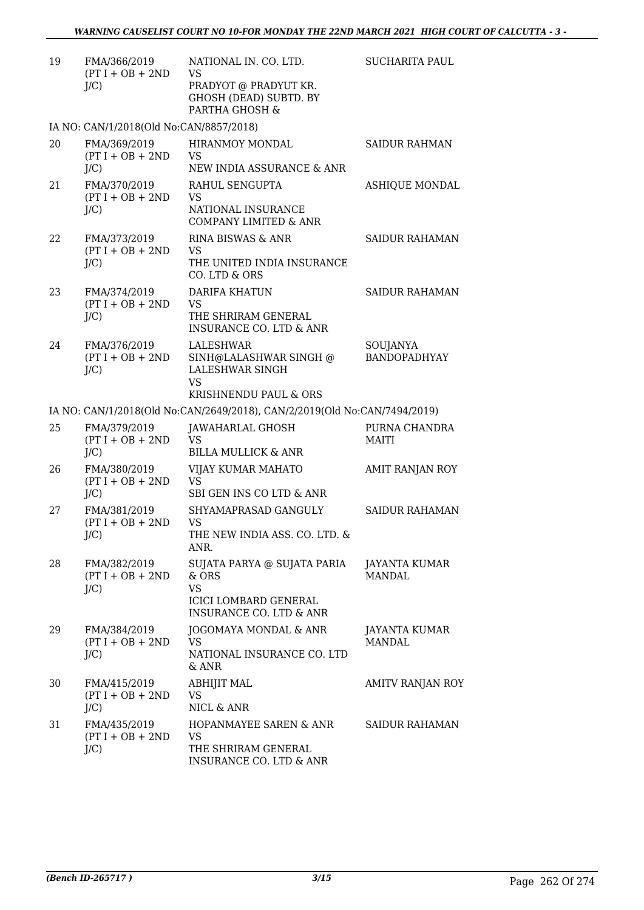| 19 | FMA/366/2019<br>$(PT I + OB + 2ND$<br>$J/C$ ) | NATIONAL IN. CO. LTD.<br>VS<br>PRADYOT @ PRADYUT KR.<br>GHOSH (DEAD) SUBTD. BY<br>PARTHA GHOSH &                        | <b>SUCHARITA PAUL</b>           |
|----|-----------------------------------------------|-------------------------------------------------------------------------------------------------------------------------|---------------------------------|
|    | IA NO: CAN/1/2018(Old No:CAN/8857/2018)       |                                                                                                                         |                                 |
| 20 | FMA/369/2019<br>$(PT I + OB + 2ND$<br>J/C     | <b>HIRANMOY MONDAL</b><br><b>VS</b><br>NEW INDIA ASSURANCE & ANR                                                        | <b>SAIDUR RAHMAN</b>            |
| 21 | FMA/370/2019<br>$(PT I + OB + 2ND$<br>J/C     | RAHUL SENGUPTA<br><b>VS</b><br>NATIONAL INSURANCE<br>COMPANY LIMITED & ANR                                              | <b>ASHIQUE MONDAL</b>           |
| 22 | FMA/373/2019<br>$(PT I + OB + 2ND$<br>$J/C$ ) | <b>RINA BISWAS &amp; ANR</b><br><b>VS</b><br>THE UNITED INDIA INSURANCE<br>CO. LTD & ORS                                | <b>SAIDUR RAHAMAN</b>           |
| 23 | FMA/374/2019<br>$(PT I + OB + 2ND$<br>$J/C$ ) | <b>DARIFA KHATUN</b><br><b>VS</b><br>THE SHRIRAM GENERAL<br><b>INSURANCE CO. LTD &amp; ANR</b>                          | <b>SAIDUR RAHAMAN</b>           |
| 24 | FMA/376/2019<br>$(PT I + OB + 2ND$<br>$J/C$ ) | LALESHWAR<br>SINH@LALASHWAR SINGH @<br><b>LALESHWAR SINGH</b><br><b>VS</b><br>KRISHNENDU PAUL & ORS                     | SOUJANYA<br><b>BANDOPADHYAY</b> |
|    |                                               | IA NO: CAN/1/2018(Old No:CAN/2649/2018), CAN/2/2019(Old No:CAN/7494/2019)                                               |                                 |
| 25 | FMA/379/2019<br>$(PT I + OB + 2ND$<br>$J/C$ ) | JAWAHARLAL GHOSH<br><b>VS</b><br><b>BILLA MULLICK &amp; ANR</b>                                                         | PURNA CHANDRA<br><b>MAITI</b>   |
| 26 | FMA/380/2019<br>$(PT I + OB + 2ND$<br>$J/C$ ) | VIJAY KUMAR MAHATO<br><b>VS</b><br>SBI GEN INS CO LTD & ANR                                                             | AMIT RANJAN ROY                 |
| 27 | FMA/381/2019<br>$(PT I + OB + 2ND$<br>$J/C$ ) | SHYAMAPRASAD GANGULY<br><b>VS</b><br>THE NEW INDIA ASS. CO. LTD. &<br>ANR.                                              | <b>SAIDUR RAHAMAN</b>           |
| 28 | FMA/382/2019<br>$(PT I + OB + 2ND$<br>$J/C$ ) | SUJATA PARYA @ SUJATA PARIA<br>& ORS<br><b>VS</b><br><b>ICICI LOMBARD GENERAL</b><br><b>INSURANCE CO. LTD &amp; ANR</b> | JAYANTA KUMAR<br><b>MANDAL</b>  |
| 29 | FMA/384/2019<br>$(PT I + OB + 2ND$<br>$J/C$ ) | JOGOMAYA MONDAL & ANR<br><b>VS</b><br>NATIONAL INSURANCE CO. LTD<br>& ANR                                               | JAYANTA KUMAR<br>MANDAL         |
| 30 | FMA/415/2019<br>$(PT I + OB + 2ND$<br>$J/C$ ) | <b>ABHIJIT MAL</b><br><b>VS</b><br>NICL & ANR                                                                           | AMITV RANJAN ROY                |
| 31 | FMA/435/2019<br>$(PT I + OB + 2ND$<br>$J/C$ ) | HOPANMAYEE SAREN & ANR<br><b>VS</b><br>THE SHRIRAM GENERAL<br>INSURANCE CO. LTD & ANR                                   | SAIDUR RAHAMAN                  |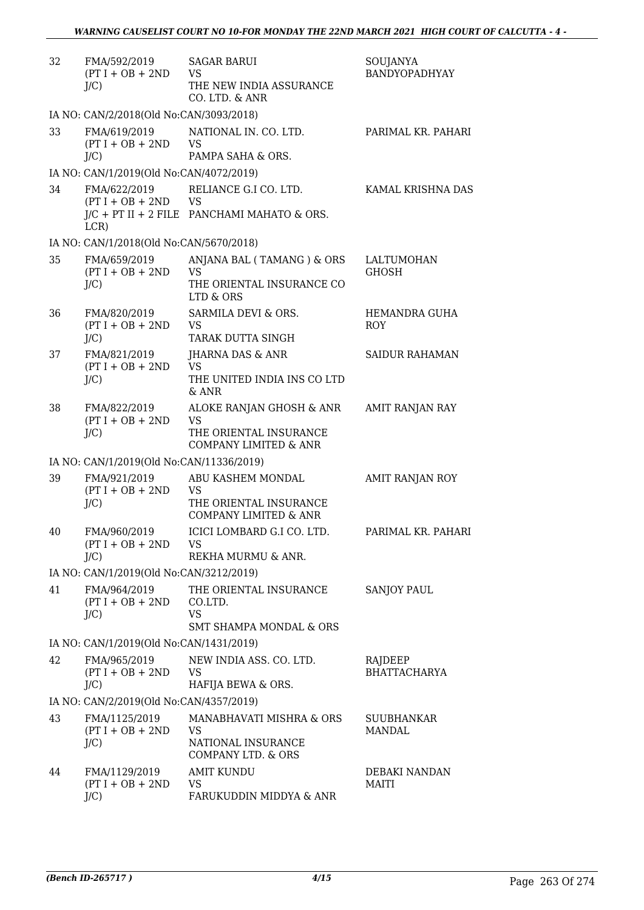| 32 | FMA/592/2019<br>$(PT I + OB + 2ND$<br>$J/C$ )  | <b>SAGAR BARUI</b><br><b>VS</b><br>THE NEW INDIA ASSURANCE<br>CO. LTD. & ANR                        | SOUJANYA<br>BANDYOPADHYAY      |
|----|------------------------------------------------|-----------------------------------------------------------------------------------------------------|--------------------------------|
|    | IA NO: CAN/2/2018(Old No:CAN/3093/2018)        |                                                                                                     |                                |
| 33 | FMA/619/2019<br>$(PT I + OB + 2ND$<br>$J/C$ )  | NATIONAL IN. CO. LTD.<br><b>VS</b><br>PAMPA SAHA & ORS.                                             | PARIMAL KR. PAHARI             |
|    | IA NO: CAN/1/2019(Old No:CAN/4072/2019)        |                                                                                                     |                                |
| 34 | FMA/622/2019<br>$(PT I + OB + 2ND$ VS          | RELIANCE G.I CO. LTD.<br>$J/C$ + PT II + 2 FILE PANCHAMI MAHATO & ORS.                              | KAMAL KRISHNA DAS              |
|    | LCR)                                           |                                                                                                     |                                |
|    | IA NO: CAN/1/2018(Old No:CAN/5670/2018)        |                                                                                                     |                                |
| 35 | FMA/659/2019<br>$(PT I + OB + 2ND$<br>$J/C$ )  | ANJANA BAL (TAMANG) & ORS<br><b>VS</b><br>THE ORIENTAL INSURANCE CO<br>LTD & ORS                    | LALTUMOHAN<br><b>GHOSH</b>     |
| 36 | FMA/820/2019<br>$(PT I + OB + 2ND$<br>$J/C$ )  | SARMILA DEVI & ORS.<br><b>VS</b><br>TARAK DUTTA SINGH                                               | HEMANDRA GUHA<br><b>ROY</b>    |
| 37 | FMA/821/2019<br>$(PT I + OB + 2ND$<br>J/C      | JHARNA DAS & ANR<br><b>VS</b><br>THE UNITED INDIA INS CO LTD<br>$&$ ANR                             | <b>SAIDUR RAHAMAN</b>          |
| 38 | FMA/822/2019<br>$(PT I + OB + 2ND$<br>$J/C$ )  | ALOKE RANJAN GHOSH & ANR<br><b>VS</b><br>THE ORIENTAL INSURANCE<br><b>COMPANY LIMITED &amp; ANR</b> | AMIT RANJAN RAY                |
|    | IA NO: CAN/1/2019(Old No:CAN/11336/2019)       |                                                                                                     |                                |
| 39 | FMA/921/2019<br>$(PT I + OB + 2ND$<br>J/C      | ABU KASHEM MONDAL<br><b>VS</b><br>THE ORIENTAL INSURANCE<br><b>COMPANY LIMITED &amp; ANR</b>        | AMIT RANJAN ROY                |
| 40 | FMA/960/2019<br>$(PT I + OB + 2ND$<br>$J/C$ )  | ICICI LOMBARD G.I CO. LTD.<br>VS<br>REKHA MURMU & ANR.                                              | PARIMAL KR. PAHARI             |
|    | IA NO: CAN/1/2019(Old No:CAN/3212/2019)        |                                                                                                     |                                |
| 41 | FMA/964/2019<br>$(PT I + OB + 2ND$<br>J/C      | THE ORIENTAL INSURANCE<br>CO.LTD.<br><b>VS</b><br><b>SMT SHAMPA MONDAL &amp; ORS</b>                | <b>SANJOY PAUL</b>             |
|    | IA NO: CAN/1/2019(Old No:CAN/1431/2019)        |                                                                                                     |                                |
| 42 | FMA/965/2019<br>$(PT I + OB + 2ND$<br>J/C      | NEW INDIA ASS. CO. LTD.<br><b>VS</b><br>HAFIJA BEWA & ORS.                                          | RAJDEEP<br><b>BHATTACHARYA</b> |
|    | IA NO: CAN/2/2019(Old No:CAN/4357/2019)        |                                                                                                     |                                |
| 43 | FMA/1125/2019<br>$(PT I + OB + 2ND$<br>J/C     | MANABHAVATI MISHRA & ORS<br><b>VS</b><br>NATIONAL INSURANCE<br>COMPANY LTD. & ORS                   | SUUBHANKAR<br><b>MANDAL</b>    |
| 44 | FMA/1129/2019<br>$(PT I + OB + 2ND$<br>$J/C$ ) | <b>AMIT KUNDU</b><br><b>VS</b><br>FARUKUDDIN MIDDYA & ANR                                           | DEBAKI NANDAN<br><b>MAITI</b>  |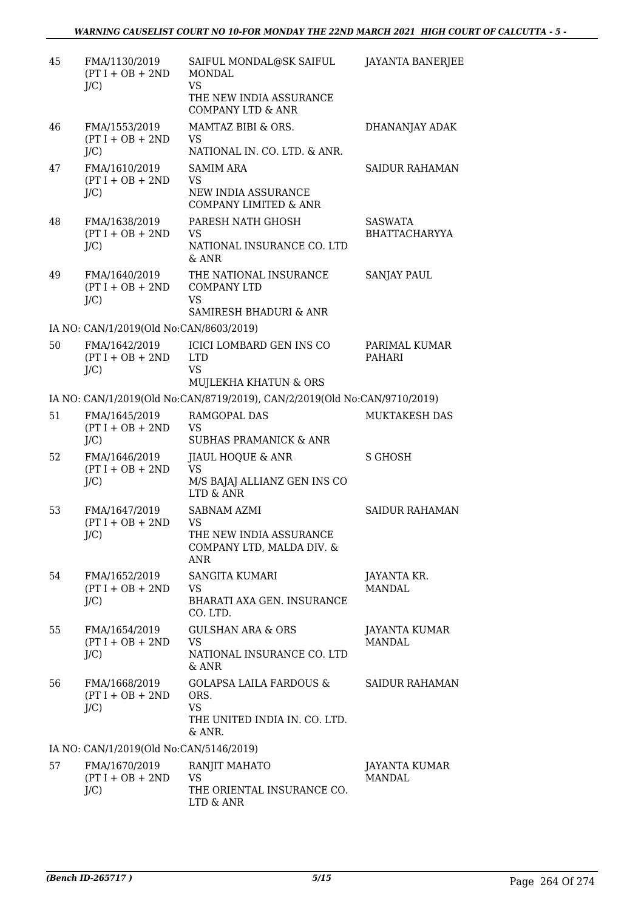| 45 | FMA/1130/2019<br>$(PT I + OB + 2ND$<br>$J/C$ ) | SAIFUL MONDAL@SK SAIFUL<br><b>MONDAL</b><br><b>VS</b><br>THE NEW INDIA ASSURANCE<br><b>COMPANY LTD &amp; ANR</b> | <b>JAYANTA BANERJEE</b>                |
|----|------------------------------------------------|------------------------------------------------------------------------------------------------------------------|----------------------------------------|
| 46 | FMA/1553/2019<br>$(PT I + OB + 2ND$<br>$J/C$ ) | MAMTAZ BIBI & ORS.<br><b>VS</b><br>NATIONAL IN. CO. LTD. & ANR.                                                  | DHANANJAY ADAK                         |
| 47 | FMA/1610/2019<br>$(PT I + OB + 2ND$<br>$J/C$ ) | SAMIM ARA<br><b>VS</b><br>NEW INDIA ASSURANCE<br><b>COMPANY LIMITED &amp; ANR</b>                                | <b>SAIDUR RAHAMAN</b>                  |
| 48 | FMA/1638/2019<br>$(PT I + OB + 2ND$<br>$J/C$ ) | PARESH NATH GHOSH<br><b>VS</b><br>NATIONAL INSURANCE CO. LTD<br>& ANR                                            | <b>SASWATA</b><br><b>BHATTACHARYYA</b> |
| 49 | FMA/1640/2019<br>$(PT I + OB + 2ND$<br>$J/C$ ) | THE NATIONAL INSURANCE<br><b>COMPANY LTD</b><br><b>VS</b><br>SAMIRESH BHADURI & ANR                              | <b>SANJAY PAUL</b>                     |
|    | IA NO: CAN/1/2019(Old No:CAN/8603/2019)        |                                                                                                                  |                                        |
| 50 | FMA/1642/2019<br>$(PT I + OB + 2ND$<br>$J/C$ ) | <b>ICICI LOMBARD GEN INS CO</b><br><b>LTD</b><br><b>VS</b><br>MUJLEKHA KHATUN & ORS                              | PARIMAL KUMAR<br>PAHARI                |
|    |                                                | IA NO: CAN/1/2019(Old No:CAN/8719/2019), CAN/2/2019(Old No:CAN/9710/2019)                                        |                                        |
| 51 | FMA/1645/2019                                  | RAMGOPAL DAS                                                                                                     | MUKTAKESH DAS                          |
|    | $(PT I + OB + 2ND$<br>$J/C$ )                  | <b>VS</b><br><b>SUBHAS PRAMANICK &amp; ANR</b>                                                                   |                                        |
| 52 | FMA/1646/2019<br>$(PT I + OB + 2ND$<br>$J/C$ ) | <b>JIAUL HOQUE &amp; ANR</b><br><b>VS</b><br>M/S BAJAJ ALLIANZ GEN INS CO<br>LTD & ANR                           | S GHOSH                                |
| 53 | FMA/1647/2019<br>$(PT I + OB + 2ND$<br>$J/C$ ) | SABNAM AZMI<br><b>VS</b><br>THE NEW INDIA ASSURANCE<br>COMPANY LTD, MALDA DIV. &<br><b>ANR</b>                   | <b>SAIDUR RAHAMAN</b>                  |
| 54 | FMA/1652/2019<br>$(PT I + OB + 2ND$<br>$J/C$ ) | <b>SANGITA KUMARI</b><br><b>VS</b><br>BHARATI AXA GEN. INSURANCE<br>CO. LTD.                                     | JAYANTA KR.<br><b>MANDAL</b>           |
| 55 | FMA/1654/2019<br>$(PT I + OB + 2ND$<br>$J/C$ ) | <b>GULSHAN ARA &amp; ORS</b><br><b>VS</b><br>NATIONAL INSURANCE CO. LTD<br>& ANR                                 | JAYANTA KUMAR<br><b>MANDAL</b>         |
| 56 | FMA/1668/2019<br>$(PT I + OB + 2ND$<br>$J/C$ ) | <b>GOLAPSA LAILA FARDOUS &amp;</b><br>ORS.<br><b>VS</b><br>THE UNITED INDIA IN. CO. LTD.<br>& ANR.               | <b>SAIDUR RAHAMAN</b>                  |
|    | IA NO: CAN/1/2019(Old No:CAN/5146/2019)        |                                                                                                                  |                                        |
| 57 | FMA/1670/2019<br>$(PT I + OB + 2ND$<br>$J/C$ ) | RANJIT MAHATO<br><b>VS</b><br>THE ORIENTAL INSURANCE CO.                                                         | JAYANTA KUMAR<br><b>MANDAL</b>         |
|    |                                                | LTD & ANR                                                                                                        |                                        |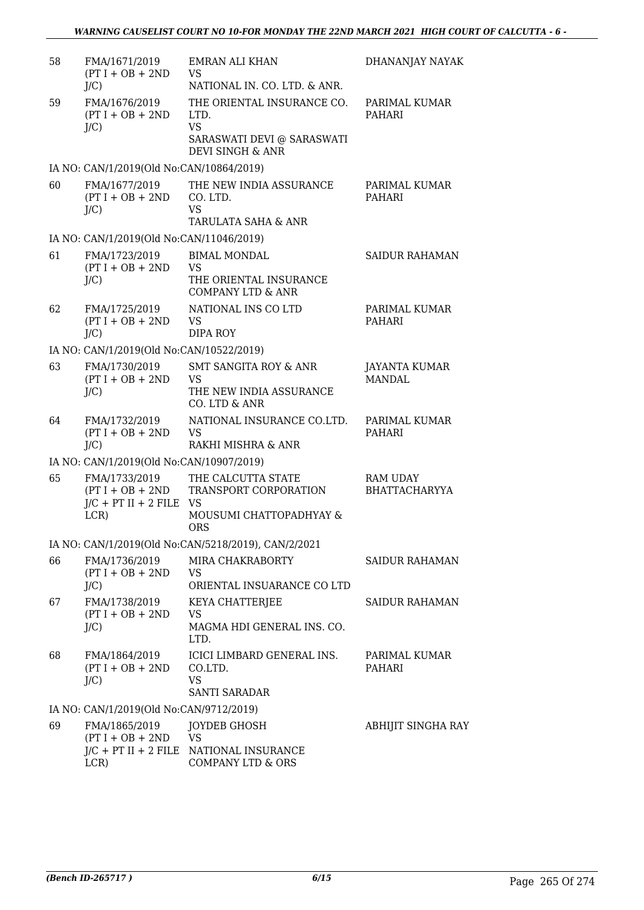| 58 | FMA/1671/2019<br>$(PT I + OB + 2ND$<br>$J/C$ )                           | <b>EMRAN ALI KHAN</b><br><b>VS</b><br>NATIONAL IN. CO. LTD. & ANR.                                           | DHANANJAY NAYAK                         |
|----|--------------------------------------------------------------------------|--------------------------------------------------------------------------------------------------------------|-----------------------------------------|
| 59 | FMA/1676/2019<br>$(PT I + OB + 2ND$<br>$J/C$ )                           | THE ORIENTAL INSURANCE CO.<br>LTD.<br><b>VS</b><br>SARASWATI DEVI @ SARASWATI<br><b>DEVI SINGH &amp; ANR</b> | PARIMAL KUMAR<br>PAHARI                 |
|    | IA NO: CAN/1/2019(Old No:CAN/10864/2019)                                 |                                                                                                              |                                         |
| 60 | FMA/1677/2019<br>$(PT I + OB + 2ND$<br>$J/C$ )                           | THE NEW INDIA ASSURANCE<br>CO. LTD.<br><b>VS</b><br>TARULATA SAHA & ANR                                      | PARIMAL KUMAR<br><b>PAHARI</b>          |
|    | IA NO: CAN/1/2019(Old No:CAN/11046/2019)                                 |                                                                                                              |                                         |
| 61 | FMA/1723/2019<br>$(PT I + OB + 2ND$<br>$J/C$ )                           | <b>BIMAL MONDAL</b><br><b>VS</b><br>THE ORIENTAL INSURANCE<br><b>COMPANY LTD &amp; ANR</b>                   | <b>SAIDUR RAHAMAN</b>                   |
| 62 | FMA/1725/2019<br>$(PT I + OB + 2ND$<br>J/C                               | NATIONAL INS CO LTD<br><b>VS</b><br><b>DIPA ROY</b>                                                          | PARIMAL KUMAR<br>PAHARI                 |
|    | IA NO: CAN/1/2019(Old No:CAN/10522/2019)                                 |                                                                                                              |                                         |
| 63 | FMA/1730/2019<br>$(PT I + OB + 2ND$<br>$J/C$ )                           | <b>SMT SANGITA ROY &amp; ANR</b><br><b>VS</b><br>THE NEW INDIA ASSURANCE<br>CO. LTD & ANR                    | <b>JAYANTA KUMAR</b><br><b>MANDAL</b>   |
| 64 | FMA/1732/2019<br>$(PT I + OB + 2ND$<br>$J/C$ )                           | NATIONAL INSURANCE CO.LTD.<br><b>VS</b><br>RAKHI MISHRA & ANR                                                | PARIMAL KUMAR<br><b>PAHARI</b>          |
|    | IA NO: CAN/1/2019(Old No:CAN/10907/2019)                                 |                                                                                                              |                                         |
| 65 | FMA/1733/2019<br>$(PT I + OB + 2ND$<br>$J/C$ + PT II + 2 FILE VS<br>LCR) | THE CALCUTTA STATE<br>TRANSPORT CORPORATION<br>MOUSUMI CHATTOPADHYAY &<br><b>ORS</b>                         | <b>RAM UDAY</b><br><b>BHATTACHARYYA</b> |
|    |                                                                          | IA NO: CAN/1/2019(Old No:CAN/5218/2019), CAN/2/2021                                                          |                                         |
| 66 | FMA/1736/2019<br>$(PT I + OB + 2ND$<br>$J/C$ )                           | MIRA CHAKRABORTY<br><b>VS</b><br>ORIENTAL INSUARANCE CO LTD                                                  | SAIDUR RAHAMAN                          |
| 67 | FMA/1738/2019<br>$(PT I + OB + 2ND$<br>$J/C$ )                           | KEYA CHATTERJEE<br><b>VS</b><br>MAGMA HDI GENERAL INS. CO.<br>LTD.                                           | <b>SAIDUR RAHAMAN</b>                   |
| 68 | FMA/1864/2019<br>$(PT I + OB + 2ND$<br>$J/C$ )                           | ICICI LIMBARD GENERAL INS.<br>CO.LTD.<br><b>VS</b><br><b>SANTI SARADAR</b>                                   | PARIMAL KUMAR<br>PAHARI                 |
|    | IA NO: CAN/1/2019(Old No:CAN/9712/2019)                                  |                                                                                                              |                                         |
| 69 | FMA/1865/2019<br>$(PT I + OB + 2ND$<br>LCR)                              | <b>JOYDEB GHOSH</b><br><b>VS</b><br>J/C + PT II + 2 FILE NATIONAL INSURANCE<br><b>COMPANY LTD &amp; ORS</b>  | ABHIJIT SINGHA RAY                      |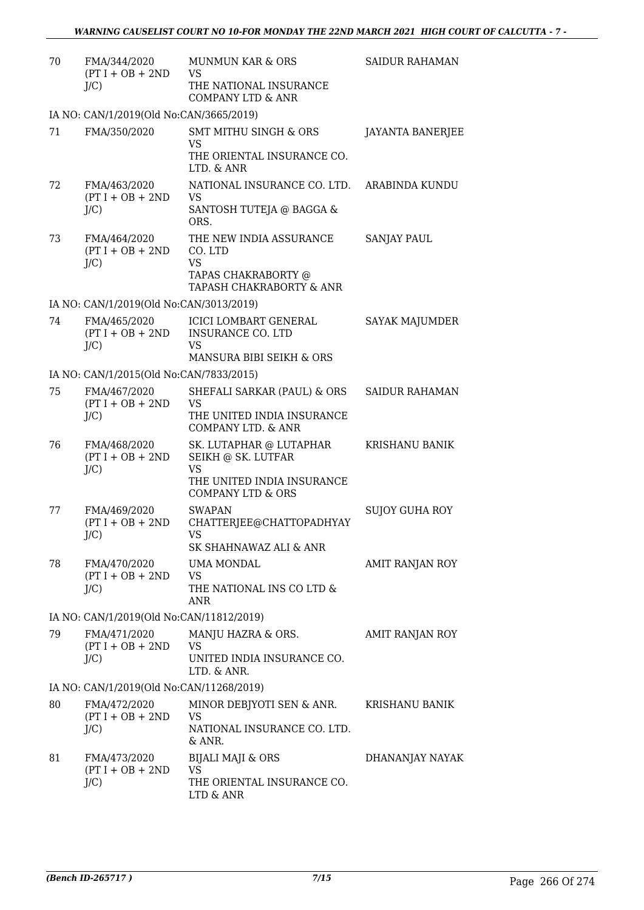| 70 | FMA/344/2020<br>$(PT I + OB + 2ND$<br>$J/C$ ) | MUNMUN KAR & ORS<br>VS<br>THE NATIONAL INSURANCE<br><b>COMPANY LTD &amp; ANR</b>                   | <b>SAIDUR RAHAMAN</b>   |
|----|-----------------------------------------------|----------------------------------------------------------------------------------------------------|-------------------------|
|    | IA NO: CAN/1/2019(Old No:CAN/3665/2019)       |                                                                                                    |                         |
| 71 | FMA/350/2020                                  | <b>SMT MITHU SINGH &amp; ORS</b>                                                                   | <b>JAYANTA BANERJEE</b> |
|    |                                               | <b>VS</b><br>THE ORIENTAL INSURANCE CO.<br>LTD. & ANR                                              |                         |
| 72 | FMA/463/2020<br>$(PT I + OB + 2ND$<br>J/C     | NATIONAL INSURANCE CO. LTD.<br><b>VS</b><br>SANTOSH TUTEJA @ BAGGA &<br>ORS.                       | ARABINDA KUNDU          |
| 73 | FMA/464/2020<br>$(PT I + OB + 2ND$<br>$J/C$ ) | THE NEW INDIA ASSURANCE<br>CO. LTD<br><b>VS</b><br>TAPAS CHAKRABORTY @<br>TAPASH CHAKRABORTY & ANR | SANJAY PAUL             |
|    | IA NO: CAN/1/2019(Old No:CAN/3013/2019)       |                                                                                                    |                         |
| 74 | FMA/465/2020<br>$(PT I + OB + 2ND$<br>$J/C$ ) | <b>ICICI LOMBART GENERAL</b><br><b>INSURANCE CO. LTD</b><br><b>VS</b>                              | <b>SAYAK MAJUMDER</b>   |
|    |                                               | MANSURA BIBI SEIKH & ORS                                                                           |                         |
|    | IA NO: CAN/1/2015(Old No:CAN/7833/2015)       |                                                                                                    |                         |
| 75 | FMA/467/2020<br>$(PT I + OB + 2ND$<br>J/C     | SHEFALI SARKAR (PAUL) & ORS<br><b>VS</b><br>THE UNITED INDIA INSURANCE<br>COMPANY LTD. & ANR       | <b>SAIDUR RAHAMAN</b>   |
| 76 | FMA/468/2020<br>$(PT I + OB + 2ND$<br>$J/C$ ) | SK. LUTAPHAR @ LUTAPHAR<br>SEIKH @ SK. LUTFAR<br><b>VS</b>                                         | <b>KRISHANU BANIK</b>   |
|    |                                               | THE UNITED INDIA INSURANCE<br><b>COMPANY LTD &amp; ORS</b>                                         |                         |
| 77 | FMA/469/2020<br>$(PT I + OB + 2ND$<br>$J/C$ ) | <b>SWAPAN</b><br>CHATTERJEE@CHATTOPADHYAY<br>VS.<br>SK SHAHNAWAZ ALI & ANR                         | SUJOY GUHA ROY          |
| 78 | FMA/470/2020<br>$(PT I + OB + 2ND$<br>$J/C$ ) | UMA MONDAL<br><b>VS</b><br>THE NATIONAL INS CO LTD &<br><b>ANR</b>                                 | AMIT RANJAN ROY         |
|    | IA NO: CAN/1/2019(Old No:CAN/11812/2019)      |                                                                                                    |                         |
| 79 | FMA/471/2020<br>$(PT I + OB + 2ND$<br>$J/C$ ) | MANJU HAZRA & ORS.<br><b>VS</b><br>UNITED INDIA INSURANCE CO.<br>LTD. & ANR.                       | AMIT RANJAN ROY         |
|    | IA NO: CAN/1/2019(Old No:CAN/11268/2019)      |                                                                                                    |                         |
| 80 | FMA/472/2020<br>$(PT I + OB + 2ND$<br>$J/C$ ) | MINOR DEBJYOTI SEN & ANR.<br>VS<br>NATIONAL INSURANCE CO. LTD.<br>& ANR.                           | KRISHANU BANIK          |
| 81 | FMA/473/2020<br>$(PT I + OB + 2ND$<br>$J/C$ ) | <b>BIJALI MAJI &amp; ORS</b><br>VS.<br>THE ORIENTAL INSURANCE CO.<br>LTD & ANR                     | DHANANJAY NAYAK         |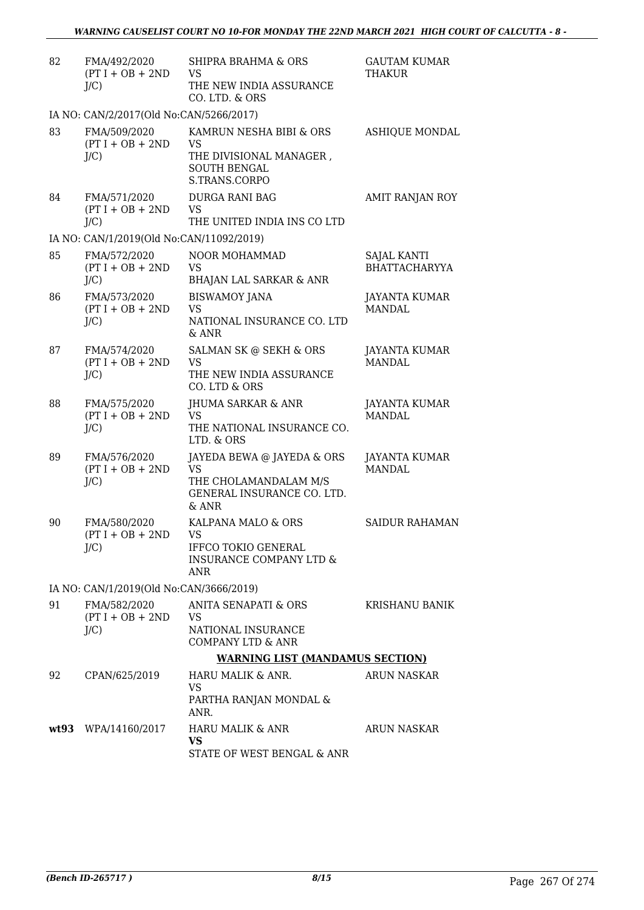| 82 | FMA/492/2020<br>$(PT I + OB + 2ND$<br>$J/C$ ) | SHIPRA BRAHMA & ORS<br><b>VS</b><br>THE NEW INDIA ASSURANCE<br>CO. LTD. & ORS                             | <b>GAUTAM KUMAR</b><br><b>THAKUR</b>       |
|----|-----------------------------------------------|-----------------------------------------------------------------------------------------------------------|--------------------------------------------|
|    | IA NO: CAN/2/2017(Old No:CAN/5266/2017)       |                                                                                                           |                                            |
| 83 | FMA/509/2020<br>$(PT I + OB + 2ND$<br>$J/C$ ) | KAMRUN NESHA BIBI & ORS<br>VS<br>THE DIVISIONAL MANAGER,<br><b>SOUTH BENGAL</b><br>S.TRANS.CORPO          | <b>ASHIQUE MONDAL</b>                      |
| 84 | FMA/571/2020<br>$(PT I + OB + 2ND$<br>$J/C$ ) | <b>DURGA RANI BAG</b><br><b>VS</b><br>THE UNITED INDIA INS CO LTD                                         | AMIT RANJAN ROY                            |
|    | IA NO: CAN/1/2019(Old No:CAN/11092/2019)      |                                                                                                           |                                            |
| 85 | FMA/572/2020<br>$(PT I + OB + 2ND$<br>$J/C$ ) | NOOR MOHAMMAD<br><b>VS</b><br><b>BHAJAN LAL SARKAR &amp; ANR</b>                                          | <b>SAJAL KANTI</b><br><b>BHATTACHARYYA</b> |
| 86 | FMA/573/2020<br>$(PT I + OB + 2ND$<br>$J/C$ ) | <b>BISWAMOY JANA</b><br><b>VS</b><br>NATIONAL INSURANCE CO. LTD<br>& ANR                                  | <b>JAYANTA KUMAR</b><br><b>MANDAL</b>      |
| 87 | FMA/574/2020<br>$(PT I + OB + 2ND$<br>$J/C$ ) | SALMAN SK @ SEKH & ORS<br><b>VS</b><br>THE NEW INDIA ASSURANCE<br>CO. LTD & ORS                           | <b>JAYANTA KUMAR</b><br>MANDAL.            |
| 88 | FMA/575/2020<br>$(PT I + OB + 2ND$<br>$J/C$ ) | JHUMA SARKAR & ANR<br><b>VS</b><br>THE NATIONAL INSURANCE CO.<br>LTD. & ORS                               | <b>JAYANTA KUMAR</b><br><b>MANDAL</b>      |
| 89 | FMA/576/2020<br>$(PT I + OB + 2ND$<br>$J/C$ ) | JAYEDA BEWA @ JAYEDA & ORS<br><b>VS</b><br>THE CHOLAMANDALAM M/S<br>GENERAL INSURANCE CO. LTD.<br>$&$ ANR | <b>JAYANTA KUMAR</b><br><b>MANDAL</b>      |
| 90 | FMA/580/2020<br>$(PT I + OB + 2ND$<br>$J/C$ ) | KALPANA MALO & ORS<br>VS<br><b>IFFCO TOKIO GENERAL</b><br><b>INSURANCE COMPANY LTD &amp;</b><br>ANR       | <b>SAIDUR RAHAMAN</b>                      |
|    | IA NO: CAN/1/2019(Old No:CAN/3666/2019)       |                                                                                                           |                                            |
| 91 | FMA/582/2020<br>$(PT I + OB + 2ND$<br>$J/C$ ) | ANITA SENAPATI & ORS<br><b>VS</b><br>NATIONAL INSURANCE<br><b>COMPANY LTD &amp; ANR</b>                   | KRISHANU BANIK                             |
|    |                                               | <b>WARNING LIST (MANDAMUS SECTION)</b>                                                                    |                                            |
| 92 | CPAN/625/2019                                 | HARU MALIK & ANR.<br><b>VS</b><br>PARTHA RANJAN MONDAL &<br>ANR.                                          | <b>ARUN NASKAR</b>                         |
|    | wt93 WPA/14160/2017                           | HARU MALIK & ANR<br><b>VS</b><br>STATE OF WEST BENGAL & ANR                                               | ARUN NASKAR                                |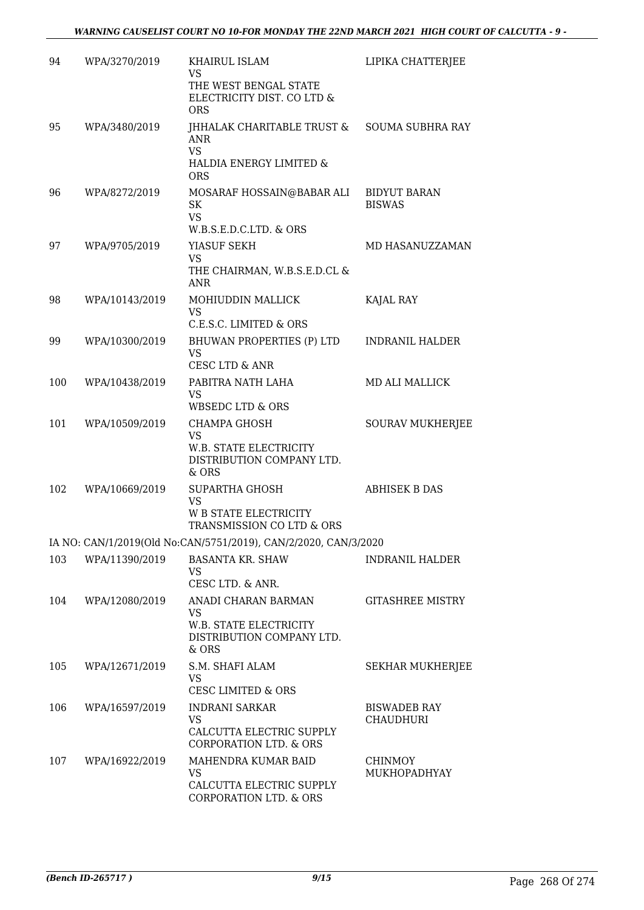| 94  | WPA/3270/2019  | KHAIRUL ISLAM<br><b>VS</b><br>THE WEST BENGAL STATE<br>ELECTRICITY DIST. CO LTD &<br><b>ORS</b>     | LIPIKA CHATTERJEE                    |
|-----|----------------|-----------------------------------------------------------------------------------------------------|--------------------------------------|
| 95  | WPA/3480/2019  | JHHALAK CHARITABLE TRUST &<br><b>ANR</b><br><b>VS</b><br>HALDIA ENERGY LIMITED &<br><b>ORS</b>      | <b>SOUMA SUBHRA RAY</b>              |
| 96  | WPA/8272/2019  | MOSARAF HOSSAIN@BABAR ALI<br><b>SK</b><br><b>VS</b><br>W.B.S.E.D.C.LTD. & ORS                       | <b>BIDYUT BARAN</b><br><b>BISWAS</b> |
| 97  | WPA/9705/2019  | YIASUF SEKH<br><b>VS</b><br>THE CHAIRMAN, W.B.S.E.D.CL &<br><b>ANR</b>                              | MD HASANUZZAMAN                      |
| 98  | WPA/10143/2019 | MOHIUDDIN MALLICK<br><b>VS</b><br>C.E.S.C. LIMITED & ORS                                            | KAJAL RAY                            |
| 99  | WPA/10300/2019 | BHUWAN PROPERTIES (P) LTD<br><b>VS</b><br><b>CESC LTD &amp; ANR</b>                                 | <b>INDRANIL HALDER</b>               |
| 100 | WPA/10438/2019 | PABITRA NATH LAHA<br><b>VS</b><br><b>WBSEDC LTD &amp; ORS</b>                                       | <b>MD ALI MALLICK</b>                |
| 101 | WPA/10509/2019 | CHAMPA GHOSH<br>VS<br>W.B. STATE ELECTRICITY<br>DISTRIBUTION COMPANY LTD.<br>& ORS                  | <b>SOURAV MUKHERJEE</b>              |
| 102 | WPA/10669/2019 | <b>SUPARTHA GHOSH</b><br><b>VS</b><br><b>W B STATE ELECTRICITY</b><br>TRANSMISSION CO LTD & ORS     | <b>ABHISEK B DAS</b>                 |
|     |                | IA NO: CAN/1/2019(Old No:CAN/5751/2019), CAN/2/2020, CAN/3/2020                                     |                                      |
| 103 | WPA/11390/2019 | <b>BASANTA KR. SHAW</b><br><b>VS</b><br>CESC LTD. & ANR.                                            | INDRANIL HALDER                      |
| 104 | WPA/12080/2019 | ANADI CHARAN BARMAN<br><b>VS</b><br>W.B. STATE ELECTRICITY<br>DISTRIBUTION COMPANY LTD.<br>& ORS    | <b>GITASHREE MISTRY</b>              |
| 105 | WPA/12671/2019 | S.M. SHAFI ALAM<br>VS<br><b>CESC LIMITED &amp; ORS</b>                                              | SEKHAR MUKHERJEE                     |
| 106 | WPA/16597/2019 | <b>INDRANI SARKAR</b><br><b>VS</b><br>CALCUTTA ELECTRIC SUPPLY<br><b>CORPORATION LTD. &amp; ORS</b> | <b>BISWADEB RAY</b><br>CHAUDHURI     |
| 107 | WPA/16922/2019 | MAHENDRA KUMAR BAID<br><b>VS</b><br>CALCUTTA ELECTRIC SUPPLY<br><b>CORPORATION LTD. &amp; ORS</b>   | <b>CHINMOY</b><br>MUKHOPADHYAY       |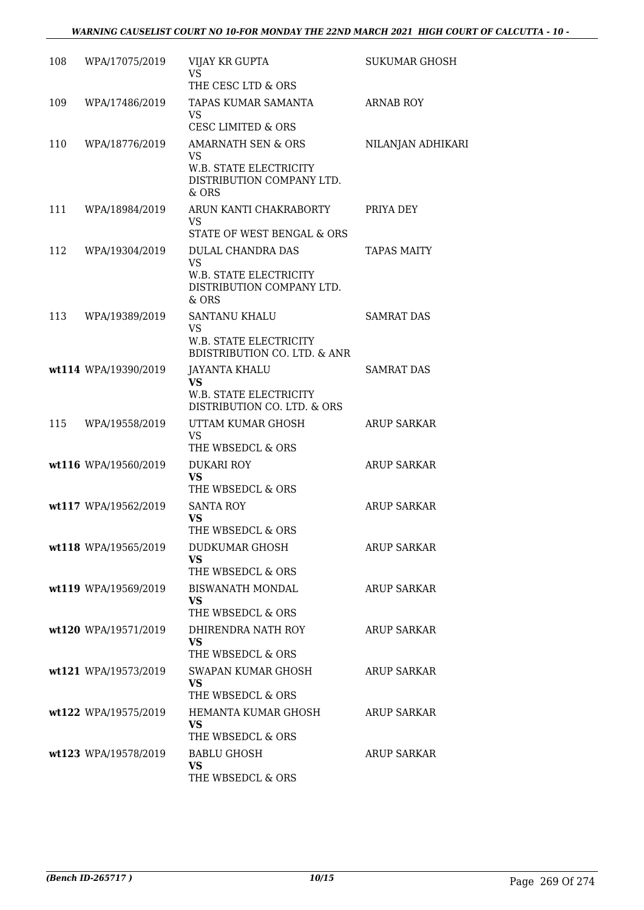| 108 | WPA/17075/2019       | VIJAY KR GUPTA<br><b>VS</b>                                                                             | <b>SUKUMAR GHOSH</b> |
|-----|----------------------|---------------------------------------------------------------------------------------------------------|----------------------|
| 109 | WPA/17486/2019       | THE CESC LTD & ORS<br>TAPAS KUMAR SAMANTA<br><b>VS</b><br><b>CESC LIMITED &amp; ORS</b>                 | <b>ARNAB ROY</b>     |
| 110 | WPA/18776/2019       | <b>AMARNATH SEN &amp; ORS</b><br>VS.<br>W.B. STATE ELECTRICITY<br>DISTRIBUTION COMPANY LTD.<br>$&$ ORS  | NILANJAN ADHIKARI    |
| 111 | WPA/18984/2019       | ARUN KANTI CHAKRABORTY<br><b>VS</b><br>STATE OF WEST BENGAL & ORS                                       | PRIYA DEY            |
| 112 | WPA/19304/2019       | <b>DULAL CHANDRA DAS</b><br><b>VS</b><br>W.B. STATE ELECTRICITY<br>DISTRIBUTION COMPANY LTD.<br>$&$ ORS | <b>TAPAS MAITY</b>   |
| 113 | WPA/19389/2019       | <b>SANTANU KHALU</b><br><b>VS</b><br>W.B. STATE ELECTRICITY<br><b>BDISTRIBUTION CO. LTD. &amp; ANR</b>  | <b>SAMRAT DAS</b>    |
|     | wt114 WPA/19390/2019 | <b>JAYANTA KHALU</b><br><b>VS</b><br>W.B. STATE ELECTRICITY<br>DISTRIBUTION CO. LTD. & ORS              | <b>SAMRAT DAS</b>    |
| 115 | WPA/19558/2019       | UTTAM KUMAR GHOSH<br><b>VS</b><br>THE WBSEDCL & ORS                                                     | <b>ARUP SARKAR</b>   |
|     | wt116 WPA/19560/2019 | <b>DUKARI ROY</b><br><b>VS</b><br>THE WBSEDCL & ORS                                                     | <b>ARUP SARKAR</b>   |
|     | wt117 WPA/19562/2019 | <b>SANTA ROY</b><br><b>VS</b><br>THE WBSEDCL & ORS                                                      | <b>ARUP SARKAR</b>   |
|     | wt118 WPA/19565/2019 | DUDKUMAR GHOSH<br><b>VS</b><br>THE WBSEDCL & ORS                                                        | <b>ARUP SARKAR</b>   |
|     | wt119 WPA/19569/2019 | <b>BISWANATH MONDAL</b><br>VS<br>THE WBSEDCL & ORS                                                      | <b>ARUP SARKAR</b>   |
|     | wt120 WPA/19571/2019 | DHIRENDRA NATH ROY<br><b>VS</b><br>THE WBSEDCL & ORS                                                    | <b>ARUP SARKAR</b>   |
|     | wt121 WPA/19573/2019 | SWAPAN KUMAR GHOSH<br><b>VS</b><br>THE WBSEDCL & ORS                                                    | <b>ARUP SARKAR</b>   |
|     | wt122 WPA/19575/2019 | HEMANTA KUMAR GHOSH<br>VS<br>THE WBSEDCL & ORS                                                          | <b>ARUP SARKAR</b>   |
|     | wt123 WPA/19578/2019 | <b>BABLU GHOSH</b><br><b>VS</b><br>THE WBSEDCL & ORS                                                    | <b>ARUP SARKAR</b>   |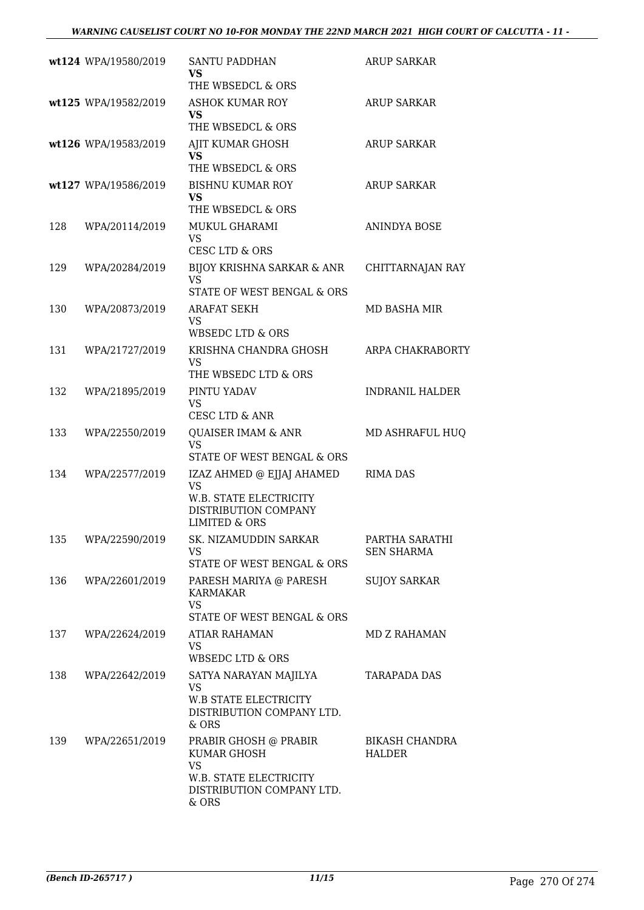|     | wt124 WPA/19580/2019 | <b>SANTU PADDHAN</b><br>VS<br>THE WBSEDCL & ORS                                                                      | <b>ARUP SARKAR</b>                  |
|-----|----------------------|----------------------------------------------------------------------------------------------------------------------|-------------------------------------|
|     | wt125 WPA/19582/2019 | <b>ASHOK KUMAR ROY</b><br><b>VS</b><br>THE WBSEDCL & ORS                                                             | ARUP SARKAR                         |
|     | wt126 WPA/19583/2019 | AJIT KUMAR GHOSH<br><b>VS</b><br>THE WBSEDCL & ORS                                                                   | <b>ARUP SARKAR</b>                  |
|     | wt127 WPA/19586/2019 | <b>BISHNU KUMAR ROY</b><br><b>VS</b><br>THE WBSEDCL & ORS                                                            | ARUP SARKAR                         |
| 128 | WPA/20114/2019       | MUKUL GHARAMI<br>VS.<br>CESC LTD & ORS                                                                               | ANINDYA BOSE                        |
| 129 | WPA/20284/2019       | BIJOY KRISHNA SARKAR & ANR<br><b>VS</b><br>STATE OF WEST BENGAL & ORS                                                | CHITTARNAJAN RAY                    |
| 130 | WPA/20873/2019       | <b>ARAFAT SEKH</b><br><b>VS</b><br>WBSEDC LTD & ORS                                                                  | MD BASHA MIR                        |
| 131 | WPA/21727/2019       | KRISHNA CHANDRA GHOSH<br><b>VS</b><br>THE WBSEDC LTD & ORS                                                           | ARPA CHAKRABORTY                    |
| 132 | WPA/21895/2019       | PINTU YADAV<br><b>VS</b><br>CESC LTD & ANR                                                                           | <b>INDRANIL HALDER</b>              |
| 133 | WPA/22550/2019       | QUAISER IMAM & ANR<br><b>VS</b><br>STATE OF WEST BENGAL & ORS                                                        | MD ASHRAFUL HUQ                     |
| 134 | WPA/22577/2019       | IZAZ AHMED @ EJJAJ AHAMED<br><b>VS</b><br>W.B. STATE ELECTRICITY<br>DISTRIBUTION COMPANY<br><b>LIMITED &amp; ORS</b> | <b>RIMA DAS</b>                     |
| 135 | WPA/22590/2019       | SK. NIZAMUDDIN SARKAR<br><b>VS</b><br>STATE OF WEST BENGAL & ORS                                                     | PARTHA SARATHI<br><b>SEN SHARMA</b> |
| 136 | WPA/22601/2019       | PARESH MARIYA @ PARESH<br><b>KARMAKAR</b><br><b>VS</b><br>STATE OF WEST BENGAL & ORS                                 | <b>SUJOY SARKAR</b>                 |
| 137 | WPA/22624/2019       | ATIAR RAHAMAN<br><b>VS</b><br>WBSEDC LTD & ORS                                                                       | MD Z RAHAMAN                        |
| 138 | WPA/22642/2019       | SATYA NARAYAN MAJILYA<br><b>VS</b><br>W.B STATE ELECTRICITY<br>DISTRIBUTION COMPANY LTD.<br>& ORS                    | TARAPADA DAS                        |
| 139 | WPA/22651/2019       | PRABIR GHOSH @ PRABIR<br>KUMAR GHOSH<br><b>VS</b><br>W.B. STATE ELECTRICITY<br>DISTRIBUTION COMPANY LTD.<br>& ORS    | <b>BIKASH CHANDRA</b><br>HALDER     |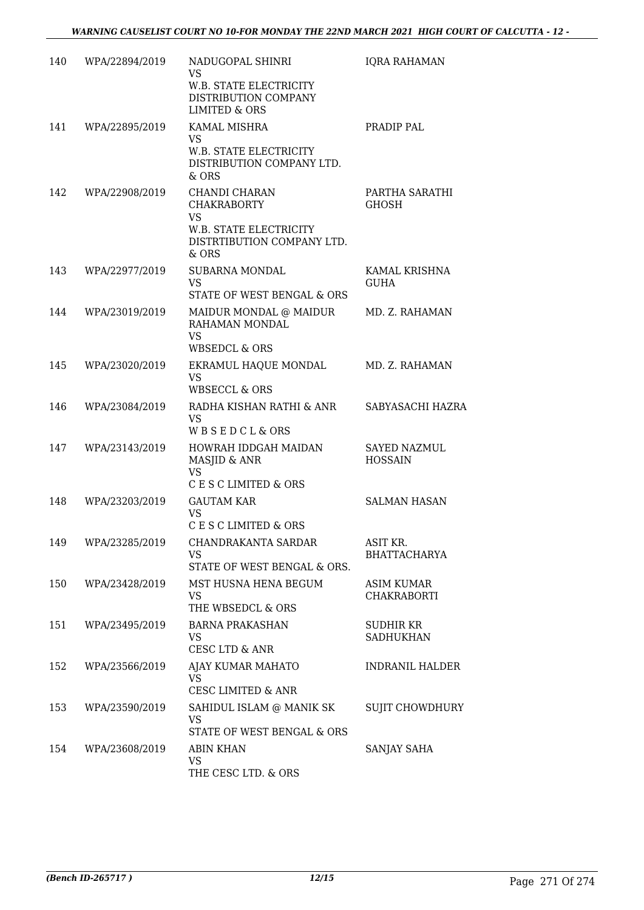| 140 | WPA/22894/2019 | NADUGOPAL SHINRI<br>VS.<br>W.B. STATE ELECTRICITY<br>DISTRIBUTION COMPANY<br><b>LIMITED &amp; ORS</b>             | <b>IQRA RAHAMAN</b>                     |
|-----|----------------|-------------------------------------------------------------------------------------------------------------------|-----------------------------------------|
| 141 | WPA/22895/2019 | KAMAL MISHRA<br><b>VS</b><br>W.B. STATE ELECTRICITY<br>DISTRIBUTION COMPANY LTD.<br>& ORS                         | PRADIP PAL                              |
| 142 | WPA/22908/2019 | CHANDI CHARAN<br><b>CHAKRABORTY</b><br><b>VS</b><br>W.B. STATE ELECTRICITY<br>DISTRTIBUTION COMPANY LTD.<br>& ORS | PARTHA SARATHI<br><b>GHOSH</b>          |
| 143 | WPA/22977/2019 | <b>SUBARNA MONDAL</b><br><b>VS</b><br>STATE OF WEST BENGAL & ORS                                                  | KAMAL KRISHNA<br><b>GUHA</b>            |
| 144 | WPA/23019/2019 | MAIDUR MONDAL @ MAIDUR<br>RAHAMAN MONDAL<br><b>VS</b><br>WBSEDCL & ORS                                            | MD. Z. RAHAMAN                          |
| 145 | WPA/23020/2019 | EKRAMUL HAQUE MONDAL<br><b>VS</b><br><b>WBSECCL &amp; ORS</b>                                                     | MD. Z. RAHAMAN                          |
| 146 | WPA/23084/2019 | RADHA KISHAN RATHI & ANR<br><b>VS</b><br>WBSEDCL&ORS                                                              | SABYASACHI HAZRA                        |
| 147 | WPA/23143/2019 | HOWRAH IDDGAH MAIDAN<br>MASJID & ANR<br><b>VS</b><br>C E S C LIMITED & ORS                                        | <b>SAYED NAZMUL</b><br><b>HOSSAIN</b>   |
| 148 | WPA/23203/2019 | <b>GAUTAM KAR</b><br><b>VS</b><br>C E S C LIMITED & ORS                                                           | <b>SALMAN HASAN</b>                     |
| 149 | WPA/23285/2019 | CHANDRAKANTA SARDAR<br><b>VS</b><br>STATE OF WEST BENGAL & ORS.                                                   | ASIT KR.<br><b>BHATTACHARYA</b>         |
| 150 | WPA/23428/2019 | MST HUSNA HENA BEGUM<br><b>VS</b><br>THE WBSEDCL & ORS                                                            | <b>ASIM KUMAR</b><br><b>CHAKRABORTI</b> |
| 151 | WPA/23495/2019 | <b>BARNA PRAKASHAN</b><br>VS.<br>CESC LTD & ANR                                                                   | <b>SUDHIR KR</b><br><b>SADHUKHAN</b>    |
| 152 | WPA/23566/2019 | AJAY KUMAR MAHATO<br>VS<br><b>CESC LIMITED &amp; ANR</b>                                                          | INDRANIL HALDER                         |
| 153 | WPA/23590/2019 | SAHIDUL ISLAM @ MANIK SK<br><b>VS</b><br>STATE OF WEST BENGAL & ORS                                               | SUJIT CHOWDHURY                         |
| 154 | WPA/23608/2019 | <b>ABIN KHAN</b><br><b>VS</b><br>THE CESC LTD. & ORS                                                              | SANJAY SAHA                             |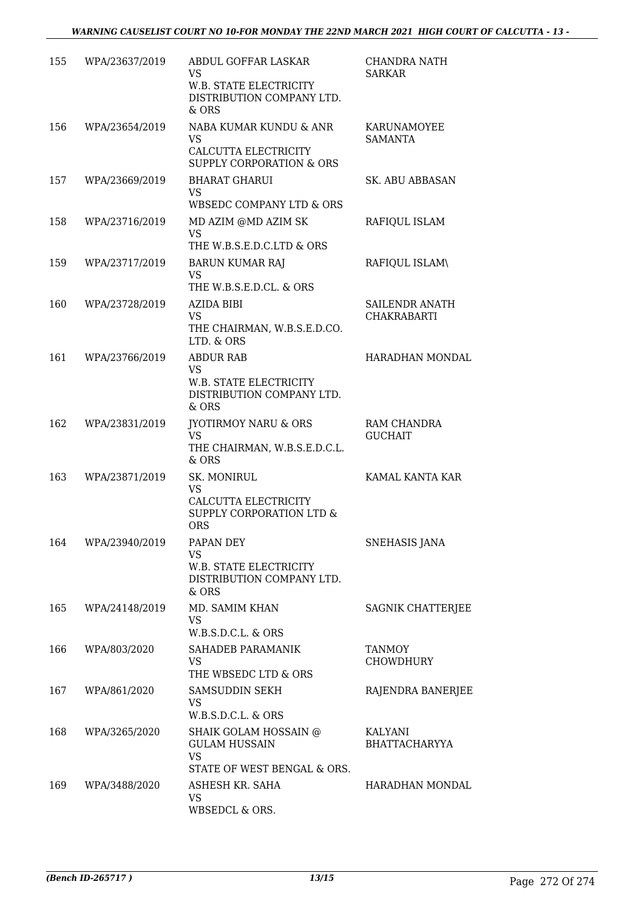| 155 | WPA/23637/2019 | ABDUL GOFFAR LASKAR<br><b>VS</b><br>W.B. STATE ELECTRICITY<br>DISTRIBUTION COMPANY LTD.<br>$&$ ORS | CHANDRA NATH<br><b>SARKAR</b>        |
|-----|----------------|----------------------------------------------------------------------------------------------------|--------------------------------------|
| 156 | WPA/23654/2019 | NABA KUMAR KUNDU & ANR<br><b>VS</b><br>CALCUTTA ELECTRICITY<br><b>SUPPLY CORPORATION &amp; ORS</b> | KARUNAMOYEE<br><b>SAMANTA</b>        |
| 157 | WPA/23669/2019 | <b>BHARAT GHARUI</b><br>VS.<br>WBSEDC COMPANY LTD & ORS                                            | SK. ABU ABBASAN                      |
| 158 | WPA/23716/2019 | MD AZIM @MD AZIM SK<br><b>VS</b><br>THE W.B.S.E.D.C.LTD & ORS                                      | RAFIQUL ISLAM                        |
| 159 | WPA/23717/2019 | <b>BARUN KUMAR RAJ</b><br><b>VS</b><br>THE W.B.S.E.D.CL. & ORS                                     | RAFIQUL ISLAM\                       |
| 160 | WPA/23728/2019 | <b>AZIDA BIBI</b><br><b>VS</b><br>THE CHAIRMAN, W.B.S.E.D.CO.<br>LTD. & ORS                        | SAILENDR ANATH<br><b>CHAKRABARTI</b> |
| 161 | WPA/23766/2019 | <b>ABDUR RAB</b><br>VS.<br>W.B. STATE ELECTRICITY<br>DISTRIBUTION COMPANY LTD.<br>$&$ ORS          | HARADHAN MONDAL                      |
| 162 | WPA/23831/2019 | JYOTIRMOY NARU & ORS<br><b>VS</b><br>THE CHAIRMAN, W.B.S.E.D.C.L.<br>& ORS                         | RAM CHANDRA<br><b>GUCHAIT</b>        |
| 163 | WPA/23871/2019 | SK. MONIRUL<br><b>VS</b><br>CALCUTTA ELECTRICITY<br>SUPPLY CORPORATION LTD &<br><b>ORS</b>         | KAMAL KANTA KAR                      |
| 164 | WPA/23940/2019 | PAPAN DEY<br><b>VS</b><br>W.B. STATE ELECTRICITY<br>DISTRIBUTION COMPANY LTD.<br>& ORS             | <b>SNEHASIS JANA</b>                 |
| 165 | WPA/24148/2019 | MD. SAMIM KHAN<br><b>VS</b><br>W.B.S.D.C.L. & ORS                                                  | SAGNIK CHATTERJEE                    |
| 166 | WPA/803/2020   | SAHADEB PARAMANIK<br><b>VS</b><br>THE WBSEDC LTD & ORS                                             | <b>TANMOY</b><br><b>CHOWDHURY</b>    |
| 167 | WPA/861/2020   | SAMSUDDIN SEKH<br><b>VS</b><br>W.B.S.D.C.L. & ORS                                                  | RAJENDRA BANERJEE                    |
| 168 | WPA/3265/2020  | SHAIK GOLAM HOSSAIN @<br><b>GULAM HUSSAIN</b><br><b>VS</b><br>STATE OF WEST BENGAL & ORS.          | KALYANI<br>BHATTACHARYYA             |
| 169 | WPA/3488/2020  | ASHESH KR. SAHA<br>VS<br>WBSEDCL & ORS.                                                            | HARADHAN MONDAL                      |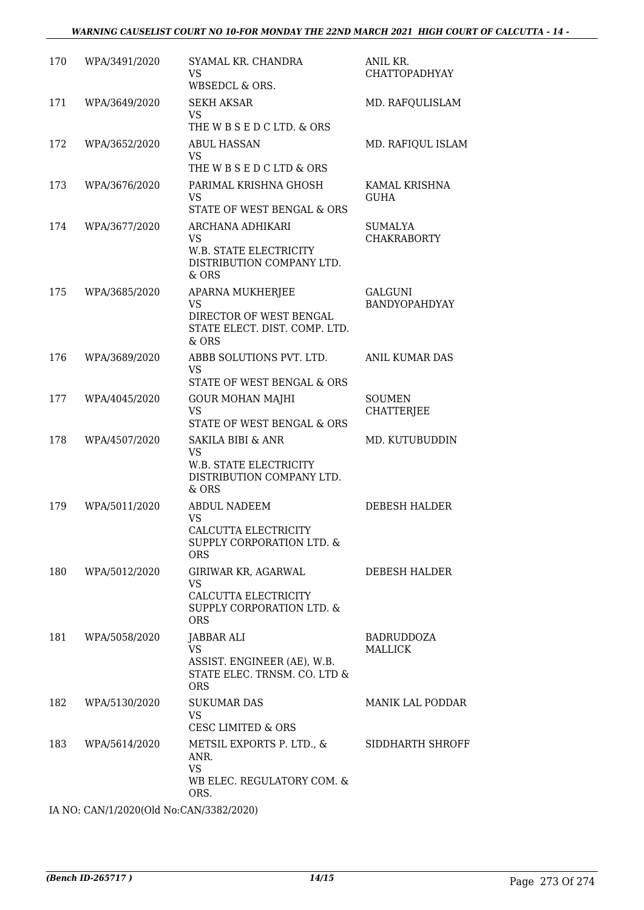| 170 | WPA/3491/2020 | SYAMAL KR. CHANDRA<br>VS<br>WBSEDCL & ORS.                                                           | ANIL KR.<br>CHATTOPADHYAY              |
|-----|---------------|------------------------------------------------------------------------------------------------------|----------------------------------------|
| 171 | WPA/3649/2020 | SEKH AKSAR<br>VS.<br>THE W B S E D C LTD. & ORS                                                      | MD. RAFQULISLAM                        |
| 172 | WPA/3652/2020 | <b>ABUL HASSAN</b><br><b>VS</b><br>THE W B S E D C LTD & ORS                                         | MD. RAFIQUL ISLAM                      |
| 173 | WPA/3676/2020 | PARIMAL KRISHNA GHOSH<br><b>VS</b><br>STATE OF WEST BENGAL & ORS                                     | KAMAL KRISHNA<br><b>GUHA</b>           |
| 174 | WPA/3677/2020 | ARCHANA ADHIKARI<br><b>VS</b><br>W.B. STATE ELECTRICITY<br>DISTRIBUTION COMPANY LTD.<br>$&$ ORS      | SUMALYA<br><b>CHAKRABORTY</b>          |
| 175 | WPA/3685/2020 | APARNA MUKHERJEE<br><b>VS</b><br>DIRECTOR OF WEST BENGAL<br>STATE ELECT. DIST. COMP. LTD.<br>& ORS   | <b>GALGUNI</b><br><b>BANDYOPAHDYAY</b> |
| 176 | WPA/3689/2020 | ABBB SOLUTIONS PVT. LTD.<br><b>VS</b><br>STATE OF WEST BENGAL & ORS                                  | <b>ANIL KUMAR DAS</b>                  |
| 177 | WPA/4045/2020 | <b>GOUR MOHAN MAJHI</b><br><b>VS</b><br>STATE OF WEST BENGAL & ORS                                   | <b>SOUMEN</b><br><b>CHATTERJEE</b>     |
| 178 | WPA/4507/2020 | <b>SAKILA BIBI &amp; ANR</b><br>VS.<br>W.B. STATE ELECTRICITY<br>DISTRIBUTION COMPANY LTD.<br>& ORS  | MD. KUTUBUDDIN                         |
| 179 | WPA/5011/2020 | <b>ABDUL NADEEM</b><br><b>VS</b><br>CALCUTTA ELECTRICITY<br>SUPPLY CORPORATION LTD. &<br><b>ORS</b>  | <b>DEBESH HALDER</b>                   |
| 180 | WPA/5012/2020 | GIRIWAR KR, AGARWAL<br>VS<br>CALCUTTA ELECTRICITY<br>SUPPLY CORPORATION LTD. &<br><b>ORS</b>         | DEBESH HALDER                          |
| 181 | WPA/5058/2020 | JABBAR ALI<br><b>VS</b><br>ASSIST. ENGINEER (AE), W.B.<br>STATE ELEC. TRNSM. CO. LTD &<br><b>ORS</b> | BADRUDDOZA<br><b>MALLICK</b>           |
| 182 | WPA/5130/2020 | <b>SUKUMAR DAS</b><br><b>VS</b><br>CESC LIMITED & ORS                                                | MANIK LAL PODDAR                       |
| 183 | WPA/5614/2020 | METSIL EXPORTS P. LTD., &<br>ANR.<br><b>VS</b><br>WB ELEC. REGULATORY COM. &<br>ORS.                 | SIDDHARTH SHROFF                       |

IA NO: CAN/1/2020(Old No:CAN/3382/2020)